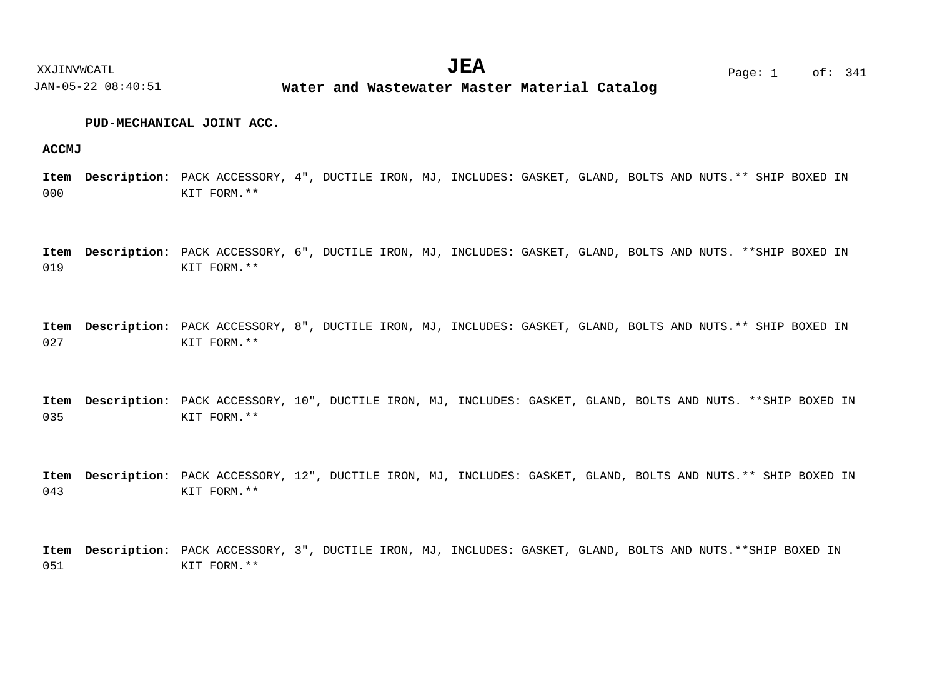# **PUD-MECHANICAL JOINT ACC.**

## **ACCMJ**

000 Item Description: PACK ACCESSORY, 4", DUCTILE IRON, MJ, INCLUDES: GASKET, GLAND, BOLTS AND NUTS.\*\* SHIP BOXED IN KIT FORM.\*\*

019 Item Description: PACK ACCESSORY, 6", DUCTILE IRON, MJ, INCLUDES: GASKET, GLAND, BOLTS AND NUTS. \*\*SHIP BOXED IN KIT FORM.\*\*

027 Item Description: PACK ACCESSORY, 8", DUCTILE IRON, MJ, INCLUDES: GASKET, GLAND, BOLTS AND NUTS.\*\* SHIP BOXED IN KIT FORM.\*\*

035  $\bf{Item}$  **Description:** PACK ACCESSORY, 10", DUCTILE IRON, MJ, INCLUDES: GASKET, GLAND, BOLTS AND NUTS. \*\*SHIP BOXED IN KIT FORM.\*\*

043  $\bf{Item}$   $\bf{Description:}$   $\rm{PACK}$   $\rm{ACESSORY}$ ,  $12$ ",  $\rm{DUCTILE}$   $\rm{IRON}$ ,  $\rm{MJ}$ ,  $\rm{INCUDES:}$   $\rm{GASK}$ ,  $\rm{GLAND}$ ,  $\rm{BOLTS}$   $\rm{AND}$   $\rm{NUTS}.$  \*\*  $\rm{SHIP}$   $\rm{BOXED}$   $\rm{INR}$ KIT FORM.\*\*

051 Item Description: PACK ACCESSORY, 3", DUCTILE IRON, MJ, INCLUDES: GASKET, GLAND, BOLTS AND NUTS.\*\*SHIP BOXED IN KIT FORM.\*\*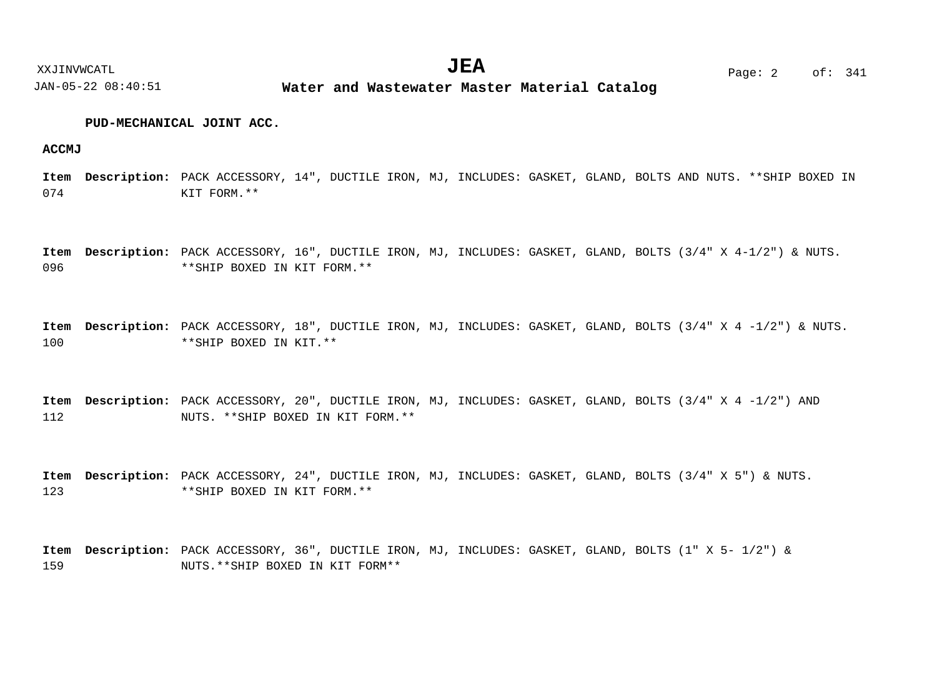# **PUD-MECHANICAL JOINT ACC.**

## **ACCMJ**

074  $\bf{Item}$  **Description:** PACK ACCESSORY, 14", DUCTILE IRON, MJ, INCLUDES: GASKET, GLAND, BOLTS AND NUTS. \*\*SHIP BOXED IN KIT FORM.\*\*

096 Item Description: PACK ACCESSORY, 16", DUCTILE IRON, MJ, INCLUDES: GASKET, GLAND, BOLTS (3/4" X 4-1/2") & NUTS. \*\*SHIP BOXED IN KIT FORM.\*\*

100 Item Description: PACK ACCESSORY, 18", DUCTILE IRON, MJ, INCLUDES: GASKET, GLAND, BOLTS (3/4" X 4 -1/2") & NUTS. \*\*SHIP BOXED IN KIT.\*\*

112 Item Description: PACK ACCESSORY, 20", DUCTILE IRON, MJ, INCLUDES: GASKET, GLAND, BOLTS (3/4" X 4 -1/2") AND NUTS. \*\*SHIP BOXED IN KIT FORM.\*\*

123 Item Description: PACK ACCESSORY, 24", DUCTILE IRON, MJ, INCLUDES: GASKET, GLAND, BOLTS (3/4" X 5") & NUTS. \*\*SHIP BOXED IN KIT FORM.\*\*

159 Item Description: PACK ACCESSORY, 36", DUCTILE IRON, MJ, INCLUDES: GASKET, GLAND, BOLTS (1" X 5- 1/2") & NUTS.\*\*SHIP BOXED IN KIT FORM\*\*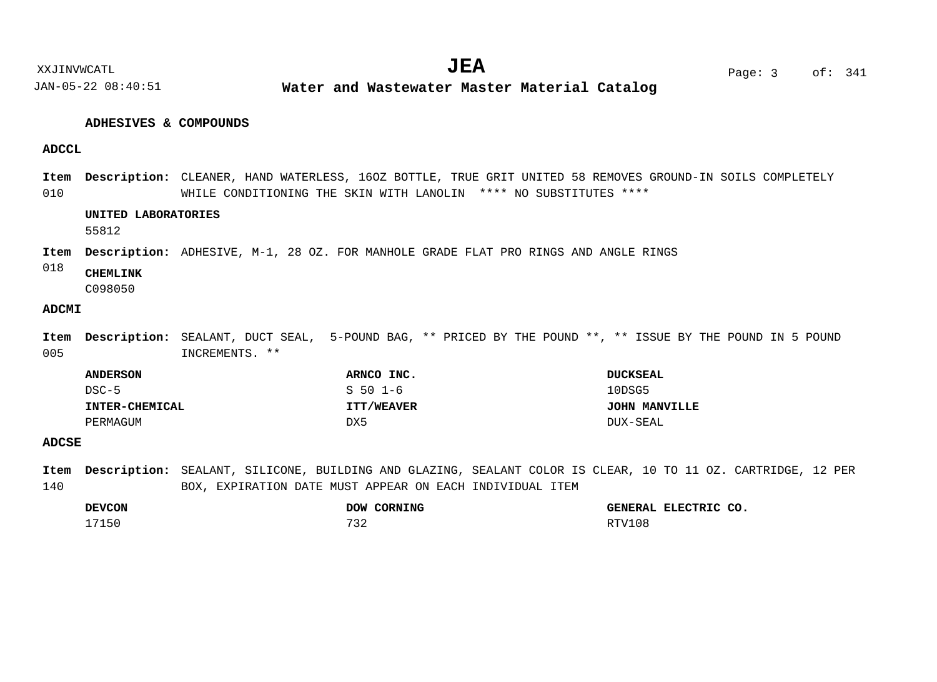# **ADHESIVES & COMPOUNDS**

# **ADCCL**

010 Item Description: CLEANER, HAND WATERLESS, 160Z BOTTLE, TRUE GRIT UNITED 58 REMOVES GROUND-IN SOILS COMPLETELY WHILE CONDITIONING THE SKIN WITH LANOLIN \*\*\*\* NO SUBSTITUTES \*\*\*\*

# **UNITED LABORATORIES**

55812

Item Description: ADHESIVE, M-1, 28 OZ. FOR MANHOLE GRADE FLAT PRO RINGS AND ANGLE RINGS

#### 018 **CHEMLINK**

C098050

# **ADCMI**

005 Item Description: SEALANT, DUCT SEAL, 5-POUND BAG, \*\* PRICED BY THE POUND \*\*, \*\* ISSUE BY THE POUND IN 5 POUND INCREMENTS. \*\*

| <b>ANDERSON</b>       | ARNCO INC.        | <b>DUCKSEAL</b> |
|-----------------------|-------------------|-----------------|
| DSC-5                 | $S501-6$          | 10DSG5          |
| <b>INTER-CHEMICAL</b> | <b>ITT/WEAVER</b> | JOHN MANVILLE   |
| PERMAGUM              | DX5               | DUX-SEAL        |

# **ADCSE**

140 Item Description: SEALANT, SILICONE, BUILDING AND GLAZING, SEALANT COLOR IS CLEAR, 10 TO 11 OZ. CARTRIDGE, 12 PER BOX, EXPIRATION DATE MUST APPEAR ON EACH INDIVIDUAL ITEM

| <b>DEVCON</b> |     | DOW CORNING | GENERAL ELECTRIC CO. |  |
|---------------|-----|-------------|----------------------|--|
| 17150         | 732 |             | RTV108               |  |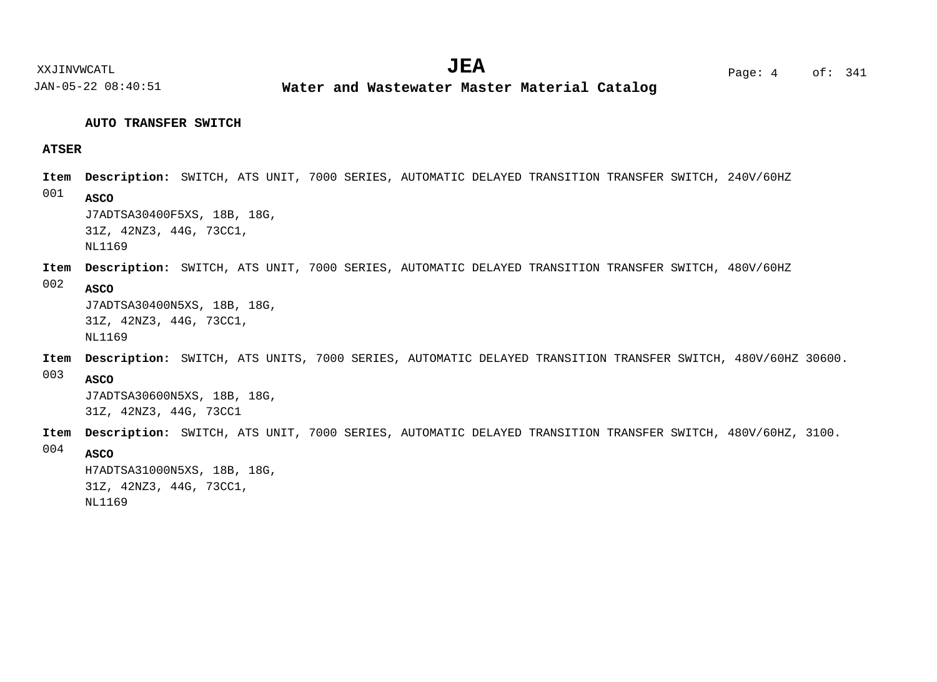**Water and Wastewater Master Material Catalog** 

# **AUTO TRANSFER SWITCH**

# **ATSER**

001 Item Description: SWITCH, ATS UNIT, 7000 SERIES, AUTOMATIC DELAYED TRANSITION TRANSFER SWITCH, 240V/60HZ **ASCO**

J7ADTSA30400F5XS, 18B, 18G, 31Z, 42NZ3, 44G, 73CC1, NL1169

# Item Description: SWITCH, ATS UNIT, 7000 SERIES, AUTOMATIC DELAYED TRANSITION TRANSFER SWITCH, 480V/60HZ

#### 002 **ASCO**

J7ADTSA30400N5XS, 18B, 18G, 31Z, 42NZ3, 44G, 73CC1, NL1169

Item Description: SWITCH, ATS UNITS, 7000 SERIES, AUTOMATIC DELAYED TRANSITION TRANSFER SWITCH, 480V/60HZ 30600.

003 **ASCO**

> J7ADTSA30600N5XS, 18B, 18G, 31Z, 42NZ3, 44G, 73CC1

Item Description: SWITCH, ATS UNIT, 7000 SERIES, AUTOMATIC DELAYED TRANSITION TRANSFER SWITCH, 480V/60HZ, 3100.

004 **ASCO**

> H7ADTSA31000N5XS, 18B, 18G, 31Z, 42NZ3, 44G, 73CC1, NL1169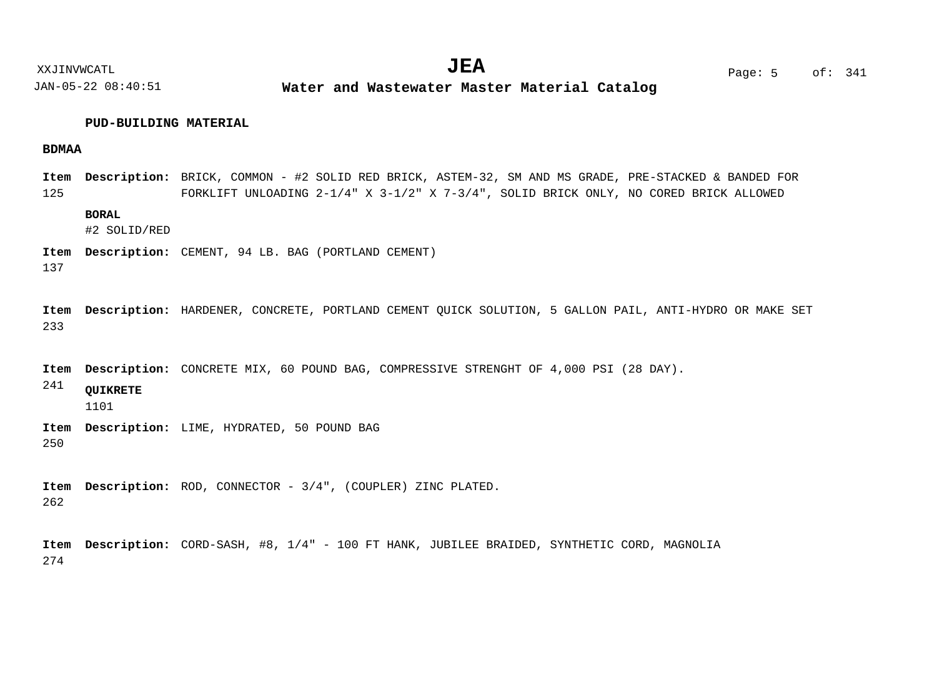**Water and Wastewater Master Material Catalog** 

# **PUD-BUILDING MATERIAL**

# **BDMAA**

125 BRICK, COMMON - #2 SOLID RED BRICK, ASTEM-32, SM AND MS GRADE, PRE-STACKED & BANDED FOR **Description: Item** FORKLIFT UNLOADING 2-1/4" X 3-1/2" X 7-3/4", SOLID BRICK ONLY, NO CORED BRICK ALLOWED

# **BORAL**

#2 SOLID/RED

Item Description: CEMENT, 94 LB. BAG (PORTLAND CEMENT)

137

233 Item Description: HARDENER, CONCRETE, PORTLAND CEMENT QUICK SOLUTION, 5 GALLON PAIL, ANTI-HYDRO OR MAKE SET

Item Description: CONCRETE MIX, 60 POUND BAG, COMPRESSIVE STRENGHT OF 4,000 PSI (28 DAY).

241 **QUIKRETE**

1101

250 Item Description: LIME, HYDRATED, 50 POUND BAG

262 Item Description: ROD, CONNECTOR -  $3/4"$ , (COUPLER) ZINC PLATED.

274 Item Description: CORD-SASH, #8, 1/4" - 100 FT HANK, JUBILEE BRAIDED, SYNTHETIC CORD, MAGNOLIA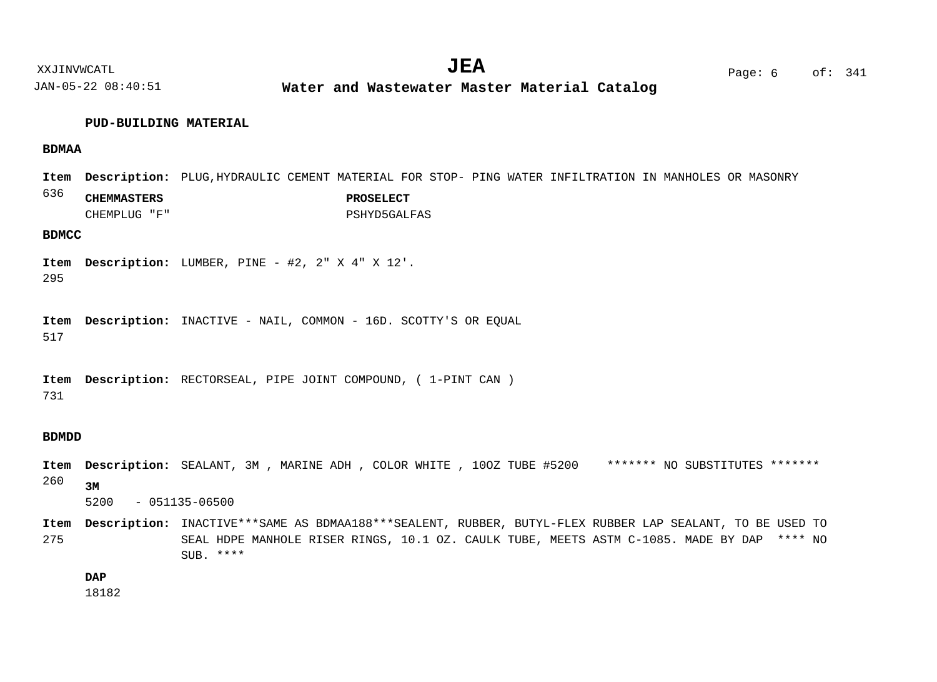**Water and Wastewater Master Material Catalog** 

#### **PUD-BUILDING MATERIAL**

# **BDMAA**

636 Item Description: PLUG,HYDRAULIC CEMENT MATERIAL FOR STOP- PING WATER INFILTRATION IN MANHOLES OR MASONRY **CHEMMASTERS PROSELECT** CHEMPLUG "F" PSHYD5GALFAS

# **BDMCC**

295 Item Description: LUMBER, PINE - #2, 2" X 4" X 12'.

517 Item Description: INACTIVE - NAIL, COMMON - 16D. SCOTTY'S OR EQUAL

731 Item Description: RECTORSEAL, PIPE JOINT COMPOUND, ( 1-PINT CAN )

## **BDMDD**

260 SEALANT, 3M , MARINE ADH , COLOR WHITE , 10OZ TUBE #5200 \*\*\*\*\*\*\* NO SUBSTITUTES \*\*\*\*\*\*\* **Description: Item 3M**

5200 - 051135-06500

275 Item Description: INACTIVE\*\*\*SAME AS BDMAA188\*\*\*SEALENT, RUBBER, BUTYL-FLEX RUBBER LAP SEALANT, TO BE USED TO SEAL HDPE MANHOLE RISER RINGS, 10.1 OZ. CAULK TUBE, MEETS ASTM C-1085. MADE BY DAP \*\*\*\* NO  $SUB.***$ 

**DAP**

18182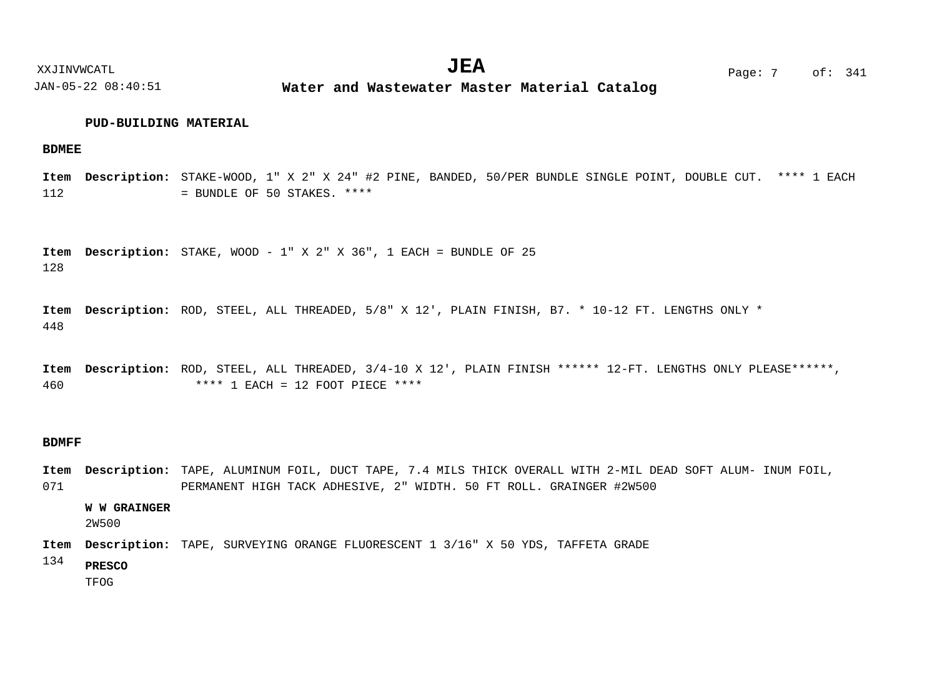# **PUD-BUILDING MATERIAL**

## **BDMEE**

112 STAKE-WOOD, 1" X 2" X 24" #2 PINE, BANDED, 50/PER BUNDLE SINGLE POINT, DOUBLE CUT. \*\*\*\* 1 EACH **Description: Item** = BUNDLE OF 50 STAKES. \*\*\*\*

128 Item Description: STAKE, WOOD - 1" X 2" X 36", 1 EACH = BUNDLE OF 25

448 Item Description: ROD, STEEL, ALL THREADED, 5/8" X 12', PLAIN FINISH, B7. \* 10-12 FT. LENGTHS ONLY \*

460 Item Description: ROD, STEEL, ALL THREADED, 3/4-10 X 12', PLAIN FINISH \*\*\*\*\*\* 12-FT. LENGTHS ONLY PLEASE\*\*\*\*\*\*, \*\*\*\* 1 EACH = 12 FOOT PIECE \*\*\*\*

# **BDMFF**

071 Item Description: TAPE, ALUMINUM FOIL, DUCT TAPE, 7.4 MILS THICK OVERALL WITH 2-MIL DEAD SOFT ALUM- INUM FOIL, PERMANENT HIGH TACK ADHESIVE, 2" WIDTH. 50 FT ROLL. GRAINGER #2W500

**W W GRAINGER**

2W500

Item Description: TAPE, SURVEYING ORANGE FLUORESCENT 1 3/16" X 50 YDS, TAFFETA GRADE

134 **PRESCO**

TFOG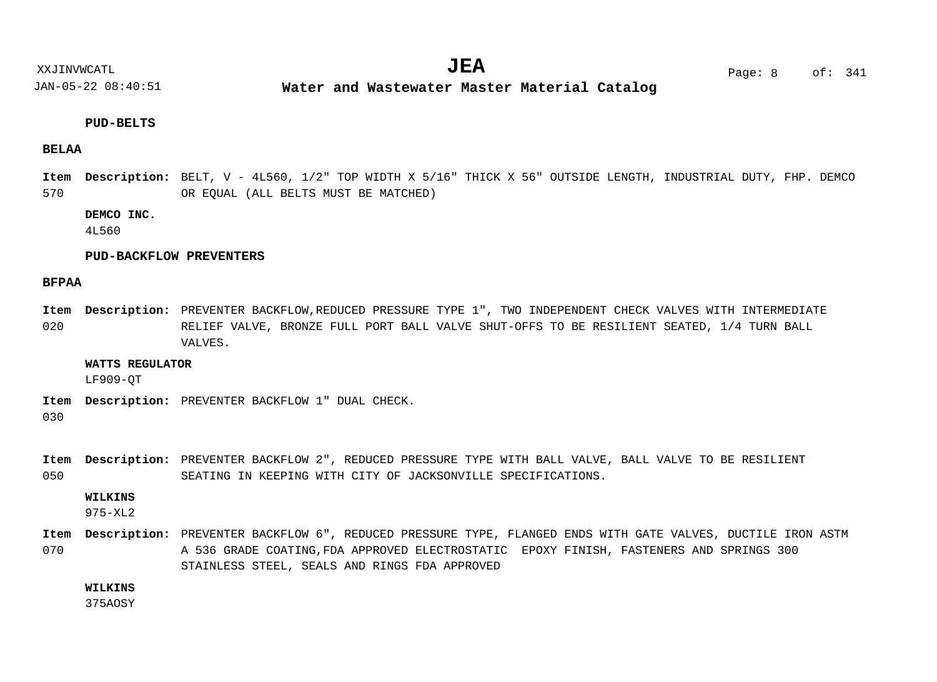**Water and Wastewater Master Material Catalog** 

# **PUD-BELTS**

# **BELAA**

570 BELT, V - 4L560, 1/2" TOP WIDTH X 5/16" THICK X 56" OUTSIDE LENGTH, INDUSTRIAL DUTY, FHP. DEMCO **Description: Item** OR EQUAL (ALL BELTS MUST BE MATCHED)

# **DEMCO INC.**

4L560

# **PUD-BACKFLOW PREVENTERS**

# **BFPAA**

020 Item Description: PREVENTER BACKFLOW,REDUCED PRESSURE TYPE 1", TWO INDEPENDENT CHECK VALVES WITH INTERMEDIATE RELIEF VALVE, BRONZE FULL PORT BALL VALVE SHUT-OFFS TO BE RESILIENT SEATED, 1/4 TURN BALL VALVES.

#### **WATTS REGULATOR**

LF909-QT

Item Description: PREVENTER BACKFLOW 1" DUAL CHECK.

030

050 Item Description: PREVENTER BACKFLOW 2", REDUCED PRESSURE TYPE WITH BALL VALVE, BALL VALVE TO BE RESILIENT SEATING IN KEEPING WITH CITY OF JACKSONVILLE SPECIFICATIONS.

## **WILKINS**

975-XL2

070 Item Description: PREVENTER BACKFLOW 6", REDUCED PRESSURE TYPE, FLANGED ENDS WITH GATE VALVES, DUCTILE IRON ASTM A 536 GRADE COATING,FDA APPROVED ELECTROSTATIC EPOXY FINISH, FASTENERS AND SPRINGS 300 STAINLESS STEEL, SEALS AND RINGS FDA APPROVED

# **WILKINS**

375AOSY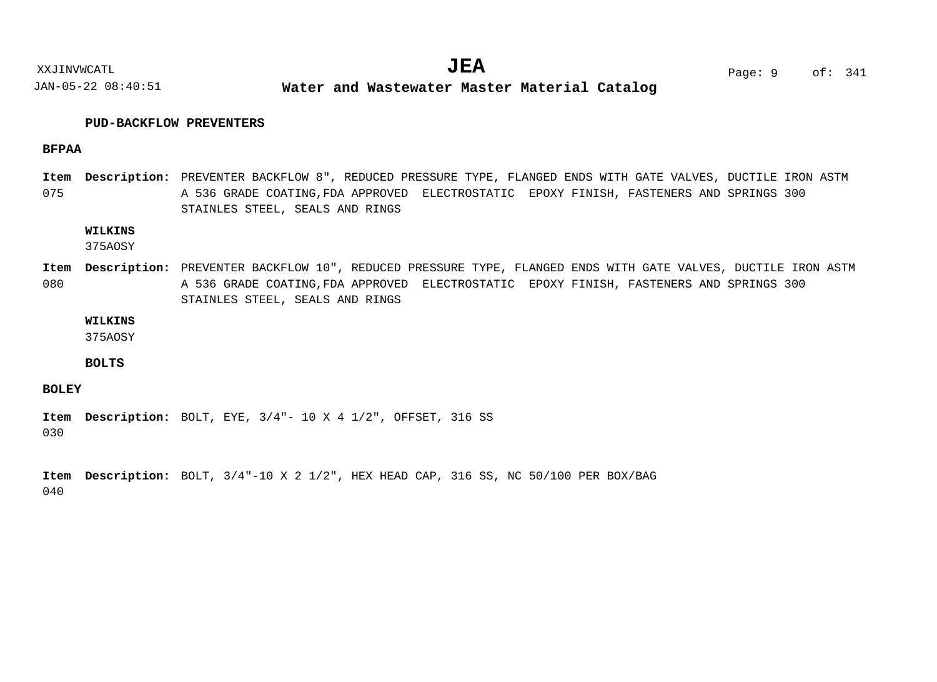**Water and Wastewater Master Material Catalog** 

# **PUD-BACKFLOW PREVENTERS**

# **BFPAA**

075 Item Description: PREVENTER BACKFLOW 8", REDUCED PRESSURE TYPE, FLANGED ENDS WITH GATE VALVES, DUCTILE IRON ASTM A 536 GRADE COATING,FDA APPROVED ELECTROSTATIC EPOXY FINISH, FASTENERS AND SPRINGS 300 STAINLES STEEL, SEALS AND RINGS

# **WILKINS**

375AOSY

080 Item Description: PREVENTER BACKFLOW 10", REDUCED PRESSURE TYPE, FLANGED ENDS WITH GATE VALVES, DUCTILE IRON ASTM A 536 GRADE COATING,FDA APPROVED ELECTROSTATIC EPOXY FINISH, FASTENERS AND SPRINGS 300 STAINLES STEEL, SEALS AND RINGS

# **WILKINS**

375AOSY

# **BOLTS**

# **BOLEY**

030 Item Description: BOLT, EYE, 3/4"- 10 X 4 1/2", OFFSET, 316 SS

040 Item Description: BOLT,  $3/4"$ -10 X 2 1/2", HEX HEAD CAP, 316 SS, NC 50/100 PER BOX/BAG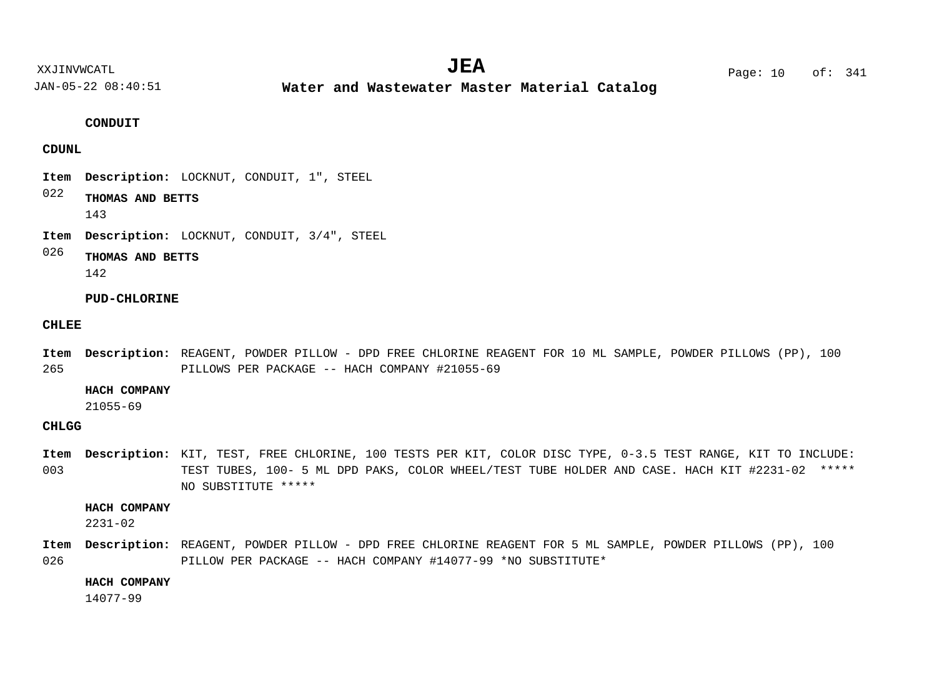XXJINVWCATL Page: 10 of: **JEA**<sup>341</sup>

JAN-05-22 08:40:51

**Water and Wastewater Master Material Catalog** 

# **CONDUIT**

# **CDUNL**

- Item Description: LOCKNUT, CONDUIT, 1", STEEL
- 022 **THOMAS AND BETTS**

143

Item Description: LOCKNUT, CONDUIT, 3/4", STEEL

#### 026 **THOMAS AND BETTS**

142

# **PUD-CHLORINE**

## **CHLEE**

265 REAGENT, POWDER PILLOW - DPD FREE CHLORINE REAGENT FOR 10 ML SAMPLE, POWDER PILLOWS (PP), 100 **Description: Item** PILLOWS PER PACKAGE -- HACH COMPANY #21055-69

# **HACH COMPANY**

21055-69

# **CHLGG**

003 Item Description: KIT, TEST, FREE CHLORINE, 100 TESTS PER KIT, COLOR DISC TYPE, 0-3.5 TEST RANGE, KIT TO INCLUDE: TEST TUBES, 100- 5 ML DPD PAKS, COLOR WHEEL/TEST TUBE HOLDER AND CASE. HACH KIT #2231-02 \*\*\*\*\* NO SUBSTITUTE \*\*\*\*\*

### **HACH COMPANY**

2231-02

026 Item Description: REAGENT, POWDER PILLOW - DPD FREE CHLORINE REAGENT FOR 5 ML SAMPLE, POWDER PILLOWS (PP), 100 PILLOW PER PACKAGE -- HACH COMPANY #14077-99 \*NO SUBSTITUTE\*

# **HACH COMPANY**

14077-99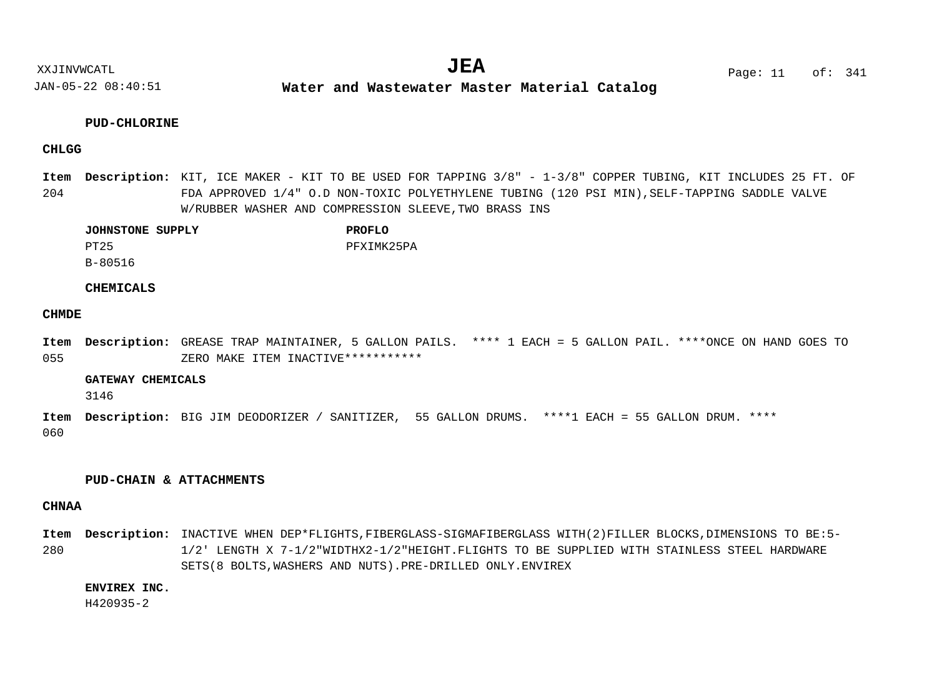**Water and Wastewater Master Material Catalog** 

# **PUD-CHLORINE**

# **CHLGG**

204 Item Description: KIT, ICE MAKER - KIT TO BE USED FOR TAPPING 3/8" -  $1-3/8$ " COPPER TUBING, KIT INCLUDES 25 FT. OF FDA APPROVED 1/4" O.D NON-TOXIC POLYETHYLENE TUBING (120 PSI MIN),SELF-TAPPING SADDLE VALVE W/RUBBER WASHER AND COMPRESSION SLEEVE,TWO BRASS INS

| <b>JOHNSTONE SUPPLY</b> | <b>PROFLO</b> |
|-------------------------|---------------|
| PT25                    | PFXIMK25PA    |
| B-80516                 |               |

# **CHEMICALS**

# **CHMDE**

055 GREASE TRAP MAINTAINER, 5 GALLON PAILS. \*\*\*\* 1 EACH = 5 GALLON PAIL. \*\*\*\*ONCE ON HAND GOES TO **Description: Item** ZERO MAKE ITEM INACTIVE\*\*\*\*\*\*\*\*\*\*\*

#### **GATEWAY CHEMICALS**

3146

060 BIG JIM DEODORIZER / SANITIZER, 55 GALLON DRUMS. \*\*\*\*1 EACH = 55 GALLON DRUM. \*\*\*\* **Description: Item**

## **PUD-CHAIN & ATTACHMENTS**

# **CHNAA**

280 Item Description: INACTIVE WHEN DEP\*FLIGHTS, FIBERGLASS-SIGMAFIBERGLASS WITH(2)FILLER BLOCKS, DIMENSIONS TO BE:5-1/2' LENGTH X 7-1/2"WIDTHX2-1/2"HEIGHT.FLIGHTS TO BE SUPPLIED WITH STAINLESS STEEL HARDWARE SETS(8 BOLTS,WASHERS AND NUTS).PRE-DRILLED ONLY.ENVIREX

# **ENVIREX INC.**

H420935-2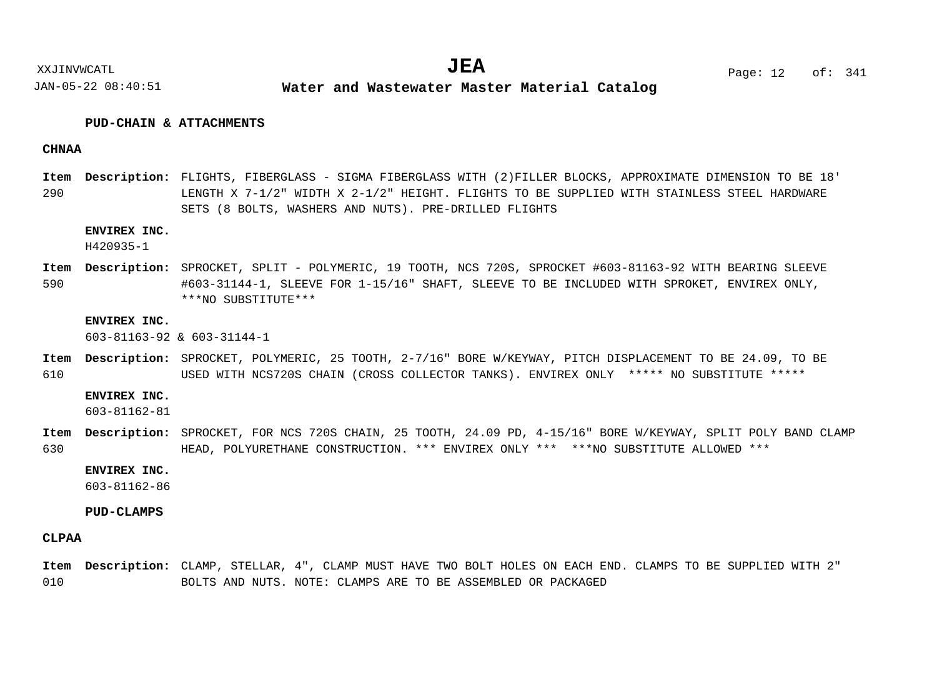# **PUD-CHAIN & ATTACHMENTS**

# **CHNAA**

290 FLIGHTS, FIBERGLASS - SIGMA FIBERGLASS WITH (2)FILLER BLOCKS, APPROXIMATE DIMENSION TO BE 18' **Description: Item** LENGTH X 7-1/2" WIDTH X 2-1/2" HEIGHT. FLIGHTS TO BE SUPPLIED WITH STAINLESS STEEL HARDWARE SETS (8 BOLTS, WASHERS AND NUTS). PRE-DRILLED FLIGHTS

# **ENVIREX INC.**

H420935-1

590 SPROCKET, SPLIT - POLYMERIC, 19 TOOTH, NCS 720S, SPROCKET #603-81163-92 WITH BEARING SLEEVE **Description: Item** #603-31144-1, SLEEVE FOR 1-15/16" SHAFT, SLEEVE TO BE INCLUDED WITH SPROKET, ENVIREX ONLY, \*\*\*NO SUBSTITUTE\*\*\*

#### **ENVIREX INC.**

603-81163-92 & 603-31144-1

610 Item Description: SPROCKET, POLYMERIC, 25 TOOTH, 2-7/16" BORE W/KEYWAY, PITCH DISPLACEMENT TO BE 24.09, TO BE USED WITH NCS720S CHAIN (CROSS COLLECTOR TANKS). ENVIREX ONLY \*\*\*\*\* NO SUBSTITUTE \*\*\*\*\*

#### **ENVIREX INC.**

603-81162-81

630 Item Description: SPROCKET, FOR NCS 720S CHAIN, 25 TOOTH, 24.09 PD, 4-15/16" BORE W/KEYWAY, SPLIT POLY BAND CLAMP HEAD, POLYURETHANE CONSTRUCTION. \*\*\* ENVIREX ONLY \*\*\* \*\*\*NO SUBSTITUTE ALLOWED \*\*\*

### **ENVIREX INC.**

603-81162-86

#### **PUD-CLAMPS**

## **CLPAA**

010 Item Description: CLAMP, STELLAR, 4", CLAMP MUST HAVE TWO BOLT HOLES ON EACH END. CLAMPS TO BE SUPPLIED WITH 2" BOLTS AND NUTS. NOTE: CLAMPS ARE TO BE ASSEMBLED OR PACKAGED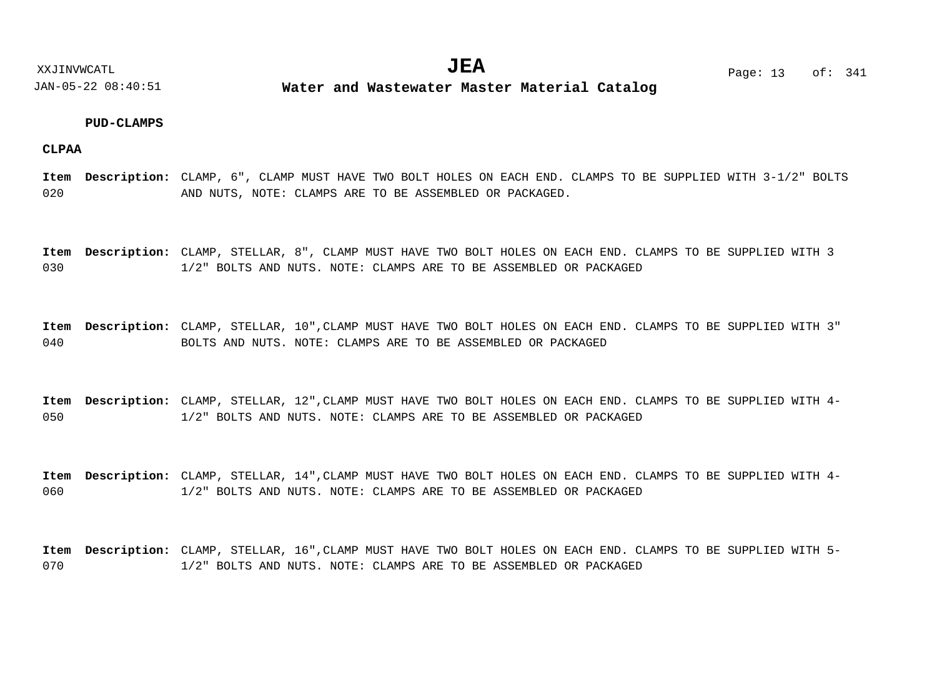## **PUD-CLAMPS**

**CLPAA**

020 Item Description: CLAMP, 6", CLAMP MUST HAVE TWO BOLT HOLES ON EACH END. CLAMPS TO BE SUPPLIED WITH 3-1/2" BOLTS AND NUTS, NOTE: CLAMPS ARE TO BE ASSEMBLED OR PACKAGED.

030 Item Description: CLAMP, STELLAR, 8", CLAMP MUST HAVE TWO BOLT HOLES ON EACH END. CLAMPS TO BE SUPPLIED WITH 3 1/2" BOLTS AND NUTS. NOTE: CLAMPS ARE TO BE ASSEMBLED OR PACKAGED

040 Item Description: CLAMP, STELLAR, 10", CLAMP MUST HAVE TWO BOLT HOLES ON EACH END. CLAMPS TO BE SUPPLIED WITH 3" BOLTS AND NUTS. NOTE: CLAMPS ARE TO BE ASSEMBLED OR PACKAGED

050 Item Description: CLAMP, STELLAR, 12", CLAMP MUST HAVE TWO BOLT HOLES ON EACH END. CLAMPS TO BE SUPPLIED WITH 4-1/2" BOLTS AND NUTS. NOTE: CLAMPS ARE TO BE ASSEMBLED OR PACKAGED

060 Item Description: CLAMP, STELLAR, 14", CLAMP MUST HAVE TWO BOLT HOLES ON EACH END. CLAMPS TO BE SUPPLIED WITH 4-1/2" BOLTS AND NUTS. NOTE: CLAMPS ARE TO BE ASSEMBLED OR PACKAGED

070 Item Description: CLAMP, STELLAR, 16", CLAMP MUST HAVE TWO BOLT HOLES ON EACH END. CLAMPS TO BE SUPPLIED WITH 5-1/2" BOLTS AND NUTS. NOTE: CLAMPS ARE TO BE ASSEMBLED OR PACKAGED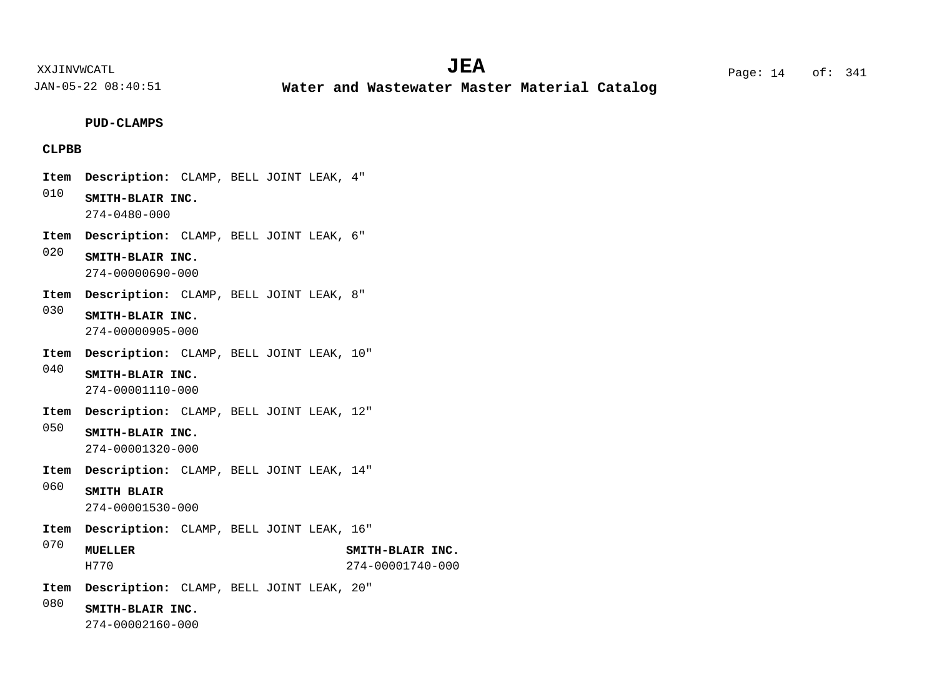**Water and Wastewater Master Material Catalog** 

# **PUD-CLAMPS**

# **CLPBB**

- Item Description: CLAMP, BELL JOINT LEAK, 4"
- 010 **SMITH-BLAIR INC.** 274-0480-000
- Item Description: CLAMP, BELL JOINT LEAK, 6"
- 020 **SMITH-BLAIR INC.** 274-00000690-000
- Item Description: CLAMP, BELL JOINT LEAK, 8"
- 030 **SMITH-BLAIR INC.** 274-00000905-000
- Item Description: CLAMP, BELL JOINT LEAK, 10"
- 040 **SMITH-BLAIR INC.** 274-00001110-000
- Item Description: CLAMP, BELL JOINT LEAK, 12"
- 050 **SMITH-BLAIR INC.** 274-00001320-000
- Item Description: CLAMP, BELL JOINT LEAK, 14"
- 060 **SMITH BLAIR** 274-00001530-000
- Item Description: CLAMP, BELL JOINT LEAK, 16"
- 070 **MUELLER SMITH-BLAIR INC.** H770 274-00001740-000
- Item Description: CLAMP, BELL JOINT LEAK, 20"
- 080 **SMITH-BLAIR INC.**
	- 274-00002160-000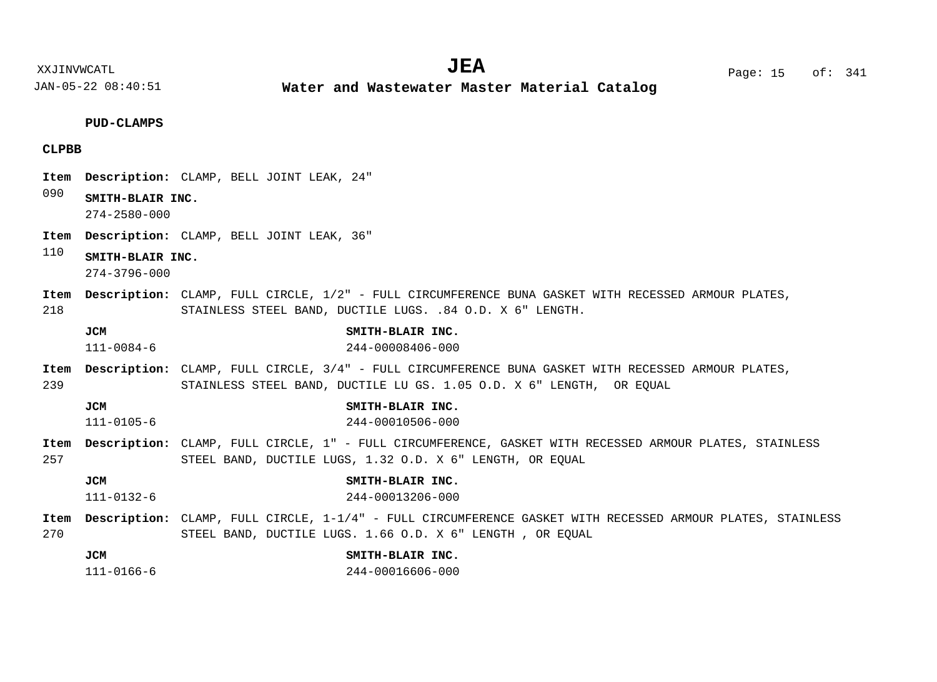**Water and Wastewater Master Material Catalog** 

# **PUD-CLAMPS**

# **CLPBB**

|             |                                        | Item Description: CLAMP, BELL JOINT LEAK, 24"                                                                                                                                    |
|-------------|----------------------------------------|----------------------------------------------------------------------------------------------------------------------------------------------------------------------------------|
| 090         | SMITH-BLAIR INC.<br>$274 - 2580 - 000$ |                                                                                                                                                                                  |
| Item        |                                        | Description: CLAMP, BELL JOINT LEAK, 36"                                                                                                                                         |
| 110         | SMITH-BLAIR INC.<br>$274 - 3796 - 000$ |                                                                                                                                                                                  |
| Item<br>218 |                                        | Description: CLAMP, FULL CIRCLE, 1/2" - FULL CIRCUMFERENCE BUNA GASKET WITH RECESSED ARMOUR PLATES,<br>STAINLESS STEEL BAND, DUCTILE LUGS. .84 O.D. X 6" LENGTH.                 |
|             | <b>JCM</b><br>$111 - 0084 - 6$         | SMITH-BLAIR INC.<br>244-00008406-000                                                                                                                                             |
| 239         |                                        | Item Description: CLAMP, FULL CIRCLE, 3/4" - FULL CIRCUMFERENCE BUNA GASKET WITH RECESSED ARMOUR PLATES,<br>STAINLESS STEEL BAND, DUCTILE LU GS. 1.05 O.D. X 6" LENGTH, OR EQUAL |
|             | <b>JCM</b><br>$111 - 0105 - 6$         | SMITH-BLAIR INC.<br>244-00010506-000                                                                                                                                             |
| 257         |                                        | Item Description: CLAMP, FULL CIRCLE, 1" - FULL CIRCUMFERENCE, GASKET WITH RECESSED ARMOUR PLATES, STAINLESS<br>STEEL BAND, DUCTILE LUGS, 1.32 O.D. X 6" LENGTH, OR EOUAL        |
|             | <b>JCM</b><br>$111 - 0132 - 6$         | SMITH-BLAIR INC.<br>244-00013206-000                                                                                                                                             |
| 270         |                                        | Item Description: CLAMP, FULL CIRCLE, 1-1/4" - FULL CIRCUMFERENCE GASKET WITH RECESSED ARMOUR PLATES, STAINLESS<br>STEEL BAND, DUCTILE LUGS. 1.66 O.D. X 6" LENGTH, OR EOUAL     |
|             | <b>JCM</b><br>$111 - 0166 - 6$         | SMITH-BLAIR INC.<br>244-00016606-000                                                                                                                                             |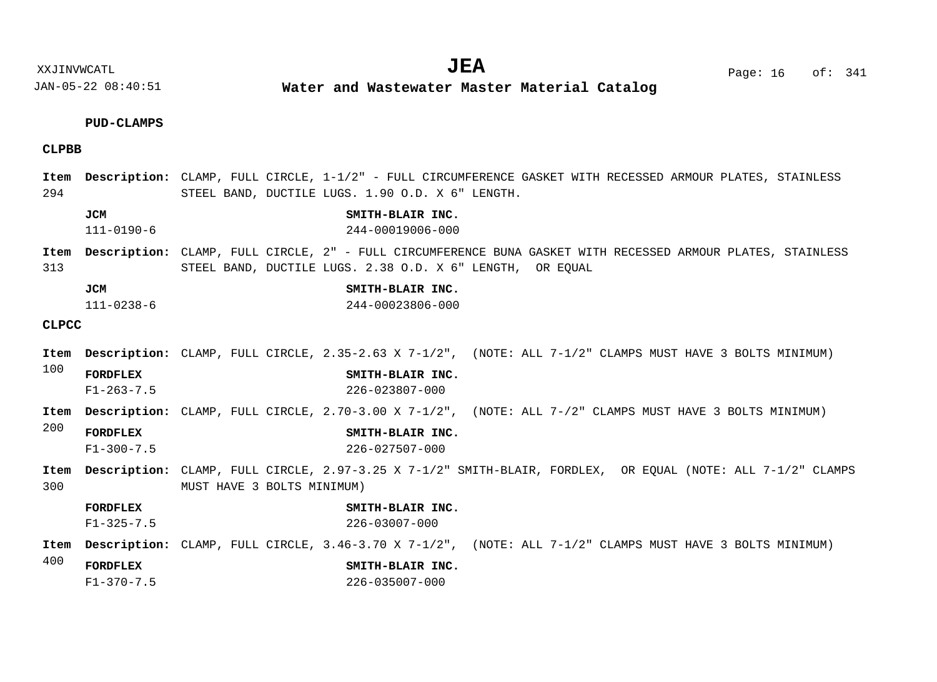XXJINVWCATL **EXALL** Page: 16 of:  $JEA$   $Page: 16$  of: 341

JAN-05-22 08:40:51 **Water and Wastewater Master Material Catalog** 

## **PUD-CLAMPS**

# **CLPBB**

#### 294 Item Description: CLAMP, FULL CIRCLE, 1-1/2" - FULL CIRCUMFERENCE GASKET WITH RECESSED ARMOUR PLATES, STAINLESS STEEL BAND, DUCTILE LUGS. 1.90 O.D. X 6" LENGTH.

- **JCM SMITH-BLAIR INC.** 111-0190-6 244-00019006-000
- 313 Item Description: CLAMP, FULL CIRCLE, 2" - FULL CIRCUMFERENCE BUNA GASKET WITH RECESSED ARMOUR PLATES, STAINLESS STEEL BAND, DUCTILE LUGS. 2.38 O.D. X 6" LENGTH, OR EQUAL
	- **JCM SMITH-BLAIR INC.** 111-0238-6 244-00023806-000

#### **CLPCC**

- 100 200 300 400 CLAMP, FULL CIRCLE, 2.35-2.63 X 7-1/2", (NOTE: ALL 7-1/2" CLAMPS MUST HAVE 3 BOLTS MINIMUM) **Description: Item** Item Description: CLAMP, FULL CIRCLE, 2.70-3.00 X 7-1/2", (NOTE: ALL 7-/2" CLAMPS MUST HAVE 3 BOLTS MINIMUM) CLAMP, FULL CIRCLE, 2.97-3.25 X 7-1/2" SMITH-BLAIR, FORDLEX, OR EQUAL (NOTE: ALL 7-1/2" CLAMPS **Description: Item** MUST HAVE 3 BOLTS MINIMUM) CLAMP, FULL CIRCLE, 3.46-3.70 X 7-1/2", (NOTE: ALL 7-1/2" CLAMPS MUST HAVE 3 BOLTS MINIMUM) **Description: ItemFORDFLEX SMITH-BLAIR INC. FORDFLEX SMITH-BLAIR INC. FORDFLEX SMITH-BLAIR INC. FORDFLEX SMITH-BLAIR INC.** F1-263-7.5 226-023807-000 F1-300-7.5 226-027507-000 F1-325-7.5 226-03007-000
	- F1-370-7.5 226-035007-000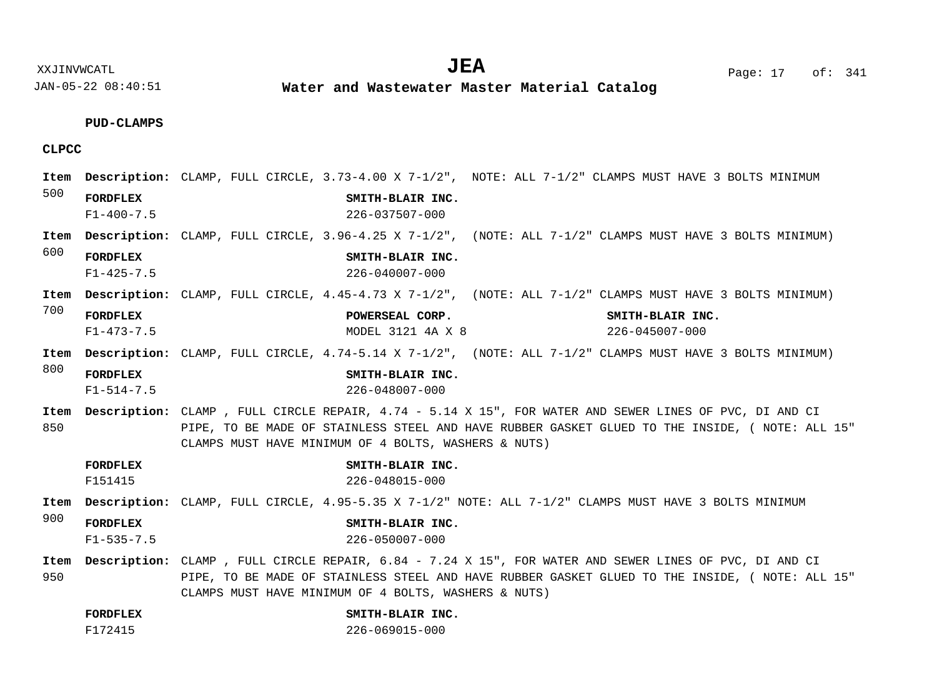XXJINVWCATL Page: 17 of: **JEA**<sup>341</sup>

JAN-05-22 08:40:51

**Water and Wastewater Master Material Catalog** 

# **PUD-CLAMPS**

# **CLPCC**

| Item |                  | Description: CLAMP, FULL CIRCLE, 3.73-4.00 X 7-1/2", NOTE: ALL 7-1/2" CLAMPS MUST HAVE 3 BOLTS MINIMUM        |  |  |  |  |  |  |  |  |
|------|------------------|---------------------------------------------------------------------------------------------------------------|--|--|--|--|--|--|--|--|
| 500  | <b>FORDFLEX</b>  | SMITH-BLAIR INC.                                                                                              |  |  |  |  |  |  |  |  |
|      | $F1 - 400 - 7.5$ | $226 - 037507 - 000$                                                                                          |  |  |  |  |  |  |  |  |
| Item |                  | Description: CLAMP, FULL CIRCLE, 3.96-4.25 X 7-1/2", (NOTE: ALL 7-1/2" CLAMPS MUST HAVE 3 BOLTS MINIMUM)      |  |  |  |  |  |  |  |  |
| 600  | <b>FORDFLEX</b>  | SMITH-BLAIR INC.                                                                                              |  |  |  |  |  |  |  |  |
|      | $F1 - 425 - 7.5$ | $226 - 040007 - 000$                                                                                          |  |  |  |  |  |  |  |  |
| Item |                  | Description: CLAMP, FULL CIRCLE, 4.45-4.73 X 7-1/2", (NOTE: ALL 7-1/2" CLAMPS MUST HAVE 3 BOLTS MINIMUM)      |  |  |  |  |  |  |  |  |
| 700  | <b>FORDFLEX</b>  | POWERSEAL CORP.<br>SMITH-BLAIR INC.                                                                           |  |  |  |  |  |  |  |  |
|      | $F1 - 473 - 7.5$ | MODEL 3121 4A X 8<br>226-045007-000                                                                           |  |  |  |  |  |  |  |  |
| Item |                  | Description: CLAMP, FULL CIRCLE, 4.74-5.14 X 7-1/2", (NOTE: ALL 7-1/2" CLAMPS MUST HAVE 3 BOLTS MINIMUM)      |  |  |  |  |  |  |  |  |
| 800  | <b>FORDFLEX</b>  | SMITH-BLAIR INC.                                                                                              |  |  |  |  |  |  |  |  |
|      | $F1 - 514 - 7.5$ | 226-048007-000                                                                                                |  |  |  |  |  |  |  |  |
| Item |                  | Description: CLAMP, FULL CIRCLE REPAIR, 4.74 - 5.14 X 15", FOR WATER AND SEWER LINES OF PVC, DI AND CI        |  |  |  |  |  |  |  |  |
| 850  |                  | PIPE, TO BE MADE OF STAINLESS STEEL AND HAVE RUBBER GASKET GLUED TO THE INSIDE, ( NOTE: ALL 15"               |  |  |  |  |  |  |  |  |
|      |                  | CLAMPS MUST HAVE MINIMUM OF 4 BOLTS, WASHERS & NUTS)                                                          |  |  |  |  |  |  |  |  |
|      | <b>FORDFLEX</b>  | SMITH-BLAIR INC.                                                                                              |  |  |  |  |  |  |  |  |
|      | F151415          | 226-048015-000                                                                                                |  |  |  |  |  |  |  |  |
| Item |                  | Description: CLAMP, FULL CIRCLE, 4.95-5.35 X 7-1/2" NOTE: ALL 7-1/2" CLAMPS MUST HAVE 3 BOLTS MINIMUM         |  |  |  |  |  |  |  |  |
| 900  | <b>FORDFLEX</b>  | SMITH-BLAIR INC.                                                                                              |  |  |  |  |  |  |  |  |
|      | $F1 - 535 - 7.5$ | 226-050007-000                                                                                                |  |  |  |  |  |  |  |  |
| Item |                  | <b>Description:</b> CLAMP, FULL CIRCLE REPAIR, 6.84 - 7.24 X 15", FOR WATER AND SEWER LINES OF PVC, DI AND CI |  |  |  |  |  |  |  |  |
| 950  |                  | PIPE, TO BE MADE OF STAINLESS STEEL AND HAVE RUBBER GASKET GLUED TO THE INSIDE, ( NOTE: ALL 15"               |  |  |  |  |  |  |  |  |
|      |                  | CLAMPS MUST HAVE MINIMUM OF 4 BOLTS, WASHERS & NUTS)                                                          |  |  |  |  |  |  |  |  |
|      | <b>FORDFLEX</b>  | SMITH-BLAIR INC.                                                                                              |  |  |  |  |  |  |  |  |

F172415 226-069015-000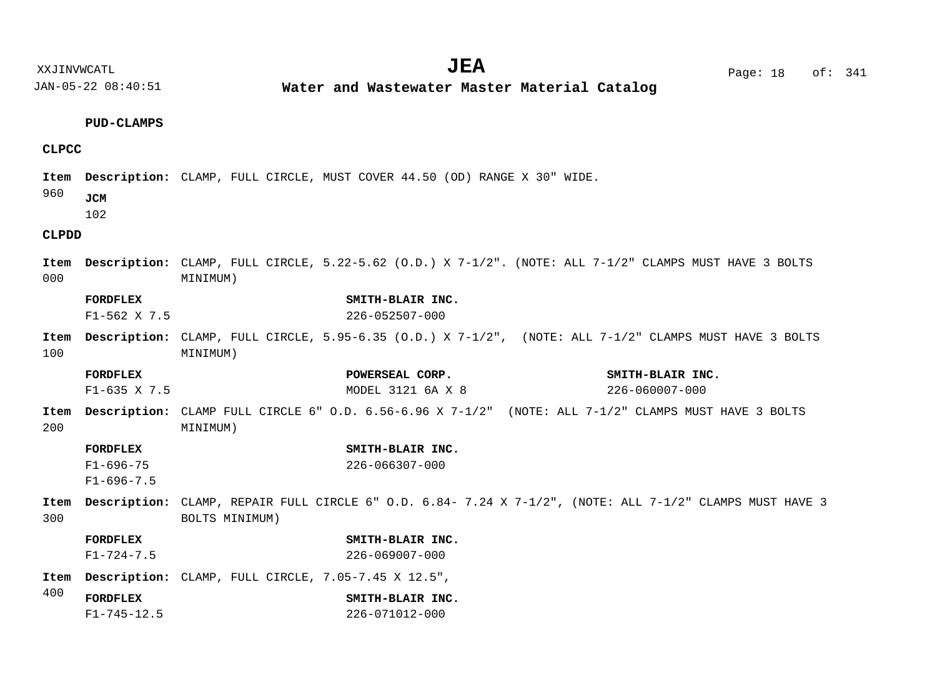**Water and Wastewater Master Material Catalog** 

#### **PUD-CLAMPS**

# **CLPCC**

Item Description: CLAMP, FULL CIRCLE, MUST COVER 44.50 (OD) RANGE X 30" WIDE.

960 **JCM**

102

# **CLPDD**

- 000 Item Description: CLAMP, FULL CIRCLE, 5.22-5.62 (O.D.) X 7-1/2". (NOTE: ALL 7-1/2" CLAMPS MUST HAVE 3 BOLTS MINIMUM)
- **FORDFLEX SMITH-BLAIR INC.** F1-562 X 7.5 226-052507-000
- 100 Item Description: CLAMP, FULL CIRCLE, 5.95-6.35 (O.D.) X 7-1/2", (NOTE: ALL 7-1/2" CLAMPS MUST HAVE 3 BOLTS MINIMUM)
- 200 Item Description: CLAMP FULL CIRCLE 6" O.D. 6.56-6.96 X 7-1/2" (NOTE: ALL 7-1/2" CLAMPS MUST HAVE 3 BOLTS MINIMUM) **FORDFLEX POWERSEAL CORP. SMITH-BLAIR INC. FORDFLEX SMITH-BLAIR INC.** F1-635 X 7.5 MODEL 3121 6A X 8 226-060007-000
- F1-696-75  $F1-696-7.5$ 226-066307-000
- 300 CLAMP, REPAIR FULL CIRCLE 6" O.D. 6.84- 7.24 X 7-1/2", (NOTE: ALL 7-1/2" CLAMPS MUST HAVE 3 **Description: Item** BOLTS MINIMUM)
	- **FORDFLEX SMITH-BLAIR INC.** F1-724-7.5 226-069007-000
- CLAMP, FULL CIRCLE, 7.05-7.45 X 12.5", **Description: Item**
- 400 **FORDFLEX SMITH-BLAIR INC.** F1-745-12.5 226-071012-000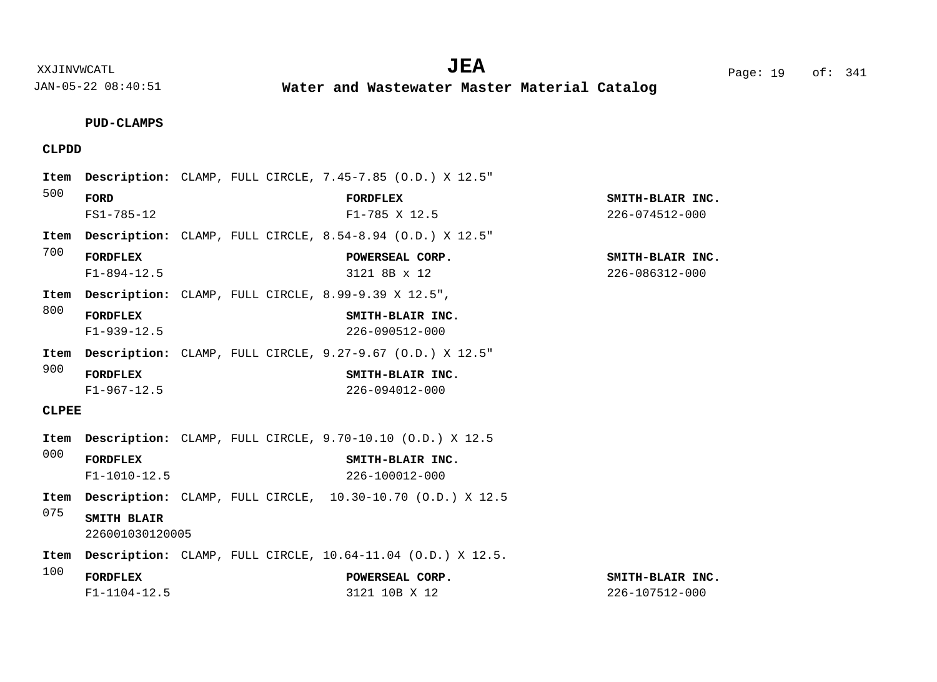**Water and Wastewater Master Material Catalog** 

**PUD-CLAMPS**

# **CLPDD**

| Item         |                                       | <b>Description:</b> CLAMP, FULL CIRCLE, 7.45-7.85 (O.D.) X 12.5"   |                                    |
|--------------|---------------------------------------|--------------------------------------------------------------------|------------------------------------|
| 500          | FORD<br>$FS1 - 785 - 12$              | <b>FORDFLEX</b><br>$F1 - 785$ X 12.5                               | SMITH-BLAIR INC.<br>226-074512-000 |
| Item         |                                       | <b>Description:</b> CLAMP, FULL CIRCLE, 8.54-8.94 (O.D.) X 12.5"   |                                    |
| 700          | <b>FORDFLEX</b><br>$F1 - 894 - 12.5$  | POWERSEAL CORP.<br>3121 8B x 12                                    | SMITH-BLAIR INC.<br>226-086312-000 |
| Item         |                                       | <b>Description:</b> CLAMP, FULL CIRCLE, 8.99-9.39 X 12.5",         |                                    |
| 800          | <b>FORDFLEX</b><br>$F1 - 939 - 12.5$  | SMITH-BLAIR INC.<br>226-090512-000                                 |                                    |
| Item         |                                       | <b>Description:</b> CLAMP, FULL CIRCLE, $9.27-9.67$ (O.D.) X 12.5" |                                    |
| 900          | <b>FORDFLEX</b><br>$F1 - 967 - 12.5$  | SMITH-BLAIR INC.<br>$226 - 094012 - 000$                           |                                    |
| <b>CLPEE</b> |                                       |                                                                    |                                    |
| Item         |                                       | Description: CLAMP, FULL CIRCLE, 9.70-10.10 (O.D.) X 12.5          |                                    |
| 000          | <b>FORDFLEX</b><br>$F1 - 1010 - 12.5$ | SMITH-BLAIR INC.<br>226-100012-000                                 |                                    |
| Item         |                                       | Description: CLAMP, FULL CIRCLE, 10.30-10.70 (O.D.) X 12.5         |                                    |
| 075          | SMITH BLAIR<br>226001030120005        |                                                                    |                                    |
| Item         |                                       | Description: CLAMP, FULL CIRCLE, 10.64-11.04 (O.D.) X 12.5.        |                                    |
| 100          | <b>FORDFLEX</b><br>$F1 - 1104 - 12.5$ | POWERSEAL CORP.<br>3121 10B X 12                                   | SMITH-BLAIR INC.<br>226-107512-000 |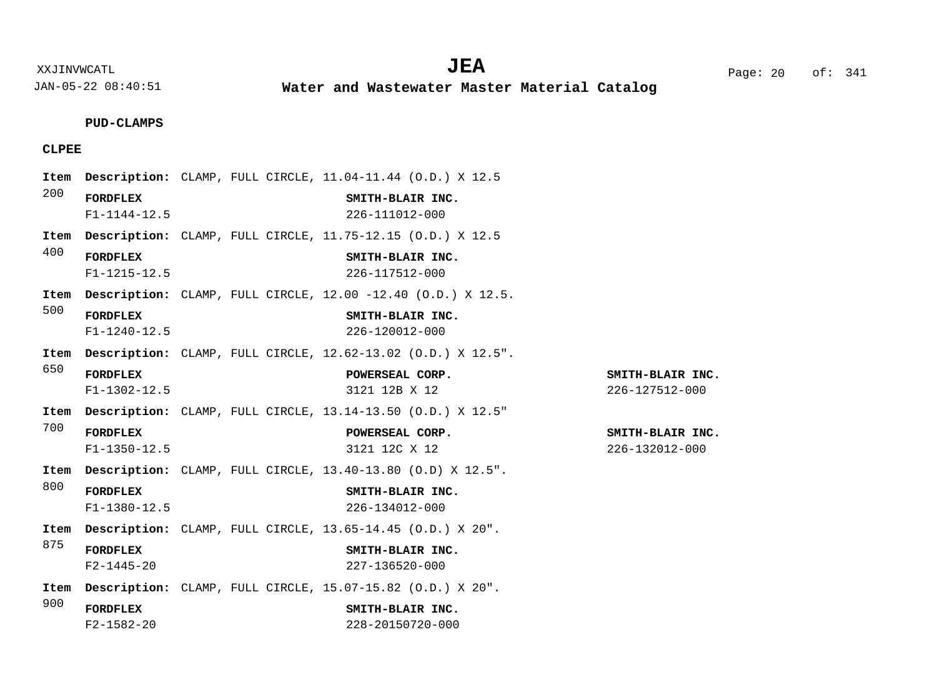**Water and Wastewater Master Material Catalog** 

**PUD-CLAMPS**

# **CLPEE**

|      |                                       |  | Item Description: CLAMP, FULL CIRCLE, 11.04-11.44 (O.D.) X 12.5          |                                    |
|------|---------------------------------------|--|--------------------------------------------------------------------------|------------------------------------|
| 200  | <b>FORDFLEX</b><br>$F1 - 1144 - 12.5$ |  | SMITH-BLAIR INC.<br>226-111012-000                                       |                                    |
| Item |                                       |  | Description: CLAMP, FULL CIRCLE, 11.75-12.15 (O.D.) X 12.5               |                                    |
| 400  | <b>FORDFLEX</b><br>$F1 - 1215 - 12.5$ |  | SMITH-BLAIR INC.<br>226-117512-000                                       |                                    |
| Item |                                       |  | <b>Description:</b> CLAMP, FULL CIRCLE, $12.00 -12.40$ (O.D.) X $12.5$ . |                                    |
| 500  | <b>FORDFLEX</b><br>$F1 - 1240 - 12.5$ |  | SMITH-BLAIR INC.<br>226-120012-000                                       |                                    |
| Item |                                       |  | <b>Description:</b> CLAMP, FULL CIRCLE, $12.62-13.02$ (O.D.) X $12.5$ ". |                                    |
| 650  | <b>FORDFLEX</b><br>$F1 - 1302 - 12.5$ |  | POWERSEAL CORP.<br>3121 12B X 12                                         | SMITH-BLAIR INC.<br>226-127512-000 |
|      |                                       |  | Item Description: CLAMP, FULL CIRCLE, 13.14-13.50 (O.D.) X 12.5"         |                                    |
| 700  | <b>FORDFLEX</b><br>$F1 - 1350 - 12.5$ |  | POWERSEAL CORP.<br>3121 12C X 12                                         | SMITH-BLAIR INC.<br>226-132012-000 |
| Item |                                       |  | <b>Description:</b> CLAMP, FULL CIRCLE, $13.40-13.80$ (O.D) X $12.5$ ".  |                                    |
| 800  | <b>FORDFLEX</b><br>$F1 - 1380 - 12.5$ |  | SMITH-BLAIR INC.<br>226-134012-000                                       |                                    |
| Item |                                       |  | Description: CLAMP, FULL CIRCLE, 13.65-14.45 (O.D.) X 20".               |                                    |
| 875  | <b>FORDFLEX</b><br>$F2 - 1445 - 20$   |  | SMITH-BLAIR INC.<br>227-136520-000                                       |                                    |
|      |                                       |  | Item Description: CLAMP, FULL CIRCLE, 15.07-15.82 (O.D.) X 20".          |                                    |
| 900  | <b>FORDFLEX</b><br>$F2 - 1582 - 20$   |  | SMITH-BLAIR INC.<br>228-20150720-000                                     |                                    |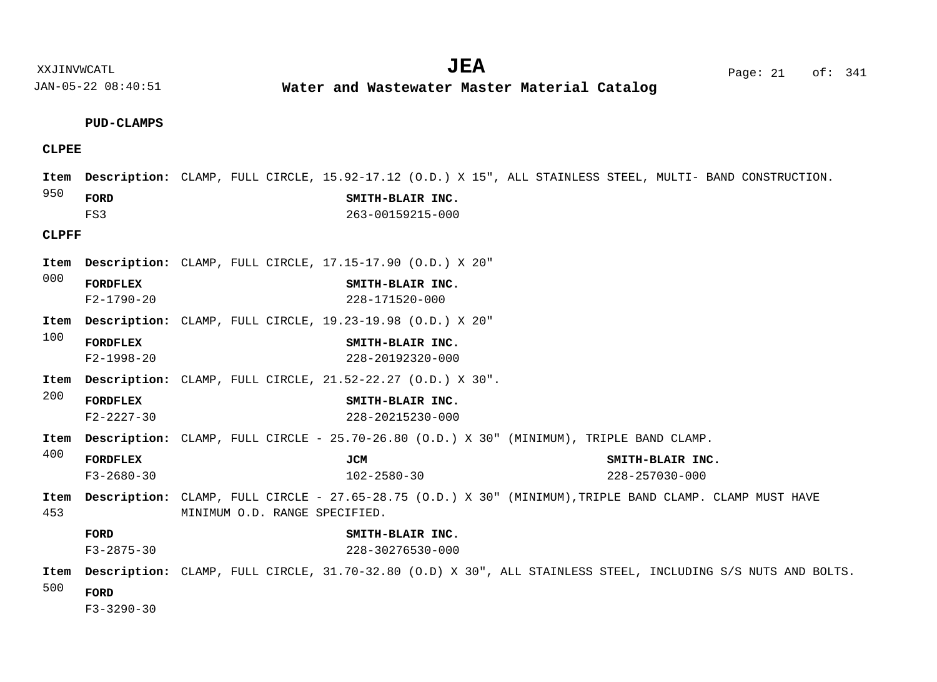XXJINVWCATL Page: 21 of: **JEA**<sup>341</sup>

JAN-05-22 08:40:51

**Water and Wastewater Master Material Catalog** 

# **PUD-CLAMPS**

# **CLPEE**

|              |                                     | Item Description: CLAMP, FULL CIRCLE, 15.92-17.12 (O.D.) X 15", ALL STAINLESS STEEL, MULTI- BAND CONSTRUCTION.                            |                                      |                                          |  |
|--------------|-------------------------------------|-------------------------------------------------------------------------------------------------------------------------------------------|--------------------------------------|------------------------------------------|--|
| 950          | FORD<br>FS3                         |                                                                                                                                           | SMITH-BLAIR INC.<br>263-00159215-000 |                                          |  |
| <b>CLPFF</b> |                                     |                                                                                                                                           |                                      |                                          |  |
| Item         |                                     | Description: CLAMP, FULL CIRCLE, 17.15-17.90 (O.D.) X 20"                                                                                 |                                      |                                          |  |
| 000          | <b>FORDFLEX</b><br>$F2 - 1790 - 20$ |                                                                                                                                           | SMITH-BLAIR INC.<br>228-171520-000   |                                          |  |
| Item         |                                     | Description: CLAMP, FULL CIRCLE, 19.23-19.98 (O.D.) X 20"                                                                                 |                                      |                                          |  |
| 100          | <b>FORDFLEX</b><br>$F2 - 1998 - 20$ |                                                                                                                                           | SMITH-BLAIR INC.<br>228-20192320-000 |                                          |  |
| Item         |                                     | <b>Description:</b> CLAMP, FULL CIRCLE, 21.52-22.27 (O.D.) X 30".                                                                         |                                      |                                          |  |
| 200          | <b>FORDFLEX</b><br>$F2 - 2227 - 30$ |                                                                                                                                           | SMITH-BLAIR INC.<br>228-20215230-000 |                                          |  |
| Item         |                                     | <b>Description:</b> CLAMP, FULL CIRCLE - 25.70-26.80 (O.D.) X 30" (MINIMUM), TRIPLE BAND CLAMP.                                           |                                      |                                          |  |
| 400          | <b>FORDFLEX</b><br>$F3 - 2680 - 30$ |                                                                                                                                           | JCM<br>$102 - 2580 - 30$             | SMITH-BLAIR INC.<br>$228 - 257030 - 000$ |  |
| Item<br>453  |                                     | Description: CLAMP, FULL CIRCLE - 27.65-28.75 (O.D.) X 30" (MINIMUM), TRIPLE BAND CLAMP. CLAMP MUST HAVE<br>MINIMUM O.D. RANGE SPECIFIED. |                                      |                                          |  |
|              | FORD<br>$F3 - 2875 - 30$            |                                                                                                                                           | SMITH-BLAIR INC.<br>228-30276530-000 |                                          |  |
| Item<br>500  | FORD<br>$F3 - 3290 - 30$            | Description: CLAMP, FULL CIRCLE, 31.70-32.80 (O.D) X 30", ALL STAINLESS STEEL, INCLUDING S/S NUTS AND BOLTS.                              |                                      |                                          |  |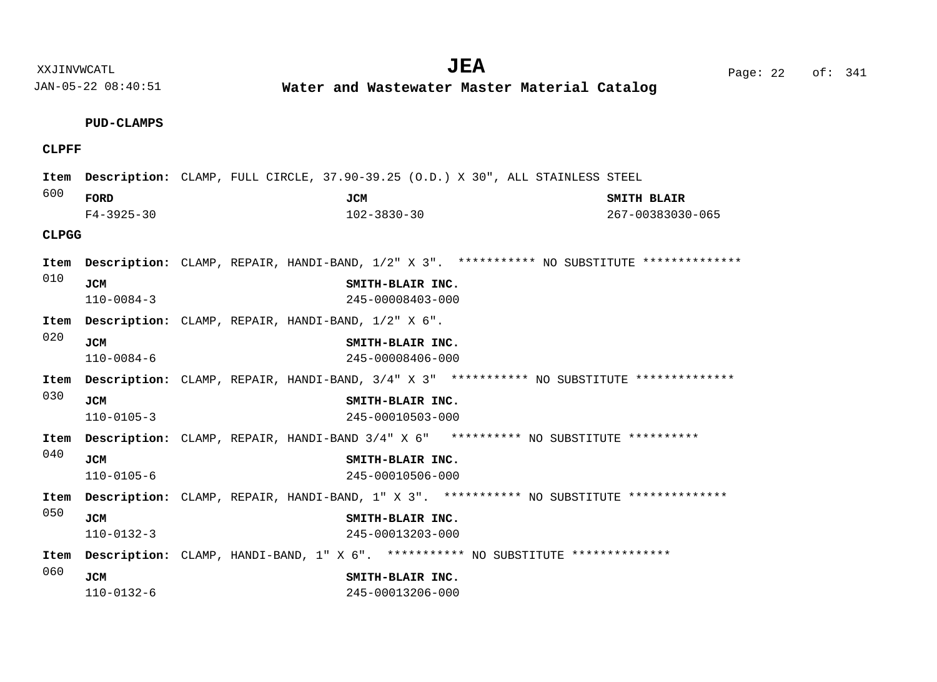**Water and Wastewater Master Material Catalog** 

# **PUD-CLAMPS CLPFF CLPGG** 600 010 020 030 040 050 060 Item Description: CLAMP, FULL CIRCLE, 37.90-39.25 (O.D.) X 30", ALL STAINLESS STEEL Item Description: CLAMP, REPAIR, HANDI-BAND, 1/2" X 3". \*\*\*\*\*\*\*\*\*\* NO SUBSTITUTE \*\*\*\*\*\*\*\*\*\*\*\*\*\* CLAMP, REPAIR, HANDI-BAND, 1/2" X 6". **Description: Item** Item Description: CLAMP, REPAIR, HANDI-BAND, 3/4" X 3" \*\*\*\*\*\*\*\*\*\* NO SUBSTITUTE \*\*\*\*\*\*\*\*\*\*\*\*\*\* Item Description: CLAMP, REPAIR, HANDI-BAND 3/4" X 6" \*\*\*\*\*\*\*\*\*\* NO SUBSTITUTE \*\*\*\*\*\*\*\*\*\* Item Description: CLAMP, REPAIR, HANDI-BAND, 1" X 3". \*\*\*\*\*\*\*\*\*\* NO SUBSTITUTE \*\*\*\*\*\*\*\*\*\*\*\*\*\* Item Description: CLAMP, HANDI-BAND, 1" X 6". \*\*\*\*\*\*\*\*\*\* NO SUBSTITUTE \*\*\*\*\*\*\*\*\*\*\*\*\*\* **FORD JCM SMITH BLAIR JCM SMITH-BLAIR INC. JCM SMITH-BLAIR INC. JCM SMITH-BLAIR INC. JCM SMITH-BLAIR INC. JCM SMITH-BLAIR INC. JCM SMITH-BLAIR INC.** F4-3925-30 102-3830-30 267-00383030-065 110-0084-3 245-00008403-000 110-0084-6 245-00008406-000 110-0105-3 245-00010503-000 110-0105-6 245-00010506-000 110-0132-3 245-00013203-000

110-0132-6 245-00013206-000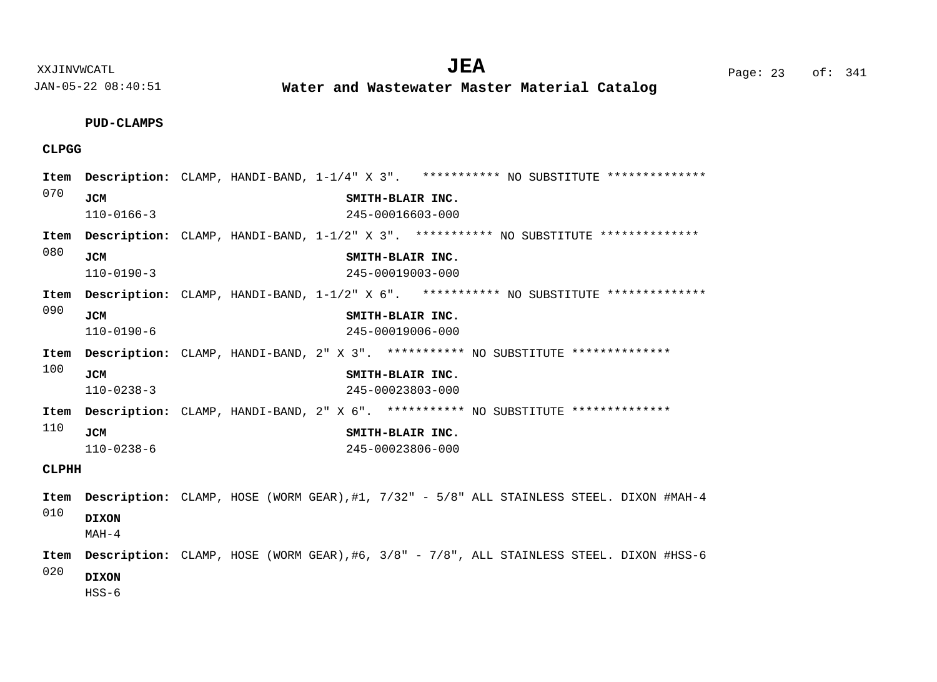**Water and Wastewater Master Material Catalog** 

**PUD-CLAMPS**

# **CLPGG**

| Item         |                  | Description: CLAMP, HANDI-BAND, 1-1/4" X 3". *********** NO SUBSTITUTE ***************         |  |  |  |  |  |  |  |  |
|--------------|------------------|------------------------------------------------------------------------------------------------|--|--|--|--|--|--|--|--|
| 070          | <b>JCM</b>       | SMITH-BLAIR INC.                                                                               |  |  |  |  |  |  |  |  |
|              | $110 - 0166 - 3$ | 245-00016603-000                                                                               |  |  |  |  |  |  |  |  |
| Item         |                  | Description: CLAMP, HANDI-BAND, 1-1/2" X 3". *********** NO SUBSTITUTE ***************         |  |  |  |  |  |  |  |  |
| 080          | <b>JCM</b>       | SMITH-BLAIR INC.                                                                               |  |  |  |  |  |  |  |  |
|              | $110 - 0190 - 3$ | 245-00019003-000                                                                               |  |  |  |  |  |  |  |  |
| Item         |                  | Description: CLAMP, HANDI-BAND, 1-1/2" X 6". *********** NO SUBSTITUTE ***************         |  |  |  |  |  |  |  |  |
| 090          | <b>JCM</b>       | SMITH-BLAIR INC.                                                                               |  |  |  |  |  |  |  |  |
|              | $110 - 0190 - 6$ | 245-00019006-000                                                                               |  |  |  |  |  |  |  |  |
| Item         |                  | Description: CLAMP, HANDI-BAND, 2" X 3". *********** NO SUBSTITUTE **************              |  |  |  |  |  |  |  |  |
| 100          | <b>JCM</b>       | SMITH-BLAIR INC.                                                                               |  |  |  |  |  |  |  |  |
|              | $110 - 0238 - 3$ | 245-00023803-000                                                                               |  |  |  |  |  |  |  |  |
|              |                  | Item Description: CLAMP, HANDI-BAND, 2" X 6". *********** NO SUBSTITUTE ***************        |  |  |  |  |  |  |  |  |
| 110          | <b>JCM</b>       | SMITH-BLAIR INC.                                                                               |  |  |  |  |  |  |  |  |
|              | $110 - 0238 - 6$ | 245-00023806-000                                                                               |  |  |  |  |  |  |  |  |
| <b>CLPHH</b> |                  |                                                                                                |  |  |  |  |  |  |  |  |
|              |                  | Item Description: CLAMP, HOSE (WORM GEAR), #1, 7/32" - 5/8" ALL STAINLESS STEEL. DIXON #MAH-4  |  |  |  |  |  |  |  |  |
| 010          | <b>DIXON</b>     |                                                                                                |  |  |  |  |  |  |  |  |
|              | $MAH-4$          |                                                                                                |  |  |  |  |  |  |  |  |
| Item         |                  | <b>Description:</b> CLAMP, HOSE (WORM GEAR),#6, 3/8" - 7/8", ALL STAINLESS STEEL. DIXON #HSS-6 |  |  |  |  |  |  |  |  |
| 020          | <b>DIXON</b>     |                                                                                                |  |  |  |  |  |  |  |  |
|              | HSS-6            |                                                                                                |  |  |  |  |  |  |  |  |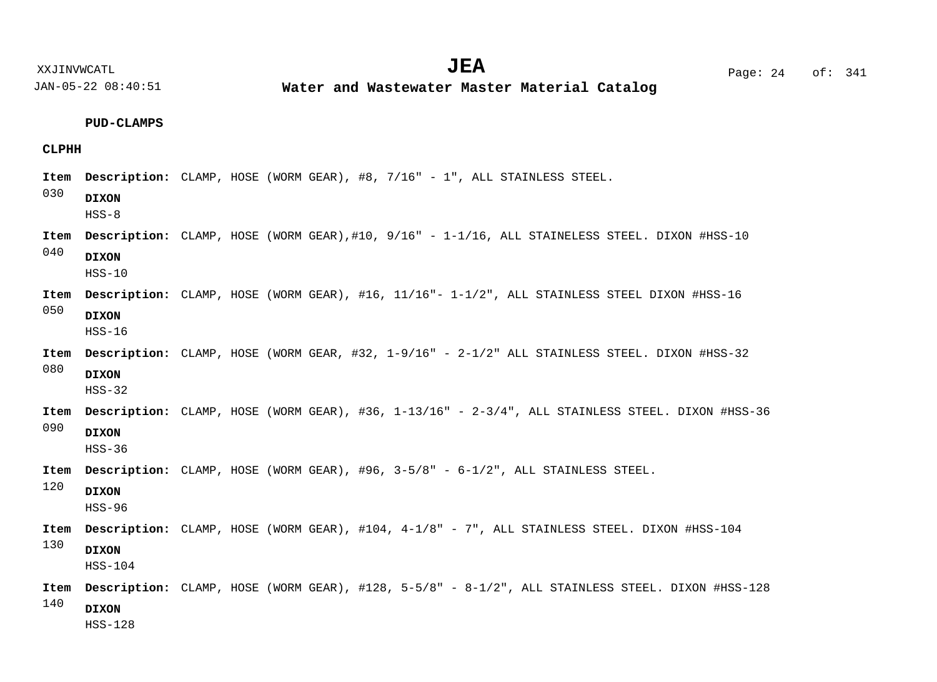**Water and Wastewater Master Material Catalog** 

**PUD-CLAMPS**

# **CLPHH**

| Item | Description: CLAMP, HOSE (WORM GEAR), #8, 7/16" - 1", ALL STAINLESS STEEL.                              |  |  |  |  |  |  |  |  |
|------|---------------------------------------------------------------------------------------------------------|--|--|--|--|--|--|--|--|
| 030  | <b>DIXON</b><br>$HSS-8$                                                                                 |  |  |  |  |  |  |  |  |
| Item | Description: CLAMP, HOSE (WORM GEAR),#10, 9/16" - 1-1/16, ALL STAINELESS STEEL. DIXON #HSS-10           |  |  |  |  |  |  |  |  |
| 040  | <b>DIXON</b><br>$HSS-10$                                                                                |  |  |  |  |  |  |  |  |
| Item | Description: CLAMP, HOSE (WORM GEAR), #16, 11/16"- 1-1/2", ALL STAINLESS STEEL DIXON #HSS-16            |  |  |  |  |  |  |  |  |
| 050  | <b>DIXON</b><br>$HSS-16$                                                                                |  |  |  |  |  |  |  |  |
| Item | <b>Description:</b> CLAMP, HOSE (WORM GEAR, #32, 1-9/16" - 2-1/2" ALL STAINLESS STEEL. DIXON #HSS-32    |  |  |  |  |  |  |  |  |
| 080  | <b>DIXON</b><br>$HSS-32$                                                                                |  |  |  |  |  |  |  |  |
| Item | <b>Description:</b> CLAMP, HOSE (WORM GEAR), #36, 1-13/16" - 2-3/4", ALL STAINLESS STEEL. DIXON #HSS-36 |  |  |  |  |  |  |  |  |
| 090  | <b>DIXON</b><br>$HSS-36$                                                                                |  |  |  |  |  |  |  |  |
| Item | Description: CLAMP, HOSE (WORM GEAR), #96, 3-5/8" - 6-1/2", ALL STAINLESS STEEL.                        |  |  |  |  |  |  |  |  |
| 120  | <b>DIXON</b><br>$HSS-96$                                                                                |  |  |  |  |  |  |  |  |
| Item | Description: CLAMP, HOSE (WORM GEAR), #104, 4-1/8" - 7", ALL STAINLESS STEEL. DIXON #HSS-104            |  |  |  |  |  |  |  |  |
| 130  | <b>DIXON</b><br>$HSS-104$                                                                               |  |  |  |  |  |  |  |  |
| Item | Description: CLAMP, HOSE (WORM GEAR), #128, 5-5/8" - 8-1/2", ALL STAINLESS STEEL. DIXON #HSS-128        |  |  |  |  |  |  |  |  |
| 140  | <b>DIXON</b><br>$HSS-128$                                                                               |  |  |  |  |  |  |  |  |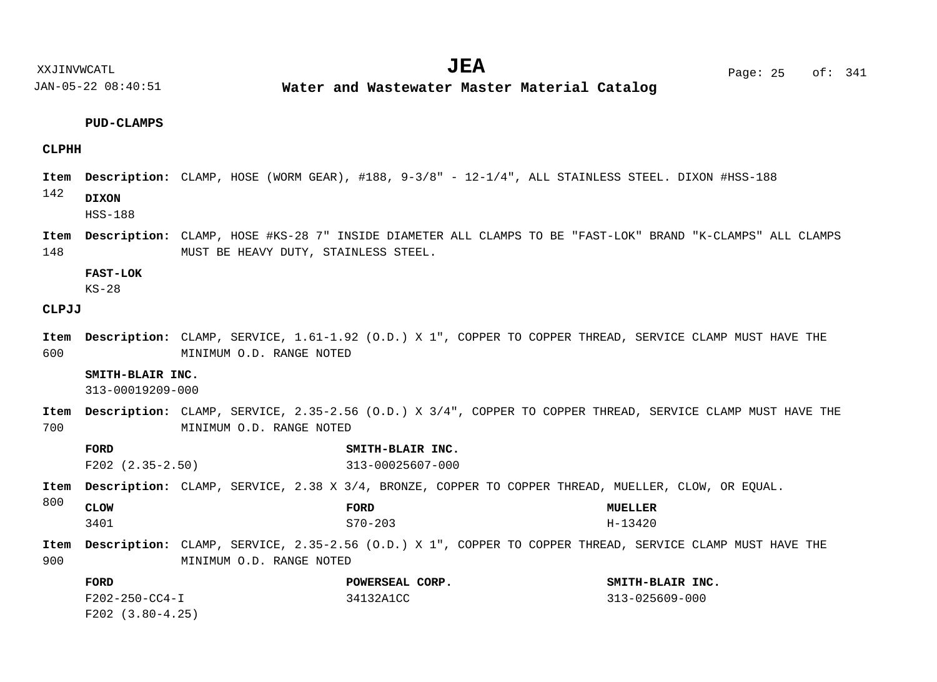**Water and Wastewater Master Material Catalog** 

## **PUD-CLAMPS**

# **CLPHH**

- Item Description: CLAMP, HOSE (WORM GEAR), #188, 9-3/8" 12-1/4", ALL STAINLESS STEEL. DIXON #HSS-188
- 142 **DIXON**

HSS-188

148 Item Description: CLAMP, HOSE #KS-28 7" INSIDE DIAMETER ALL CLAMPS TO BE "FAST-LOK" BRAND "K-CLAMPS" ALL CLAMPS MUST BE HEAVY DUTY, STAINLESS STEEL.

## **FAST-LOK**

KS-28

# **CLPJJ**

600 Item Description: CLAMP, SERVICE, 1.61-1.92 (O.D.) X 1", COPPER TO COPPER THREAD, SERVICE CLAMP MUST HAVE THE MINIMUM O.D. RANGE NOTED

# **SMITH-BLAIR INC.**

313-00019209-000

- 700 CLAMP, SERVICE, 2.35-2.56 (O.D.) X 3/4", COPPER TO COPPER THREAD, SERVICE CLAMP MUST HAVE THE **Description: Item** MINIMUM O.D. RANGE NOTED
- 800 900 Item Description: CLAMP, SERVICE, 2.38 X 3/4, BRONZE, COPPER TO COPPER THREAD, MUELLER, CLOW, OR EQUAL. Item Description: CLAMP, SERVICE, 2.35-2.56 (O.D.) X 1", COPPER TO COPPER THREAD, SERVICE CLAMP MUST HAVE THE MINIMUM O.D. RANGE NOTED **FORD SMITH-BLAIR INC. CLOW FORD MUELLER FORD POWERSEAL CORP. SMITH-BLAIR INC.** F202 (2.35-2.50) 313-00025607-000 3401 S70-203 H-13420

| F202-250-CC4-I     | 34132A1CC | 313-025609-000 |
|--------------------|-----------|----------------|
| $F202$ (3.80-4.25) |           |                |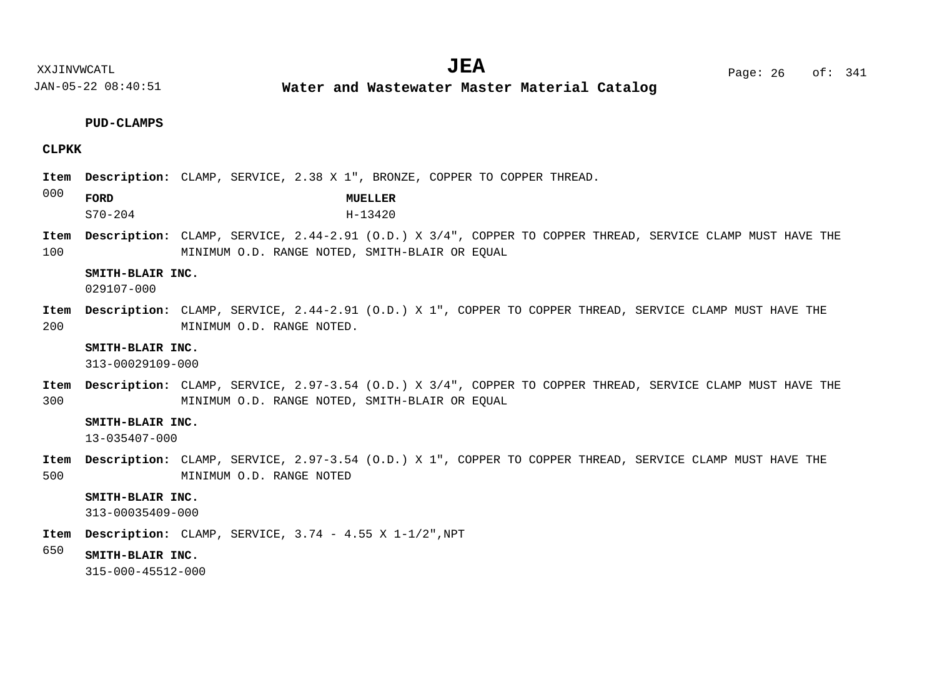**Water and Wastewater Master Material Catalog** 

#### **PUD-CLAMPS**

# **CLPKK**

- Item Description: CLAMP, SERVICE, 2.38 X 1", BRONZE, COPPER TO COPPER THREAD.
- 000 **FORD MUELLER**
	- S70-204 H-13420
- 100 CLAMP, SERVICE, 2.44-2.91 (O.D.) X 3/4", COPPER TO COPPER THREAD, SERVICE CLAMP MUST HAVE THE **Description: Item** MINIMUM O.D. RANGE NOTED, SMITH-BLAIR OR EQUAL

# **SMITH-BLAIR INC.**

029107-000

200 Item Description: CLAMP, SERVICE, 2.44-2.91 (O.D.) X 1", COPPER TO COPPER THREAD, SERVICE CLAMP MUST HAVE THE MINIMUM O.D. RANGE NOTED.

## **SMITH-BLAIR INC.**

313-00029109-000

300 CLAMP, SERVICE, 2.97-3.54 (O.D.) X 3/4", COPPER TO COPPER THREAD, SERVICE CLAMP MUST HAVE THE **Description: Item** MINIMUM O.D. RANGE NOTED, SMITH-BLAIR OR EQUAL

#### **SMITH-BLAIR INC.**

13-035407-000

500 Item Description: CLAMP, SERVICE, 2.97-3.54 (O.D.) X 1", COPPER TO COPPER THREAD, SERVICE CLAMP MUST HAVE THE MINIMUM O.D. RANGE NOTED

# **SMITH-BLAIR INC.**

313-00035409-000

- CLAMP, SERVICE, 3.74 4.55 X 1-1/2",NPT **Description: Item**
- 650 **SMITH-BLAIR INC.**

315-000-45512-000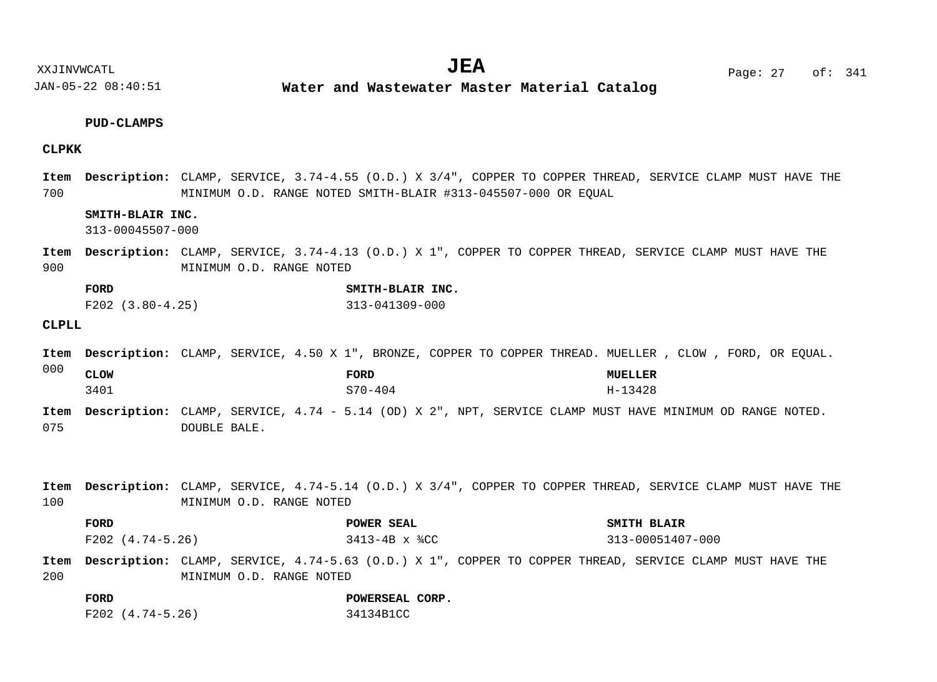**Water and Wastewater Master Material Catalog** 

# **PUD-CLAMPS**

# **CLPKK**

700 CLAMP, SERVICE, 3.74-4.55 (O.D.) X 3/4", COPPER TO COPPER THREAD, SERVICE CLAMP MUST HAVE THE **Description: Item** MINIMUM O.D. RANGE NOTED SMITH-BLAIR #313-045507-000 OR EQUAL

# **SMITH-BLAIR INC.**

313-00045507-000

900 Item Description: CLAMP, SERVICE, 3.74-4.13 (O.D.) X 1", COPPER TO COPPER THREAD, SERVICE CLAMP MUST HAVE THE MINIMUM O.D. RANGE NOTED

| FORD                 | SMITH-BLAIR INC. |
|----------------------|------------------|
| $F202$ $(3.80-4.25)$ | 313-041309-000   |

## **CLPLL**

|             | Item Description: CLAMP, SERVICE, 4.50 X 1", BRONZE, COPPER TO COPPER THREAD. MUELLER , CLOW , FORD, OR EQUAL. |              |  |         |  |  |  |                |  |  |  |
|-------------|----------------------------------------------------------------------------------------------------------------|--------------|--|---------|--|--|--|----------------|--|--|--|
| 000         | <b>CLOW</b>                                                                                                    |              |  | FORD    |  |  |  | <b>MUELLER</b> |  |  |  |
|             | 3401                                                                                                           |              |  | S70-404 |  |  |  | H-13428        |  |  |  |
| Item<br>075 | Description: CLAMP, SERVICE, 4.74 - 5.14 (OD) X 2", NPT, SERVICE CLAMP MUST HAVE MINIMUM OD RANGE NOTED.       | DOUBLE BALE. |  |         |  |  |  |                |  |  |  |

100 CLAMP, SERVICE, 4.74-5.14 (O.D.) X 3/4", COPPER TO COPPER THREAD, SERVICE CLAMP MUST HAVE THE **Description: Item** MINIMUM O.D. RANGE NOTED

| FORD             | POWER SEAL             | SMITH BLAIR      |
|------------------|------------------------|------------------|
| F202 (4.74-5.26) | $3413 - 4B \times 34C$ | 313-00051407-000 |

200 Item Description: CLAMP, SERVICE, 4.74-5.63 (O.D.) X 1", COPPER TO COPPER THREAD, SERVICE CLAMP MUST HAVE THE MINIMUM O.D. RANGE NOTED

**FORD POWERSEAL CORP.** F202 (4.74-5.26) 34134B1CC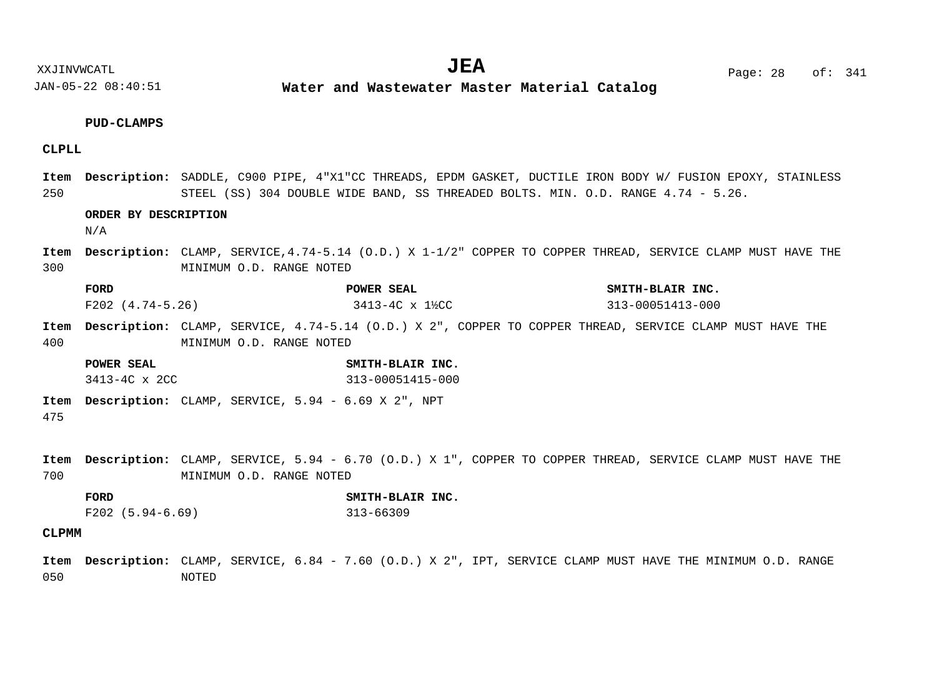# **PUD-CLAMPS**

# **CLPLL**

250 Item Description: SADDLE, C900 PIPE, 4"X1"CC THREADS, EPDM GASKET, DUCTILE IRON BODY W/ FUSION EPOXY, STAINLESS STEEL (SS) 304 DOUBLE WIDE BAND, SS THREADED BOLTS. MIN. O.D. RANGE 4.74 - 5.26.

# **ORDER BY DESCRIPTION**

 $N/A$ 

300 CLAMP, SERVICE,4.74-5.14 (O.D.) X 1-1/2" COPPER TO COPPER THREAD, SERVICE CLAMP MUST HAVE THE **Description: Item** MINIMUM O.D. RANGE NOTED

| FORD             | POWER SEAL     | SMITH-BLAIR INC. |
|------------------|----------------|------------------|
| F202 (4.74-5.26) | 3413-4C x 1½CC | 313-00051413-000 |

- 400 Item Description: CLAMP, SERVICE, 4.74-5.14 (O.D.) X 2", COPPER TO COPPER THREAD, SERVICE CLAMP MUST HAVE THE MINIMUM O.D. RANGE NOTED
	- **POWER SEAL SMITH-BLAIR INC.** 3413-4C x 2CC 313-00051415-000
- Item Description: CLAMP, SERVICE, 5.94 6.69 X 2", NPT

475

- 700 Item Description: CLAMP, SERVICE, 5.94 - 6.70 (O.D.) X 1", COPPER TO COPPER THREAD, SERVICE CLAMP MUST HAVE THE MINIMUM O.D. RANGE NOTED
	- **FORD SMITH-BLAIR INC.** F202 (5.94-6.69) 313-66309

# **CLPMM**

050 Item Description: CLAMP, SERVICE, 6.84 - 7.60 (O.D.) X 2", IPT, SERVICE CLAMP MUST HAVE THE MINIMUM O.D. RANGE NOTED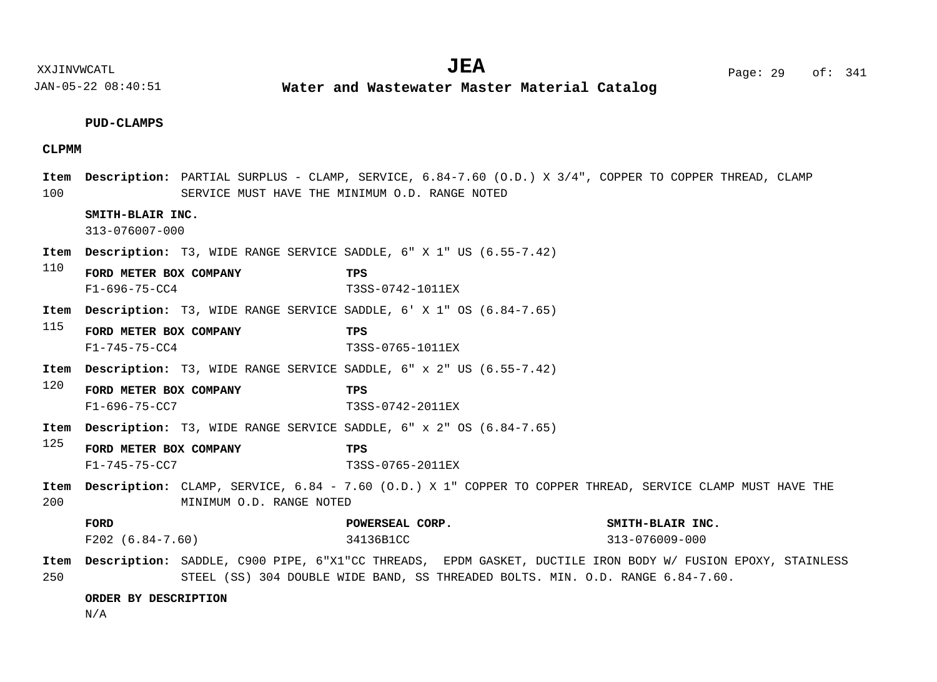XXJINVWCATL Page: 29 of: **JEA**<sup>341</sup>

JAN-05-22 08:40:51

**Water and Wastewater Master Material Catalog** 

# **PUD-CLAMPS**

# **CLPMM**

| 100         |                                                                           | Item Description: PARTIAL SURPLUS - CLAMP, SERVICE, 6.84-7.60 (O.D.) X 3/4", COPPER TO COPPER THREAD, CLAMP<br>SERVICE MUST HAVE THE MINIMUM O.D. RANGE NOTED |                                    |
|-------------|---------------------------------------------------------------------------|---------------------------------------------------------------------------------------------------------------------------------------------------------------|------------------------------------|
|             | SMITH-BLAIR INC.<br>313-076007-000                                        |                                                                                                                                                               |                                    |
| Item        | <b>Description:</b> T3, WIDE RANGE SERVICE SADDLE, 6" X 1" US (6.55-7.42) |                                                                                                                                                               |                                    |
| 110         | FORD METER BOX COMPANY<br>$F1 - 696 - 75 - CC4$                           | TPS<br>T3SS-0742-1011EX                                                                                                                                       |                                    |
| Item        | <b>Description:</b> T3, WIDE RANGE SERVICE SADDLE, 6' X 1" OS (6.84-7.65) |                                                                                                                                                               |                                    |
| 115         | FORD METER BOX COMPANY<br>$F1 - 745 - 75 - CC4$                           | TPS<br>T3SS-0765-1011EX                                                                                                                                       |                                    |
| Item        | <b>Description:</b> T3, WIDE RANGE SERVICE SADDLE, 6" x 2" US (6.55-7.42) |                                                                                                                                                               |                                    |
| 120         | FORD METER BOX COMPANY                                                    | TPS                                                                                                                                                           |                                    |
|             | $F1 - 696 - 75 - CC7$                                                     | T3SS-0742-2011EX                                                                                                                                              |                                    |
| Item        | <b>Description:</b> T3, WIDE RANGE SERVICE SADDLE, 6" x 2" OS (6.84-7.65) |                                                                                                                                                               |                                    |
| 125         | FORD METER BOX COMPANY<br>$F1 - 745 - 75 - CC7$                           | TPS<br>T3SS-0765-2011EX                                                                                                                                       |                                    |
| Item<br>200 | MINIMUM O.D. RANGE NOTED                                                  | Description: CLAMP, SERVICE, 6.84 - 7.60 (O.D.) X 1" COPPER TO COPPER THREAD, SERVICE CLAMP MUST HAVE THE                                                     |                                    |
|             | FORD<br>$F202 (6.84-7.60)$                                                | POWERSEAL CORP.<br>34136B1CC                                                                                                                                  | SMITH-BLAIR INC.<br>313-076009-000 |

# **ORDER BY DESCRIPTION**

N/A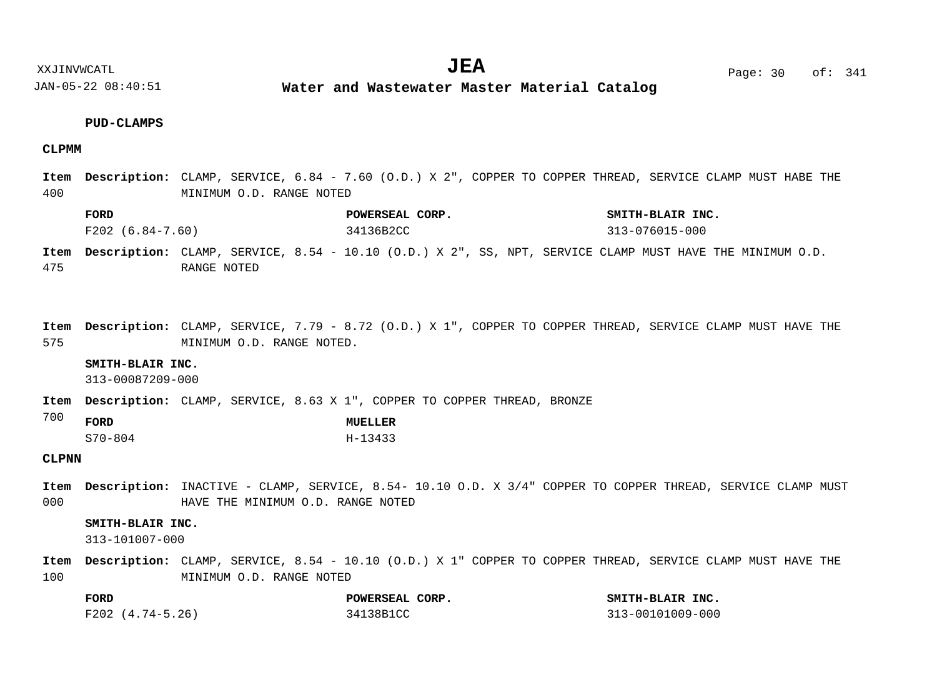**Water and Wastewater Master Material Catalog** 

# **PUD-CLAMPS**

## **CLPMM**

|     | Item Description: CLAMP, SERVICE, 6.84 - 7.60 (O.D.) X 2", COPPER TO COPPER THREAD, SERVICE CLAMP MUST HABE THE |
|-----|-----------------------------------------------------------------------------------------------------------------|
| 400 | MINIMUM O.D. RANGE NOTED                                                                                        |

| FORD                                                                                                          |  |           | POWERSEAL CORP. |  |  |                | SMITH-BLAIR INC. |  |  |
|---------------------------------------------------------------------------------------------------------------|--|-----------|-----------------|--|--|----------------|------------------|--|--|
| F202 (6.84-7.60)                                                                                              |  | 34136B2CC |                 |  |  | 313-076015-000 |                  |  |  |
| Item Description: CLAMP, SERVICE, 8.54 - 10.10 (O.D.) X 2", SS, NPT, SERVICE CLAMP MUST HAVE THE MINIMUM O.D. |  |           |                 |  |  |                |                  |  |  |

475 RANGE NOTED

575 Item Description: CLAMP, SERVICE, 7.79 - 8.72 (O.D.) X 1", COPPER TO COPPER THREAD, SERVICE CLAMP MUST HAVE THE MINIMUM O.D. RANGE NOTED.

#### **SMITH-BLAIR INC.**

313-00087209-000

Item Description: CLAMP, SERVICE, 8.63 X 1", COPPER TO COPPER THREAD, BRONZE

| 700 | <b>FORD</b> | MUELLER |
|-----|-------------|---------|
|     | $S70 - 804$ | H-13433 |

# **CLPNN**

000 Item Description: INACTIVE - CLAMP, SERVICE, 8.54- 10.10 O.D. X 3/4" COPPER TO COPPER THREAD, SERVICE CLAMP MUST HAVE THE MINIMUM O.D. RANGE NOTED

# **SMITH-BLAIR INC.**

313-101007-000

100 CLAMP, SERVICE, 8.54 - 10.10 (O.D.) X 1" COPPER TO COPPER THREAD, SERVICE CLAMP MUST HAVE THE **Description: Item**MINIMUM O.D. RANGE NOTED

| <b>FORD</b>      | POWERSEAL CORP. | SMITH-BLAIR INC. |
|------------------|-----------------|------------------|
| F202 (4.74-5.26) | 34138B1CC       | 313-00101009-000 |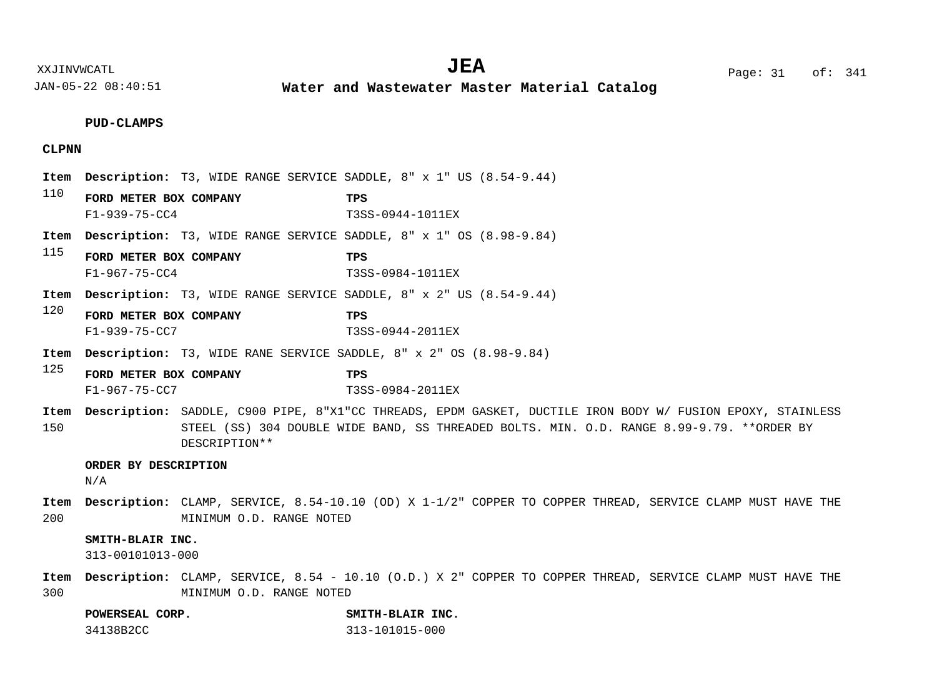**PUD-CLAMPS**

# **CLPNN**

110 115 120 125 150 200 **Item Description:** T3, WIDE RANGE SERVICE SADDLE, 8" x 1" US (8.54-9.44) **Item Description:** T3, WIDE RANGE SERVICE SADDLE, 8" x 1" OS (8.98-9.84) **Item Description:** T3, WIDE RANGE SERVICE SADDLE, 8" x 2" US (8.54-9.44) Item Description: T3, WIDE RANE SERVICE SADDLE, 8" x 2" OS (8.98-9.84) Item Description: SADDLE, C900 PIPE, 8"X1"CC THREADS, EPDM GASKET, DUCTILE IRON BODY W/ FUSION EPOXY, STAINLESS STEEL (SS) 304 DOUBLE WIDE BAND, SS THREADED BOLTS. MIN. O.D. RANGE 8.99-9.79. \*\*ORDER BY DESCRIPTION\*\* CLAMP, SERVICE, 8.54-10.10 (OD) X 1-1/2" COPPER TO COPPER THREAD, SERVICE CLAMP MUST HAVE THE **Description: Item** MINIMUM O.D. RANGE NOTED **FORD METER BOX COMPANY TPS FORD METER BOX COMPANY TPS FORD METER BOX COMPANY TPS FORD METER BOX COMPANY TPS ORDER BY DESCRIPTION SMITH-BLAIR INC.** F1-939-75-CC4 T3SS-0944-1011EX F1-967-75-CC4 T3SS-0984-1011EX F1-939-75-CC7 T3SS-0944-2011EX F1-967-75-CC7 T3SS-0984-2011EX N/A

#### 313-00101013-000

300 CLAMP, SERVICE, 8.54 - 10.10 (O.D.) X 2" COPPER TO COPPER THREAD, SERVICE CLAMP MUST HAVE THE **Description: Item**MINIMUM O.D. RANGE NOTED

**POWERSEAL CORP. SMITH-BLAIR INC.**

34138B2CC 313-101015-000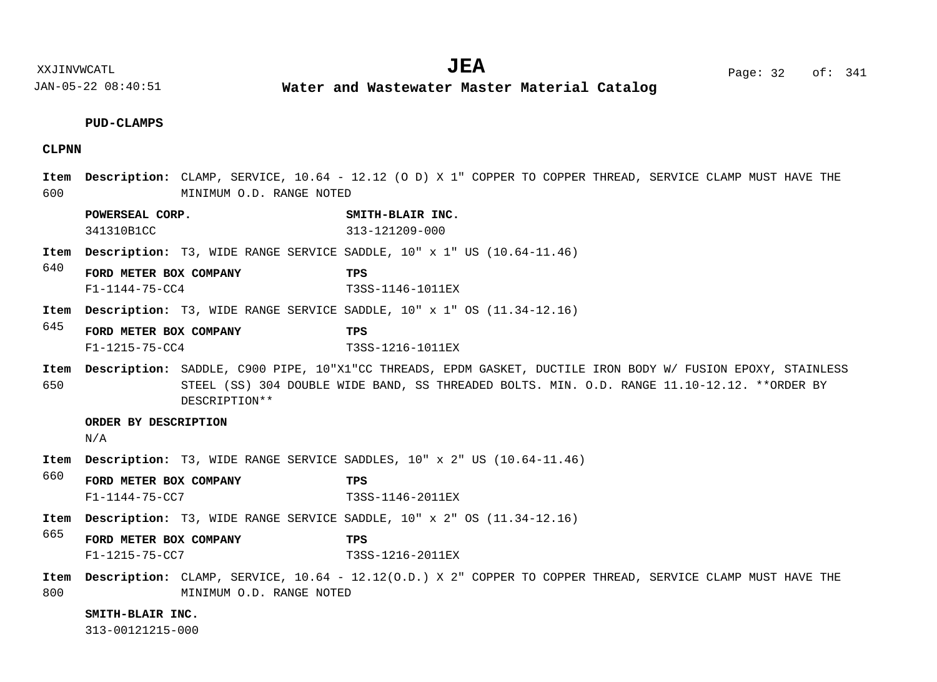XXJINVWCATL **EXALL** Page: 32 of:  $JEA$   $Page: 32 of: 341$ 

JAN-05-22 08:40:51 **Water and Wastewater Master Material Catalog** 

## **PUD-CLAMPS**

# **CLPNN**

- 600 CLAMP, SERVICE, 10.64 - 12.12 (O D) X 1" COPPER TO COPPER THREAD, SERVICE CLAMP MUST HAVE THE **Description: Item** MINIMUM O.D. RANGE NOTED
	- **POWERSEAL CORP. SMITH-BLAIR INC.** 341310B1CC 313-121209-000
- Item Description: T3, WIDE RANGE SERVICE SADDLE,  $10" \times 1"$  US  $(10.64-11.46)$
- 640 **FORD METER BOX COMPANY TPS** F1-1144-75-CC4 T3SS-1146-1011EX
- Item Description: T3, WIDE RANGE SERVICE SADDLE,  $10" \times 1"$  OS  $(11.34-12.16)$
- 645 **FORD METER BOX COMPANY TPS** F1-1215-75-CC4 T3SS-1216-1011EX
- 650 Item Description: SADDLE, C900 PIPE, 10"X1"CC THREADS, EPDM GASKET, DUCTILE IRON BODY W/ FUSION EPOXY, STAINLESS STEEL (SS) 304 DOUBLE WIDE BAND, SS THREADED BOLTS. MIN. O.D. RANGE 11.10-12.12. \*\*ORDER BY DESCRIPTION\*\*

#### **ORDER BY DESCRIPTION**

N/A

- **Item Description:** T3, WIDE RANGE SERVICE SADDLES, 10" x 2" US (10.64-11.46)
- 660 **FORD METER BOX COMPANY TPS** F1-1144-75-CC7 T3SS-1146-2011EX
- Item Description: T3, WIDE RANGE SERVICE SADDLE,  $10" \times 2"$  OS  $(11.34-12.16)$
- 665 **FORD METER BOX COMPANY TPS** F1-1215-75-CC7 T3SS-1216-2011EX
- 800 CLAMP, SERVICE, 10.64 - 12.12(O.D.) X 2" COPPER TO COPPER THREAD, SERVICE CLAMP MUST HAVE THE **Description: Item**MINIMUM O.D. RANGE NOTED

#### **SMITH-BLAIR INC.**

313-00121215-000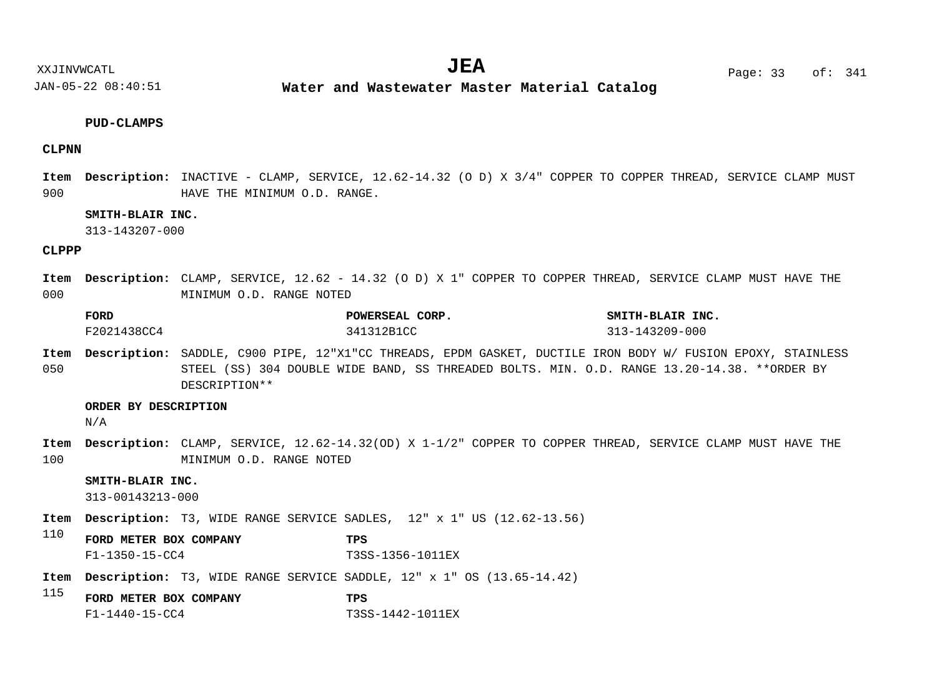**Water and Wastewater Master Material Catalog** 

## **PUD-CLAMPS**

# **CLPNN**

900 Item Description: INACTIVE - CLAMP, SERVICE, 12.62-14.32 (O D) X 3/4" COPPER TO COPPER THREAD, SERVICE CLAMP MUST HAVE THE MINIMUM O.D. RANGE.

# **SMITH-BLAIR INC.**

313-143207-000

# **CLPPP**

000 CLAMP, SERVICE, 12.62 - 14.32 (O D) X 1" COPPER TO COPPER THREAD, SERVICE CLAMP MUST HAVE THE **Description: Item** MINIMUM O.D. RANGE NOTED

| <b>FORD</b> | POWERSEAL CORP. | SMITH-BLAIR INC.     |
|-------------|-----------------|----------------------|
| F2021438CC4 | 341312B1CC      | $313 - 143209 - 000$ |

050 Item Description: SADDLE, C900 PIPE, 12"X1"CC THREADS, EPDM GASKET, DUCTILE IRON BODY W/ FUSION EPOXY, STAINLESS STEEL (SS) 304 DOUBLE WIDE BAND, SS THREADED BOLTS. MIN. O.D. RANGE 13.20-14.38. \*\*ORDER BY DESCRIPTION\*\*

#### **ORDER BY DESCRIPTION**

N/A

100 CLAMP, SERVICE, 12.62-14.32(OD) X 1-1/2" COPPER TO COPPER THREAD, SERVICE CLAMP MUST HAVE THE **Description: Item** MINIMUM O.D. RANGE NOTED

# **SMITH-BLAIR INC.**

```
313-00143213-000
```
- **Item Description:** T3, WIDE RANGE SERVICE SADLES, 12" x 1" US (12.62-13.56)
- 110 **FORD METER BOX COMPANY TPS** F1-1350-15-CC4 T3SS-1356-1011EX
- Item Description: T3, WIDE RANGE SERVICE SADDLE, 12" x 1" OS (13.65-14.42)
- 115 **FORD METER BOX COMPANY TPS** F1-1440-15-CC4 T3SS-1442-1011EX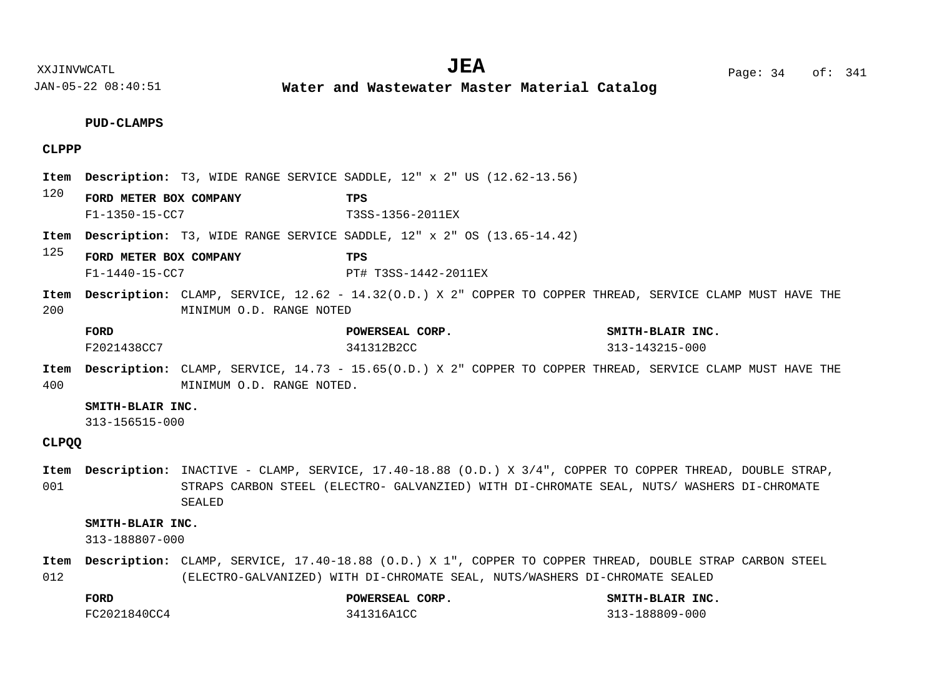**Water and Wastewater Master Material Catalog** 

# **PUD-CLAMPS**

# **CLPPP**

|             |                                                  |                          | <b>Item Description:</b> T3, WIDE RANGE SERVICE SADDLE, 12" x 2" US (12.62-13.56)                          |                                    |
|-------------|--------------------------------------------------|--------------------------|------------------------------------------------------------------------------------------------------------|------------------------------------|
| 120         | FORD METER BOX COMPANY<br>$F1 - 1350 - 15 - CC7$ |                          | TPS<br>T3SS-1356-2011EX                                                                                    |                                    |
|             |                                                  |                          | <b>Item Description:</b> T3, WIDE RANGE SERVICE SADDLE, 12" x 2" OS (13.65-14.42)                          |                                    |
| 125         | FORD METER BOX COMPANY<br>$F1 - 1440 - 15 - CC7$ |                          | TPS<br>PT# T3SS-1442-2011EX                                                                                |                                    |
| Item<br>200 |                                                  | MINIMUM O.D. RANGE NOTED | Description: CLAMP, SERVICE, 12.62 - 14.32(O.D.) X 2" COPPER TO COPPER THREAD, SERVICE CLAMP MUST HAVE THE |                                    |
|             | FORD<br>F2021438CC7                              |                          | POWERSEAL CORP.<br>341312B2CC                                                                              | SMITH-BLAIR INC.<br>313-143215-000 |

400 CLAMP, SERVICE, 14.73 - 15.65(O.D.) X 2" COPPER TO COPPER THREAD, SERVICE CLAMP MUST HAVE THE **Description: Item** MINIMUM O.D. RANGE NOTED.

# **SMITH-BLAIR INC.**

313-156515-000

**CLPQQ**

001 Item Description: INACTIVE - CLAMP, SERVICE, 17.40-18.88 (O.D.) X 3/4", COPPER TO COPPER THREAD, DOUBLE STRAP, STRAPS CARBON STEEL (ELECTRO- GALVANZIED) WITH DI-CHROMATE SEAL, NUTS/ WASHERS DI-CHROMATE SEALED

# **SMITH-BLAIR INC.**

313-188807-000

012 Item Description: CLAMP, SERVICE, 17.40-18.88 (O.D.) X 1", COPPER TO COPPER THREAD, DOUBLE STRAP CARBON STEEL (ELECTRO-GALVANIZED) WITH DI-CHROMATE SEAL, NUTS/WASHERS DI-CHROMATE SEALED

| <b>FORD</b>  | POWERSEAL CORP. | SMITH-BLAIR INC. |
|--------------|-----------------|------------------|
| FC2021840CC4 | 341316A1CC      | 313-188809-000   |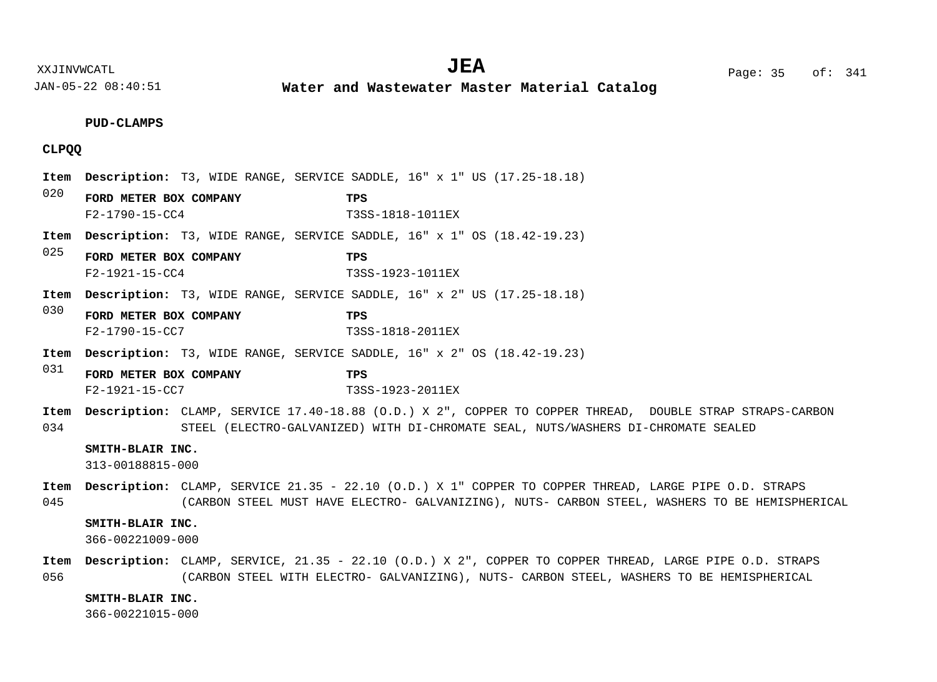**Water and Wastewater Master Material Catalog** 

# **PUD-CLAMPS**

# **CLPQQ**

- 020 025 030 031 034 045 Item Description: T3, WIDE RANGE, SERVICE SADDLE, 16" x 1" US (17.25-18.18) Item Description: T3, WIDE RANGE, SERVICE SADDLE, 16" x 1" OS (18.42-19.23) Item Description: T3, WIDE RANGE, SERVICE SADDLE, 16" x 2" US (17.25-18.18) Item Description: T3, WIDE RANGE, SERVICE SADDLE, 16" x 2" OS (18.42-19.23) Item Description: CLAMP, SERVICE 17.40-18.88 (O.D.) X 2", COPPER TO COPPER THREAD, DOUBLE STRAP STRAPS-CARBON STEEL (ELECTRO-GALVANIZED) WITH DI-CHROMATE SEAL, NUTS/WASHERS DI-CHROMATE SEALED Item Description: CLAMP, SERVICE 21.35 - 22.10 (O.D.) X 1" COPPER TO COPPER THREAD, LARGE PIPE O.D. STRAPS (CARBON STEEL MUST HAVE ELECTRO- GALVANIZING), NUTS- CARBON STEEL, WASHERS TO BE HEMISPHERICAL Item Description: CLAMP, SERVICE, 21.35 - 22.10 (O.D.) X 2", COPPER TO COPPER THREAD, LARGE PIPE O.D. STRAPS **FORD METER BOX COMPANY TPS FORD METER BOX COMPANY TPS FORD METER BOX COMPANY TPS FORD METER BOX COMPANY TPS SMITH-BLAIR INC. SMITH-BLAIR INC.** F2-1790-15-CC4 T3SS-1818-1011EX F2-1921-15-CC4 T3SS-1923-1011EX F2-1790-15-CC7 T3SS-1818-2011EX F2-1921-15-CC7 T3SS-1923-2011EX 313-00188815-000 366-00221009-000
- 056 (CARBON STEEL WITH ELECTRO- GALVANIZING), NUTS- CARBON STEEL, WASHERS TO BE HEMISPHERICAL

## **SMITH-BLAIR INC.**

366-00221015-000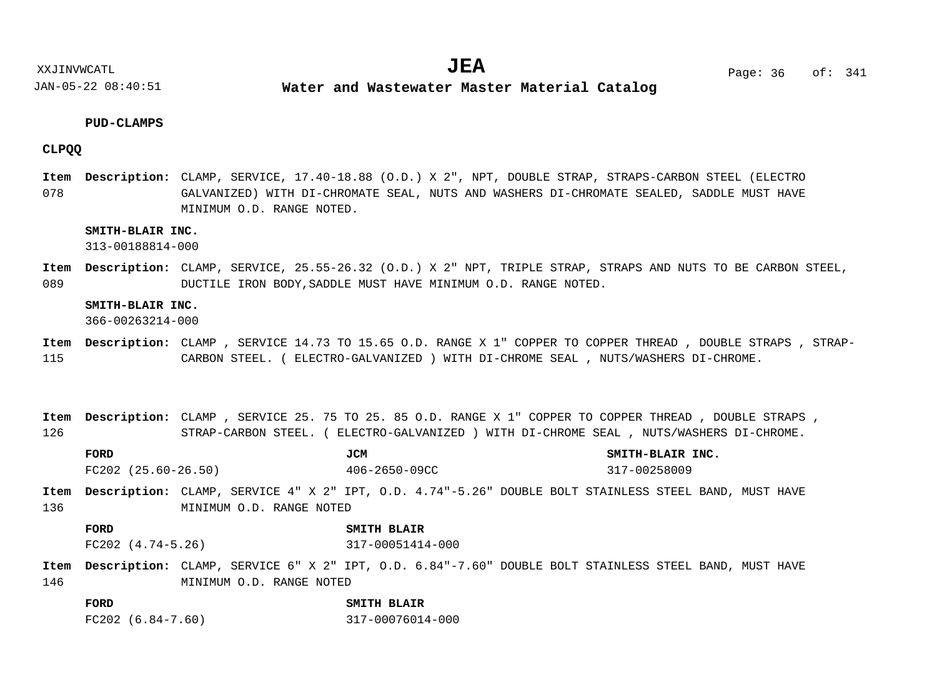**Water and Wastewater Master Material Catalog** 

# **PUD-CLAMPS**

# **CLPQQ**

078 Item Description: CLAMP, SERVICE, 17.40-18.88 (O.D.) X 2", NPT, DOUBLE STRAP, STRAPS-CARBON STEEL (ELECTRO GALVANIZED) WITH DI-CHROMATE SEAL, NUTS AND WASHERS DI-CHROMATE SEALED, SADDLE MUST HAVE MINIMUM O.D. RANGE NOTED.

# **SMITH-BLAIR INC.**

313-00188814-000

089 Item Description: CLAMP, SERVICE, 25.55-26.32 (O.D.) X 2" NPT, TRIPLE STRAP, STRAPS AND NUTS TO BE CARBON STEEL, DUCTILE IRON BODY,SADDLE MUST HAVE MINIMUM O.D. RANGE NOTED.

#### **SMITH-BLAIR INC.**

366-00263214-000

115 Item Description: CLAMP , SERVICE 14.73 TO 15.65 O.D. RANGE X 1" COPPER TO COPPER THREAD , DOUBLE STRAPS , STRAP-CARBON STEEL. ( ELECTRO-GALVANIZED ) WITH DI-CHROME SEAL , NUTS/WASHERS DI-CHROME.

126 Item Description: CLAMP , SERVICE 25. 75 TO 25. 85 O.D. RANGE X 1" COPPER TO COPPER THREAD , DOUBLE STRAPS , STRAP-CARBON STEEL. ( ELECTRO-GALVANIZED ) WITH DI-CHROME SEAL , NUTS/WASHERS DI-CHROME.

| FORD<br>$FC202$ $(25.60-26.50)$ |                               |                                                                                                                                        | JCM<br>$406 - 2650 - 09CC$      |  | SMITH-BLAIR INC.<br>317-00258009 |  |  |  |  |  |
|---------------------------------|-------------------------------|----------------------------------------------------------------------------------------------------------------------------------------|---------------------------------|--|----------------------------------|--|--|--|--|--|
| 136                             |                               | Item Description: CLAMP, SERVICE 4" X 2" IPT, O.D. 4.74"-5.26" DOUBLE BOLT STAINLESS STEEL BAND, MUST HAVE<br>MINIMUM O.D. RANGE NOTED |                                 |  |                                  |  |  |  |  |  |
|                                 |                               |                                                                                                                                        | SMITH BLAIR<br>317-00051414-000 |  |                                  |  |  |  |  |  |
|                                 | FORD<br>$FC202$ $(4.74-5.26)$ |                                                                                                                                        |                                 |  |                                  |  |  |  |  |  |

| FORD                | SMITH BLAIR      |
|---------------------|------------------|
| $FC202 (6.84-7.60)$ | 317-00076014-000 |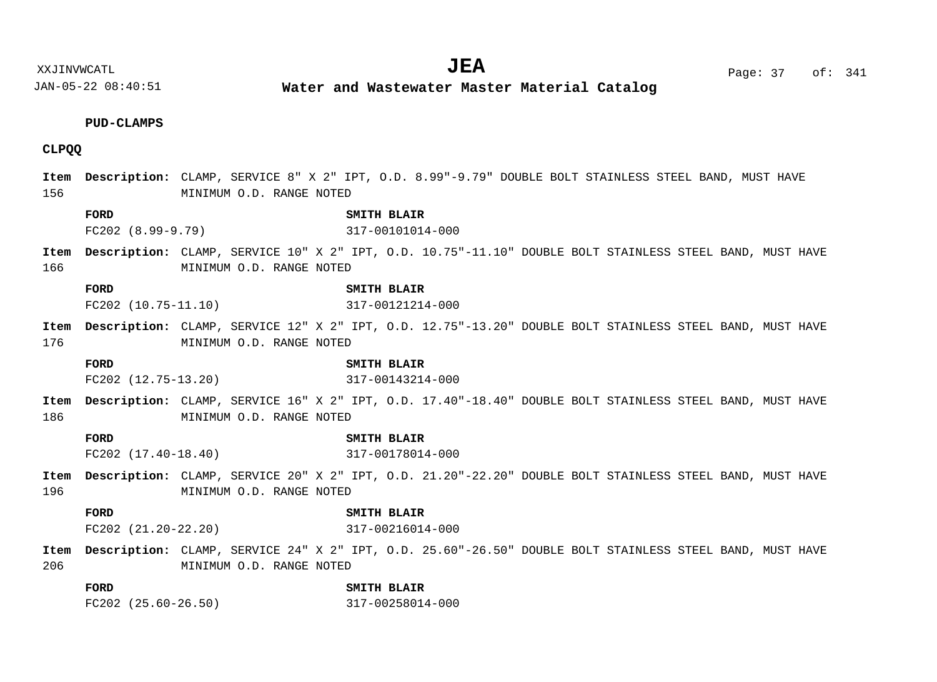**Water and Wastewater Master Material Catalog** 

## **PUD-CLAMPS**

# **CLPQQ**

| Item<br>156 |                         | MINIMUM O.D. RANGE NOTED | Description: CLAMP, SERVICE 8" X 2" IPT, O.D. 8.99"-9.79" DOUBLE BOLT STAINLESS STEEL BAND, MUST HAVE    |
|-------------|-------------------------|--------------------------|----------------------------------------------------------------------------------------------------------|
|             | FORD                    |                          | SMITH BLAIR                                                                                              |
|             | $FC202 (8.99 - 9.79)$   |                          | 317-00101014-000                                                                                         |
| Item        |                         |                          | Description: CLAMP, SERVICE 10" X 2" IPT, O.D. 10.75"-11.10" DOUBLE BOLT STAINLESS STEEL BAND, MUST HAVE |
| 166         |                         | MINIMUM O.D. RANGE NOTED |                                                                                                          |
|             | FORD                    |                          | SMITH BLAIR                                                                                              |
|             | FC202 (10.75-11.10)     |                          | 317-00121214-000                                                                                         |
| Item        |                         |                          | Description: CLAMP, SERVICE 12" X 2" IPT, O.D. 12.75"-13.20" DOUBLE BOLT STAINLESS STEEL BAND, MUST HAVE |
| 176         |                         | MINIMUM O.D. RANGE NOTED |                                                                                                          |
|             | FORD                    |                          | SMITH BLAIR                                                                                              |
|             | $FC202$ $(12.75-13.20)$ |                          | 317-00143214-000                                                                                         |
| Item        |                         |                          | Description: CLAMP, SERVICE 16" X 2" IPT, O.D. 17.40"-18.40" DOUBLE BOLT STAINLESS STEEL BAND, MUST HAVE |
| 186         |                         | MINIMUM O.D. RANGE NOTED |                                                                                                          |
|             | FORD                    |                          | SMITH BLAIR                                                                                              |
|             | $FC202$ $(17.40-18.40)$ |                          | 317-00178014-000                                                                                         |
| Item        |                         |                          | Description: CLAMP, SERVICE 20" X 2" IPT, O.D. 21.20"-22.20" DOUBLE BOLT STAINLESS STEEL BAND, MUST HAVE |
| 196         |                         | MINIMUM O.D. RANGE NOTED |                                                                                                          |
|             | FORD                    |                          | SMITH BLAIR                                                                                              |
|             |                         | $FC202$ $(21.20-22.20)$  | 317-00216014-000                                                                                         |
| Item        |                         |                          | Description: CLAMP, SERVICE 24" X 2" IPT, O.D. 25.60"-26.50" DOUBLE BOLT STAINLESS STEEL BAND, MUST HAVE |
| 206         |                         | MINIMUM O.D. RANGE NOTED |                                                                                                          |
|             | FORD                    |                          | SMITH BLAIR                                                                                              |

FC202 (25.60-26.50) 317-00258014-000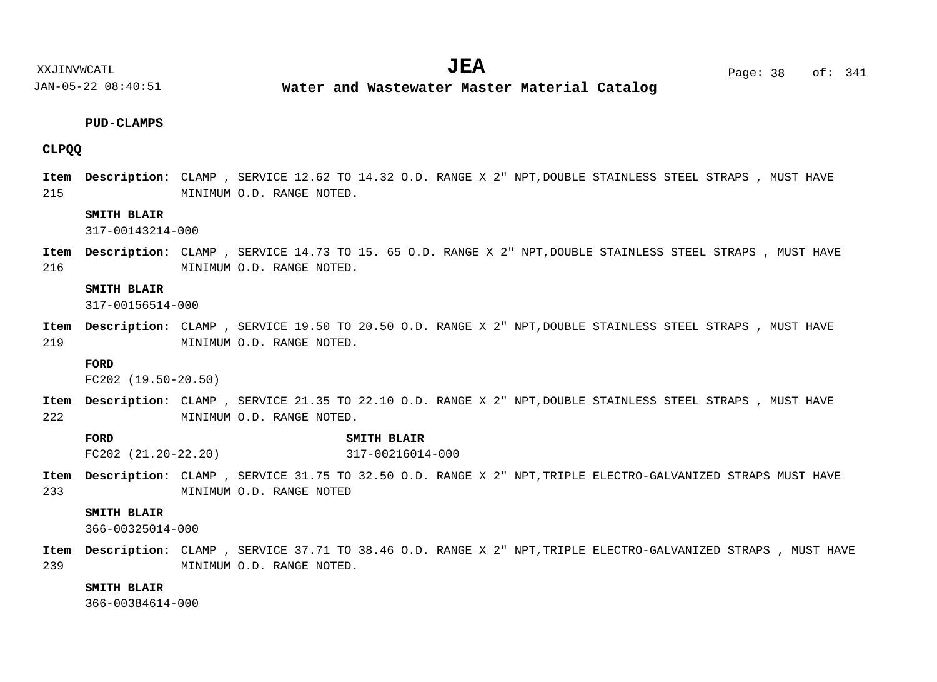**Water and Wastewater Master Material Catalog** 

#### **PUD-CLAMPS**

## **CLPQQ**

215 Item Description: CLAMP , SERVICE 12.62 TO 14.32 O.D. RANGE X 2" NPT,DOUBLE STAINLESS STEEL STRAPS , MUST HAVE MINIMUM O.D. RANGE NOTED.

## **SMITH BLAIR**

317-00143214-000

216 Item Description: CLAMP , SERVICE 14.73 TO 15. 65 O.D. RANGE X 2" NPT,DOUBLE STAINLESS STEEL STRAPS , MUST HAVE MINIMUM O.D. RANGE NOTED.

#### **SMITH BLAIR**

317-00156514-000

219 Item Description: CLAMP , SERVICE 19.50 TO 20.50 O.D. RANGE X 2" NPT,DOUBLE STAINLESS STEEL STRAPS , MUST HAVE MINIMUM O.D. RANGE NOTED.

#### **FORD**

FC202 (19.50-20.50)

- 222 Item Description: CLAMP , SERVICE 21.35 TO 22.10 O.D. RANGE X 2" NPT,DOUBLE STAINLESS STEEL STRAPS , MUST HAVE MINIMUM O.D. RANGE NOTED.
	- **FORD SMITH BLAIR** FC202 (21.20-22.20) 317-00216014-000
- 233 Item Description: CLAMP , SERVICE 31.75 TO 32.50 O.D. RANGE X 2" NPT,TRIPLE ELECTRO-GALVANIZED STRAPS MUST HAVE MINIMUM O.D. RANGE NOTED

#### **SMITH BLAIR**

366-00325014-000

239 Item Description: CLAMP , SERVICE 37.71 TO 38.46 O.D. RANGE X 2" NPT,TRIPLE ELECTRO-GALVANIZED STRAPS , MUST HAVE MINIMUM O.D. RANGE NOTED.

## **SMITH BLAIR**

366-00384614-000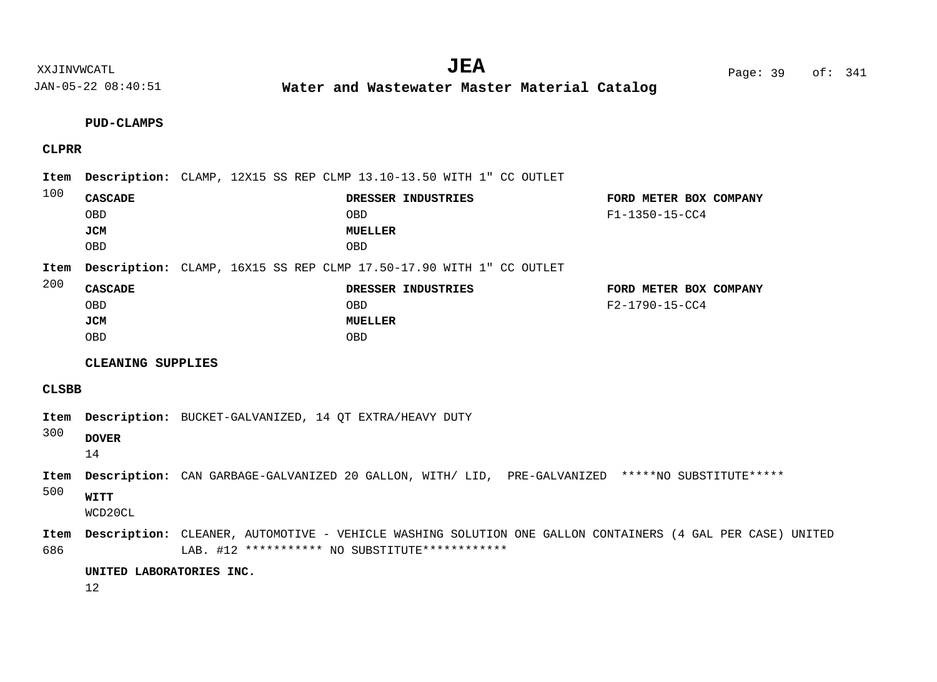**Water and Wastewater Master Material Catalog** 

**PUD-CLAMPS**

# **CLPRR**

| 100          |                                                          |                                                                                                  | Item Description: CLAMP, 12X15 SS REP CLMP 13.10-13.50 WITH 1" CC OUTLET                                  |                                          |  |
|--------------|----------------------------------------------------------|--------------------------------------------------------------------------------------------------|-----------------------------------------------------------------------------------------------------------|------------------------------------------|--|
|              | <b>CASCADE</b><br><b>OBD</b><br><b>JCM</b><br><b>OBD</b> |                                                                                                  | DRESSER INDUSTRIES<br><b>OBD</b><br><b>MUELLER</b><br><b>OBD</b>                                          | FORD METER BOX COMPANY<br>F1-1350-15-CC4 |  |
| Item<br>200  |                                                          |                                                                                                  | Description: CLAMP, 16X15 SS REP CLMP 17.50-17.90 WITH 1" CC OUTLET                                       |                                          |  |
|              | <b>CASCADE</b><br><b>OBD</b><br><b>JCM</b><br><b>OBD</b> |                                                                                                  | DRESSER INDUSTRIES<br><b>OBD</b><br><b>MUELLER</b><br><b>OBD</b>                                          | FORD METER BOX COMPANY<br>F2-1790-15-CC4 |  |
|              | CLEANING SUPPLIES                                        |                                                                                                  |                                                                                                           |                                          |  |
| <b>CLSBB</b> |                                                          |                                                                                                  |                                                                                                           |                                          |  |
| Item<br>300  | <b>DOVER</b><br>14                                       | <b>Description:</b> BUCKET-GALVANIZED, 14 OT EXTRA/HEAVY DUTY                                    |                                                                                                           |                                          |  |
| Item<br>500  | <b>WITT</b><br>WCD20CL                                   | Description: CAN GARBAGE-GALVANIZED 20 GALLON, WITH/ LID, PRE-GALVANIZED *****NO SUBSTITUTE***** |                                                                                                           |                                          |  |
| Item<br>686  |                                                          | LAB. #12 *********** NO SUBSTITUTE************                                                   | Description: CLEANER, AUTOMOTIVE - VEHICLE WASHING SOLUTION ONE GALLON CONTAINERS (4 GAL PER CASE) UNITED |                                          |  |
|              | UNITED LABORATORIES INC.<br>12                           |                                                                                                  |                                                                                                           |                                          |  |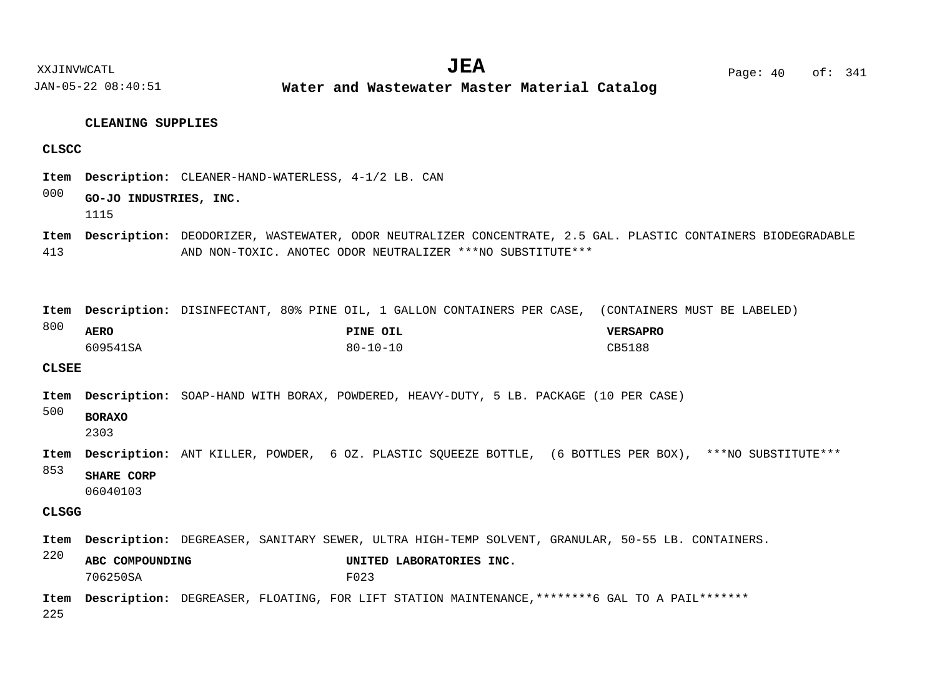JAN-05-22 08:40:51 **Water and Wastewater Master Material Catalog** 

#### **CLEANING SUPPLIES**

#### **CLSCC**

Item Description: CLEANER-HAND-WATERLESS, 4-1/2 LB. CAN

#### 000 **GO-JO INDUSTRIES, INC.** 1115

413 Item Description: DEODORIZER, WASTEWATER, ODOR NEUTRALIZER CONCENTRATE, 2.5 GAL. PLASTIC CONTAINERS BIODEGRADABLE AND NON-TOXIC. ANOTEC ODOR NEUTRALIZER \*\*\*NO SUBSTITUTE\*\*\*

Item Description: DISINFECTANT, 80% PINE OIL, 1 GALLON CONTAINERS PER CASE, (CONTAINERS MUST BE LABELED)

| $\circ\circ\circ$ | <b>AERO</b> | PINE OIL       | <b>VERSAPRO</b> |
|-------------------|-------------|----------------|-----------------|
|                   | 609541SA    | $80 - 10 - 10$ | CB5188          |

## **CLSEE**

 $000$ 

- Item Description: SOAP-HAND WITH BORAX, POWDERED, HEAVY-DUTY, 5 LB. PACKAGE (10 PER CASE)
- 500 **BORAXO**

2303

- Item Description: ANT KILLER, POWDER, 6 OZ. PLASTIC SQUEEZE BOTTLE, (6 BOTTLES PER BOX), \*\*\*NO SUBSTITUTE\*\*\*
- 853 **SHARE CORP**

06040103

## **CLSGG**

Item Description: DEGREASER, SANITARY SEWER, ULTRA HIGH-TEMP SOLVENT, GRANULAR, 50-55 LB. CONTAINERS.

220 **ABC COMPOUNDING UNITED LABORATORIES INC.** 706250SA F023

225 Item Description: DEGREASER, FLOATING, FOR LIFT STATION MAINTENANCE,\*\*\*\*\*\*\*\*6 GAL TO A PAIL\*\*\*\*\*\*\*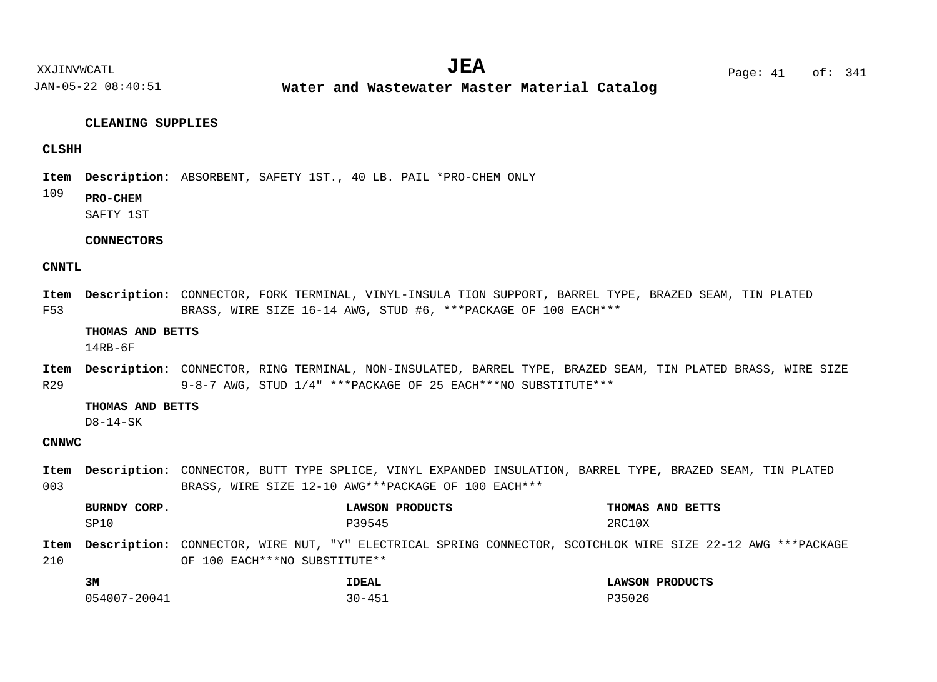JAN-05-22 08:40:51 **Water and Wastewater Master Material Catalog** 

#### **CLEANING SUPPLIES**

## **CLSHH**

Item Description: ABSORBENT, SAFETY 1ST., 40 LB. PAIL \*PRO-CHEM ONLY

109 **PRO-CHEM**

SAFTY 1ST

## **CONNECTORS**

## **CNNTL**

F53 Item Description: CONNECTOR, FORK TERMINAL, VINYL-INSULA TION SUPPORT, BARREL TYPE, BRAZED SEAM, TIN PLATED BRASS, WIRE SIZE 16-14 AWG, STUD #6, \*\*\*PACKAGE OF 100 EACH\*\*\*

### **THOMAS AND BETTS**

14RB-6F

R29 Item Description: CONNECTOR, RING TERMINAL, NON-INSULATED, BARREL TYPE, BRAZED SEAM, TIN PLATED BRASS, WIRE SIZE 9-8-7 AWG, STUD 1/4" \*\*\*PACKAGE OF 25 EACH\*\*\*NO SUBSTITUTE\*\*\*

#### **THOMAS AND BETTS**

D8-14-SK

## **CNNWC**

003 Item Description: CONNECTOR, BUTT TYPE SPLICE, VINYL EXPANDED INSULATION, BARREL TYPE, BRAZED SEAM, TIN PLATED BRASS, WIRE SIZE 12-10 AWG\*\*\*PACKAGE OF 100 EACH\*\*\*

210 CONNECTOR, WIRE NUT, "Y" ELECTRICAL SPRING CONNECTOR, SCOTCHLOK WIRE SIZE 22-12 AWG \*\*\*PACKAGE **Description: Item**OF 100 EACH\*\*\*NO SUBSTITUTE\*\* **BURNDY CORP. LAWSON PRODUCTS THOMAS AND BETTS 3M IDEAL LAWSON PRODUCTS**  $\texttt{SP10}$   $\texttt{P39545}$   $\texttt{P39545}$   $\texttt{2RC10X}$ 

054007-20041 30-451 P35026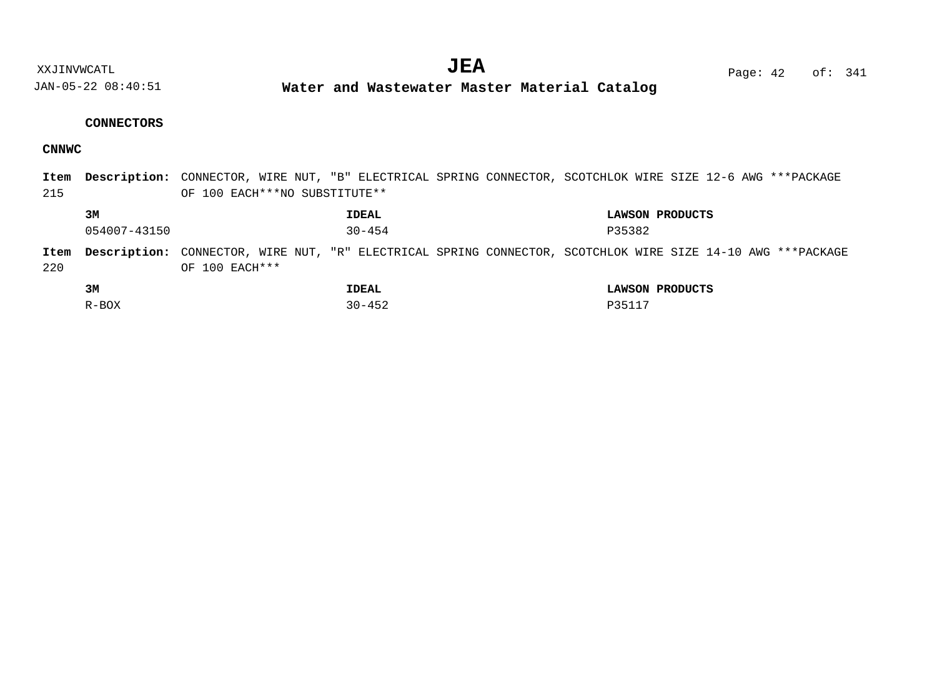**Water and Wastewater Master Material Catalog** 

## **CONNECTORS**

# **CNNWC**

| Item |              | Description: CONNECTOR, WIRE NUT, "B" ELECTRICAL SPRING CONNECTOR, SCOTCHLOK WIRE SIZE 12-6 AWG ***PACKAGE  |                 |
|------|--------------|-------------------------------------------------------------------------------------------------------------|-----------------|
| 215  |              | OF 100 EACH *** NO SUBSTITUTE **                                                                            |                 |
|      | 3M           | IDEAL                                                                                                       | LAWSON PRODUCTS |
|      | 054007-43150 | $30 - 454$<br>P35382                                                                                        |                 |
| Item |              | Description: CONNECTOR, WIRE NUT, "R" ELECTRICAL SPRING CONNECTOR, SCOTCHLOK WIRE SIZE 14-10 AWG ***PACKAGE |                 |
| 220  |              | OF 100 EACH ***                                                                                             |                 |
|      | 3M           | IDEAL                                                                                                       | LAWSON PRODUCTS |
|      | R-BOX        | $30 - 452$<br>P35117                                                                                        |                 |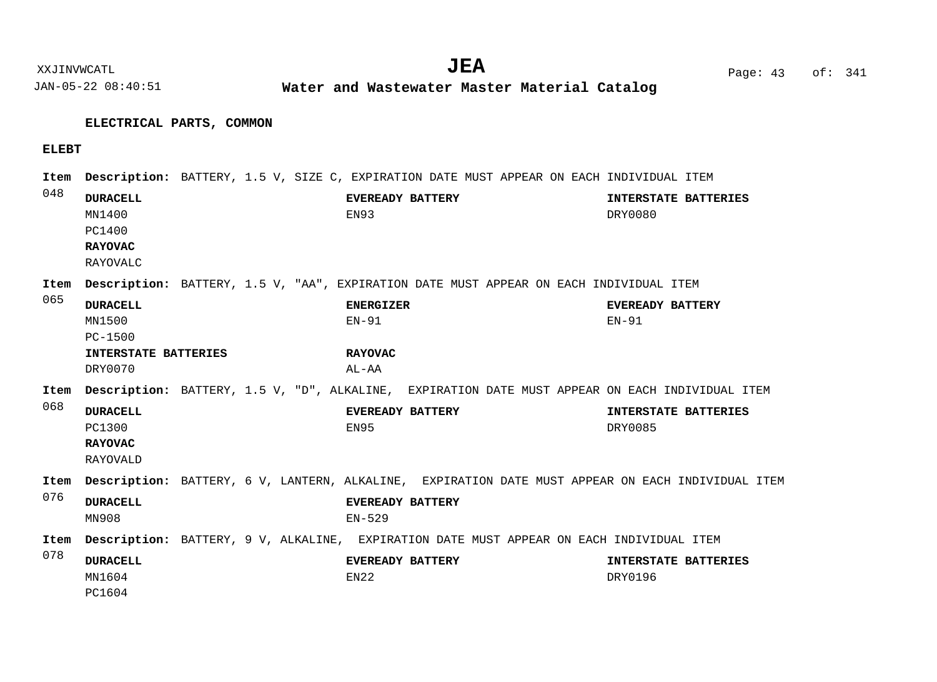**Water and Wastewater Master Material Catalog** 

# **ELECTRICAL PARTS, COMMON**

## **ELEBT**

| Item |                                                                   |  |                                     | <b>Description:</b> BATTERY, 1.5 V, SIZE C, EXPIRATION DATE MUST APPEAR ON EACH INDIVIDUAL ITEM |                           |                                                                                                   |
|------|-------------------------------------------------------------------|--|-------------------------------------|-------------------------------------------------------------------------------------------------|---------------------------|---------------------------------------------------------------------------------------------------|
| 048  | <b>DURACELL</b><br>MN1400<br>PC1400<br><b>RAYOVAC</b><br>RAYOVALC |  | <b>EVEREADY BATTERY</b><br>EN93     |                                                                                                 | DRY0080                   | INTERSTATE BATTERIES                                                                              |
| Item |                                                                   |  |                                     | <b>Description:</b> BATTERY, 1.5 V, "AA", EXPIRATION DATE MUST APPEAR ON EACH INDIVIDUAL ITEM   |                           |                                                                                                   |
| 065  | <b>DURACELL</b><br>MN1500<br>$PC - 1500$                          |  | <b>ENERGIZER</b><br>$EN-91$         |                                                                                                 | EVEREADY BATTERY<br>EN-91 |                                                                                                   |
|      | INTERSTATE BATTERIES<br>DRY0070                                   |  | <b>RAYOVAC</b><br>AL-AA             |                                                                                                 |                           |                                                                                                   |
| Item |                                                                   |  |                                     | Description: BATTERY, 1.5 V, "D", ALKALINE, EXPIRATION DATE MUST APPEAR ON EACH INDIVIDUAL ITEM |                           |                                                                                                   |
| 068  | <b>DURACELL</b><br>PC1300<br><b>RAYOVAC</b><br>RAYOVALD           |  | <b>EVEREADY BATTERY</b><br>EN95     |                                                                                                 | DRY0085                   | INTERSTATE BATTERIES                                                                              |
| Item |                                                                   |  |                                     |                                                                                                 |                           | Description: BATTERY, 6 V, LANTERN, ALKALINE, EXPIRATION DATE MUST APPEAR ON EACH INDIVIDUAL ITEM |
| 076  | <b>DURACELL</b><br>MN908                                          |  | <b>EVEREADY BATTERY</b><br>$EN-529$ |                                                                                                 |                           |                                                                                                   |
| Item |                                                                   |  |                                     | <b>Description:</b> BATTERY, 9 V, ALKALINE, EXPIRATION DATE MUST APPEAR ON EACH INDIVIDUAL ITEM |                           |                                                                                                   |
| 078  | <b>DURACELL</b><br>MN1604<br>PC1604                               |  | EVEREADY BATTERY<br>EN22            |                                                                                                 | DRY0196                   | INTERSTATE BATTERIES                                                                              |

XXJINVWCATL Page: 43 of: **JEA**<sup>341</sup>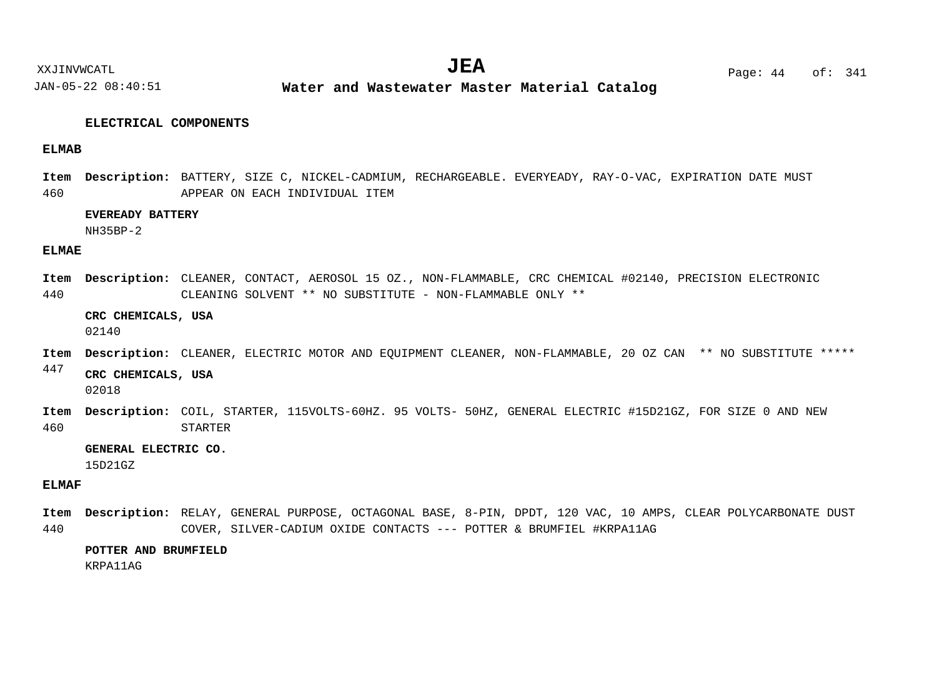**Water and Wastewater Master Material Catalog** 

#### **ELECTRICAL COMPONENTS**

#### **ELMAB**

460 Item Description: BATTERY, SIZE C, NICKEL-CADMIUM, RECHARGEABLE. EVERYEADY, RAY-O-VAC, EXPIRATION DATE MUST APPEAR ON EACH INDIVIDUAL ITEM

#### **EVEREADY BATTERY**

NH35BP-2

#### **ELMAE**

440 Item Description: CLEANER, CONTACT, AEROSOL 15 OZ., NON-FLAMMABLE, CRC CHEMICAL #02140, PRECISION ELECTRONIC CLEANING SOLVENT \*\* NO SUBSTITUTE - NON-FLAMMABLE ONLY \*\*

#### **CRC CHEMICALS, USA**

02140

- Item Description: CLEANER, ELECTRIC MOTOR AND EQUIPMENT CLEANER, NON-FLAMMABLE, 20 OZ CAN \*\* NO SUBSTITUTE \*\*\*\*\*
- 447 **CRC CHEMICALS, USA**

02018

460 Item Description: COIL, STARTER, 115VOLTS-60HZ. 95 VOLTS- 50HZ, GENERAL ELECTRIC #15D21GZ, FOR SIZE 0 AND NEW STARTER

**GENERAL ELECTRIC CO.**

15D21GZ

## **ELMAF**

440 Item Description: RELAY, GENERAL PURPOSE, OCTAGONAL BASE, 8-PIN, DPDT, 120 VAC, 10 AMPS, CLEAR POLYCARBONATE DUST COVER, SILVER-CADIUM OXIDE CONTACTS --- POTTER & BRUMFIEL #KRPA11AG

#### **POTTER AND BRUMFIELD**

KRPA11AG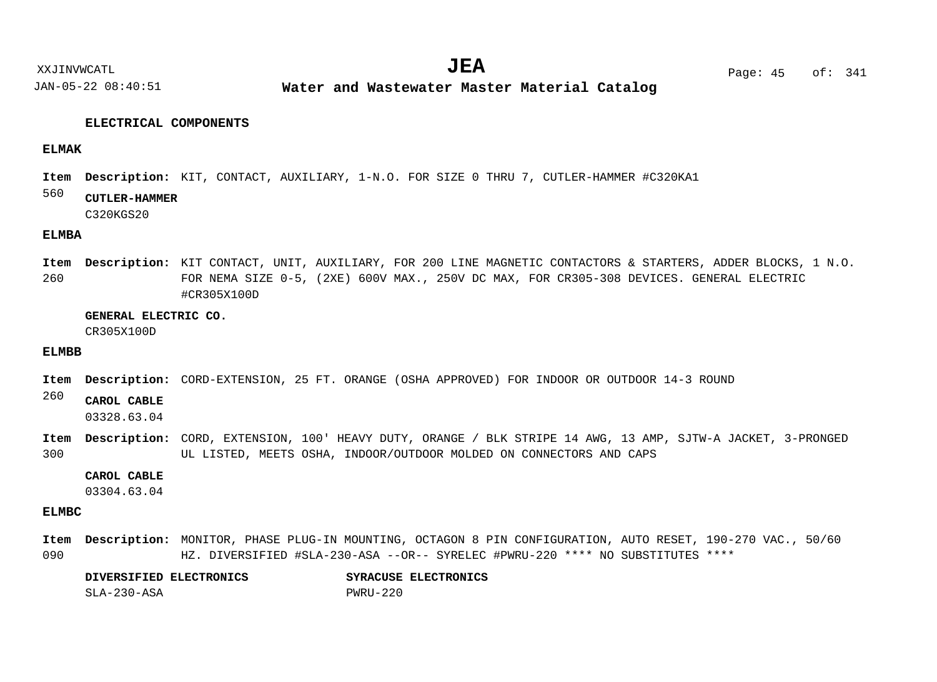**Water and Wastewater Master Material Catalog** 

#### **ELECTRICAL COMPONENTS**

#### **ELMAK**

Item Description: KIT, CONTACT, AUXILIARY, 1-N.O. FOR SIZE 0 THRU 7, CUTLER-HAMMER #C320KA1

#### 560 **CUTLER-HAMMER**

C320KGS20

## **ELMBA**

260 Item Description: KIT CONTACT, UNIT, AUXILIARY, FOR 200 LINE MAGNETIC CONTACTORS & STARTERS, ADDER BLOCKS, 1 N.O. FOR NEMA SIZE 0-5, (2XE) 600V MAX., 250V DC MAX, FOR CR305-308 DEVICES. GENERAL ELECTRIC #CR305X100D

#### **GENERAL ELECTRIC CO.**

CR305X100D

#### **ELMBB**

Item Description: CORD-EXTENSION, 25 FT. ORANGE (OSHA APPROVED) FOR INDOOR OR OUTDOOR 14-3 ROUND

#### 260 **CAROL CABLE**

03328.63.04

300 CORD, EXTENSION, 100' HEAVY DUTY, ORANGE / BLK STRIPE 14 AWG, 13 AMP, SJTW-A JACKET, 3-PRONGED **Description: Item** UL LISTED, MEETS OSHA, INDOOR/OUTDOOR MOLDED ON CONNECTORS AND CAPS

#### **CAROL CABLE**

03304.63.04

#### **ELMBC**

090 Item Description: MONITOR, PHASE PLUG-IN MOUNTING, OCTAGON 8 PIN CONFIGURATION, AUTO RESET, 190-270 VAC., 50/60 HZ. DIVERSIFIED #SLA-230-ASA --OR-- SYRELEC #PWRU-220 \*\*\*\* NO SUBSTITUTES \*\*\*\*

## **DIVERSIFIED ELECTRONICS SYRACUSE ELECTRONICS** SLA-230-ASA PWRU-220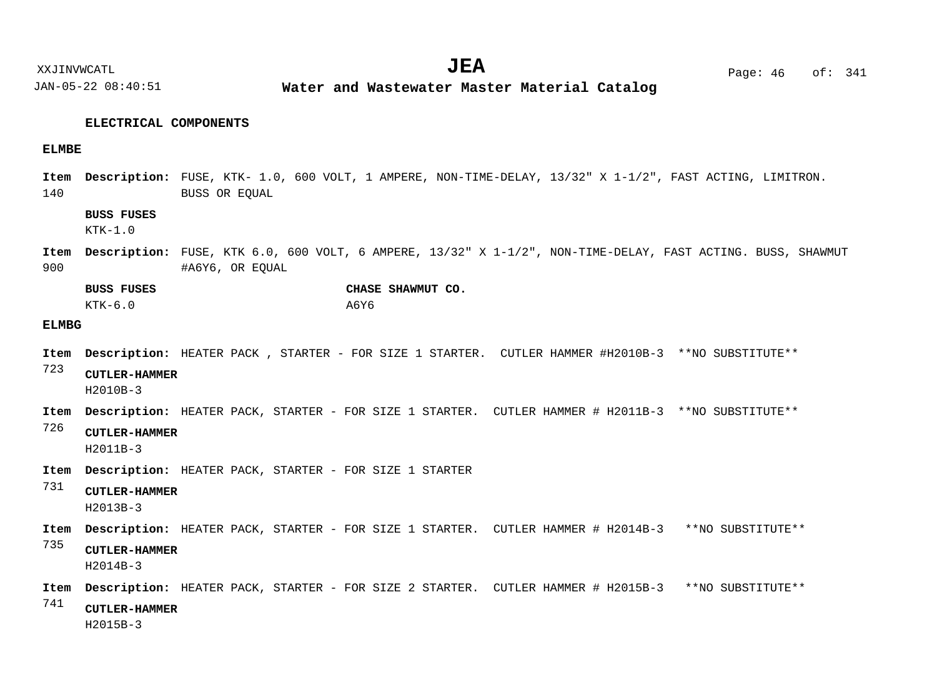**Water and Wastewater Master Material Catalog** 

#### **ELECTRICAL COMPONENTS**

#### **ELMBE**

140 Item Description: FUSE, KTK- 1.0, 600 VOLT, 1 AMPERE, NON-TIME-DELAY, 13/32" X 1-1/2", FAST ACTING, LIMITRON. BUSS OR EQUAL

## **BUSS FUSES**

 $KTK-1.0$ 

900 Item Description: FUSE, KTK 6.0, 600 VOLT, 6 AMPERE, 13/32" X 1-1/2", NON-TIME-DELAY, FAST ACTING. BUSS, SHAWMUT #A6Y6, OR EQUAL

| <b>BUSS FUSES</b> |      | CHASE SHAWMUT CO. |  |
|-------------------|------|-------------------|--|
| KTK-6.0           | A6Y6 |                   |  |

#### **ELMBG**

- Item Description: HEATER PACK , STARTER FOR SIZE 1 STARTER. CUTLER HAMMER #H2010B-3 \*\*NO SUBSTITUTE\*\*
- 723 **CUTLER-HAMMER**

H2010B-3

- Item Description: HEATER PACK, STARTER FOR SIZE 1 STARTER. CUTLER HAMMER # H2011B-3 \*\*NO SUBSTITUTE\*\*
- 726 **CUTLER-HAMMER**

H2011B-3

- Item Description: HEATER PACK, STARTER FOR SIZE 1 STARTER
- 731 **CUTLER-HAMMER**

H2013B-3

- Item Description: HEATER PACK, STARTER FOR SIZE 1 STARTER. CUTLER HAMMER # H2014B-3 \*\*NO SUBSTITUTE\*\*
- 735 **CUTLER-HAMMER**

H2014B-3

- Item Description: HEATER PACK, STARTER FOR SIZE 2 STARTER. CUTLER HAMMER # H2015B-3 \*\*NO SUBSTITUTE\*\*
- 741 **CUTLER-HAMMER**

H2015B-3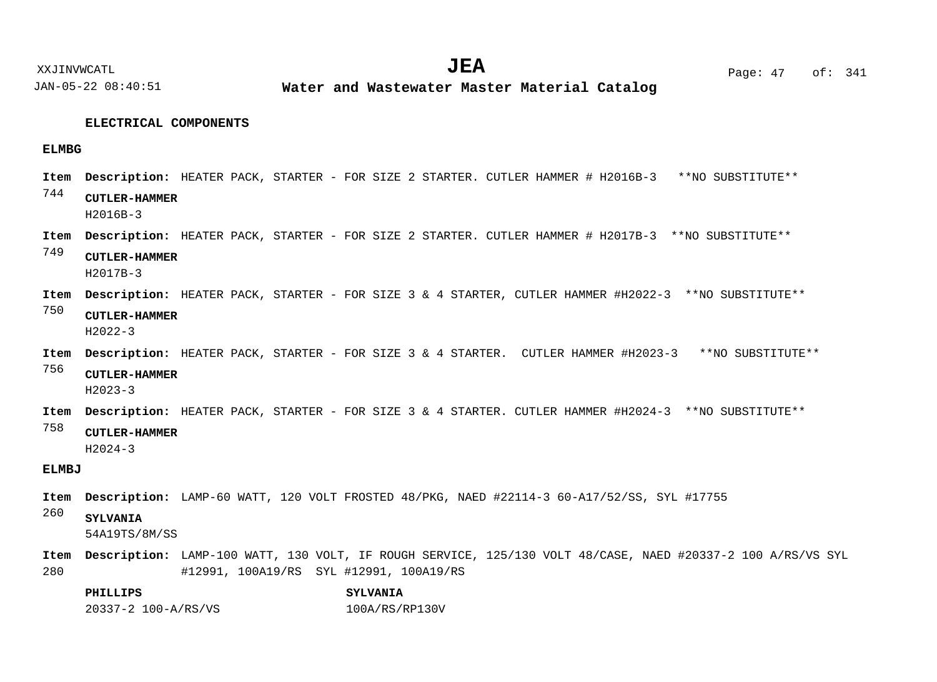JAN-05-22 08:40:51 **Water and Wastewater Master Material Catalog** 

#### **ELECTRICAL COMPONENTS**

#### **ELMBG**

- 744 Item Description: HEATER PACK, STARTER - FOR SIZE 2 STARTER. CUTLER HAMMER # H2016B-3 \*\*NO SUBSTITUTE\*\* **CUTLER-HAMMER** H2016B-3
- Item Description: HEATER PACK, STARTER FOR SIZE 2 STARTER. CUTLER HAMMER # H2017B-3 \*\*NO SUBSTITUTE\*\*

749 **CUTLER-HAMMER** H2017B-3

- Item Description: HEATER PACK, STARTER FOR SIZE 3 & 4 STARTER, CUTLER HAMMER #H2022-3 \*\*NO SUBSTITUTE\*\*
- 750 **CUTLER-HAMMER** H2022-3
- Item Description: HEATER PACK, STARTER FOR SIZE 3 & 4 STARTER. CUTLER HAMMER #H2023-3 \*\*NO SUBSTITUTE\*\*

756 **CUTLER-HAMMER**

H2023-3

Item Description: HEATER PACK, STARTER - FOR SIZE 3 & 4 STARTER. CUTLER HAMMER #H2024-3 \*\*NO SUBSTITUTE\*\*

758 **CUTLER-HAMMER**

H2024-3

## **ELMBJ**

Item Description: LAMP-60 WATT, 120 VOLT FROSTED 48/PKG, NAED #22114-3 60-A17/52/SS, SYL #17755

#### 260 **SYLVANIA**

54A19TS/8M/SS

280 Item Description: LAMP-100 WATT, 130 VOLT, IF ROUGH SERVICE, 125/130 VOLT 48/CASE, NAED #20337-2 100 A/RS/VS SYL #12991, 100A19/RS SYL #12991, 100A19/RS

## **PHILLIPS SYLVANIA** 20337-2 100-A/RS/VS 100A/RS/RP130V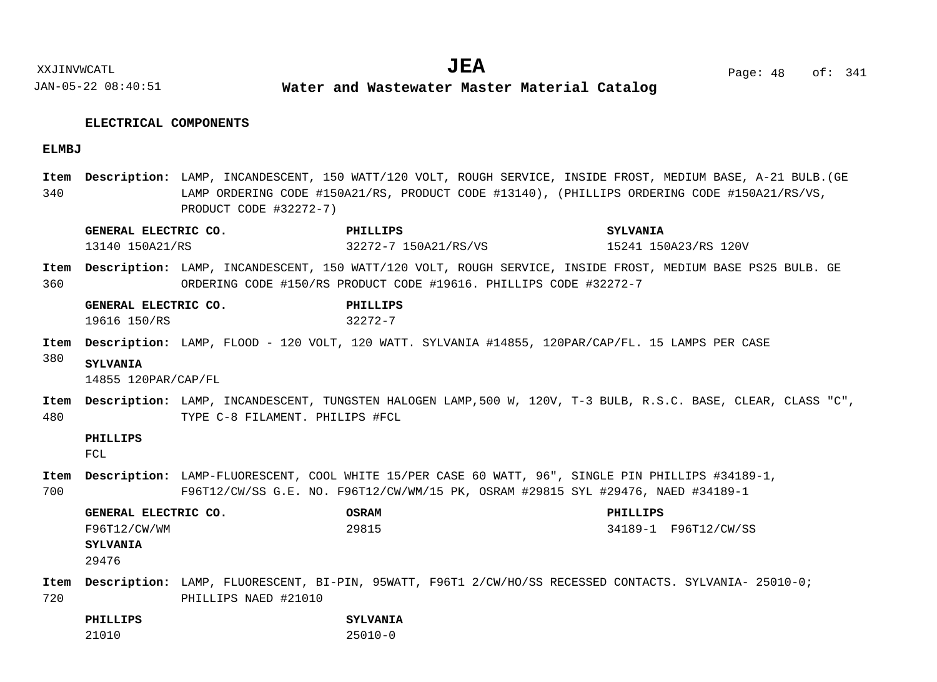**Water and Wastewater Master Material Catalog** 

## **ELECTRICAL COMPONENTS**

## **ELMBJ**

340 Item Description: LAMP, INCANDESCENT, 150 WATT/120 VOLT, ROUGH SERVICE, INSIDE FROST, MEDIUM BASE, A-21 BULB.(GE LAMP ORDERING CODE #150A21/RS, PRODUCT CODE #13140), (PHILLIPS ORDERING CODE #150A21/RS/VS, PRODUCT CODE #32272-7)

|             | GENERAL ELECTRIC CO.                                             |                                 | PHILLIPS                                                          | <b>SYLVANIA</b>                                                                                                                                                                       |  |
|-------------|------------------------------------------------------------------|---------------------------------|-------------------------------------------------------------------|---------------------------------------------------------------------------------------------------------------------------------------------------------------------------------------|--|
|             | 13140 150A21/RS                                                  |                                 | 32272-7 150A21/RS/VS                                              | 15241 150A23/RS 120V                                                                                                                                                                  |  |
| Item<br>360 |                                                                  |                                 | ORDERING CODE #150/RS PRODUCT CODE #19616. PHILLIPS CODE #32272-7 | Description: LAMP, INCANDESCENT, 150 WATT/120 VOLT, ROUGH SERVICE, INSIDE FROST, MEDIUM BASE PS25 BULB. GE                                                                            |  |
|             | GENERAL ELECTRIC CO.<br>19616 150/RS                             |                                 | PHILLIPS<br>$32272 - 7$                                           |                                                                                                                                                                                       |  |
| Item        |                                                                  |                                 |                                                                   | Description: LAMP, FLOOD - 120 VOLT, 120 WATT. SYLVANIA #14855, 120PAR/CAP/FL. 15 LAMPS PER CASE                                                                                      |  |
| 380         | <b>SYLVANIA</b><br>14855 120PAR/CAP/FL                           |                                 |                                                                   |                                                                                                                                                                                       |  |
| Item<br>480 |                                                                  | TYPE C-8 FILAMENT. PHILIPS #FCL |                                                                   | Description: LAMP, INCANDESCENT, TUNGSTEN HALOGEN LAMP, 500 W, 120V, T-3 BULB, R.S.C. BASE, CLEAR, CLASS "C",                                                                         |  |
|             | PHILLIPS<br>FCL                                                  |                                 |                                                                   |                                                                                                                                                                                       |  |
| Item<br>700 |                                                                  |                                 |                                                                   | Description: LAMP-FLUORESCENT, COOL WHITE 15/PER CASE 60 WATT, 96", SINGLE PIN PHILLIPS #34189-1,<br>F96T12/CW/SS G.E. NO. F96T12/CW/WM/15 PK, OSRAM #29815 SYL #29476, NAED #34189-1 |  |
|             | GENERAL ELECTRIC CO.<br>F96T12/CW/WM<br><b>SYLVANIA</b><br>29476 |                                 | <b>OSRAM</b><br>29815                                             | PHILLIPS<br>34189-1 F96T12/CW/SS                                                                                                                                                      |  |
| Item<br>720 |                                                                  | PHILLIPS NAED #21010            |                                                                   | Description: LAMP, FLUORESCENT, BI-PIN, 95WATT, F96T1 2/CW/HO/SS RECESSED CONTACTS. SYLVANIA- 25010-0;                                                                                |  |
|             | PHILLIPS                                                         |                                 | <b>SYLVANIA</b>                                                   |                                                                                                                                                                                       |  |
|             | 21010                                                            |                                 | $25010 - 0$                                                       |                                                                                                                                                                                       |  |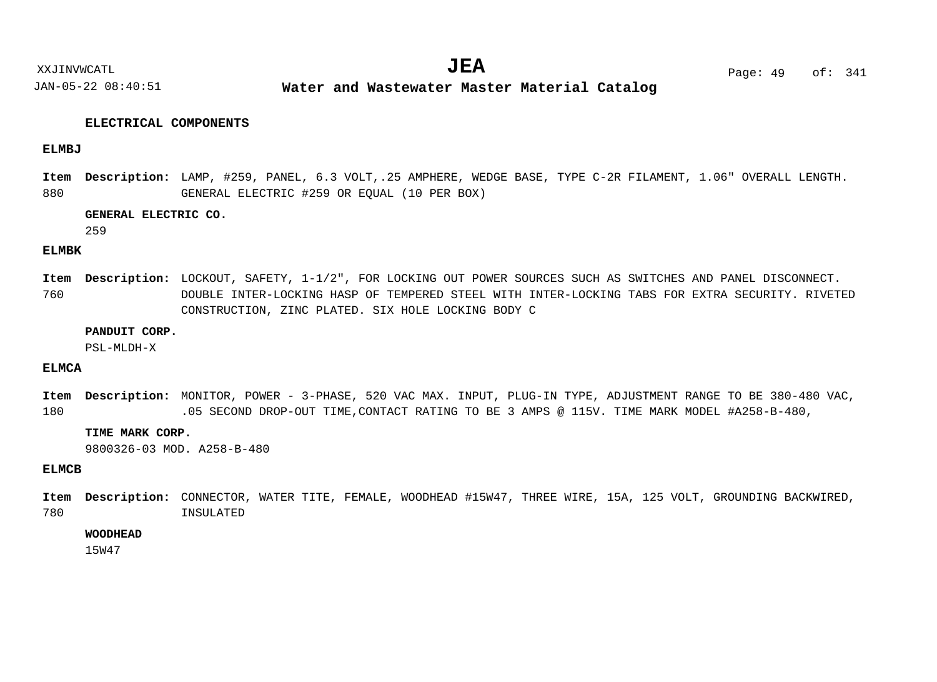**Water and Wastewater Master Material Catalog** 

### **ELECTRICAL COMPONENTS**

#### **ELMBJ**

880 Item Description: LAMP, #259, PANEL, 6.3 VOLT,.25 AMPHERE, WEDGE BASE, TYPE C-2R FILAMENT, 1.06" OVERALL LENGTH. GENERAL ELECTRIC #259 OR EQUAL (10 PER BOX)

#### **GENERAL ELECTRIC CO.**

259

#### **ELMBK**

760 Item Description: LOCKOUT, SAFETY, 1-1/2", FOR LOCKING OUT POWER SOURCES SUCH AS SWITCHES AND PANEL DISCONNECT. DOUBLE INTER-LOCKING HASP OF TEMPERED STEEL WITH INTER-LOCKING TABS FOR EXTRA SECURITY. RIVETED CONSTRUCTION, ZINC PLATED. SIX HOLE LOCKING BODY C

#### **PANDUIT CORP.**

PSL-MLDH-X

## **ELMCA**

180 Item Description: MONITOR, POWER - 3-PHASE, 520 VAC MAX. INPUT, PLUG-IN TYPE, ADJUSTMENT RANGE TO BE 380-480 VAC, .05 SECOND DROP-OUT TIME,CONTACT RATING TO BE 3 AMPS @ 115V. TIME MARK MODEL #A258-B-480,

#### **TIME MARK CORP.**

9800326-03 MOD. A258-B-480

## **ELMCB**

780 Item Description: CONNECTOR, WATER TITE, FEMALE, WOODHEAD #15W47, THREE WIRE, 15A, 125 VOLT, GROUNDING BACKWIRED, INSULATED

#### **WOODHEAD**

15W47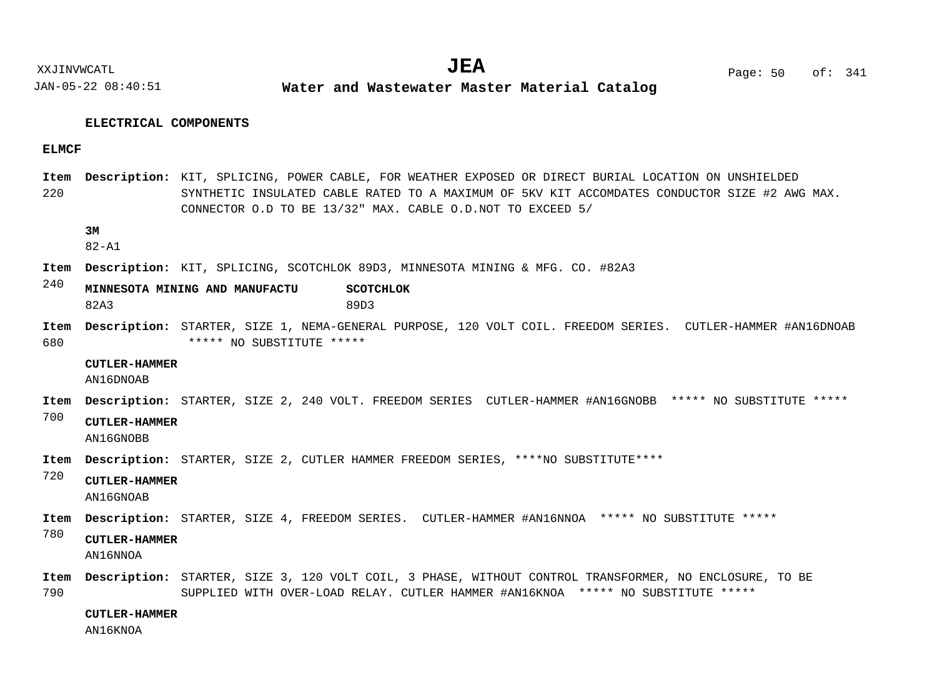JAN-05-22 08:40:51 **Water and Wastewater Master Material Catalog** 

#### **ELECTRICAL COMPONENTS**

#### **ELMCF**

220 Item Description: KIT, SPLICING, POWER CABLE, FOR WEATHER EXPOSED OR DIRECT BURIAL LOCATION ON UNSHIELDED SYNTHETIC INSULATED CABLE RATED TO A MAXIMUM OF 5KV KIT ACCOMDATES CONDUCTOR SIZE #2 AWG MAX. CONNECTOR O.D TO BE 13/32" MAX. CABLE O.D.NOT TO EXCEED 5/

## **3M**

82-A1

- Item Description: KIT, SPLICING, SCOTCHLOK 89D3, MINNESOTA MINING & MFG. CO. #82A3
- $240$ **MINNESOTA MINING AND MANUFACTU SCOTCHLOK** 82A3 89D3
- 680 STARTER, SIZE 1, NEMA-GENERAL PURPOSE, 120 VOLT COIL. FREEDOM SERIES. CUTLER-HAMMER #AN16DNOAB **Description: Item** \*\*\*\*\* NO SUBSTITUTE \*\*\*\*\*

## **CUTLER-HAMMER**

AN16DNOAB

- STARTER, SIZE 2, 240 VOLT. FREEDOM SERIES CUTLER-HAMMER #AN16GNOBB \*\*\*\*\* NO SUBSTITUTE \*\*\*\*\* **Description: Item**
- 700 **CUTLER-HAMMER**

AN16GNOBB

- Item Description: STARTER, SIZE 2, CUTLER HAMMER FREEDOM SERIES, \*\*\*\*NO SUBSTITUTE\*\*\*\*
- 720 **CUTLER-HAMMER**

AN16GNOAB

- Item Description: STARTER, SIZE 4, FREEDOM SERIES. CUTLER-HAMMER #AN16NNOA \*\*\*\*\* NO SUBSTITUTE \*\*\*\*\*
- 780 **CUTLER-HAMMER**

AN16NNOA

790 Item Description: STARTER, SIZE 3, 120 VOLT COIL, 3 PHASE, WITHOUT CONTROL TRANSFORMER, NO ENCLOSURE, TO BE SUPPLIED WITH OVER-LOAD RELAY. CUTLER HAMMER #AN16KNOA \*\*\*\*\* NO SUBSTITUTE \*\*\*\*\*

**CUTLER-HAMMER**

AN16KNOA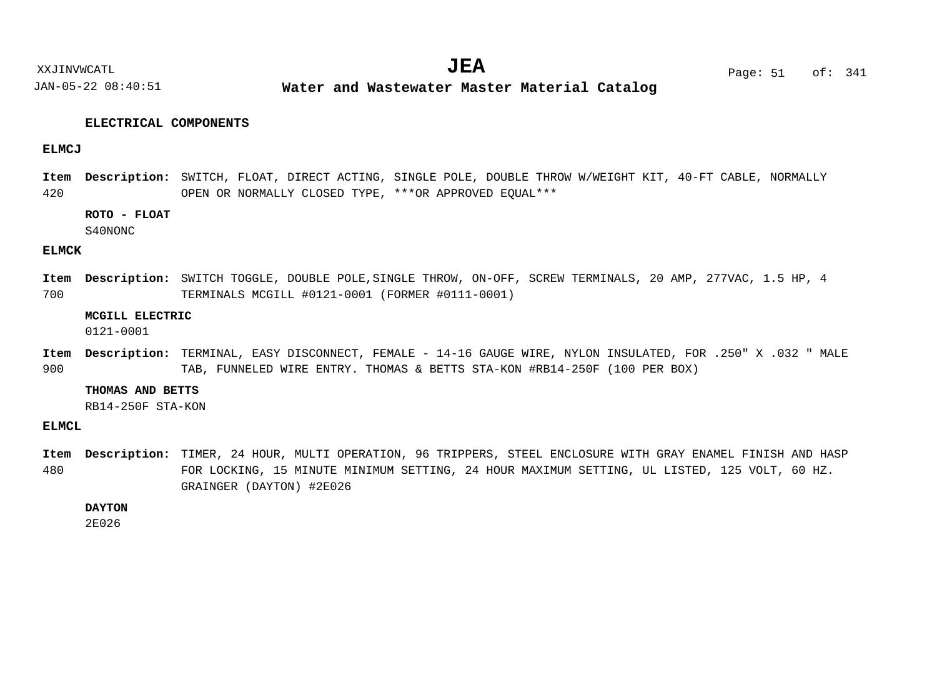**Water and Wastewater Master Material Catalog** 

#### **ELECTRICAL COMPONENTS**

#### **ELMCJ**

420 Item Description: SWITCH, FLOAT, DIRECT ACTING, SINGLE POLE, DOUBLE THROW W/WEIGHT KIT, 40-FT CABLE, NORMALLY OPEN OR NORMALLY CLOSED TYPE, \*\*\*OR APPROVED EQUAL\*\*\*

## **ROTO - FLOAT**

S40NONC

#### **ELMCK**

700 Item Description: SWITCH TOGGLE, DOUBLE POLE, SINGLE THROW, ON-OFF, SCREW TERMINALS, 20 AMP, 277VAC, 1.5 HP, 4 TERMINALS MCGILL #0121-0001 (FORMER #0111-0001)

## **MCGILL ELECTRIC**

0121-0001

900 TERMINAL, EASY DISCONNECT, FEMALE - 14-16 GAUGE WIRE, NYLON INSULATED, FOR .250" X .032 " MALE **Description: Item** TAB, FUNNELED WIRE ENTRY. THOMAS & BETTS STA-KON #RB14-250F (100 PER BOX)

#### **THOMAS AND BETTS**

RB14-250F STA-KON

#### **ELMCL**

480 Item Description: TIMER, 24 HOUR, MULTI OPERATION, 96 TRIPPERS, STEEL ENCLOSURE WITH GRAY ENAMEL FINISH AND HASP FOR LOCKING, 15 MINUTE MINIMUM SETTING, 24 HOUR MAXIMUM SETTING, UL LISTED, 125 VOLT, 60 HZ. GRAINGER (DAYTON) #2E026

#### **DAYTON**

2E026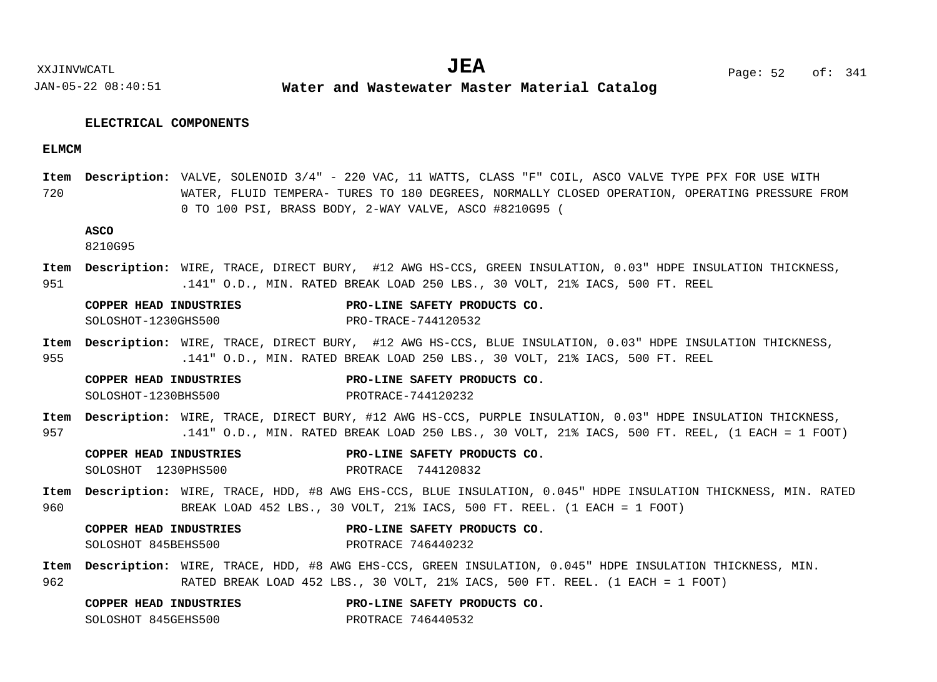JAN-05-22 08:40:51 **Water and Wastewater Master Material Catalog** 

#### **ELECTRICAL COMPONENTS**

#### **ELMCM**

720 Item Description: VALVE, SOLENOID 3/4" - 220 VAC, 11 WATTS, CLASS "F" COIL, ASCO VALVE TYPE PFX FOR USE WITH WATER, FLUID TEMPERA- TURES TO 180 DEGREES, NORMALLY CLOSED OPERATION, OPERATING PRESSURE FROM 0 TO 100 PSI, BRASS BODY, 2-WAY VALVE, ASCO #8210G95 (

### **ASCO**

8210G95

951 Item Description: WIRE, TRACE, DIRECT BURY, #12 AWG HS-CCS, GREEN INSULATION, 0.03" HDPE INSULATION THICKNESS, .141" O.D., MIN. RATED BREAK LOAD 250 LBS., 30 VOLT, 21% IACS, 500 FT. REEL

| <b>COPPER HEAD INDUSTRIES</b> | PRO-LINE SAFETY PRODUCTS CO. |
|-------------------------------|------------------------------|
| SOLOSHOT-1230GHS500           | PRO-TRACE-744120532          |

955 Item Description: WIRE, TRACE, DIRECT BURY, #12 AWG HS-CCS, BLUE INSULATION, 0.03" HDPE INSULATION THICKNESS, .141" O.D., MIN. RATED BREAK LOAD 250 LBS., 30 VOLT, 21% IACS, 500 FT. REEL

| COPPER HEAD INDUSTRIES | PRO-LINE SAFETY PRODUCTS CO. |
|------------------------|------------------------------|
| SOLOSHOT-1230BHS500    | PROTRACE-744120232           |

957 Item Description: WIRE, TRACE, DIRECT BURY, #12 AWG HS-CCS, PURPLE INSULATION, 0.03" HDPE INSULATION THICKNESS, .141" O.D., MIN. RATED BREAK LOAD 250 LBS., 30 VOLT, 21% IACS, 500 FT. REEL, (1 EACH = 1 FOOT)

|  | <b>COPPER HEAD INDUSTRIES</b> | PRO-LINE SAFETY PRODUCTS CO. |  |  |
|--|-------------------------------|------------------------------|--|--|
|  | SOLOSHOT 1230PHS500           | PROTRACE 744120832           |  |  |

960 Item Description: WIRE, TRACE, HDD, #8 AWG EHS-CCS, BLUE INSULATION, 0.045" HDPE INSULATION THICKNESS, MIN. RATED BREAK LOAD 452 LBS., 30 VOLT, 21% IACS, 500 FT. REEL. (1 EACH = 1 FOOT)

**COPPER HEAD INDUSTRIES PRO-LINE SAFETY PRODUCTS CO.** SOLOSHOT 845BEHS500 PROTRACE 746440232

962 Item Description: WIRE, TRACE, HDD, #8 AWG EHS-CCS, GREEN INSULATION, 0.045" HDPE INSULATION THICKNESS, MIN. RATED BREAK LOAD 452 LBS., 30 VOLT, 21% IACS, 500 FT. REEL. (1 EACH = 1 FOOT)

| COPPER HEAD INDUSTRIES |                    | PRO-LINE SAFETY PRODUCTS CO. |  |
|------------------------|--------------------|------------------------------|--|
| SOLOSHOT 845GEHS500    | PROTRACE 746440532 |                              |  |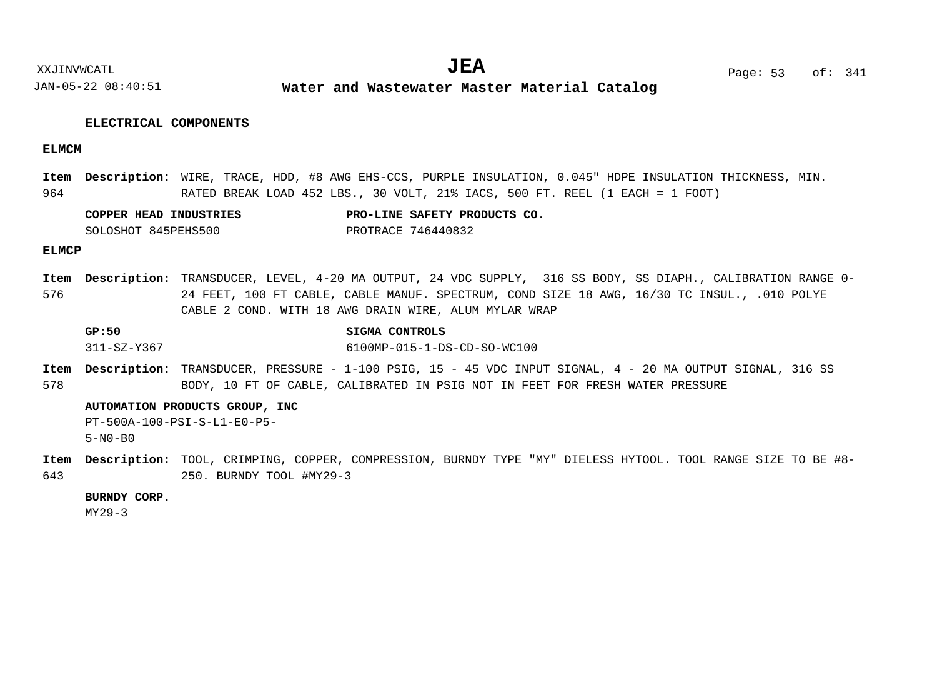**Water and Wastewater Master Material Catalog** 

#### **ELECTRICAL COMPONENTS**

#### **ELMCM**

964 Item Description: WIRE, TRACE, HDD, #8 AWG EHS-CCS, PURPLE INSULATION, 0.045" HDPE INSULATION THICKNESS, MIN. RATED BREAK LOAD 452 LBS., 30 VOLT, 21% IACS, 500 FT. REEL (1 EACH = 1 FOOT)

| COPPER HEAD INDUSTRIES | PRO-LINE SAFETY PRODUCTS CO. |  |  |
|------------------------|------------------------------|--|--|
| SOLOSHOT 845PEHS500    | PROTRACE 746440832           |  |  |

#### **ELMCP**

576 Item Description: TRANSDUCER, LEVEL, 4-20 MA OUTPUT, 24 VDC SUPPLY, 316 SS BODY, SS DIAPH., CALIBRATION RANGE 0-24 FEET, 100 FT CABLE, CABLE MANUF. SPECTRUM, COND SIZE 18 AWG, 16/30 TC INSUL., .010 POLYE CABLE 2 COND. WITH 18 AWG DRAIN WIRE, ALUM MYLAR WRAP

| GP:50       | SIGMA CONTROLS              |
|-------------|-----------------------------|
| 311-SZ-Y367 | 6100MP-015-1-DS-CD-SO-WC100 |

578 Item Description: TRANSDUCER, PRESSURE - 1-100 PSIG, 15 - 45 VDC INPUT SIGNAL, 4 - 20 MA OUTPUT SIGNAL, 316 SS BODY, 10 FT OF CABLE, CALIBRATED IN PSIG NOT IN FEET FOR FRESH WATER PRESSURE

#### **AUTOMATION PRODUCTS GROUP, INC**

PT-500A-100-PSI-S-L1-E0-P5- 5-N0-B0

643 Item Description: TOOL, CRIMPING, COPPER, COMPRESSION, BURNDY TYPE "MY" DIELESS HYTOOL. TOOL RANGE SIZE TO BE #8-250. BURNDY TOOL #MY29-3

#### **BURNDY CORP.**

MY29-3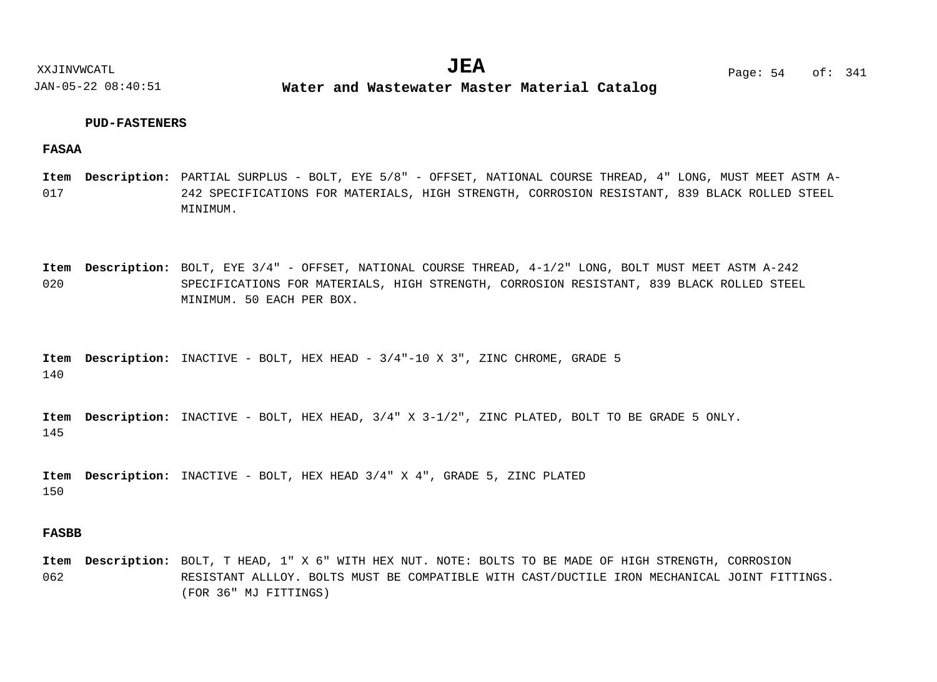**Water and Wastewater Master Material Catalog** 

#### **PUD-FASTENERS**

**FASAA**

- 017 Item Description: PARTIAL SURPLUS - BOLT, EYE 5/8" - OFFSET, NATIONAL COURSE THREAD, 4" LONG, MUST MEET ASTM A-242 SPECIFICATIONS FOR MATERIALS, HIGH STRENGTH, CORROSION RESISTANT, 839 BLACK ROLLED STEEL MINIMUM.
- 020 Item Description: BOLT, EYE 3/4" - OFFSET, NATIONAL COURSE THREAD, 4-1/2" LONG, BOLT MUST MEET ASTM A-242 SPECIFICATIONS FOR MATERIALS, HIGH STRENGTH, CORROSION RESISTANT, 839 BLACK ROLLED STEEL MINIMUM. 50 EACH PER BOX.

140 Item Description: INACTIVE - BOLT, HEX HEAD -  $3/4"$ -10 X 3", ZINC CHROME, GRADE 5

145 Item Description: INACTIVE - BOLT, HEX HEAD,  $3/4$ " X  $3-1/2$ ", ZINC PLATED, BOLT TO BE GRADE 5 ONLY.

150 Item Description: INACTIVE - BOLT, HEX HEAD 3/4" X 4", GRADE 5, ZINC PLATED

## **FASBB**

062 Item Description: BOLT, T HEAD, 1" X 6" WITH HEX NUT. NOTE: BOLTS TO BE MADE OF HIGH STRENGTH, CORROSION RESISTANT ALLLOY. BOLTS MUST BE COMPATIBLE WITH CAST/DUCTILE IRON MECHANICAL JOINT FITTINGS. (FOR 36" MJ FITTINGS)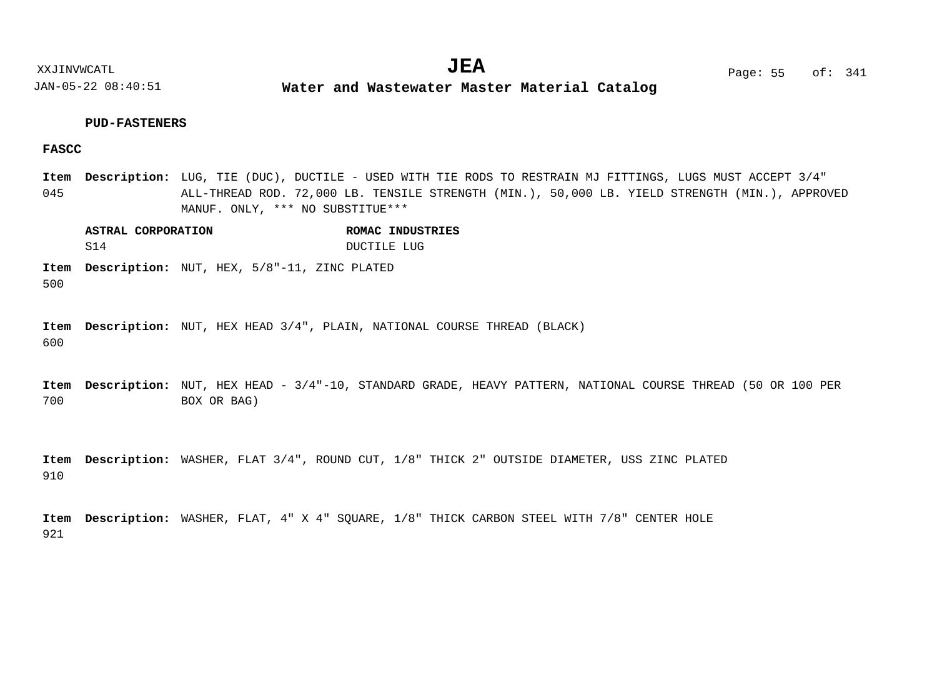**Water and Wastewater Master Material Catalog** 

#### **PUD-FASTENERS**

## **FASCC**

045 LUG, TIE (DUC), DUCTILE - USED WITH TIE RODS TO RESTRAIN MJ FITTINGS, LUGS MUST ACCEPT 3/4" **Description: Item** ALL-THREAD ROD. 72,000 LB. TENSILE STRENGTH (MIN.), 50,000 LB. YIELD STRENGTH (MIN.), APPROVED MANUF. ONLY, \*\*\* NO SUBSTITUE\*\*\*

**ASTRAL CORPORATION ROMAC INDUSTRIES** S14 DUCTILE LUG

500 Item Description: NUT, HEX, 5/8"-11, ZINC PLATED

600 Item Description: NUT, HEX HEAD 3/4", PLAIN, NATIONAL COURSE THREAD (BLACK)

700 Item Description: NUT, HEX HEAD - 3/4"-10, STANDARD GRADE, HEAVY PATTERN, NATIONAL COURSE THREAD (50 OR 100 PER BOX OR BAG)

910 Item Description: WASHER, FLAT 3/4", ROUND CUT, 1/8" THICK 2" OUTSIDE DIAMETER, USS ZINC PLATED

921 Item Description: WASHER, FLAT, 4" X 4" SQUARE,  $1/8$ " THICK CARBON STEEL WITH 7/8" CENTER HOLE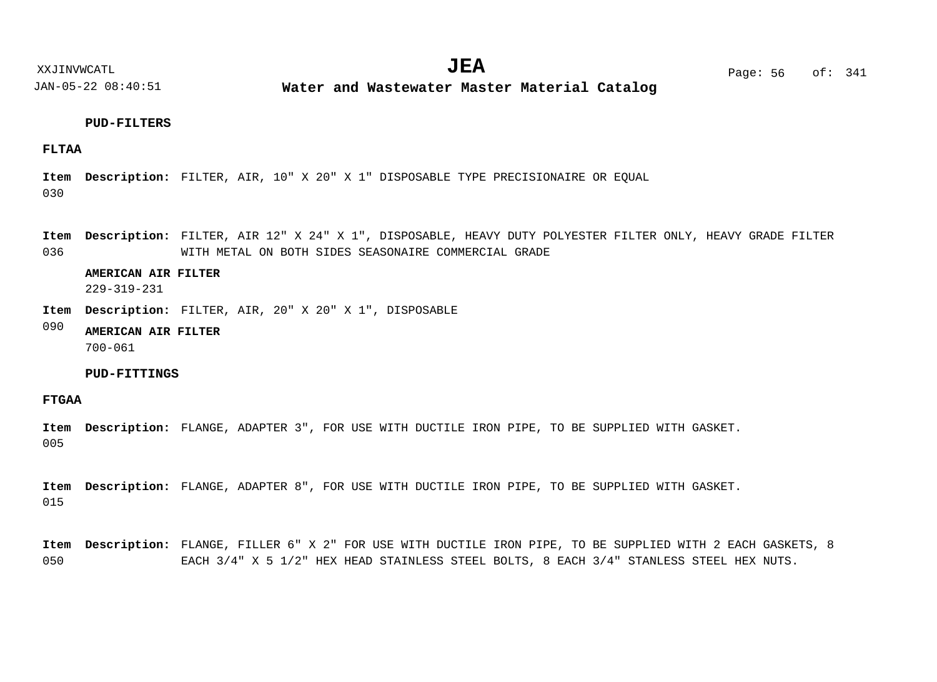**Water and Wastewater Master Material Catalog** 

## **PUD-FILTERS**

## **FLTAA**

030 Item Description: FILTER, AIR, 10" X 20" X 1" DISPOSABLE TYPE PRECISIONAIRE OR EQUAL

036 Item Description: FILTER, AIR 12" X 24" X 1", DISPOSABLE, HEAVY DUTY POLYESTER FILTER ONLY, HEAVY GRADE FILTER WITH METAL ON BOTH SIDES SEASONAIRE COMMERCIAL GRADE

#### **AMERICAN AIR FILTER**

229-319-231

Item Description: FILTER, AIR, 20" X 20" X 1", DISPOSABLE

#### 090 **AMERICAN AIR FILTER** 700-061

#### **PUD-FITTINGS**

# **FTGAA**

005 Item Description: FLANGE, ADAPTER 3", FOR USE WITH DUCTILE IRON PIPE, TO BE SUPPLIED WITH GASKET.

015 Item Description: FLANGE, ADAPTER 8", FOR USE WITH DUCTILE IRON PIPE, TO BE SUPPLIED WITH GASKET.

050 Item Description: FLANGE, FILLER 6" X 2" FOR USE WITH DUCTILE IRON PIPE, TO BE SUPPLIED WITH 2 EACH GASKETS, 8 EACH 3/4" X 5 1/2" HEX HEAD STAINLESS STEEL BOLTS, 8 EACH 3/4" STANLESS STEEL HEX NUTS.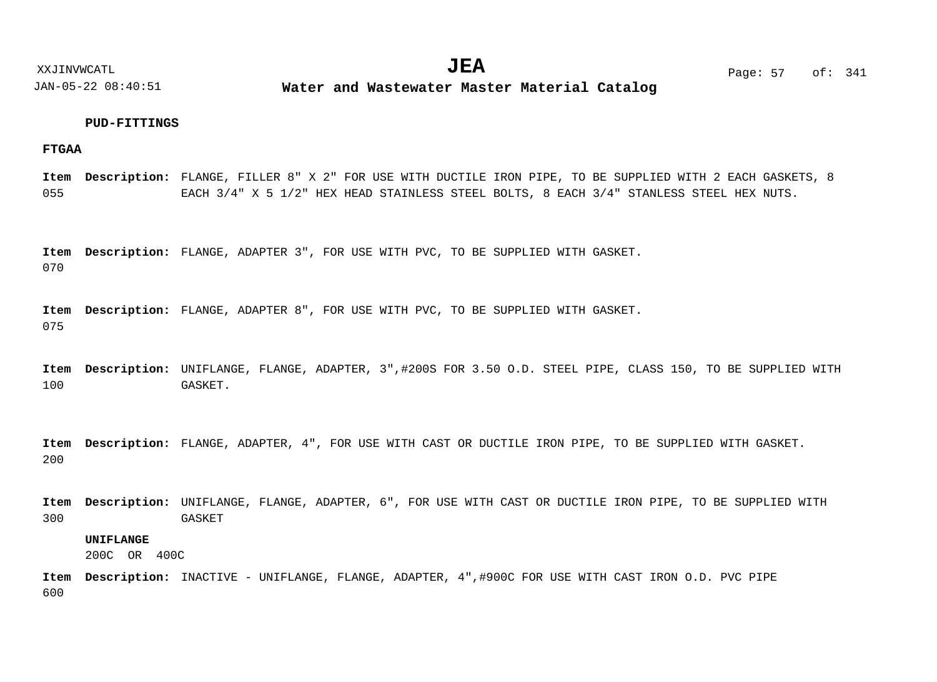**Water and Wastewater Master Material Catalog** 

#### **PUD-FITTINGS**

#### **FTGAA**

055 Item Description: FLANGE, FILLER 8" X 2" FOR USE WITH DUCTILE IRON PIPE, TO BE SUPPLIED WITH 2 EACH GASKETS, 8 EACH 3/4" X 5 1/2" HEX HEAD STAINLESS STEEL BOLTS, 8 EACH 3/4" STANLESS STEEL HEX NUTS.

070 Item Description: FLANGE, ADAPTER 3", FOR USE WITH PVC, TO BE SUPPLIED WITH GASKET.

075 Item Description: FLANGE, ADAPTER 8", FOR USE WITH PVC, TO BE SUPPLIED WITH GASKET.

100 Item Description: UNIFLANGE, FLANGE, ADAPTER, 3",#200S FOR 3.50 O.D. STEEL PIPE, CLASS 150, TO BE SUPPLIED WITH GASKET.

200 Item Description: FLANGE, ADAPTER, 4", FOR USE WITH CAST OR DUCTILE IRON PIPE, TO BE SUPPLIED WITH GASKET.

300 Item Description: UNIFLANGE, FLANGE, ADAPTER, 6", FOR USE WITH CAST OR DUCTILE IRON PIPE, TO BE SUPPLIED WITH **GASKET** 

## **UNIFLANGE**

200C OR 400C

600 Item Description: INACTIVE - UNIFLANGE, FLANGE, ADAPTER, 4",#900C FOR USE WITH CAST IRON O.D. PVC PIPE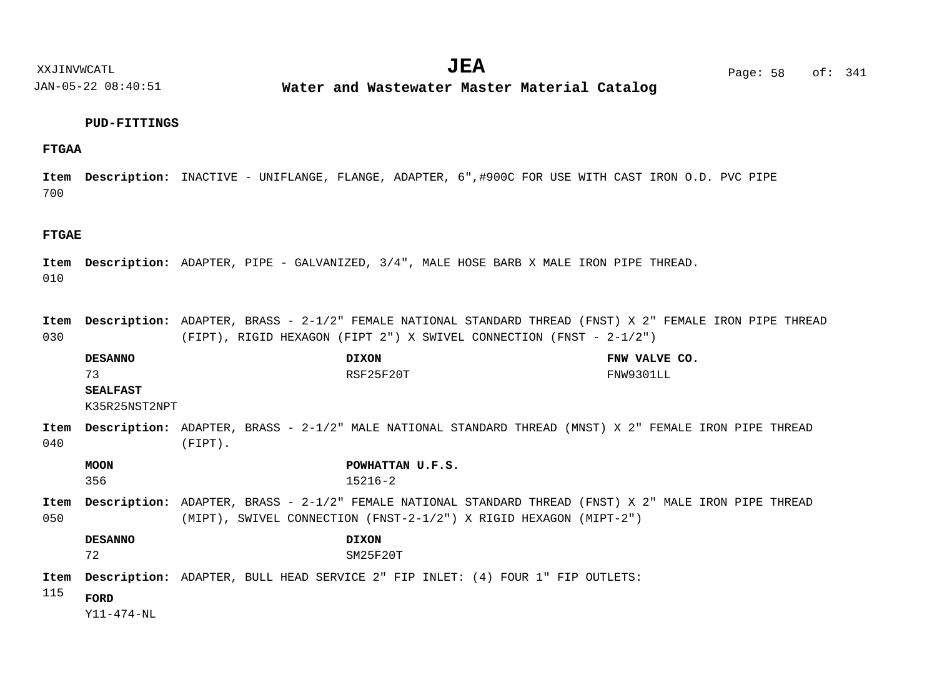**Water and Wastewater Master Material Catalog** 

#### **PUD-FITTINGS**

## **FTGAA**

700 Item Description: INACTIVE - UNIFLANGE, FLANGE, ADAPTER, 6",#900C FOR USE WITH CAST IRON O.D. PVC PIPE

#### **FTGAE**

010 Item Description: ADAPTER, PIPE - GALVANIZED, 3/4", MALE HOSE BARB X MALE IRON PIPE THREAD.

030 Item Description: ADAPTER, BRASS - 2-1/2" FEMALE NATIONAL STANDARD THREAD (FNST) X 2" FEMALE IRON PIPE THREAD (FIPT), RIGID HEXAGON (FIPT 2") X SWIVEL CONNECTION (FNST - 2-1/2")

|             | <b>DESANNO</b>  |            | <b>DIXON</b>                                                                                                  | FNW VALVE CO. |
|-------------|-----------------|------------|---------------------------------------------------------------------------------------------------------------|---------------|
|             | 73              |            | RSF25F20T                                                                                                     | FNW9301LL     |
|             | <b>SEALFAST</b> |            |                                                                                                               |               |
|             | K35R25NST2NPT   |            |                                                                                                               |               |
| Item        |                 |            | <b>Description:</b> ADAPTER, BRASS - 2-1/2" MALE NATIONAL STANDARD THREAD (MNST) X 2" FEMALE IRON PIPE THREAD |               |
| 040         |                 | $(FIPT)$ . |                                                                                                               |               |
|             | <b>MOON</b>     |            | POWHATTAN U.F.S.                                                                                              |               |
|             | 356             |            | $15216 - 2$                                                                                                   |               |
| Item        |                 |            | <b>Description:</b> ADAPTER, BRASS - 2-1/2" FEMALE NATIONAL STANDARD THREAD (FNST) X 2" MALE IRON PIPE THREAD |               |
| 050         |                 |            | (MIPT), SWIVEL CONNECTION (FNST-2-1/2") X RIGID HEXAGON (MIPT-2")                                             |               |
|             | <b>DESANNO</b>  |            | <b>DIXON</b>                                                                                                  |               |
|             | 72              |            | SM25F20T                                                                                                      |               |
| Item<br>115 |                 |            | <b>Description:</b> ADAPTER, BULL HEAD SERVICE 2" FIP INLET: (4) FOUR 1" FIP OUTLETS:                         |               |
|             | FORD            |            |                                                                                                               |               |

Y11-474-NL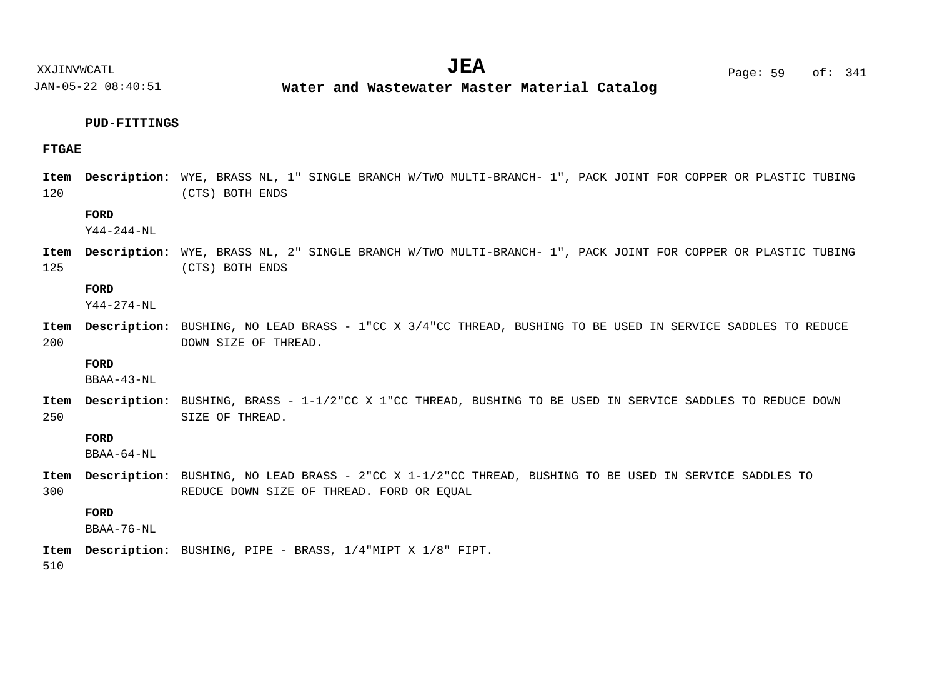**Water and Wastewater Master Material Catalog** 

### **PUD-FITTINGS**

### **FTGAE**

120 Item Description: WYE, BRASS NL, 1" SINGLE BRANCH W/TWO MULTI-BRANCH- 1", PACK JOINT FOR COPPER OR PLASTIC TUBING (CTS) BOTH ENDS

## **FORD**

Y44-244-NL

125 Item Description: WYE, BRASS NL, 2" SINGLE BRANCH W/TWO MULTI-BRANCH- 1", PACK JOINT FOR COPPER OR PLASTIC TUBING (CTS) BOTH ENDS

#### **FORD**

Y44-274-NL

200 Item Description: BUSHING, NO LEAD BRASS - 1"CC X 3/4"CC THREAD, BUSHING TO BE USED IN SERVICE SADDLES TO REDUCE DOWN SIZE OF THREAD.

#### **FORD**

BBAA-43-NL

250 Item Description: BUSHING, BRASS - 1-1/2"CC X 1"CC THREAD, BUSHING TO BE USED IN SERVICE SADDLES TO REDUCE DOWN SIZE OF THREAD.

#### **FORD**

BBAA-64-NL

300 Item Description: BUSHING, NO LEAD BRASS - 2"CC X 1-1/2"CC THREAD, BUSHING TO BE USED IN SERVICE SADDLES TO REDUCE DOWN SIZE OF THREAD. FORD OR EQUAL

## **FORD**

BBAA-76-NL

BUSHING, PIPE - BRASS, 1/4"MIPT X 1/8" FIPT. **Description: Item**

510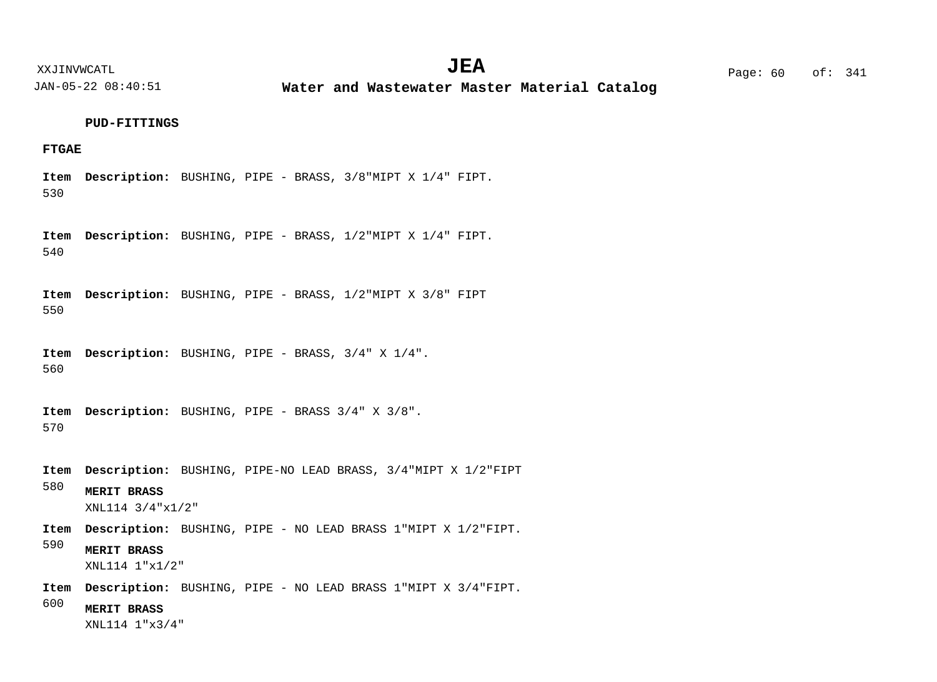**Water and Wastewater Master Material Catalog** 

#### **PUD-FITTINGS**

#### **FTGAE**

530 BUSHING, PIPE - BRASS, 3/8"MIPT X 1/4" FIPT. **Description: Item**

540 BUSHING, PIPE - BRASS, 1/2"MIPT X 1/4" FIPT. **Description: Item**

550 BUSHING, PIPE - BRASS, 1/2"MIPT X 3/8" FIPT **Description: Item**

560 BUSHING, PIPE - BRASS, 3/4" X 1/4". **Description: Item**

570 Item Description: BUSHING, PIPE - BRASS 3/4" X 3/8".

580 BUSHING, PIPE-NO LEAD BRASS, 3/4"MIPT X 1/2"FIPT **Description: Item MERIT BRASS**

XNL114 3/4"x1/2"

Item Description: BUSHING, PIPE - NO LEAD BRASS 1"MIPT X 1/2"FIPT.

590 **MERIT BRASS** XNL114 1"x1/2"

Item Description: BUSHING, PIPE - NO LEAD BRASS 1"MIPT X 3/4"FIPT.

600 **MERIT BRASS**

XNL114 1"x3/4"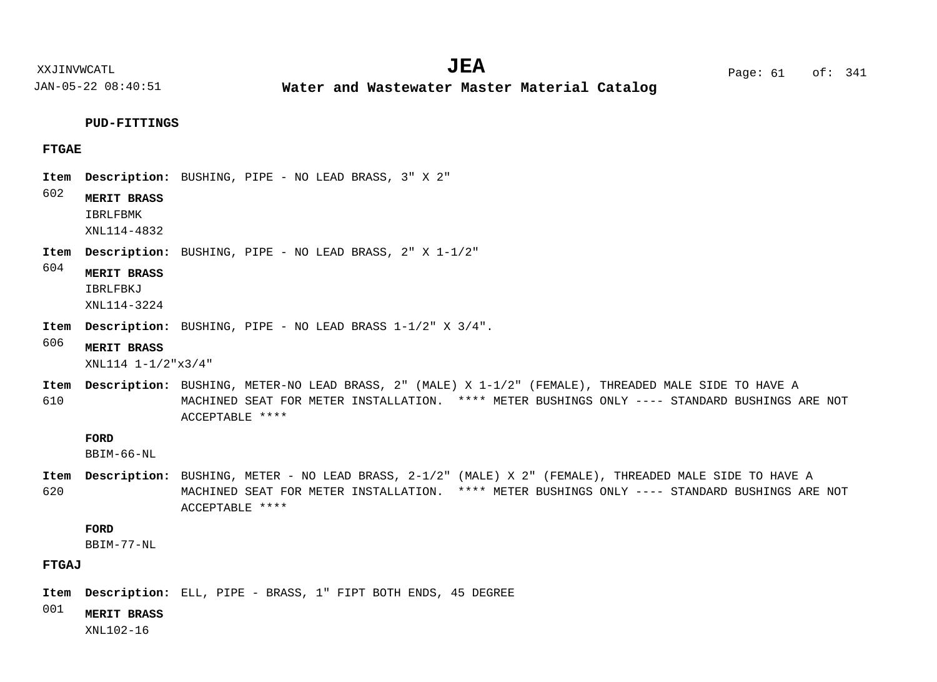XXJINVWCATL **EXALL** Page: 61 of:  $JEA$   $Page: 61$  of: 341

JAN-05-22 08:40:51

**Water and Wastewater Master Material Catalog** 

#### **PUD-FITTINGS**

### **FTGAE**

- Item Description: BUSHING, PIPE NO LEAD BRASS, 3" X 2"
- 602 **MERIT BRASS**

IBRLFBMK XNL114-4832

Item Description: BUSHING, PIPE - NO LEAD BRASS, 2" X 1-1/2"

604 **MERIT BRASS**

IBRLFBKJ

XNL114-3224

BUSHING, PIPE - NO LEAD BRASS 1-1/2" X 3/4". **Description: Item**

606 **MERIT BRASS**

XNL114 1-1/2"x3/4"

610 Item Description: BUSHING, METER-NO LEAD BRASS, 2" (MALE) X 1-1/2" (FEMALE), THREADED MALE SIDE TO HAVE A MACHINED SEAT FOR METER INSTALLATION. \*\*\*\* METER BUSHINGS ONLY ---- STANDARD BUSHINGS ARE NOT ACCEPTABLE \*\*\*\*

#### **FORD**

BBIM-66-NL

620 Item Description: BUSHING, METER - NO LEAD BRASS, 2-1/2" (MALE) X 2" (FEMALE), THREADED MALE SIDE TO HAVE A MACHINED SEAT FOR METER INSTALLATION. \*\*\*\* METER BUSHINGS ONLY ---- STANDARD BUSHINGS ARE NOT ACCEPTABLE \*\*\*\*

## **FORD**

BBIM-77-NL

## **FTGAJ**

Item Description: ELL, PIPE - BRASS, 1" FIPT BOTH ENDS, 45 DEGREE

001

**MERIT BRASS**

XNL102-16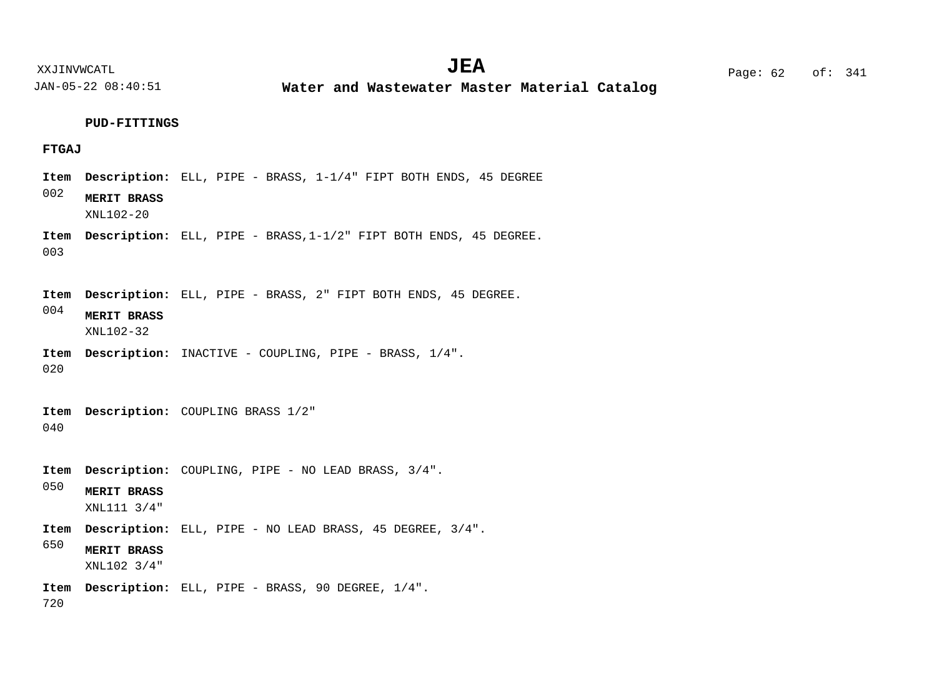**Water and Wastewater Master Material Catalog** 

**PUD-FITTINGS**

### **FTGAJ**

002 003 004 020 040 050 650 720 Item Description: ELL, PIPE - BRASS, 1-1/4" FIPT BOTH ENDS, 45 DEGREE Item Description: ELL, PIPE - BRASS, 1-1/2" FIPT BOTH ENDS, 45 DEGREE. Item Description: ELL, PIPE - BRASS, 2" FIPT BOTH ENDS, 45 DEGREE. Item Description: INACTIVE - COUPLING, PIPE - BRASS, 1/4". Item Description: COUPLING BRASS 1/2" Item Description: COUPLING, PIPE - NO LEAD BRASS, 3/4". Item Description: ELL, PIPE - NO LEAD BRASS, 45 DEGREE, 3/4". Item Description: ELL, PIPE - BRASS, 90 DEGREE, 1/4". **MERIT BRASS MERIT BRASS MERIT BRASS MERIT BRASS** XNL102-20 XNL102-32 XNL111 3/4" XNL102 3/4"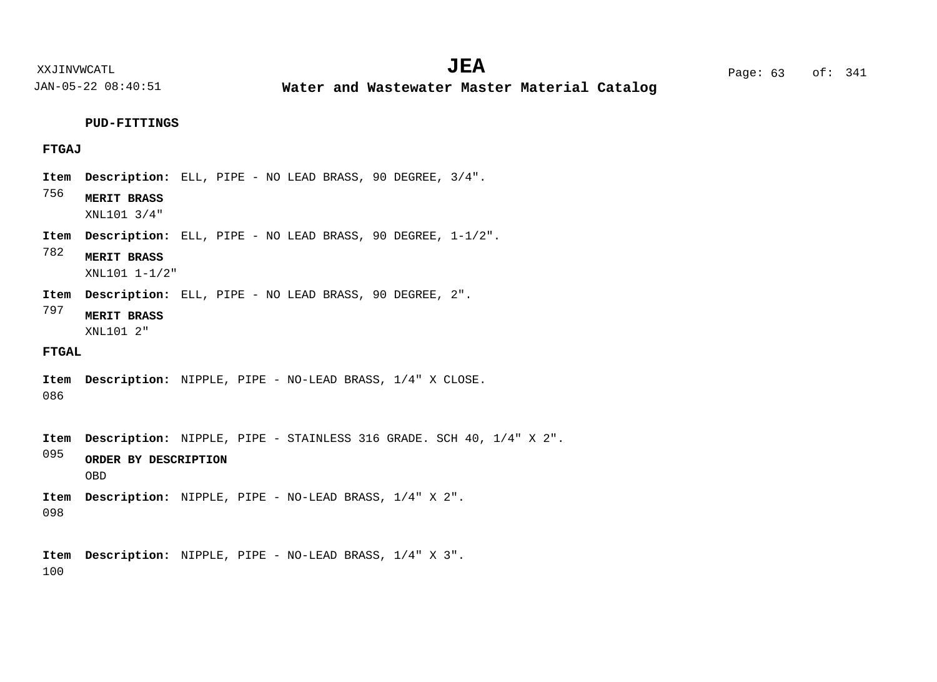**Water and Wastewater Master Material Catalog** 

**PUD-FITTINGS**

### **FTGAJ**

- Item Description: ELL, PIPE NO LEAD BRASS, 90 DEGREE, 3/4".
- 756 **MERIT BRASS**

XNL101 3/4"

- Item Description: ELL, PIPE NO LEAD BRASS, 90 DEGREE,  $1-1/2$ ".
- 782 **MERIT BRASS**

XNL101 1-1/2"

- Item Description: ELL, PIPE NO LEAD BRASS, 90 DEGREE, 2".
- 797 **MERIT BRASS**

XNL101 2"

#### **FTGAL**

- 086 Item Description: NIPPLE, PIPE - NO-LEAD BRASS, 1/4" X CLOSE.
- Item Description: NIPPLE, PIPE STAINLESS 316 GRADE. SCH 40, 1/4" X 2".
- 095 **ORDER BY DESCRIPTION** OBD
- 098 Item Description: NIPPLE, PIPE - NO-LEAD BRASS, 1/4" X 2".
- 100 Item Description: NIPPLE, PIPE - NO-LEAD BRASS, 1/4" X 3".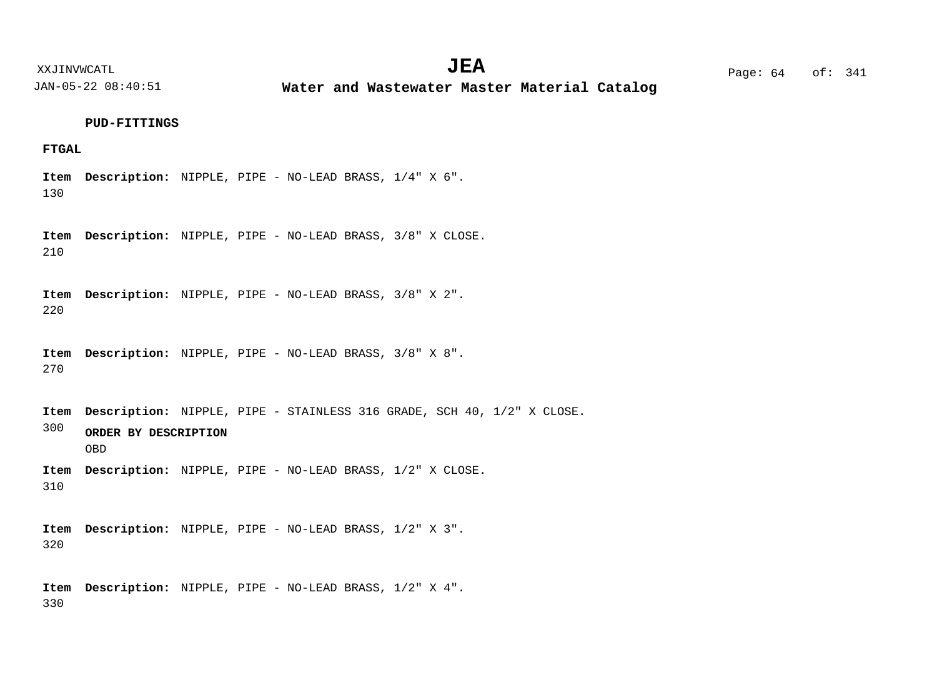**Water and Wastewater Master Material Catalog** 

**PUD-FITTINGS**

## **FTGAL**

130 Item Description: NIPPLE, PIPE - NO-LEAD BRASS,  $1/4$ " X 6".

210 Item Description: NIPPLE, PIPE - NO-LEAD BRASS, 3/8" X CLOSE.

220 Item Description: NIPPLE, PIPE - NO-LEAD BRASS, 3/8" X 2".

270 Item Description: NIPPLE, PIPE - NO-LEAD BRASS, 3/8" X 8".

300 Item Description: NIPPLE, PIPE - STAINLESS 316 GRADE, SCH 40, 1/2" X CLOSE. **ORDER BY DESCRIPTION** OBD

310 Item Description: NIPPLE, PIPE - NO-LEAD BRASS, 1/2" X CLOSE.

320 Item Description: NIPPLE, PIPE - NO-LEAD BRASS, 1/2" X 3".

330 Item Description: NIPPLE, PIPE - NO-LEAD BRASS,  $1/2$ " X 4".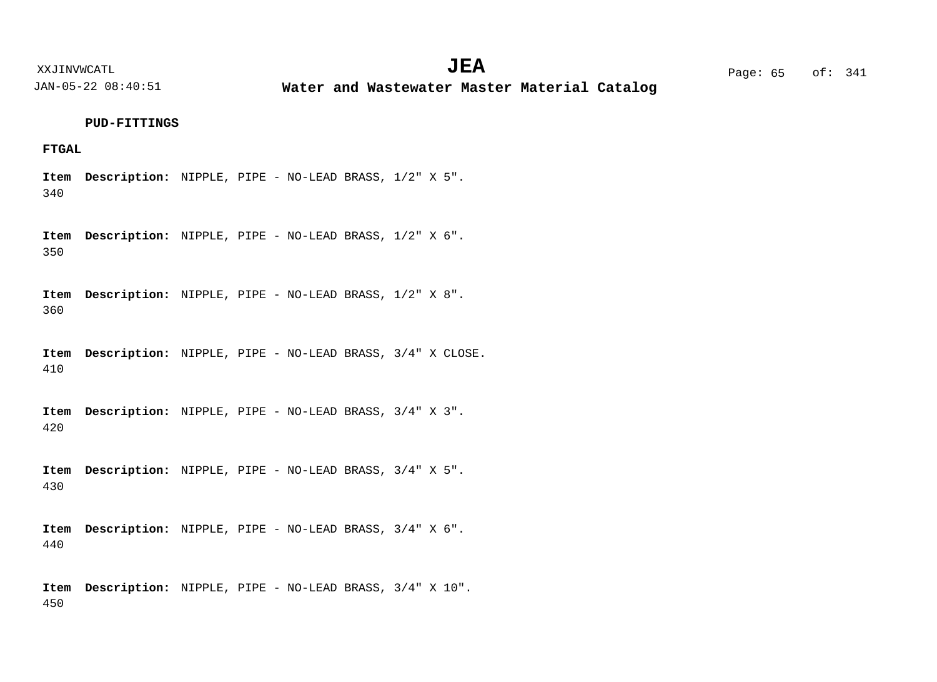**Water and Wastewater Master Material Catalog** 

**PUD-FITTINGS**

## **FTGAL**

340 Item Description: NIPPLE, PIPE - NO-LEAD BRASS, 1/2" X 5".

350 Item Description: NIPPLE, PIPE - NO-LEAD BRASS,  $1/2$ " X 6".

360 Item Description: NIPPLE, PIPE - NO-LEAD BRASS,  $1/2$ " X 8".

410 Item Description: NIPPLE, PIPE - NO-LEAD BRASS, 3/4" X CLOSE.

420 Item Description: NIPPLE, PIPE - NO-LEAD BRASS, 3/4" X 3".

430 Item Description: NIPPLE, PIPE - NO-LEAD BRASS, 3/4" X 5".

440 Item Description: NIPPLE, PIPE - NO-LEAD BRASS, 3/4" X 6".

450 Item Description: NIPPLE, PIPE - NO-LEAD BRASS, 3/4" X 10".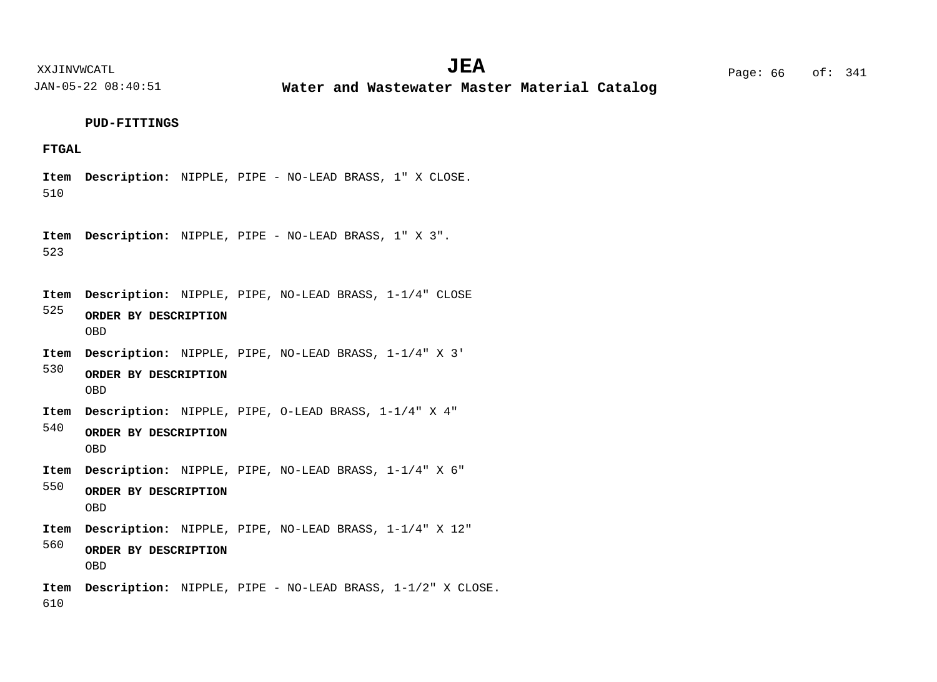**Water and Wastewater Master Material Catalog** 

**PUD-FITTINGS**

### **FTGAL**

510 Item Description: NIPPLE, PIPE - NO-LEAD BRASS, 1" X CLOSE.

523 Item Description: NIPPLE, PIPE - NO-LEAD BRASS, 1" X 3".

Item Description: NIPPLE, PIPE, NO-LEAD BRASS, 1-1/4" CLOSE

- 525 **ORDER BY DESCRIPTION** OBD
- Item Description: NIPPLE, PIPE, NO-LEAD BRASS, 1-1/4" X 3'

530 **ORDER BY DESCRIPTION** OBD

Item Description: NIPPLE, PIPE, O-LEAD BRASS, 1-1/4" X 4"

540 **ORDER BY DESCRIPTION** OBD

Item Description: NIPPLE, PIPE, NO-LEAD BRASS, 1-1/4" X 6"

550 **ORDER BY DESCRIPTION** OBD

Item Description: NIPPLE, PIPE, NO-LEAD BRASS, 1-1/4" X 12"

560 **ORDER BY DESCRIPTION** OBD

610 Item Description: NIPPLE, PIPE - NO-LEAD BRASS, 1-1/2" X CLOSE.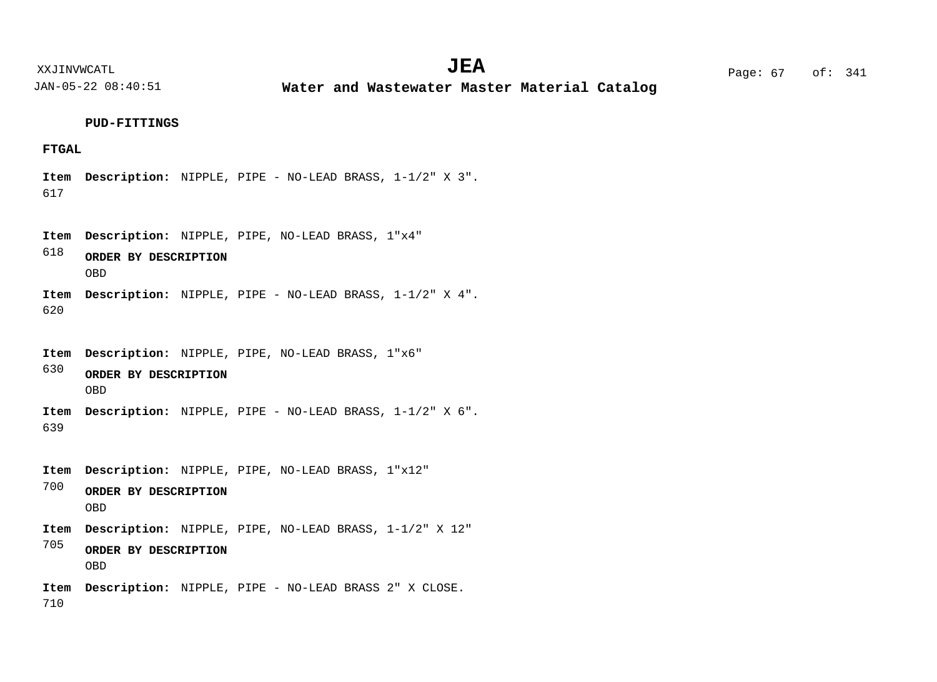**Water and Wastewater Master Material Catalog** 

**PUD-FITTINGS**

## **FTGAL**

617 Item Description: NIPPLE, PIPE - NO-LEAD BRASS, 1-1/2" X 3".

618 620 Item Description: NIPPLE, PIPE, NO-LEAD BRASS, 1"x4" Item Description: NIPPLE, PIPE - NO-LEAD BRASS, 1-1/2" X 4". **ORDER BY DESCRIPTION** OBD

Item Description: NIPPLE, PIPE, NO-LEAD BRASS, 1"x6"

630 **ORDER BY DESCRIPTION** OBD

639 Item Description: NIPPLE, PIPE - NO-LEAD BRASS, 1-1/2" X 6".

Item Description: NIPPLE, PIPE, NO-LEAD BRASS, 1"x12"

700 **ORDER BY DESCRIPTION** OBD

Item Description: NIPPLE, PIPE, NO-LEAD BRASS, 1-1/2" X 12"

705 **ORDER BY DESCRIPTION** OBD

710 Item Description: NIPPLE, PIPE - NO-LEAD BRASS 2" X CLOSE.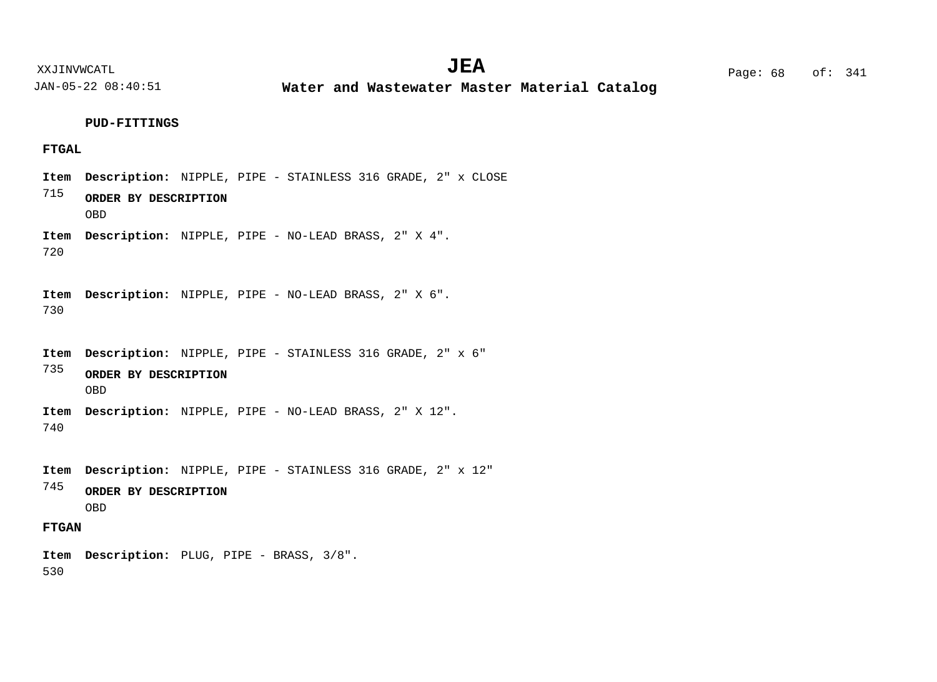**Water and Wastewater Master Material Catalog** 

**PUD-FITTINGS**

## **FTGAL**

**FTGAN** 715 720 730 735 740 745 Item Description: NIPPLE, PIPE - STAINLESS 316 GRADE, 2" x CLOSE Item Description: NIPPLE, PIPE - NO-LEAD BRASS, 2" X 4". Item Description: NIPPLE, PIPE - NO-LEAD BRASS, 2" X 6". Item Description: NIPPLE, PIPE - STAINLESS 316 GRADE, 2" x 6" Item Description: NIPPLE, PIPE - NO-LEAD BRASS, 2" X 12". Item Description: NIPPLE, PIPE - STAINLESS 316 GRADE, 2" x 12" **ORDER BY DESCRIPTION ORDER BY DESCRIPTION ORDER BY DESCRIPTION** OBD OBD OBD

530 Item Description: PLUG, PIPE - BRASS, 3/8".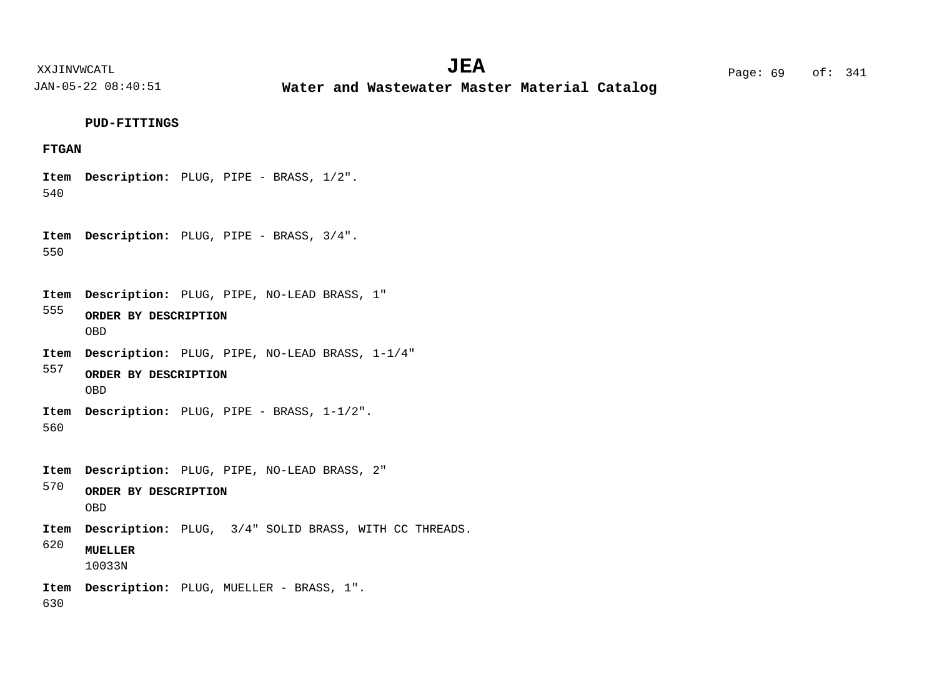XXJINVWCATL Page: 69 of: **JEA**<sup>341</sup>

JAN-05-22 08:40:51

**Water and Wastewater Master Material Catalog** 

#### **PUD-FITTINGS**

## **FTGAN**

540 Item Description: PLUG, PIPE - BRASS, 1/2".

550 Item Description: PLUG, PIPE - BRASS, 3/4".

555 Item Description: PLUG, PIPE, NO-LEAD BRASS, 1"

- **ORDER BY DESCRIPTION** OBD
- Item Description: PLUG, PIPE, NO-LEAD BRASS, 1-1/4"
- 557 **ORDER BY DESCRIPTION** OBD

560 Item Description: PLUG, PIPE - BRASS, 1-1/2".

Item Description: PLUG, PIPE, NO-LEAD BRASS, 2"

570 **ORDER BY DESCRIPTION** OBD

Item Description: PLUG,  $3/4$ " SOLID BRASS, WITH CC THREADS.

620 **MUELLER**

10033N

Item Description: PLUG, MUELLER - BRASS, 1".

630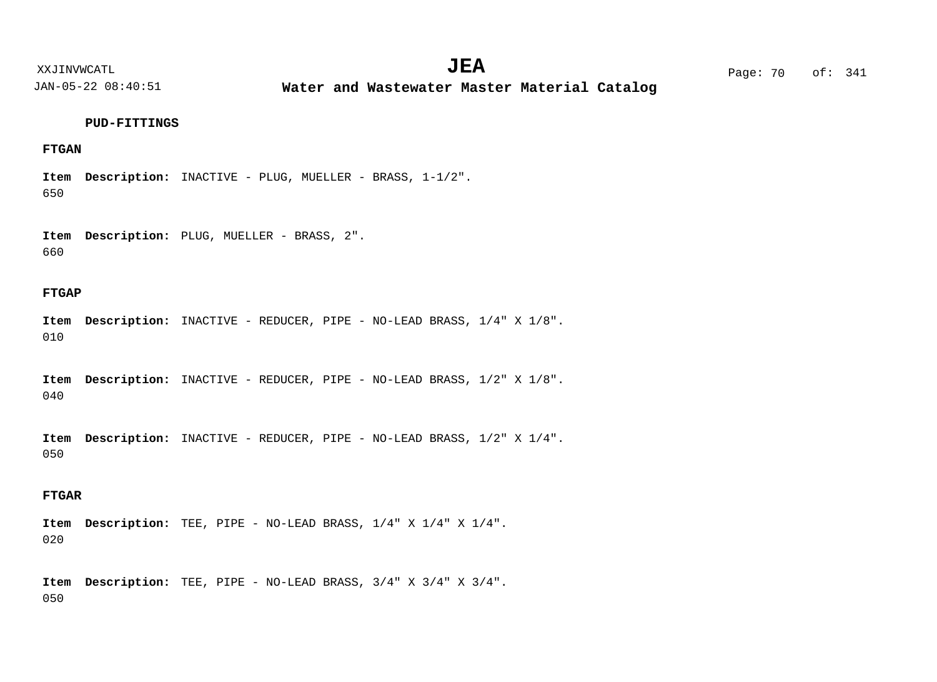**Water and Wastewater Master Material Catalog** 

#### **PUD-FITTINGS**

## **FTGAN**

650 Item Description: INACTIVE - PLUG, MUELLER - BRASS, 1-1/2".

660 Item Description: PLUG, MUELLER - BRASS, 2".

#### **FTGAP**

010 Item Description: INACTIVE - REDUCER, PIPE - NO-LEAD BRASS, 1/4" X 1/8".

040 Item Description: INACTIVE - REDUCER, PIPE - NO-LEAD BRASS, 1/2" X 1/8".

050 Item Description: INACTIVE - REDUCER, PIPE - NO-LEAD BRASS, 1/2" X 1/4".

## **FTGAR**

020 TEE, PIPE - NO-LEAD BRASS, 1/4" X 1/4" X 1/4". **Description: Item**

050 TEE, PIPE - NO-LEAD BRASS, 3/4" X 3/4" X 3/4". **Description: Item**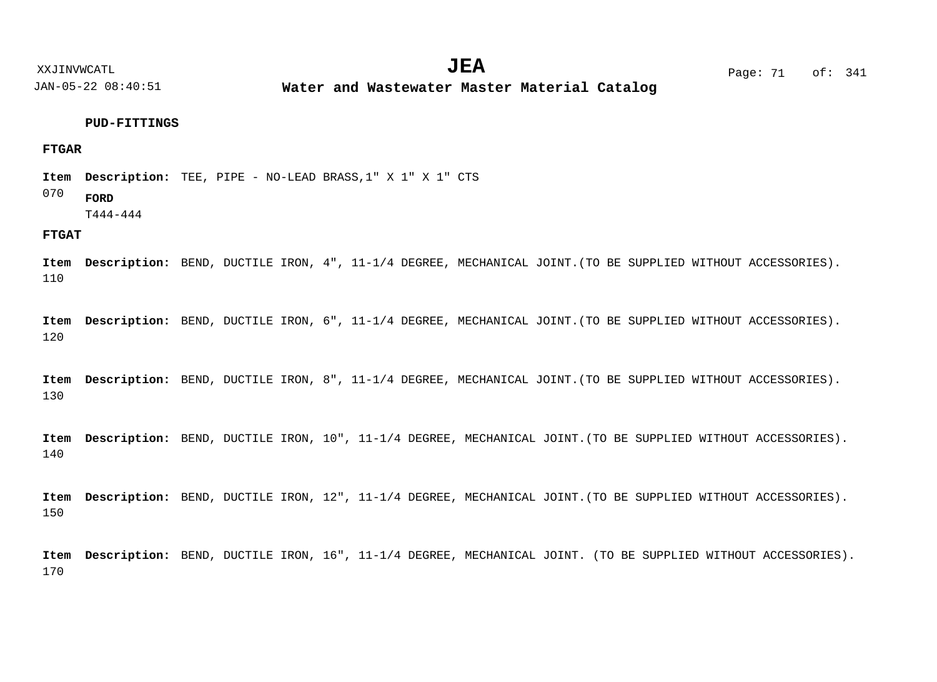**Water and Wastewater Master Material Catalog** 

#### **PUD-FITTINGS**

## **FTGAR**

TEE, PIPE - NO-LEAD BRASS,1" X 1" X 1" CTS **Description: Item**

#### 070 **FORD**

T444-444

## **FTGAT**

110 Item Description: BEND, DUCTILE IRON, 4", 11-1/4 DEGREE, MECHANICAL JOINT.(TO BE SUPPLIED WITHOUT ACCESSORIES).

120 Item Description: BEND, DUCTILE IRON, 6", 11-1/4 DEGREE, MECHANICAL JOINT.(TO BE SUPPLIED WITHOUT ACCESSORIES).

130 Item Description: BEND, DUCTILE IRON, 8", 11-1/4 DEGREE, MECHANICAL JOINT.(TO BE SUPPLIED WITHOUT ACCESSORIES).

140 Item Description: BEND, DUCTILE IRON, 10", 11-1/4 DEGREE, MECHANICAL JOINT. (TO BE SUPPLIED WITHOUT ACCESSORIES).

150 Item Description: BEND, DUCTILE IRON, 12", 11-1/4 DEGREE, MECHANICAL JOINT. (TO BE SUPPLIED WITHOUT ACCESSORIES).

170 Item Description: BEND, DUCTILE IRON, 16", 11-1/4 DEGREE, MECHANICAL JOINT. (TO BE SUPPLIED WITHOUT ACCESSORIES).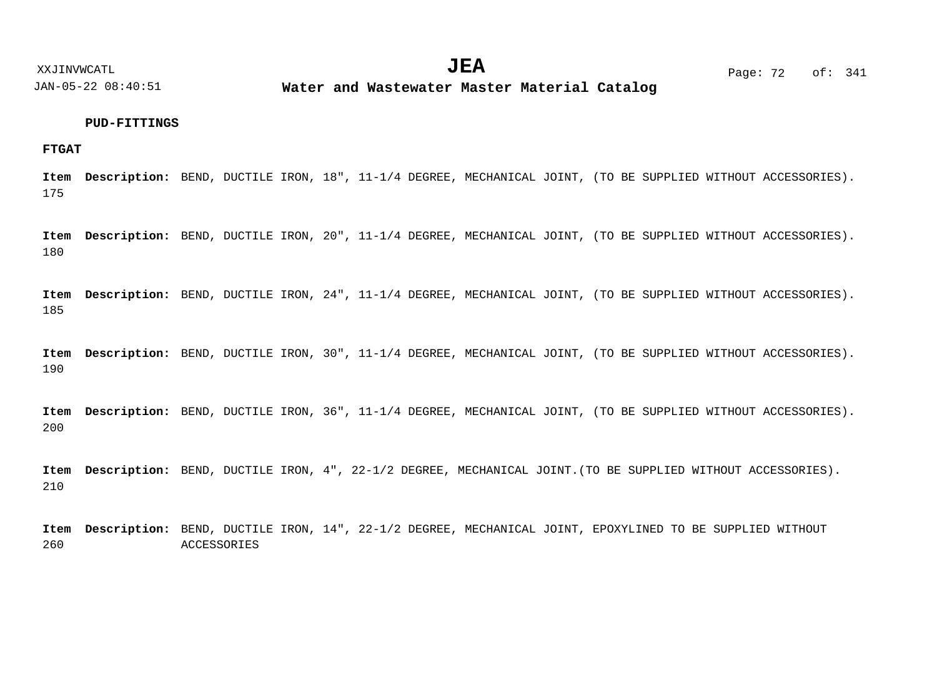**Water and Wastewater Master Material Catalog** 

## **PUD-FITTINGS**

#### **FTGAT**

175 Item Description: BEND, DUCTILE IRON, 18", 11-1/4 DEGREE, MECHANICAL JOINT, (TO BE SUPPLIED WITHOUT ACCESSORIES).

180 Item Description: BEND, DUCTILE IRON, 20", 11-1/4 DEGREE, MECHANICAL JOINT, (TO BE SUPPLIED WITHOUT ACCESSORIES).

185 Item Description: BEND, DUCTILE IRON, 24", 11-1/4 DEGREE, MECHANICAL JOINT, (TO BE SUPPLIED WITHOUT ACCESSORIES).

190 Item Description: BEND, DUCTILE IRON, 30", 11-1/4 DEGREE, MECHANICAL JOINT, (TO BE SUPPLIED WITHOUT ACCESSORIES).

200 Item Description: BEND, DUCTILE IRON, 36", 11-1/4 DEGREE, MECHANICAL JOINT, (TO BE SUPPLIED WITHOUT ACCESSORIES).

210 Item Description: BEND, DUCTILE IRON, 4", 22-1/2 DEGREE, MECHANICAL JOINT.(TO BE SUPPLIED WITHOUT ACCESSORIES).

260 Item Description: BEND, DUCTILE IRON, 14", 22-1/2 DEGREE, MECHANICAL JOINT, EPOXYLINED TO BE SUPPLIED WITHOUT ACCESSORIES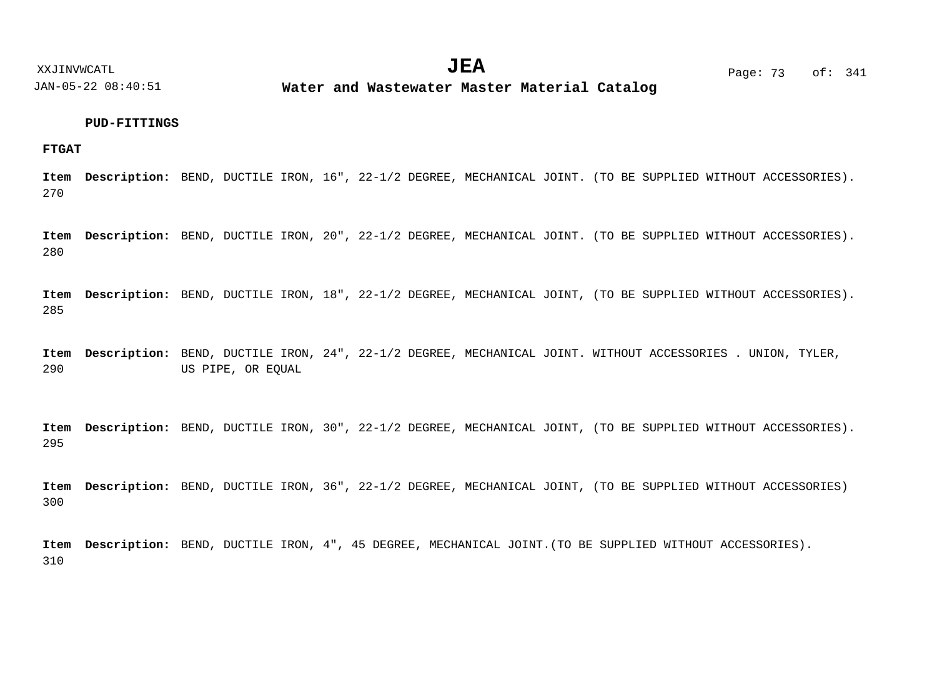**Water and Wastewater Master Material Catalog** 

**FTGAT**

270 Item Description: BEND, DUCTILE IRON, 16", 22-1/2 DEGREE, MECHANICAL JOINT. (TO BE SUPPLIED WITHOUT ACCESSORIES).

280 Item Description: BEND, DUCTILE IRON, 20", 22-1/2 DEGREE, MECHANICAL JOINT. (TO BE SUPPLIED WITHOUT ACCESSORIES).

285 Item Description: BEND, DUCTILE IRON, 18", 22-1/2 DEGREE, MECHANICAL JOINT, (TO BE SUPPLIED WITHOUT ACCESSORIES).

290 Item Description: BEND, DUCTILE IRON, 24", 22-1/2 DEGREE, MECHANICAL JOINT. WITHOUT ACCESSORIES . UNION, TYLER, US PIPE, OR EQUAL

295 Item Description: BEND, DUCTILE IRON, 30", 22-1/2 DEGREE, MECHANICAL JOINT, (TO BE SUPPLIED WITHOUT ACCESSORIES).

300 Item Description: BEND, DUCTILE IRON, 36", 22-1/2 DEGREE, MECHANICAL JOINT, (TO BE SUPPLIED WITHOUT ACCESSORIES)

310 Item Description: BEND, DUCTILE IRON, 4", 45 DEGREE, MECHANICAL JOINT. (TO BE SUPPLIED WITHOUT ACCESSORIES).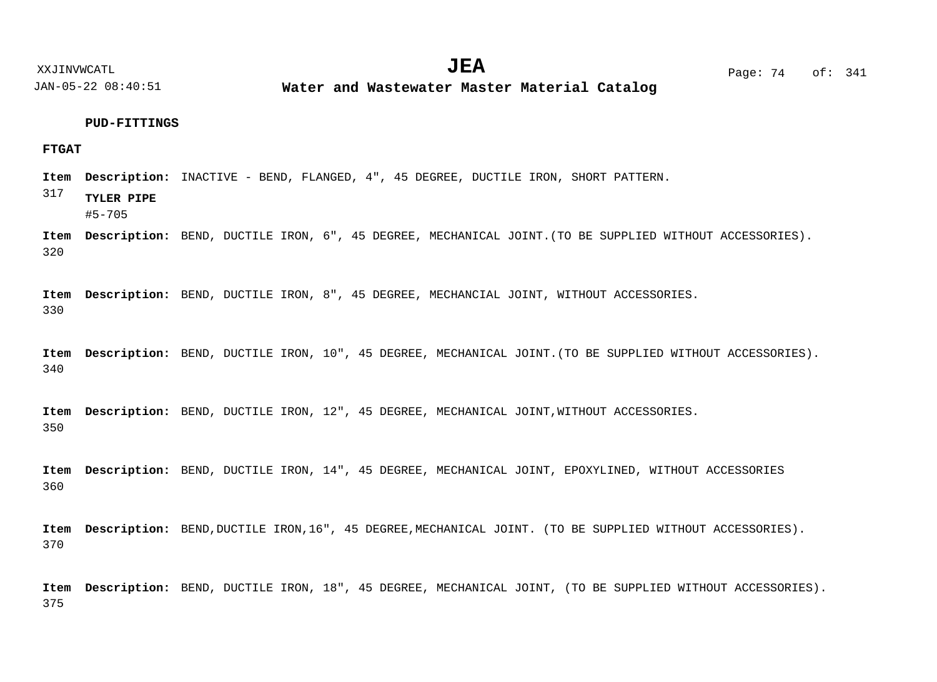**Water and Wastewater Master Material Catalog** 

## **PUD-FITTINGS**

## **FTGAT**

Item Description: INACTIVE - BEND, FLANGED, 4", 45 DEGREE, DUCTILE IRON, SHORT PATTERN.

317 **TYLER PIPE**

#5-705

320 Item Description: BEND, DUCTILE IRON, 6", 45 DEGREE, MECHANICAL JOINT. (TO BE SUPPLIED WITHOUT ACCESSORIES).

330 Item Description: BEND, DUCTILE IRON, 8", 45 DEGREE, MECHANCIAL JOINT, WITHOUT ACCESSORIES.

340 Item Description: BEND, DUCTILE IRON, 10", 45 DEGREE, MECHANICAL JOINT. (TO BE SUPPLIED WITHOUT ACCESSORIES).

350 Item Description: BEND, DUCTILE IRON, 12", 45 DEGREE, MECHANICAL JOINT, WITHOUT ACCESSORIES.

360 Item Description: BEND, DUCTILE IRON, 14", 45 DEGREE, MECHANICAL JOINT, EPOXYLINED, WITHOUT ACCESSORIES

370 Item Description: BEND, DUCTILE IRON, 16", 45 DEGREE, MECHANICAL JOINT. (TO BE SUPPLIED WITHOUT ACCESSORIES).

375 Item Description: BEND, DUCTILE IRON, 18", 45 DEGREE, MECHANICAL JOINT, (TO BE SUPPLIED WITHOUT ACCESSORIES).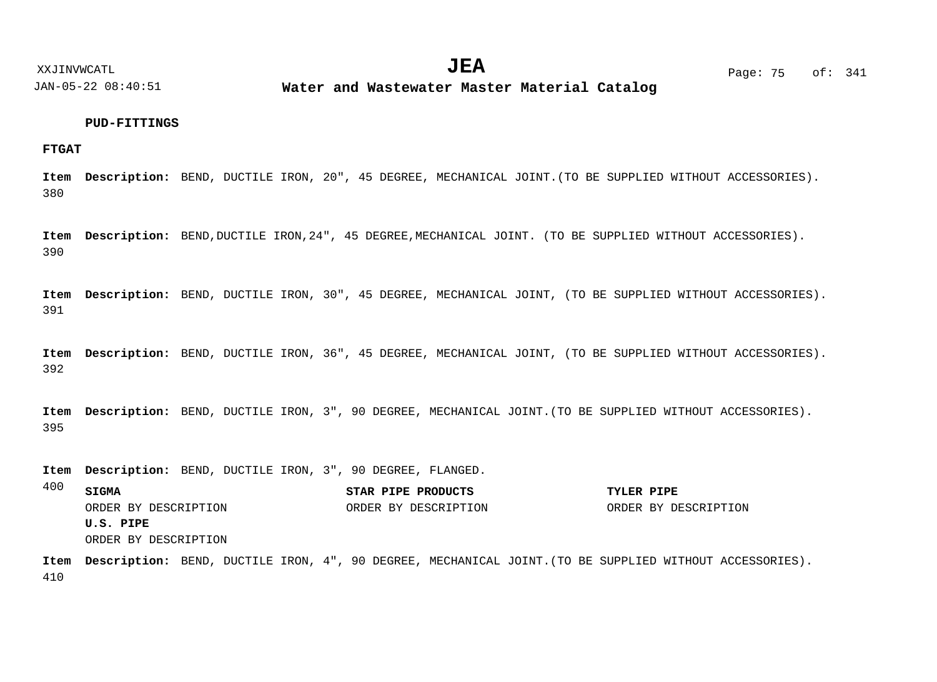**Water and Wastewater Master Material Catalog** 

## **PUD-FITTINGS**

**FTGAT**

380 Item Description: BEND, DUCTILE IRON, 20", 45 DEGREE, MECHANICAL JOINT. (TO BE SUPPLIED WITHOUT ACCESSORIES).

390 Item Description: BEND, DUCTILE IRON, 24", 45 DEGREE, MECHANICAL JOINT. (TO BE SUPPLIED WITHOUT ACCESSORIES).

391 Item Description: BEND, DUCTILE IRON, 30", 45 DEGREE, MECHANICAL JOINT, (TO BE SUPPLIED WITHOUT ACCESSORIES).

392 Item Description: BEND, DUCTILE IRON, 36", 45 DEGREE, MECHANICAL JOINT, (TO BE SUPPLIED WITHOUT ACCESSORIES).

395 Item Description: BEND, DUCTILE IRON, 3", 90 DEGREE, MECHANICAL JOINT. (TO BE SUPPLIED WITHOUT ACCESSORIES).

Item Description: BEND, DUCTILE IRON, 3", 90 DEGREE, FLANGED.

400 **SIGMA STAR PIPE PRODUCTS TYLER PIPE U.S. PIPE** ORDER BY DESCRIPTION ORDER BY DESCRIPTION ORDER BY DESCRIPTION ORDER BY DESCRIPTION

410 Item Description: BEND, DUCTILE IRON, 4", 90 DEGREE, MECHANICAL JOINT. (TO BE SUPPLIED WITHOUT ACCESSORIES).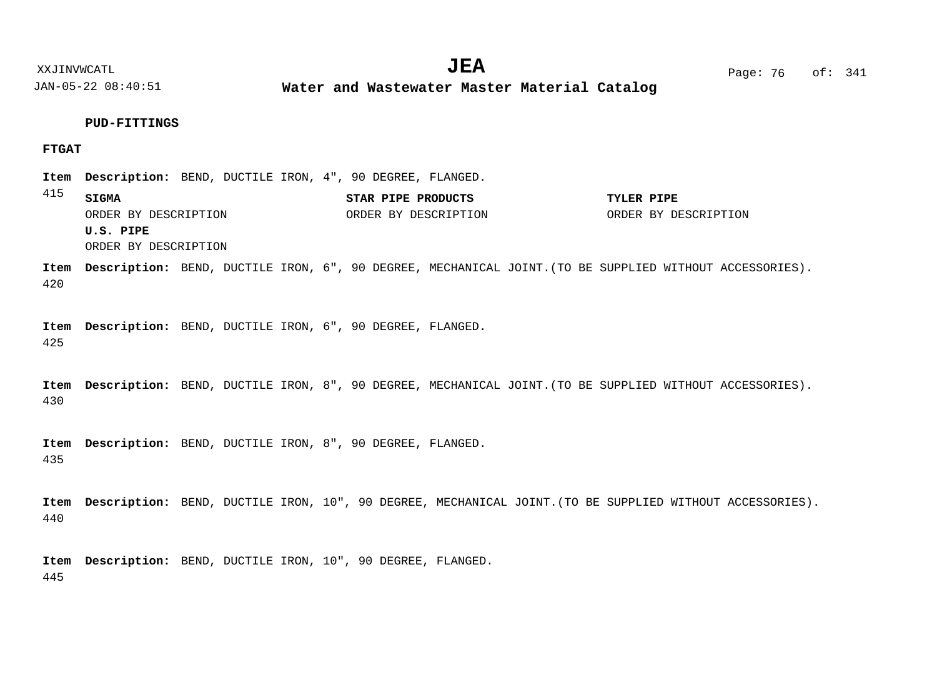**Water and Wastewater Master Material Catalog** 

**PUD-FITTINGS**

## **FTGAT**

Item Description: BEND, DUCTILE IRON, 4", 90 DEGREE, FLANGED.

| 415 | SIGMA                | STAR PIPE PRODUCTS   | TYLER PIPE           |  |
|-----|----------------------|----------------------|----------------------|--|
|     | ORDER BY DESCRIPTION | ORDER BY DESCRIPTION | ORDER BY DESCRIPTION |  |
|     | U.S. PIPE            |                      |                      |  |

ORDER BY DESCRIPTION

420 Item Description: BEND, DUCTILE IRON, 6", 90 DEGREE, MECHANICAL JOINT. (TO BE SUPPLIED WITHOUT ACCESSORIES).

425 Item Description: BEND, DUCTILE IRON, 6", 90 DEGREE, FLANGED.

430 Item Description: BEND, DUCTILE IRON, 8", 90 DEGREE, MECHANICAL JOINT. (TO BE SUPPLIED WITHOUT ACCESSORIES).

435 Item Description: BEND, DUCTILE IRON, 8", 90 DEGREE, FLANGED.

440 Item Description: BEND, DUCTILE IRON, 10", 90 DEGREE, MECHANICAL JOINT. (TO BE SUPPLIED WITHOUT ACCESSORIES).

445 Item Description: BEND, DUCTILE IRON, 10", 90 DEGREE, FLANGED.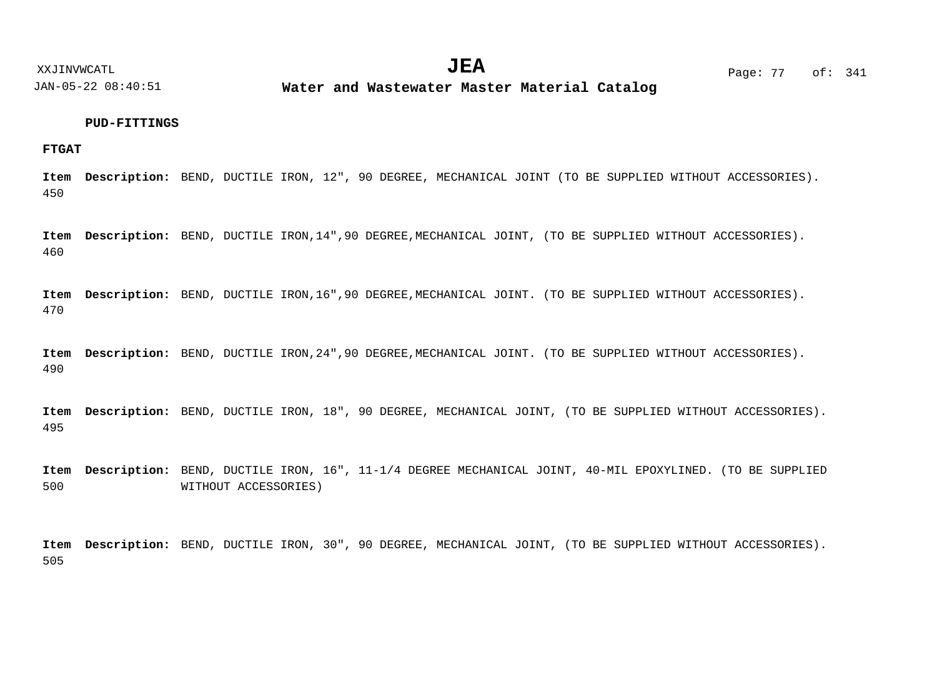**Water and Wastewater Master Material Catalog** 

## **PUD-FITTINGS**

**FTGAT**

450 Item Description: BEND, DUCTILE IRON, 12", 90 DEGREE, MECHANICAL JOINT (TO BE SUPPLIED WITHOUT ACCESSORIES).

460 Item Description: BEND, DUCTILE IRON, 14", 90 DEGREE, MECHANICAL JOINT, (TO BE SUPPLIED WITHOUT ACCESSORIES).

470 Item Description: BEND, DUCTILE IRON,16",90 DEGREE,MECHANICAL JOINT. (TO BE SUPPLIED WITHOUT ACCESSORIES).

490 Item Description: BEND, DUCTILE IRON, 24", 90 DEGREE, MECHANICAL JOINT. (TO BE SUPPLIED WITHOUT ACCESSORIES).

495 Item Description: BEND, DUCTILE IRON, 18", 90 DEGREE, MECHANICAL JOINT, (TO BE SUPPLIED WITHOUT ACCESSORIES).

500 Item Description: BEND, DUCTILE IRON, 16", 11-1/4 DEGREE MECHANICAL JOINT, 40-MIL EPOXYLINED. (TO BE SUPPLIED WITHOUT ACCESSORIES)

505 Item Description: BEND, DUCTILE IRON, 30", 90 DEGREE, MECHANICAL JOINT, (TO BE SUPPLIED WITHOUT ACCESSORIES).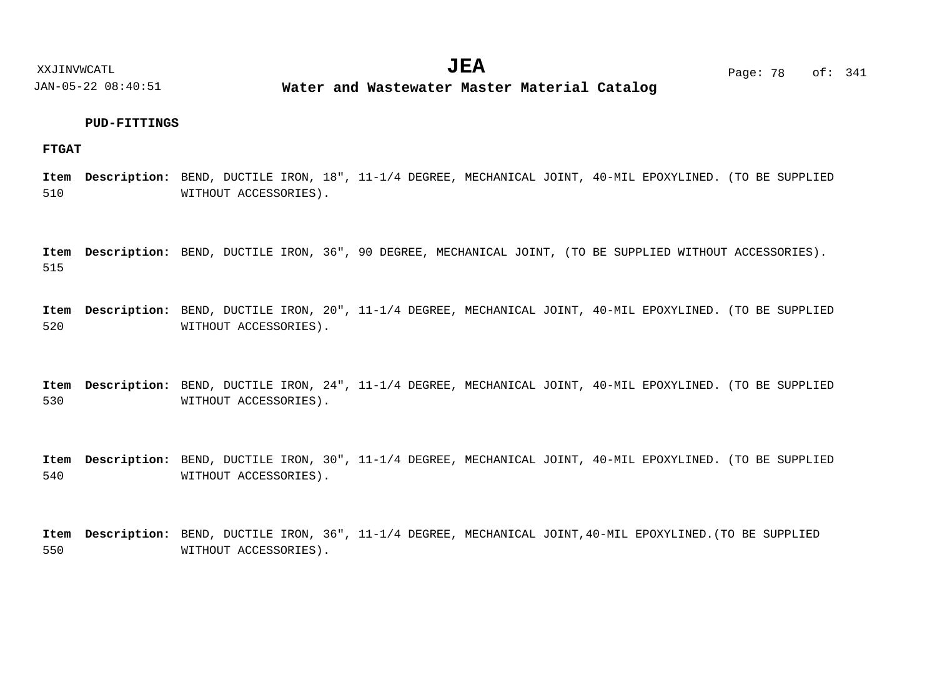**Water and Wastewater Master Material Catalog** 

## **PUD-FITTINGS**

## **FTGAT**

510 Item Description: BEND, DUCTILE IRON, 18", 11-1/4 DEGREE, MECHANICAL JOINT, 40-MIL EPOXYLINED. (TO BE SUPPLIED WITHOUT ACCESSORIES).

515 Item Description: BEND, DUCTILE IRON, 36", 90 DEGREE, MECHANICAL JOINT, (TO BE SUPPLIED WITHOUT ACCESSORIES).

520 Item Description: BEND, DUCTILE IRON, 20", 11-1/4 DEGREE, MECHANICAL JOINT, 40-MIL EPOXYLINED. (TO BE SUPPLIED WITHOUT ACCESSORIES).

530 Item Description: BEND, DUCTILE IRON, 24", 11-1/4 DEGREE, MECHANICAL JOINT, 40-MIL EPOXYLINED. (TO BE SUPPLIED WITHOUT ACCESSORIES).

540 Item Description: BEND, DUCTILE IRON, 30", 11-1/4 DEGREE, MECHANICAL JOINT, 40-MIL EPOXYLINED. (TO BE SUPPLIED WITHOUT ACCESSORIES).

550 Item Description: BEND, DUCTILE IRON, 36", 11-1/4 DEGREE, MECHANICAL JOINT,40-MIL EPOXYLINED.(TO BE SUPPLIED WITHOUT ACCESSORIES).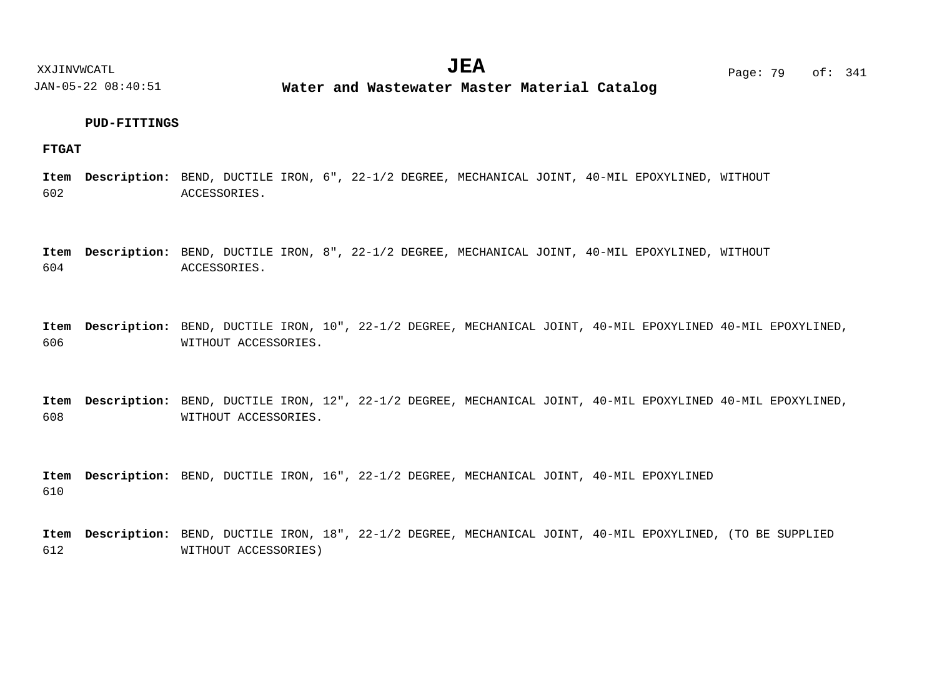**Water and Wastewater Master Material Catalog** 

## **PUD-FITTINGS**

## **FTGAT**

602 Item Description: BEND, DUCTILE IRON, 6", 22-1/2 DEGREE, MECHANICAL JOINT, 40-MIL EPOXYLINED, WITHOUT ACCESSORIES.

604 Item Description: BEND, DUCTILE IRON, 8", 22-1/2 DEGREE, MECHANICAL JOINT, 40-MIL EPOXYLINED, WITHOUT ACCESSORIES.

606 Item Description: BEND, DUCTILE IRON, 10", 22-1/2 DEGREE, MECHANICAL JOINT, 40-MIL EPOXYLINED 40-MIL EPOXYLINED, WITHOUT ACCESSORIES.

608 Item Description: BEND, DUCTILE IRON, 12", 22-1/2 DEGREE, MECHANICAL JOINT, 40-MIL EPOXYLINED 40-MIL EPOXYLINED, WITHOUT ACCESSORIES.

610 Item Description: BEND, DUCTILE IRON, 16", 22-1/2 DEGREE, MECHANICAL JOINT, 40-MIL EPOXYLINED

612 Item Description: BEND, DUCTILE IRON, 18", 22-1/2 DEGREE, MECHANICAL JOINT, 40-MIL EPOXYLINED, (TO BE SUPPLIED WITHOUT ACCESSORIES)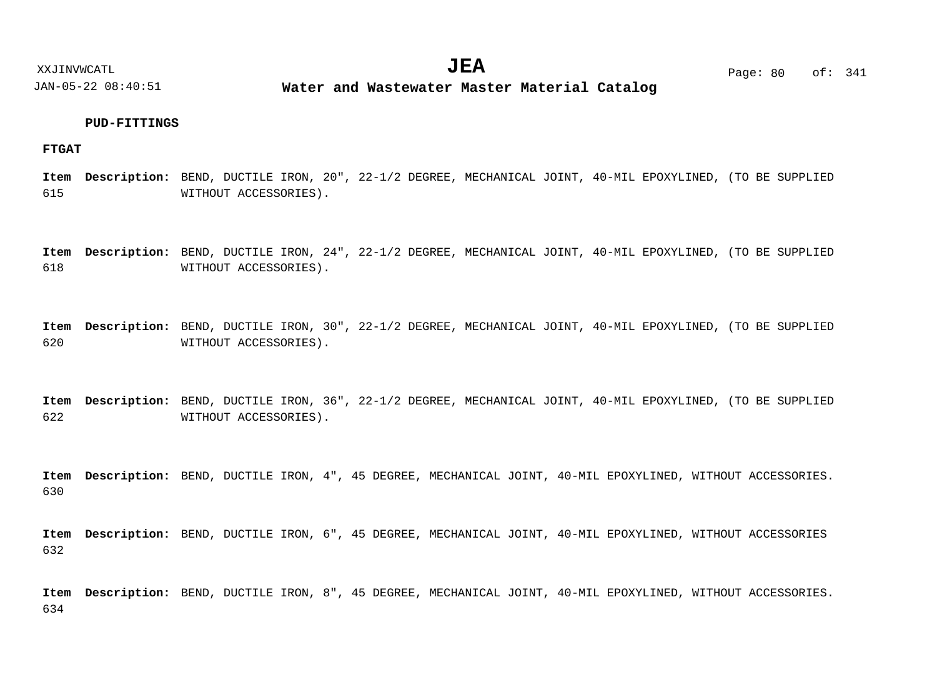JAN-05-22 08:40:51 **Water and Wastewater Master Material Catalog** 

## **PUD-FITTINGS**

## **FTGAT**

615 Item Description: BEND, DUCTILE IRON, 20", 22-1/2 DEGREE, MECHANICAL JOINT, 40-MIL EPOXYLINED, (TO BE SUPPLIED WITHOUT ACCESSORIES).

618 Item Description: BEND, DUCTILE IRON, 24", 22-1/2 DEGREE, MECHANICAL JOINT, 40-MIL EPOXYLINED, (TO BE SUPPLIED WITHOUT ACCESSORIES).

620 Item Description: BEND, DUCTILE IRON, 30", 22-1/2 DEGREE, MECHANICAL JOINT, 40-MIL EPOXYLINED, (TO BE SUPPLIED WITHOUT ACCESSORIES).

622 Item Description: BEND, DUCTILE IRON, 36", 22-1/2 DEGREE, MECHANICAL JOINT, 40-MIL EPOXYLINED, (TO BE SUPPLIED WITHOUT ACCESSORIES).

630 Item Description: BEND, DUCTILE IRON, 4", 45 DEGREE, MECHANICAL JOINT, 40-MIL EPOXYLINED, WITHOUT ACCESSORIES.

632 Item Description: BEND, DUCTILE IRON, 6", 45 DEGREE, MECHANICAL JOINT, 40-MIL EPOXYLINED, WITHOUT ACCESSORIES

634 Item Description: BEND, DUCTILE IRON, 8", 45 DEGREE, MECHANICAL JOINT, 40-MIL EPOXYLINED, WITHOUT ACCESSORIES.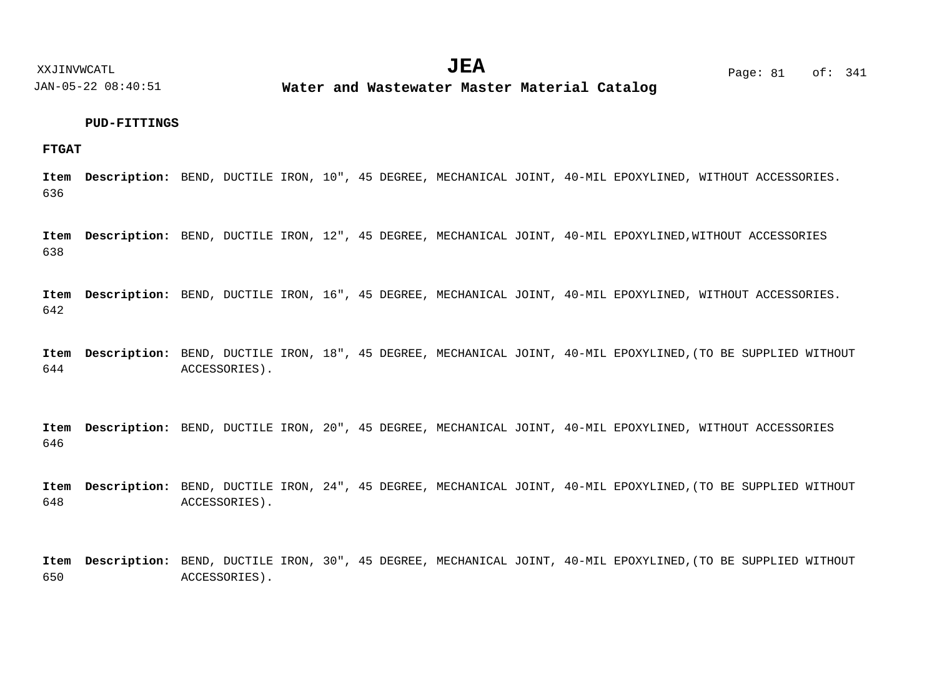**Water and Wastewater Master Material Catalog** 

## **PUD-FITTINGS**

**FTGAT**

636 Item Description: BEND, DUCTILE IRON, 10", 45 DEGREE, MECHANICAL JOINT, 40-MIL EPOXYLINED, WITHOUT ACCESSORIES.

638 Item Description: BEND, DUCTILE IRON, 12", 45 DEGREE, MECHANICAL JOINT, 40-MIL EPOXYLINED,WITHOUT ACCESSORIES

642 Item Description: BEND, DUCTILE IRON, 16", 45 DEGREE, MECHANICAL JOINT, 40-MIL EPOXYLINED, WITHOUT ACCESSORIES.

644 Item Description: BEND, DUCTILE IRON, 18", 45 DEGREE, MECHANICAL JOINT, 40-MIL EPOXYLINED, (TO BE SUPPLIED WITHOUT ACCESSORIES).

646 Item Description: BEND, DUCTILE IRON, 20", 45 DEGREE, MECHANICAL JOINT, 40-MIL EPOXYLINED, WITHOUT ACCESSORIES

648 Item Description: BEND, DUCTILE IRON, 24", 45 DEGREE, MECHANICAL JOINT, 40-MIL EPOXYLINED, (TO BE SUPPLIED WITHOUT ACCESSORIES).

650 Item Description: BEND, DUCTILE IRON, 30", 45 DEGREE, MECHANICAL JOINT, 40-MIL EPOXYLINED, (TO BE SUPPLIED WITHOUT ACCESSORIES).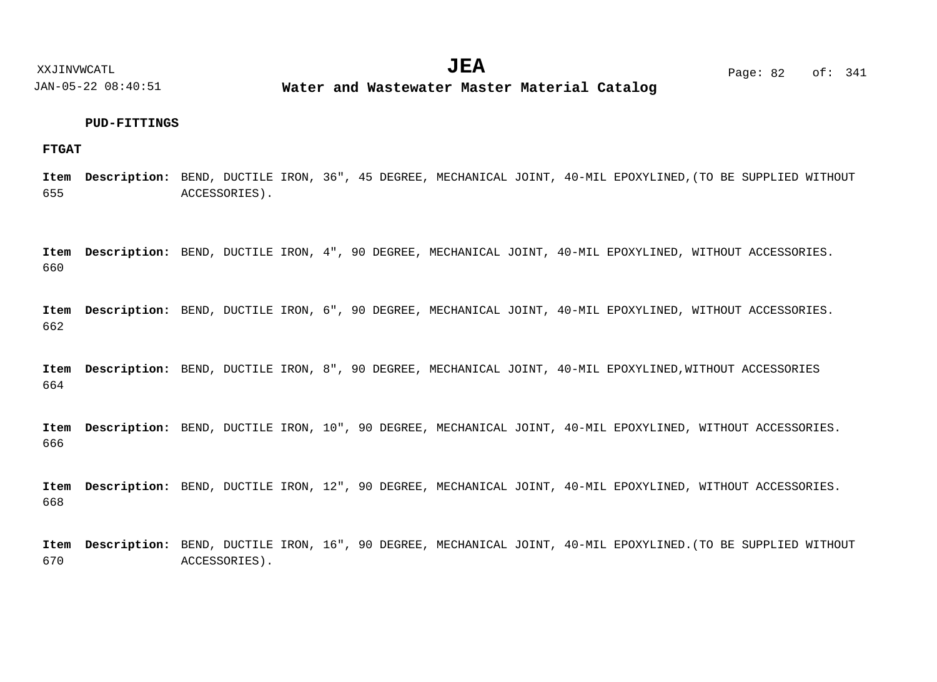**Water and Wastewater Master Material Catalog** 

## **PUD-FITTINGS**

## **FTGAT**

655 Item Description: BEND, DUCTILE IRON, 36", 45 DEGREE, MECHANICAL JOINT, 40-MIL EPOXYLINED, (TO BE SUPPLIED WITHOUT ACCESSORIES).

660 Item Description: BEND, DUCTILE IRON, 4", 90 DEGREE, MECHANICAL JOINT, 40-MIL EPOXYLINED, WITHOUT ACCESSORIES.

662 Item Description: BEND, DUCTILE IRON, 6", 90 DEGREE, MECHANICAL JOINT, 40-MIL EPOXYLINED, WITHOUT ACCESSORIES.

664 Item Description: BEND, DUCTILE IRON, 8", 90 DEGREE, MECHANICAL JOINT, 40-MIL EPOXYLINED,WITHOUT ACCESSORIES

666 Item Description: BEND, DUCTILE IRON, 10", 90 DEGREE, MECHANICAL JOINT, 40-MIL EPOXYLINED, WITHOUT ACCESSORIES.

668 Item Description: BEND, DUCTILE IRON, 12", 90 DEGREE, MECHANICAL JOINT, 40-MIL EPOXYLINED, WITHOUT ACCESSORIES.

670 Item Description: BEND, DUCTILE IRON, 16", 90 DEGREE, MECHANICAL JOINT, 40-MIL EPOXYLINED.(TO BE SUPPLIED WITHOUT ACCESSORIES).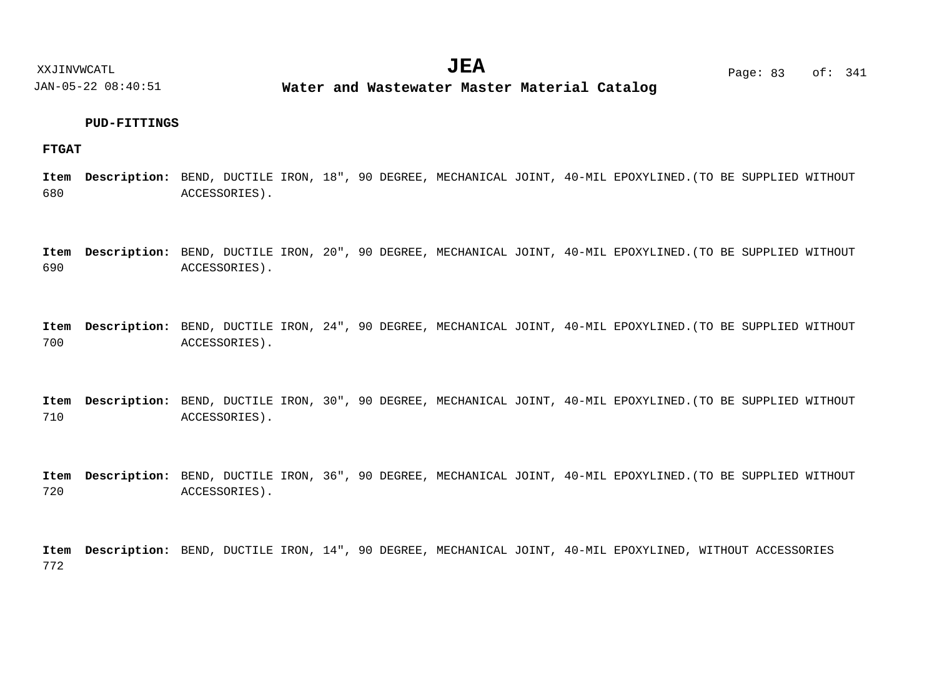**Water and Wastewater Master Material Catalog** 

## **PUD-FITTINGS**

## **FTGAT**

680 Item Description: BEND, DUCTILE IRON, 18", 90 DEGREE, MECHANICAL JOINT, 40-MIL EPOXYLINED.(TO BE SUPPLIED WITHOUT ACCESSORIES).

690 Item Description: BEND, DUCTILE IRON, 20", 90 DEGREE, MECHANICAL JOINT, 40-MIL EPOXYLINED.(TO BE SUPPLIED WITHOUT ACCESSORIES).

700 Item Description: BEND, DUCTILE IRON, 24", 90 DEGREE, MECHANICAL JOINT, 40-MIL EPOXYLINED.(TO BE SUPPLIED WITHOUT ACCESSORIES).

710 Item Description: BEND, DUCTILE IRON, 30", 90 DEGREE, MECHANICAL JOINT, 40-MIL EPOXYLINED.(TO BE SUPPLIED WITHOUT ACCESSORIES).

720 Item Description: BEND, DUCTILE IRON, 36", 90 DEGREE, MECHANICAL JOINT, 40-MIL EPOXYLINED.(TO BE SUPPLIED WITHOUT ACCESSORIES).

772 Item Description: BEND, DUCTILE IRON, 14", 90 DEGREE, MECHANICAL JOINT, 40-MIL EPOXYLINED, WITHOUT ACCESSORIES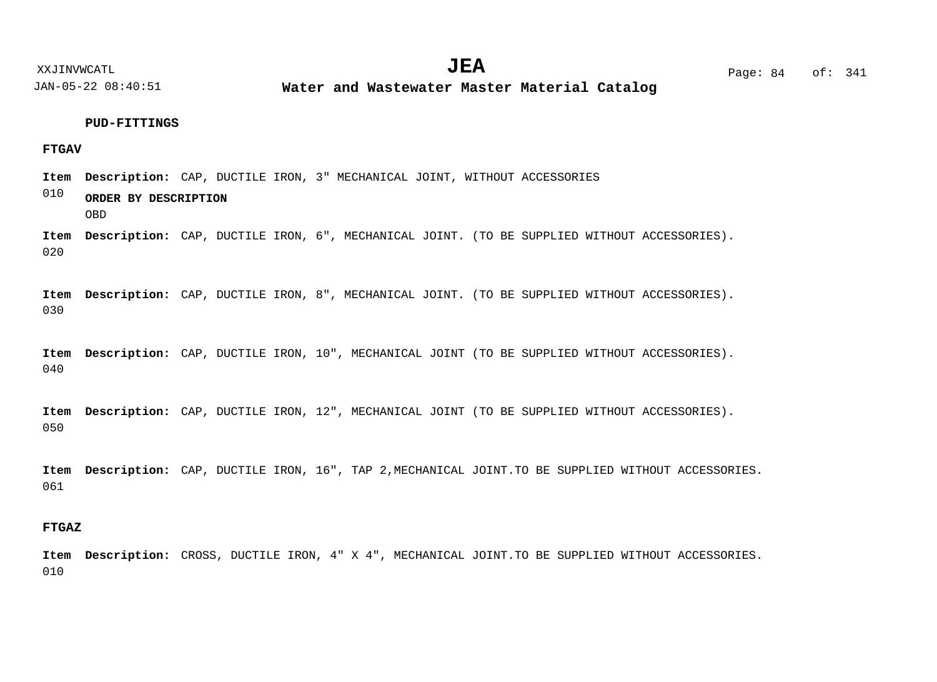**Water and Wastewater Master Material Catalog** 

## **PUD-FITTINGS**

## **FTGAV**

010 Item Description: CAP, DUCTILE IRON, 3" MECHANICAL JOINT, WITHOUT ACCESSORIES **ORDER BY DESCRIPTION** OBD

020 Item Description: CAP, DUCTILE IRON, 6", MECHANICAL JOINT. (TO BE SUPPLIED WITHOUT ACCESSORIES).

030 Item Description: CAP, DUCTILE IRON, 8", MECHANICAL JOINT. (TO BE SUPPLIED WITHOUT ACCESSORIES).

040 Item Description: CAP, DUCTILE IRON, 10", MECHANICAL JOINT (TO BE SUPPLIED WITHOUT ACCESSORIES).

050 Item Description: CAP, DUCTILE IRON, 12", MECHANICAL JOINT (TO BE SUPPLIED WITHOUT ACCESSORIES).

061 Item Description: CAP, DUCTILE IRON, 16", TAP 2, MECHANICAL JOINT.TO BE SUPPLIED WITHOUT ACCESSORIES.

## **FTGAZ**

010 Item Description: CROSS, DUCTILE IRON, 4" X 4", MECHANICAL JOINT.TO BE SUPPLIED WITHOUT ACCESSORIES.

XXJINVWCATL **EXALL** Page: 84 of:  $JEA$   $_{\text{Page}: 84}$  of: 341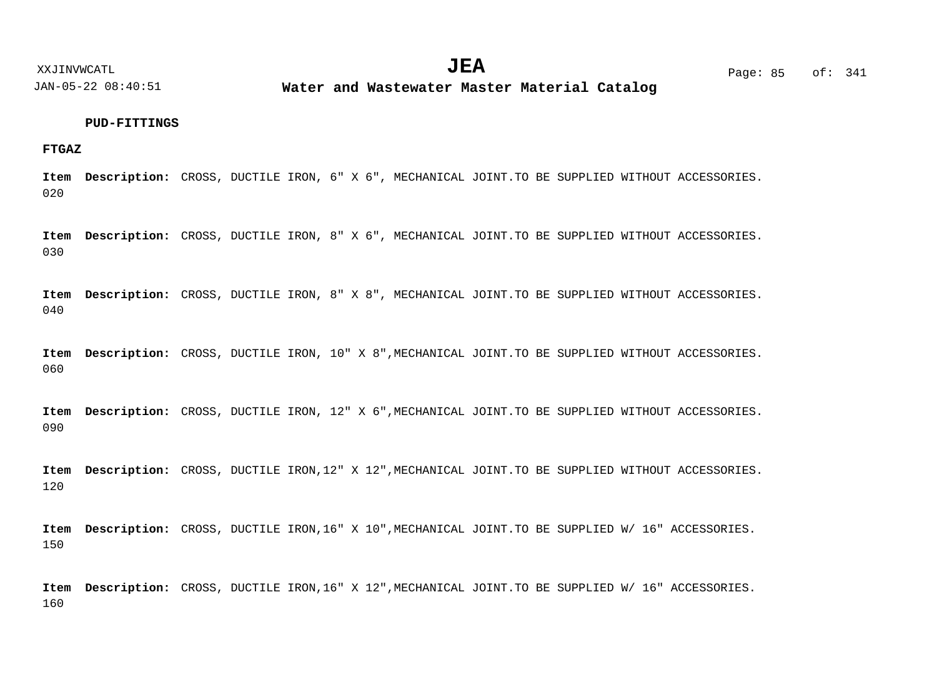**Water and Wastewater Master Material Catalog** 

#### **PUD-FITTINGS**

**FTGAZ**

020 Item Description: CROSS, DUCTILE IRON, 6" X 6", MECHANICAL JOINT.TO BE SUPPLIED WITHOUT ACCESSORIES.

030 Item Description: CROSS, DUCTILE IRON, 8" X 6", MECHANICAL JOINT.TO BE SUPPLIED WITHOUT ACCESSORIES.

040 Item Description: CROSS, DUCTILE IRON, 8" X 8", MECHANICAL JOINT.TO BE SUPPLIED WITHOUT ACCESSORIES.

060 Item Description: CROSS, DUCTILE IRON, 10" X 8", MECHANICAL JOINT.TO BE SUPPLIED WITHOUT ACCESSORIES.

090 Item Description: CROSS, DUCTILE IRON, 12" X 6", MECHANICAL JOINT.TO BE SUPPLIED WITHOUT ACCESSORIES.

120 Item Description: CROSS, DUCTILE IRON, 12" X 12", MECHANICAL JOINT. TO BE SUPPLIED WITHOUT ACCESSORIES.

150 Item Description: CROSS, DUCTILE IRON,16" X 10", MECHANICAL JOINT.TO BE SUPPLIED W/ 16" ACCESSORIES.

160 Item Description: CROSS, DUCTILE IRON,16" X 12", MECHANICAL JOINT.TO BE SUPPLIED W/ 16" ACCESSORIES.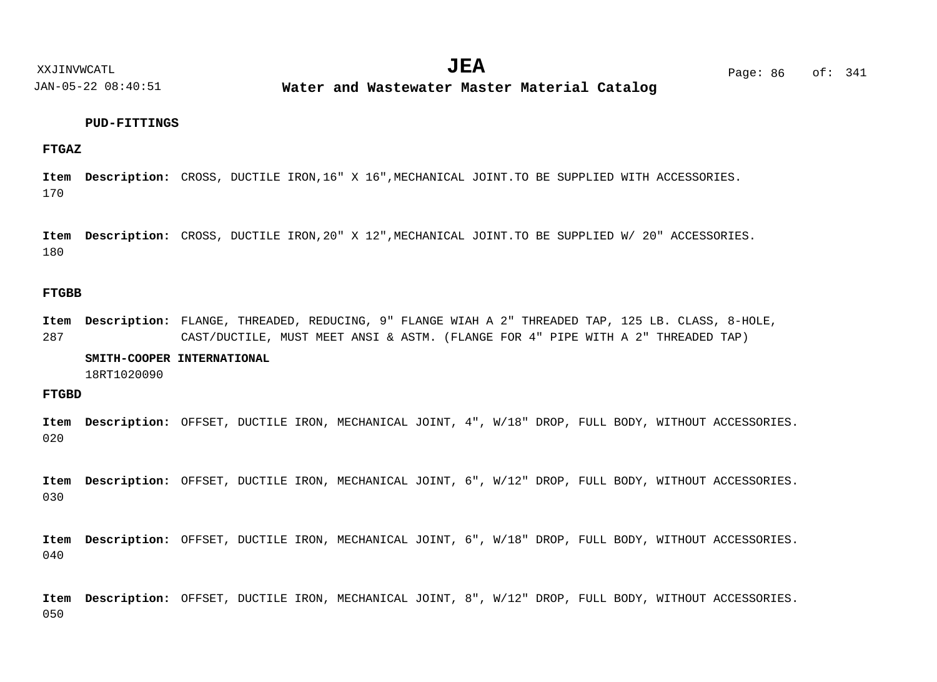**Water and Wastewater Master Material Catalog** 

#### **PUD-FITTINGS**

**FTGAZ**

170 Item Description: CROSS, DUCTILE IRON, 16" X 16", MECHANICAL JOINT. TO BE SUPPLIED WITH ACCESSORIES.

180 Item Description: CROSS, DUCTILE IRON, 20" X 12", MECHANICAL JOINT. TO BE SUPPLIED W/ 20" ACCESSORIES.

## **FTGBB**

287 Item Description: FLANGE, THREADED, REDUCING, 9" FLANGE WIAH A 2" THREADED TAP, 125 LB. CLASS, 8-HOLE, CAST/DUCTILE, MUST MEET ANSI & ASTM. (FLANGE FOR 4" PIPE WITH A 2" THREADED TAP)

## **SMITH-COOPER INTERNATIONAL**

18RT1020090

**FTGBD**

020 Item Description: OFFSET, DUCTILE IRON, MECHANICAL JOINT, 4", W/18" DROP, FULL BODY, WITHOUT ACCESSORIES.

030 Item Description: OFFSET, DUCTILE IRON, MECHANICAL JOINT, 6", W/12" DROP, FULL BODY, WITHOUT ACCESSORIES.

040 Item Description: OFFSET, DUCTILE IRON, MECHANICAL JOINT, 6", W/18" DROP, FULL BODY, WITHOUT ACCESSORIES.

050 Item Description: OFFSET, DUCTILE IRON, MECHANICAL JOINT, 8", W/12" DROP, FULL BODY, WITHOUT ACCESSORIES.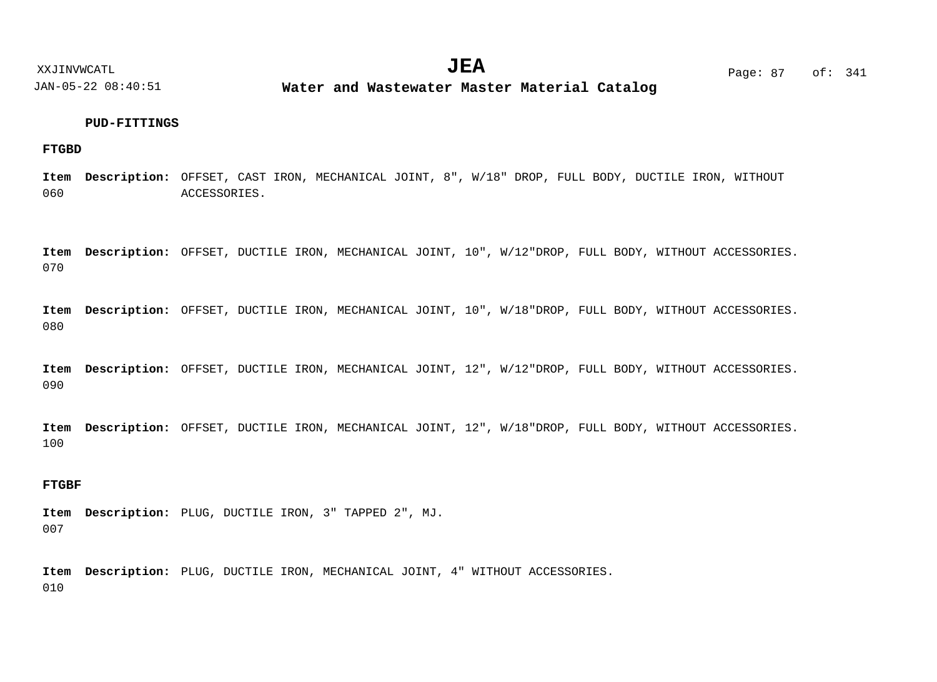**Water and Wastewater Master Material Catalog** 

## **PUD-FITTINGS**

## **FTGBD**

060 Item Description: OFFSET, CAST IRON, MECHANICAL JOINT, 8", W/18" DROP, FULL BODY, DUCTILE IRON, WITHOUT ACCESSORIES.

070 Item Description: OFFSET, DUCTILE IRON, MECHANICAL JOINT, 10", W/12"DROP, FULL BODY, WITHOUT ACCESSORIES.

080 Item Description: OFFSET, DUCTILE IRON, MECHANICAL JOINT, 10", W/18"DROP, FULL BODY, WITHOUT ACCESSORIES.

090 Item Description: OFFSET, DUCTILE IRON, MECHANICAL JOINT, 12", W/12"DROP, FULL BODY, WITHOUT ACCESSORIES.

100 Item Description: OFFSET, DUCTILE IRON, MECHANICAL JOINT, 12", W/18"DROP, FULL BODY, WITHOUT ACCESSORIES.

## **FTGBF**

007 Item Description: PLUG, DUCTILE IRON, 3" TAPPED 2", MJ.

010 Item Description: PLUG, DUCTILE IRON, MECHANICAL JOINT, 4" WITHOUT ACCESSORIES.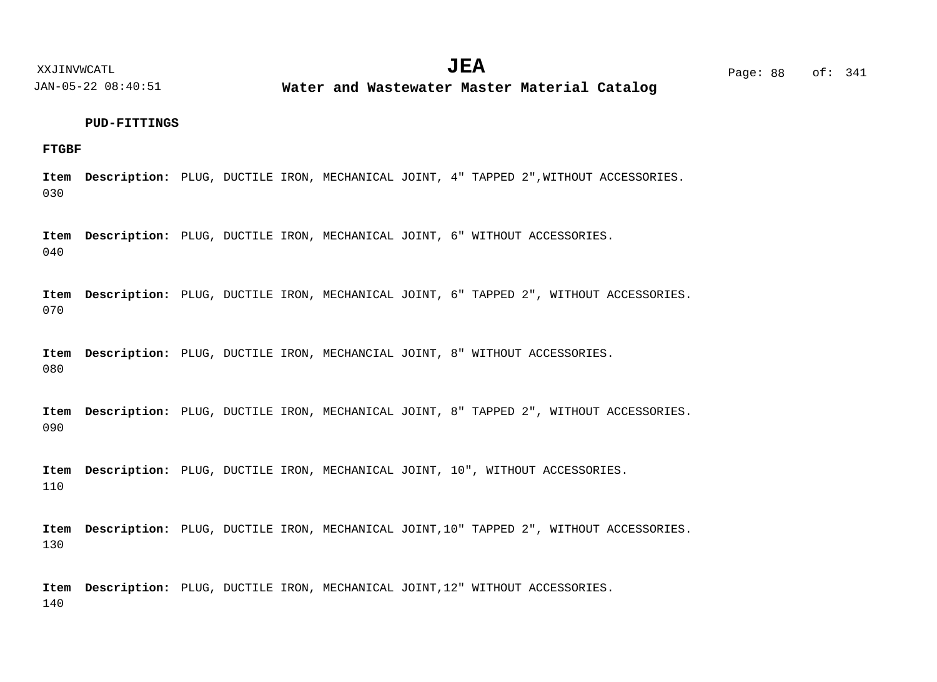**Water and Wastewater Master Material Catalog** 

## **PUD-FITTINGS**

**FTGBF**

030 Item Description: PLUG, DUCTILE IRON, MECHANICAL JOINT, 4" TAPPED 2", WITHOUT ACCESSORIES.

040 Item Description: PLUG, DUCTILE IRON, MECHANICAL JOINT, 6" WITHOUT ACCESSORIES.

070 Item Description: PLUG, DUCTILE IRON, MECHANICAL JOINT, 6" TAPPED 2", WITHOUT ACCESSORIES.

080 Item Description: PLUG, DUCTILE IRON, MECHANCIAL JOINT, 8" WITHOUT ACCESSORIES.

090 Item Description: PLUG, DUCTILE IRON, MECHANICAL JOINT, 8" TAPPED 2", WITHOUT ACCESSORIES.

110 Item Description: PLUG, DUCTILE IRON, MECHANICAL JOINT, 10", WITHOUT ACCESSORIES.

130 Item Description: PLUG, DUCTILE IRON, MECHANICAL JOINT, 10" TAPPED 2", WITHOUT ACCESSORIES.

140 Item Description: PLUG, DUCTILE IRON, MECHANICAL JOINT, 12" WITHOUT ACCESSORIES.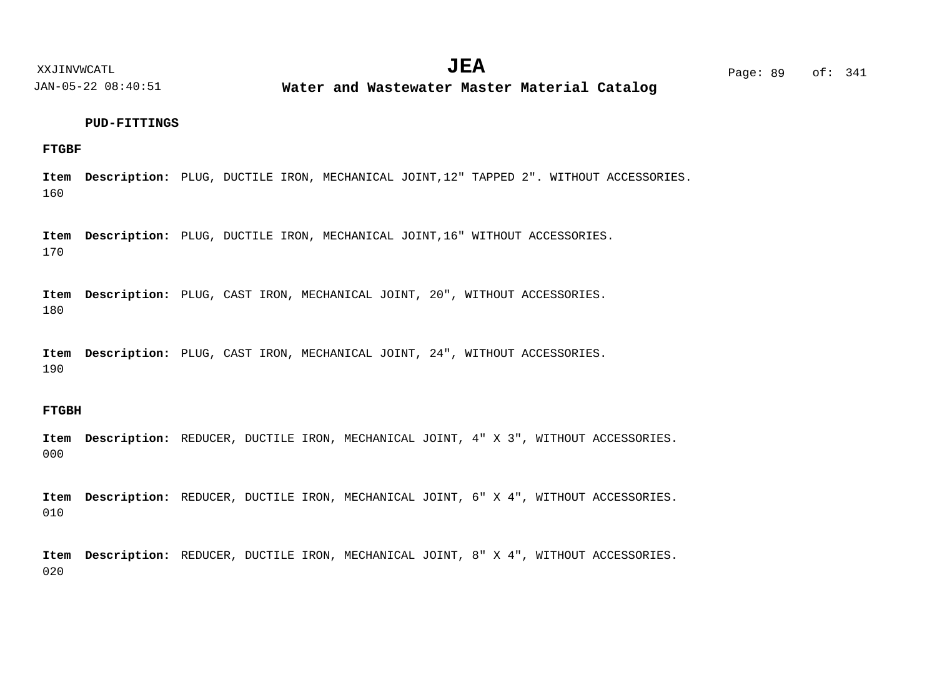**Water and Wastewater Master Material Catalog** 

## **PUD-FITTINGS**

## **FTGBF**

160 Item Description: PLUG, DUCTILE IRON, MECHANICAL JOINT, 12" TAPPED 2". WITHOUT ACCESSORIES.

170 Item Description: PLUG, DUCTILE IRON, MECHANICAL JOINT, 16" WITHOUT ACCESSORIES.

180 Item Description: PLUG, CAST IRON, MECHANICAL JOINT, 20", WITHOUT ACCESSORIES.

190 Item Description: PLUG, CAST IRON, MECHANICAL JOINT, 24", WITHOUT ACCESSORIES.

## **FTGBH**

000 Item Description: REDUCER, DUCTILE IRON, MECHANICAL JOINT, 4" X 3", WITHOUT ACCESSORIES.

010 Item Description: REDUCER, DUCTILE IRON, MECHANICAL JOINT, 6" X 4", WITHOUT ACCESSORIES.

020 Item Description: REDUCER, DUCTILE IRON, MECHANICAL JOINT, 8" X 4", WITHOUT ACCESSORIES.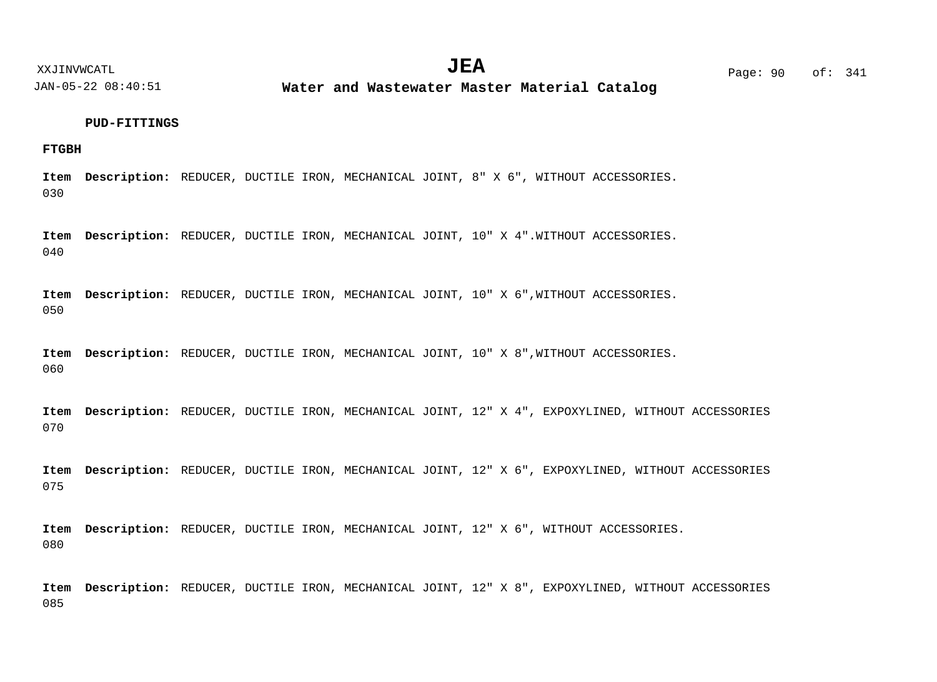**Water and Wastewater Master Material Catalog** 

## **PUD-FITTINGS**

## **FTGBH**

030 Item Description: REDUCER, DUCTILE IRON, MECHANICAL JOINT, 8" X 6", WITHOUT ACCESSORIES.

040 Item Description: REDUCER, DUCTILE IRON, MECHANICAL JOINT, 10" X 4".WITHOUT ACCESSORIES.

050 Item Description: REDUCER, DUCTILE IRON, MECHANICAL JOINT, 10" X 6", WITHOUT ACCESSORIES.

060 Item Description: REDUCER, DUCTILE IRON, MECHANICAL JOINT, 10" X 8", WITHOUT ACCESSORIES.

070 Item Description: REDUCER, DUCTILE IRON, MECHANICAL JOINT, 12" X 4", EXPOXYLINED, WITHOUT ACCESSORIES

075 Item Description: REDUCER, DUCTILE IRON, MECHANICAL JOINT, 12" X 6", EXPOXYLINED, WITHOUT ACCESSORIES

080 Item Description: REDUCER, DUCTILE IRON, MECHANICAL JOINT, 12" X 6", WITHOUT ACCESSORIES.

085 Item Description: REDUCER, DUCTILE IRON, MECHANICAL JOINT, 12" X 8", EXPOXYLINED, WITHOUT ACCESSORIES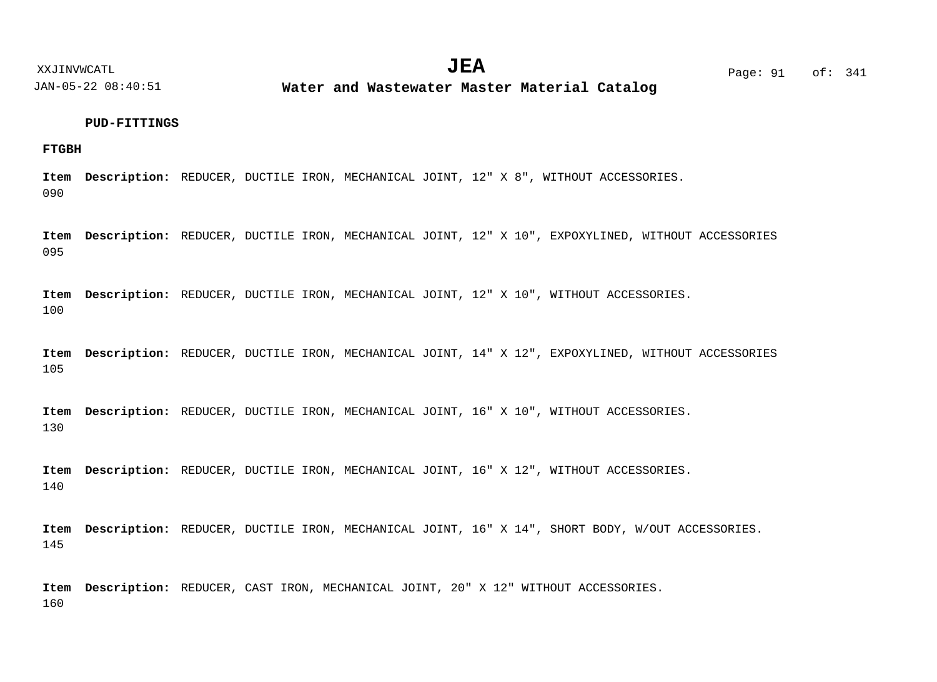**Water and Wastewater Master Material Catalog** 

## **PUD-FITTINGS**

## **FTGBH**

090 Item Description: REDUCER, DUCTILE IRON, MECHANICAL JOINT, 12" X 8", WITHOUT ACCESSORIES.

095 Item Description: REDUCER, DUCTILE IRON, MECHANICAL JOINT, 12" X 10", EXPOXYLINED, WITHOUT ACCESSORIES

100 Item Description: REDUCER, DUCTILE IRON, MECHANICAL JOINT, 12" X 10", WITHOUT ACCESSORIES.

105 Item Description: REDUCER, DUCTILE IRON, MECHANICAL JOINT, 14" X 12", EXPOXYLINED, WITHOUT ACCESSORIES

130 Item Description: REDUCER, DUCTILE IRON, MECHANICAL JOINT, 16" X 10", WITHOUT ACCESSORIES.

140 Item Description: REDUCER, DUCTILE IRON, MECHANICAL JOINT, 16" X 12", WITHOUT ACCESSORIES.

145 Item Description: REDUCER, DUCTILE IRON, MECHANICAL JOINT, 16" X 14", SHORT BODY, W/OUT ACCESSORIES.

160 Item Description: REDUCER, CAST IRON, MECHANICAL JOINT, 20" X 12" WITHOUT ACCESSORIES.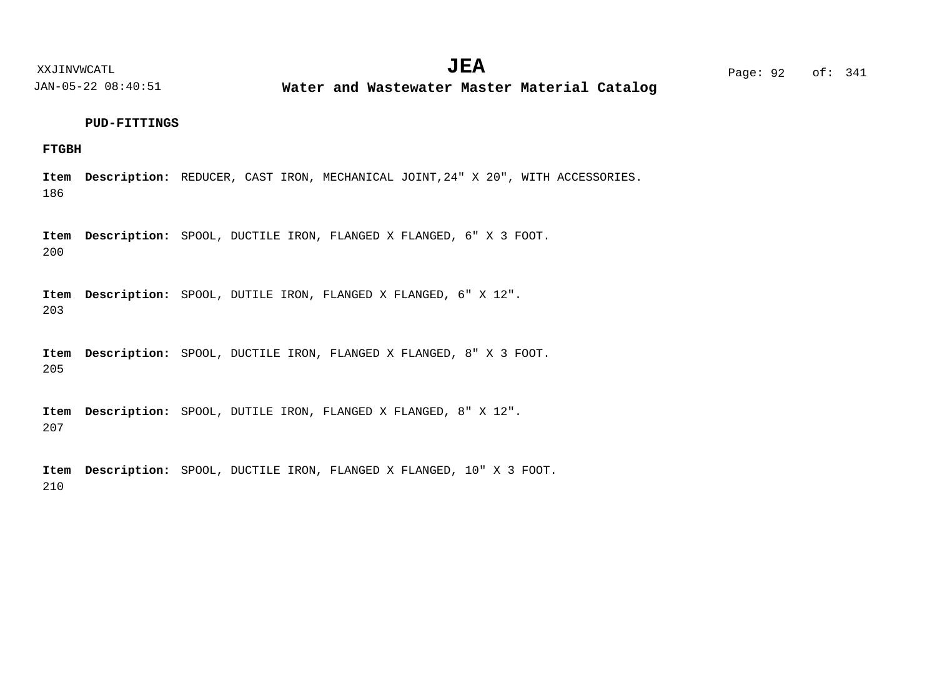**Water and Wastewater Master Material Catalog** 

## **PUD-FITTINGS**

## **FTGBH**

186 Item Description: REDUCER, CAST IRON, MECHANICAL JOINT, 24" X 20", WITH ACCESSORIES.

200 Item Description: SPOOL, DUCTILE IRON, FLANGED X FLANGED, 6" X 3 FOOT.

203 Item Description: SPOOL, DUTILE IRON, FLANGED X FLANGED, 6" X 12".

205 Item Description: SPOOL, DUCTILE IRON, FLANGED X FLANGED, 8" X 3 FOOT.

207 Item Description: SPOOL, DUTILE IRON, FLANGED X FLANGED, 8" X 12".

210 Item Description: SPOOL, DUCTILE IRON, FLANGED X FLANGED, 10" X 3 FOOT.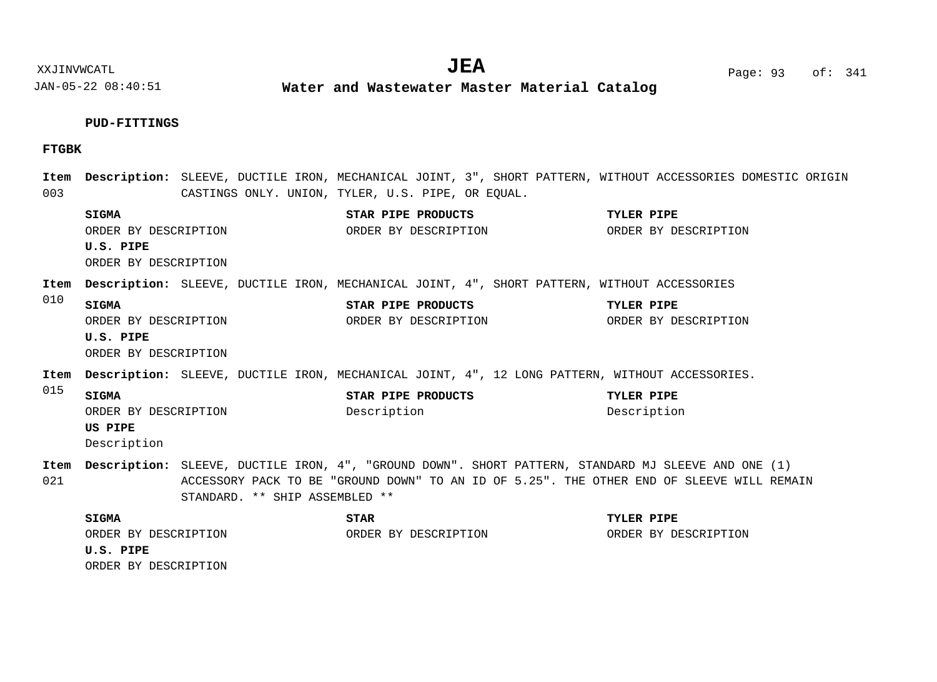$JEA$   $Page: 93 of: 341$ 

XXJINVWCATL **EXALL** Page: 93 of:

JAN-05-22 08:40:51 **Water and Wastewater Master Material Catalog** 

## **PUD-FITTINGS**

## **FTGBK**

003 010 015 021 Item Description: SLEEVE, DUCTILE IRON, MECHANICAL JOINT, 3", SHORT PATTERN, WITHOUT ACCESSORIES DOMESTIC ORIGIN CASTINGS ONLY. UNION, TYLER, U.S. PIPE, OR EQUAL. Item Description: SLEEVE, DUCTILE IRON, MECHANICAL JOINT, 4", SHORT PATTERN, WITHOUT ACCESSORIES Item Description: SLEEVE, DUCTILE IRON, MECHANICAL JOINT, 4", 12 LONG PATTERN, WITHOUT ACCESSORIES. Item Description: SLEEVE, DUCTILE IRON, 4", "GROUND DOWN". SHORT PATTERN, STANDARD MJ SLEEVE AND ONE (1) ACCESSORY PACK TO BE "GROUND DOWN" TO AN ID OF 5.25". THE OTHER END OF SLEEVE WILL REMAIN STANDARD. \*\* SHIP ASSEMBLED \*\* **SIGMA STAR PIPE PRODUCTS TYLER PIPE U.S. PIPE SIGMA STAR PIPE PRODUCTS TYLER PIPE U.S. PIPE SIGMA STAR PIPE PRODUCTS TYLER PIPE US PIPE SIGMA STAR TYLER PIPE U.S. PIPE** ORDER BY DESCRIPTION ORDER BY DESCRIPTION ORDER BY DESCRIPTION ORDER BY DESCRIPTION ORDER BY DESCRIPTION ORDER BY DESCRIPTION ORDER BY DESCRIPTION ORDER BY DESCRIPTION ORDER BY DESCRIPTION Description Description Description ORDER BY DESCRIPTION ORDER BY DESCRIPTION ORDER BY DESCRIPTION ORDER BY DESCRIPTION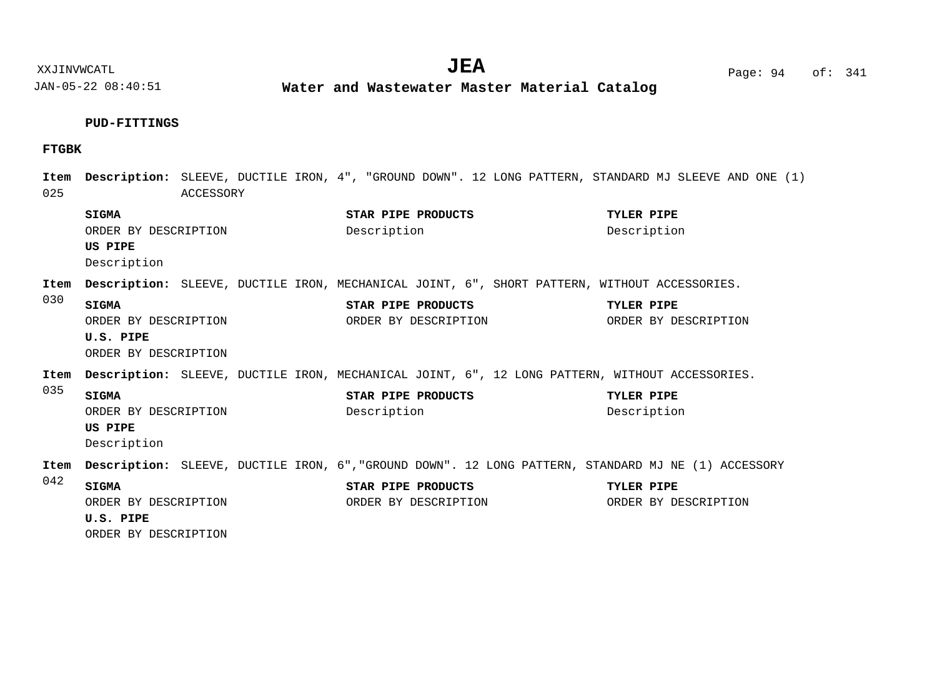**Water and Wastewater Master Material Catalog** 

# **PUD-FITTINGS**

## **FTGBK**

| Item<br>025 | Description: SLEEVE, DUCTILE IRON, 4", "GROUND DOWN". 12 LONG PATTERN, STANDARD MJ SLEEVE AND ONE (1) | ACCESSORY |  |             |                                            |  |                                    |  |
|-------------|-------------------------------------------------------------------------------------------------------|-----------|--|-------------|--------------------------------------------|--|------------------------------------|--|
|             | <b>SIGMA</b><br>ORDER BY DESCRIPTION<br>US PIPE<br>Description                                        |           |  | Description | STAR PIPE PRODUCTS                         |  | TYLER PIPE<br>Description          |  |
| Item        | Description: SLEEVE, DUCTILE IRON, MECHANICAL JOINT, 6", SHORT PATTERN, WITHOUT ACCESSORIES.          |           |  |             |                                            |  |                                    |  |
| 030         | <b>SIGMA</b><br>ORDER BY DESCRIPTION<br>U.S. PIPE<br>ORDER BY DESCRIPTION                             |           |  |             | STAR PIPE PRODUCTS<br>ORDER BY DESCRIPTION |  | TYLER PIPE<br>ORDER BY DESCRIPTION |  |
| Item        | Description: SLEEVE, DUCTILE IRON, MECHANICAL JOINT, 6", 12 LONG PATTERN, WITHOUT ACCESSORIES.        |           |  |             |                                            |  |                                    |  |
| 035         | <b>SIGMA</b><br>ORDER BY DESCRIPTION<br>US PIPE<br>Description                                        |           |  | Description | STAR PIPE PRODUCTS                         |  | TYLER PIPE<br>Description          |  |
| Item        | Description: SLEEVE, DUCTILE IRON, 6", "GROUND DOWN". 12 LONG PATTERN, STANDARD MJ NE (1) ACCESSORY   |           |  |             |                                            |  |                                    |  |
| 042         | <b>SIGMA</b><br>ORDER BY DESCRIPTION<br>U.S. PIPE<br>ORDER BY DESCRIPTION                             |           |  |             | STAR PIPE PRODUCTS<br>ORDER BY DESCRIPTION |  | TYLER PIPE<br>ORDER BY DESCRIPTION |  |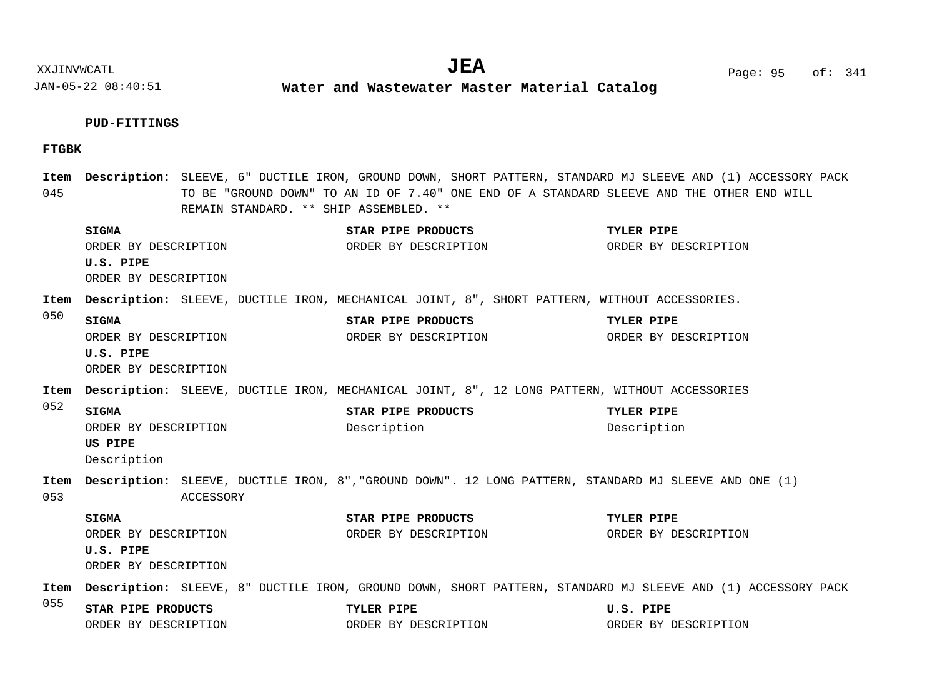**Water and Wastewater Master Material Catalog** 

# **PUD-FITTINGS**

## **FTGBK**

| 045  |                                                                           |           |  | REMAIN STANDARD. ** SHIP ASSEMBLED. ** |                                            | Item Description: SLEEVE, 6" DUCTILE IRON, GROUND DOWN, SHORT PATTERN, STANDARD MJ SLEEVE AND (1) ACCESSORY PACK<br>TO BE "GROUND DOWN" TO AN ID OF 7.40" ONE END OF A STANDARD SLEEVE AND THE OTHER END WILL |
|------|---------------------------------------------------------------------------|-----------|--|----------------------------------------|--------------------------------------------|---------------------------------------------------------------------------------------------------------------------------------------------------------------------------------------------------------------|
|      | <b>SIGMA</b><br>ORDER BY DESCRIPTION<br>U.S. PIPE<br>ORDER BY DESCRIPTION |           |  | STAR PIPE PRODUCTS                     | ORDER BY DESCRIPTION                       | TYLER PIPE<br>ORDER BY DESCRIPTION                                                                                                                                                                            |
| Item |                                                                           |           |  |                                        |                                            | Description: SLEEVE, DUCTILE IRON, MECHANICAL JOINT, 8", SHORT PATTERN, WITHOUT ACCESSORIES.                                                                                                                  |
| 050  | <b>SIGMA</b><br>ORDER BY DESCRIPTION<br>U.S. PIPE<br>ORDER BY DESCRIPTION |           |  | STAR PIPE PRODUCTS                     | ORDER BY DESCRIPTION                       | TYLER PIPE<br>ORDER BY DESCRIPTION                                                                                                                                                                            |
| Item |                                                                           |           |  |                                        |                                            | Description: SLEEVE, DUCTILE IRON, MECHANICAL JOINT, 8", 12 LONG PATTERN, WITHOUT ACCESSORIES                                                                                                                 |
| 052  | <b>SIGMA</b><br>ORDER BY DESCRIPTION<br><b>US PIPE</b><br>Description     |           |  | STAR PIPE PRODUCTS<br>Description      |                                            | TYLER PIPE<br>Description                                                                                                                                                                                     |
| 053  |                                                                           | ACCESSORY |  |                                        |                                            | Item Description: SLEEVE, DUCTILE IRON, 8", "GROUND DOWN". 12 LONG PATTERN, STANDARD MJ SLEEVE AND ONE (1)                                                                                                    |
|      | <b>SIGMA</b><br>ORDER BY DESCRIPTION<br>U.S. PIPE<br>ORDER BY DESCRIPTION |           |  |                                        | STAR PIPE PRODUCTS<br>ORDER BY DESCRIPTION | TYLER PIPE<br>ORDER BY DESCRIPTION                                                                                                                                                                            |
| Item |                                                                           |           |  |                                        |                                            | Description: SLEEVE, 8" DUCTILE IRON, GROUND DOWN, SHORT PATTERN, STANDARD MJ SLEEVE AND (1) ACCESSORY PACK                                                                                                   |
| 055  | STAR PIPE PRODUCTS<br>ORDER BY DESCRIPTION                                |           |  | TYLER PIPE                             | ORDER BY DESCRIPTION                       | U.S. PIPE<br>ORDER BY DESCRIPTION                                                                                                                                                                             |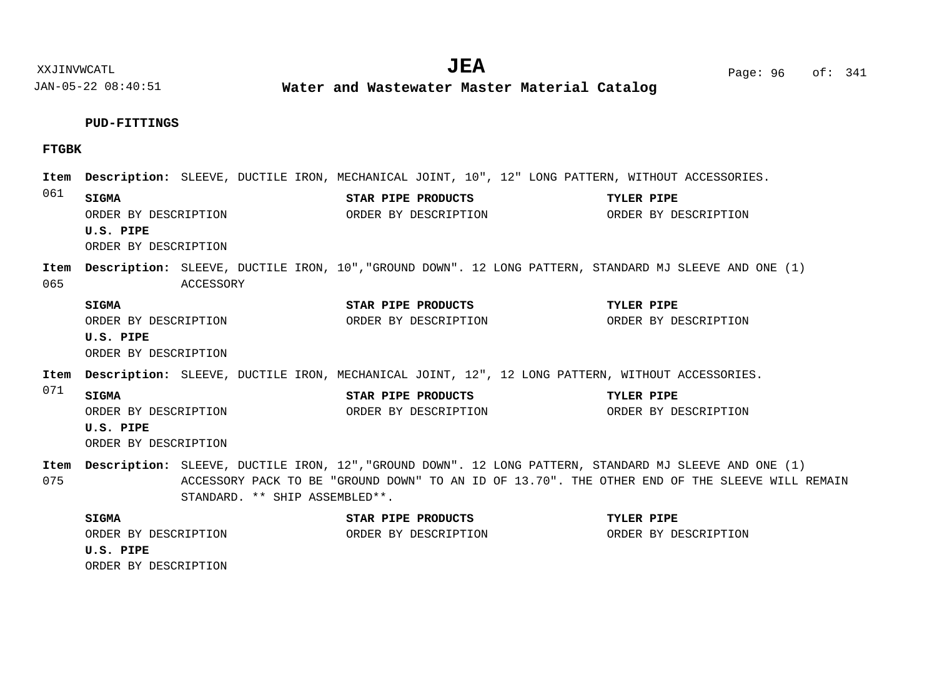JAN-05-22 08:40:51 **Water and Wastewater Master Material Catalog** 

### **PUD-FITTINGS**

## **FTGBK**

061 065 071 075 Item Description: SLEEVE, DUCTILE IRON, MECHANICAL JOINT, 10", 12" LONG PATTERN, WITHOUT ACCESSORIES. Item Description: SLEEVE, DUCTILE IRON, 10","GROUND DOWN". 12 LONG PATTERN, STANDARD MJ SLEEVE AND ONE (1) ACCESSORY Item Description: SLEEVE, DUCTILE IRON, MECHANICAL JOINT, 12", 12 LONG PATTERN, WITHOUT ACCESSORIES. Item Description: SLEEVE, DUCTILE IRON, 12","GROUND DOWN". 12 LONG PATTERN, STANDARD MJ SLEEVE AND ONE (1) ACCESSORY PACK TO BE "GROUND DOWN" TO AN ID OF 13.70". THE OTHER END OF THE SLEEVE WILL REMAIN STANDARD. \*\* SHIP ASSEMBLED\*\*. **SIGMA STAR PIPE PRODUCTS TYLER PIPE U.S. PIPE SIGMA STAR PIPE PRODUCTS TYLER PIPE U.S. PIPE SIGMA STAR PIPE PRODUCTS TYLER PIPE U.S. PIPE SIGMA STAR PIPE PRODUCTS TYLER PIPE U.S. PIPE** ORDER BY DESCRIPTION ORDER BY DESCRIPTION ORDER BY DESCRIPTION ORDER BY DESCRIPTION ORDER BY DESCRIPTION ORDER BY DESCRIPTION ORDER BY DESCRIPTION ORDER BY DESCRIPTION ORDER BY DESCRIPTION ORDER BY DESCRIPTION ORDER BY DESCRIPTION ORDER BY DESCRIPTION ORDER BY DESCRIPTION ORDER BY DESCRIPTION ORDER BY DESCRIPTION ORDER BY DESCRIPTION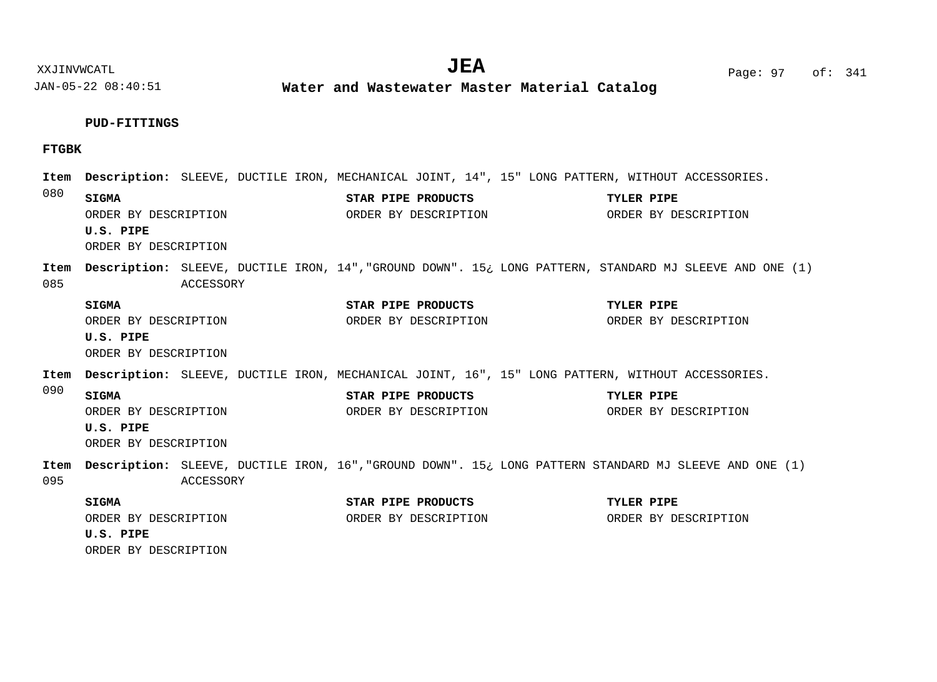**Water and Wastewater Master Material Catalog** 

## **PUD-FITTINGS**

## **FTGBK**

| Item<br>080 |                                   |                      |                    |                      | Description: SLEEVE, DUCTILE IRON, MECHANICAL JOINT, 14", 15" LONG PATTERN, WITHOUT ACCESSORIES.        |
|-------------|-----------------------------------|----------------------|--------------------|----------------------|---------------------------------------------------------------------------------------------------------|
|             | <b>SIGMA</b>                      | ORDER BY DESCRIPTION | STAR PIPE PRODUCTS |                      | TYLER PIPE<br>ORDER BY DESCRIPTION ORDER BY DESCRIPTION                                                 |
|             | U.S. PIPE<br>ORDER BY DESCRIPTION |                      |                    |                      |                                                                                                         |
| Item<br>085 |                                   | ACCESSORY            |                    |                      | Description: SLEEVE, DUCTILE IRON, 14", "GROUND DOWN". 15: LONG PATTERN, STANDARD MJ SLEEVE AND ONE (1) |
|             | SIGMA                             |                      | STAR PIPE PRODUCTS |                      | TYLER PIPE                                                                                              |
|             |                                   | ORDER BY DESCRIPTION |                    | ORDER BY DESCRIPTION | ORDER BY DESCRIPTION                                                                                    |
|             | U.S. PIPE                         |                      |                    |                      |                                                                                                         |
|             | ORDER BY DESCRIPTION              |                      |                    |                      |                                                                                                         |
| Item        |                                   |                      |                    |                      | Description: SLEEVE, DUCTILE IRON, MECHANICAL JOINT, 16", 15" LONG PATTERN, WITHOUT ACCESSORIES.        |
| 090         | <b>SIGMA</b>                      |                      | STAR PIPE PRODUCTS |                      | <b>TYLER PIPE</b>                                                                                       |
|             |                                   | ORDER BY DESCRIPTION |                    |                      | ORDER BY DESCRIPTION ORDER BY DESCRIPTION                                                               |
|             | U.S. PIPE                         |                      |                    |                      |                                                                                                         |
|             | ORDER BY DESCRIPTION              |                      |                    |                      |                                                                                                         |
| Item        |                                   |                      |                    |                      | Description: SLEEVE, DUCTILE IRON, 16", "GROUND DOWN". 15; LONG PATTERN STANDARD MJ SLEEVE AND ONE (1)  |
| 095         |                                   | ACCESSORY            |                    |                      |                                                                                                         |
|             | <b>SIGMA</b>                      |                      |                    | STAR PIPE PRODUCTS   | TYLER PIPE                                                                                              |
|             |                                   |                      |                    | ORDER BY DESCRIPTION | ORDER BY DESCRIPTION                                                                                    |
|             |                                   | ORDER BY DESCRIPTION |                    |                      |                                                                                                         |
|             | U.S. PIPE                         |                      |                    |                      |                                                                                                         |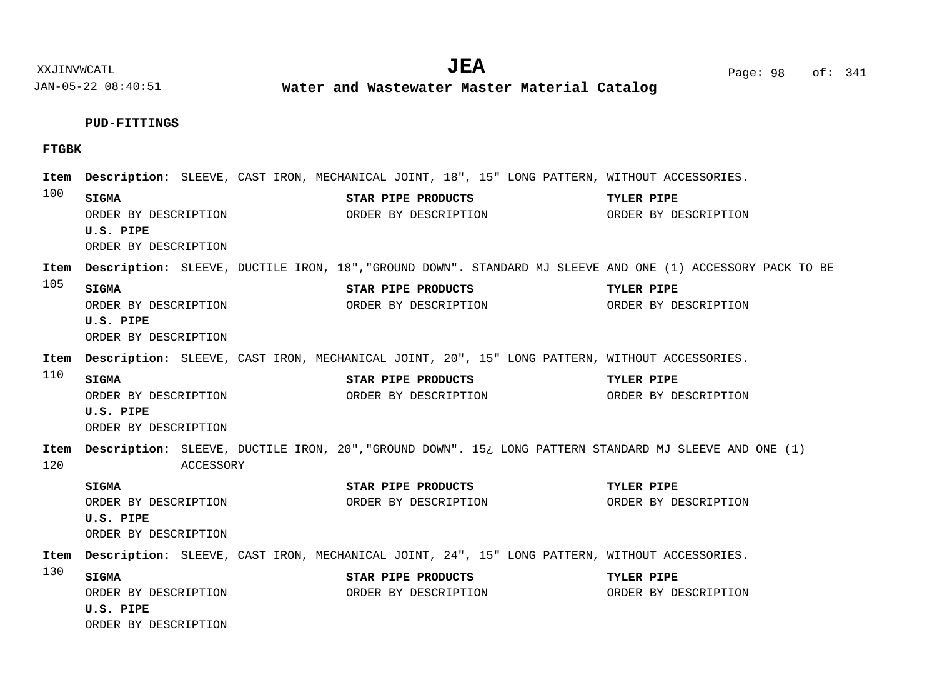$JEA$   $Page: 98$  of: 341

XXJINVWCATL **EXALL** Page: 98 of:

JAN-05-22 08:40:51 **Water and Wastewater Master Material Catalog** 

### **PUD-FITTINGS**

## **FTGBK**

100 105 110 120 130 Item Description: SLEEVE, CAST IRON, MECHANICAL JOINT, 18", 15" LONG PATTERN, WITHOUT ACCESSORIES. Item Description: SLEEVE, DUCTILE IRON, 18","GROUND DOWN". STANDARD MJ SLEEVE AND ONE (1) ACCESSORY PACK TO BE Item Description: SLEEVE, CAST IRON, MECHANICAL JOINT, 20", 15" LONG PATTERN, WITHOUT ACCESSORIES. Item Description: SLEEVE, DUCTILE IRON, 20","GROUND DOWN". 15¿ LONG PATTERN STANDARD MJ SLEEVE AND ONE (1) ACCESSORY Item Description: SLEEVE, CAST IRON, MECHANICAL JOINT, 24", 15" LONG PATTERN, WITHOUT ACCESSORIES. **SIGMA STAR PIPE PRODUCTS TYLER PIPE U.S. PIPE SIGMA STAR PIPE PRODUCTS TYLER PIPE U.S. PIPE SIGMA STAR PIPE PRODUCTS TYLER PIPE U.S. PIPE SIGMA STAR PIPE PRODUCTS TYLER PIPE U.S. PIPE SIGMA STAR PIPE PRODUCTS TYLER PIPE U.S. PIPE** ORDER BY DESCRIPTION ORDER BY DESCRIPTION ORDER BY DESCRIPTION ORDER BY DESCRIPTION ORDER BY DESCRIPTION ORDER BY DESCRIPTION ORDER BY DESCRIPTION ORDER BY DESCRIPTION ORDER BY DESCRIPTION ORDER BY DESCRIPTION ORDER BY DESCRIPTION ORDER BY DESCRIPTION ORDER BY DESCRIPTION ORDER BY DESCRIPTION ORDER BY DESCRIPTION ORDER BY DESCRIPTION ORDER BY DESCRIPTION ORDER BY DESCRIPTION ORDER BY DESCRIPTION ORDER BY DESCRIPTION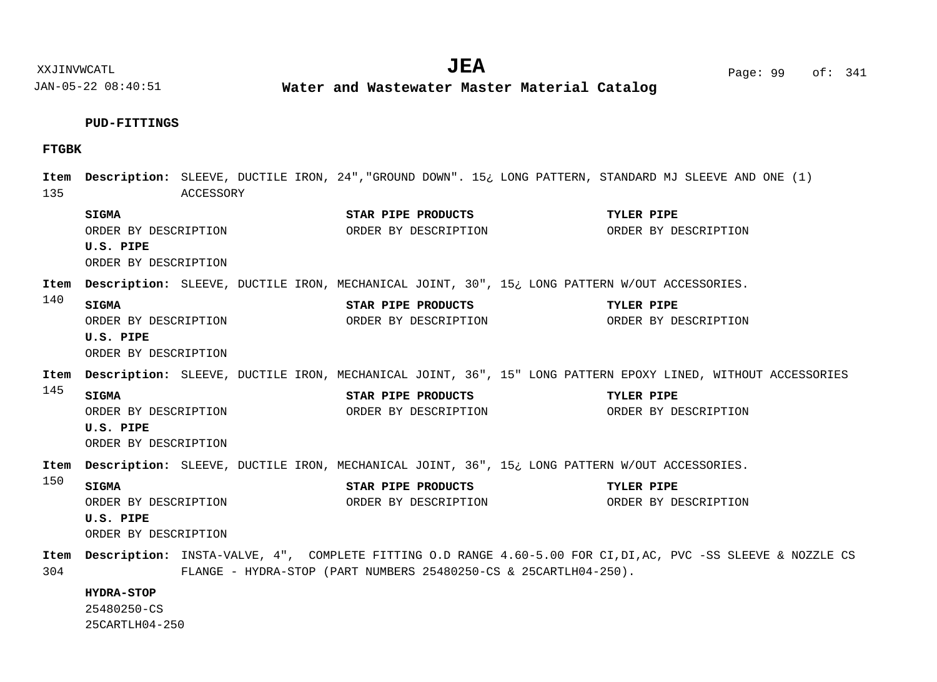JAN-05-22 08:40:51 **Water and Wastewater Master Material Catalog** 

### **PUD-FITTINGS**

## **FTGBK**

135 140 145 150 304 Item Description: SLEEVE, DUCTILE IRON, 24","GROUND DOWN". 15¿ LONG PATTERN, STANDARD MJ SLEEVE AND ONE (1) ACCESSORY Item Description: SLEEVE, DUCTILE IRON, MECHANICAL JOINT, 30", 15¿ LONG PATTERN W/OUT ACCESSORIES. Item Description: SLEEVE, DUCTILE IRON, MECHANICAL JOINT, 36", 15" LONG PATTERN EPOXY LINED, WITHOUT ACCESSORIES Item Description: SLEEVE, DUCTILE IRON, MECHANICAL JOINT, 36", 15¿ LONG PATTERN W/OUT ACCESSORIES. Item Description: INSTA-VALVE, 4", COMPLETE FITTING O.D RANGE 4.60-5.00 FOR CI,DI,AC, PVC -SS SLEEVE & NOZZLE CS FLANGE - HYDRA-STOP (PART NUMBERS 25480250-CS & 25CARTLH04-250). **SIGMA STAR PIPE PRODUCTS TYLER PIPE U.S. PIPE SIGMA STAR PIPE PRODUCTS TYLER PIPE U.S. PIPE SIGMA STAR PIPE PRODUCTS TYLER PIPE U.S. PIPE SIGMA STAR PIPE PRODUCTS TYLER PIPE U.S. PIPE HYDRA-STOP** ORDER BY DESCRIPTION ORDER BY DESCRIPTION ORDER BY DESCRIPTION ORDER BY DESCRIPTION ORDER BY DESCRIPTION ORDER BY DESCRIPTION ORDER BY DESCRIPTION ORDER BY DESCRIPTION ORDER BY DESCRIPTION ORDER BY DESCRIPTION ORDER BY DESCRIPTION ORDER BY DESCRIPTION ORDER BY DESCRIPTION ORDER BY DESCRIPTION ORDER BY DESCRIPTION ORDER BY DESCRIPTION 25480250-CS 25CARTLH04-250

XXJINVWCATL **EXALL** Page: 99 of:  $JEA$   $Page: 99 of: 341$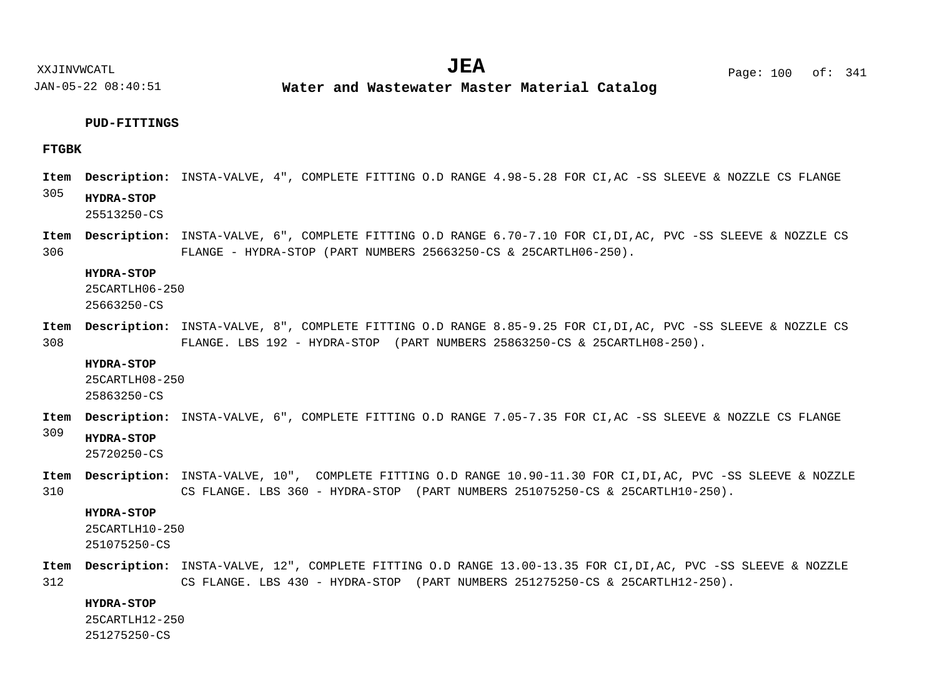XXJINVWCATL Page: 100 of: **JEA**<sup>341</sup>

JAN-05-22 08:40:51

**Water and Wastewater Master Material Catalog** 

## **PUD-FITTINGS**

## **FTGBK**

Item Description: INSTA-VALVE, 4", COMPLETE FITTING O.D RANGE 4.98-5.28 FOR CI,AC -SS SLEEVE & NOZZLE CS FLANGE

#### 305 **HYDRA-STOP**

25513250-CS

306 Item Description: INSTA-VALVE, 6", COMPLETE FITTING O.D RANGE 6.70-7.10 FOR CI,DI,AC, PVC -SS SLEEVE & NOZZLE CS FLANGE - HYDRA-STOP (PART NUMBERS 25663250-CS & 25CARTLH06-250).

## **HYDRA-STOP**

25CARTLH06-250

25663250-CS

308 Item Description: INSTA-VALVE, 8", COMPLETE FITTING O.D RANGE 8.85-9.25 FOR CI,DI,AC, PVC -SS SLEEVE & NOZZLE CS FLANGE. LBS 192 - HYDRA-STOP (PART NUMBERS 25863250-CS & 25CARTLH08-250).

#### **HYDRA-STOP**

25CARTLH08-250

25863250-CS

Item Description: INSTA-VALVE, 6", COMPLETE FITTING O.D RANGE 7.05-7.35 FOR CI,AC -SS SLEEVE & NOZZLE CS FLANGE

#### 309 **HYDRA-STOP**

25720250-CS

310 Item Description: INSTA-VALVE, 10", COMPLETE FITTING O.D RANGE 10.90-11.30 FOR CI,DI,AC, PVC -SS SLEEVE & NOZZLE CS FLANGE. LBS 360 - HYDRA-STOP (PART NUMBERS 251075250-CS & 25CARTLH10-250).

## **HYDRA-STOP**

25CARTLH10-250 251075250-CS

312 Item Description: INSTA-VALVE, 12", COMPLETE FITTING O.D RANGE 13.00-13.35 FOR CI,DI,AC, PVC -SS SLEEVE & NOZZLE CS FLANGE. LBS 430 - HYDRA-STOP (PART NUMBERS 251275250-CS & 25CARTLH12-250).

## **HYDRA-STOP**

25CARTLH12-250

251275250-CS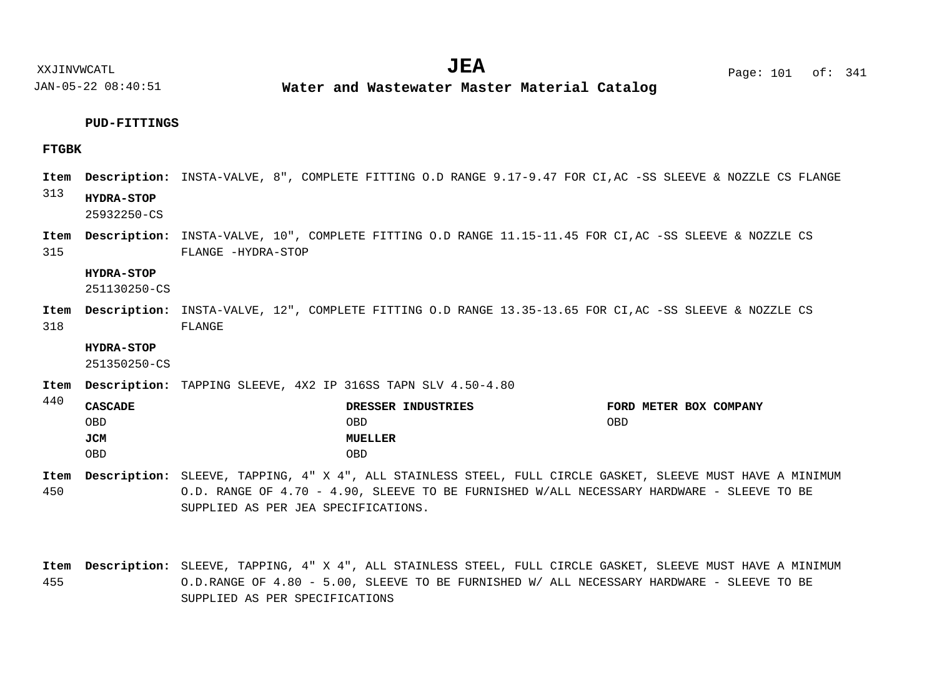**Water and Wastewater Master Material Catalog** 

## **PUD-FITTINGS**

## **FTGBK**

440

- 313 Item Description: INSTA-VALVE, 8", COMPLETE FITTING O.D RANGE 9.17-9.47 FOR CI,AC -SS SLEEVE & NOZZLE CS FLANGE Item Description: INSTA-VALVE, 10", COMPLETE FITTING O.D RANGE 11.15-11.45 FOR CI,AC -SS SLEEVE & NOZZLE CS **HYDRA-STOP** 25932250-CS
- 315 FLANGE -HYDRA-STOP

## **HYDRA-STOP**

251130250-CS

318 Item Description: INSTA-VALVE, 12", COMPLETE FITTING O.D RANGE 13.35-13.65 FOR CI,AC -SS SLEEVE & NOZZLE CS FLANGE

## **HYDRA-STOP**

251350250-CS

Item Description: TAPPING SLEEVE, 4X2 IP 316SS TAPN SLV 4.50-4.80

| せせい | <b>CASCADE</b> | DRESSER INDUSTRIES | FORD METER BOX COMPANY |
|-----|----------------|--------------------|------------------------|
|     | OBD            | OBD                | <b>OBD</b>             |
|     | JCM            | MUELLER            |                        |
|     | OBD            | OBD                |                        |

- 450 SLEEVE, TAPPING, 4" X 4", ALL STAINLESS STEEL, FULL CIRCLE GASKET, SLEEVE MUST HAVE A MINIMUM **Description: Item** O.D. RANGE OF 4.70 - 4.90, SLEEVE TO BE FURNISHED W/ALL NECESSARY HARDWARE - SLEEVE TO BE SUPPLIED AS PER JEA SPECIFICATIONS.
- 455 SLEEVE, TAPPING, 4" X 4", ALL STAINLESS STEEL, FULL CIRCLE GASKET, SLEEVE MUST HAVE A MINIMUM **Description: Item**O.D.RANGE OF 4.80 - 5.00, SLEEVE TO BE FURNISHED W/ ALL NECESSARY HARDWARE - SLEEVE TO BE SUPPLIED AS PER SPECIFICATIONS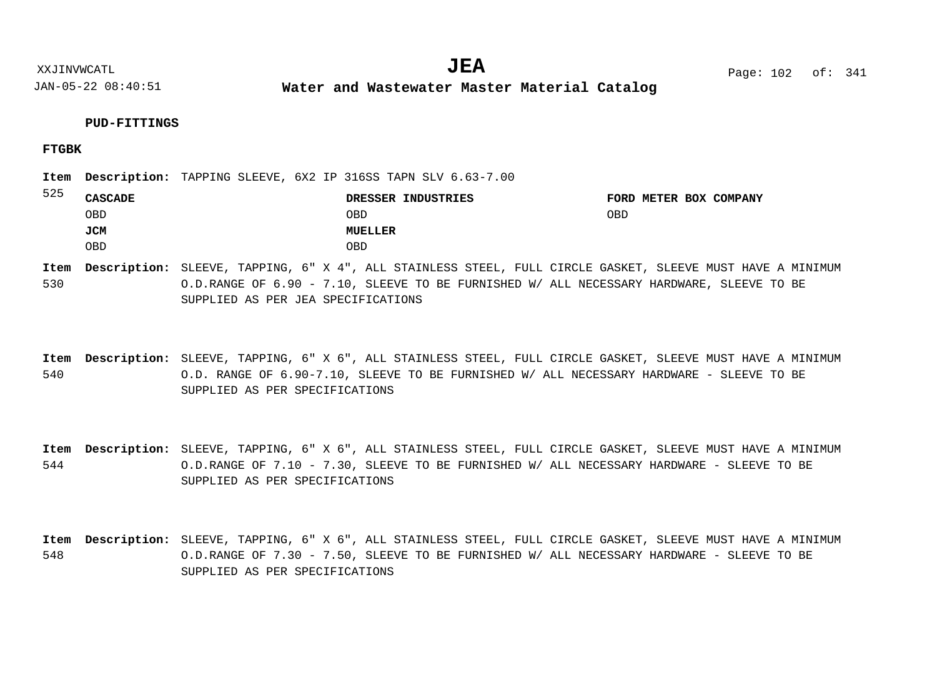**Water and Wastewater Master Material Catalog** 

## **PUD-FITTINGS**

## **FTGBK**

| 525 |         |  | Item Description: TAPPING SLEEVE, 6X2 IP 316SS TAPN SLV 6.63-7.00 |            |                        |
|-----|---------|--|-------------------------------------------------------------------|------------|------------------------|
|     | CASCADE |  | DRESSER INDUSTRIES                                                |            | FORD METER BOX COMPANY |
|     | OBD     |  | OBD                                                               | <b>OBD</b> |                        |
|     | JCM     |  | MUELLER                                                           |            |                        |
|     | 0BD     |  | <b>OBD</b>                                                        |            |                        |

530 SLEEVE, TAPPING, 6" X 4", ALL STAINLESS STEEL, FULL CIRCLE GASKET, SLEEVE MUST HAVE A MINIMUM **Description: Item** O.D.RANGE OF 6.90 - 7.10, SLEEVE TO BE FURNISHED W/ ALL NECESSARY HARDWARE, SLEEVE TO BE SUPPLIED AS PER JEA SPECIFICATIONS

540 Item Description: SLEEVE, TAPPING, 6" X 6", ALL STAINLESS STEEL, FULL CIRCLE GASKET, SLEEVE MUST HAVE A MINIMUM O.D. RANGE OF 6.90-7.10, SLEEVE TO BE FURNISHED W/ ALL NECESSARY HARDWARE - SLEEVE TO BE SUPPLIED AS PER SPECIFICATIONS

544 Item Description: SLEEVE, TAPPING, 6" X 6", ALL STAINLESS STEEL, FULL CIRCLE GASKET, SLEEVE MUST HAVE A MINIMUM O.D.RANGE OF 7.10 - 7.30, SLEEVE TO BE FURNISHED W/ ALL NECESSARY HARDWARE - SLEEVE TO BE SUPPLIED AS PER SPECIFICATIONS

548 Item Description: SLEEVE, TAPPING, 6" X 6", ALL STAINLESS STEEL, FULL CIRCLE GASKET, SLEEVE MUST HAVE A MINIMUM O.D.RANGE OF 7.30 - 7.50, SLEEVE TO BE FURNISHED W/ ALL NECESSARY HARDWARE - SLEEVE TO BE SUPPLIED AS PER SPECIFICATIONS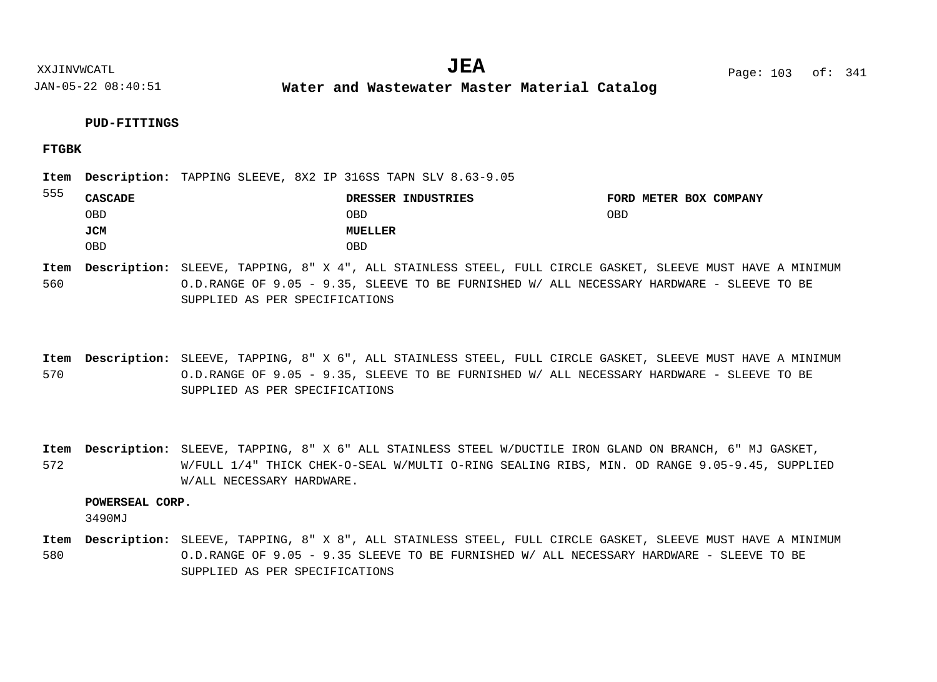**Water and Wastewater Master Material Catalog** 

## **FTGBK**

| 555 |                | Item Description: TAPPING SLEEVE, 8X2 IP 316SS TAPN SLV 8.63-9.05 |                        |
|-----|----------------|-------------------------------------------------------------------|------------------------|
|     | <b>CASCADE</b> | DRESSER INDUSTRIES                                                | FORD METER BOX COMPANY |
|     | OBD            | OBD                                                               | OBD                    |
|     | JCM            | MUELLER                                                           |                        |
|     | OBD            | OBD                                                               |                        |

560 SLEEVE, TAPPING, 8" X 4", ALL STAINLESS STEEL, FULL CIRCLE GASKET, SLEEVE MUST HAVE A MINIMUM **Description: Item** O.D.RANGE OF 9.05 - 9.35, SLEEVE TO BE FURNISHED W/ ALL NECESSARY HARDWARE - SLEEVE TO BE SUPPLIED AS PER SPECIFICATIONS

570 SLEEVE, TAPPING, 8" X 6", ALL STAINLESS STEEL, FULL CIRCLE GASKET, SLEEVE MUST HAVE A MINIMUM **Description: Item** O.D.RANGE OF 9.05 - 9.35, SLEEVE TO BE FURNISHED W/ ALL NECESSARY HARDWARE - SLEEVE TO BE SUPPLIED AS PER SPECIFICATIONS

572 Item Description: SLEEVE, TAPPING, 8" X 6" ALL STAINLESS STEEL W/DUCTILE IRON GLAND ON BRANCH, 6" MJ GASKET, W/FULL 1/4" THICK CHEK-O-SEAL W/MULTI O-RING SEALING RIBS, MIN. OD RANGE 9.05-9.45, SUPPLIED W/ALL NECESSARY HARDWARE.

## **POWERSEAL CORP.**

3490MJ

580 SLEEVE, TAPPING, 8" X 8", ALL STAINLESS STEEL, FULL CIRCLE GASKET, SLEEVE MUST HAVE A MINIMUM **Description: Item**O.D.RANGE OF 9.05 - 9.35 SLEEVE TO BE FURNISHED W/ ALL NECESSARY HARDWARE - SLEEVE TO BE SUPPLIED AS PER SPECIFICATIONS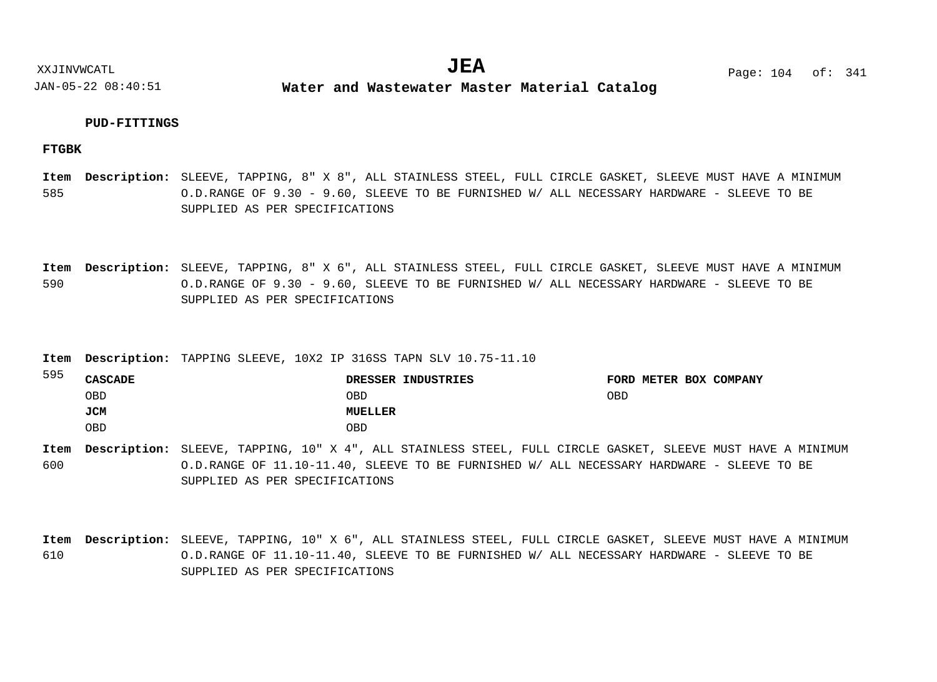**Water and Wastewater Master Material Catalog** 

## **PUD-FITTINGS**

## **FTGBK**

585 SLEEVE, TAPPING, 8" X 8", ALL STAINLESS STEEL, FULL CIRCLE GASKET, SLEEVE MUST HAVE A MINIMUM **Description: Item** O.D.RANGE OF 9.30 - 9.60, SLEEVE TO BE FURNISHED W/ ALL NECESSARY HARDWARE - SLEEVE TO BE SUPPLIED AS PER SPECIFICATIONS

590 SLEEVE, TAPPING, 8" X 6", ALL STAINLESS STEEL, FULL CIRCLE GASKET, SLEEVE MUST HAVE A MINIMUM **Description: Item** O.D.RANGE OF 9.30 - 9.60, SLEEVE TO BE FURNISHED W/ ALL NECESSARY HARDWARE - SLEEVE TO BE SUPPLIED AS PER SPECIFICATIONS

Item Description: TAPPING SLEEVE, 10X2 IP 316SS TAPN SLV 10.75-11.10

| 595 | <b>CASCADE</b> | DRESSER INDUSTRIES | FORD METER BOX COMPANY |
|-----|----------------|--------------------|------------------------|
|     | OBD            | OBD                | OBD                    |
|     | JCM            | MUELLER            |                        |
|     | OBD            | OBD                |                        |

600 SLEEVE, TAPPING, 10" X 4", ALL STAINLESS STEEL, FULL CIRCLE GASKET, SLEEVE MUST HAVE A MINIMUM **Description: Item** O.D.RANGE OF 11.10-11.40, SLEEVE TO BE FURNISHED W/ ALL NECESSARY HARDWARE - SLEEVE TO BE SUPPLIED AS PER SPECIFICATIONS

610 SLEEVE, TAPPING, 10" X 6", ALL STAINLESS STEEL, FULL CIRCLE GASKET, SLEEVE MUST HAVE A MINIMUM **Description: Item**O.D.RANGE OF 11.10-11.40, SLEEVE TO BE FURNISHED W/ ALL NECESSARY HARDWARE - SLEEVE TO BE SUPPLIED AS PER SPECIFICATIONS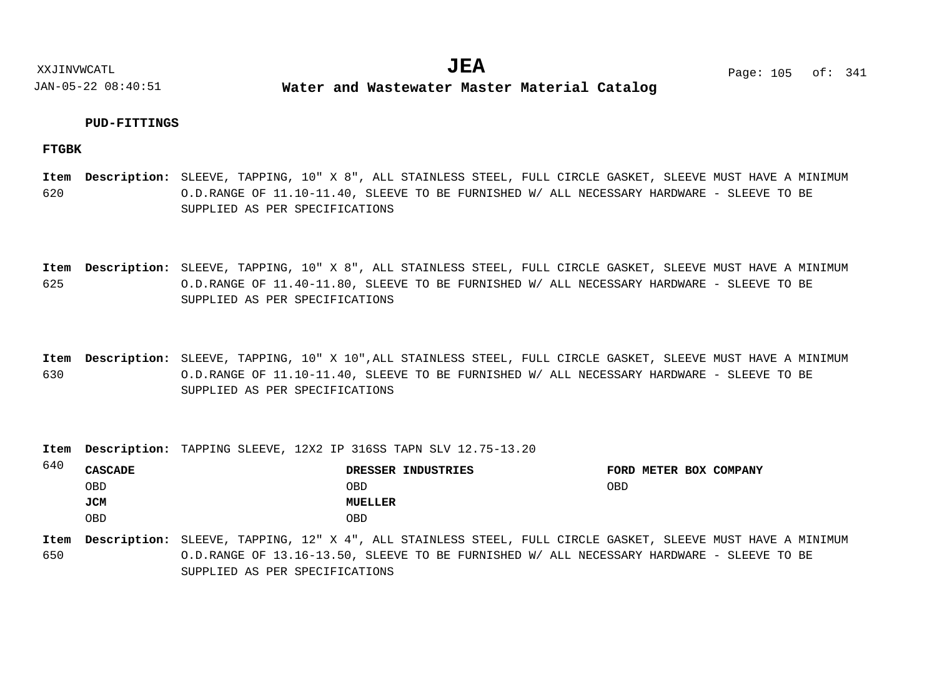**Water and Wastewater Master Material Catalog** 

## **PUD-FITTINGS**

**FTGBK**

 $640$ 

620 SLEEVE, TAPPING, 10" X 8", ALL STAINLESS STEEL, FULL CIRCLE GASKET, SLEEVE MUST HAVE A MINIMUM **Description: Item** O.D.RANGE OF 11.10-11.40, SLEEVE TO BE FURNISHED W/ ALL NECESSARY HARDWARE - SLEEVE TO BE SUPPLIED AS PER SPECIFICATIONS

625 SLEEVE, TAPPING, 10" X 8", ALL STAINLESS STEEL, FULL CIRCLE GASKET, SLEEVE MUST HAVE A MINIMUM **Description: Item** O.D.RANGE OF 11.40-11.80, SLEEVE TO BE FURNISHED W/ ALL NECESSARY HARDWARE - SLEEVE TO BE SUPPLIED AS PER SPECIFICATIONS

630 SLEEVE, TAPPING, 10" X 10",ALL STAINLESS STEEL, FULL CIRCLE GASKET, SLEEVE MUST HAVE A MINIMUM **Description: Item** O.D.RANGE OF 11.10-11.40, SLEEVE TO BE FURNISHED W/ ALL NECESSARY HARDWARE - SLEEVE TO BE SUPPLIED AS PER SPECIFICATIONS

Item Description: TAPPING SLEEVE, 12X2 IP 316SS TAPN SLV 12.75-13.20

| 04 U | <b>CASCADE</b> | DRESSER INDUSTRIES | FORD METER BOX COMPANY |
|------|----------------|--------------------|------------------------|
|      | OBD            | OBD                | OBD                    |
|      | JCM            | MUELLER            |                        |
|      | OBD            | OBD                |                        |

650 SLEEVE, TAPPING, 12" X 4", ALL STAINLESS STEEL, FULL CIRCLE GASKET, SLEEVE MUST HAVE A MINIMUM **Description: Item**O.D.RANGE OF 13.16-13.50, SLEEVE TO BE FURNISHED W/ ALL NECESSARY HARDWARE - SLEEVE TO BE SUPPLIED AS PER SPECIFICATIONS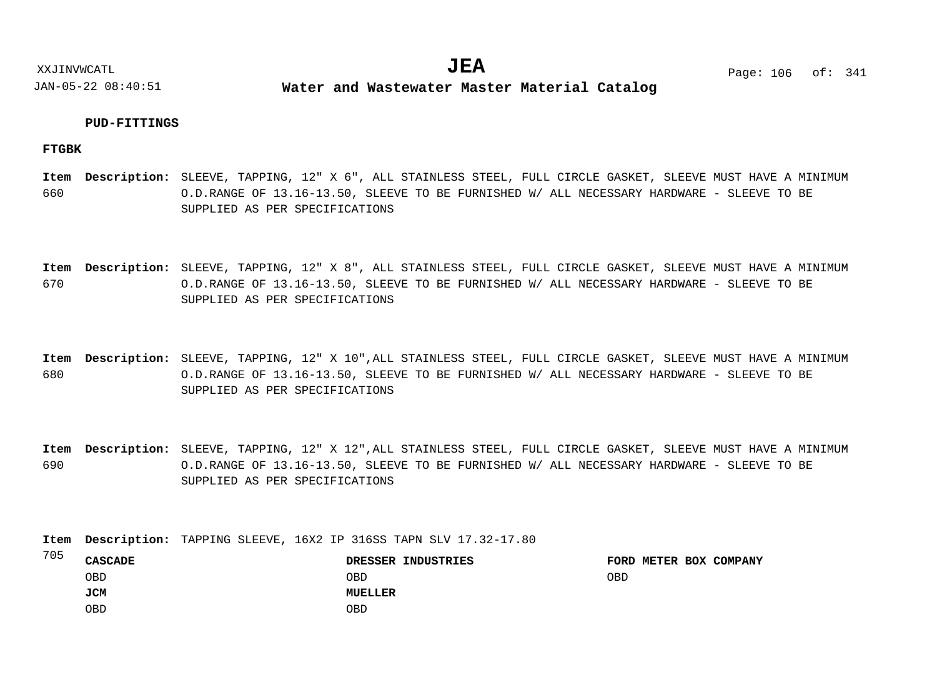**Water and Wastewater Master Material Catalog** 

## **PUD-FITTINGS**

**FTGBK**

660 SLEEVE, TAPPING, 12" X 6", ALL STAINLESS STEEL, FULL CIRCLE GASKET, SLEEVE MUST HAVE A MINIMUM **Description: Item** O.D.RANGE OF 13.16-13.50, SLEEVE TO BE FURNISHED W/ ALL NECESSARY HARDWARE - SLEEVE TO BE SUPPLIED AS PER SPECIFICATIONS

670 SLEEVE, TAPPING, 12" X 8", ALL STAINLESS STEEL, FULL CIRCLE GASKET, SLEEVE MUST HAVE A MINIMUM **Description: Item** O.D.RANGE OF 13.16-13.50, SLEEVE TO BE FURNISHED W/ ALL NECESSARY HARDWARE - SLEEVE TO BE SUPPLIED AS PER SPECIFICATIONS

680 SLEEVE, TAPPING, 12" X 10",ALL STAINLESS STEEL, FULL CIRCLE GASKET, SLEEVE MUST HAVE A MINIMUM **Description: Item** O.D.RANGE OF 13.16-13.50, SLEEVE TO BE FURNISHED W/ ALL NECESSARY HARDWARE - SLEEVE TO BE SUPPLIED AS PER SPECIFICATIONS

690 SLEEVE, TAPPING, 12" X 12",ALL STAINLESS STEEL, FULL CIRCLE GASKET, SLEEVE MUST HAVE A MINIMUM **Description: Item** O.D.RANGE OF 13.16-13.50, SLEEVE TO BE FURNISHED W/ ALL NECESSARY HARDWARE - SLEEVE TO BE SUPPLIED AS PER SPECIFICATIONS

Item Description: TAPPING SLEEVE, 16X2 IP 316SS TAPN SLV 17.32-17.80

| 705 | CASCADE | DRESSER INDUSTRIES | FORD METER BOX COMPANY |
|-----|---------|--------------------|------------------------|
|     | OBD     | OBD                | OBD                    |
|     | JCM     | MUELLER            |                        |
|     | OBD     | OBD                |                        |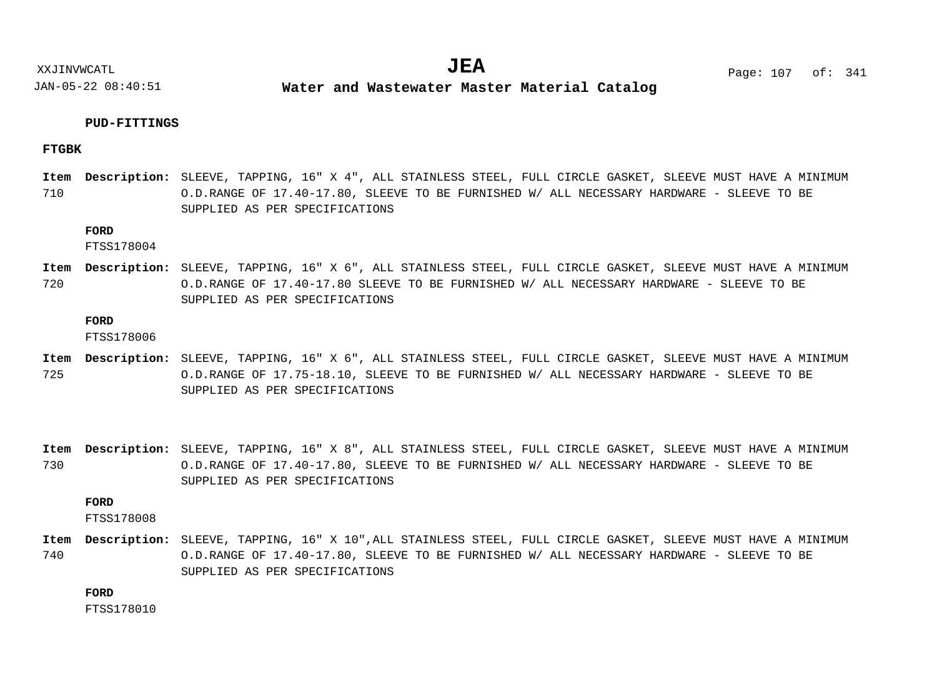**Water and Wastewater Master Material Catalog** 

## **PUD-FITTINGS**

## **FTGBK**

710 SLEEVE, TAPPING, 16" X 4", ALL STAINLESS STEEL, FULL CIRCLE GASKET, SLEEVE MUST HAVE A MINIMUM **Description: Item** O.D.RANGE OF 17.40-17.80, SLEEVE TO BE FURNISHED W/ ALL NECESSARY HARDWARE - SLEEVE TO BE SUPPLIED AS PER SPECIFICATIONS

## **FORD**

FTSS178004

720 SLEEVE, TAPPING, 16" X 6", ALL STAINLESS STEEL, FULL CIRCLE GASKET, SLEEVE MUST HAVE A MINIMUM **Description: Item** O.D.RANGE OF 17.40-17.80 SLEEVE TO BE FURNISHED W/ ALL NECESSARY HARDWARE - SLEEVE TO BE SUPPLIED AS PER SPECIFICATIONS

## **FORD**

FTSS178006

- 725 SLEEVE, TAPPING, 16" X 6", ALL STAINLESS STEEL, FULL CIRCLE GASKET, SLEEVE MUST HAVE A MINIMUM **Description: Item** O.D.RANGE OF 17.75-18.10, SLEEVE TO BE FURNISHED W/ ALL NECESSARY HARDWARE - SLEEVE TO BE SUPPLIED AS PER SPECIFICATIONS
- 730 SLEEVE, TAPPING, 16" X 8", ALL STAINLESS STEEL, FULL CIRCLE GASKET, SLEEVE MUST HAVE A MINIMUM **Description: Item** O.D.RANGE OF 17.40-17.80, SLEEVE TO BE FURNISHED W/ ALL NECESSARY HARDWARE - SLEEVE TO BE SUPPLIED AS PER SPECIFICATIONS

## **FORD**

FTSS178008

740 SLEEVE, TAPPING, 16" X 10",ALL STAINLESS STEEL, FULL CIRCLE GASKET, SLEEVE MUST HAVE A MINIMUM **Description: Item**O.D.RANGE OF 17.40-17.80, SLEEVE TO BE FURNISHED W/ ALL NECESSARY HARDWARE - SLEEVE TO BE SUPPLIED AS PER SPECIFICATIONS

**FORD**

FTSS178010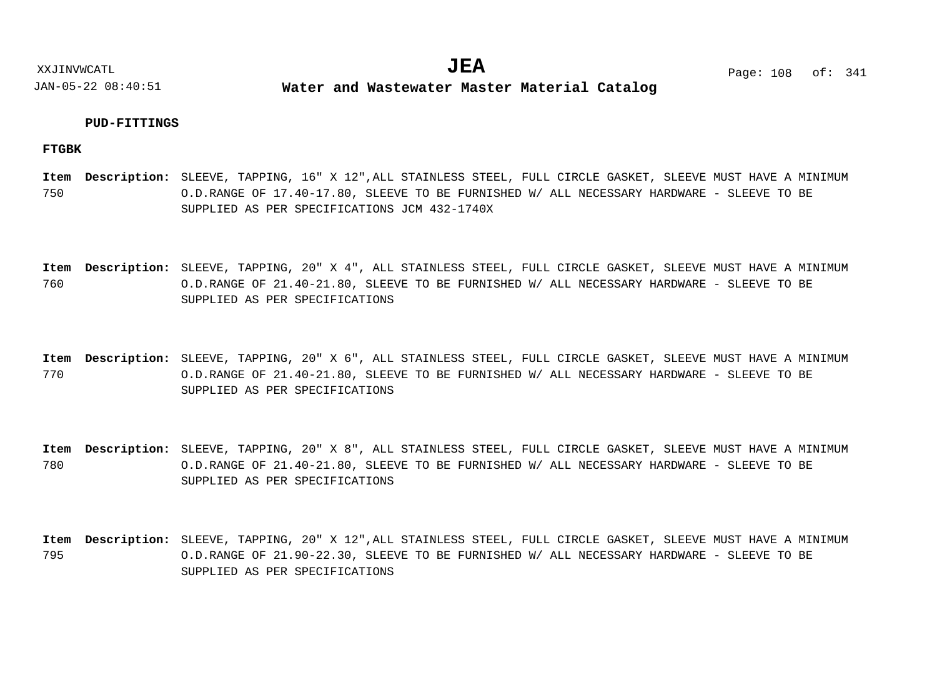**Water and Wastewater Master Material Catalog** 

## **PUD-FITTINGS**

**FTGBK**

750 SLEEVE, TAPPING, 16" X 12",ALL STAINLESS STEEL, FULL CIRCLE GASKET, SLEEVE MUST HAVE A MINIMUM **Description: Item** O.D.RANGE OF 17.40-17.80, SLEEVE TO BE FURNISHED W/ ALL NECESSARY HARDWARE - SLEEVE TO BE SUPPLIED AS PER SPECIFICATIONS JCM 432-1740X

760 SLEEVE, TAPPING, 20" X 4", ALL STAINLESS STEEL, FULL CIRCLE GASKET, SLEEVE MUST HAVE A MINIMUM **Description: Item** O.D.RANGE OF 21.40-21.80, SLEEVE TO BE FURNISHED W/ ALL NECESSARY HARDWARE - SLEEVE TO BE SUPPLIED AS PER SPECIFICATIONS

770 SLEEVE, TAPPING, 20" X 6", ALL STAINLESS STEEL, FULL CIRCLE GASKET, SLEEVE MUST HAVE A MINIMUM **Description: Item** O.D.RANGE OF 21.40-21.80, SLEEVE TO BE FURNISHED W/ ALL NECESSARY HARDWARE - SLEEVE TO BE SUPPLIED AS PER SPECIFICATIONS

780 SLEEVE, TAPPING, 20" X 8", ALL STAINLESS STEEL, FULL CIRCLE GASKET, SLEEVE MUST HAVE A MINIMUM **Description: Item** O.D.RANGE OF 21.40-21.80, SLEEVE TO BE FURNISHED W/ ALL NECESSARY HARDWARE - SLEEVE TO BE SUPPLIED AS PER SPECIFICATIONS

795 SLEEVE, TAPPING, 20" X 12",ALL STAINLESS STEEL, FULL CIRCLE GASKET, SLEEVE MUST HAVE A MINIMUM **Description: Item**O.D.RANGE OF 21.90-22.30, SLEEVE TO BE FURNISHED W/ ALL NECESSARY HARDWARE - SLEEVE TO BE SUPPLIED AS PER SPECIFICATIONS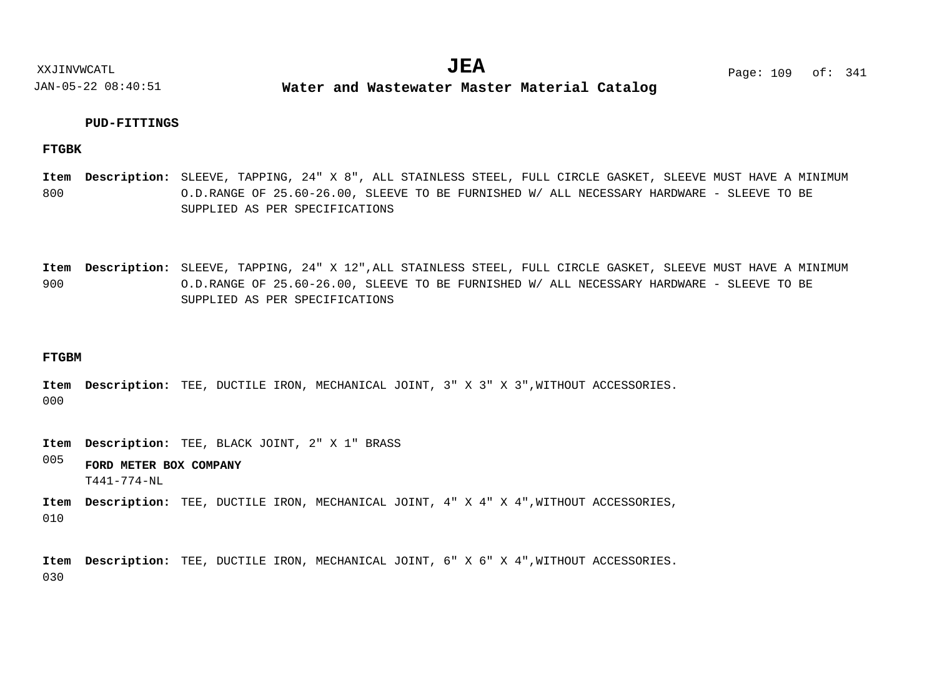**Water and Wastewater Master Material Catalog** 

## **PUD-FITTINGS**

#### **FTGBK**

800 SLEEVE, TAPPING, 24" X 8", ALL STAINLESS STEEL, FULL CIRCLE GASKET, SLEEVE MUST HAVE A MINIMUM **Description: Item** O.D.RANGE OF 25.60-26.00, SLEEVE TO BE FURNISHED W/ ALL NECESSARY HARDWARE - SLEEVE TO BE SUPPLIED AS PER SPECIFICATIONS

900 SLEEVE, TAPPING, 24" X 12",ALL STAINLESS STEEL, FULL CIRCLE GASKET, SLEEVE MUST HAVE A MINIMUM **Description: Item** O.D.RANGE OF 25.60-26.00, SLEEVE TO BE FURNISHED W/ ALL NECESSARY HARDWARE - SLEEVE TO BE SUPPLIED AS PER SPECIFICATIONS

#### **FTGBM**

000 Item Description: TEE, DUCTILE IRON, MECHANICAL JOINT, 3" X 3" X 3", WITHOUT ACCESSORIES.

Item Description: TEE, BLACK JOINT, 2" X 1" BRASS

005 **FORD METER BOX COMPANY** T441-774-NL

010 Item Description: TEE, DUCTILE IRON, MECHANICAL JOINT, 4" X 4" X 4", WITHOUT ACCESSORIES,

030 Item Description: TEE, DUCTILE IRON, MECHANICAL JOINT, 6" X 6" X 4", WITHOUT ACCESSORIES.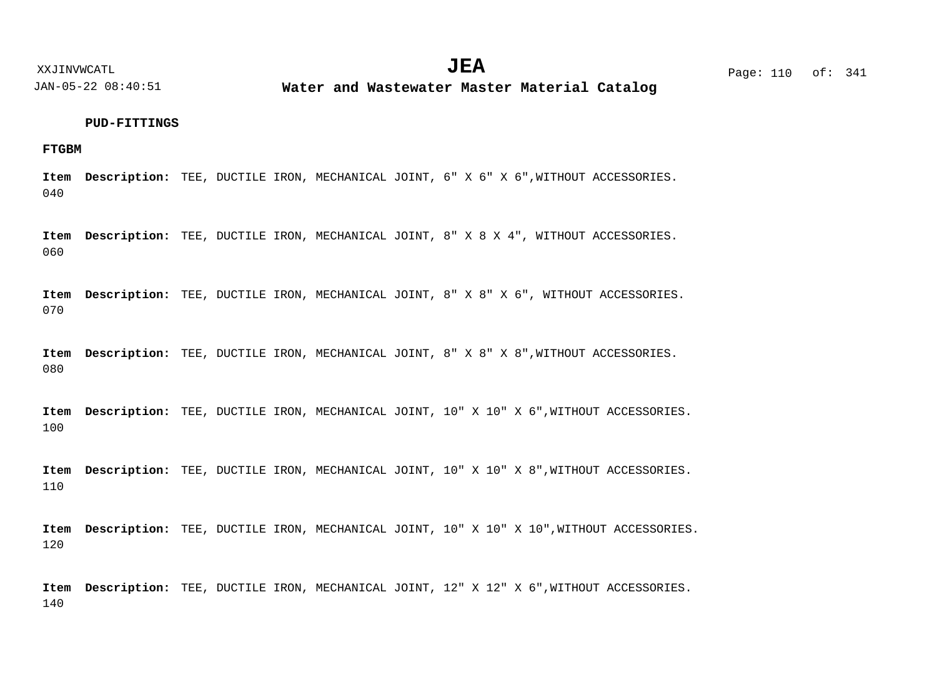**Water and Wastewater Master Material Catalog** 

#### **PUD-FITTINGS**

## **FTGBM**

040 Item Description: TEE, DUCTILE IRON, MECHANICAL JOINT, 6" X 6" X 6", WITHOUT ACCESSORIES.

060 Item Description: TEE, DUCTILE IRON, MECHANICAL JOINT, 8" X 8 X 4", WITHOUT ACCESSORIES.

070 Item Description: TEE, DUCTILE IRON, MECHANICAL JOINT, 8" X 8" X 6", WITHOUT ACCESSORIES.

080 Item Description: TEE, DUCTILE IRON, MECHANICAL JOINT, 8" X 8" X 8", WITHOUT ACCESSORIES.

100 Item Description: TEE, DUCTILE IRON, MECHANICAL JOINT, 10" X 10" X 6", WITHOUT ACCESSORIES.

110 Item Description: TEE, DUCTILE IRON, MECHANICAL JOINT, 10" X 10" X 8", WITHOUT ACCESSORIES.

120 Item Description: TEE, DUCTILE IRON, MECHANICAL JOINT, 10" X 10" X 10", WITHOUT ACCESSORIES.

140 Item Description: TEE, DUCTILE IRON, MECHANICAL JOINT, 12" X 12" X 6", WITHOUT ACCESSORIES.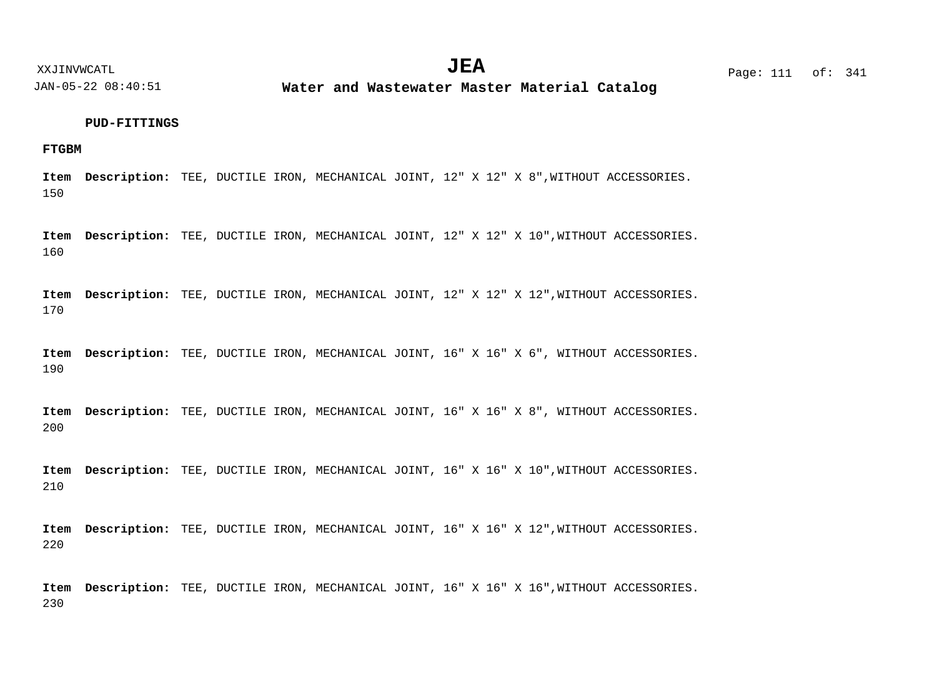XXJINVWCATL **EXALL** Page: 111 of:  $JEA$   $Page: 111 of: 341$ 

JAN-05-22 08:40:51

**Water and Wastewater Master Material Catalog** 

#### **PUD-FITTINGS**

## **FTGBM**

150 Item Description: TEE, DUCTILE IRON, MECHANICAL JOINT, 12" X 12" X 8", WITHOUT ACCESSORIES.

160 Item Description: TEE, DUCTILE IRON, MECHANICAL JOINT, 12" X 12" X 10", WITHOUT ACCESSORIES.

170 Item Description: TEE, DUCTILE IRON, MECHANICAL JOINT, 12" X 12" X 12", WITHOUT ACCESSORIES.

190 Item Description: TEE, DUCTILE IRON, MECHANICAL JOINT, 16" X 16" X 6", WITHOUT ACCESSORIES.

200 Item Description: TEE, DUCTILE IRON, MECHANICAL JOINT, 16" X 16" X 8", WITHOUT ACCESSORIES.

210 Item Description: TEE, DUCTILE IRON, MECHANICAL JOINT, 16" X 16" X 10", WITHOUT ACCESSORIES.

220 Item Description: TEE, DUCTILE IRON, MECHANICAL JOINT, 16" X 16" X 12", WITHOUT ACCESSORIES.

230 Item Description: TEE, DUCTILE IRON, MECHANICAL JOINT, 16" X 16" X 16", WITHOUT ACCESSORIES.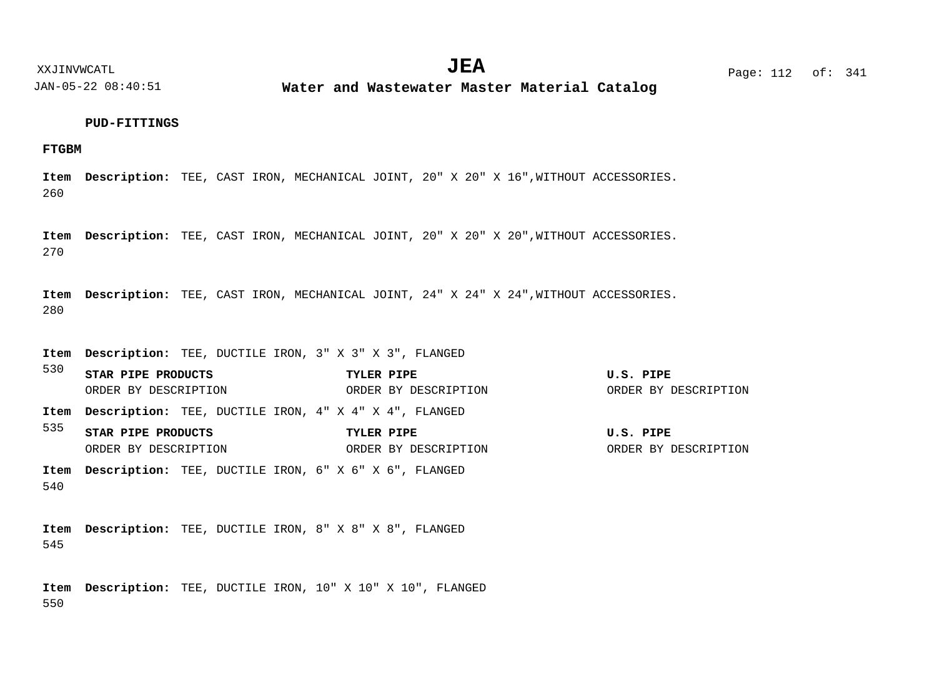JAN-05-22 08:40:51 **Water and Wastewater Master Material Catalog** 

#### **PUD-FITTINGS**

## **FTGBM**

260 Item Description: TEE, CAST IRON, MECHANICAL JOINT, 20" X 20" X 16", WITHOUT ACCESSORIES.

270 Item Description: TEE, CAST IRON, MECHANICAL JOINT, 20" X 20" X 20", WITHOUT ACCESSORIES.

280 Item Description: TEE, CAST IRON, MECHANICAL JOINT, 24" X 24" X 24", WITHOUT ACCESSORIES.

TEE, DUCTILE IRON, 3" X 3" X 3", FLANGED **Description: Item**

530 535 540 TEE, DUCTILE IRON, 4" X 4" X 4", FLANGED **Description: Item** TEE, DUCTILE IRON, 6" X 6" X 6", FLANGED **Description: Item STAR PIPE PRODUCTS TYLER PIPE U.S. PIPE STAR PIPE PRODUCTS TYLER PIPE U.S. PIPE** ORDER BY DESCRIPTION ORDER BY DESCRIPTION ORDER BY DESCRIPTION ORDER BY DESCRIPTION ORDER BY DESCRIPTION ORDER BY DESCRIPTION

545 TEE, DUCTILE IRON, 8" X 8" X 8", FLANGED **Description: Item**

550 Item Description: TEE, DUCTILE IRON, 10" X 10" X 10", FLANGED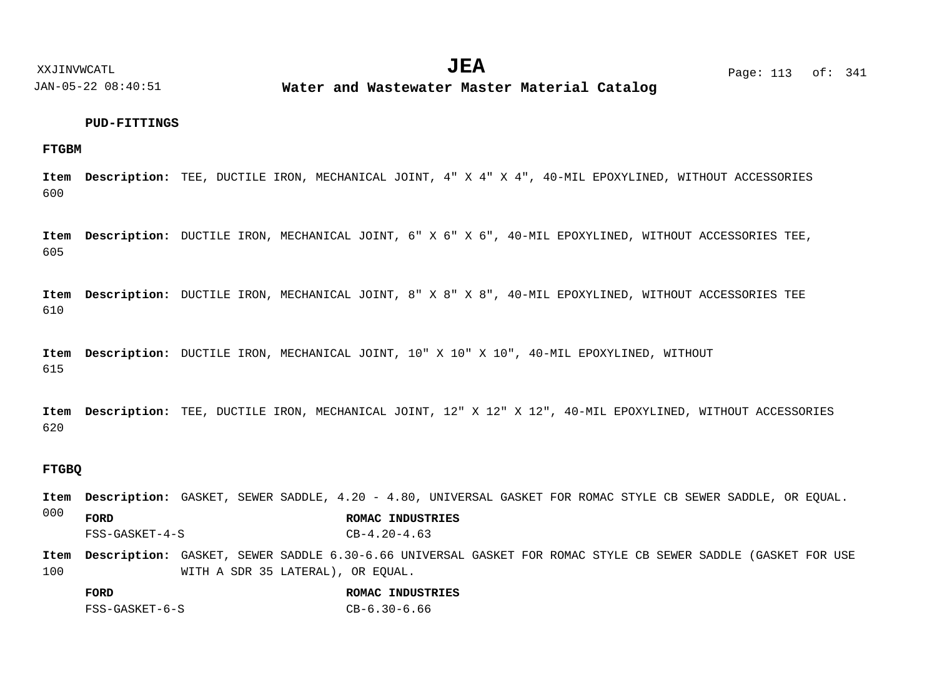**Water and Wastewater Master Material Catalog** 

#### **PUD-FITTINGS**

## **FTGBM**

600 Item Description: TEE, DUCTILE IRON, MECHANICAL JOINT, 4" X 4" X 4", 40-MIL EPOXYLINED, WITHOUT ACCESSORIES

605 Item Description: DUCTILE IRON, MECHANICAL JOINT, 6" X 6" X 6", 40-MIL EPOXYLINED, WITHOUT ACCESSORIES TEE,

610 Item Description: DUCTILE IRON, MECHANICAL JOINT, 8" X 8" X 8", 40-MIL EPOXYLINED, WITHOUT ACCESSORIES TEE

615 Item Description: DUCTILE IRON, MECHANICAL JOINT, 10" X 10" X 10", 40-MIL EPOXYLINED, WITHOUT

620 Item Description: TEE, DUCTILE IRON, MECHANICAL JOINT, 12" X 12" X 12", 40-MIL EPOXYLINED, WITHOUT ACCESSORIES

## **FTGBQ**

Item Description: GASKET, SEWER SADDLE, 4.20 - 4.80, UNIVERSAL GASKET FOR ROMAC STYLE CB SEWER SADDLE, OR EQUAL.

000 **FORD ROMAC INDUSTRIES** FSS-GASKET-4-S CB-4.20-4.63

100 Item Description: GASKET, SEWER SADDLE 6.30-6.66 UNIVERSAL GASKET FOR ROMAC STYLE CB SEWER SADDLE (GASKET FOR USE WITH A SDR 35 LATERAL), OR EQUAL.

| FORD           | ROMAC INDUSTRIES |
|----------------|------------------|
| FSS-GASKET-6-S | CB-6.30-6.66     |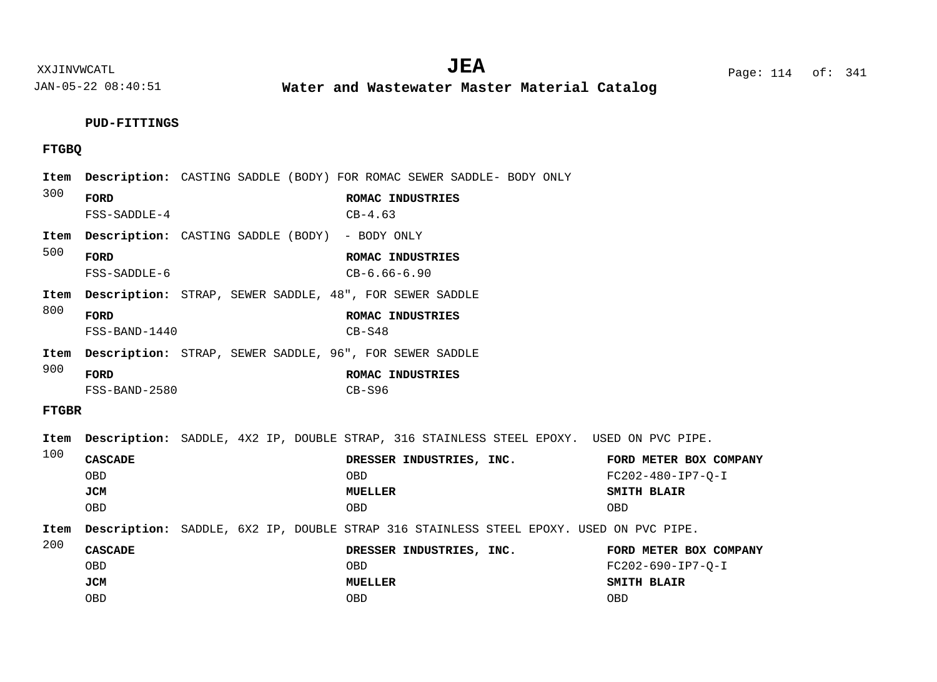**Water and Wastewater Master Material Catalog** 

# **PUD-FITTINGS**

# **FTGBQ**

|  | Item         |                      |                                                                | Description: CASTING SADDLE (BODY) FOR ROMAC SEWER SADDLE- BODY ONLY                           |                        |
|--|--------------|----------------------|----------------------------------------------------------------|------------------------------------------------------------------------------------------------|------------------------|
|  | 300          | FORD                 |                                                                | ROMAC INDUSTRIES                                                                               |                        |
|  | Item         | $FSS-SADDLE-4$       | <b>Description:</b> CASTING SADDLE (BODY) - BODY ONLY          | $CB-4.63$                                                                                      |                        |
|  | 500          |                      |                                                                |                                                                                                |                        |
|  |              | FORD<br>FSS-SADDLE-6 |                                                                | ROMAC INDUSTRIES<br>$CB-6.66-6.90$                                                             |                        |
|  | Item         |                      | <b>Description:</b> STRAP, SEWER SADDLE, 48", FOR SEWER SADDLE |                                                                                                |                        |
|  | 800          | FORD                 |                                                                | ROMAC INDUSTRIES                                                                               |                        |
|  |              | FSS-BAND-1440        |                                                                | $CB-S48$                                                                                       |                        |
|  | Item         |                      | <b>Description:</b> STRAP, SEWER SADDLE, 96", FOR SEWER SADDLE |                                                                                                |                        |
|  | 900          | FORD                 |                                                                | ROMAC INDUSTRIES                                                                               |                        |
|  |              | FSS-BAND-2580        |                                                                | $CB-S96$                                                                                       |                        |
|  | <b>FTGBR</b> |                      |                                                                |                                                                                                |                        |
|  | Item         |                      |                                                                | <b>Description:</b> SADDLE, 4X2 IP, DOUBLE STRAP, 316 STAINLESS STEEL EPOXY. USED ON PVC PIPE. |                        |
|  | 100          | <b>CASCADE</b>       |                                                                | DRESSER INDUSTRIES, INC.                                                                       | FORD METER BOX COMPANY |
|  |              | <b>OBD</b>           |                                                                | <b>OBD</b>                                                                                     | FC202-480-IP7-0-I      |
|  |              | JCM                  |                                                                | <b>MUELLER</b>                                                                                 | SMITH BLAIR            |
|  |              | <b>OBD</b>           |                                                                | <b>OBD</b>                                                                                     | <b>OBD</b>             |
|  | Item         |                      |                                                                | Description: SADDLE, 6X2 IP, DOUBLE STRAP 316 STAINLESS STEEL EPOXY. USED ON PVC PIPE.         |                        |
|  | 200          | <b>CASCADE</b>       |                                                                | DRESSER INDUSTRIES, INC.                                                                       | FORD METER BOX COMPANY |
|  |              | <b>OBD</b>           |                                                                | <b>OBD</b>                                                                                     | FC202-690-IP7-0-I      |
|  |              | <b>JCM</b>           |                                                                | <b>MUELLER</b>                                                                                 | SMITH BLAIR            |
|  |              | <b>OBD</b>           |                                                                | <b>OBD</b>                                                                                     | <b>OBD</b>             |

XXJINVWCATL Page: 114 of: **JEA**<sup>341</sup>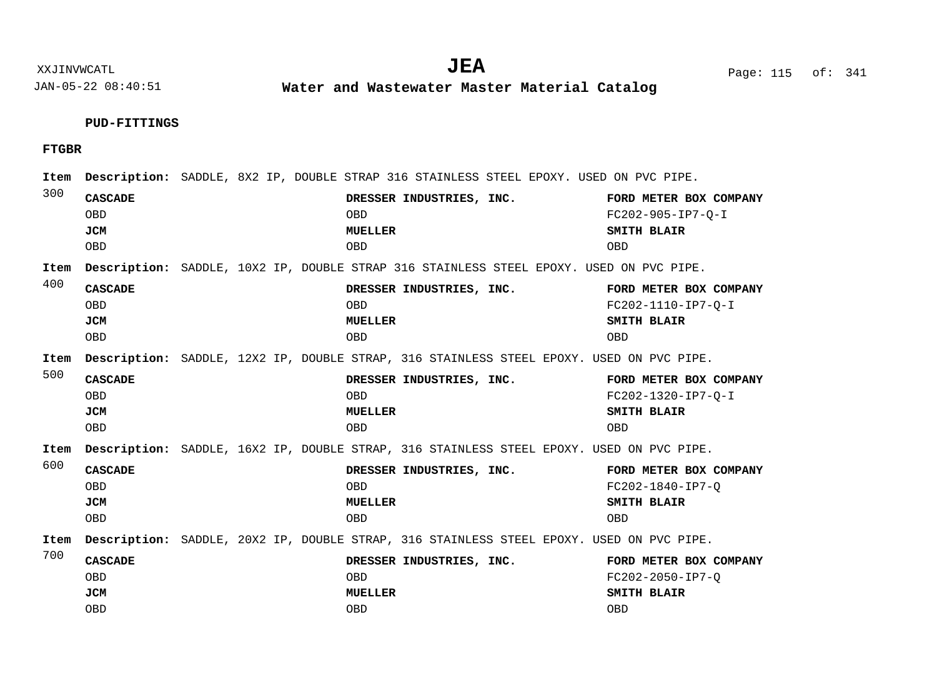**Water and Wastewater Master Material Catalog** 

# **PUD-FITTINGS**

**FTGBR**

| Item |                                                          |  |                                                                        | Description: SADDLE, 8X2 IP, DOUBLE STRAP 316 STAINLESS STEEL EPOXY. USED ON PVC PIPE.  |                                                                                          |
|------|----------------------------------------------------------|--|------------------------------------------------------------------------|-----------------------------------------------------------------------------------------|------------------------------------------------------------------------------------------|
| 300  | <b>CASCADE</b><br><b>OBD</b><br><b>JCM</b><br><b>OBD</b> |  | DRESSER INDUSTRIES, INC.<br><b>OBD</b><br><b>MUELLER</b><br><b>OBD</b> |                                                                                         | FORD METER BOX COMPANY<br>FC202-905-IP7-0-I<br>SMITH BLAIR<br><b>OBD</b>                 |
| Item |                                                          |  |                                                                        | Description: SADDLE, 10X2 IP, DOUBLE STRAP 316 STAINLESS STEEL EPOXY. USED ON PVC PIPE. |                                                                                          |
| 400  | <b>CASCADE</b><br><b>OBD</b><br><b>JCM</b><br><b>OBD</b> |  | DRESSER INDUSTRIES, INC.<br><b>OBD</b><br><b>MUELLER</b><br><b>OBD</b> |                                                                                         | FORD METER BOX COMPANY<br>FC202-1110-IP7-O-I<br>SMITH BLAIR<br><b>OBD</b>                |
| Item |                                                          |  |                                                                        |                                                                                         | Description: SADDLE, 12X2 IP, DOUBLE STRAP, 316 STAINLESS STEEL EPOXY. USED ON PVC PIPE. |
| 500  | <b>CASCADE</b><br><b>OBD</b><br>JCM<br><b>OBD</b>        |  | DRESSER INDUSTRIES, INC.<br><b>OBD</b><br><b>MUELLER</b><br><b>OBD</b> |                                                                                         | FORD METER BOX COMPANY<br>FC202-1320-IP7-O-I<br>SMITH BLAIR<br><b>OBD</b>                |
| Item |                                                          |  |                                                                        |                                                                                         | Description: SADDLE, 16X2 IP, DOUBLE STRAP, 316 STAINLESS STEEL EPOXY. USED ON PVC PIPE. |
| 600  | <b>CASCADE</b><br><b>OBD</b><br><b>JCM</b><br><b>OBD</b> |  | DRESSER INDUSTRIES, INC.<br><b>OBD</b><br><b>MUELLER</b><br><b>OBD</b> |                                                                                         | FORD METER BOX COMPANY<br>FC202-1840-IP7-0<br>SMITH BLAIR<br><b>OBD</b>                  |
| Item |                                                          |  |                                                                        |                                                                                         | Description: SADDLE, 20X2 IP, DOUBLE STRAP, 316 STAINLESS STEEL EPOXY. USED ON PVC PIPE. |
| 700  | <b>CASCADE</b><br><b>OBD</b><br>JCM<br><b>OBD</b>        |  | DRESSER INDUSTRIES, INC.<br><b>OBD</b><br><b>MUELLER</b><br><b>OBD</b> |                                                                                         | FORD METER BOX COMPANY<br>FC202-2050-IP7-0<br>SMITH BLAIR<br><b>OBD</b>                  |

XXJINVWCATL Page: 115 of: **JEA**<sup>341</sup>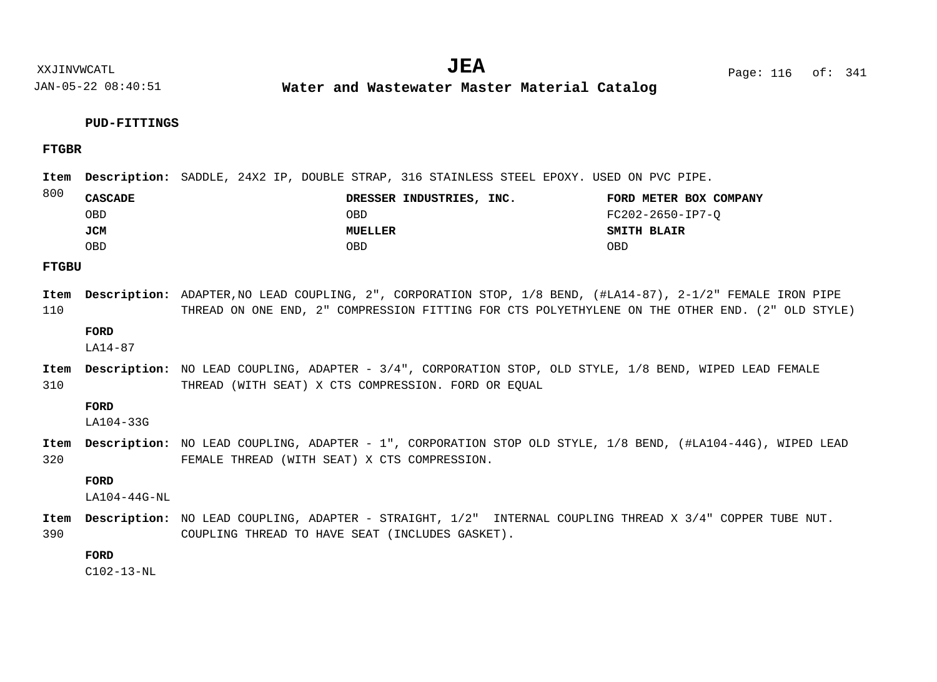**Water and Wastewater Master Material Catalog** 

## **PUD-FITTINGS**

**FTGBR**

Item Description: SADDLE, 24X2 IP, DOUBLE STRAP, 316 STAINLESS STEEL EPOXY. USED ON PVC PIPE.

| 800 | <b>CASCADE</b> | DRESSER INDUSTRIES, INC. | FORD METER BOX COMPANY |
|-----|----------------|--------------------------|------------------------|
|     | OBD            | OBD                      | FC202-2650-IP7-O       |
|     | JCM            | MUELLER                  | SMITH BLAIR            |
|     | OBD            | OBD                      | OBD                    |

**FTGBU**

110 Item Description: ADAPTER,NO LEAD COUPLING, 2", CORPORATION STOP, 1/8 BEND, (#LA14-87), 2-1/2" FEMALE IRON PIPE THREAD ON ONE END, 2" COMPRESSION FITTING FOR CTS POLYETHYLENE ON THE OTHER END. (2" OLD STYLE)

**FORD**

LA14-87

310 Item Description: NO LEAD COUPLING, ADAPTER - 3/4", CORPORATION STOP, OLD STYLE, 1/8 BEND, WIPED LEAD FEMALE THREAD (WITH SEAT) X CTS COMPRESSION. FORD OR EQUAL

#### **FORD**

LA104-33G

320 Item Description: NO LEAD COUPLING, ADAPTER - 1", CORPORATION STOP OLD STYLE, 1/8 BEND, (#LA104-44G), WIPED LEAD FEMALE THREAD (WITH SEAT) X CTS COMPRESSION.

**FORD**

LA104-44G-NL

390 Item Description: NO LEAD COUPLING, ADAPTER - STRAIGHT, 1/2" INTERNAL COUPLING THREAD X 3/4" COPPER TUBE NUT. COUPLING THREAD TO HAVE SEAT (INCLUDES GASKET).

## **FORD**

C102-13-NL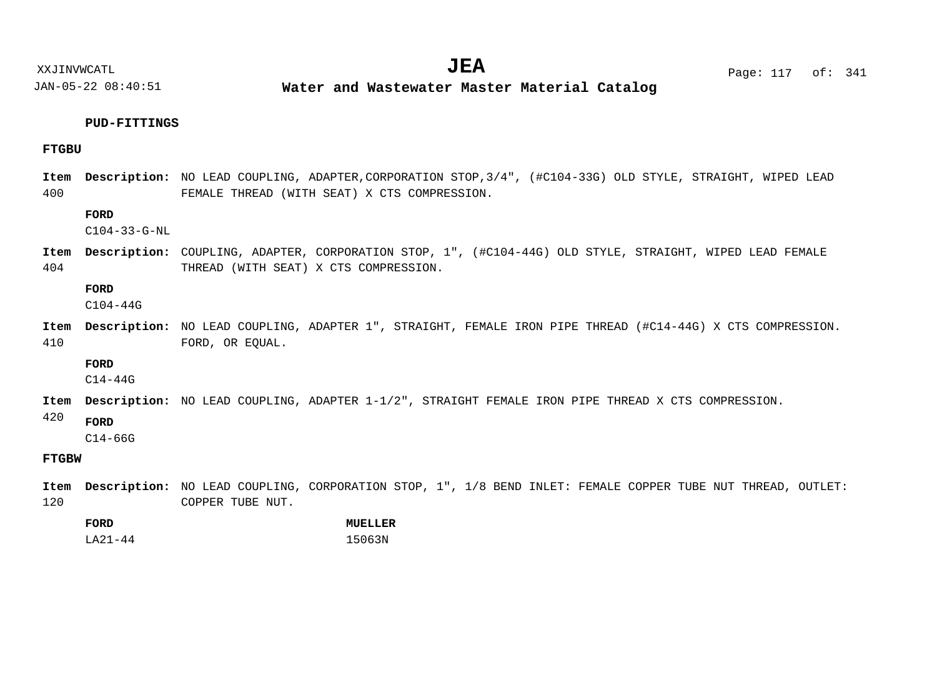XXJINVWCATL **EXALL** Page: 117 of:

JAN-05-22 08:40:51

**Water and Wastewater Master Material Catalog** 

#### **PUD-FITTINGS**

## **FTGBU**

400 Item Description: NO LEAD COUPLING, ADAPTER, CORPORATION STOP, 3/4", (#C104-33G) OLD STYLE, STRAIGHT, WIPED LEAD FEMALE THREAD (WITH SEAT) X CTS COMPRESSION.

## **FORD**

C104-33-G-NL

404 COUPLING, ADAPTER, CORPORATION STOP, 1", (#C104-44G) OLD STYLE, STRAIGHT, WIPED LEAD FEMALE **Description: Item** THREAD (WITH SEAT) X CTS COMPRESSION.

#### **FORD**

C104-44G

410 Item Description: NO LEAD COUPLING, ADAPTER 1", STRAIGHT, FEMALE IRON PIPE THREAD (#C14-44G) X CTS COMPRESSION. FORD, OR EQUAL.

## **FORD**

C14-44G

Item Description: NO LEAD COUPLING, ADAPTER 1-1/2", STRAIGHT FEMALE IRON PIPE THREAD X CTS COMPRESSION.

#### 420 **FORD**

 $C14 - 66G$ 

# **FTGBW**

120 Item Description: NO LEAD COUPLING, CORPORATION STOP, 1", 1/8 BEND INLET: FEMALE COPPER TUBE NUT THREAD, OUTLET: COPPER TUBE NUT.

| FORD         | MUELLER |
|--------------|---------|
| $TA 21 - 44$ | 15063N  |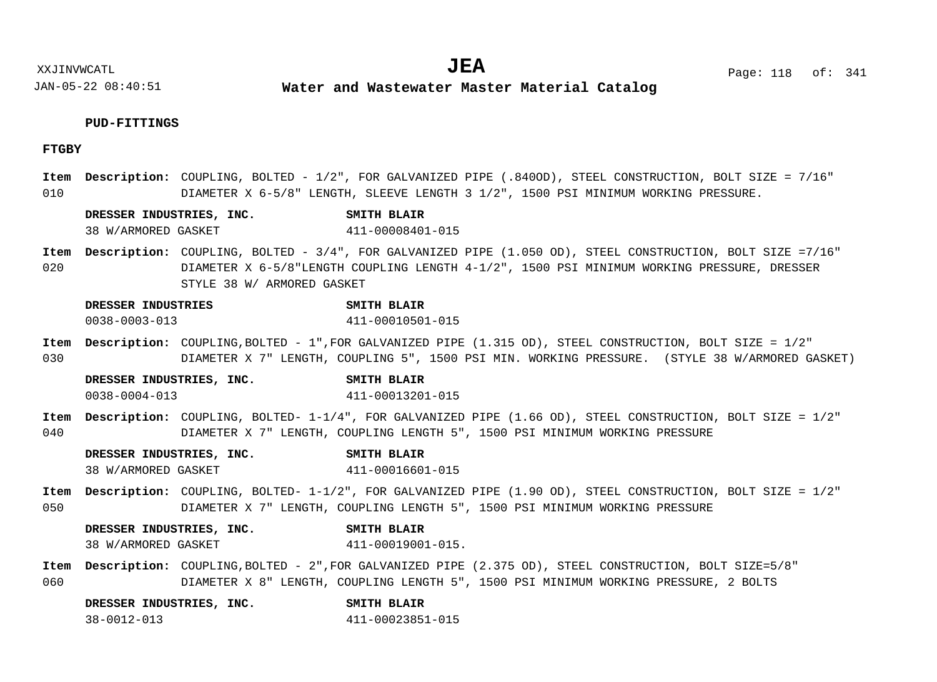**Water and Wastewater Master Material Catalog** 

## **PUD-FITTINGS**

# **FTGBY**

| 010  |                     |                                      | Item Description: COUPLING, BOLTED - 1/2", FOR GALVANIZED PIPE (.840OD), STEEL CONSTRUCTION, BOLT SIZE = 7/16"<br>DIAMETER X 6-5/8" LENGTH, SLEEVE LENGTH 3 1/2", 1500 PSI MINIMUM WORKING PRESSURE. |
|------|---------------------|--------------------------------------|------------------------------------------------------------------------------------------------------------------------------------------------------------------------------------------------------|
|      |                     |                                      |                                                                                                                                                                                                      |
|      |                     | DRESSER INDUSTRIES, INC.             | <b>SMITH BLAIR</b>                                                                                                                                                                                   |
|      | 38 W/ARMORED GASKET |                                      | 411-00008401-015                                                                                                                                                                                     |
| Item |                     |                                      | Description: COUPLING, BOLTED - 3/4", FOR GALVANIZED PIPE (1.050 OD), STEEL CONSTRUCTION, BOLT SIZE =7/16"                                                                                           |
| 020  |                     |                                      | DIAMETER X 6-5/8"LENGTH COUPLING LENGTH 4-1/2", 1500 PSI MINIMUM WORKING PRESSURE, DRESSER                                                                                                           |
|      |                     | STYLE 38 W/ ARMORED GASKET           |                                                                                                                                                                                                      |
|      | DRESSER INDUSTRIES  |                                      | SMITH BLAIR                                                                                                                                                                                          |
|      | $0038 - 0003 - 013$ |                                      | 411-00010501-015                                                                                                                                                                                     |
|      |                     |                                      | Item Description: COUPLING, BOLTED - 1", FOR GALVANIZED PIPE (1.315 OD), STEEL CONSTRUCTION, BOLT SIZE = 1/2"                                                                                        |
| 030  |                     |                                      | DIAMETER X 7" LENGTH, COUPLING 5", 1500 PSI MIN. WORKING PRESSURE. (STYLE 38 W/ARMORED GASKET)                                                                                                       |
|      |                     | DRESSER INDUSTRIES, INC.             | <b>SMITH BLAIR</b>                                                                                                                                                                                   |
|      | $0038 - 0004 - 013$ |                                      | 411-00013201-015                                                                                                                                                                                     |
| Item |                     |                                      | Description: COUPLING, BOLTED- 1-1/4", FOR GALVANIZED PIPE (1.66 OD), STEEL CONSTRUCTION, BOLT SIZE = 1/2"                                                                                           |
| 040  |                     |                                      | DIAMETER X 7" LENGTH, COUPLING LENGTH 5", 1500 PSI MINIMUM WORKING PRESSURE                                                                                                                          |
|      |                     | DRESSER INDUSTRIES, INC. SMITH BLAIR |                                                                                                                                                                                                      |
|      | 38 W/ARMORED GASKET |                                      | 411-00016601-015                                                                                                                                                                                     |
| Item |                     |                                      | Description: COUPLING, BOLTED- 1-1/2", FOR GALVANIZED PIPE (1.90 OD), STEEL CONSTRUCTION, BOLT SIZE = 1/2"                                                                                           |
| 050  |                     |                                      | DIAMETER X 7" LENGTH, COUPLING LENGTH 5", 1500 PSI MINIMUM WORKING PRESSURE                                                                                                                          |
|      |                     | DRESSER INDUSTRIES, INC.             | <b>SMITH BLAIR</b>                                                                                                                                                                                   |
|      | 38 W/ARMORED GASKET |                                      | 411-00019001-015.                                                                                                                                                                                    |
|      |                     |                                      | Item Description: COUPLING, BOLTED - 2", FOR GALVANIZED PIPE (2.375 OD), STEEL CONSTRUCTION, BOLT SIZE=5/8"                                                                                          |
| 060  |                     |                                      | DIAMETER X 8" LENGTH, COUPLING LENGTH 5", 1500 PSI MINIMUM WORKING PRESSURE, 2 BOLTS                                                                                                                 |
|      |                     | DRESSER INDUSTRIES, INC. SMITH BLAIR |                                                                                                                                                                                                      |

38-0012-013 411-00023851-015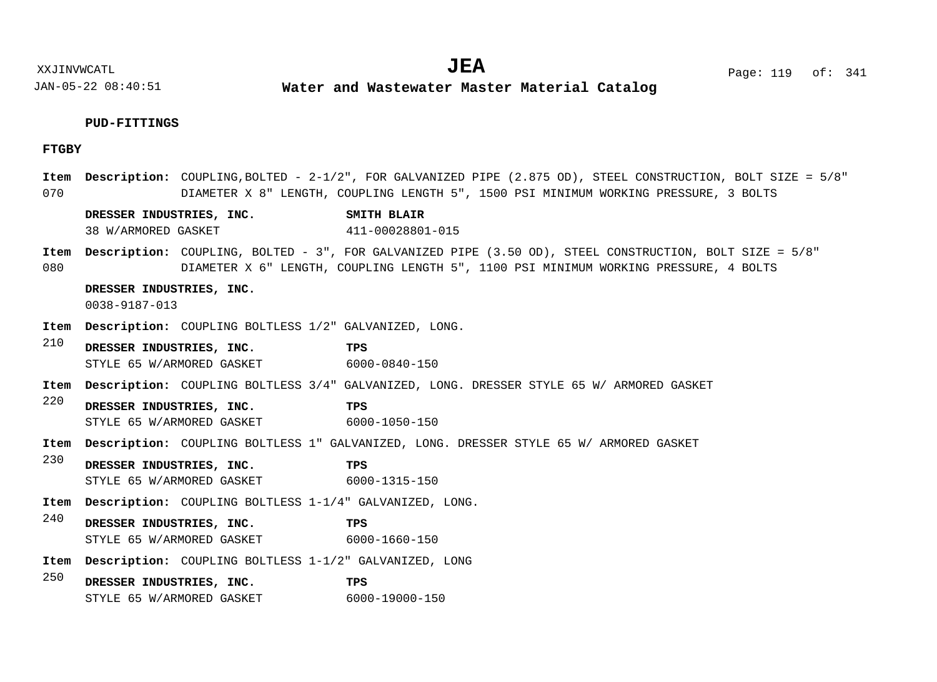**Water and Wastewater Master Material Catalog** 

# **PUD-FITTINGS**

# **FTGBY**

| Item<br>070 |                                           |                                                                | <b>Description:</b> COUPLING, BOLTED - 2-1/2", FOR GALVANIZED PIPE (2.875 OD), STEEL CONSTRUCTION, BOLT SIZE = 5/8"<br>DIAMETER X 8" LENGTH, COUPLING LENGTH 5", 1500 PSI MINIMUM WORKING PRESSURE, 3 BOLTS |
|-------------|-------------------------------------------|----------------------------------------------------------------|-------------------------------------------------------------------------------------------------------------------------------------------------------------------------------------------------------------|
|             |                                           | DRESSER INDUSTRIES, INC.                                       | SMITH BLAIR                                                                                                                                                                                                 |
|             | 38 W/ARMORED GASKET                       |                                                                | 411-00028801-015                                                                                                                                                                                            |
| 080         |                                           |                                                                | Item Description: COUPLING, BOLTED - 3", FOR GALVANIZED PIPE (3.50 OD), STEEL CONSTRUCTION, BOLT SIZE = 5/8"<br>DIAMETER X 6" LENGTH, COUPLING LENGTH 5", 1100 PSI MINIMUM WORKING PRESSURE, 4 BOLTS        |
|             | DRESSER INDUSTRIES, INC.<br>0038-9187-013 |                                                                |                                                                                                                                                                                                             |
| Item        |                                           | Description: COUPLING BOLTLESS 1/2" GALVANIZED, LONG.          |                                                                                                                                                                                                             |
| 210         | DRESSER INDUSTRIES, INC.                  |                                                                | TPS                                                                                                                                                                                                         |
|             |                                           | STYLE 65 W/ARMORED GASKET 6000-0840-150                        |                                                                                                                                                                                                             |
| Item        |                                           |                                                                | Description: COUPLING BOLTLESS 3/4" GALVANIZED, LONG. DRESSER STYLE 65 W/ ARMORED GASKET                                                                                                                    |
| 220         | DRESSER INDUSTRIES, INC.                  |                                                                | TPS                                                                                                                                                                                                         |
|             |                                           | STYLE 65 W/ARMORED GASKET                                      | 6000-1050-150                                                                                                                                                                                               |
| Item        |                                           |                                                                | <b>Description:</b> COUPLING BOLTLESS 1" GALVANIZED, LONG. DRESSER STYLE 65 W/ ARMORED GASKET                                                                                                               |
| 230         | DRESSER INDUSTRIES, INC.                  |                                                                | TPS                                                                                                                                                                                                         |
|             |                                           | STYLE 65 W/ARMORED GASKET                                      | 6000-1315-150                                                                                                                                                                                               |
| Item        |                                           | <b>Description:</b> COUPLING BOLTLESS 1-1/4" GALVANIZED, LONG. |                                                                                                                                                                                                             |
| 240         | DRESSER INDUSTRIES, INC.                  |                                                                | TPS                                                                                                                                                                                                         |
|             |                                           | STYLE 65 W/ARMORED GASKET                                      | 6000-1660-150                                                                                                                                                                                               |
| Item        |                                           | <b>Description:</b> COUPLING BOLTLESS 1-1/2" GALVANIZED, LONG  |                                                                                                                                                                                                             |
| 250         | DRESSER INDUSTRIES, INC.                  |                                                                | TPS                                                                                                                                                                                                         |
|             |                                           | STYLE 65 W/ARMORED GASKET                                      | 6000-19000-150                                                                                                                                                                                              |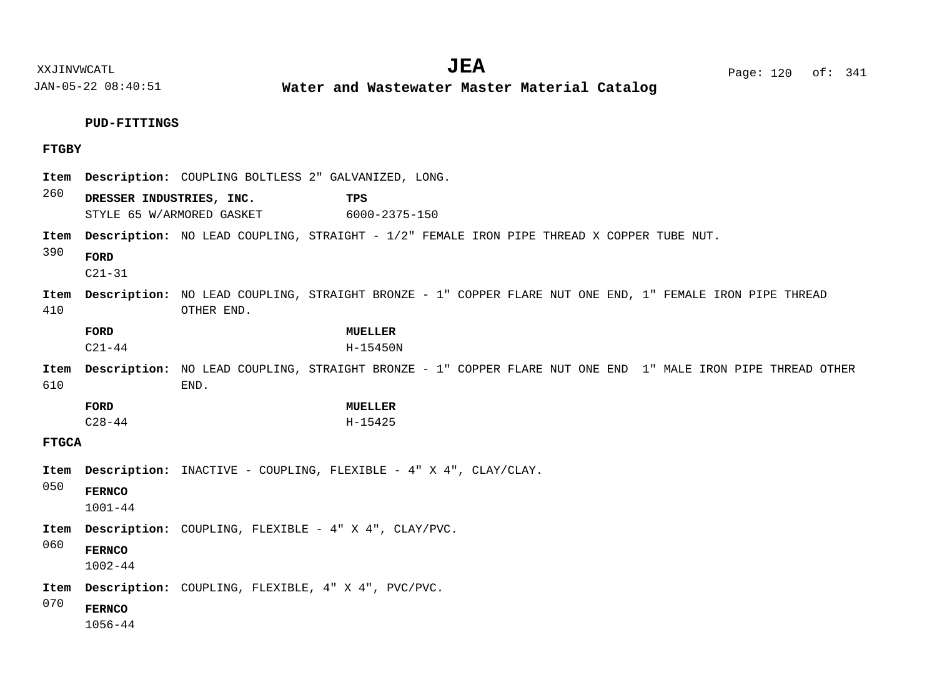**Water and Wastewater Master Material Catalog** 

**PUD-FITTINGS**

# **FTGBY**

| Item         |                              |                           | Description: COUPLING BOLTLESS 2" GALVANIZED, LONG.                                                         |  |
|--------------|------------------------------|---------------------------|-------------------------------------------------------------------------------------------------------------|--|
| 260          | DRESSER INDUSTRIES, INC.     | STYLE 65 W/ARMORED GASKET | TPS<br>6000-2375-150                                                                                        |  |
| Item<br>390  | FORD<br>$C21 - 31$           |                           | <b>Description:</b> NO LEAD COUPLING, STRAIGHT - 1/2" FEMALE IRON PIPE THREAD X COPPER TUBE NUT.            |  |
| Item<br>410  |                              | OTHER END.                | Description: NO LEAD COUPLING, STRAIGHT BRONZE - 1" COPPER FLARE NUT ONE END, 1" FEMALE IRON PIPE THREAD    |  |
|              | FORD<br>$C21 - 44$           |                           | <b>MUELLER</b><br>H-15450N                                                                                  |  |
| Item<br>610  |                              | END.                      | Description: NO LEAD COUPLING, STRAIGHT BRONZE - 1" COPPER FLARE NUT ONE END 1" MALE IRON PIPE THREAD OTHER |  |
|              | FORD                         |                           | <b>MUELLER</b>                                                                                              |  |
|              | $C28 - 44$                   |                           | H-15425                                                                                                     |  |
| <b>FTGCA</b> |                              |                           |                                                                                                             |  |
| Item         |                              |                           | Description: INACTIVE - COUPLING, FLEXIBLE - 4" X 4", CLAY/CLAY.                                            |  |
| 050          | <b>FERNCO</b><br>$1001 - 44$ |                           |                                                                                                             |  |
| Item         |                              |                           | Description: COUPLING, FLEXIBLE - 4" X 4", CLAY/PVC.                                                        |  |
| 060          | <b>FERNCO</b><br>$1002 - 44$ |                           |                                                                                                             |  |
| Item         |                              |                           | Description: COUPLING, FLEXIBLE, 4" X 4", PVC/PVC.                                                          |  |
| 070          | <b>FERNCO</b><br>$1056 - 44$ |                           |                                                                                                             |  |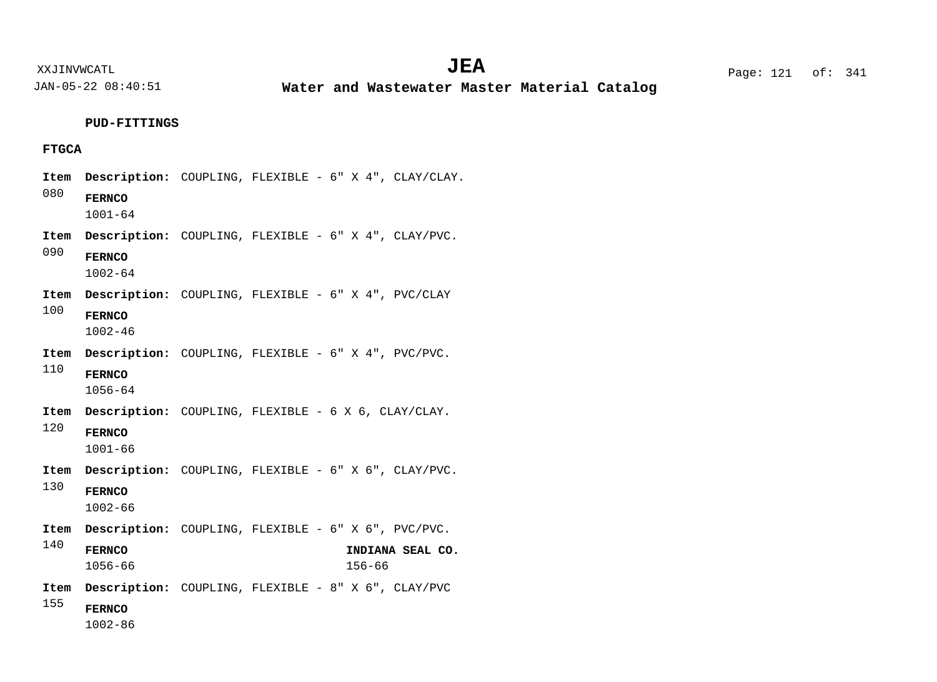**Water and Wastewater Master Material Catalog** 

**PUD-FITTINGS**

# **FTGCA**

| Item |                              |  | Description: COUPLING, FLEXIBLE - 6" X 4", CLAY/CLAY.      |
|------|------------------------------|--|------------------------------------------------------------|
| 080  | <b>FERNCO</b><br>$1001 - 64$ |  |                                                            |
| Item |                              |  | Description: COUPLING, FLEXIBLE - 6" X 4", CLAY/PVC.       |
| 090  | <b>FERNCO</b><br>$1002 - 64$ |  |                                                            |
| Item |                              |  | <b>Description:</b> COUPLING, FLEXIBLE - 6" X 4", PVC/CLAY |
| 100  | <b>FERNCO</b><br>$1002 - 46$ |  |                                                            |
| Item |                              |  | <b>Description:</b> COUPLING, FLEXIBLE - 6" X 4", PVC/PVC. |
| 110  | <b>FERNCO</b><br>$1056 - 64$ |  |                                                            |
| Item |                              |  | <b>Description:</b> COUPLING, FLEXIBLE - 6 X 6, CLAY/CLAY. |
| 120  | <b>FERNCO</b><br>$1001 - 66$ |  |                                                            |
| Item |                              |  | Description: COUPLING, FLEXIBLE - 6" X 6", CLAY/PVC.       |
| 130  | <b>FERNCO</b><br>$1002 - 66$ |  |                                                            |
| Item |                              |  | <b>Description:</b> COUPLING, FLEXIBLE - 6" X 6", PVC/PVC. |
| 140  | <b>FERNCO</b><br>$1056 - 66$ |  | INDIANA SEAL CO.<br>$156 - 66$                             |
| Item |                              |  | <b>Description:</b> COUPLING, FLEXIBLE - 8" X 6", CLAY/PVC |
| 155  | <b>FERNCO</b><br>$1002 - 86$ |  |                                                            |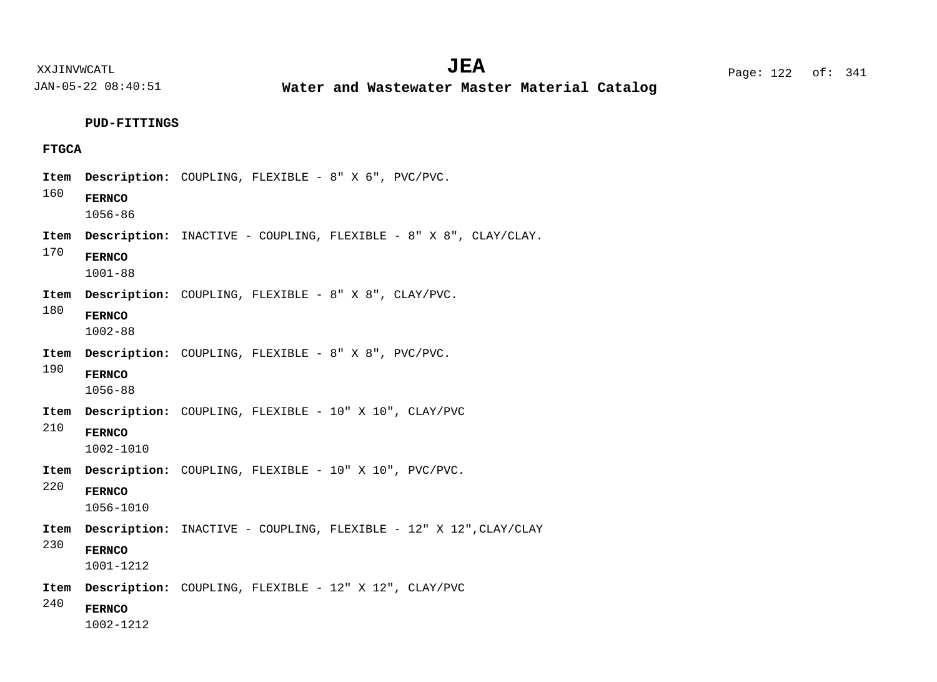**Water and Wastewater Master Material Catalog** 

**PUD-FITTINGS**

# **FTGCA**

|  | Item |                              | Description: COUPLING, FLEXIBLE - 8" X 6", PVC/PVC.                     |
|--|------|------------------------------|-------------------------------------------------------------------------|
|  | 160  | <b>FERNCO</b><br>$1056 - 86$ |                                                                         |
|  | Item |                              | <b>Description:</b> INACTIVE - COUPLING, FLEXIBLE - 8" X 8", CLAY/CLAY. |
|  | 170  | <b>FERNCO</b><br>$1001 - 88$ |                                                                         |
|  | Item |                              | <b>Description:</b> COUPLING, FLEXIBLE - 8" X 8", CLAY/PVC.             |
|  | 180  | <b>FERNCO</b><br>$1002 - 88$ |                                                                         |
|  | Item |                              | Description: COUPLING, FLEXIBLE - 8" X 8", PVC/PVC.                     |
|  | 190  | <b>FERNCO</b><br>$1056 - 88$ |                                                                         |
|  | Item |                              | <b>Description:</b> COUPLING, FLEXIBLE - 10" X 10", CLAY/PVC            |
|  | 210  | <b>FERNCO</b><br>1002-1010   |                                                                         |
|  | Item |                              | Description: COUPLING, FLEXIBLE - 10" X 10", PVC/PVC.                   |
|  | 220  | <b>FERNCO</b><br>1056-1010   |                                                                         |
|  | Item |                              | Description: INACTIVE - COUPLING, FLEXIBLE - 12" X 12", CLAY/CLAY       |
|  | 230  | <b>FERNCO</b><br>1001-1212   |                                                                         |
|  | Item |                              | Description: COUPLING, FLEXIBLE - 12" X 12", CLAY/PVC                   |
|  | 240  | <b>FERNCO</b><br>1002-1212   |                                                                         |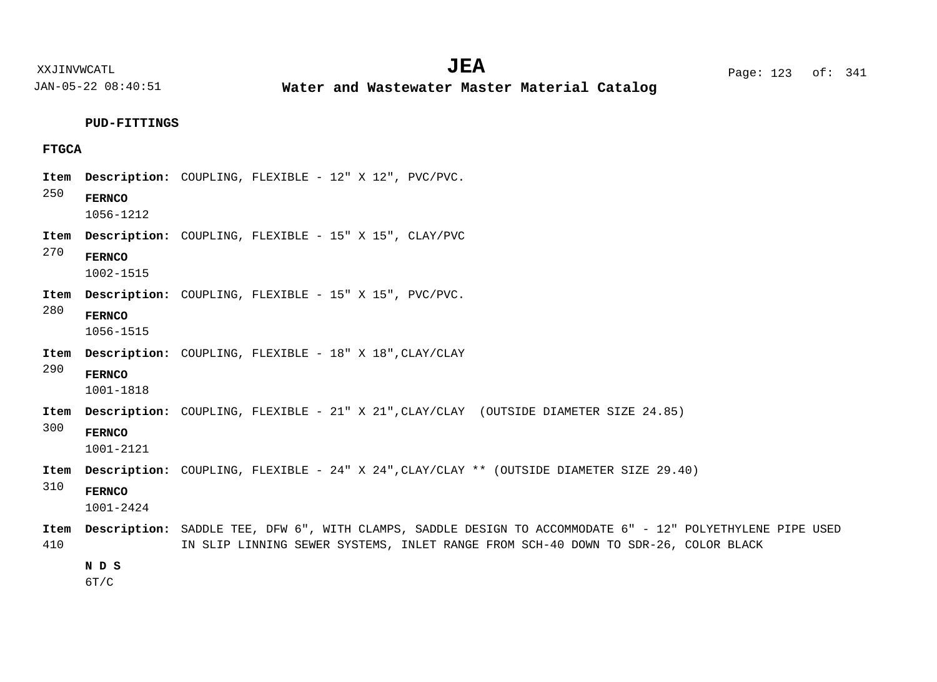XXJINVWCATL Page: 123 of: **JEA**<sup>341</sup>

JAN-05-22 08:40:51

**Water and Wastewater Master Material Catalog** 

# **PUD-FITTINGS**

# **FTGCA**

| Item |                            | Description: COUPLING, FLEXIBLE - 12" X 12", PVC/PVC.                                                      |
|------|----------------------------|------------------------------------------------------------------------------------------------------------|
| 250  | <b>FERNCO</b><br>1056-1212 |                                                                                                            |
| Item |                            | <b>Description:</b> COUPLING, FLEXIBLE - 15" X 15", CLAY/PVC                                               |
| 270  | <b>FERNCO</b><br>1002-1515 |                                                                                                            |
| Item |                            | Description: COUPLING, FLEXIBLE - 15" X 15", PVC/PVC.                                                      |
| 280  | <b>FERNCO</b><br>1056-1515 |                                                                                                            |
| Item |                            | Description: COUPLING, FLEXIBLE - 18" X 18", CLAY/CLAY                                                     |
| 290  | <b>FERNCO</b><br>1001-1818 |                                                                                                            |
| Item |                            | Description: COUPLING, FLEXIBLE - 21" X 21", CLAY/CLAY (OUTSIDE DIAMETER SIZE 24.85)                       |
| 300  | <b>FERNCO</b><br>1001-2121 |                                                                                                            |
| Item |                            | <b>Description:</b> COUPLING, FLEXIBLE - 24" X 24", CLAY/CLAY ** (OUTSIDE DIAMETER SIZE 29.40)             |
| 310  | <b>FERNCO</b><br>1001-2424 |                                                                                                            |
| Item |                            | Description: SADDLE TEE, DFW 6", WITH CLAMPS, SADDLE DESIGN TO ACCOMMODATE 6" - 12" POLYETHYLENE PIPE USED |
| 410  |                            | IN SLIP LINNING SEWER SYSTEMS, INLET RANGE FROM SCH-40 DOWN TO SDR-26, COLOR BLACK                         |
|      | N D S                      |                                                                                                            |
|      | 6T/C                       |                                                                                                            |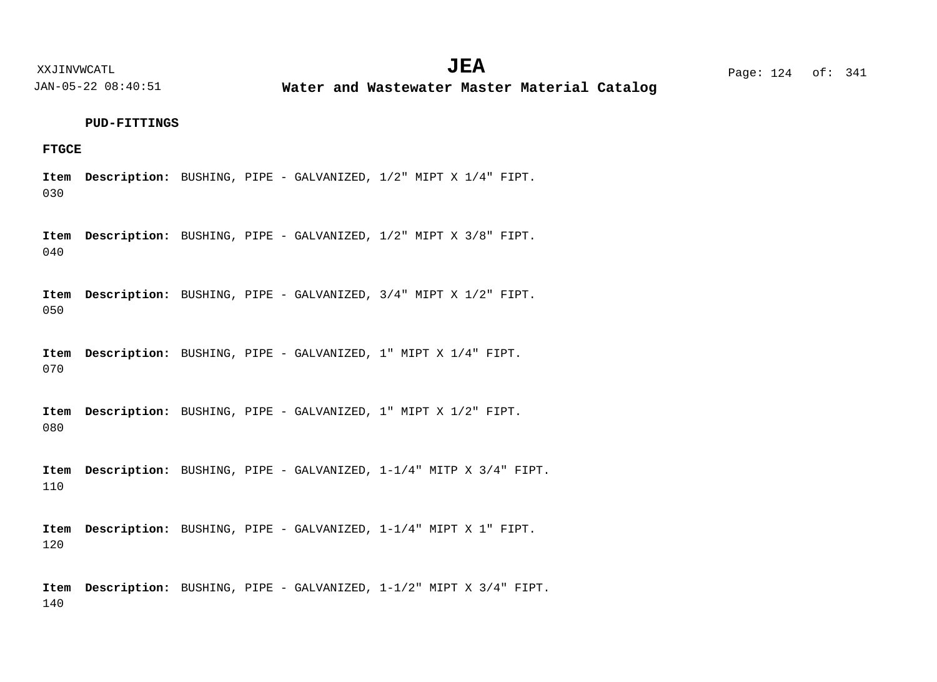**Water and Wastewater Master Material Catalog** 

#### **PUD-FITTINGS**

## **FTGCE**

030 Item Description: BUSHING, PIPE - GALVANIZED,  $1/2$ " MIPT X  $1/4$ " FIPT.

040 Item Description: BUSHING, PIPE - GALVANIZED,  $1/2$ " MIPT X 3/8" FIPT.

050 Item Description: BUSHING, PIPE - GALVANIZED,  $3/4$ " MIPT X  $1/2$ " FIPT.

070 Item Description: BUSHING, PIPE - GALVANIZED, 1" MIPT X 1/4" FIPT.

080 Item Description: BUSHING, PIPE - GALVANIZED, 1" MIPT X 1/2" FIPT.

110 Item Description: BUSHING, PIPE - GALVANIZED, 1-1/4" MITP X 3/4" FIPT.

120 Item Description: BUSHING, PIPE - GALVANIZED, 1-1/4" MIPT X 1" FIPT.

140 Item Description: BUSHING, PIPE - GALVANIZED, 1-1/2" MIPT X 3/4" FIPT.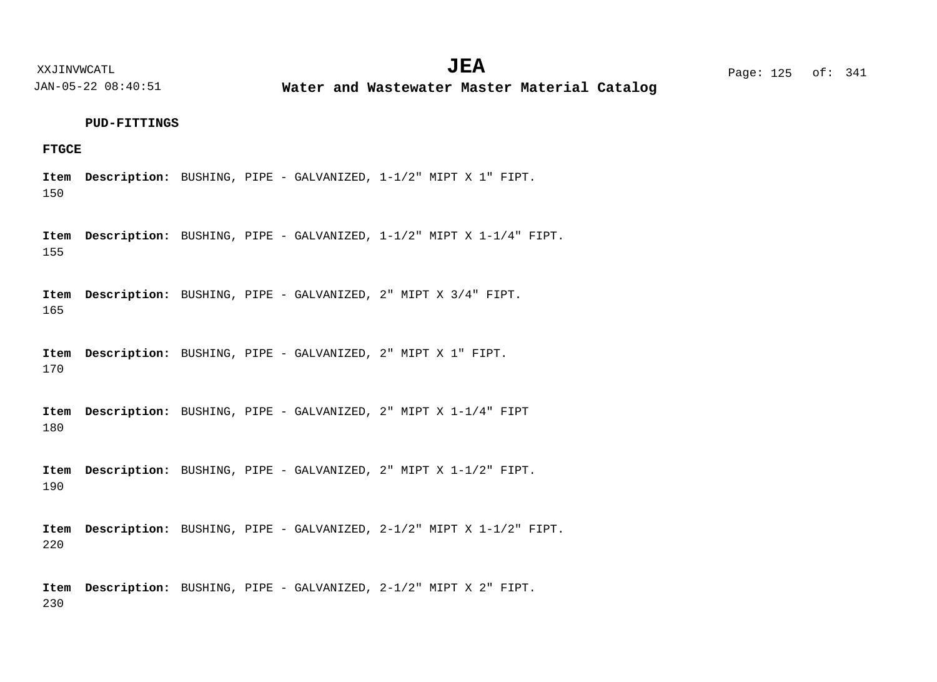**Water and Wastewater Master Material Catalog** 

#### **PUD-FITTINGS**

## **FTGCE**

150 Item Description: BUSHING, PIPE - GALVANIZED, 1-1/2" MIPT X 1" FIPT.

155 Item Description: BUSHING, PIPE - GALVANIZED, 1-1/2" MIPT X 1-1/4" FIPT.

165 Item Description: BUSHING, PIPE - GALVANIZED, 2" MIPT X 3/4" FIPT.

170 Item Description: BUSHING, PIPE - GALVANIZED, 2" MIPT X 1" FIPT.

180 BUSHING, PIPE - GALVANIZED, 2" MIPT X 1-1/4" FIPT **Description: Item**

190 Item Description: BUSHING, PIPE - GALVANIZED, 2" MIPT X 1-1/2" FIPT.

220 Item Description: BUSHING, PIPE - GALVANIZED, 2-1/2" MIPT X 1-1/2" FIPT.

230 Item Description: BUSHING, PIPE - GALVANIZED, 2-1/2" MIPT X 2" FIPT.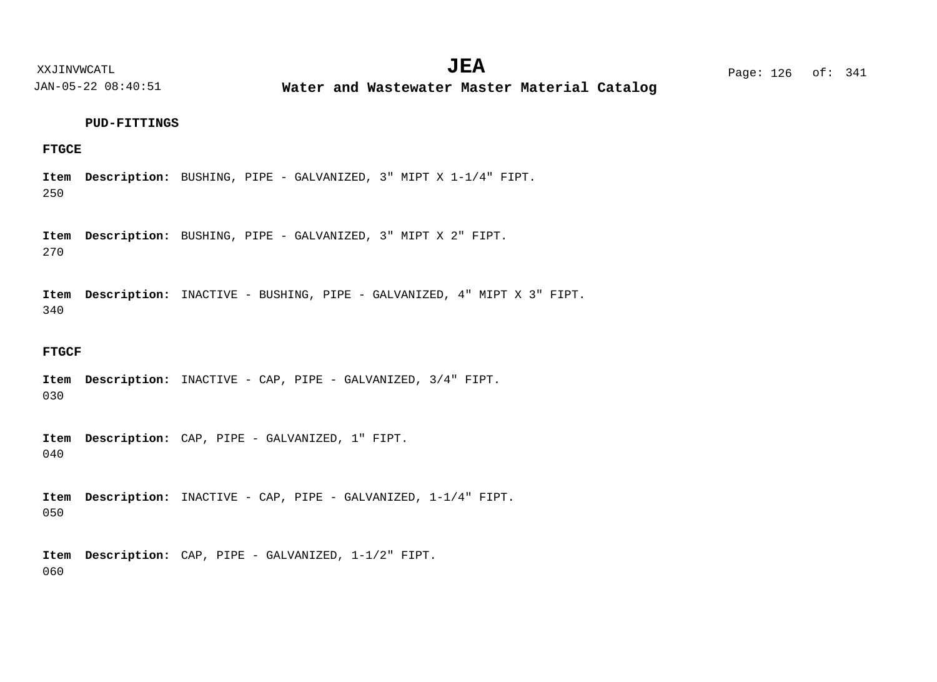**Water and Wastewater Master Material Catalog** 

#### **PUD-FITTINGS**

## **FTGCE**

250 Item Description: BUSHING, PIPE - GALVANIZED, 3" MIPT X 1-1/4" FIPT.

270 Item Description: BUSHING, PIPE - GALVANIZED, 3" MIPT X 2" FIPT.

340 Item Description: INACTIVE - BUSHING, PIPE - GALVANIZED, 4" MIPT X 3" FIPT.

#### **FTGCF**

030 Item Description: INACTIVE - CAP, PIPE - GALVANIZED, 3/4" FIPT.

040 Item Description: CAP, PIPE - GALVANIZED, 1" FIPT.

050 Item Description: INACTIVE - CAP, PIPE - GALVANIZED, 1-1/4" FIPT.

060 Item Description: CAP, PIPE - GALVANIZED, 1-1/2" FIPT.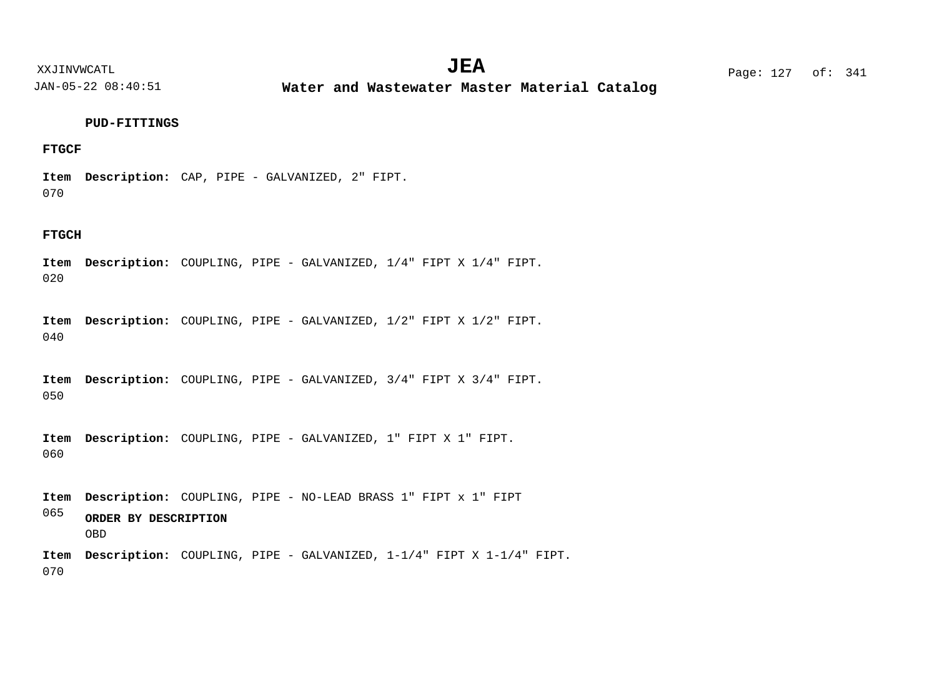XXJINVWCATL Page: 127 of: **JEA**<sup>341</sup>

JAN-05-22 08:40:51

**Water and Wastewater Master Material Catalog** 

## **PUD-FITTINGS**

## **FTGCF**

070 Item Description: CAP, PIPE - GALVANIZED, 2" FIPT.

#### **FTGCH**

020 Item Description: COUPLING, PIPE - GALVANIZED,  $1/4$ " FIPT X  $1/4$ " FIPT.

040 Item Description: COUPLING, PIPE - GALVANIZED,  $1/2$ " FIPT X  $1/2$ " FIPT.

050 Item Description: COUPLING, PIPE - GALVANIZED,  $3/4$ " FIPT X  $3/4$ " FIPT.

060 Item Description: COUPLING, PIPE - GALVANIZED, 1" FIPT X 1" FIPT.

065 COUPLING, PIPE - NO-LEAD BRASS 1" FIPT x 1" FIPT **Description: Item** Item Description: COUPLING, PIPE - GALVANIZED, 1-1/4" FIPT X 1-1/4" FIPT. **ORDER BY DESCRIPTION** OBD

070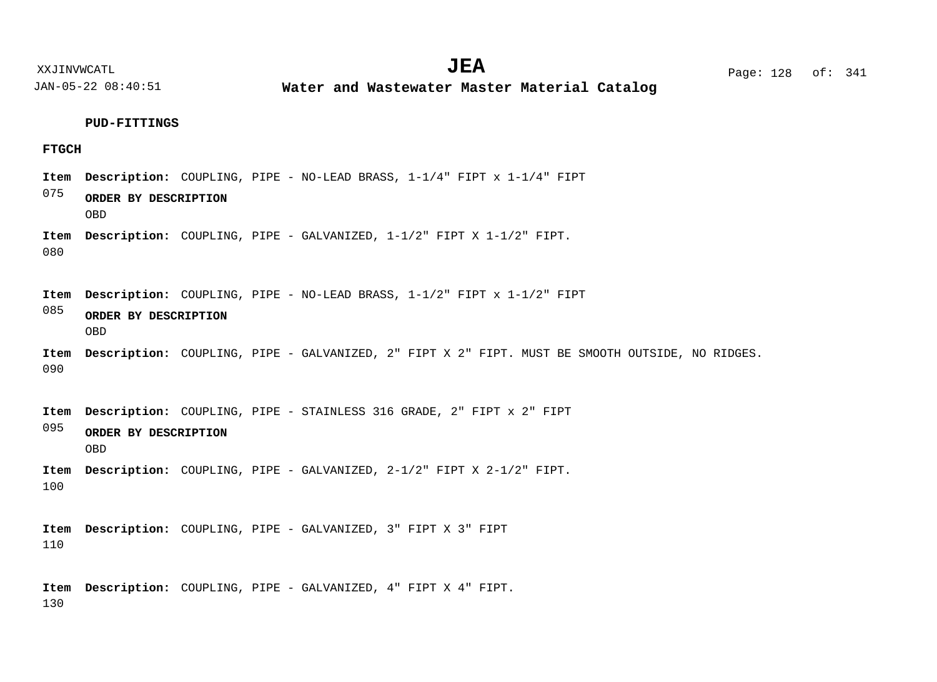**Water and Wastewater Master Material Catalog** 

#### **PUD-FITTINGS**

#### **FTGCH**

- COUPLING, PIPE NO-LEAD BRASS, 1-1/4" FIPT x 1-1/4" FIPT **Description: Item**
- 075 **ORDER BY DESCRIPTION** OBD
- 080 COUPLING, PIPE - GALVANIZED, 1-1/2" FIPT X 1-1/2" FIPT. **Description: Item**
- COUPLING, PIPE NO-LEAD BRASS, 1-1/2" FIPT x 1-1/2" FIPT **Description: Item**
- 085 **ORDER BY DESCRIPTION** OBD
- 090 Item Description: COUPLING, PIPE - GALVANIZED, 2" FIPT X 2" FIPT. MUST BE SMOOTH OUTSIDE, NO RIDGES.

095 Item Description: COUPLING, PIPE - STAINLESS 316 GRADE, 2" FIPT x 2" FIPT **ORDER BY DESCRIPTION**

- OBD
- 100 COUPLING, PIPE - GALVANIZED, 2-1/2" FIPT X 2-1/2" FIPT. **Description: Item**

110 Item Description: COUPLING, PIPE - GALVANIZED, 3" FIPT X 3" FIPT

130 Item Description: COUPLING, PIPE - GALVANIZED, 4" FIPT X 4" FIPT.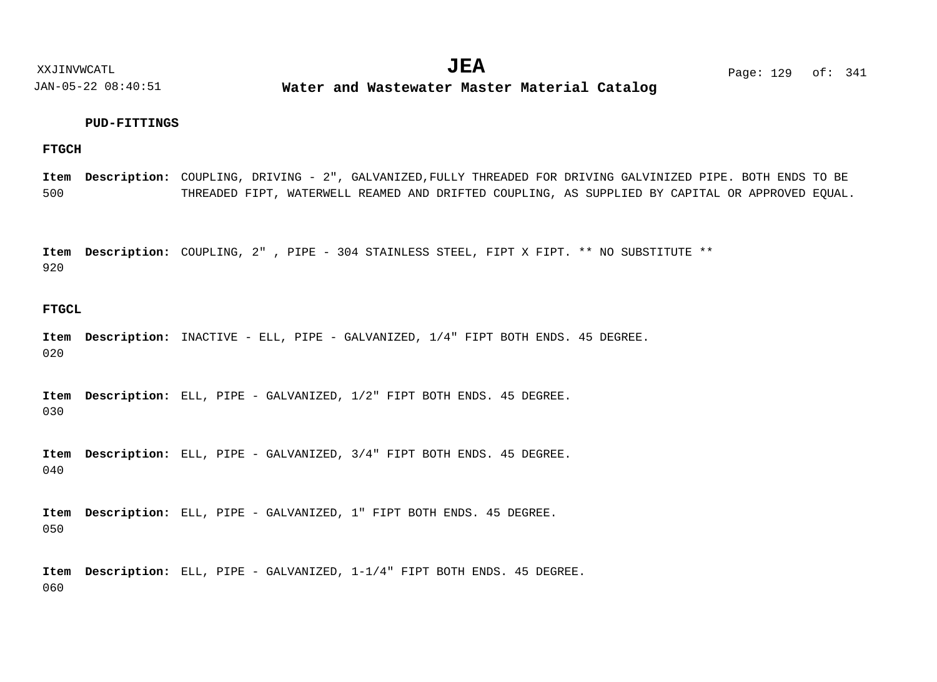XXJINVWCATL **EXALL** Page: 129 of:  $JEA$   $Page: 129 \text{ of}: 341$ 

JAN-05-22 08:40:51

**Water and Wastewater Master Material Catalog** 

#### **PUD-FITTINGS**

## **FTGCH**

500 COUPLING, DRIVING - 2", GALVANIZED,FULLY THREADED FOR DRIVING GALVINIZED PIPE. BOTH ENDS TO BE **Description: Item** THREADED FIPT, WATERWELL REAMED AND DRIFTED COUPLING, AS SUPPLIED BY CAPITAL OR APPROVED EQUAL.

920 COUPLING, 2" , PIPE - 304 STAINLESS STEEL, FIPT X FIPT. \*\* NO SUBSTITUTE \*\* **Description: Item**

#### **FTGCL**

020 Item Description: INACTIVE - ELL, PIPE - GALVANIZED,  $1/4$ " FIPT BOTH ENDS. 45 DEGREE.

030 Item Description: ELL, PIPE - GALVANIZED,  $1/2$ " FIPT BOTH ENDS. 45 DEGREE.

040 Item Description: ELL, PIPE - GALVANIZED,  $3/4$ " FIPT BOTH ENDS. 45 DEGREE.

050 Item Description: ELL, PIPE - GALVANIZED, 1" FIPT BOTH ENDS. 45 DEGREE.

060 Item Description: ELL, PIPE - GALVANIZED,  $1-1/4$ " FIPT BOTH ENDS. 45 DEGREE.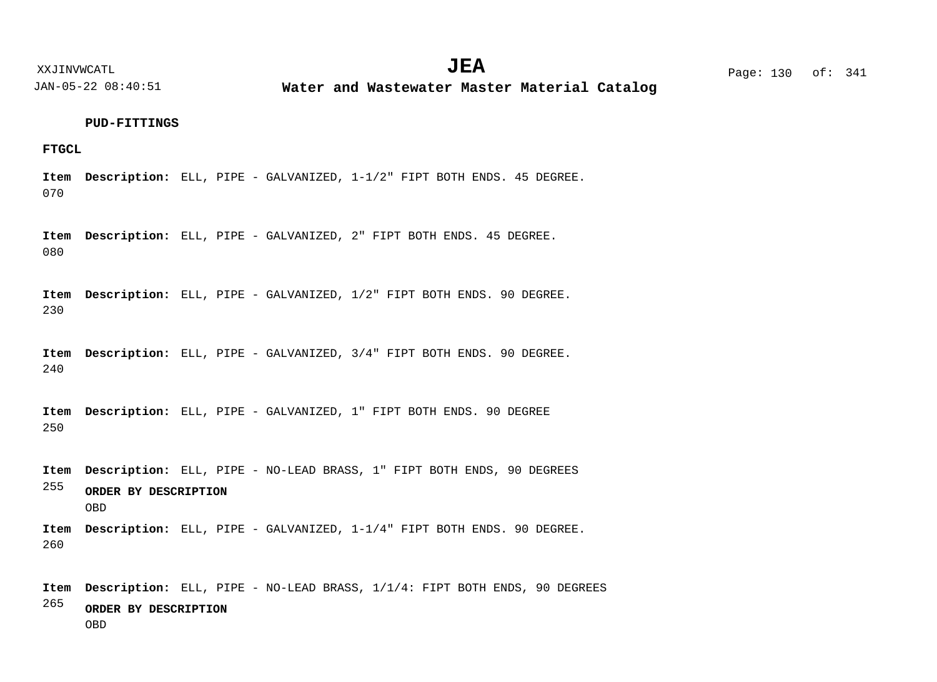**Water and Wastewater Master Material Catalog** 

#### **PUD-FITTINGS**

## **FTGCL**

070 Item Description: ELL, PIPE - GALVANIZED,  $1-1/2$ " FIPT BOTH ENDS. 45 DEGREE.

080 Item Description: ELL, PIPE - GALVANIZED, 2" FIPT BOTH ENDS. 45 DEGREE.

230 Item Description: ELL, PIPE - GALVANIZED,  $1/2$ " FIPT BOTH ENDS. 90 DEGREE.

240 Item Description: ELL, PIPE - GALVANIZED,  $3/4$ " FIPT BOTH ENDS. 90 DEGREE.

250 Item Description: ELL, PIPE - GALVANIZED, 1" FIPT BOTH ENDS. 90 DEGREE

255 260 Item Description: ELL, PIPE - NO-LEAD BRASS, 1" FIPT BOTH ENDS, 90 DEGREES Item Description: ELL, PIPE - GALVANIZED,  $1-1/4$ " FIPT BOTH ENDS. 90 DEGREE. **ORDER BY DESCRIPTION** OBD

265 Item Description: ELL, PIPE - NO-LEAD BRASS,  $1/1/4$ : FIPT BOTH ENDS, 90 DEGREES **ORDER BY DESCRIPTION** OBD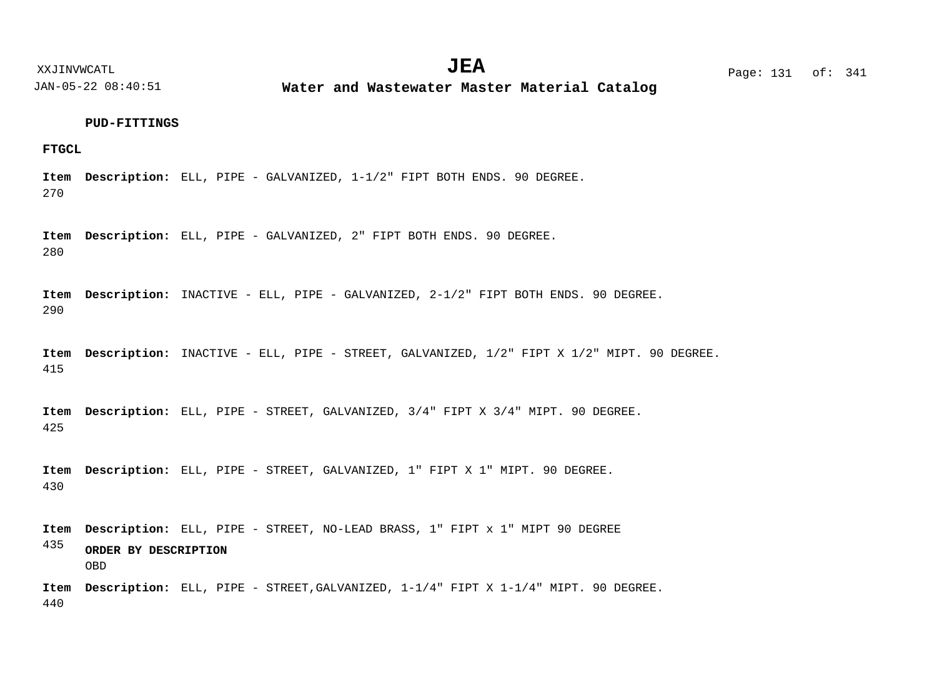XXJINVWCATL **EXALL** Page: 131 of:

JAN-05-22 08:40:51

**Water and Wastewater Master Material Catalog** 

#### **PUD-FITTINGS**

## **FTGCL**

270 Item Description: ELL, PIPE - GALVANIZED,  $1-1/2$ " FIPT BOTH ENDS. 90 DEGREE.

280 Item Description: ELL, PIPE - GALVANIZED, 2" FIPT BOTH ENDS. 90 DEGREE.

290 Item Description: INACTIVE - ELL, PIPE - GALVANIZED, 2-1/2" FIPT BOTH ENDS. 90 DEGREE.

415 Item Description: INACTIVE - ELL, PIPE - STREET, GALVANIZED, 1/2" FIPT X 1/2" MIPT. 90 DEGREE.

425 Item Description: ELL, PIPE - STREET, GALVANIZED, 3/4" FIPT X 3/4" MIPT. 90 DEGREE.

430 Item Description: ELL, PIPE - STREET, GALVANIZED, 1" FIPT X 1" MIPT. 90 DEGREE.

435 Item Description: ELL, PIPE - STREET, NO-LEAD BRASS, 1" FIPT x 1" MIPT 90 DEGREE **ORDER BY DESCRIPTION** OBD

440 Item Description: ELL, PIPE - STREET, GALVANIZED,  $1-1/4$ " FIPT X  $1-1/4$ " MIPT. 90 DEGREE.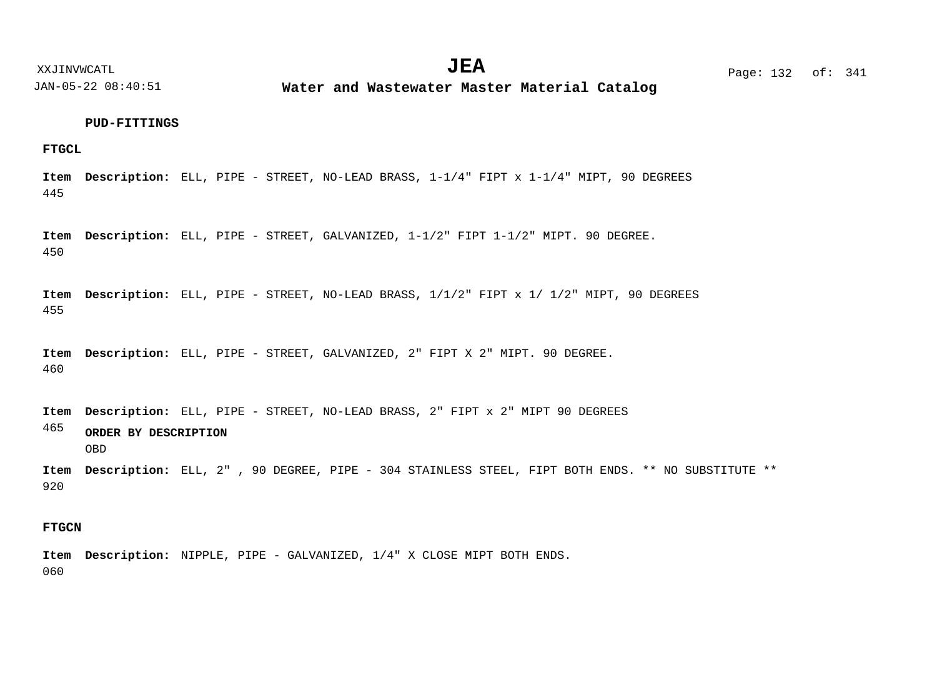**Water and Wastewater Master Material Catalog** 

#### **PUD-FITTINGS**

**FTGCL**

445 Item Description: ELL, PIPE - STREET, NO-LEAD BRASS,  $1-1/4$ " FIPT x  $1-1/4$ " MIPT, 90 DEGREES

450 Item Description: ELL, PIPE - STREET, GALVANIZED,  $1-1/2$ " FIPT  $1-1/2$ " MIPT. 90 DEGREE.

455 Item Description: ELL, PIPE - STREET, NO-LEAD BRASS,  $1/1/2$ " FIPT x 1/ 1/2" MIPT, 90 DEGREES

460 Item Description: ELL, PIPE - STREET, GALVANIZED, 2" FIPT X 2" MIPT. 90 DEGREE.

465 Item Description: ELL, PIPE - STREET, NO-LEAD BRASS, 2" FIPT x 2" MIPT 90 DEGREES **ORDER BY DESCRIPTION** OBD

920 Item Description: ELL, 2", 90 DEGREE, PIPE - 304 STAINLESS STEEL, FIPT BOTH ENDS. \*\* NO SUBSTITUTE \*\*

## **FTGCN**

060 Item Description: NIPPLE, PIPE - GALVANIZED,  $1/4$ " X CLOSE MIPT BOTH ENDS.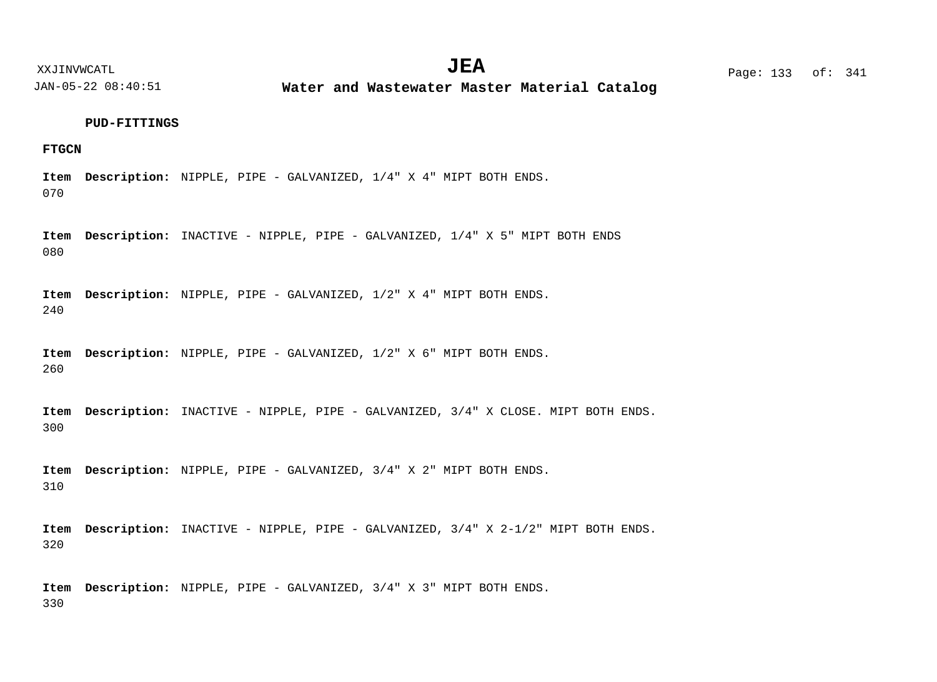XXJINVWCATL **EXALL** Page: 133 of:  $JEA$   $Page: 133 of: 341$ 

JAN-05-22 08:40:51

**Water and Wastewater Master Material Catalog** 

#### **PUD-FITTINGS**

## **FTGCN**

070 Item Description: NIPPLE, PIPE - GALVANIZED, 1/4" X 4" MIPT BOTH ENDS.

080 Item Description: INACTIVE - NIPPLE, PIPE - GALVANIZED,  $1/4$ " X 5" MIPT BOTH ENDS

240 Item Description: NIPPLE, PIPE - GALVANIZED, 1/2" X 4" MIPT BOTH ENDS.

260 Item Description: NIPPLE, PIPE - GALVANIZED, 1/2" X 6" MIPT BOTH ENDS.

300 Item Description: INACTIVE - NIPPLE, PIPE - GALVANIZED,  $3/4$ " X CLOSE. MIPT BOTH ENDS.

310 Item Description: NIPPLE, PIPE - GALVANIZED, 3/4" X 2" MIPT BOTH ENDS.

320 Item Description: INACTIVE - NIPPLE, PIPE - GALVANIZED,  $3/4$ " X 2-1/2" MIPT BOTH ENDS.

330 Item Description: NIPPLE, PIPE - GALVANIZED, 3/4" X 3" MIPT BOTH ENDS.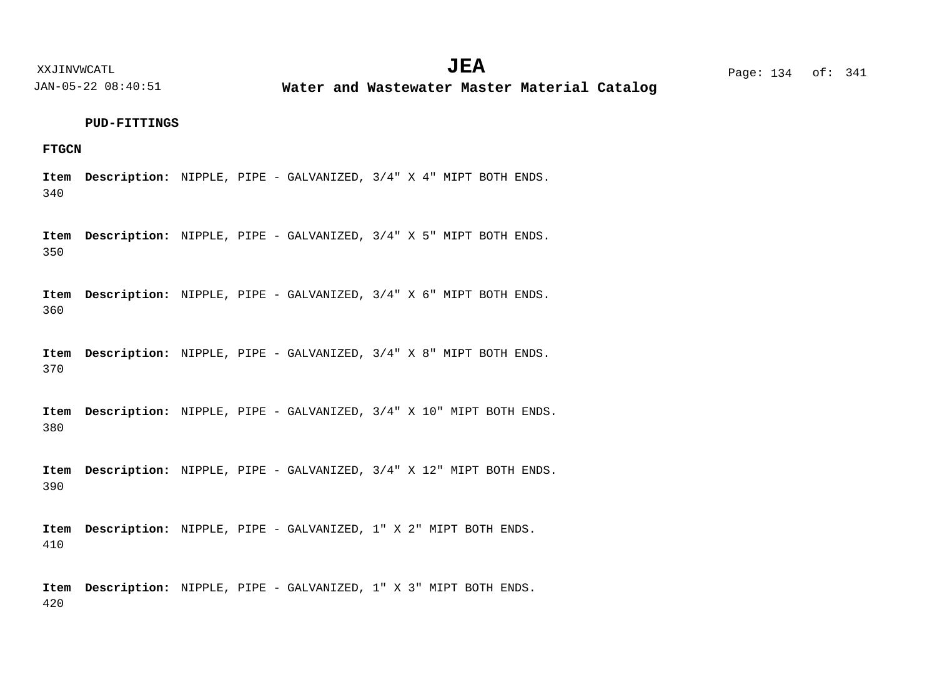**Water and Wastewater Master Material Catalog** 

#### **PUD-FITTINGS**

## **FTGCN**

340 Item Description: NIPPLE, PIPE - GALVANIZED, 3/4" X 4" MIPT BOTH ENDS.

350 Item Description: NIPPLE, PIPE - GALVANIZED, 3/4" X 5" MIPT BOTH ENDS.

360 Item Description: NIPPLE, PIPE - GALVANIZED, 3/4" X 6" MIPT BOTH ENDS.

370 Item Description: NIPPLE, PIPE - GALVANIZED, 3/4" X 8" MIPT BOTH ENDS.

380 Item Description: NIPPLE, PIPE - GALVANIZED, 3/4" X 10" MIPT BOTH ENDS.

390 Item Description: NIPPLE, PIPE - GALVANIZED,  $3/4$ " X 12" MIPT BOTH ENDS.

410 Item Description: NIPPLE, PIPE - GALVANIZED, 1" X 2" MIPT BOTH ENDS.

420 Item Description: NIPPLE, PIPE - GALVANIZED, 1" X 3" MIPT BOTH ENDS.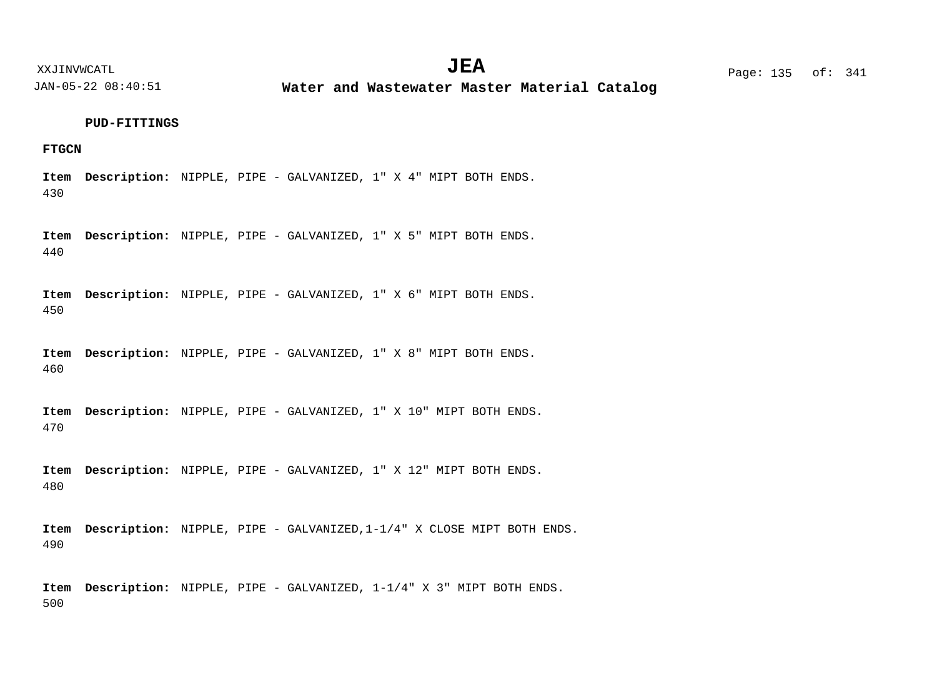**Water and Wastewater Master Material Catalog** 

#### **PUD-FITTINGS**

## **FTGCN**

430 Item Description: NIPPLE, PIPE - GALVANIZED, 1" X 4" MIPT BOTH ENDS.

440 Item Description: NIPPLE, PIPE - GALVANIZED, 1" X 5" MIPT BOTH ENDS.

450 Item Description: NIPPLE, PIPE - GALVANIZED, 1" X 6" MIPT BOTH ENDS.

460 Item Description: NIPPLE, PIPE - GALVANIZED, 1" X 8" MIPT BOTH ENDS.

470 Item Description: NIPPLE, PIPE - GALVANIZED, 1" X 10" MIPT BOTH ENDS.

480 Item Description: NIPPLE, PIPE - GALVANIZED, 1" X 12" MIPT BOTH ENDS.

490 Item Description: NIPPLE, PIPE - GALVANIZED, 1-1/4" X CLOSE MIPT BOTH ENDS.

500 Item Description: NIPPLE, PIPE - GALVANIZED,  $1-1/4$ " X 3" MIPT BOTH ENDS.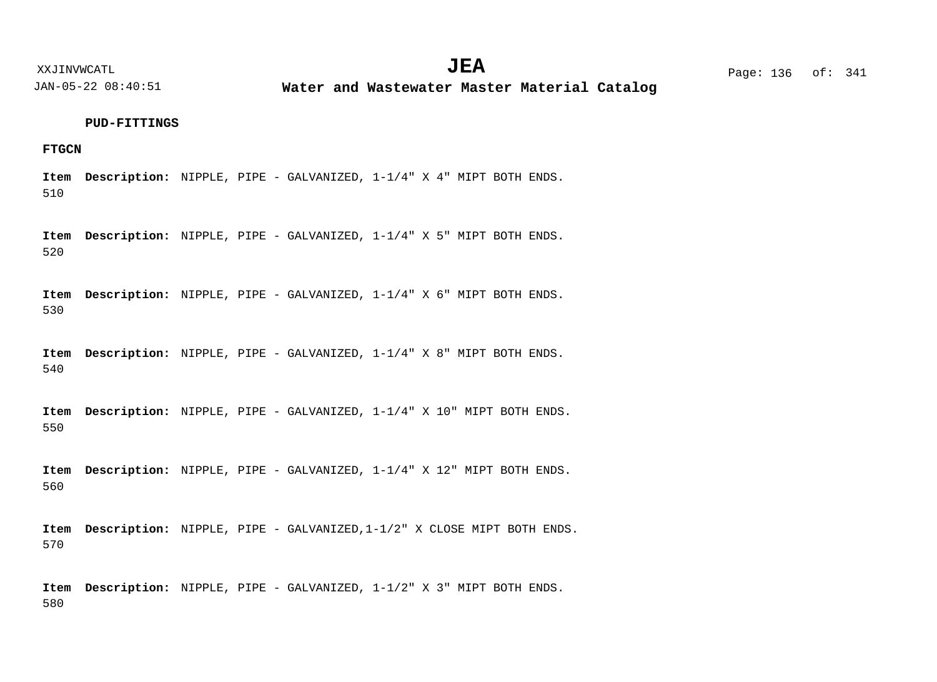**Water and Wastewater Master Material Catalog** 

#### **PUD-FITTINGS**

## **FTGCN**

510 Item Description: NIPPLE, PIPE - GALVANIZED,  $1-1/4$  **X** 4 MIPT BOTH ENDS.

520 Item Description: NIPPLE, PIPE - GALVANIZED,  $1-1/4$  "X 5" MIPT BOTH ENDS.

530 Item Description: NIPPLE, PIPE - GALVANIZED,  $1-1/4$ " X 6" MIPT BOTH ENDS.

540 Item Description: NIPPLE, PIPE - GALVANIZED,  $1-1/4$ " X 8" MIPT BOTH ENDS.

550 Item Description: NIPPLE, PIPE - GALVANIZED,  $1-1/4$ " X 10" MIPT BOTH ENDS.

560 Item Description: NIPPLE, PIPE - GALVANIZED,  $1-1/4$ " X 12" MIPT BOTH ENDS.

570 Item Description: NIPPLE, PIPE - GALVANIZED, 1-1/2" X CLOSE MIPT BOTH ENDS.

580 Item Description: NIPPLE, PIPE - GALVANIZED,  $1-1/2$  **X** 3 MIPT BOTH ENDS.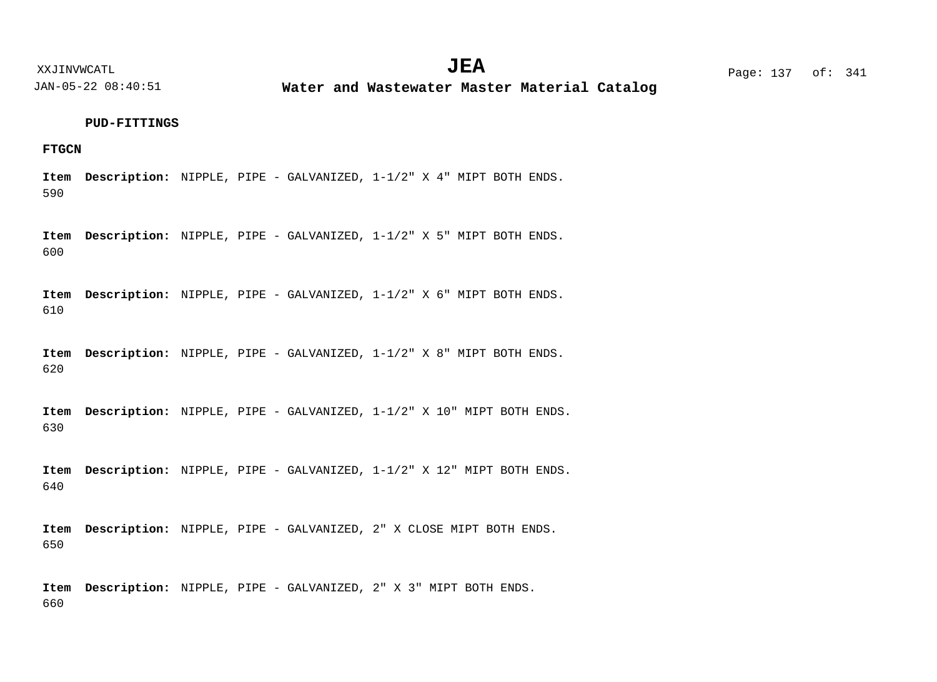**Water and Wastewater Master Material Catalog** 

#### **PUD-FITTINGS**

## **FTGCN**

590 Item Description: NIPPLE, PIPE - GALVANIZED,  $1-1/2$  **X** 4 MIPT BOTH ENDS.

600 Item Description: NIPPLE, PIPE - GALVANIZED,  $1-1/2$  "X 5" MIPT BOTH ENDS.

610 Item Description: NIPPLE, PIPE - GALVANIZED,  $1-1/2$  "X 6" MIPT BOTH ENDS.

620 Item Description: NIPPLE, PIPE - GALVANIZED,  $1-1/2$  **X** 8 MIPT BOTH ENDS.

630 Item Description: NIPPLE, PIPE - GALVANIZED,  $1-1/2$ " X 10" MIPT BOTH ENDS.

640 Item Description: NIPPLE, PIPE - GALVANIZED,  $1-1/2$  "X 12" MIPT BOTH ENDS.

650 Item Description: NIPPLE, PIPE - GALVANIZED, 2" X CLOSE MIPT BOTH ENDS.

660 Item Description: NIPPLE, PIPE - GALVANIZED, 2" X 3" MIPT BOTH ENDS.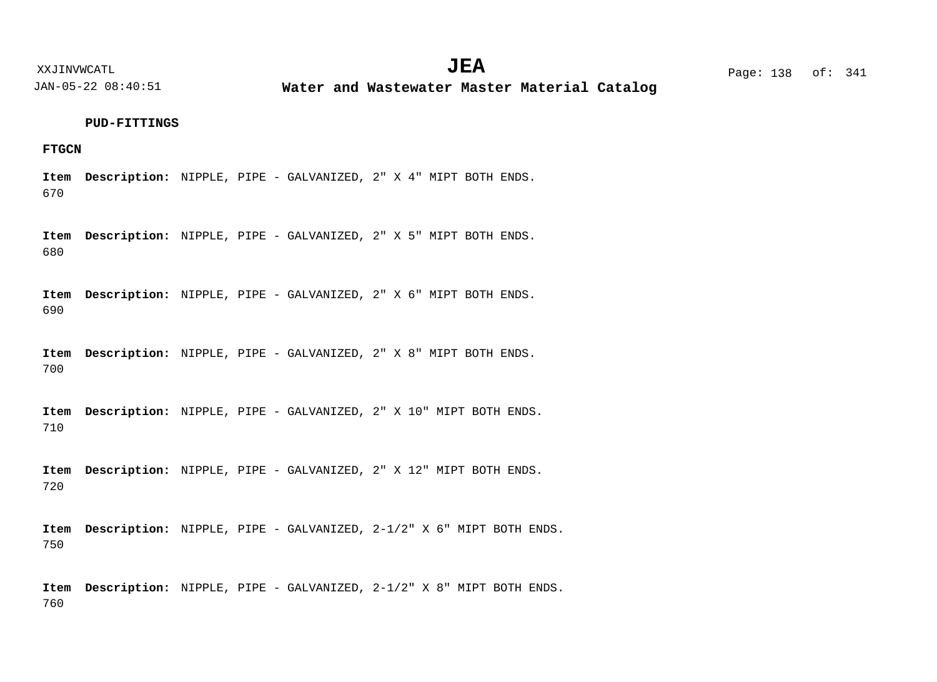**Water and Wastewater Master Material Catalog** 

#### **PUD-FITTINGS**

## **FTGCN**

670 Item Description: NIPPLE, PIPE - GALVANIZED, 2" X 4" MIPT BOTH ENDS.

680 Item Description: NIPPLE, PIPE - GALVANIZED, 2" X 5" MIPT BOTH ENDS.

690 Item Description: NIPPLE, PIPE - GALVANIZED, 2" X 6" MIPT BOTH ENDS.

700 Item Description: NIPPLE, PIPE - GALVANIZED, 2" X 8" MIPT BOTH ENDS.

710 Item Description: NIPPLE, PIPE - GALVANIZED, 2" X 10" MIPT BOTH ENDS.

720 Item Description: NIPPLE, PIPE - GALVANIZED, 2" X 12" MIPT BOTH ENDS.

750 Item Description: NIPPLE, PIPE - GALVANIZED, 2-1/2" X 6" MIPT BOTH ENDS.

760 Item Description: NIPPLE, PIPE - GALVANIZED, 2-1/2" X 8" MIPT BOTH ENDS.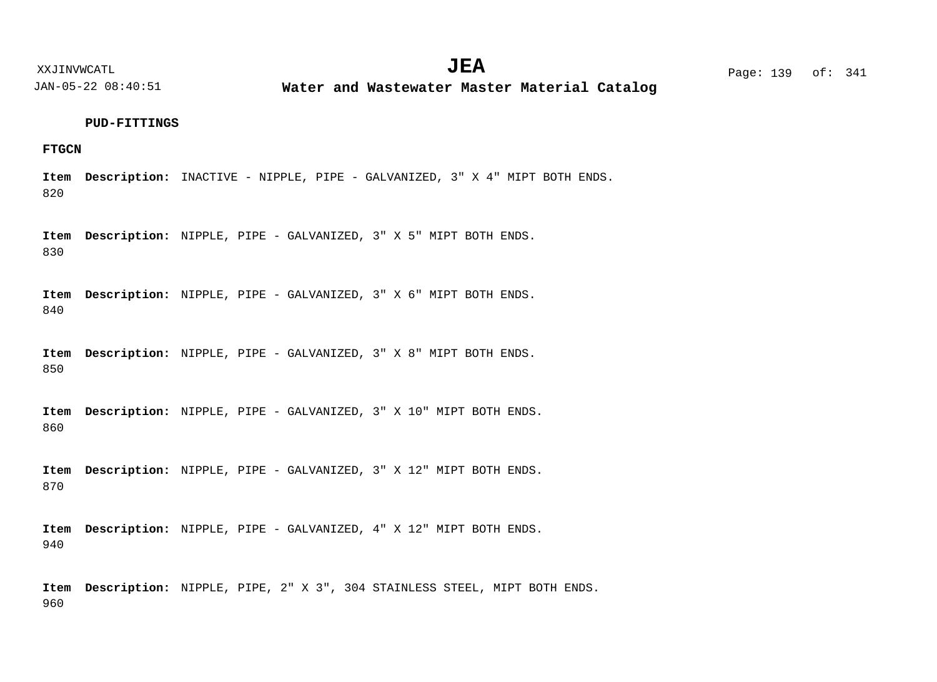**Water and Wastewater Master Material Catalog** 

#### **PUD-FITTINGS**

## **FTGCN**

820 Item Description: INACTIVE - NIPPLE, PIPE - GALVANIZED, 3" X 4" MIPT BOTH ENDS.

830 Item Description: NIPPLE, PIPE - GALVANIZED, 3" X 5" MIPT BOTH ENDS.

840 Item Description: NIPPLE, PIPE - GALVANIZED, 3" X 6" MIPT BOTH ENDS.

850 Item Description: NIPPLE, PIPE - GALVANIZED, 3" X 8" MIPT BOTH ENDS.

860 Item Description: NIPPLE, PIPE - GALVANIZED, 3" X 10" MIPT BOTH ENDS.

870 Item Description: NIPPLE, PIPE - GALVANIZED, 3" X 12" MIPT BOTH ENDS.

940 Item Description: NIPPLE, PIPE - GALVANIZED, 4" X 12" MIPT BOTH ENDS.

960 Item Description: NIPPLE, PIPE, 2" X 3", 304 STAINLESS STEEL, MIPT BOTH ENDS.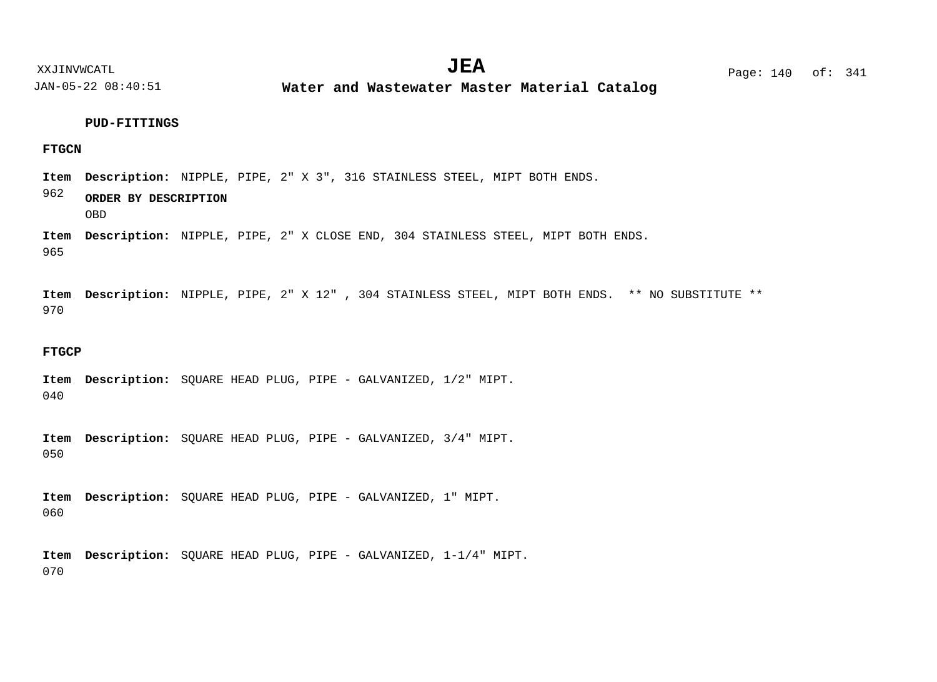**Water and Wastewater Master Material Catalog** 

#### **PUD-FITTINGS**

## **FTGCN**

Item Description: NIPPLE, PIPE, 2" X 3", 316 STAINLESS STEEL, MIPT BOTH ENDS.

## 962 **ORDER BY DESCRIPTION**

OBD

965 Item Description: NIPPLE, PIPE, 2" X CLOSE END, 304 STAINLESS STEEL, MIPT BOTH ENDS.

970 Item Description: NIPPLE, PIPE, 2" X 12", 304 STAINLESS STEEL, MIPT BOTH ENDS. \*\* NO SUBSTITUTE \*\*

#### **FTGCP**

040 Item Description: SQUARE HEAD PLUG, PIPE - GALVANIZED, 1/2" MIPT.

050 Item Description: SQUARE HEAD PLUG, PIPE - GALVANIZED, 3/4" MIPT.

060 Item Description: SQUARE HEAD PLUG, PIPE - GALVANIZED, 1" MIPT.

070 Item Description: SQUARE HEAD PLUG, PIPE - GALVANIZED, 1-1/4" MIPT.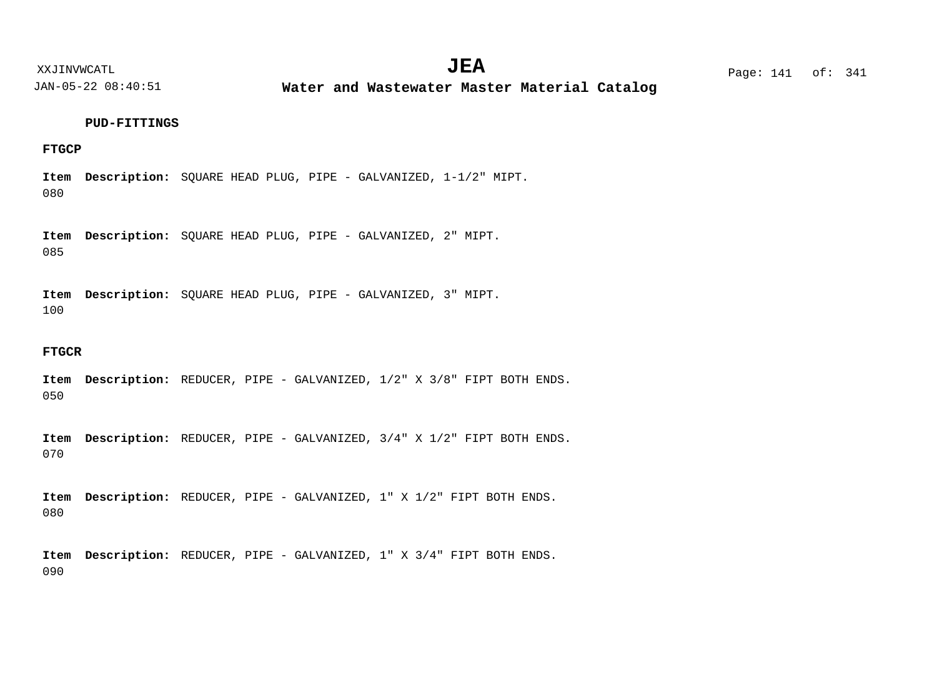**Water and Wastewater Master Material Catalog** 

#### **PUD-FITTINGS**

## **FTGCP**

080 Item Description: SQUARE HEAD PLUG, PIPE - GALVANIZED, 1-1/2" MIPT.

085 Item Description: SQUARE HEAD PLUG, PIPE - GALVANIZED, 2" MIPT.

100 Item Description: SQUARE HEAD PLUG, PIPE - GALVANIZED, 3" MIPT.

#### **FTGCR**

050 Item Description: REDUCER, PIPE - GALVANIZED,  $1/2$  **X**  $3/8$  FIPT BOTH ENDS.

070 Item Description: REDUCER, PIPE - GALVANIZED,  $3/4$  " X 1/2" FIPT BOTH ENDS.

080 Item Description: REDUCER, PIPE - GALVANIZED, 1" X 1/2" FIPT BOTH ENDS.

090 Item Description: REDUCER, PIPE - GALVANIZED, 1" X 3/4" FIPT BOTH ENDS.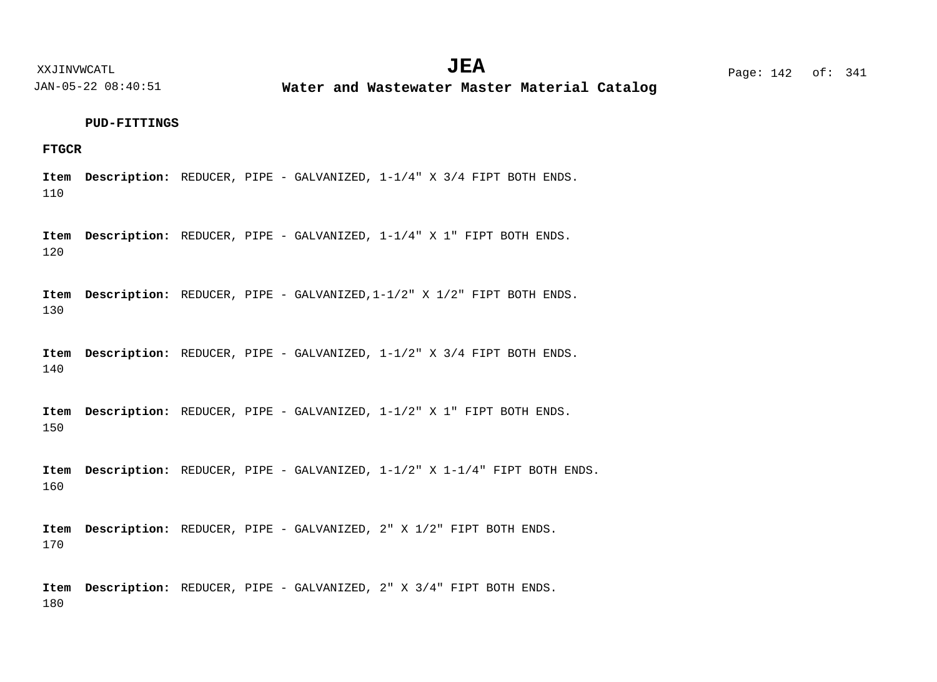**Water and Wastewater Master Material Catalog** 

#### **PUD-FITTINGS**

#### **FTGCR**

110 Item Description: REDUCER, PIPE - GALVANIZED,  $1-1/4$ " X 3/4 FIPT BOTH ENDS.

120 Item Description: REDUCER, PIPE - GALVANIZED,  $1-1/4$  " X 1 " FIPT BOTH ENDS.

130 Item Description: REDUCER, PIPE - GALVANIZED, 1-1/2" X 1/2" FIPT BOTH ENDS.

140 Item Description: REDUCER, PIPE - GALVANIZED,  $1-1/2$ " X 3/4 FIPT BOTH ENDS.

150 Item Description: REDUCER, PIPE - GALVANIZED,  $1-1/2$  **X** 1 FIPT BOTH ENDS.

160 Item Description: REDUCER, PIPE - GALVANIZED,  $1-1/2$  **X**  $1-1/4$  **FIPT BOTH ENDS.** 

170 Item Description: REDUCER, PIPE - GALVANIZED, 2" X 1/2" FIPT BOTH ENDS.

180 Item Description: REDUCER, PIPE - GALVANIZED, 2" X 3/4" FIPT BOTH ENDS.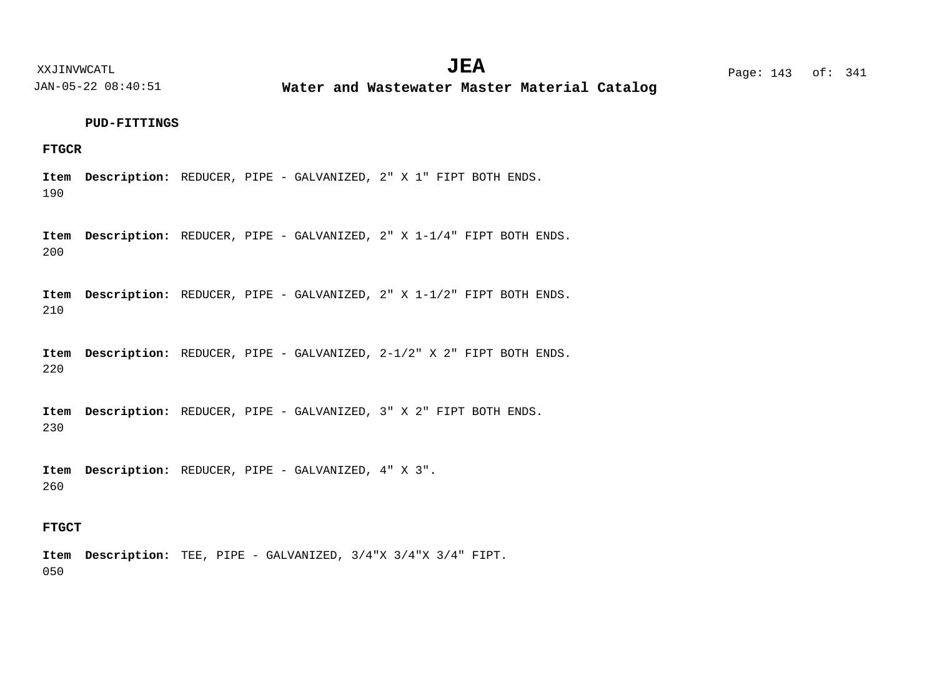**Water and Wastewater Master Material Catalog** 

#### **PUD-FITTINGS**

## **FTGCR**

190 Item Description: REDUCER, PIPE - GALVANIZED, 2" X 1" FIPT BOTH ENDS.

200 Item Description: REDUCER, PIPE - GALVANIZED, 2" X 1-1/4" FIPT BOTH ENDS.

210 Item Description: REDUCER, PIPE - GALVANIZED, 2" X 1-1/2" FIPT BOTH ENDS.

220 Item Description: REDUCER, PIPE - GALVANIZED, 2-1/2" X 2" FIPT BOTH ENDS.

230 Item Description: REDUCER, PIPE - GALVANIZED, 3" X 2" FIPT BOTH ENDS.

260 Item Description: REDUCER, PIPE - GALVANIZED, 4" X 3".

## **FTGCT**

050 TEE, PIPE - GALVANIZED, 3/4"X 3/4"X 3/4" FIPT. **Description: Item**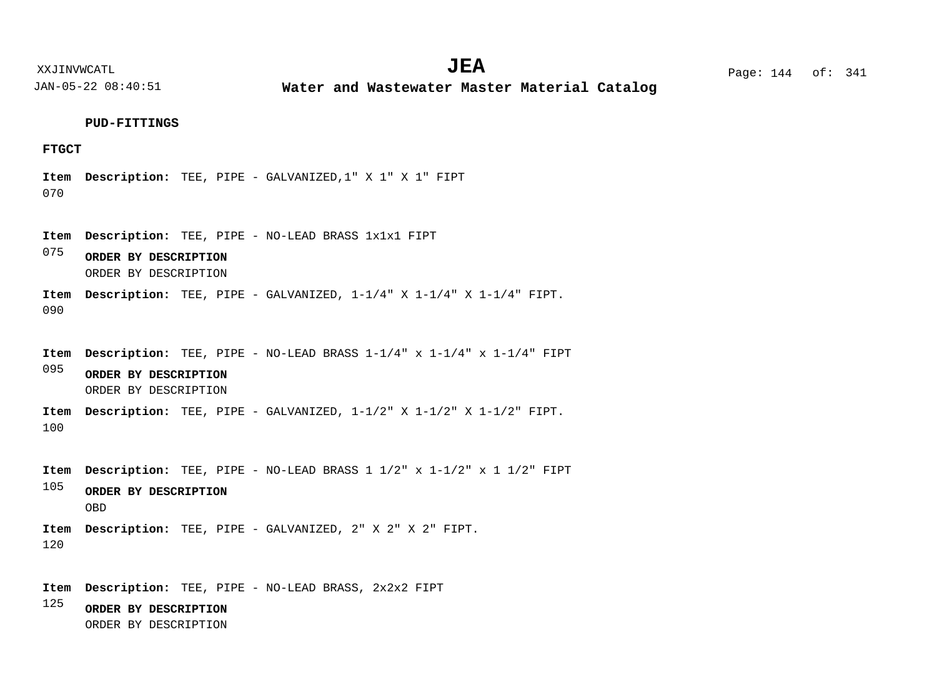XXJINVWCATL **EXALL** Page: 144 of:  $JEA$   $Page: 144 \text{ of}: 341$ 

JAN-05-22 08:40:51

**Water and Wastewater Master Material Catalog** 

#### **PUD-FITTINGS**

## **FTGCT**

070 TEE, PIPE - GALVANIZED,1" X 1" X 1" FIPT **Description: Item**

TEE, PIPE - NO-LEAD BRASS 1x1x1 FIPT **Description: Item**

075 **ORDER BY DESCRIPTION** ORDER BY DESCRIPTION

090 TEE, PIPE - GALVANIZED, 1-1/4" X 1-1/4" X 1-1/4" FIPT. **Description: Item**

095 100 105 TEE, PIPE - NO-LEAD BRASS 1-1/4" x 1-1/4" x 1-1/4" FIPT **Description: Item** TEE, PIPE - GALVANIZED, 1-1/2" X 1-1/2" X 1-1/2" FIPT. **Description: Item** TEE, PIPE - NO-LEAD BRASS 1 1/2" x 1-1/2" x 1 1/2" FIPT **Description: Item** TEE, PIPE - GALVANIZED, 2" X 2" X 2" FIPT. **Description: Item ORDER BY DESCRIPTION ORDER BY DESCRIPTION** ORDER BY DESCRIPTION OBD

120

TEE, PIPE - NO-LEAD BRASS, 2x2x2 FIPT **Description: Item**

125 **ORDER BY DESCRIPTION** ORDER BY DESCRIPTION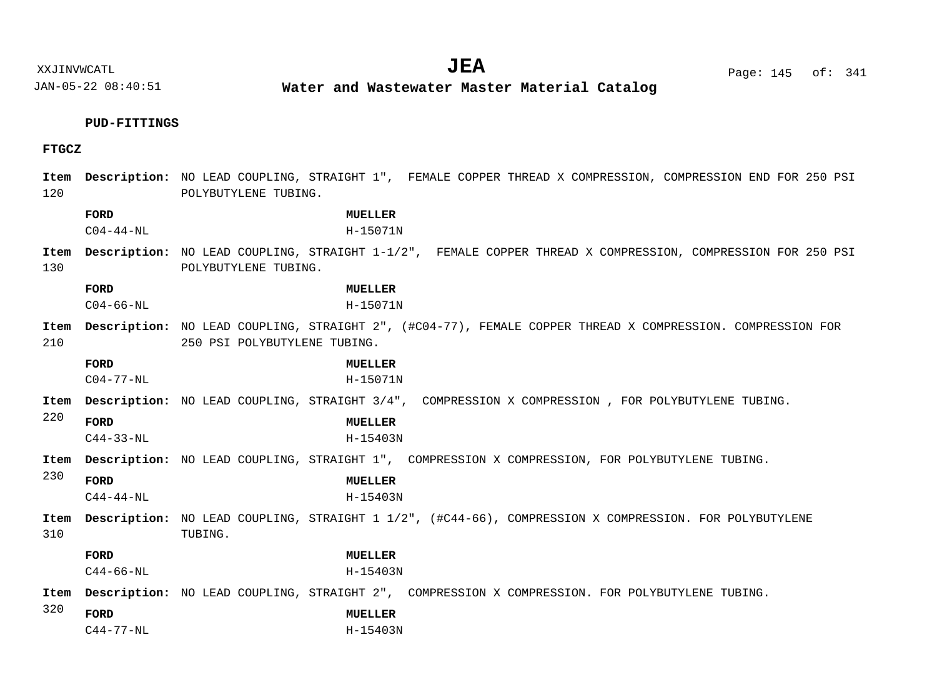XXJINVWCATL Page: 145 of: **JEA**<sup>341</sup>

JAN-05-22 08:40:51

**Water and Wastewater Master Material Catalog** 

# **PUD-FITTINGS**

# **FTGCZ**

| 120                                         |                         | Item Description: NO LEAD COUPLING, STRAIGHT 1", FEMALE COPPER THREAD X COMPRESSION, COMPRESSION END FOR 250 PSI<br>POLYBUTYLENE TUBING. |
|---------------------------------------------|-------------------------|------------------------------------------------------------------------------------------------------------------------------------------|
|                                             | FORD<br>$C04 - 44 - NL$ | MUELLER<br>H-15071N                                                                                                                      |
| Item<br>130                                 |                         | Description: NO LEAD COUPLING, STRAIGHT 1-1/2", FEMALE COPPER THREAD X COMPRESSION, COMPRESSION FOR 250 PSI<br>POLYBUTYLENE TUBING.      |
|                                             | FORD<br>$C04 - 66 - NL$ | <b>MUELLER</b><br>$H-15071N$                                                                                                             |
| Item<br>210<br>250 PSI POLYBUTYLENE TUBING. |                         | Description: NO LEAD COUPLING, STRAIGHT 2", (#C04-77), FEMALE COPPER THREAD X COMPRESSION. COMPRESSION FOR                               |
|                                             | FORD<br>$C04-77-NL$     | MUELLER<br>H-15071N                                                                                                                      |
| Item                                        |                         | Description: NO LEAD COUPLING, STRAIGHT 3/4", COMPRESSION X COMPRESSION, FOR POLYBUTYLENE TUBING.                                        |
| 220                                         | FORD<br>$C44 - 33 - NL$ | <b>MUELLER</b><br>$H - 15403N$                                                                                                           |
| Item                                        |                         | <b>Description:</b> NO LEAD COUPLING, STRAIGHT 1", COMPRESSION X COMPRESSION, FOR POLYBUTYLENE TUBING.                                   |
| 230                                         | FORD<br>$C44 - 44 - NL$ | <b>MUELLER</b><br>H-15403N                                                                                                               |
| 310                                         |                         | Item Description: NO LEAD COUPLING, STRAIGHT 1 1/2", (#C44-66), COMPRESSION X COMPRESSION. FOR POLYBUTYLENE<br>TUBING.                   |
|                                             | <b>FORD</b>             | <b>MUELLER</b>                                                                                                                           |
|                                             | $C44 - 66 - NL$         | H-15403N                                                                                                                                 |
| Item                                        |                         | Description: NO LEAD COUPLING, STRAIGHT 2", COMPRESSION X COMPRESSION. FOR POLYBUTYLENE TUBING.                                          |
| 320                                         | FORD                    | <b>MUELLER</b>                                                                                                                           |
|                                             | $C44 - 77 - NL$         | H-15403N                                                                                                                                 |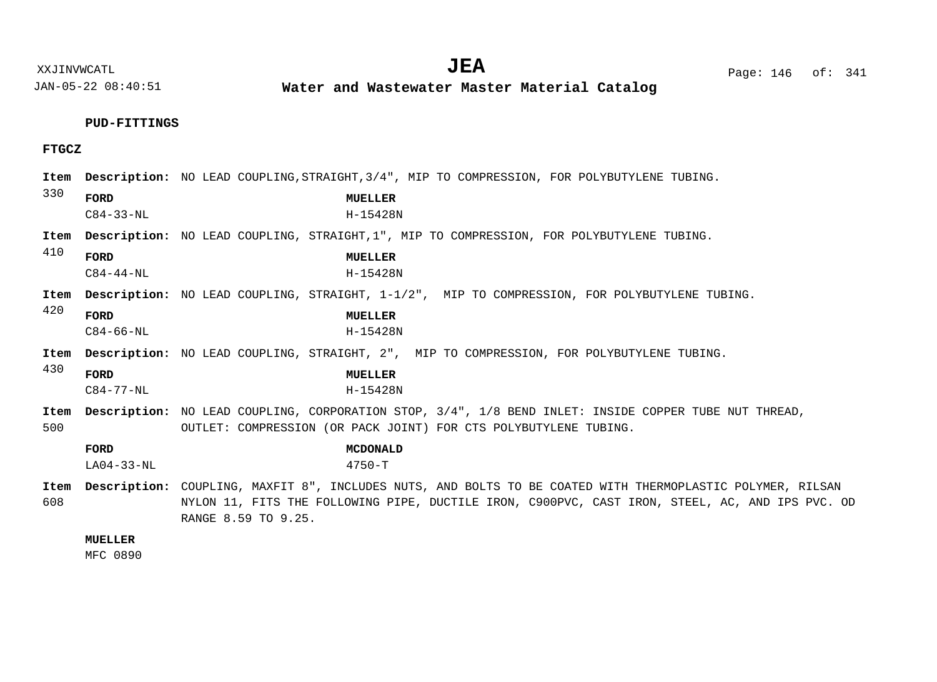**Water and Wastewater Master Material Catalog** 

# **PUD-FITTINGS**

# **FTGCZ**

| Item        |                         | <b>Description:</b> NO LEAD COUPLING, STRAIGHT, 3/4", MIP TO COMPRESSION, FOR POLYBUTYLENE TUBING.                                                                                                                                   |
|-------------|-------------------------|--------------------------------------------------------------------------------------------------------------------------------------------------------------------------------------------------------------------------------------|
| 330         | FORD<br>$C84 - 33 - NL$ | MUELLER<br>H-15428N                                                                                                                                                                                                                  |
| Item<br>410 |                         | Description: NO LEAD COUPLING, STRAIGHT, 1", MIP TO COMPRESSION, FOR POLYBUTYLENE TUBING.                                                                                                                                            |
|             | FORD<br>$C84 - 44 - NL$ | MUELLER<br>$H - 15428N$                                                                                                                                                                                                              |
| Item        |                         | <b>Description:</b> NO LEAD COUPLING, STRAIGHT, 1-1/2", MIP TO COMPRESSION, FOR POLYBUTYLENE TUBING.                                                                                                                                 |
| 420         | FORD<br>$C84 - 66 - NL$ | MUELLER<br>$H - 15428N$                                                                                                                                                                                                              |
| Item        |                         | Description: NO LEAD COUPLING, STRAIGHT, 2", MIP TO COMPRESSION, FOR POLYBUTYLENE TUBING.                                                                                                                                            |
| 430         | FORD<br>$C84 - 77 - NL$ | MUELLER<br>H-15428N                                                                                                                                                                                                                  |
| Item<br>500 |                         | Description: NO LEAD COUPLING, CORPORATION STOP, 3/4", 1/8 BEND INLET: INSIDE COPPER TUBE NUT THREAD,<br>OUTLET: COMPRESSION (OR PACK JOINT) FOR CTS POLYBUTYLENE TUBING.                                                            |
|             | FORD<br>$LAO4-33-NL$    | <b>MCDONALD</b><br>$4750 - T$                                                                                                                                                                                                        |
| Item<br>608 |                         | Description: COUPLING, MAXFIT 8", INCLUDES NUTS, AND BOLTS TO BE COATED WITH THERMOPLASTIC POLYMER, RILSAN<br>NYLON 11, FITS THE FOLLOWING PIPE, DUCTILE IRON, C900PVC, CAST IRON, STEEL, AC, AND IPS PVC. OD<br>RANGE 8.59 TO 9.25. |

# **MUELLER**

MFC 0890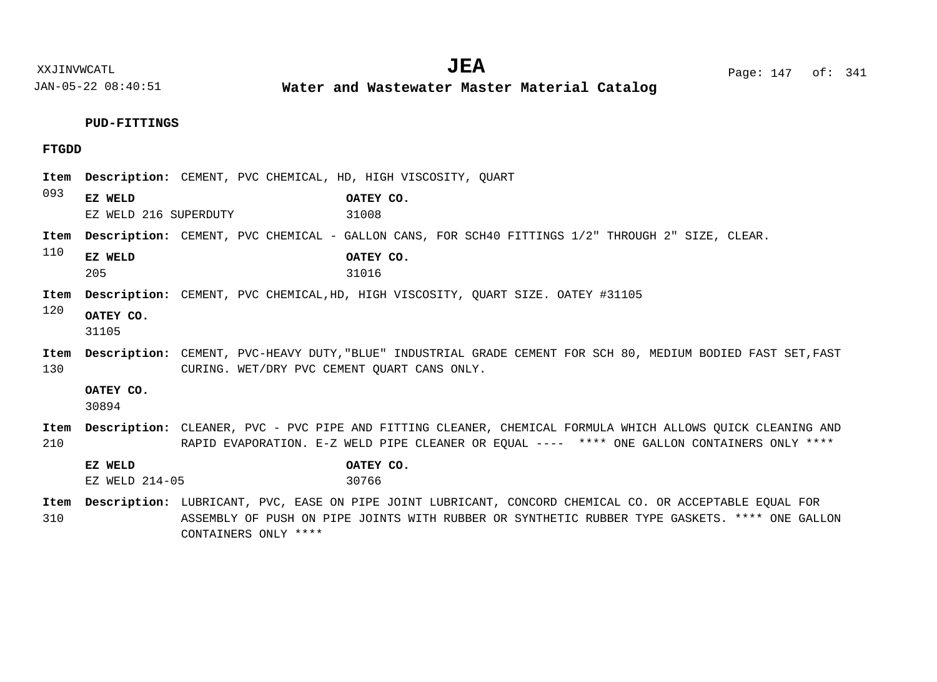**Water and Wastewater Master Material Catalog** 

# **PUD-FITTINGS**

CONTAINERS ONLY \*\*\*\*

# **FTGDD**

| Item        |                       | Description: CEMENT, PVC CHEMICAL, HD, HIGH VISCOSITY, QUART                                                                                                                                              |  |  |
|-------------|-----------------------|-----------------------------------------------------------------------------------------------------------------------------------------------------------------------------------------------------------|--|--|
| 093         | EZ WELD               | OATEY CO.                                                                                                                                                                                                 |  |  |
|             | EZ WELD 216 SUPERDUTY | 31008                                                                                                                                                                                                     |  |  |
| Item        |                       | Description: CEMENT, PVC CHEMICAL - GALLON CANS, FOR SCH40 FITTINGS 1/2" THROUGH 2" SIZE, CLEAR.                                                                                                          |  |  |
| 110         | EZ WELD<br>205        | OATEY CO.<br>31016                                                                                                                                                                                        |  |  |
| Item        |                       | <b>Description:</b> CEMENT, PVC CHEMICAL, HD, HIGH VISCOSITY, OUART SIZE. OATEY #31105                                                                                                                    |  |  |
| 120         | OATEY CO.<br>31105    |                                                                                                                                                                                                           |  |  |
| Item<br>130 |                       | Description: CEMENT, PVC-HEAVY DUTY, "BLUE" INDUSTRIAL GRADE CEMENT FOR SCH 80, MEDIUM BODIED FAST SET, FAST<br>CURING. WET/DRY PVC CEMENT QUART CANS ONLY.                                               |  |  |
|             | OATEY CO.<br>30894    |                                                                                                                                                                                                           |  |  |
| Item<br>210 |                       | Description: CLEANER, PVC - PVC PIPE AND FITTING CLEANER, CHEMICAL FORMULA WHICH ALLOWS OUICK CLEANING AND<br>RAPID EVAPORATION. E-Z WELD PIPE CLEANER OR EOUAL ---- **** ONE GALLON CONTAINERS ONLY **** |  |  |
|             | EZ WELD               | OATEY CO.                                                                                                                                                                                                 |  |  |
|             | $EZ$ WELD $214-05$    | 30766                                                                                                                                                                                                     |  |  |
| Item        |                       | Description: LUBRICANT, PVC, EASE ON PIPE JOINT LUBRICANT, CONCORD CHEMICAL CO. OR ACCEPTABLE EQUAL FOR                                                                                                   |  |  |
| 310         |                       | ASSEMBLY OF PUSH ON PIPE JOINTS WITH RUBBER OR SYNTHETIC RUBBER TYPE GASKETS. **** ONE GALLON                                                                                                             |  |  |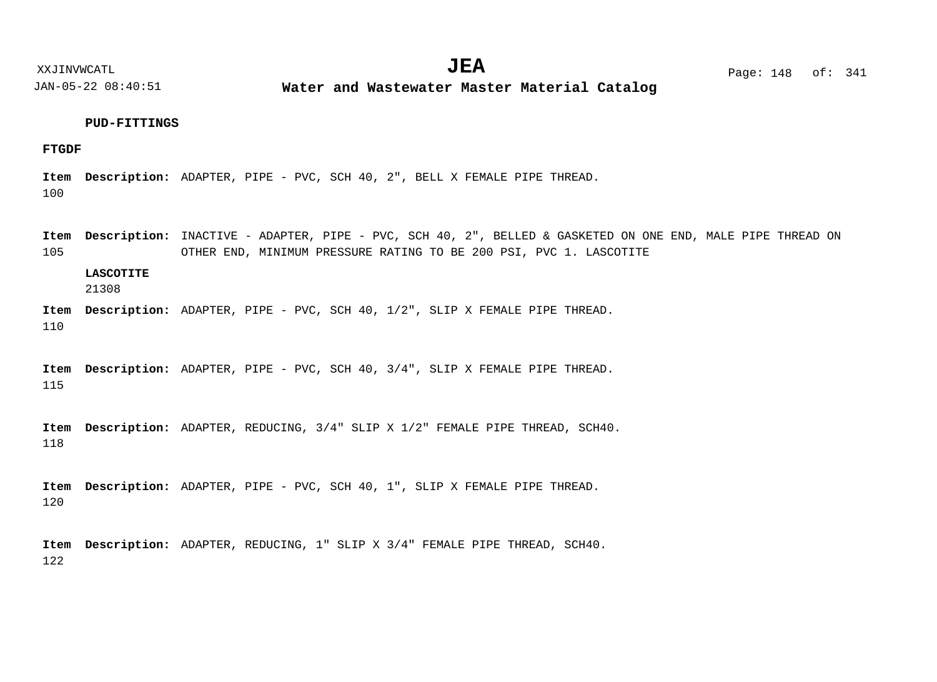**Water and Wastewater Master Material Catalog** 

# **PUD-FITTINGS**

## **FTGDF**

100 Item Description: ADAPTER, PIPE - PVC, SCH 40, 2", BELL X FEMALE PIPE THREAD.

105 Item Description: INACTIVE - ADAPTER, PIPE - PVC, SCH 40, 2", BELLED & GASKETED ON ONE END, MALE PIPE THREAD ON OTHER END, MINIMUM PRESSURE RATING TO BE 200 PSI, PVC 1. LASCOTITE

# **LASCOTITE**

21308

110 Item Description: ADAPTER, PIPE - PVC, SCH 40, 1/2", SLIP X FEMALE PIPE THREAD.

115 Item Description: ADAPTER, PIPE - PVC, SCH 40, 3/4", SLIP X FEMALE PIPE THREAD.

118 Item Description: ADAPTER, REDUCING,  $3/4$ " SLIP X  $1/2$ " FEMALE PIPE THREAD, SCH40.

120 Item Description: ADAPTER, PIPE - PVC, SCH 40, 1", SLIP X FEMALE PIPE THREAD.

122 Item Description: ADAPTER, REDUCING, 1" SLIP X 3/4" FEMALE PIPE THREAD, SCH40.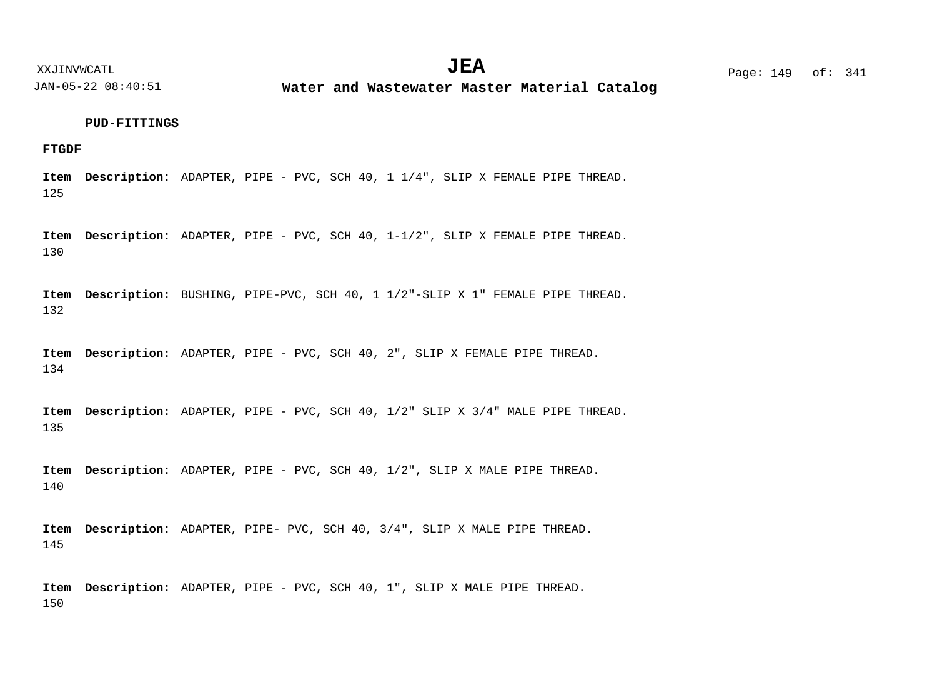**Water and Wastewater Master Material Catalog** 

#### **PUD-FITTINGS**

# **FTGDF**

125 Item Description: ADAPTER, PIPE - PVC, SCH 40, 1 1/4", SLIP X FEMALE PIPE THREAD.

130 Item Description: ADAPTER, PIPE - PVC, SCH 40, 1-1/2", SLIP X FEMALE PIPE THREAD.

132 Item Description: BUSHING, PIPE-PVC, SCH 40, 1 1/2"-SLIP X 1" FEMALE PIPE THREAD.

134 Item Description: ADAPTER, PIPE - PVC, SCH 40, 2", SLIP X FEMALE PIPE THREAD.

135 Item Description: ADAPTER, PIPE - PVC, SCH 40, 1/2" SLIP X 3/4" MALE PIPE THREAD.

140 Item Description: ADAPTER, PIPE - PVC, SCH 40, 1/2", SLIP X MALE PIPE THREAD.

145 Item Description: ADAPTER, PIPE- PVC, SCH 40, 3/4", SLIP X MALE PIPE THREAD.

150 Item Description: ADAPTER, PIPE - PVC, SCH 40, 1", SLIP X MALE PIPE THREAD.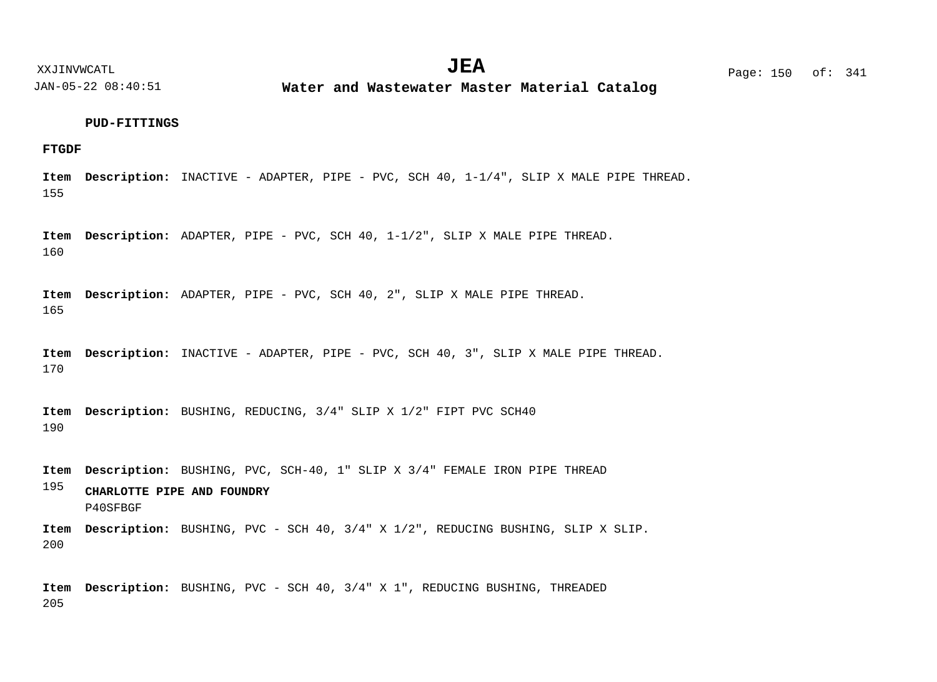**Water and Wastewater Master Material Catalog** 

#### **PUD-FITTINGS**

**FTGDF**

155 Item Description: INACTIVE - ADAPTER, PIPE - PVC, SCH 40, 1-1/4", SLIP X MALE PIPE THREAD.

160 Item Description: ADAPTER, PIPE - PVC, SCH 40,  $1-1/2$ ", SLIP X MALE PIPE THREAD.

165 Item Description: ADAPTER, PIPE - PVC, SCH 40, 2", SLIP X MALE PIPE THREAD.

170 Item Description: INACTIVE - ADAPTER, PIPE - PVC, SCH 40, 3", SLIP X MALE PIPE THREAD.

190 Item Description: BUSHING, REDUCING,  $3/4$ " SLIP X 1/2" FIPT PVC SCH40

Item Description: BUSHING, PVC, SCH-40, 1" SLIP X 3/4" FEMALE IRON PIPE THREAD

195 **CHARLOTTE PIPE AND FOUNDRY** P40SFBGF

200 Item Description: BUSHING, PVC - SCH 40, 3/4" X 1/2", REDUCING BUSHING, SLIP X SLIP.

205 Item Description: BUSHING, PVC - SCH 40, 3/4" X 1", REDUCING BUSHING, THREADED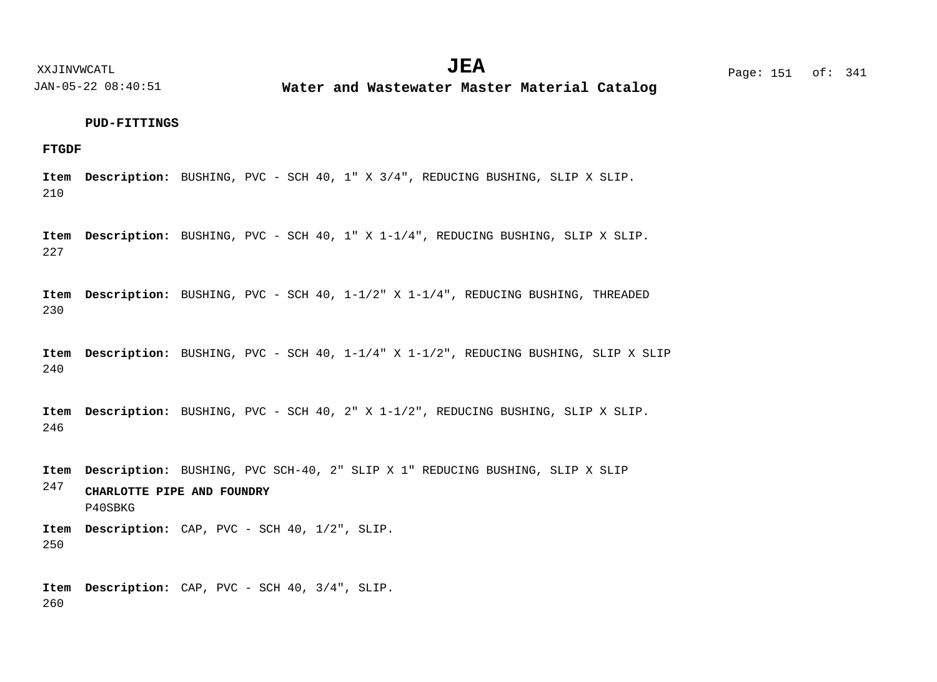**Water and Wastewater Master Material Catalog** 

#### **PUD-FITTINGS**

# **FTGDF**

210 Item Description: BUSHING, PVC - SCH 40, 1" X 3/4", REDUCING BUSHING, SLIP X SLIP.

227 Item Description: BUSHING, PVC - SCH 40, 1" X 1-1/4", REDUCING BUSHING, SLIP X SLIP.

230 Item Description: BUSHING, PVC - SCH 40, 1-1/2" X 1-1/4", REDUCING BUSHING, THREADED

240 Item Description: BUSHING, PVC - SCH 40, 1-1/4" X 1-1/2", REDUCING BUSHING, SLIP X SLIP

246 Item Description: BUSHING, PVC - SCH 40, 2" X 1-1/2", REDUCING BUSHING, SLIP X SLIP.

Item Description: BUSHING, PVC SCH-40, 2" SLIP X 1" REDUCING BUSHING, SLIP X SLIP

247 **CHARLOTTE PIPE AND FOUNDRY** P40SBKG

250 Item Description: CAP, PVC - SCH 40, 1/2", SLIP.

260 Item Description: CAP, PVC - SCH 40, 3/4", SLIP.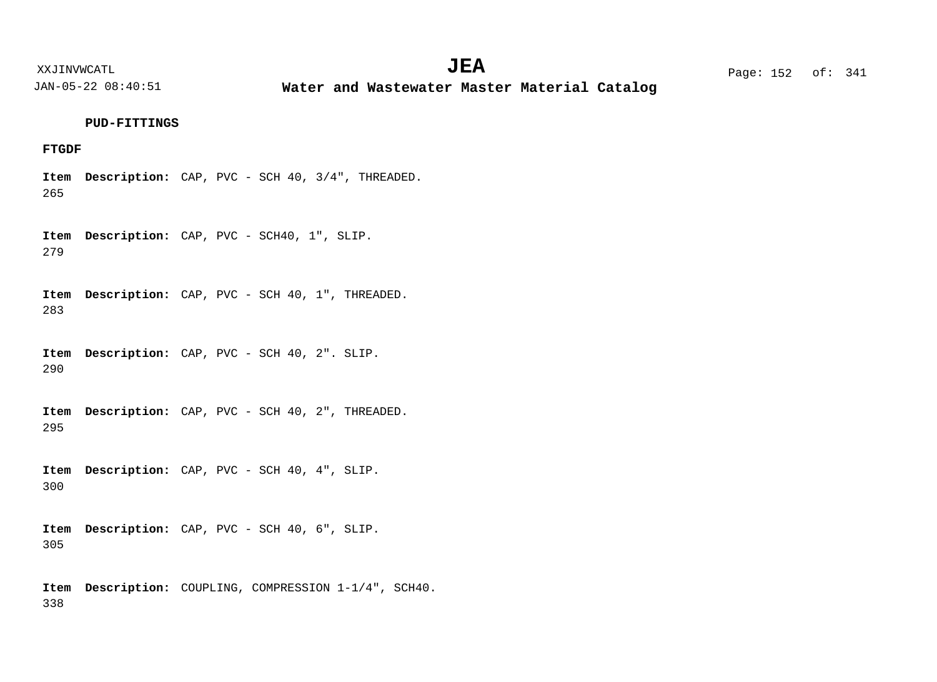XXJINVWCATL Page: 152 of: **JEA**<sup>341</sup>

JAN-05-22 08:40:51

**Water and Wastewater Master Material Catalog** 

# **PUD-FITTINGS**

# **FTGDF**

265 Item Description: CAP, PVC - SCH 40, 3/4", THREADED.

279 Item Description: CAP, PVC - SCH40, 1", SLIP.

283 Item Description: CAP, PVC - SCH 40, 1", THREADED.

290 Item Description: CAP, PVC - SCH 40, 2". SLIP.

295 Item Description: CAP, PVC - SCH 40, 2", THREADED.

300 Item Description: CAP, PVC - SCH 40, 4", SLIP.

305 Item Description: CAP, PVC - SCH 40, 6", SLIP.

338 Item Description: COUPLING, COMPRESSION 1-1/4", SCH40.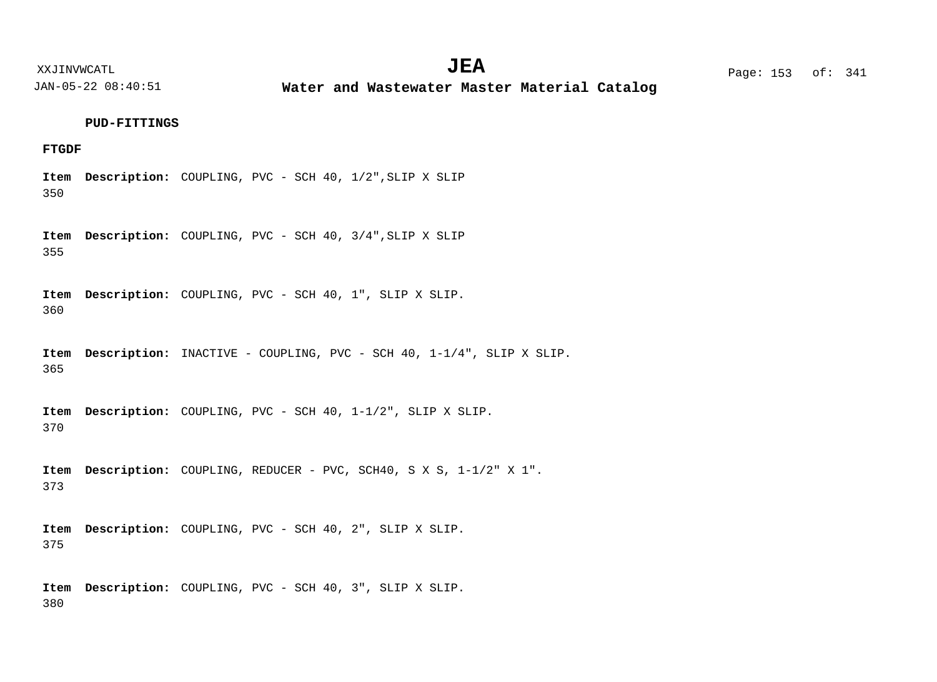XXJINVWCATL **EXALL** Page: 153 of:  $JEA$   $Page: 153 of: 341$ 

JAN-05-22 08:40:51

**Water and Wastewater Master Material Catalog** 

#### **PUD-FITTINGS**

# **FTGDF**

350 Item Description: COUPLING, PVC - SCH 40, 1/2", SLIP X SLIP

355 Item Description: COUPLING, PVC - SCH 40, 3/4", SLIP X SLIP

360 Item Description: COUPLING, PVC - SCH 40, 1", SLIP X SLIP.

365 Item Description: INACTIVE - COUPLING, PVC - SCH 40, 1-1/4", SLIP X SLIP.

370 Item Description: COUPLING, PVC - SCH 40, 1-1/2", SLIP X SLIP.

373 Item Description: COUPLING, REDUCER - PVC, SCH40, S X S, 1-1/2" X 1".

375 Item Description: COUPLING, PVC - SCH 40, 2", SLIP X SLIP.

380 Item Description: COUPLING, PVC - SCH 40, 3", SLIP X SLIP.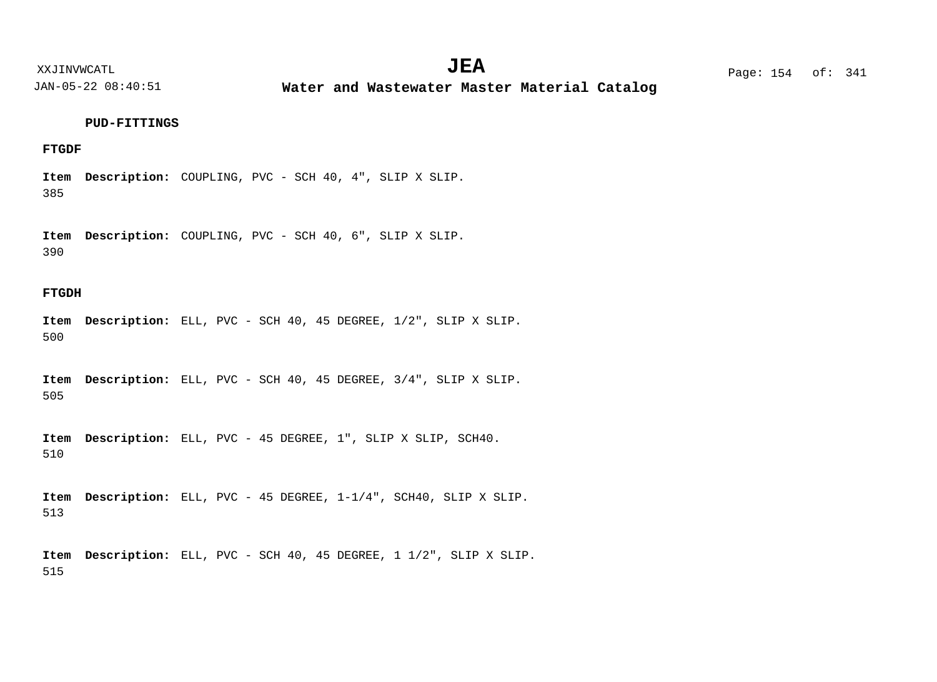XXJINVWCATL Page: 154 of: **JEA**<sup>341</sup>

JAN-05-22 08:40:51

**Water and Wastewater Master Material Catalog** 

# **PUD-FITTINGS**

# **FTGDF**

385 Item Description: COUPLING, PVC - SCH 40, 4", SLIP X SLIP.

390 Item Description: COUPLING, PVC - SCH 40, 6", SLIP X SLIP.

# **FTGDH**

500 Item Description: ELL, PVC - SCH 40, 45 DEGREE,  $1/2$ ", SLIP X SLIP.

505 Item Description: ELL, PVC - SCH 40, 45 DEGREE, 3/4", SLIP X SLIP.

510 Item Description: ELL, PVC - 45 DEGREE, 1", SLIP X SLIP, SCH40.

513 Item Description: ELL, PVC - 45 DEGREE,  $1-1/4$ ", SCH40, SLIP X SLIP.

515 Item Description: ELL, PVC - SCH 40, 45 DEGREE, 1 1/2", SLIP X SLIP.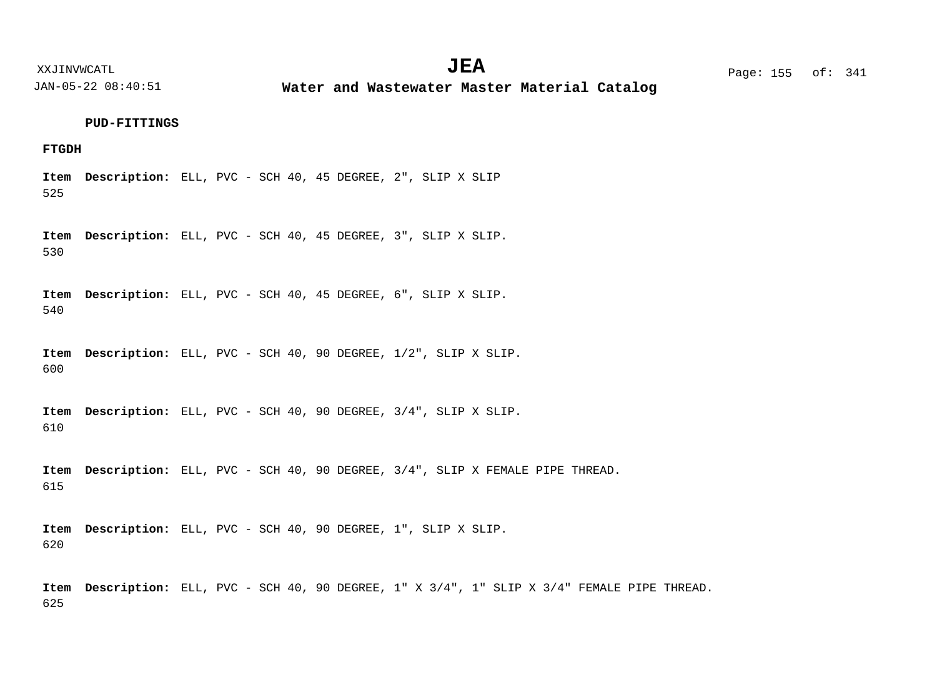**Water and Wastewater Master Material Catalog** 

#### **PUD-FITTINGS**

# **FTGDH**

525 Item Description: ELL, PVC - SCH 40, 45 DEGREE, 2", SLIP X SLIP

530 Item Description: ELL, PVC - SCH 40, 45 DEGREE, 3", SLIP X SLIP.

540 Item Description: ELL, PVC - SCH 40, 45 DEGREE, 6", SLIP X SLIP.

600 Item Description: ELL, PVC - SCH 40, 90 DEGREE,  $1/2$ ", SLIP X SLIP.

610 Item Description: ELL, PVC - SCH 40, 90 DEGREE, 3/4", SLIP X SLIP.

615 Item Description: ELL, PVC - SCH 40, 90 DEGREE, 3/4", SLIP X FEMALE PIPE THREAD.

620 Item Description: ELL, PVC - SCH 40, 90 DEGREE, 1", SLIP X SLIP.

625 Item Description: ELL, PVC - SCH 40, 90 DEGREE, 1" X 3/4", 1" SLIP X 3/4" FEMALE PIPE THREAD.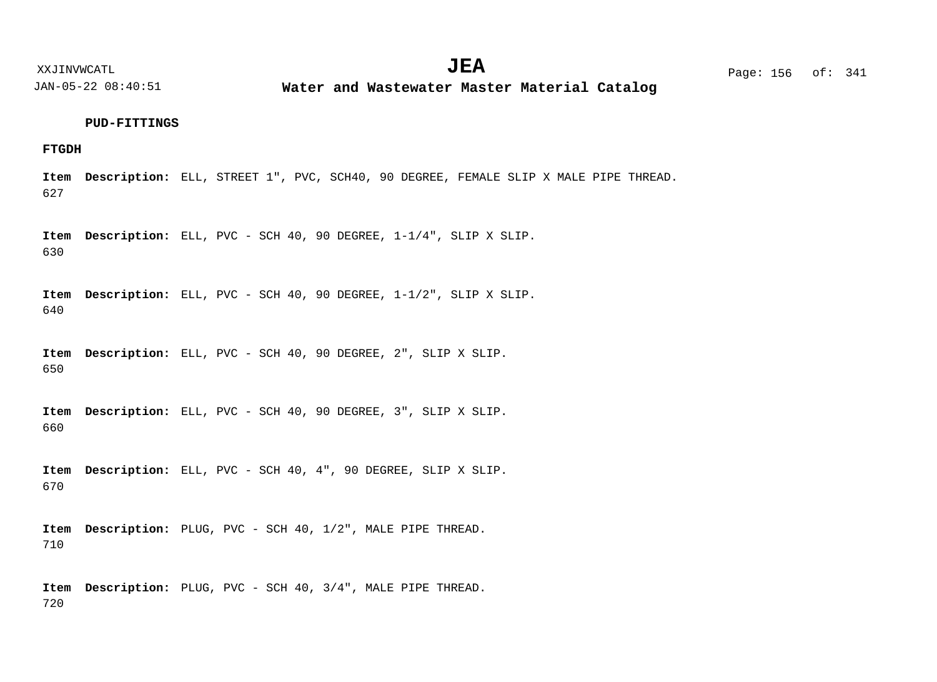**Water and Wastewater Master Material Catalog** 

# **PUD-FITTINGS**

# **FTGDH**

627 Item Description: ELL, STREET 1", PVC, SCH40, 90 DEGREE, FEMALE SLIP X MALE PIPE THREAD.

630 Item Description: ELL, PVC - SCH 40, 90 DEGREE,  $1-1/4$ ", SLIP X SLIP.

640 Item Description: ELL, PVC - SCH 40, 90 DEGREE,  $1-1/2$ ", SLIP X SLIP.

650 Item Description: ELL, PVC - SCH 40, 90 DEGREE, 2", SLIP X SLIP.

660 Item Description: ELL, PVC - SCH 40, 90 DEGREE, 3", SLIP X SLIP.

670 Item Description: ELL, PVC - SCH 40, 4", 90 DEGREE, SLIP X SLIP.

710 Item Description: PLUG, PVC - SCH 40, 1/2", MALE PIPE THREAD.

720 Item Description: PLUG, PVC - SCH 40, 3/4", MALE PIPE THREAD.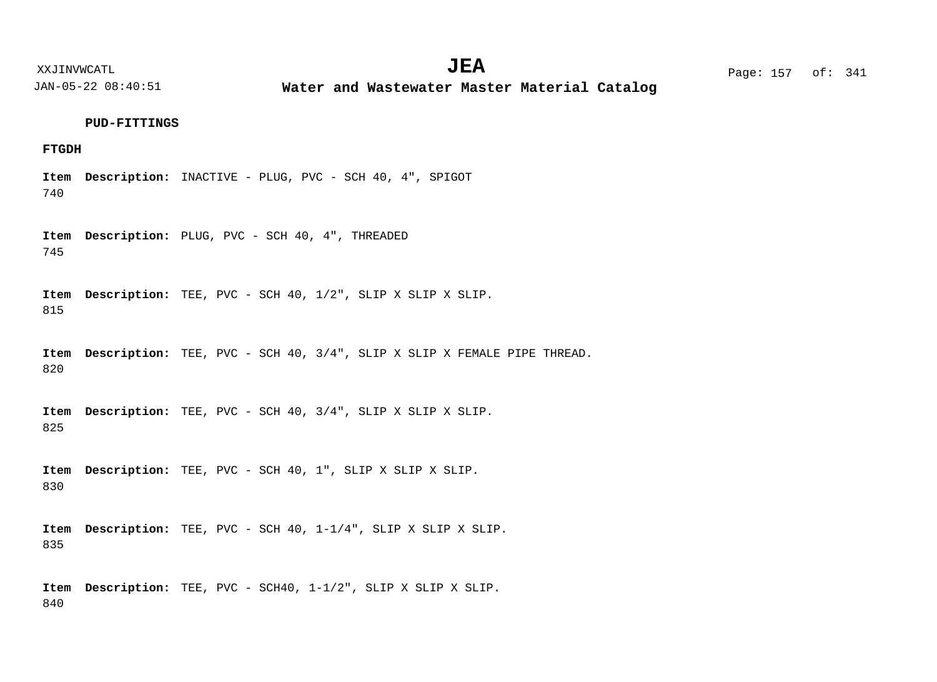**Water and Wastewater Master Material Catalog** 

#### **PUD-FITTINGS**

# **FTGDH**

740 Item Description: INACTIVE - PLUG, PVC - SCH 40, 4", SPIGOT

745 Item Description: PLUG, PVC - SCH 40, 4", THREADED

815 TEE, PVC - SCH 40, 1/2", SLIP X SLIP X SLIP. **Description: Item**

820 Item Description: TEE, PVC - SCH 40, 3/4", SLIP X SLIP X FEMALE PIPE THREAD.

825 TEE, PVC - SCH 40, 3/4", SLIP X SLIP X SLIP. **Description: Item**

830 Item Description: TEE, PVC - SCH 40, 1", SLIP X SLIP X SLIP.

835 Item Description: TEE, PVC - SCH 40, 1-1/4", SLIP X SLIP X SLIP.

840 Item Description: TEE, PVC - SCH40,  $1-1/2$ ", SLIP X SLIP X SLIP.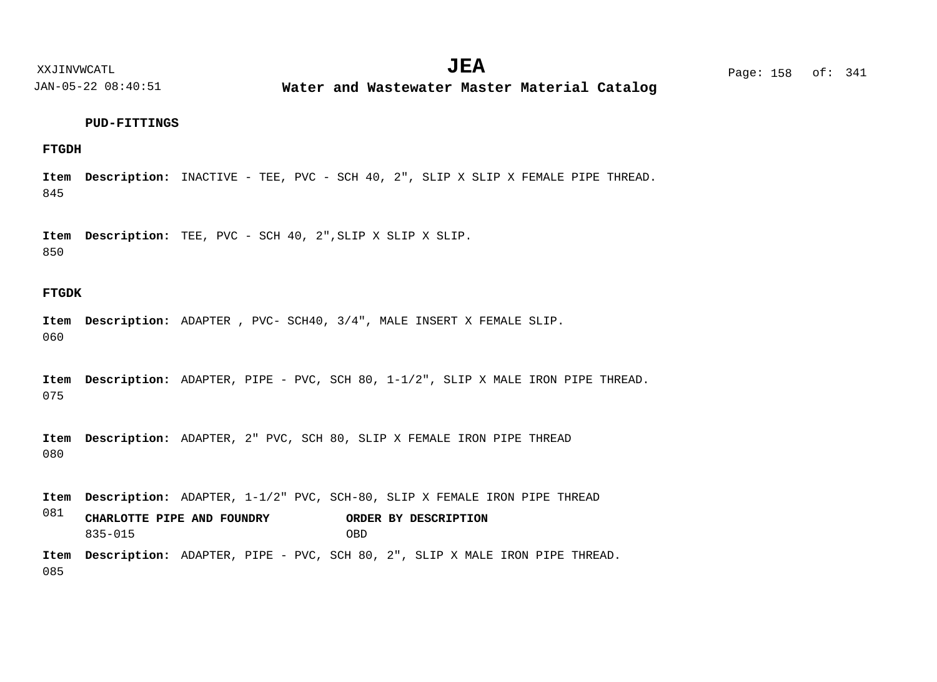$JEA$   $Page: 158 \text{ of}: 341$ 

XXJINVWCATL **EXALL** Page: 158 of:

JAN-05-22 08:40:51

**Water and Wastewater Master Material Catalog** 

#### **PUD-FITTINGS**

# **FTGDH**

845 Item Description: INACTIVE - TEE, PVC - SCH 40, 2", SLIP X SLIP X FEMALE PIPE THREAD.

850 TEE, PVC - SCH 40, 2",SLIP X SLIP X SLIP. **Description: Item**

# **FTGDK**

060 Item Description: ADAPTER , PVC- SCH40, 3/4", MALE INSERT X FEMALE SLIP.

075 Item Description: ADAPTER, PIPE - PVC, SCH 80, 1-1/2", SLIP X MALE IRON PIPE THREAD.

080 Item Description: ADAPTER, 2" PVC, SCH 80, SLIP X FEMALE IRON PIPE THREAD

081 Item Description: ADAPTER, 1-1/2" PVC, SCH-80, SLIP X FEMALE IRON PIPE THREAD Item Description: ADAPTER, PIPE - PVC, SCH 80, 2", SLIP X MALE IRON PIPE THREAD. **CHARLOTTE PIPE AND FOUNDRY ORDER BY DESCRIPTION** 835-015 OBD

085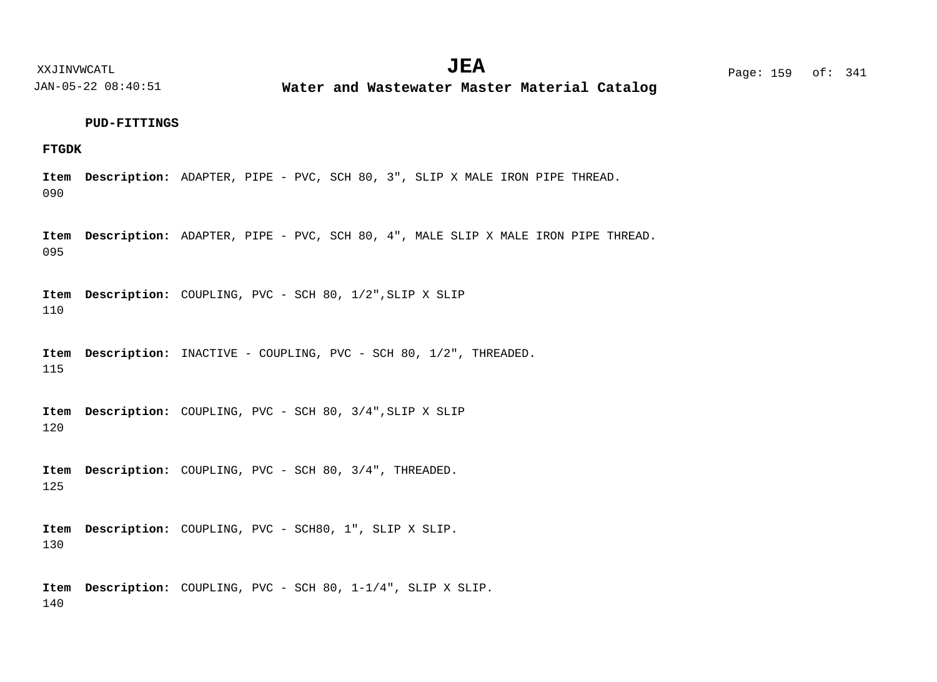**Water and Wastewater Master Material Catalog** 

#### **PUD-FITTINGS**

# **FTGDK**

090 Item Description: ADAPTER, PIPE - PVC, SCH 80, 3", SLIP X MALE IRON PIPE THREAD.

095 Item Description: ADAPTER, PIPE - PVC, SCH 80, 4", MALE SLIP X MALE IRON PIPE THREAD.

110 Item Description: COUPLING, PVC - SCH 80, 1/2", SLIP X SLIP

115 Item Description: INACTIVE - COUPLING, PVC - SCH 80, 1/2", THREADED.

120 Item Description: COUPLING, PVC - SCH 80, 3/4", SLIP X SLIP

125 Item Description: COUPLING, PVC - SCH 80, 3/4", THREADED.

130 Item Description: COUPLING, PVC - SCH80, 1", SLIP X SLIP.

140 Item Description: COUPLING, PVC - SCH 80, 1-1/4", SLIP X SLIP.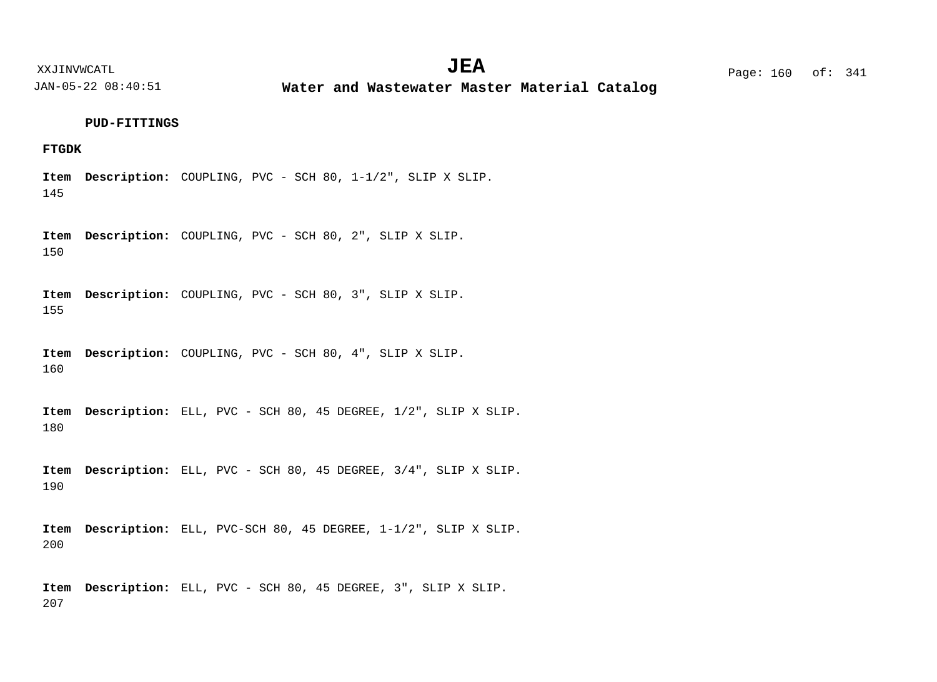**Water and Wastewater Master Material Catalog** 

**PUD-FITTINGS**

# **FTGDK**

145 Item Description: COUPLING, PVC - SCH 80, 1-1/2", SLIP X SLIP.

150 Item Description: COUPLING, PVC - SCH 80, 2", SLIP X SLIP.

155 Item Description: COUPLING, PVC - SCH 80, 3", SLIP X SLIP.

160 Item Description: COUPLING, PVC - SCH 80, 4", SLIP X SLIP.

180 Item Description: ELL, PVC - SCH 80, 45 DEGREE,  $1/2$ ", SLIP X SLIP.

190 Item Description: ELL, PVC - SCH 80, 45 DEGREE, 3/4", SLIP X SLIP.

200 Item Description: ELL, PVC-SCH 80, 45 DEGREE,  $1-1/2$ ", SLIP X SLIP.

207 Item Description: ELL, PVC - SCH 80, 45 DEGREE, 3", SLIP X SLIP.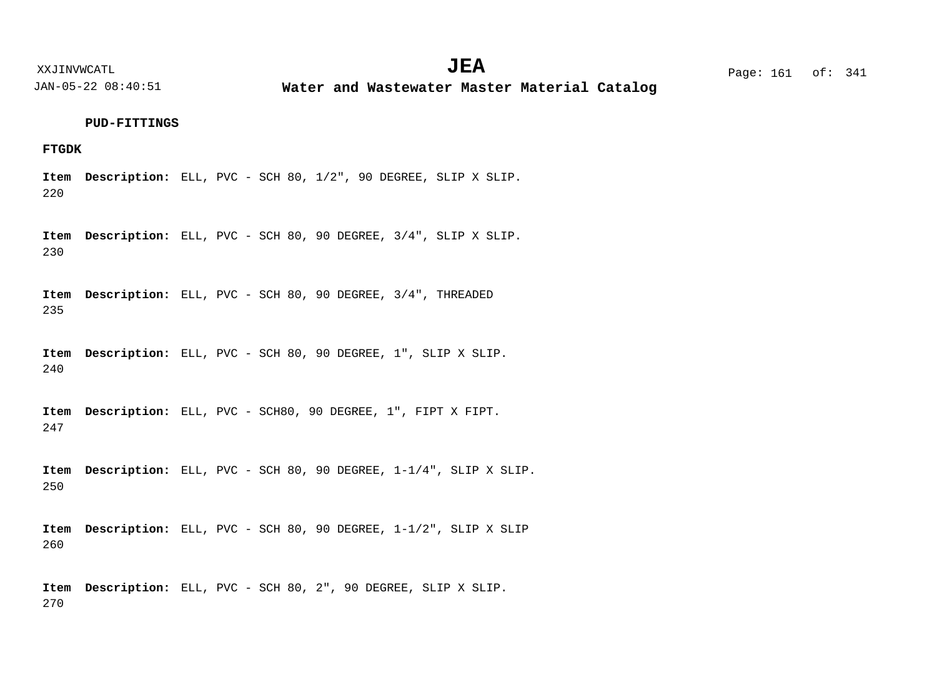**Water and Wastewater Master Material Catalog** 

#### **PUD-FITTINGS**

# **FTGDK**

220 Item Description: ELL, PVC - SCH 80,  $1/2$ ", 90 DEGREE, SLIP X SLIP.

230 Item Description: ELL, PVC - SCH 80, 90 DEGREE, 3/4", SLIP X SLIP.

235 Item Description: ELL, PVC - SCH 80, 90 DEGREE, 3/4", THREADED

240 Item Description: ELL, PVC - SCH 80, 90 DEGREE, 1", SLIP X SLIP.

247 Item Description: ELL, PVC - SCH80, 90 DEGREE, 1", FIPT X FIPT.

250 Item Description: ELL, PVC - SCH 80, 90 DEGREE,  $1-1/4$ ", SLIP X SLIP.

260 Item Description: ELL, PVC - SCH 80, 90 DEGREE, 1-1/2", SLIP X SLIP

270 Item Description: ELL, PVC - SCH 80, 2", 90 DEGREE, SLIP X SLIP.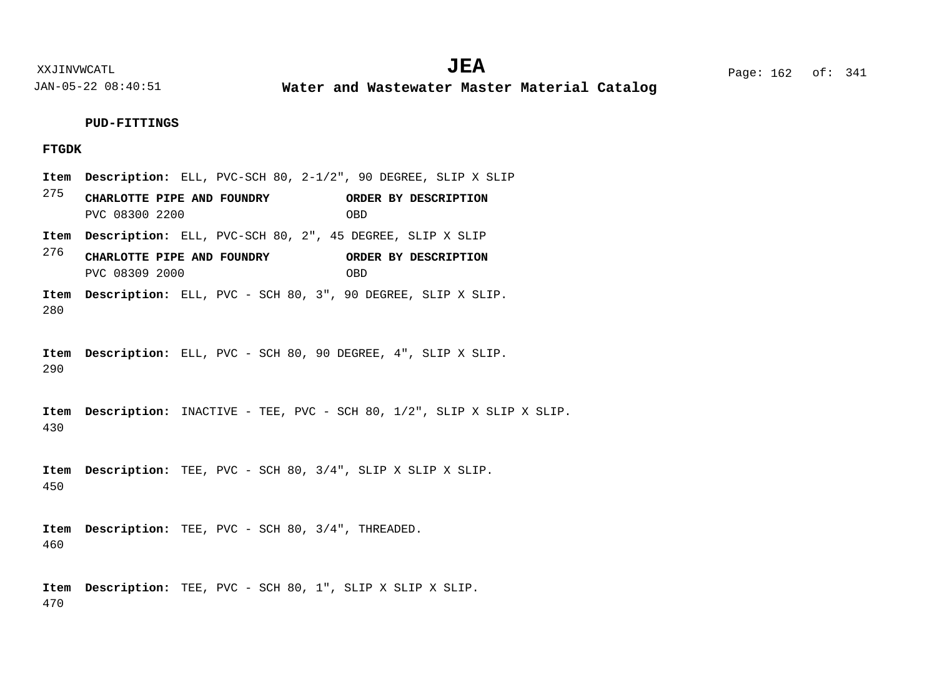**Water and Wastewater Master Material Catalog** 

#### **PUD-FITTINGS**

## **FTGDK**

- 275 276 280 Item Description: ELL, PVC-SCH 80, 2-1/2", 90 DEGREE, SLIP X SLIP Item Description: ELL, PVC-SCH 80, 2", 45 DEGREE, SLIP X SLIP Item Description: ELL, PVC - SCH 80, 3", 90 DEGREE, SLIP X SLIP. **CHARLOTTE PIPE AND FOUNDRY ORDER BY DESCRIPTION CHARLOTTE PIPE AND FOUNDRY ORDER BY DESCRIPTION** PVC 08300 2200 OBD PVC 08309 2000 OBD
- 290 Item Description: ELL, PVC - SCH 80, 90 DEGREE, 4", SLIP X SLIP.

430 Item Description: INACTIVE - TEE, PVC - SCH 80, 1/2", SLIP X SLIP X SLIP.

450 TEE, PVC - SCH 80, 3/4", SLIP X SLIP X SLIP. **Description: Item**

460 Item Description: TEE, PVC - SCH 80, 3/4", THREADED.

470 Item Description: TEE, PVC - SCH 80, 1", SLIP X SLIP X SLIP.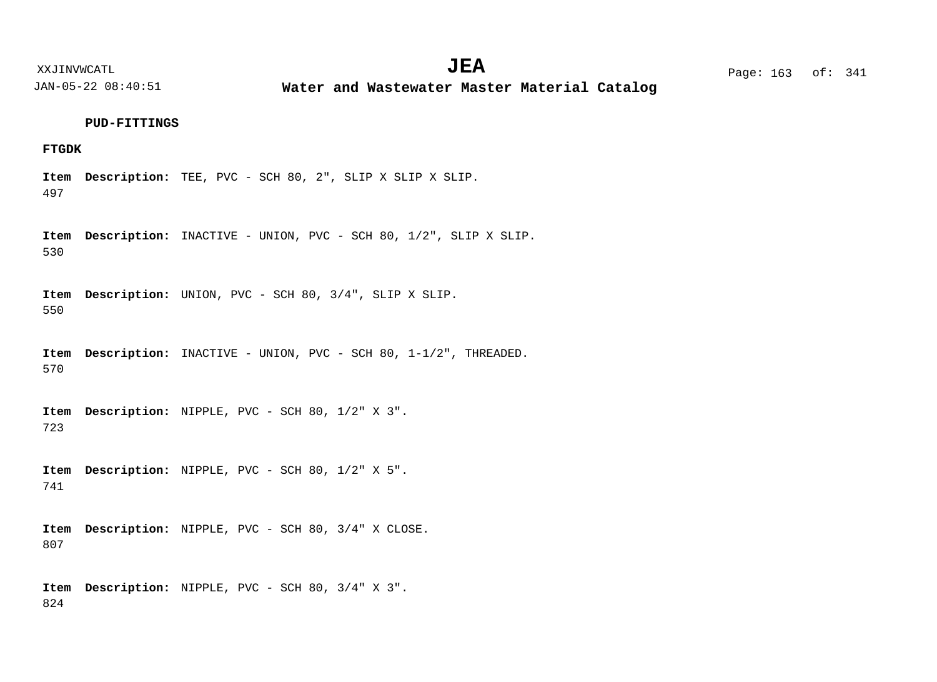**Water and Wastewater Master Material Catalog** 

#### **PUD-FITTINGS**

# **FTGDK**

497 Item Description: TEE, PVC - SCH 80, 2", SLIP X SLIP X SLIP.

530 Item Description: INACTIVE - UNION, PVC - SCH 80, 1/2", SLIP X SLIP.

550 Item Description: UNION, PVC - SCH 80, 3/4", SLIP X SLIP.

570 Item Description: INACTIVE - UNION, PVC - SCH 80, 1-1/2", THREADED.

723 Item Description: NIPPLE, PVC - SCH 80, 1/2" X 3".

741 Item Description: NIPPLE, PVC - SCH 80, 1/2" X 5".

807 Item Description: NIPPLE, PVC - SCH 80, 3/4" X CLOSE.

824 Item Description: NIPPLE, PVC - SCH 80, 3/4" X 3".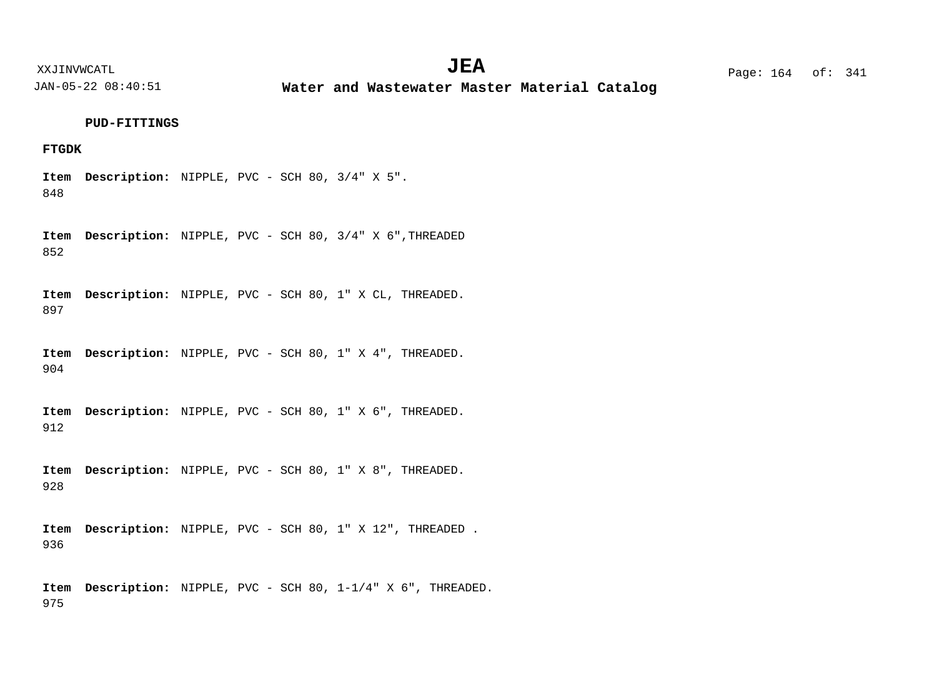XXJINVWCATL **EXALL** Page: 164 of:  $JEA$   $Page: 164 \text{ of}: 341$ 

JAN-05-22 08:40:51

**Water and Wastewater Master Material Catalog** 

## **PUD-FITTINGS**

# **FTGDK**

848 Item Description: NIPPLE, PVC - SCH 80, 3/4" X 5".

852 Item Description: NIPPLE, PVC - SCH 80, 3/4" X 6", THREADED

897 Item Description: NIPPLE, PVC - SCH 80, 1" X CL, THREADED.

904 Item Description: NIPPLE, PVC - SCH 80, 1" X 4", THREADED.

912 Item Description: NIPPLE, PVC - SCH 80, 1" X 6", THREADED.

928 Item Description: NIPPLE, PVC - SCH 80, 1" X 8", THREADED.

936 Item Description: NIPPLE, PVC - SCH 80, 1" X 12", THREADED.

975 Item Description: NIPPLE, PVC - SCH 80, 1-1/4" X 6", THREADED.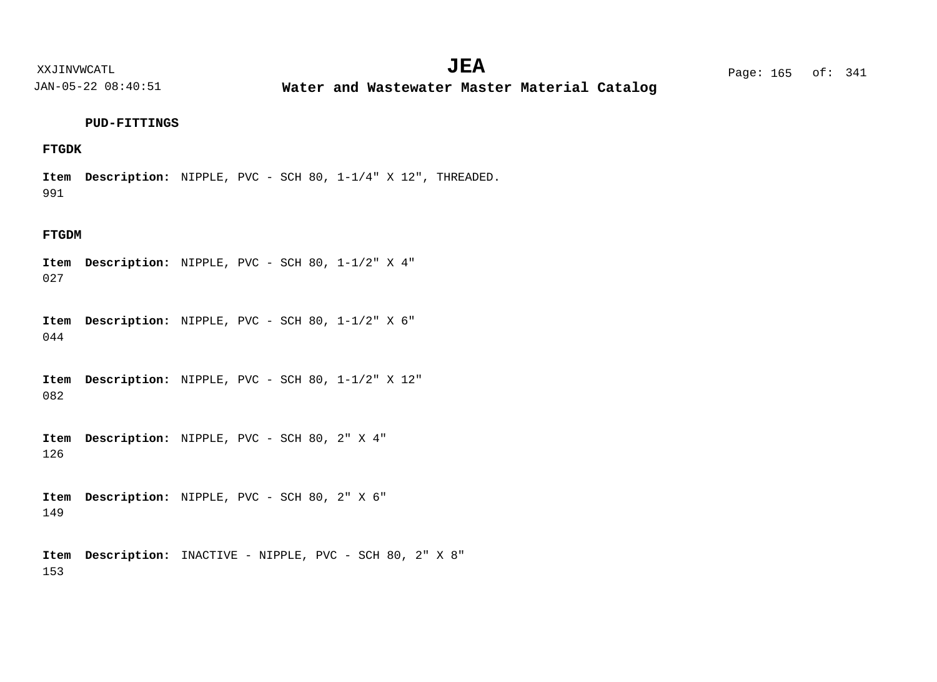**Water and Wastewater Master Material Catalog** 

### **PUD-FITTINGS**

# **FTGDK**

991 Item Description: NIPPLE, PVC - SCH 80, 1-1/4" X 12", THREADED.

## **FTGDM**

027 Item Description: NIPPLE, PVC - SCH 80, 1-1/2" X 4"

044 Item Description: NIPPLE, PVC - SCH 80, 1-1/2" X 6"

082 Item Description: NIPPLE, PVC - SCH 80, 1-1/2" X 12"

126 Item Description: NIPPLE, PVC - SCH 80, 2" X 4"

149 Item Description: NIPPLE, PVC - SCH 80, 2" X 6"

153 Item Description: INACTIVE - NIPPLE, PVC - SCH 80, 2" X 8"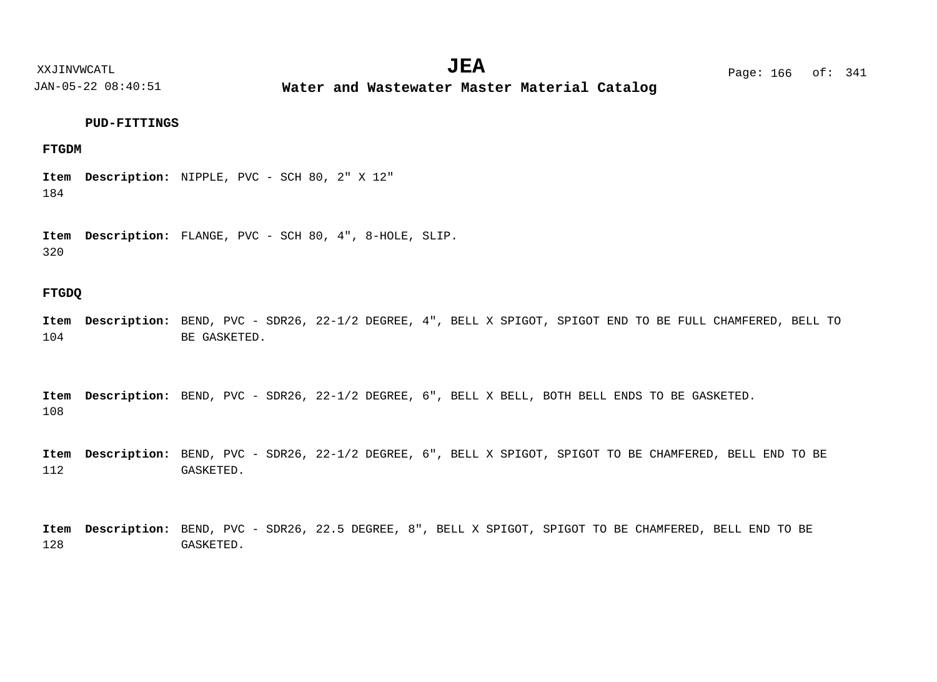XXJINVWCATL Page: 166 of: **JEA**<sup>341</sup>

JAN-05-22 08:40:51

**Water and Wastewater Master Material Catalog** 

# **PUD-FITTINGS**

# **FTGDM**

184 Item Description: NIPPLE, PVC - SCH 80, 2" X 12"

320 Item Description: FLANGE, PVC - SCH 80, 4", 8-HOLE, SLIP.

# **FTGDQ**

104 Item Description: BEND, PVC - SDR26, 22-1/2 DEGREE, 4", BELL X SPIGOT, SPIGOT END TO BE FULL CHAMFERED, BELL TO BE GASKETED.

108 Item Description: BEND, PVC - SDR26, 22-1/2 DEGREE, 6", BELL X BELL, BOTH BELL ENDS TO BE GASKETED.

112 Item Description: BEND, PVC - SDR26, 22-1/2 DEGREE, 6", BELL X SPIGOT, SPIGOT TO BE CHAMFERED, BELL END TO BE GASKETED.

128 Item Description: BEND, PVC - SDR26, 22.5 DEGREE, 8", BELL X SPIGOT, SPIGOT TO BE CHAMFERED, BELL END TO BE GASKETED.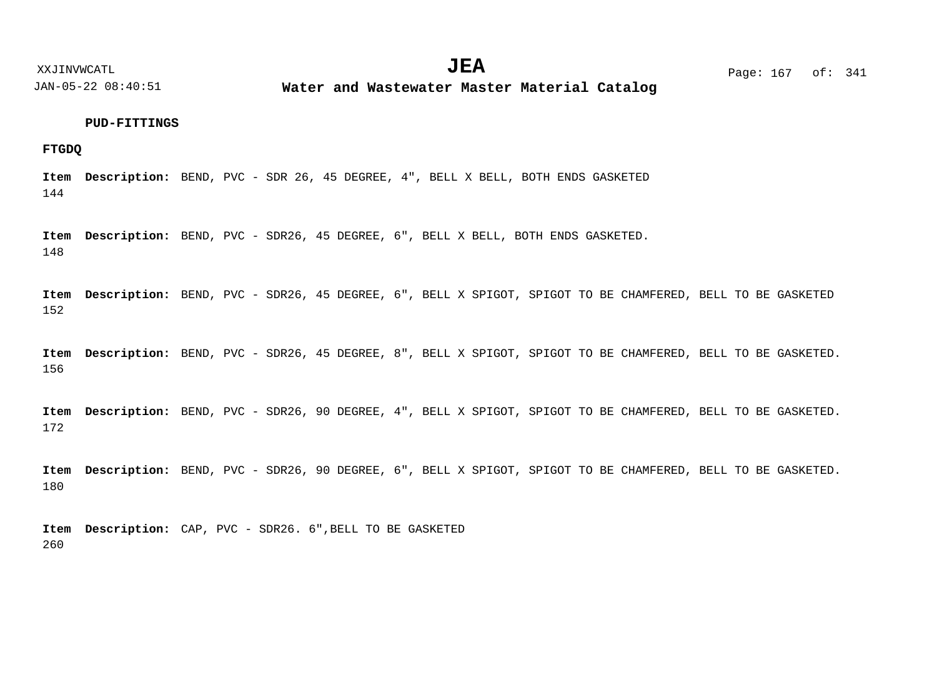XXJINVWCATL **EXALL** Page: 167 of:

JAN-05-22 08:40:51

**Water and Wastewater Master Material Catalog** 

# **PUD-FITTINGS**

**FTGDQ**

144 Item Description: BEND, PVC - SDR 26, 45 DEGREE, 4", BELL X BELL, BOTH ENDS GASKETED

148 Item Description: BEND, PVC - SDR26, 45 DEGREE, 6", BELL X BELL, BOTH ENDS GASKETED.

152 Item Description: BEND, PVC - SDR26, 45 DEGREE, 6", BELL X SPIGOT, SPIGOT TO BE CHAMFERED, BELL TO BE GASKETED

156 Item Description: BEND, PVC - SDR26, 45 DEGREE, 8", BELL X SPIGOT, SPIGOT TO BE CHAMFERED, BELL TO BE GASKETED.

172 Item Description: BEND, PVC - SDR26, 90 DEGREE, 4", BELL X SPIGOT, SPIGOT TO BE CHAMFERED, BELL TO BE GASKETED.

180 Item Description: BEND, PVC - SDR26, 90 DEGREE, 6", BELL X SPIGOT, SPIGOT TO BE CHAMFERED, BELL TO BE GASKETED.

260 Item Description: CAP, PVC - SDR26. 6", BELL TO BE GASKETED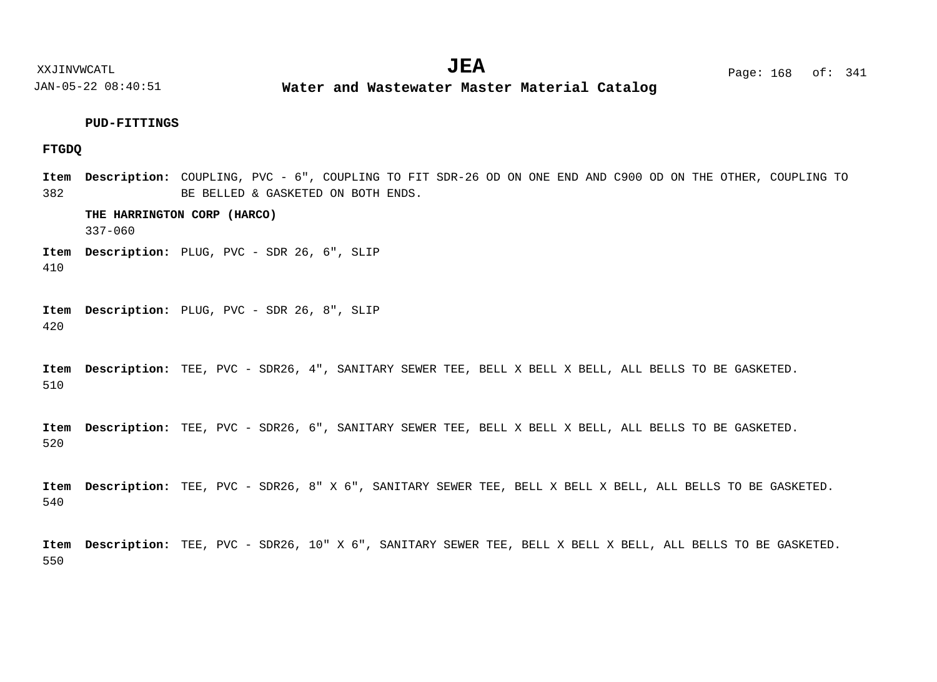**Water and Wastewater Master Material Catalog** 

# **PUD-FITTINGS**

# **FTGDQ**

382 Item Description: COUPLING, PVC - 6", COUPLING TO FIT SDR-26 OD ON ONE END AND C900 OD ON THE OTHER, COUPLING TO BE BELLED & GASKETED ON BOTH ENDS.

**THE HARRINGTON CORP (HARCO)**

337-060

Item Description: PLUG, PVC - SDR 26, 6", SLIP

410

420 Item Description: PLUG, PVC - SDR 26, 8", SLIP

510 Item Description: TEE, PVC - SDR26, 4", SANITARY SEWER TEE, BELL X BELL X BELL, ALL BELLS TO BE GASKETED.

520 Item Description: TEE, PVC - SDR26, 6", SANITARY SEWER TEE, BELL X BELL X BELL, ALL BELLS TO BE GASKETED.

540 Item Description: TEE, PVC - SDR26, 8" X 6", SANITARY SEWER TEE, BELL X BELL X BELL, ALL BELLS TO BE GASKETED.

550 Item Description: TEE, PVC - SDR26, 10" X 6", SANITARY SEWER TEE, BELL X BELL X BELL, ALL BELLS TO BE GASKETED.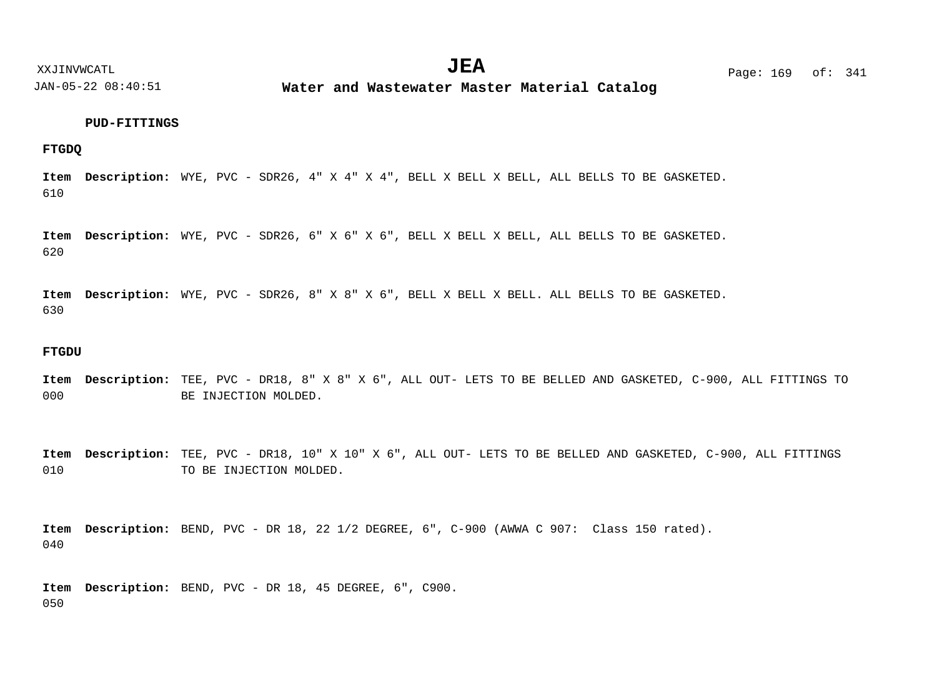**Water and Wastewater Master Material Catalog** 

#### **PUD-FITTINGS**

**FTGDQ**

610 Item Description: WYE, PVC - SDR26, 4" X 4" X 4", BELL X BELL X BELL, ALL BELLS TO BE GASKETED.

620 Item Description: WYE, PVC - SDR26, 6" X 6" X 6", BELL X BELL X BELL, ALL BELLS TO BE GASKETED.

630 Item Description: WYE, PVC - SDR26, 8" X 8" X 6", BELL X BELL X BELL. ALL BELLS TO BE GASKETED.

#### **FTGDU**

000 Item Description: TEE, PVC - DR18, 8" X 8" X 6", ALL OUT- LETS TO BE BELLED AND GASKETED, C-900, ALL FITTINGS TO BE INJECTION MOLDED.

010 Item Description: TEE, PVC - DR18, 10" X 10" X 6", ALL OUT- LETS TO BE BELLED AND GASKETED, C-900, ALL FITTINGS TO BE INJECTION MOLDED.

040 Item Description: BEND, PVC - DR 18, 22 1/2 DEGREE, 6", C-900 (AWWA C 907: Class 150 rated).

050 Item Description: BEND, PVC - DR 18, 45 DEGREE, 6", C900.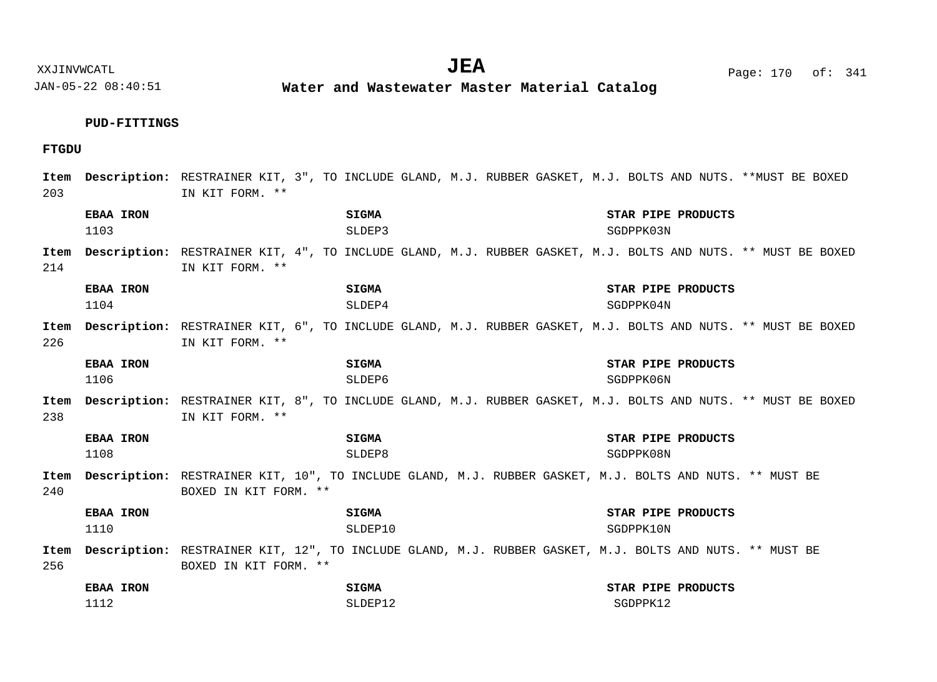**Water and Wastewater Master Material Catalog** 

# **PUD-FITTINGS**

# **FTGDU**

| Item<br>203 |                          | IN KIT FORM. **       |                         | Description: RESTRAINER KIT, 3", TO INCLUDE GLAND, M.J. RUBBER GASKET, M.J. BOLTS AND NUTS. **MUST BE BOXED       |
|-------------|--------------------------|-----------------------|-------------------------|-------------------------------------------------------------------------------------------------------------------|
|             | <b>EBAA IRON</b><br>1103 |                       | SIGMA<br>SLDEP3         | STAR PIPE PRODUCTS<br>SGDPPK03N                                                                                   |
| 214         |                          | IN KIT FORM. **       |                         | Item Description: RESTRAINER KIT, 4", TO INCLUDE GLAND, M.J. RUBBER GASKET, M.J. BOLTS AND NUTS. ** MUST BE BOXED |
|             | <b>EBAA IRON</b><br>1104 |                       | SIGMA<br>SLDEP4         | STAR PIPE PRODUCTS<br>SGDPPK04N                                                                                   |
| Item<br>226 |                          | IN KIT FORM. **       |                         | Description: RESTRAINER KIT, 6", TO INCLUDE GLAND, M.J. RUBBER GASKET, M.J. BOLTS AND NUTS. ** MUST BE BOXED      |
|             | <b>EBAA IRON</b><br>1106 |                       | SIGMA<br>SLDEP6         | STAR PIPE PRODUCTS<br>SGDPPK06N                                                                                   |
| Item<br>238 |                          | IN KIT FORM. **       |                         | Description: RESTRAINER KIT, 8", TO INCLUDE GLAND, M.J. RUBBER GASKET, M.J. BOLTS AND NUTS. ** MUST BE BOXED      |
|             | <b>EBAA IRON</b><br>1108 |                       | SIGMA<br>SLDEP8         | STAR PIPE PRODUCTS<br>SGDPPK08N                                                                                   |
| 240         |                          | BOXED IN KIT FORM. ** |                         | Item Description: RESTRAINER KIT, 10", TO INCLUDE GLAND, M.J. RUBBER GASKET, M.J. BOLTS AND NUTS. ** MUST BE      |
|             | <b>EBAA IRON</b><br>1110 |                       | <b>SIGMA</b><br>SLDEP10 | STAR PIPE PRODUCTS<br>SGDPPK10N                                                                                   |
| Item<br>256 |                          | BOXED IN KIT FORM. ** |                         | Description: RESTRAINER KIT, 12", TO INCLUDE GLAND, M.J. RUBBER GASKET, M.J. BOLTS AND NUTS. ** MUST BE           |
|             | <b>EBAA IRON</b><br>1112 |                       | SIGMA<br>SLDEP12        | STAR PIPE PRODUCTS<br>SGDPPK12                                                                                    |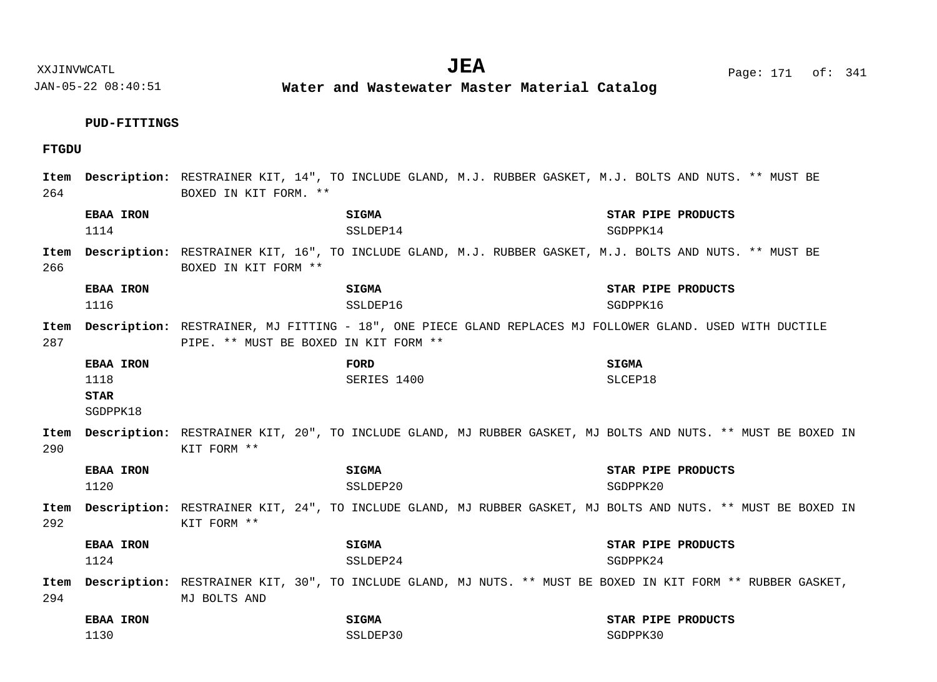**Water and Wastewater Master Material Catalog** 

# **PUD-FITTINGS**

# **FTGDU**

| 264         |                                                     | BOXED IN KIT FORM. **                 | Item Description: RESTRAINER KIT, 14", TO INCLUDE GLAND, M.J. RUBBER GASKET, M.J. BOLTS AND NUTS. ** MUST BE      |                                |
|-------------|-----------------------------------------------------|---------------------------------------|-------------------------------------------------------------------------------------------------------------------|--------------------------------|
|             | EBAA IRON<br>1114                                   |                                       | <b>SIGMA</b><br>SSLDEP14                                                                                          | STAR PIPE PRODUCTS<br>SGDPPK14 |
| 266         |                                                     | BOXED IN KIT FORM **                  | Item Description: RESTRAINER KIT, 16", TO INCLUDE GLAND, M.J. RUBBER GASKET, M.J. BOLTS AND NUTS. ** MUST BE      |                                |
|             | <b>EBAA IRON</b><br>1116                            |                                       | <b>SIGMA</b><br>SSLDEP16                                                                                          | STAR PIPE PRODUCTS<br>SGDPPK16 |
| 287         |                                                     | PIPE. ** MUST BE BOXED IN KIT FORM ** | Item Description: RESTRAINER, MJ FITTING - 18", ONE PIECE GLAND REPLACES MJ FOLLOWER GLAND. USED WITH DUCTILE     |                                |
|             | <b>EBAA IRON</b><br>1118<br><b>STAR</b><br>SGDPPK18 |                                       | FORD<br>SERIES 1400                                                                                               | <b>SIGMA</b><br>SLCEP18        |
| 290         |                                                     | KIT FORM **                           | Item Description: RESTRAINER KIT, 20", TO INCLUDE GLAND, MJ RUBBER GASKET, MJ BOLTS AND NUTS. ** MUST BE BOXED IN |                                |
|             | <b>EBAA IRON</b><br>1120                            |                                       | <b>SIGMA</b><br>SSLDEP20                                                                                          | STAR PIPE PRODUCTS<br>SGDPPK20 |
| Item<br>292 |                                                     | KIT FORM **                           | Description: RESTRAINER KIT, 24", TO INCLUDE GLAND, MJ RUBBER GASKET, MJ BOLTS AND NUTS. ** MUST BE BOXED IN      |                                |
|             | EBAA IRON<br>1124                                   |                                       | SIGMA<br>SSLDEP24                                                                                                 | STAR PIPE PRODUCTS<br>SGDPPK24 |
| 294         |                                                     | MJ BOLTS AND                          | Item Description: RESTRAINER KIT, 30", TO INCLUDE GLAND, MJ NUTS. ** MUST BE BOXED IN KIT FORM ** RUBBER GASKET,  |                                |
|             | <b>EBAA IRON</b><br>1130                            |                                       | SIGMA<br>SSLDEP30                                                                                                 | STAR PIPE PRODUCTS<br>SGDPPK30 |

XXJINVWCATL Page: 171 of: **JEA**<sup>341</sup>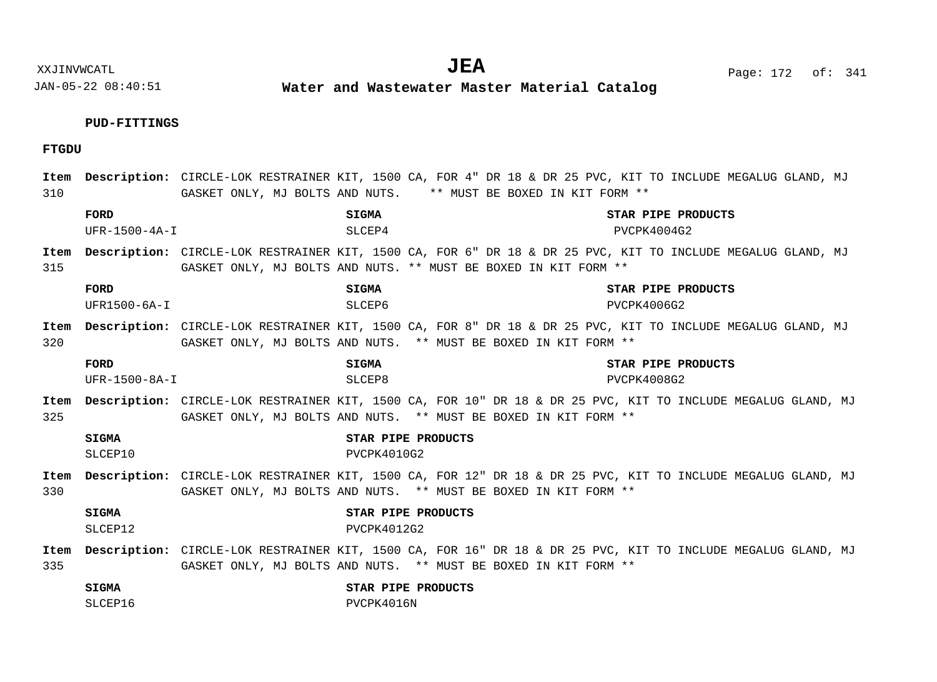XXJINVWCATL Page: 172 of: **JEA**<sup>341</sup>

JAN-05-22 08:40:51

**Water and Wastewater Master Material Catalog** 

# **PUD-FITTINGS**

# **FTGDU**

| Item<br>310 |                         | GASKET ONLY, MJ BOLTS AND NUTS. ** MUST BE BOXED IN KIT FORM ** | Description: CIRCLE-LOK RESTRAINER KIT, 1500 CA, FOR 4" DR 18 & DR 25 PVC, KIT TO INCLUDE MEGALUG GLAND, MJ  |
|-------------|-------------------------|-----------------------------------------------------------------|--------------------------------------------------------------------------------------------------------------|
|             | FORD<br>$UFR-1500-4A-I$ | <b>SIGMA</b><br>SLCEP4                                          | STAR PIPE PRODUCTS<br>PVCPK4004G2                                                                            |
| Item<br>315 |                         | GASKET ONLY, MJ BOLTS AND NUTS. ** MUST BE BOXED IN KIT FORM ** | Description: CIRCLE-LOK RESTRAINER KIT, 1500 CA, FOR 6" DR 18 & DR 25 PVC, KIT TO INCLUDE MEGALUG GLAND, MJ  |
|             | FORD<br>$UFR1500-6A-I$  | <b>SIGMA</b><br>SLCEP6                                          | STAR PIPE PRODUCTS<br>PVCPK4006G2                                                                            |
| Item<br>320 |                         | GASKET ONLY, MJ BOLTS AND NUTS. ** MUST BE BOXED IN KIT FORM ** | Description: CIRCLE-LOK RESTRAINER KIT, 1500 CA, FOR 8" DR 18 & DR 25 PVC, KIT TO INCLUDE MEGALUG GLAND, MJ  |
|             | FORD<br>UFR-1500-8A-I   | <b>SIGMA</b><br>SLCEP8                                          | STAR PIPE PRODUCTS<br>PVCPK4008G2                                                                            |
| Item<br>325 |                         | GASKET ONLY, MJ BOLTS AND NUTS. ** MUST BE BOXED IN KIT FORM ** | Description: CIRCLE-LOK RESTRAINER KIT, 1500 CA, FOR 10" DR 18 & DR 25 PVC, KIT TO INCLUDE MEGALUG GLAND, MJ |
|             | <b>SIGMA</b><br>SLCEP10 | STAR PIPE PRODUCTS<br>PVCPK4010G2                               |                                                                                                              |
| Item<br>330 |                         | GASKET ONLY, MJ BOLTS AND NUTS. ** MUST BE BOXED IN KIT FORM ** | Description: CIRCLE-LOK RESTRAINER KIT, 1500 CA, FOR 12" DR 18 & DR 25 PVC, KIT TO INCLUDE MEGALUG GLAND, MJ |
|             | SIGMA<br>SLCEP12        | STAR PIPE PRODUCTS<br>PVCPK4012G2                               |                                                                                                              |
| Item<br>335 |                         | GASKET ONLY, MJ BOLTS AND NUTS. ** MUST BE BOXED IN KIT FORM ** | Description: CIRCLE-LOK RESTRAINER KIT, 1500 CA, FOR 16" DR 18 & DR 25 PVC, KIT TO INCLUDE MEGALUG GLAND, MJ |
|             | <b>SIGMA</b><br>SLCEP16 | STAR PIPE PRODUCTS<br>PVCPK4016N                                |                                                                                                              |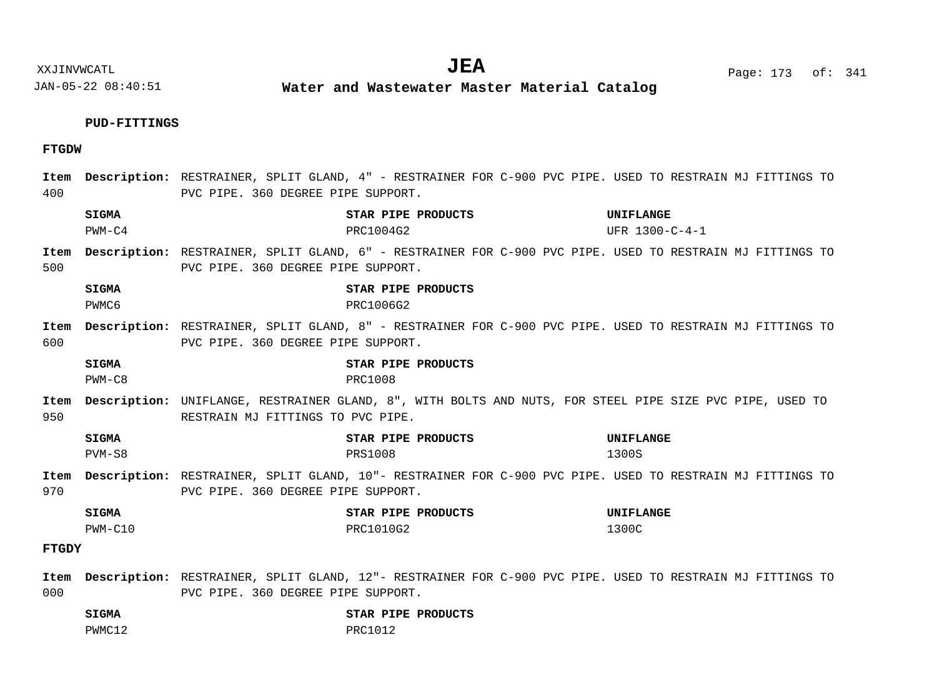**Water and Wastewater Master Material Catalog** 

# **PUD-FITTINGS**

# **FTGDW**

| Item<br>400  |                          | PVC PIPE. 360 DEGREE PIPE SUPPORT. | <b>Description:</b> RESTRAINER, SPLIT GLAND, 4" - RESTRAINER FOR C-900 PVC PIPE. USED TO RESTRAIN MJ FITTINGS TO |                |
|--------------|--------------------------|------------------------------------|------------------------------------------------------------------------------------------------------------------|----------------|
|              | <b>SIGMA</b>             |                                    | STAR PIPE PRODUCTS                                                                                               | UNIFLANGE      |
|              | $PWM-C4$                 |                                    | PRC1004G2                                                                                                        | UFR 1300-C-4-1 |
| Item<br>500  |                          | PVC PIPE. 360 DEGREE PIPE SUPPORT. | <b>Description:</b> RESTRAINER, SPLIT GLAND, 6" - RESTRAINER FOR C-900 PVC PIPE. USED TO RESTRAIN MJ FITTINGS TO |                |
|              | <b>SIGMA</b><br>PWMC6    |                                    | STAR PIPE PRODUCTS<br>PRC1006G2                                                                                  |                |
| Item<br>600  |                          | PVC PIPE. 360 DEGREE PIPE SUPPORT. | <b>Description:</b> RESTRAINER, SPLIT GLAND, 8" - RESTRAINER FOR C-900 PVC PIPE. USED TO RESTRAIN MJ FITTINGS TO |                |
|              | <b>SIGMA</b><br>$PWM-C8$ |                                    | STAR PIPE PRODUCTS<br>PRC1008                                                                                    |                |
| Item<br>950  |                          | RESTRAIN MJ FITTINGS TO PVC PIPE.  | Description: UNIFLANGE, RESTRAINER GLAND, 8", WITH BOLTS AND NUTS, FOR STEEL PIPE SIZE PVC PIPE, USED TO         |                |
|              | <b>SIGMA</b>             |                                    | STAR PIPE PRODUCTS                                                                                               | UNIFLANGE      |
|              | $PVM-S8$                 |                                    | <b>PRS1008</b>                                                                                                   | 1300S          |
| Item<br>970  |                          | PVC PIPE. 360 DEGREE PIPE SUPPORT. | <b>Description:</b> RESTRAINER, SPLIT GLAND, 10"- RESTRAINER FOR C-900 PVC PIPE. USED TO RESTRAIN MJ FITTINGS TO |                |
|              | <b>SIGMA</b>             |                                    | STAR PIPE PRODUCTS                                                                                               | UNIFLANGE      |
|              | $PWM-C10$                |                                    | PRC1010G2                                                                                                        | 1300C          |
| <b>FTGDY</b> |                          |                                    |                                                                                                                  |                |
|              |                          |                                    | Item Description: RESTRAINER, SPLIT GLAND, 12"- RESTRAINER FOR C-900 PVC PIPE. USED TO RESTRAIN MJ FITTINGS TO   |                |
| 000          |                          | PVC PIPE. 360 DEGREE PIPE SUPPORT. |                                                                                                                  |                |

**SIGMA STAR PIPE PRODUCTS** PWMC12 PRC1012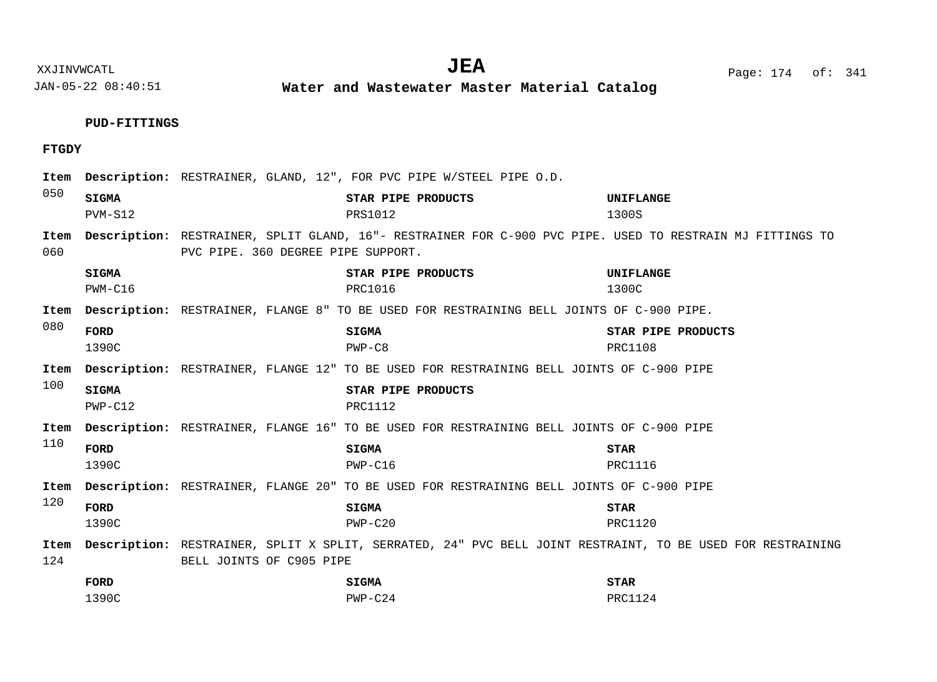**Water and Wastewater Master Material Catalog** 

**PUD-FITTINGS**

# **FTGDY**

| Item<br>050 |                           | Description: RESTRAINER, GLAND, 12", FOR PVC PIPE W/STEEL PIPE O.D. |                                                                                                            |                                      |
|-------------|---------------------------|---------------------------------------------------------------------|------------------------------------------------------------------------------------------------------------|--------------------------------------|
|             | <b>SIGMA</b><br>PVM-S12   |                                                                     | STAR PIPE PRODUCTS<br><b>PRS1012</b>                                                                       | UNIFLANGE<br>1300S                   |
| Item<br>060 |                           | PVC PIPE. 360 DEGREE PIPE SUPPORT.                                  | Description: RESTRAINER, SPLIT GLAND, 16"- RESTRAINER FOR C-900 PVC PIPE. USED TO RESTRAIN MJ FITTINGS TO  |                                      |
|             | SIGMA<br>$PWM-C16$        |                                                                     | STAR PIPE PRODUCTS<br>PRC1016                                                                              | UNIFLANGE<br>1300C                   |
| Item        |                           |                                                                     | <b>Description:</b> RESTRAINER, FLANGE 8" TO BE USED FOR RESTRAINING BELL JOINTS OF C-900 PIPE.            |                                      |
| 080         | FORD<br>1390C             |                                                                     | <b>SIGMA</b><br>$PWP-C8$                                                                                   | STAR PIPE PRODUCTS<br><b>PRC1108</b> |
| Item        |                           |                                                                     | <b>Description:</b> RESTRAINER, FLANGE 12" TO BE USED FOR RESTRAINING BELL JOINTS OF C-900 PIPE            |                                      |
| 100         | <b>SIGMA</b><br>$PWP-Cl2$ |                                                                     | STAR PIPE PRODUCTS<br><b>PRC1112</b>                                                                       |                                      |
| Item        |                           |                                                                     | <b>Description:</b> RESTRAINER, FLANGE 16" TO BE USED FOR RESTRAINING BELL JOINTS OF C-900 PIPE            |                                      |
| 110         | FORD<br>1390C             |                                                                     | <b>SIGMA</b><br>$PWP-C16$                                                                                  | <b>STAR</b><br>PRC1116               |
| Item        |                           |                                                                     | <b>Description:</b> RESTRAINER, FLANGE 20" TO BE USED FOR RESTRAINING BELL JOINTS OF C-900 PIPE            |                                      |
| 120         | FORD<br>1390C             |                                                                     | <b>SIGMA</b><br>$PWP-C20$                                                                                  | <b>STAR</b><br>PRC1120               |
| Item        |                           |                                                                     | Description: RESTRAINER, SPLIT X SPLIT, SERRATED, 24" PVC BELL JOINT RESTRAINT, TO BE USED FOR RESTRAINING |                                      |
| 124         |                           | BELL JOINTS OF C905 PIPE                                            |                                                                                                            |                                      |
|             | FORD                      |                                                                     | <b>SIGMA</b>                                                                                               | <b>STAR</b>                          |
|             | 1390C                     |                                                                     | $PWP-C24$                                                                                                  | <b>PRC1124</b>                       |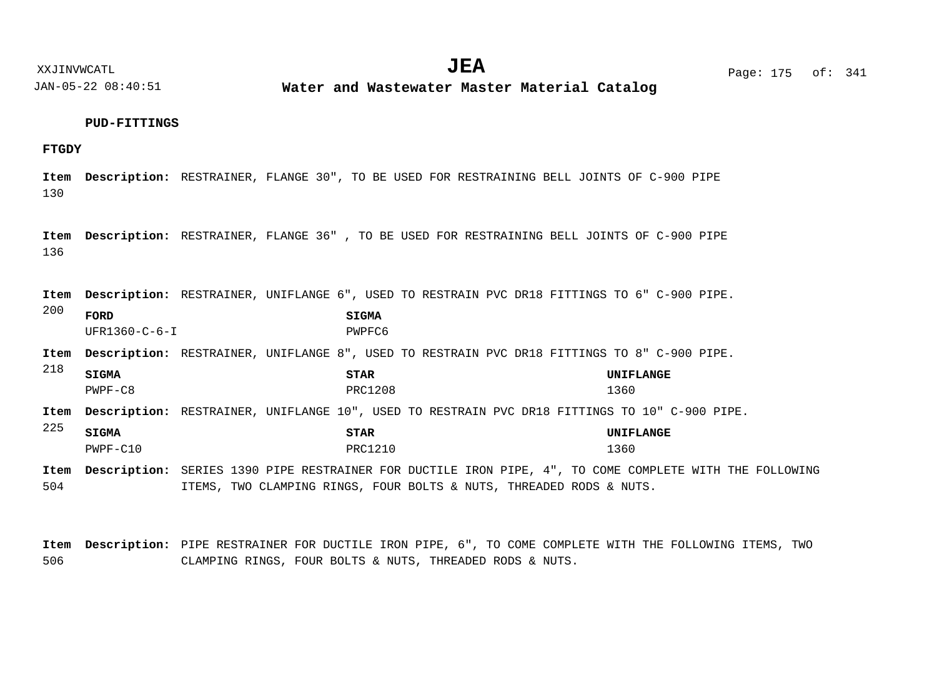**Water and Wastewater Master Material Catalog** 

#### **PUD-FITTINGS**

# **FTGDY**

130 Item Description: RESTRAINER, FLANGE 30", TO BE USED FOR RESTRAINING BELL JOINTS OF C-900 PIPE

136 Item Description: RESTRAINER, FLANGE 36", TO BE USED FOR RESTRAINING BELL JOINTS OF C-900 PIPE

Item Description: RESTRAINER, UNIFLANGE 6", USED TO RESTRAIN PVC DR18 FITTINGS TO 6" C-900 PIPE.

200 **FORD SIGMA** UFR1360-C-6-I PWPFC6

Item Description: RESTRAINER, UNIFLANGE 8", USED TO RESTRAIN PVC DR18 FITTINGS TO 8" C-900 PIPE.

218 225 Item Description: RESTRAINER, UNIFLANGE 10", USED TO RESTRAIN PVC DR18 FITTINGS TO 10" C-900 PIPE. Item Description: SERIES 1390 PIPE RESTRAINER FOR DUCTILE IRON PIPE, 4", TO COME COMPLETE WITH THE FOLLOWING **SIGMA STAR UNIFLANGE SIGMA STAR UNIFLANGE** PWPF-C8 1360 PWPF-C10 1360

504 ITEMS, TWO CLAMPING RINGS, FOUR BOLTS & NUTS, THREADED RODS & NUTS.

506 Item Description: PIPE RESTRAINER FOR DUCTILE IRON PIPE, 6", TO COME COMPLETE WITH THE FOLLOWING ITEMS, TWO CLAMPING RINGS, FOUR BOLTS & NUTS, THREADED RODS & NUTS.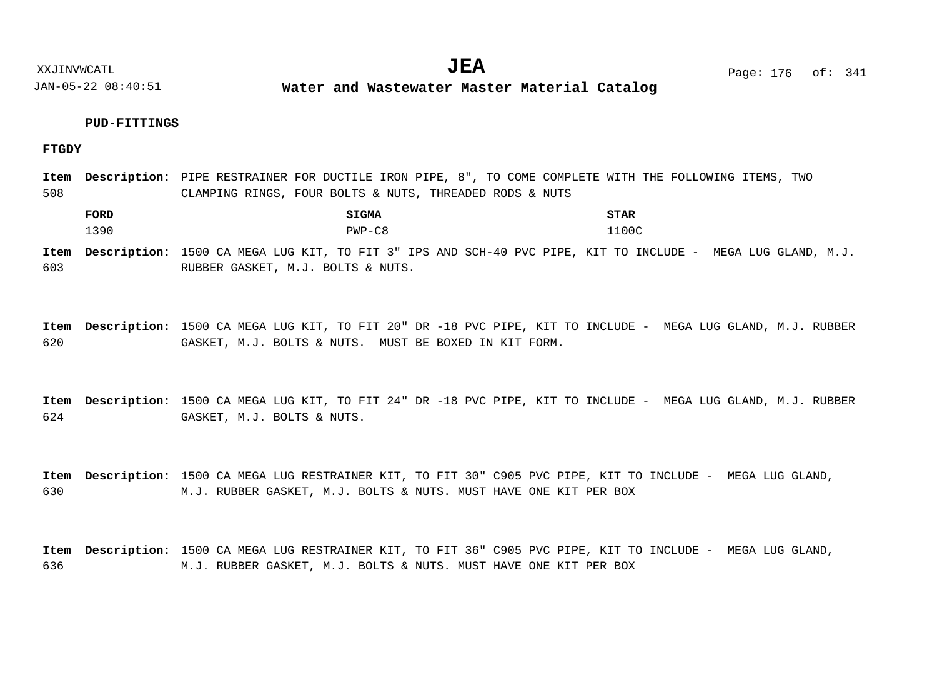**Water and Wastewater Master Material Catalog** 

# **PUD-FITTINGS**

**FTGDY**

508 Item Description: PIPE RESTRAINER FOR DUCTILE IRON PIPE, 8", TO COME COMPLETE WITH THE FOLLOWING ITEMS, TWO CLAMPING RINGS, FOUR BOLTS & NUTS, THREADED RODS & NUTS

**FORD SIGMA STAR** 1390 PWP-C8 1100C

603 Item Description: 1500 CA MEGA LUG KIT, TO FIT 3" IPS AND SCH-40 PVC PIPE, KIT TO INCLUDE - MEGA LUG GLAND, M.J. RUBBER GASKET, M.J. BOLTS & NUTS.

620 Item Description: 1500 CA MEGA LUG KIT, TO FIT 20" DR -18 PVC PIPE, KIT TO INCLUDE - MEGA LUG GLAND, M.J. RUBBER GASKET, M.J. BOLTS & NUTS. MUST BE BOXED IN KIT FORM.

624 Item Description: 1500 CA MEGA LUG KIT, TO FIT 24" DR -18 PVC PIPE, KIT TO INCLUDE - MEGA LUG GLAND, M.J. RUBBER GASKET, M.J. BOLTS & NUTS.

630 Item Description: 1500 CA MEGA LUG RESTRAINER KIT, TO FIT 30" C905 PVC PIPE, KIT TO INCLUDE - MEGA LUG GLAND, M.J. RUBBER GASKET, M.J. BOLTS & NUTS. MUST HAVE ONE KIT PER BOX

636 Item Description: 1500 CA MEGA LUG RESTRAINER KIT, TO FIT 36" C905 PVC PIPE, KIT TO INCLUDE - MEGA LUG GLAND, M.J. RUBBER GASKET, M.J. BOLTS & NUTS. MUST HAVE ONE KIT PER BOX

XXJINVWCATL **EXALL** Page: 176 of:  $JEA$   $Page: 176 \text{ of}: 341$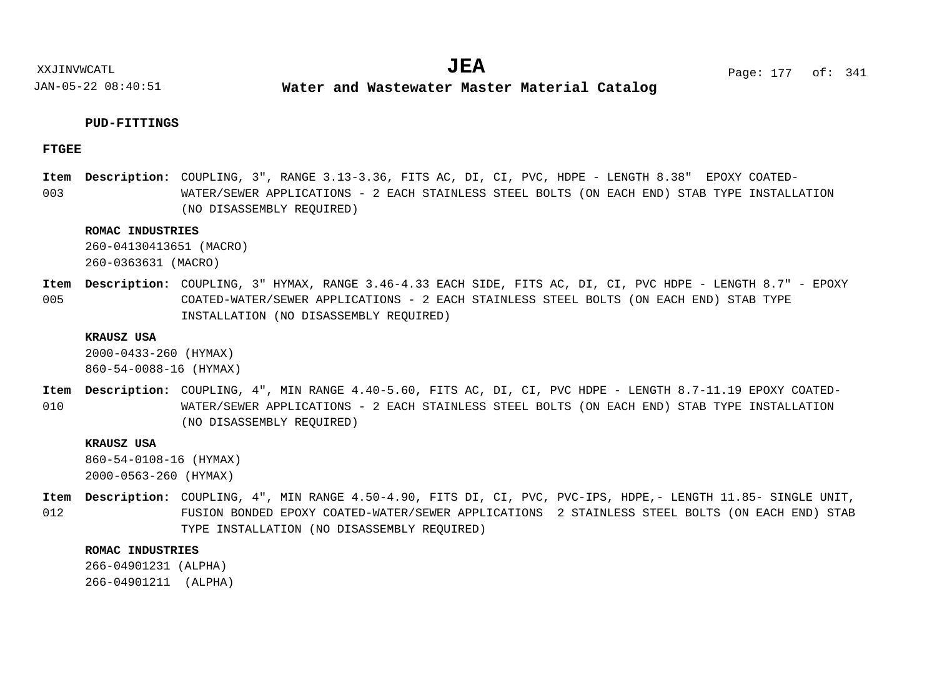**Water and Wastewater Master Material Catalog** 

# **PUD-FITTINGS**

# **FTGEE**

003 Item Description: COUPLING, 3", RANGE 3.13-3.36, FITS AC, DI, CI, PVC, HDPE - LENGTH 8.38" EPOXY COATED-WATER/SEWER APPLICATIONS - 2 EACH STAINLESS STEEL BOLTS (ON EACH END) STAB TYPE INSTALLATION (NO DISASSEMBLY REQUIRED)

# **ROMAC INDUSTRIES**

260-04130413651 (MACRO) 260-0363631 (MACRO)

005 Item Description: COUPLING, 3" HYMAX, RANGE 3.46-4.33 EACH SIDE, FITS AC, DI, CI, PVC HDPE - LENGTH 8.7" - EPOXY COATED-WATER/SEWER APPLICATIONS - 2 EACH STAINLESS STEEL BOLTS (ON EACH END) STAB TYPE INSTALLATION (NO DISASSEMBLY REQUIRED)

#### **KRAUSZ USA**

2000-0433-260 (HYMAX) 860-54-0088-16 (HYMAX)

010 COUPLING, 4", MIN RANGE 4.40-5.60, FITS AC, DI, CI, PVC HDPE - LENGTH 8.7-11.19 EPOXY COATED-**Description: Item** WATER/SEWER APPLICATIONS - 2 EACH STAINLESS STEEL BOLTS (ON EACH END) STAB TYPE INSTALLATION (NO DISASSEMBLY REQUIRED)

# **KRAUSZ USA**

860-54-0108-16 (HYMAX) 2000-0563-260 (HYMAX)

012 Item Description: COUPLING, 4", MIN RANGE 4.50-4.90, FITS DI, CI, PVC, PVC-IPS, HDPE,- LENGTH 11.85- SINGLE UNIT, FUSION BONDED EPOXY COATED-WATER/SEWER APPLICATIONS 2 STAINLESS STEEL BOLTS (ON EACH END) STAB TYPE INSTALLATION (NO DISASSEMBLY REQUIRED)

#### **ROMAC INDUSTRIES**

266-04901231 (ALPHA) 266-04901211 (ALPHA)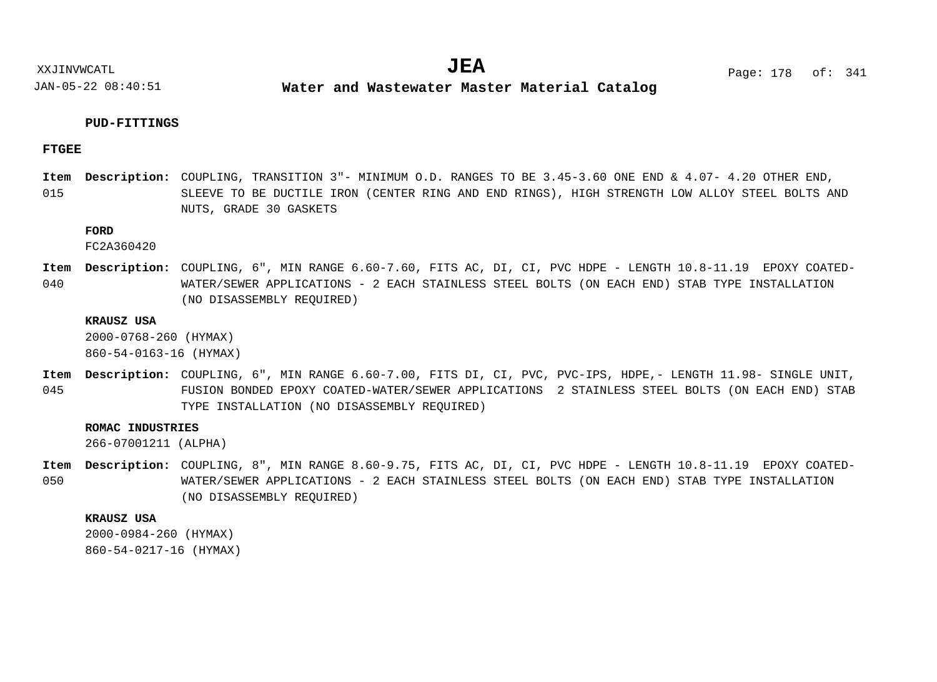**Water and Wastewater Master Material Catalog** 

# **PUD-FITTINGS**

## **FTGEE**

015 Item Description: COUPLING, TRANSITION 3"- MINIMUM O.D. RANGES TO BE 3.45-3.60 ONE END & 4.07- 4.20 OTHER END, SLEEVE TO BE DUCTILE IRON (CENTER RING AND END RINGS), HIGH STRENGTH LOW ALLOY STEEL BOLTS AND NUTS, GRADE 30 GASKETS

# **FORD**

FC2A360420

040 Item Description: COUPLING, 6", MIN RANGE 6.60-7.60, FITS AC, DI, CI, PVC HDPE - LENGTH 10.8-11.19 EPOXY COATED-WATER/SEWER APPLICATIONS - 2 EACH STAINLESS STEEL BOLTS (ON EACH END) STAB TYPE INSTALLATION (NO DISASSEMBLY REQUIRED)

#### **KRAUSZ USA**

2000-0768-260 (HYMAX)

860-54-0163-16 (HYMAX)

045 Item Description: COUPLING, 6", MIN RANGE 6.60-7.00, FITS DI, CI, PVC, PVC-IPS, HDPE,- LENGTH 11.98- SINGLE UNIT, FUSION BONDED EPOXY COATED-WATER/SEWER APPLICATIONS 2 STAINLESS STEEL BOLTS (ON EACH END) STAB TYPE INSTALLATION (NO DISASSEMBLY REQUIRED)

### **ROMAC INDUSTRIES**

266-07001211 (ALPHA)

050 Item Description: COUPLING, 8", MIN RANGE 8.60-9.75, FITS AC, DI, CI, PVC HDPE - LENGTH 10.8-11.19 EPOXY COATED-WATER/SEWER APPLICATIONS - 2 EACH STAINLESS STEEL BOLTS (ON EACH END) STAB TYPE INSTALLATION (NO DISASSEMBLY REQUIRED)

#### **KRAUSZ USA**

2000-0984-260 (HYMAX) 860-54-0217-16 (HYMAX)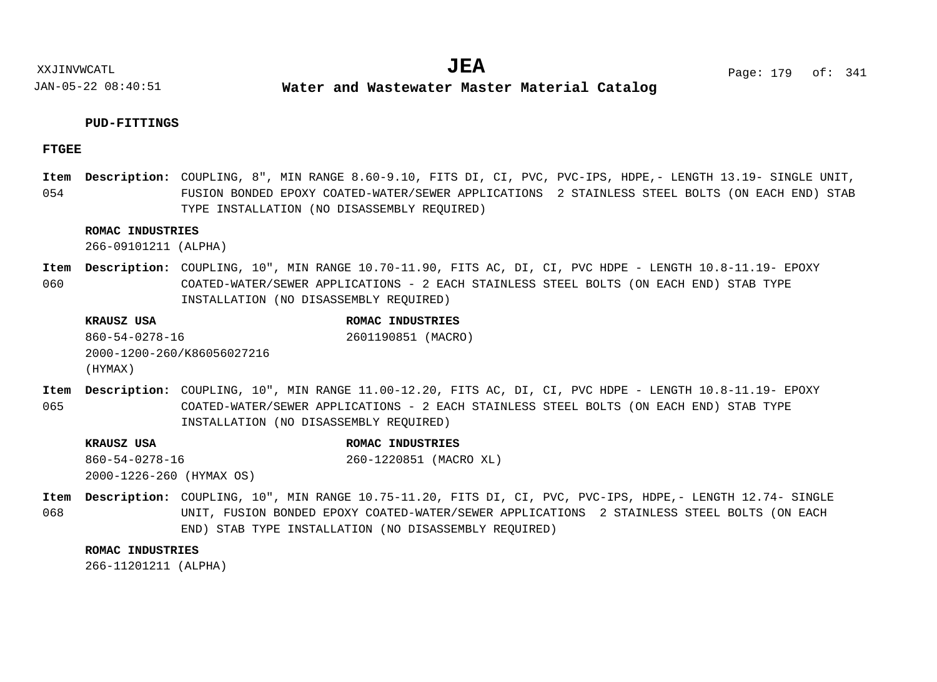**Water and Wastewater Master Material Catalog** 

# **PUD-FITTINGS**

# **FTGEE**

054 Item Description: COUPLING, 8", MIN RANGE 8.60-9.10, FITS DI, CI, PVC, PVC-IPS, HDPE,- LENGTH 13.19- SINGLE UNIT, FUSION BONDED EPOXY COATED-WATER/SEWER APPLICATIONS 2 STAINLESS STEEL BOLTS (ON EACH END) STAB TYPE INSTALLATION (NO DISASSEMBLY REQUIRED)

# **ROMAC INDUSTRIES**

266-09101211 (ALPHA)

060 Item Description: COUPLING, 10", MIN RANGE 10.70-11.90, FITS AC, DI, CI, PVC HDPE - LENGTH 10.8-11.19- EPOXY COATED-WATER/SEWER APPLICATIONS - 2 EACH STAINLESS STEEL BOLTS (ON EACH END) STAB TYPE INSTALLATION (NO DISASSEMBLY REQUIRED)

| KRAUSZ USA                 | ROMAC INDUSTRIES   |
|----------------------------|--------------------|
| 860-54-0278-16             | 2601190851 (MACRO) |
| 2000-1200-260/K86056027216 |                    |
| (HYMAX)                    |                    |

065 Item Description: COUPLING, 10", MIN RANGE 11.00-12.20, FITS AC, DI, CI, PVC HDPE - LENGTH 10.8-11.19- EPOXY COATED-WATER/SEWER APPLICATIONS - 2 EACH STAINLESS STEEL BOLTS (ON EACH END) STAB TYPE INSTALLATION (NO DISASSEMBLY REQUIRED)

**KRAUSZ USA ROMAC INDUSTRIES** 860-54-0278-16 2000-1226-260 (HYMAX OS) 260-1220851 (MACRO XL)

068 COUPLING, 10", MIN RANGE 10.75-11.20, FITS DI, CI, PVC, PVC-IPS, HDPE,- LENGTH 12.74- SINGLE **Description: Item**UNIT, FUSION BONDED EPOXY COATED-WATER/SEWER APPLICATIONS 2 STAINLESS STEEL BOLTS (ON EACH END) STAB TYPE INSTALLATION (NO DISASSEMBLY REQUIRED)

#### **ROMAC INDUSTRIES**

266-11201211 (ALPHA)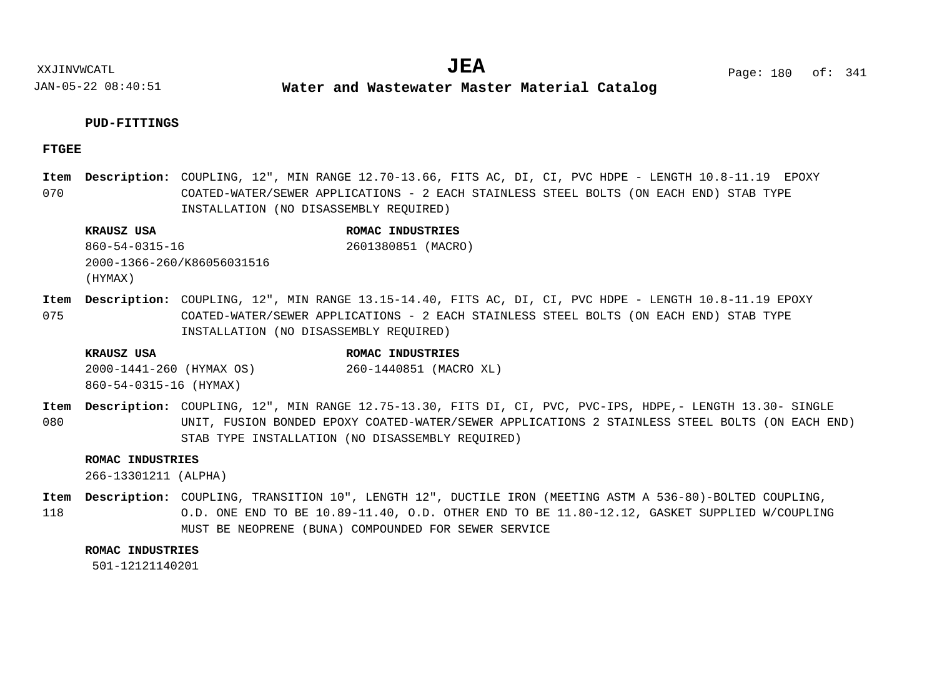**Water and Wastewater Master Material Catalog** 

# **PUD-FITTINGS**

# **FTGEE**

070 Item Description: COUPLING, 12", MIN RANGE 12.70-13.66, FITS AC, DI, CI, PVC HDPE - LENGTH 10.8-11.19 EPOXY COATED-WATER/SEWER APPLICATIONS - 2 EACH STAINLESS STEEL BOLTS (ON EACH END) STAB TYPE INSTALLATION (NO DISASSEMBLY REQUIRED)

## **KRAUSZ USA ROMAC INDUSTRIES** 860-54-0315-16 2000-1366-260/K86056031516 2601380851 (MACRO)

(HYMAX)

075 Item Description: COUPLING, 12", MIN RANGE 13.15-14.40, FITS AC, DI, CI, PVC HDPE - LENGTH 10.8-11.19 EPOXY COATED-WATER/SEWER APPLICATIONS - 2 EACH STAINLESS STEEL BOLTS (ON EACH END) STAB TYPE INSTALLATION (NO DISASSEMBLY REQUIRED)

### **KRAUSZ USA ROMAC INDUSTRIES**

2000-1441-260 (HYMAX OS) 860-54-0315-16 (HYMAX) 260-1440851 (MACRO XL)

080 COUPLING, 12", MIN RANGE 12.75-13.30, FITS DI, CI, PVC, PVC-IPS, HDPE,- LENGTH 13.30- SINGLE **Description: Item** UNIT, FUSION BONDED EPOXY COATED-WATER/SEWER APPLICATIONS 2 STAINLESS STEEL BOLTS (ON EACH END) STAB TYPE INSTALLATION (NO DISASSEMBLY REQUIRED)

#### **ROMAC INDUSTRIES**

266-13301211 (ALPHA)

118 Item Description: COUPLING, TRANSITION 10", LENGTH 12", DUCTILE IRON (MEETING ASTM A 536-80)-BOLTED COUPLING, O.D. ONE END TO BE 10.89-11.40, O.D. OTHER END TO BE 11.80-12.12, GASKET SUPPLIED W/COUPLING MUST BE NEOPRENE (BUNA) COMPOUNDED FOR SEWER SERVICE

#### **ROMAC INDUSTRIES**

501-12121140201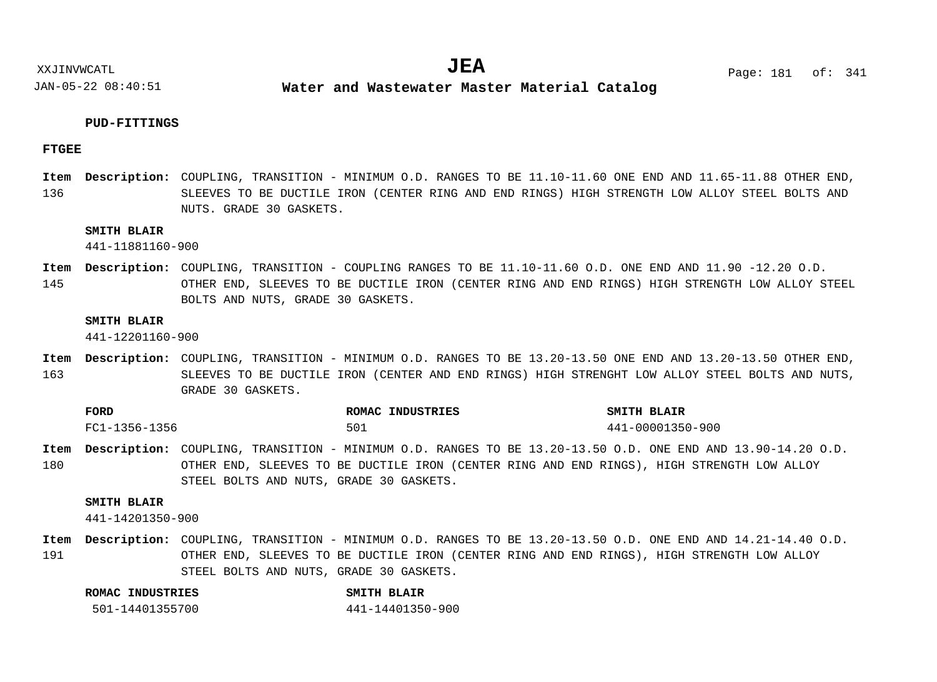**Water and Wastewater Master Material Catalog** 

#### **PUD-FITTINGS**

#### **FTGEE**

136 Item Description: COUPLING, TRANSITION - MINIMUM O.D. RANGES TO BE 11.10-11.60 ONE END AND 11.65-11.88 OTHER END, SLEEVES TO BE DUCTILE IRON (CENTER RING AND END RINGS) HIGH STRENGTH LOW ALLOY STEEL BOLTS AND NUTS. GRADE 30 GASKETS.

#### **SMITH BLAIR**

441-11881160-900

145 Item Description: COUPLING, TRANSITION - COUPLING RANGES TO BE 11.10-11.60 O.D. ONE END AND 11.90 -12.20 O.D. OTHER END, SLEEVES TO BE DUCTILE IRON (CENTER RING AND END RINGS) HIGH STRENGTH LOW ALLOY STEEL BOLTS AND NUTS, GRADE 30 GASKETS.

#### **SMITH BLAIR**

441-12201160-900

163 Item Description: COUPLING, TRANSITION - MINIMUM O.D. RANGES TO BE 13.20-13.50 ONE END AND 13.20-13.50 OTHER END, SLEEVES TO BE DUCTILE IRON (CENTER AND END RINGS) HIGH STRENGHT LOW ALLOY STEEL BOLTS AND NUTS, GRADE 30 GASKETS.

| <b>FORD</b>   | ROMAC INDUSTRIES | SMITH BLAIR      |
|---------------|------------------|------------------|
| FC1-1356-1356 | 501              | 441-00001350-900 |

180 Item Description: COUPLING, TRANSITION - MINIMUM O.D. RANGES TO BE 13.20-13.50 O.D. ONE END AND 13.90-14.20 O.D. OTHER END, SLEEVES TO BE DUCTILE IRON (CENTER RING AND END RINGS), HIGH STRENGTH LOW ALLOY STEEL BOLTS AND NUTS, GRADE 30 GASKETS.

#### **SMITH BLAIR**

441-14201350-900

191 Item Description: COUPLING, TRANSITION - MINIMUM O.D. RANGES TO BE 13.20-13.50 O.D. ONE END AND 14.21-14.40 O.D. OTHER END, SLEEVES TO BE DUCTILE IRON (CENTER RING AND END RINGS), HIGH STRENGTH LOW ALLOY STEEL BOLTS AND NUTS, GRADE 30 GASKETS.

| ROMAC INDUSTRIES | SMITH BLAIR      |
|------------------|------------------|
| 501-14401355700  | 441-14401350-900 |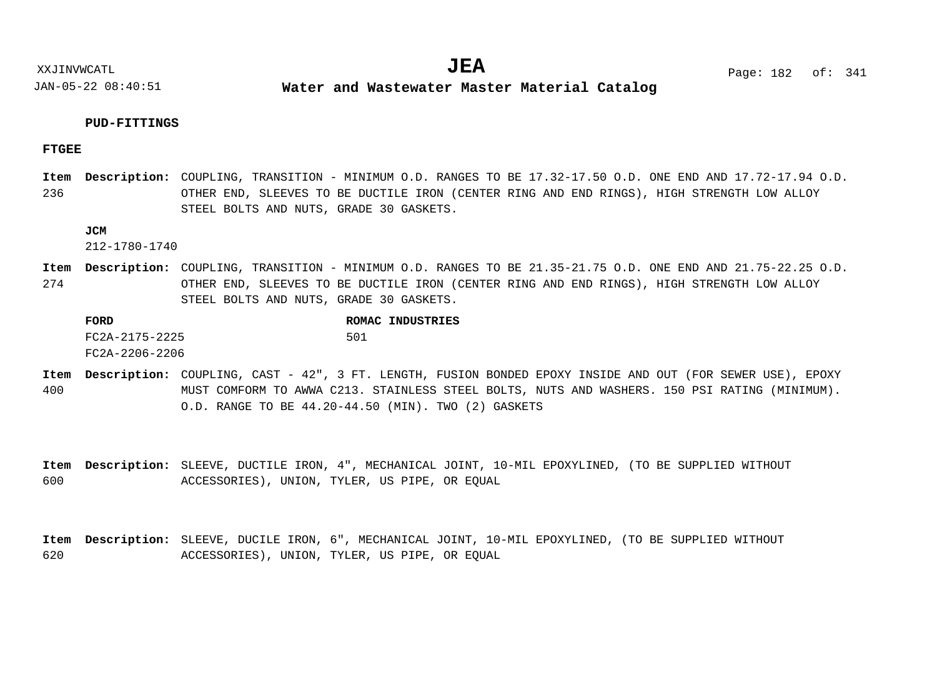**Water and Wastewater Master Material Catalog** 

#### **PUD-FITTINGS**

#### **FTGEE**

236 Item Description: COUPLING, TRANSITION - MINIMUM O.D. RANGES TO BE 17.32-17.50 O.D. ONE END AND 17.72-17.94 O.D. OTHER END, SLEEVES TO BE DUCTILE IRON (CENTER RING AND END RINGS), HIGH STRENGTH LOW ALLOY STEEL BOLTS AND NUTS, GRADE 30 GASKETS.

#### **JCM**

212-1780-1740

274 Item Description: COUPLING, TRANSITION - MINIMUM O.D. RANGES TO BE 21.35-21.75 O.D. ONE END AND 21.75-22.25 O.D. OTHER END, SLEEVES TO BE DUCTILE IRON (CENTER RING AND END RINGS), HIGH STRENGTH LOW ALLOY STEEL BOLTS AND NUTS, GRADE 30 GASKETS.

**FORD ROMAC INDUSTRIES** FC2A-2175-2225 FC2A-2206-2206 501

400 Item Description: COUPLING, CAST - 42", 3 FT. LENGTH, FUSION BONDED EPOXY INSIDE AND OUT (FOR SEWER USE), EPOXY MUST COMFORM TO AWWA C213. STAINLESS STEEL BOLTS, NUTS AND WASHERS. 150 PSI RATING (MINIMUM). O.D. RANGE TO BE 44.20-44.50 (MIN). TWO (2) GASKETS

600 Item Description: SLEEVE, DUCTILE IRON, 4", MECHANICAL JOINT, 10-MIL EPOXYLINED, (TO BE SUPPLIED WITHOUT ACCESSORIES), UNION, TYLER, US PIPE, OR EQUAL

620 Item Description: SLEEVE, DUCILE IRON, 6", MECHANICAL JOINT, 10-MIL EPOXYLINED, (TO BE SUPPLIED WITHOUT ACCESSORIES), UNION, TYLER, US PIPE, OR EQUAL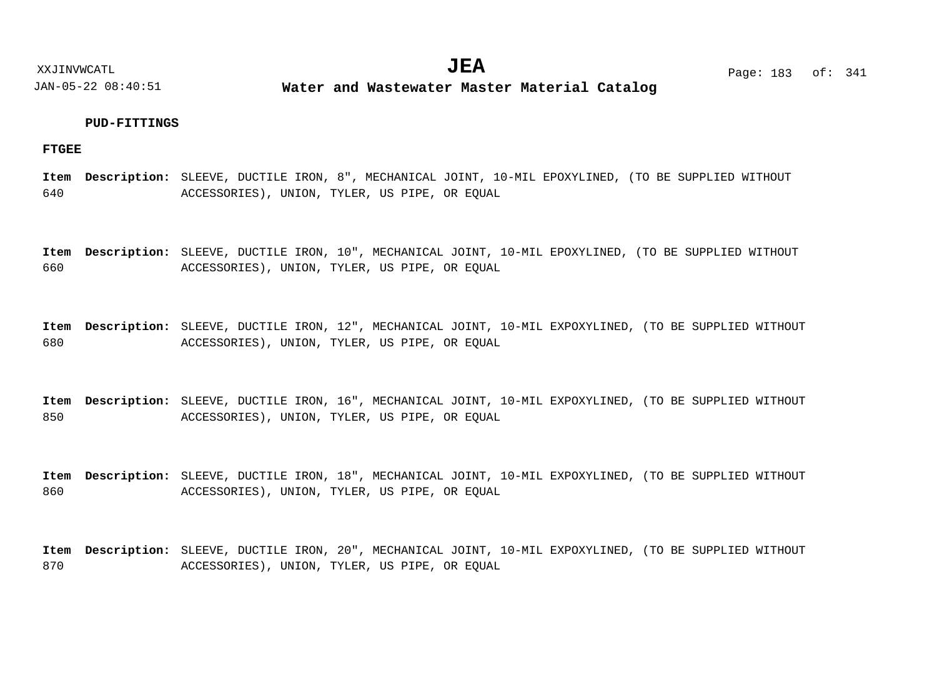**Water and Wastewater Master Material Catalog** 

#### **PUD-FITTINGS**

**FTGEE**

640 Item Description: SLEEVE, DUCTILE IRON, 8", MECHANICAL JOINT, 10-MIL EPOXYLINED, (TO BE SUPPLIED WITHOUT ACCESSORIES), UNION, TYLER, US PIPE, OR EQUAL

660 Item Description: SLEEVE, DUCTILE IRON, 10", MECHANICAL JOINT, 10-MIL EPOXYLINED, (TO BE SUPPLIED WITHOUT ACCESSORIES), UNION, TYLER, US PIPE, OR EQUAL

680 Item Description: SLEEVE, DUCTILE IRON, 12", MECHANICAL JOINT, 10-MIL EXPOXYLINED, (TO BE SUPPLIED WITHOUT ACCESSORIES), UNION, TYLER, US PIPE, OR EQUAL

850 Item Description: SLEEVE, DUCTILE IRON, 16", MECHANICAL JOINT, 10-MIL EXPOXYLINED, (TO BE SUPPLIED WITHOUT ACCESSORIES), UNION, TYLER, US PIPE, OR EQUAL

860 Item Description: SLEEVE, DUCTILE IRON, 18", MECHANICAL JOINT, 10-MIL EXPOXYLINED, (TO BE SUPPLIED WITHOUT ACCESSORIES), UNION, TYLER, US PIPE, OR EQUAL

870 Item Description: SLEEVE, DUCTILE IRON, 20", MECHANICAL JOINT, 10-MIL EXPOXYLINED, (TO BE SUPPLIED WITHOUT ACCESSORIES), UNION, TYLER, US PIPE, OR EQUAL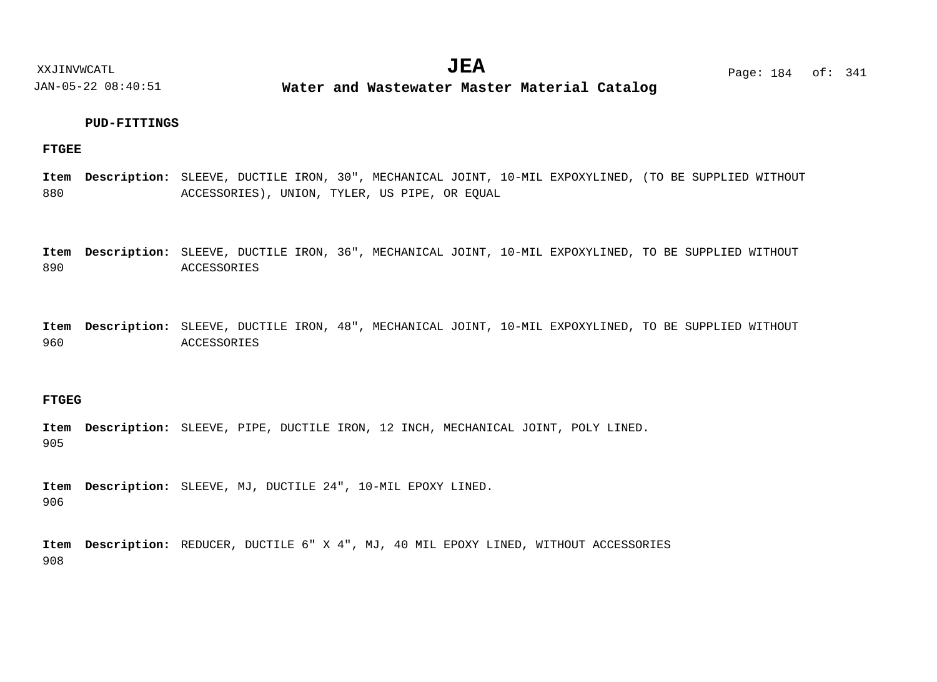**Water and Wastewater Master Material Catalog** 

#### **PUD-FITTINGS**

#### **FTGEE**

880 Item Description: SLEEVE, DUCTILE IRON, 30", MECHANICAL JOINT, 10-MIL EXPOXYLINED, (TO BE SUPPLIED WITHOUT ACCESSORIES), UNION, TYLER, US PIPE, OR EQUAL

890 Item Description: SLEEVE, DUCTILE IRON, 36", MECHANICAL JOINT, 10-MIL EXPOXYLINED, TO BE SUPPLIED WITHOUT ACCESSORIES

960 Item Description: SLEEVE, DUCTILE IRON, 48", MECHANICAL JOINT, 10-MIL EXPOXYLINED, TO BE SUPPLIED WITHOUT ACCESSORIES

#### **FTGEG**

905 Item Description: SLEEVE, PIPE, DUCTILE IRON, 12 INCH, MECHANICAL JOINT, POLY LINED.

906 Item Description: SLEEVE, MJ, DUCTILE 24", 10-MIL EPOXY LINED.

908 Item Description: REDUCER, DUCTILE 6" X 4", MJ, 40 MIL EPOXY LINED, WITHOUT ACCESSORIES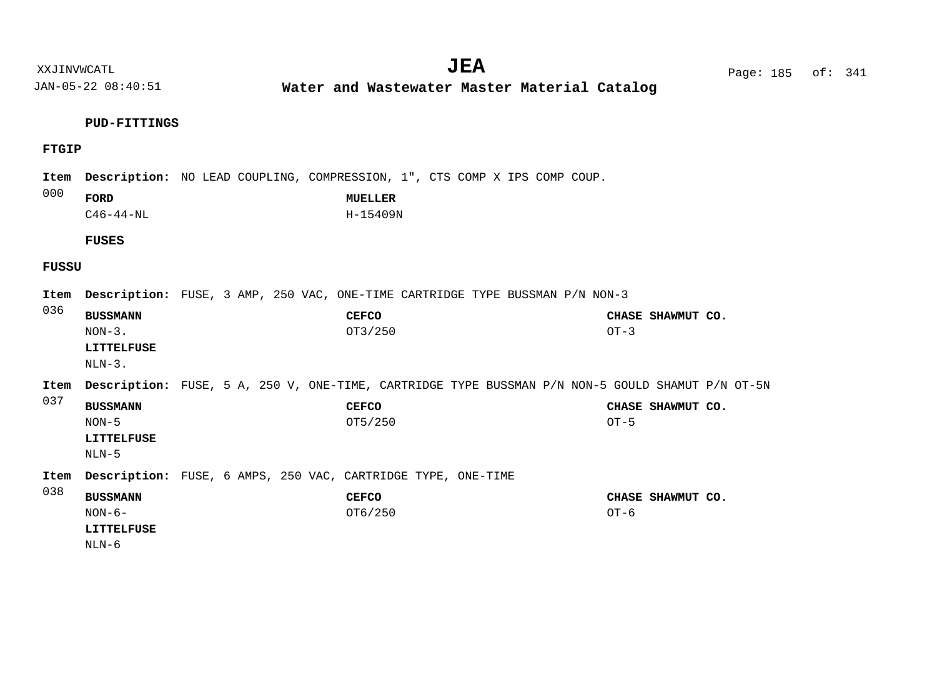**Water and Wastewater Master Material Catalog** 

### **PUD-FITTINGS**

### **FTGIP**

| Item<br>000 | FORD<br>$C46 - 44 - NL$<br><b>FUSES</b>                 |  | <b>Description:</b> NO LEAD COUPLING, COMPRESSION, 1", CTS COMP X IPS COMP COUP.<br><b>MUELLER</b><br>H-15409N |        |                   |  |
|-------------|---------------------------------------------------------|--|----------------------------------------------------------------------------------------------------------------|--------|-------------------|--|
|             |                                                         |  |                                                                                                                |        |                   |  |
| FUSSU       |                                                         |  |                                                                                                                |        |                   |  |
| Item        |                                                         |  | <b>Description:</b> FUSE, 3 AMP, 250 VAC, ONE-TIME CARTRIDGE TYPE BUSSMAN P/N NON-3                            |        |                   |  |
| 036         | <b>BUSSMANN</b><br>$NON-3$ .<br>LITTELFUSE<br>$NLN-3$ . |  | <b>CEFCO</b><br>OT3/250                                                                                        | $OT-3$ | CHASE SHAWMUT CO. |  |
| Item        |                                                         |  | Description: FUSE, 5 A, 250 V, ONE-TIME, CARTRIDGE TYPE BUSSMAN P/N NON-5 GOULD SHAMUT P/N OT-5N               |        |                   |  |
| 037         | <b>BUSSMANN</b><br>$NON-5$<br>LITTELFUSE<br>$NLN-5$     |  | <b>CEFCO</b><br>OT5/250                                                                                        | $OT-5$ | CHASE SHAWMUT CO. |  |
| Item        |                                                         |  | Description: FUSE, 6 AMPS, 250 VAC, CARTRIDGE TYPE, ONE-TIME                                                   |        |                   |  |
| 038         | <b>BUSSMANN</b><br>$NON-6-$<br>LITTELFUSE<br>NLN-6      |  | <b>CEFCO</b><br>OT6/250                                                                                        | $OT-6$ | CHASE SHAWMUT CO. |  |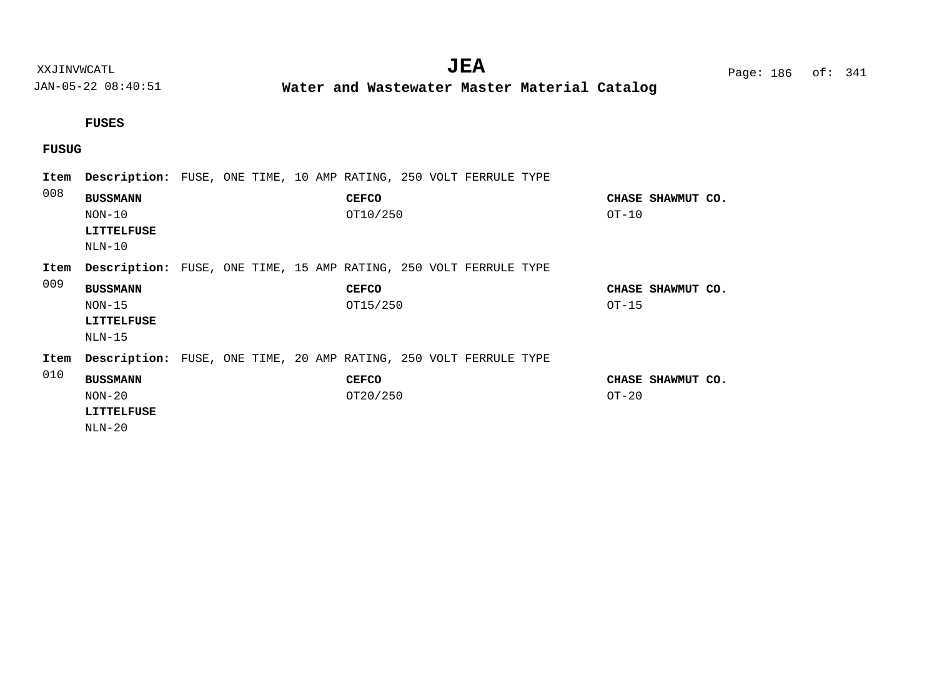**Water and Wastewater Master Material Catalog** 

#### **FUSES**

## **FUSUG**

| Item | Description: FUSE, ONE TIME, 10 AMP RATING, 250 VOLT FERRULE TYPE        |  |  |                          |  |  |         |                   |  |
|------|--------------------------------------------------------------------------|--|--|--------------------------|--|--|---------|-------------------|--|
| 008  | <b>BUSSMANN</b><br>$NON-10$<br><b>LITTELFUSE</b><br>$NLN-10$             |  |  | <b>CEFCO</b><br>OT10/250 |  |  | $OT-10$ | CHASE SHAWMUT CO. |  |
| Item | Description: FUSE, ONE TIME, 15 AMP RATING, 250 VOLT FERRULE TYPE        |  |  |                          |  |  |         |                   |  |
| 009  | <b>BUSSMANN</b><br>$NON-15$<br>LITTELFUSE<br>$NLN-15$                    |  |  | <b>CEFCO</b><br>OT15/250 |  |  | $OT-15$ | CHASE SHAWMUT CO. |  |
| Item | <b>Description:</b> FUSE, ONE TIME, 20 AMP RATING, 250 VOLT FERRULE TYPE |  |  |                          |  |  |         |                   |  |
| 010  | <b>BUSSMANN</b><br>$NON-20$<br>LITTELFUSE<br>$NLN-20$                    |  |  | <b>CEFCO</b><br>OT20/250 |  |  | $OT-20$ | CHASE SHAWMUT CO. |  |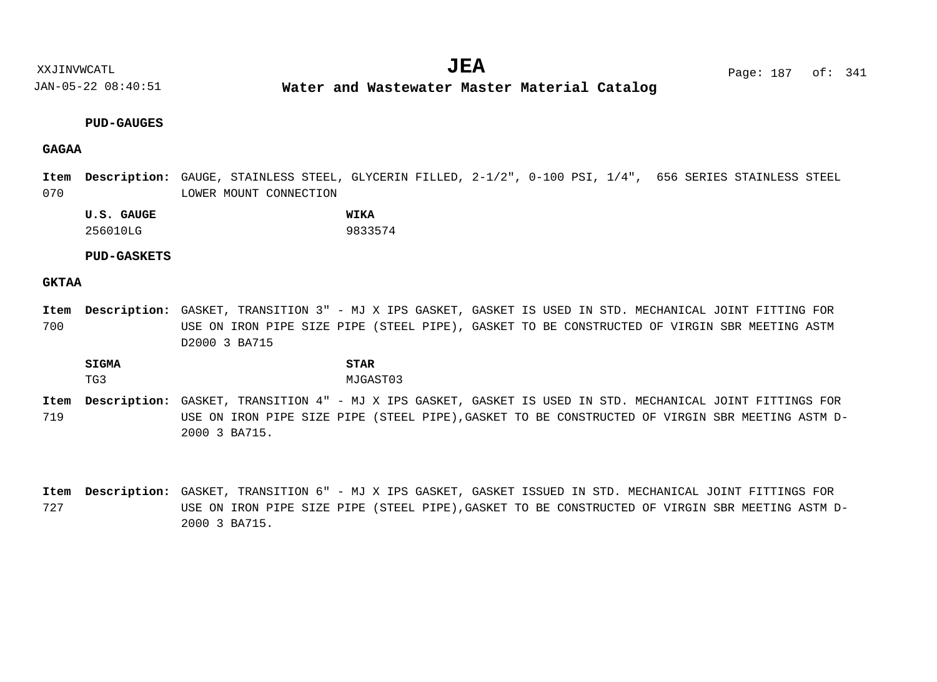**Water and Wastewater Master Material Catalog** 

#### **PUD-GAUGES**

#### **GAGAA**

070 Item Description: GAUGE, STAINLESS STEEL, GLYCERIN FILLED, 2-1/2", 0-100 PSI, 1/4", 656 SERIES STAINLESS STEEL LOWER MOUNT CONNECTION

**U.S. GAUGE WIKA** 256010LG 9833574

#### **PUD-GASKETS**

#### **GKTAA**

700 GASKET, TRANSITION 3" - MJ X IPS GASKET, GASKET IS USED IN STD. MECHANICAL JOINT FITTING FOR **Description: Item** USE ON IRON PIPE SIZE PIPE (STEEL PIPE), GASKET TO BE CONSTRUCTED OF VIRGIN SBR MEETING ASTM D2000 3 BA715

**SIGMA STAR** TG3 MJGAST03

719 Item Description: GASKET, TRANSITION 4" - MJ X IPS GASKET, GASKET IS USED IN STD. MECHANICAL JOINT FITTINGS FOR USE ON IRON PIPE SIZE PIPE (STEEL PIPE),GASKET TO BE CONSTRUCTED OF VIRGIN SBR MEETING ASTM D-2000 3 BA715.

727 Item Description: GASKET, TRANSITION 6" - MJ X IPS GASKET, GASKET ISSUED IN STD. MECHANICAL JOINT FITTINGS FOR USE ON IRON PIPE SIZE PIPE (STEEL PIPE),GASKET TO BE CONSTRUCTED OF VIRGIN SBR MEETING ASTM D-2000 3 BA715.

XXJINVWCATL **EXALL** Page: 187 of:  $JEA$   $Page: 187 of: 341$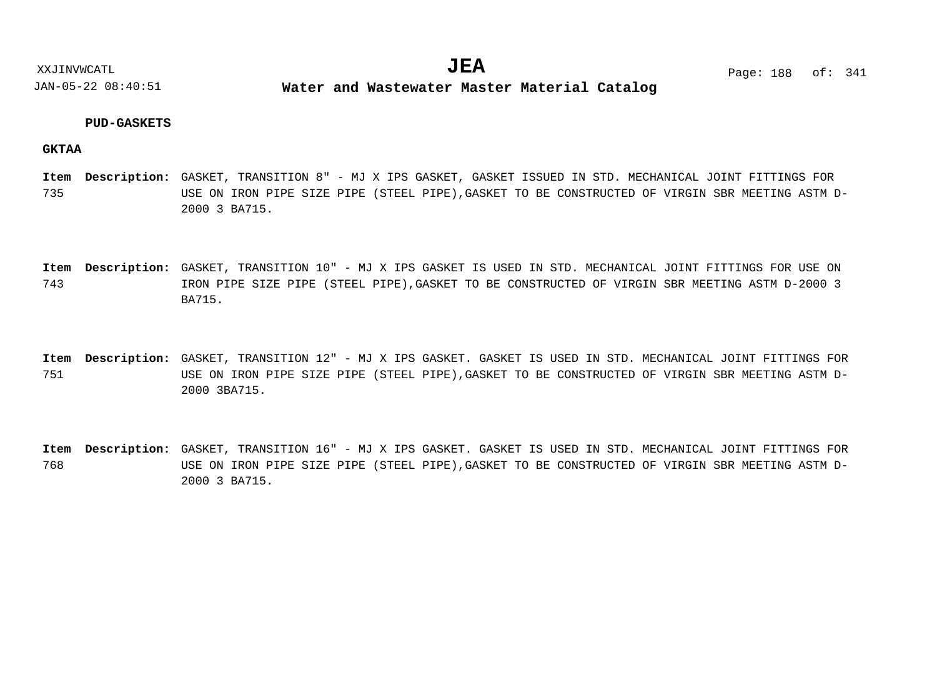**Water and Wastewater Master Material Catalog** 

#### **PUD-GASKETS**

#### **GKTAA**

- 735 Item Description: GASKET, TRANSITION 8" - MJ X IPS GASKET, GASKET ISSUED IN STD. MECHANICAL JOINT FITTINGS FOR USE ON IRON PIPE SIZE PIPE (STEEL PIPE),GASKET TO BE CONSTRUCTED OF VIRGIN SBR MEETING ASTM D-2000 3 BA715.
- 743 Item Description: GASKET, TRANSITION 10" - MJ X IPS GASKET IS USED IN STD. MECHANICAL JOINT FITTINGS FOR USE ON IRON PIPE SIZE PIPE (STEEL PIPE),GASKET TO BE CONSTRUCTED OF VIRGIN SBR MEETING ASTM D-2000 3 BA715.
- 751 Item Description: GASKET, TRANSITION 12" - MJ X IPS GASKET. GASKET IS USED IN STD. MECHANICAL JOINT FITTINGS FOR USE ON IRON PIPE SIZE PIPE (STEEL PIPE),GASKET TO BE CONSTRUCTED OF VIRGIN SBR MEETING ASTM D-2000 3BA715.
- 768 Item Description: GASKET, TRANSITION 16" - MJ X IPS GASKET. GASKET IS USED IN STD. MECHANICAL JOINT FITTINGS FOR USE ON IRON PIPE SIZE PIPE (STEEL PIPE),GASKET TO BE CONSTRUCTED OF VIRGIN SBR MEETING ASTM D-2000 3 BA715.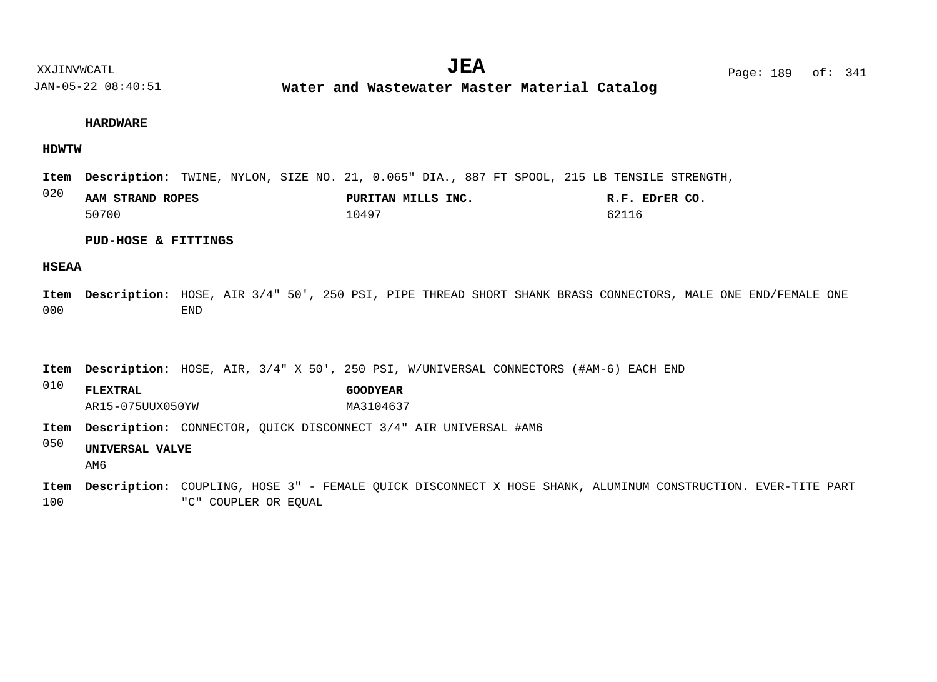**Water and Wastewater Master Material Catalog** 

#### **HARDWARE**

#### **HDWTW**

Item Description: TWINE, NYLON, SIZE NO. 21, 0.065" DIA., 887 FT SPOOL, 215 LB TENSILE STRENGTH,

| 020 | AAM STRAND ROPES | PURITAN MILLS INC. | R.F. EDrER CO |
|-----|------------------|--------------------|---------------|
|     | 50700            | 10497              |               |

#### **PUD-HOSE & FITTINGS**

#### **HSEAA**

000 Item Description: HOSE, AIR 3/4" 50', 250 PSI, PIPE THREAD SHORT SHANK BRASS CONNECTORS, MALE ONE END/FEMALE ONE END

Item Description: HOSE, AIR, 3/4" X 50', 250 PSI, W/UNIVERSAL CONNECTORS (#AM-6) EACH END

010 **FLEXTRAL GOODYEAR** AR15-075UUX050YW MA3104637

Item Description: CONNECTOR, QUICK DISCONNECT 3/4" AIR UNIVERSAL #AM6

050 **UNIVERSAL VALVE**

AM6

100 COUPLING, HOSE 3" - FEMALE QUICK DISCONNECT X HOSE SHANK, ALUMINUM CONSTRUCTION. EVER-TITE PART **Description: Item**"C" COUPLER OR EQUAL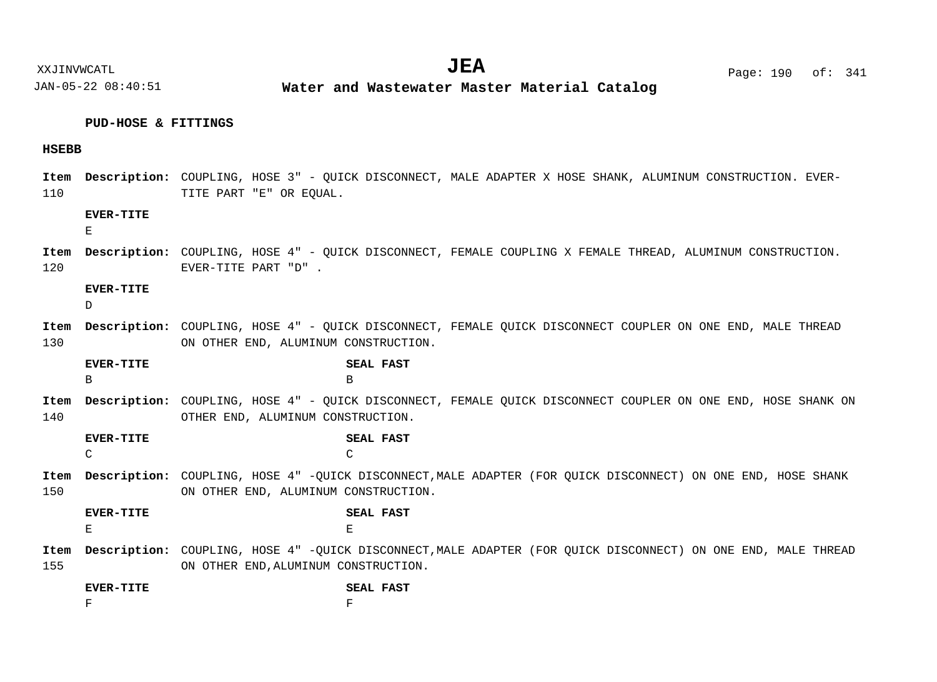#### **PUD-HOSE & FITTINGS**

#### **HSEBB**

110 Item Description: COUPLING, HOSE 3" - QUICK DISCONNECT, MALE ADAPTER X HOSE SHANK, ALUMINUM CONSTRUCTION. EVER-TITE PART "E" OR EQUAL.

#### **EVER-TITE**

E

120 Item Description: COUPLING, HOSE 4" - QUICK DISCONNECT, FEMALE COUPLING X FEMALE THREAD, ALUMINUM CONSTRUCTION. EVER-TITE PART "D" .

#### **EVER-TITE**

D.

130 COUPLING, HOSE 4" - QUICK DISCONNECT, FEMALE QUICK DISCONNECT COUPLER ON ONE END, MALE THREAD **Description: Item** ON OTHER END, ALUMINUM CONSTRUCTION.

COUPLING, HOSE 4" - QUICK DISCONNECT, FEMALE QUICK DISCONNECT COUPLER ON ONE END, HOSE SHANK ON **Description: Item EVER-TITE SEAL FAST** B B

140 OTHER END, ALUMINUM CONSTRUCTION.

**EVER-TITE SEAL FAST** C C

150 Item Description: COUPLING, HOSE 4" -QUICK DISCONNECT, MALE ADAPTER (FOR QUICK DISCONNECT) ON ONE END, HOSE SHANK ON OTHER END, ALUMINUM CONSTRUCTION.

**EVER-TITE SEAL FAST** E External products of the contract of the contract of the contract of the contract of the contract of the contract of the contract of the contract of the contract of the contract of the contract of the contract of the con

155 Item Description: COUPLING, HOSE 4" -QUICK DISCONNECT, MALE ADAPTER (FOR QUICK DISCONNECT) ON ONE END, MALE THREAD ON OTHER END,ALUMINUM CONSTRUCTION.

| <b>EVER-TITE</b> | <b>SEAL FAST</b> |  |
|------------------|------------------|--|
| ▫                |                  |  |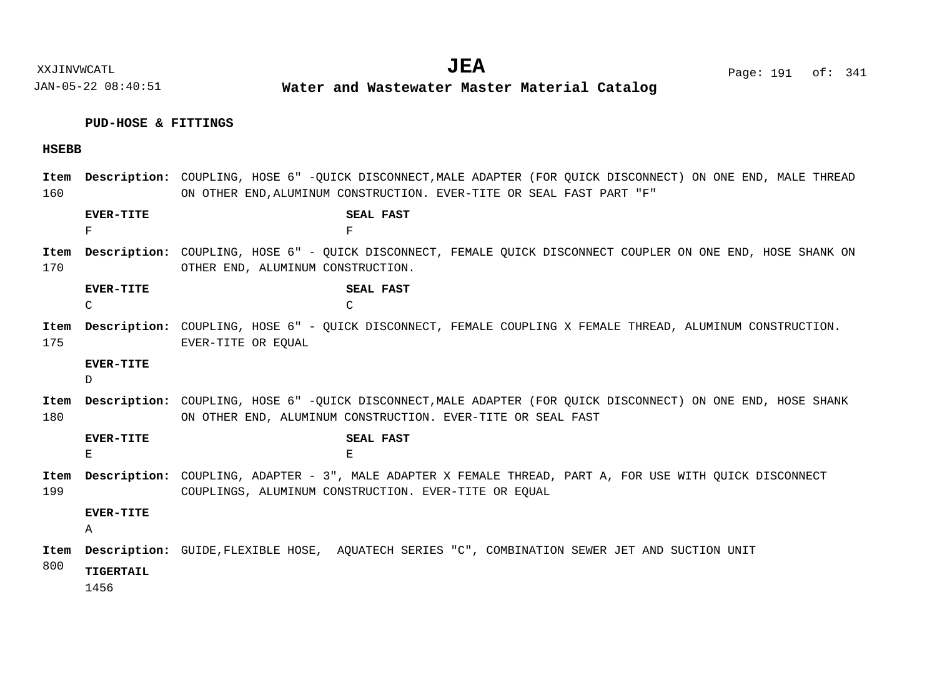XXJINVWCATL Page: 191 of: **JEA**<sup>341</sup>

JAN-05-22 08:40:51

**Water and Wastewater Master Material Catalog** 

### **PUD-HOSE & FITTINGS**

### **HSEBB**

| Item<br>160 |                        | Description: COUPLING, HOSE 6" -OUICK DISCONNECT, MALE ADAPTER (FOR OUICK DISCONNECT) ON ONE END, MALE THREAD<br>ON OTHER END, ALUMINUM CONSTRUCTION. EVER-TITE OR SEAL FAST PART "F" |
|-------------|------------------------|---------------------------------------------------------------------------------------------------------------------------------------------------------------------------------------|
|             | <b>EVER-TITE</b><br>F  | SEAL FAST<br>F                                                                                                                                                                        |
| Item<br>170 |                        | Description: COUPLING, HOSE 6" - QUICK DISCONNECT, FEMALE QUICK DISCONNECT COUPLER ON ONE END, HOSE SHANK ON<br>OTHER END, ALUMINUM CONSTRUCTION.                                     |
|             | <b>EVER-TITE</b><br>C  | SEAL FAST<br>C                                                                                                                                                                        |
| Item<br>175 |                        | <b>Description:</b> COUPLING, HOSE 6" - OUICK DISCONNECT, FEMALE COUPLING X FEMALE THREAD, ALUMINUM CONSTRUCTION.<br>EVER-TITE OR EOUAL                                               |
|             | <b>EVER-TITE</b><br>D. |                                                                                                                                                                                       |
| Item<br>180 |                        | Description: COUPLING, HOSE 6" -OUICK DISCONNECT, MALE ADAPTER (FOR OUICK DISCONNECT) ON ONE END, HOSE SHANK<br>ON OTHER END, ALUMINUM CONSTRUCTION. EVER-TITE OR SEAL FAST           |
|             | <b>EVER-TITE</b><br>E  | <b>SEAL FAST</b><br>E                                                                                                                                                                 |
| Item<br>199 |                        | Description: COUPLING, ADAPTER - 3", MALE ADAPTER X FEMALE THREAD, PART A, FOR USE WITH OUICK DISCONNECT<br>COUPLINGS, ALUMINUM CONSTRUCTION. EVER-TITE OR EOUAL                      |
|             | <b>EVER-TITE</b><br>Α  |                                                                                                                                                                                       |
| Item        |                        | Description: GUIDE, FLEXIBLE HOSE, AOUATECH SERIES "C", COMBINATION SEWER JET AND SUCTION UNIT                                                                                        |
| 800         | TIGERTAIL<br>1456      |                                                                                                                                                                                       |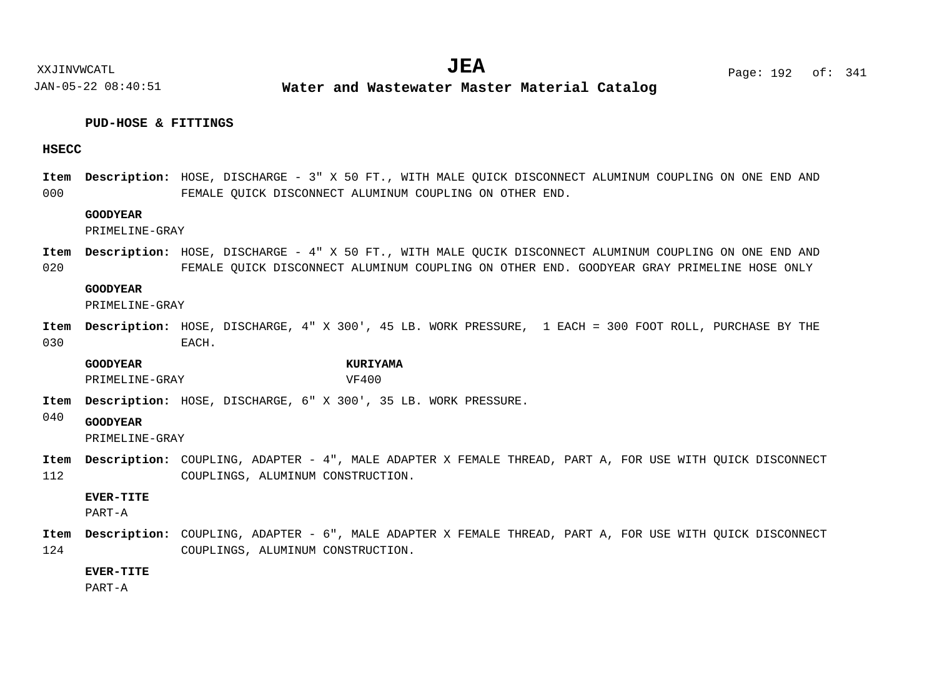#### **PUD-HOSE & FITTINGS**

#### **HSECC**

000 Item Description: HOSE, DISCHARGE - 3" X 50 FT., WITH MALE QUICK DISCONNECT ALUMINUM COUPLING ON ONE END AND FEMALE QUICK DISCONNECT ALUMINUM COUPLING ON OTHER END.

#### **GOODYEAR**

PRIMELINE-GRAY

020 Item Description: HOSE, DISCHARGE - 4" X 50 FT., WITH MALE QUCIK DISCONNECT ALUMINUM COUPLING ON ONE END AND FEMALE QUICK DISCONNECT ALUMINUM COUPLING ON OTHER END. GOODYEAR GRAY PRIMELINE HOSE ONLY

#### **GOODYEAR**

PRIMELINE-GRAY

030 Item Description: HOSE, DISCHARGE, 4" X 300', 45 LB. WORK PRESSURE, 1 EACH = 300 FOOT ROLL, PURCHASE BY THE EACH.

**GOODYEAR KURIYAMA** PRIMELINE-GRAY VF400

- Item Description: HOSE, DISCHARGE, 6" X 300', 35 LB. WORK PRESSURE.
- 040 **GOODYEAR**

PRIMELINE-GRAY

112 Item Description: COUPLING, ADAPTER - 4", MALE ADAPTER X FEMALE THREAD, PART A, FOR USE WITH QUICK DISCONNECT COUPLINGS, ALUMINUM CONSTRUCTION.

#### **EVER-TITE**

PART-A

124 Item Description: COUPLING, ADAPTER - 6", MALE ADAPTER X FEMALE THREAD, PART A, FOR USE WITH QUICK DISCONNECT COUPLINGS, ALUMINUM CONSTRUCTION.

#### **EVER-TITE**

PART-A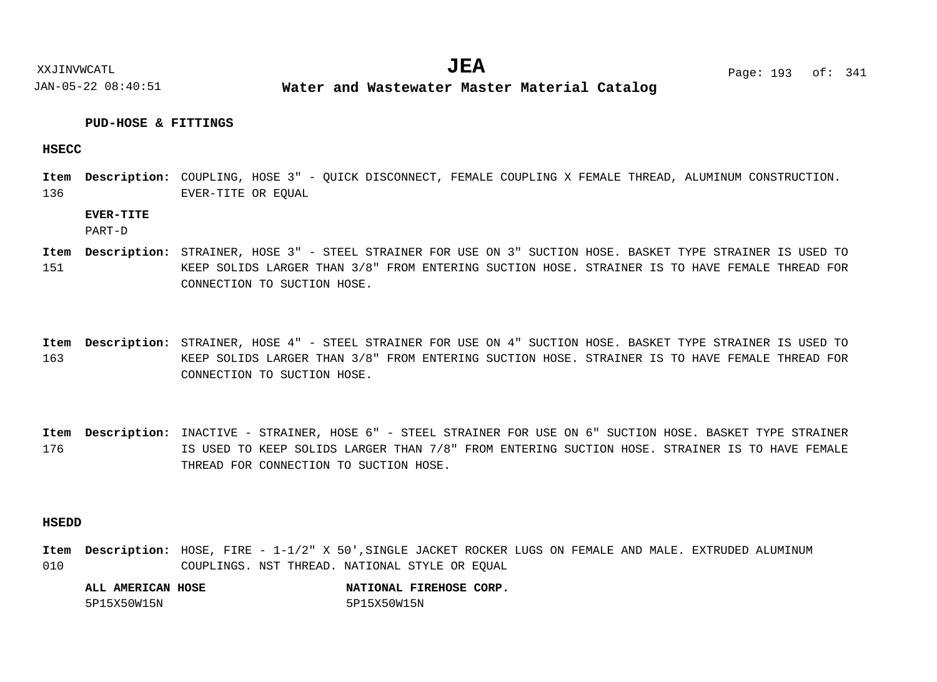XXJINVWCATL **EXALL** Page: 193 of:  $JEA$   $Page: 193 \text{ of}: 341$ 

JAN-05-22 08:40:51 **Water and Wastewater Master Material Catalog** 

#### **PUD-HOSE & FITTINGS**

#### **HSECC**

136 Item Description: COUPLING, HOSE 3" - QUICK DISCONNECT, FEMALE COUPLING X FEMALE THREAD, ALUMINUM CONSTRUCTION. EVER-TITE OR EQUAL

#### **EVER-TITE**

PART-D

- 151 Item Description: STRAINER, HOSE 3" - STEEL STRAINER FOR USE ON 3" SUCTION HOSE. BASKET TYPE STRAINER IS USED TO KEEP SOLIDS LARGER THAN 3/8" FROM ENTERING SUCTION HOSE. STRAINER IS TO HAVE FEMALE THREAD FOR CONNECTION TO SUCTION HOSE.
- 163 Item Description: STRAINER, HOSE 4" - STEEL STRAINER FOR USE ON 4" SUCTION HOSE. BASKET TYPE STRAINER IS USED TO KEEP SOLIDS LARGER THAN 3/8" FROM ENTERING SUCTION HOSE. STRAINER IS TO HAVE FEMALE THREAD FOR CONNECTION TO SUCTION HOSE.
- 176 Item Description: INACTIVE - STRAINER, HOSE 6" - STEEL STRAINER FOR USE ON 6" SUCTION HOSE. BASKET TYPE STRAINER IS USED TO KEEP SOLIDS LARGER THAN 7/8" FROM ENTERING SUCTION HOSE. STRAINER IS TO HAVE FEMALE THREAD FOR CONNECTION TO SUCTION HOSE.

#### **HSEDD**

010 Item Description: HOSE, FIRE - 1-1/2" X 50', SINGLE JACKET ROCKER LUGS ON FEMALE AND MALE. EXTRUDED ALUMINUM COUPLINGS. NST THREAD. NATIONAL STYLE OR EQUAL

| ALL AMERICAN HOSE |             | NATIONAL FIREHOSE CORP. |  |
|-------------------|-------------|-------------------------|--|
| 5P15X50W15N       | 5P15X50W15N |                         |  |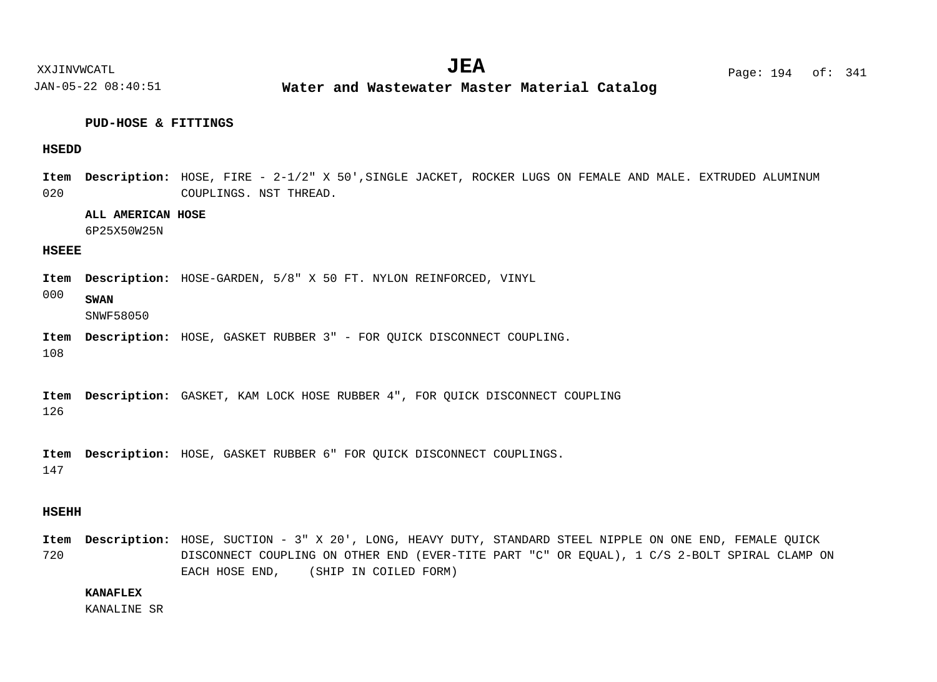#### **PUD-HOSE & FITTINGS**

#### **HSEDD**

020 Item Description: HOSE, FIRE - 2-1/2" X 50', SINGLE JACKET, ROCKER LUGS ON FEMALE AND MALE. EXTRUDED ALUMINUM COUPLINGS. NST THREAD.

#### **ALL AMERICAN HOSE**

6P25X50W25N

#### **HSEEE**

Item Description: HOSE-GARDEN, 5/8" X 50 FT. NYLON REINFORCED, VINYL

000 **SWAN**

SNWF58050

Item Description: HOSE, GASKET RUBBER 3" - FOR QUICK DISCONNECT COUPLING.

108

126 Item Description: GASKET, KAM LOCK HOSE RUBBER 4", FOR QUICK DISCONNECT COUPLING

147 Item Description: HOSE, GASKET RUBBER 6" FOR QUICK DISCONNECT COUPLINGS.

#### **HSEHH**

720 Item Description: HOSE, SUCTION - 3" X 20', LONG, HEAVY DUTY, STANDARD STEEL NIPPLE ON ONE END, FEMALE QUICK DISCONNECT COUPLING ON OTHER END (EVER-TITE PART "C" OR EQUAL), 1 C/S 2-BOLT SPIRAL CLAMP ON EACH HOSE END, (SHIP IN COILED FORM)

#### **KANAFLEX**

KANALINE SR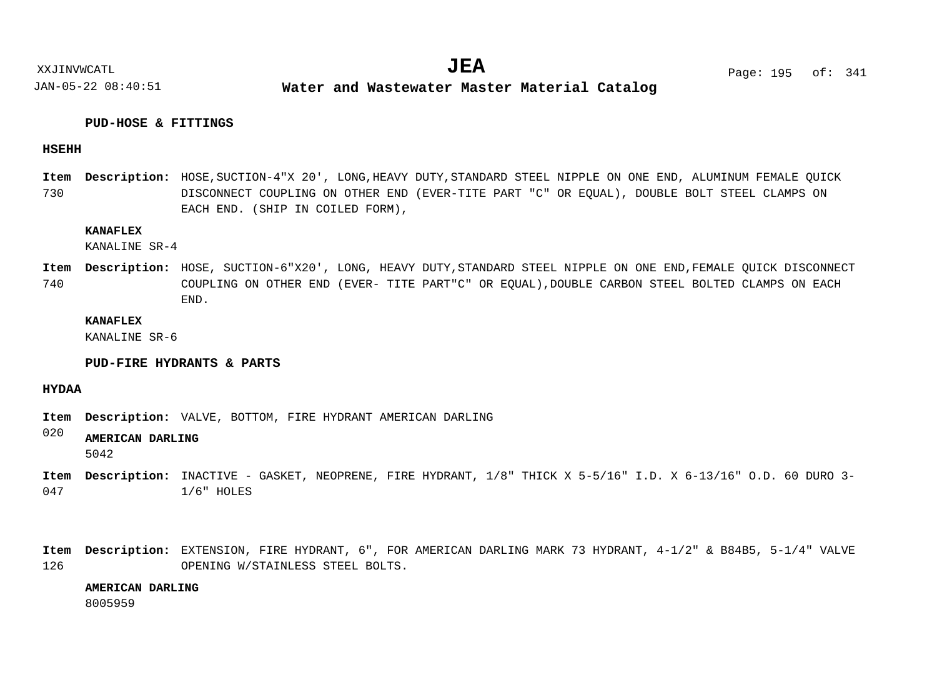#### **PUD-HOSE & FITTINGS**

#### **HSEHH**

730 Item Description: HOSE, SUCTION-4"X 20', LONG, HEAVY DUTY, STANDARD STEEL NIPPLE ON ONE END, ALUMINUM FEMALE QUICK DISCONNECT COUPLING ON OTHER END (EVER-TITE PART "C" OR EQUAL), DOUBLE BOLT STEEL CLAMPS ON EACH END. (SHIP IN COILED FORM),

#### **KANAFLEX**

KANALINE SR-4

740 Item Description: HOSE, SUCTION-6"X20', LONG, HEAVY DUTY,STANDARD STEEL NIPPLE ON ONE END,FEMALE QUICK DISCONNECT COUPLING ON OTHER END (EVER- TITE PART"C" OR EQUAL),DOUBLE CARBON STEEL BOLTED CLAMPS ON EACH END.

#### **KANAFLEX**

KANALINE SR-6

#### **PUD-FIRE HYDRANTS & PARTS**

#### **HYDAA**

Item Description: VALVE, BOTTOM, FIRE HYDRANT AMERICAN DARLING

#### 020 **AMERICAN DARLING**

5042

- 047 Item Description: INACTIVE - GASKET, NEOPRENE, FIRE HYDRANT,  $1/8$ " THICK X 5-5/16" I.D. X 6-13/16" O.D. 60 DURO 3-1/6" HOLES
- 126 Item Description: EXTENSION, FIRE HYDRANT, 6", FOR AMERICAN DARLING MARK 73 HYDRANT, 4-1/2" & B84B5, 5-1/4" VALVE OPENING W/STAINLESS STEEL BOLTS.

#### **AMERICAN DARLING**

8005959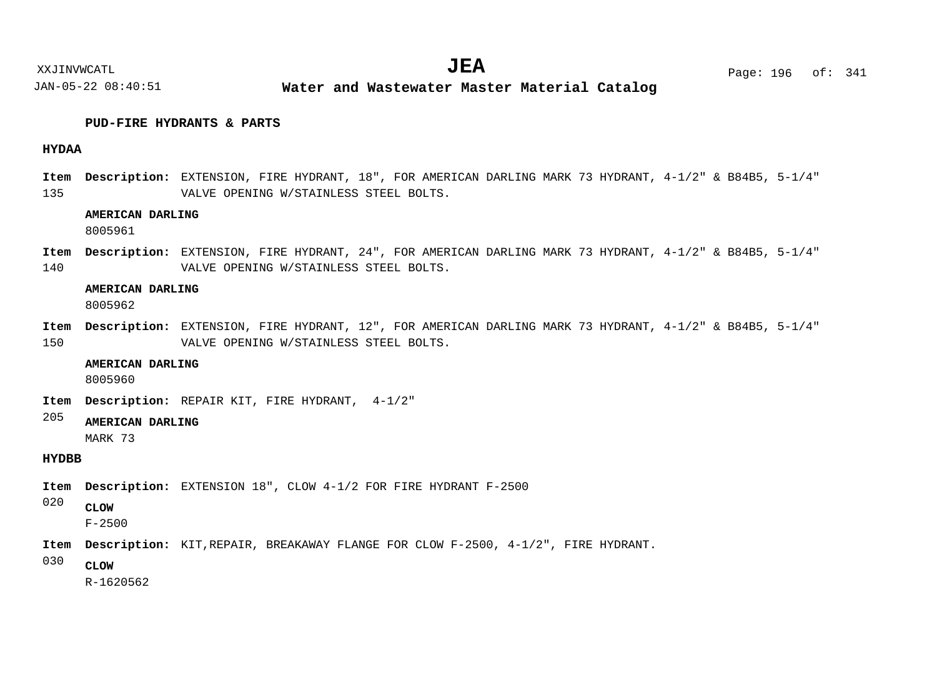XXJINVWCATL Page: 196 of: **JEA**<sup>341</sup>

JAN-05-22 08:40:51 **Water and Wastewater Master Material Catalog** 

#### **PUD-FIRE HYDRANTS & PARTS**

#### **HYDAA**

135 Item Description: EXTENSION, FIRE HYDRANT, 18", FOR AMERICAN DARLING MARK 73 HYDRANT, 4-1/2" & B84B5, 5-1/4" VALVE OPENING W/STAINLESS STEEL BOLTS.

#### **AMERICAN DARLING**

8005961

140 Item Description: EXTENSION, FIRE HYDRANT, 24", FOR AMERICAN DARLING MARK 73 HYDRANT, 4-1/2" & B84B5, 5-1/4" VALVE OPENING W/STAINLESS STEEL BOLTS.

#### **AMERICAN DARLING**

8005962

150 Item Description: EXTENSION, FIRE HYDRANT, 12", FOR AMERICAN DARLING MARK 73 HYDRANT, 4-1/2" & B84B5, 5-1/4" VALVE OPENING W/STAINLESS STEEL BOLTS.

#### **AMERICAN DARLING**

8005960

Item Description: REPAIR KIT, FIRE HYDRANT, 4-1/2"

#### 205 **AMERICAN DARLING**

MARK 73

#### **HYDBB**

Item Description: EXTENSION 18", CLOW 4-1/2 FOR FIRE HYDRANT F-2500

020 **CLOW**

F-2500

- Item Description: KIT, REPAIR, BREAKAWAY FLANGE FOR CLOW F-2500, 4-1/2", FIRE HYDRANT.
- 030 **CLOW**

R-1620562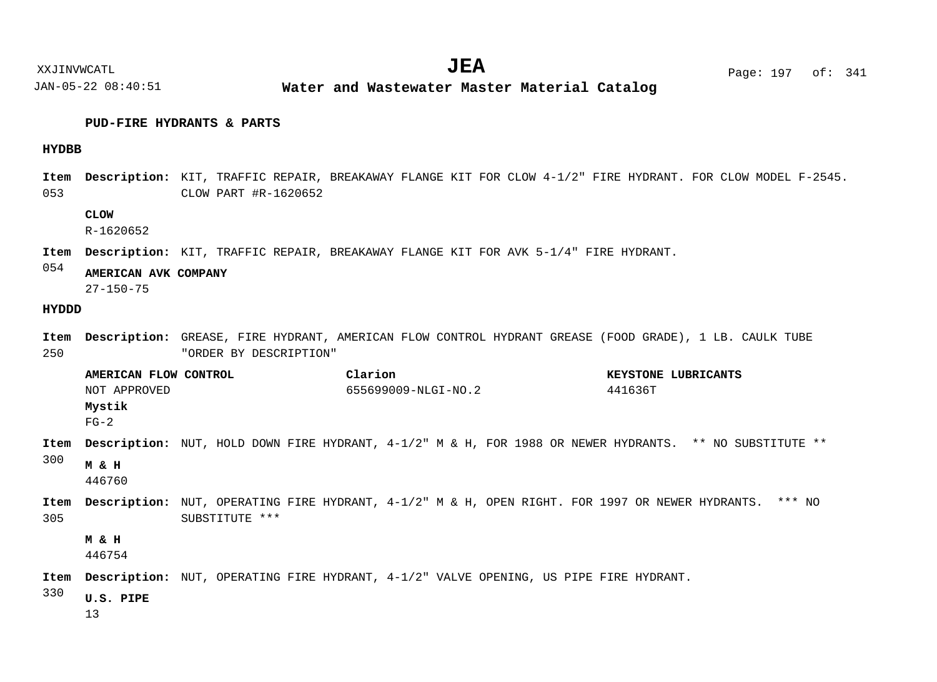$JEA$   $Page: 197 \text{ of}: 341$ 

XXJINVWCATL **EXALL** Page: 197 of:

JAN-05-22 08:40:51 **Water and Wastewater Master Material Catalog** 

#### **PUD-FIRE HYDRANTS & PARTS**

#### **HYDBB**

053 Item Description: KIT, TRAFFIC REPAIR, BREAKAWAY FLANGE KIT FOR CLOW 4-1/2" FIRE HYDRANT. FOR CLOW MODEL F-2545. CLOW PART #R-1620652

#### **CLOW**

R-1620652

Item Description: KIT, TRAFFIC REPAIR, BREAKAWAY FLANGE KIT FOR AVK 5-1/4" FIRE HYDRANT.

054 **AMERICAN AVK COMPANY**

27-150-75

#### **HYDDD**

- 250 Item Description: GREASE, FIRE HYDRANT, AMERICAN FLOW CONTROL HYDRANT GREASE (FOOD GRADE), 1 LB. CAULK TUBE "ORDER BY DESCRIPTION"
- 300 305 Item Description: NUT, HOLD DOWN FIRE HYDRANT,  $4-1/2$ " M & H, FOR 1988 OR NEWER HYDRANTS. \*\* NO SUBSTITUTE \*\* Item Description: NUT, OPERATING FIRE HYDRANT, 4-1/2" M & H, OPEN RIGHT. FOR 1997 OR NEWER HYDRANTS. \*\*\* NO SUBSTITUTE \*\*\* Item Description: NUT, OPERATING FIRE HYDRANT, 4-1/2" VALVE OPENING, US PIPE FIRE HYDRANT. **AMERICAN FLOW CONTROL Clarion KEYSTONE LUBRICANTS Mystik M & H M & H** NOT APPROVED 655699009-NLGI-NO.2 441636T  $FG-2$ 446760 446754
- 330 **U.S. PIPE**
	- 13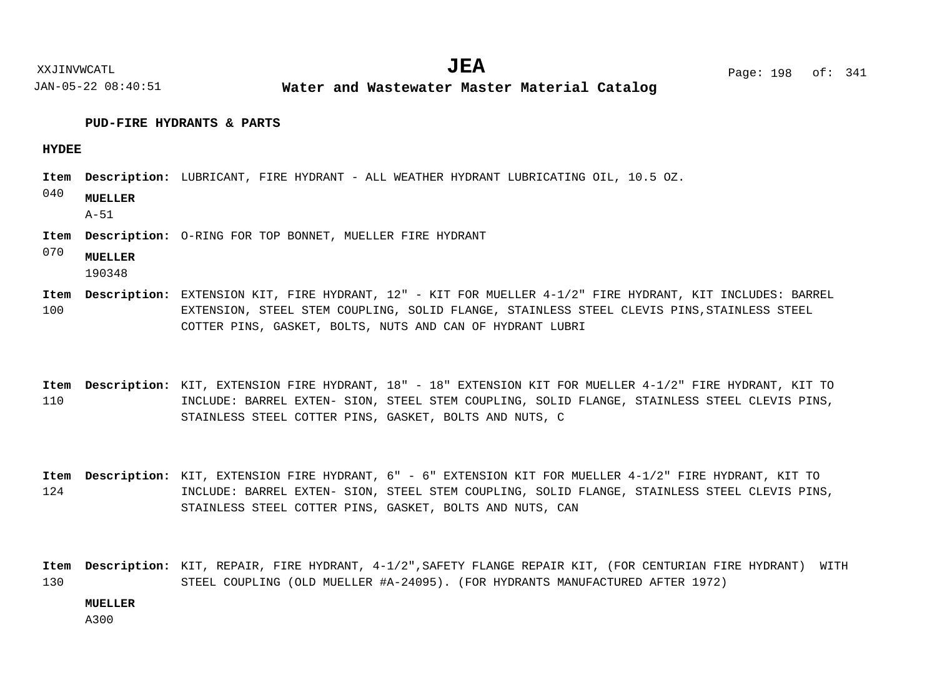**Water and Wastewater Master Material Catalog** 

#### **PUD-FIRE HYDRANTS & PARTS**

#### **HYDEE**

- Item Description: LUBRICANT, FIRE HYDRANT ALL WEATHER HYDRANT LUBRICATING OIL, 10.5 OZ.
- 040 **MUELLER**

A-51

- Item Description: O-RING FOR TOP BONNET, MUELLER FIRE HYDRANT
- 070 **MUELLER**

190348

- 100 Item Description: EXTENSION KIT, FIRE HYDRANT, 12" - KIT FOR MUELLER 4-1/2" FIRE HYDRANT, KIT INCLUDES: BARREL EXTENSION, STEEL STEM COUPLING, SOLID FLANGE, STAINLESS STEEL CLEVIS PINS,STAINLESS STEEL COTTER PINS, GASKET, BOLTS, NUTS AND CAN OF HYDRANT LUBRI
- 110 Item Description: KIT, EXTENSION FIRE HYDRANT, 18" - 18" EXTENSION KIT FOR MUELLER 4-1/2" FIRE HYDRANT, KIT TO INCLUDE: BARREL EXTEN- SION, STEEL STEM COUPLING, SOLID FLANGE, STAINLESS STEEL CLEVIS PINS, STAINLESS STEEL COTTER PINS, GASKET, BOLTS AND NUTS, C
- 124 Item Description: KIT, EXTENSION FIRE HYDRANT, 6" - 6" EXTENSION KIT FOR MUELLER 4-1/2" FIRE HYDRANT, KIT TO INCLUDE: BARREL EXTEN- SION, STEEL STEM COUPLING, SOLID FLANGE, STAINLESS STEEL CLEVIS PINS, STAINLESS STEEL COTTER PINS, GASKET, BOLTS AND NUTS, CAN

130 Item Description: KIT, REPAIR, FIRE HYDRANT, 4-1/2",SAFETY FLANGE REPAIR KIT, (FOR CENTURIAN FIRE HYDRANT) WITH STEEL COUPLING (OLD MUELLER #A-24095). (FOR HYDRANTS MANUFACTURED AFTER 1972)

#### **MUELLER**

A300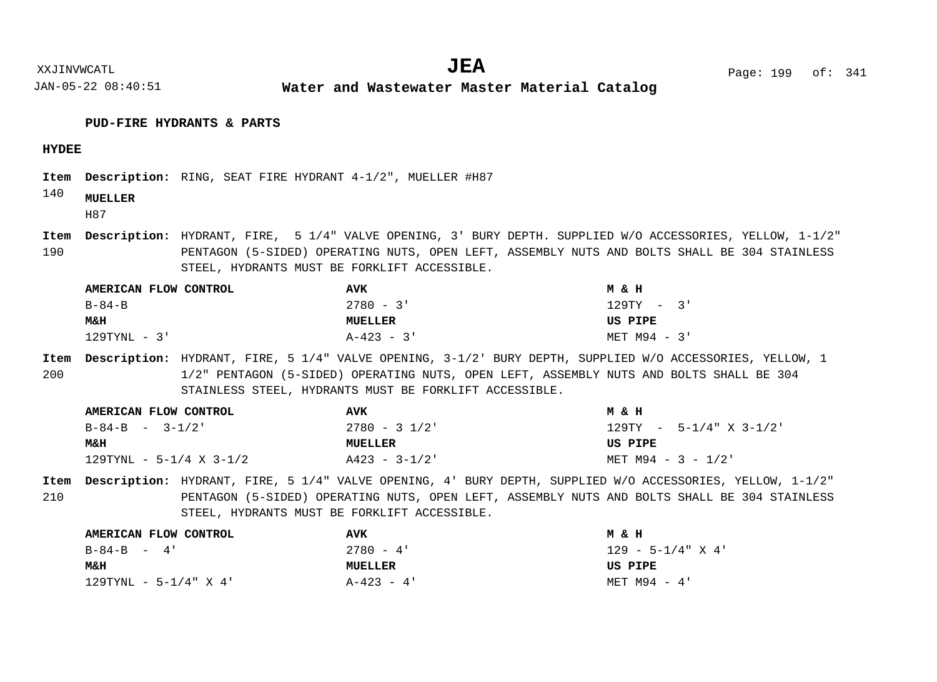XXJINVWCATL **EXALL** Page: 199 of:  $JEA$   $Page: 199 \text{ of}: 341$ 

JAN-05-22 08:40:51

**Water and Wastewater Master Material Catalog** 

#### **PUD-FIRE HYDRANTS & PARTS**

#### **HYDEE**

Item Description: RING, SEAT FIRE HYDRANT 4-1/2", MUELLER #H87

#### 140 **MUELLER**

H87

190 Item Description: HYDRANT, FIRE, 5 1/4" VALVE OPENING, 3' BURY DEPTH. SUPPLIED W/O ACCESSORIES, YELLOW, 1-1/2" PENTAGON (5-SIDED) OPERATING NUTS, OPEN LEFT, ASSEMBLY NUTS AND BOLTS SHALL BE 304 STAINLESS STEEL, HYDRANTS MUST BE FORKLIFT ACCESSIBLE.

| AMERICAN FLOW CONTROL | <b>AVK</b>     | ман            |
|-----------------------|----------------|----------------|
| $B - 84 - B$          | $2780 - 3$ '   | $129TY - 3'$   |
| <b>M&amp;H</b>        | <b>MUELLER</b> | US PIPE        |
| 129TYNL - 3'          | $A-423 - 3$    | $MET M94 - 3'$ |

200 Item Description: HYDRANT, FIRE, 5 1/4" VALVE OPENING, 3-1/2' BURY DEPTH, SUPPLIED W/O ACCESSORIES, YELLOW, 1 1/2" PENTAGON (5-SIDED) OPERATING NUTS, OPEN LEFT, ASSEMBLY NUTS AND BOLTS SHALL BE 304 STAINLESS STEEL, HYDRANTS MUST BE FORKLIFT ACCESSIBLE.

| AMERICAN FLOW CONTROL   | AVK           | MδH                        |
|-------------------------|---------------|----------------------------|
| $B - 84 - B$ $-$ 3-1/2' | $2780 - 31/2$ | $129$ TY - 5-1/4" X 3-1/2" |
| M&H                     | MUELLER       | US PIPE                    |
|                         |               |                            |

210 Item Description: HYDRANT, FIRE, 5 1/4" VALVE OPENING, 4' BURY DEPTH, SUPPLIED W/O ACCESSORIES, YELLOW, 1-1/2" PENTAGON (5-SIDED) OPERATING NUTS, OPEN LEFT, ASSEMBLY NUTS AND BOLTS SHALL BE 304 STAINLESS STEEL, HYDRANTS MUST BE FORKLIFT ACCESSIBLE.

| AMERICAN FLOW CONTROL    | <b>AVK</b>     | MδH                    |
|--------------------------|----------------|------------------------|
| $B - 84 - B = 4'$        | $2780 - 4$ '   | $129 - 5 - 1/4$ " X 4' |
| <b>M&amp;H</b>           | <b>MUELLER</b> | US PIPE                |
| $129$ TYNL - 5-1/4" X 4' | $A-423 - 4$    | MET M94 - 4'           |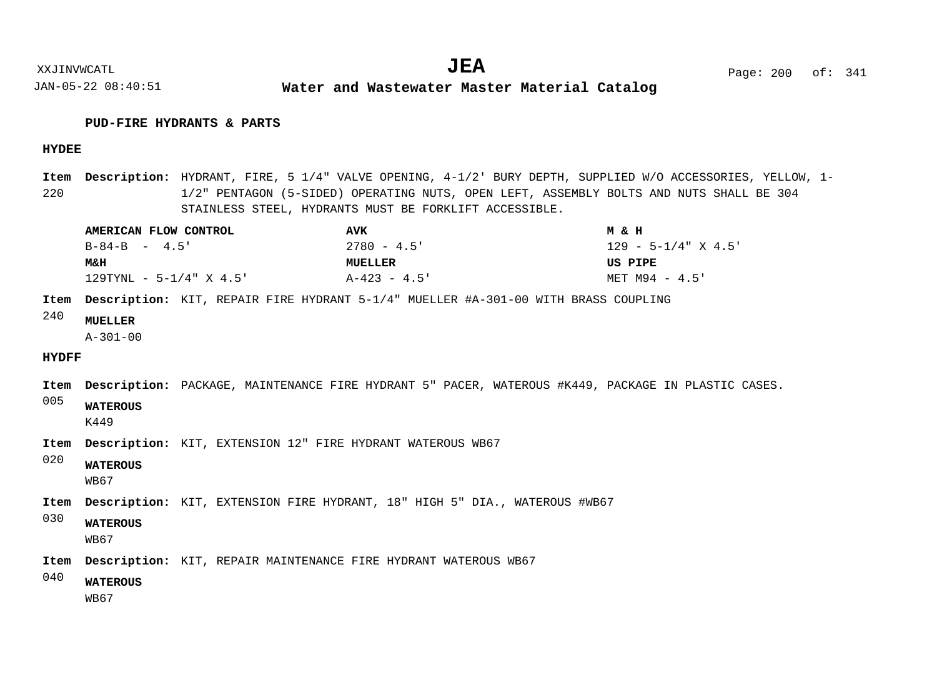**Water and Wastewater Master Material Catalog** 

#### **PUD-FIRE HYDRANTS & PARTS**

JAN-05-22 08:40:51

#### **HYDEE**

220 Item Description: HYDRANT, FIRE, 5 1/4" VALVE OPENING, 4-1/2' BURY DEPTH, SUPPLIED W/O ACCESSORIES, YELLOW, 1-1/2" PENTAGON (5-SIDED) OPERATING NUTS, OPEN LEFT, ASSEMBLY BOLTS AND NUTS SHALL BE 304 STAINLESS STEEL, HYDRANTS MUST BE FORKLIFT ACCESSIBLE.

| AMERICAN FLOW CONTROL      | AVK            | MδH                    |
|----------------------------|----------------|------------------------|
| $B - 84 - B$ $-$ 4.5'      | $2780 - 4.5$ ' | $129 - 5 - 1/4$ X 4.5' |
| <b>M&amp;H</b>             | <b>MUELLER</b> | US PIPE                |
| $129$ TYNL - 5-1/4" X 4.5' | $A-423 - 4.5$  | MET M94 - 4.5'         |

Item Description: KIT, REPAIR FIRE HYDRANT 5-1/4" MUELLER #A-301-00 WITH BRASS COUPLING

#### 240 **MUELLER**

A-301-00

#### **HYDFF**

Item Description: PACKAGE, MAINTENANCE FIRE HYDRANT 5" PACER, WATEROUS #K449, PACKAGE IN PLASTIC CASES.

005 **WATEROUS**

K449

- Item Description: KIT, EXTENSION 12" FIRE HYDRANT WATEROUS WB67
- 020 **WATEROUS**

WB67

- Item Description: KIT, EXTENSION FIRE HYDRANT, 18" HIGH 5" DIA., WATEROUS #WB67
- 030 **WATEROUS**
	- WB67
- Item Description: KIT, REPAIR MAINTENANCE FIRE HYDRANT WATEROUS WB67
- 040 **WATEROUS**
	- WB67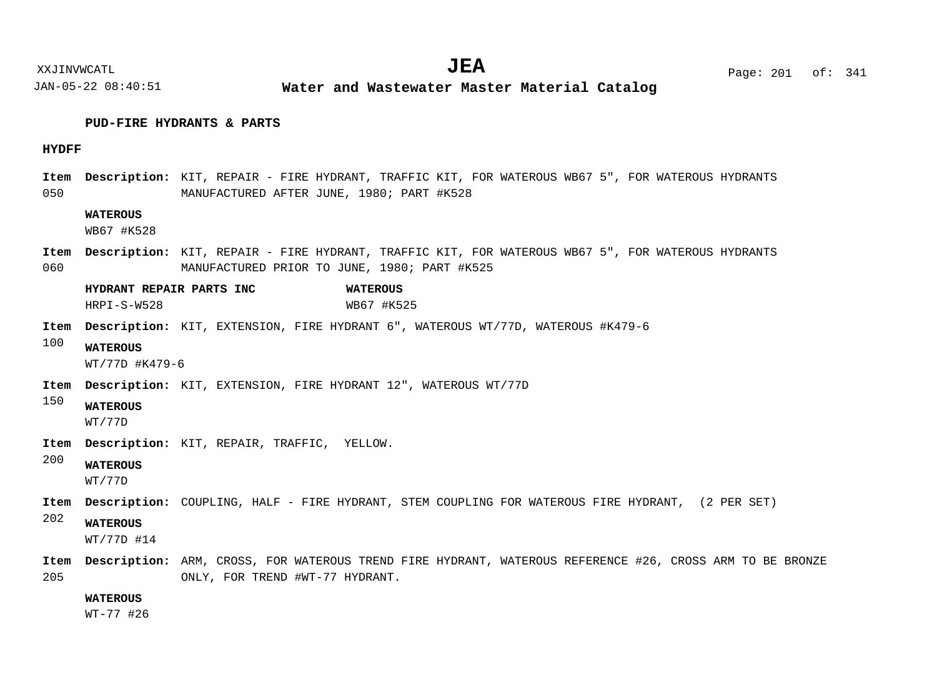#### **PUD-FIRE HYDRANTS & PARTS**

#### **HYDFF**

050 Item Description: KIT, REPAIR - FIRE HYDRANT, TRAFFIC KIT, FOR WATEROUS WB67 5", FOR WATEROUS HYDRANTS MANUFACTURED AFTER JUNE, 1980; PART #K528

#### **WATEROUS**

WB67 #K528

060 Item Description: KIT, REPAIR - FIRE HYDRANT, TRAFFIC KIT, FOR WATEROUS WB67 5", FOR WATEROUS HYDRANTS MANUFACTURED PRIOR TO JUNE, 1980; PART #K525

**HYDRANT REPAIR PARTS INC WATEROUS** HRPI-S-W528 WB67 #K525

- Item Description: KIT, EXTENSION, FIRE HYDRANT 6", WATEROUS WT/77D, WATEROUS #K479-6
- 100 **WATEROUS**

WT/77D #K479-6

- Item Description: KIT, EXTENSION, FIRE HYDRANT 12", WATEROUS WT/77D
- 150 **WATEROUS**

WT/77D

- Item Description: KIT, REPAIR, TRAFFIC, YELLOW.
- 200 **WATEROUS**

WT/77D

- Item Description: COUPLING, HALF FIRE HYDRANT, STEM COUPLING FOR WATEROUS FIRE HYDRANT, (2 PER SET)
- 202 **WATEROUS**

WT/77D #14

205 Item Description: ARM, CROSS, FOR WATEROUS TREND FIRE HYDRANT, WATEROUS REFERENCE #26, CROSS ARM TO BE BRONZE ONLY, FOR TREND #WT-77 HYDRANT.

#### **WATEROUS**

WT-77 #26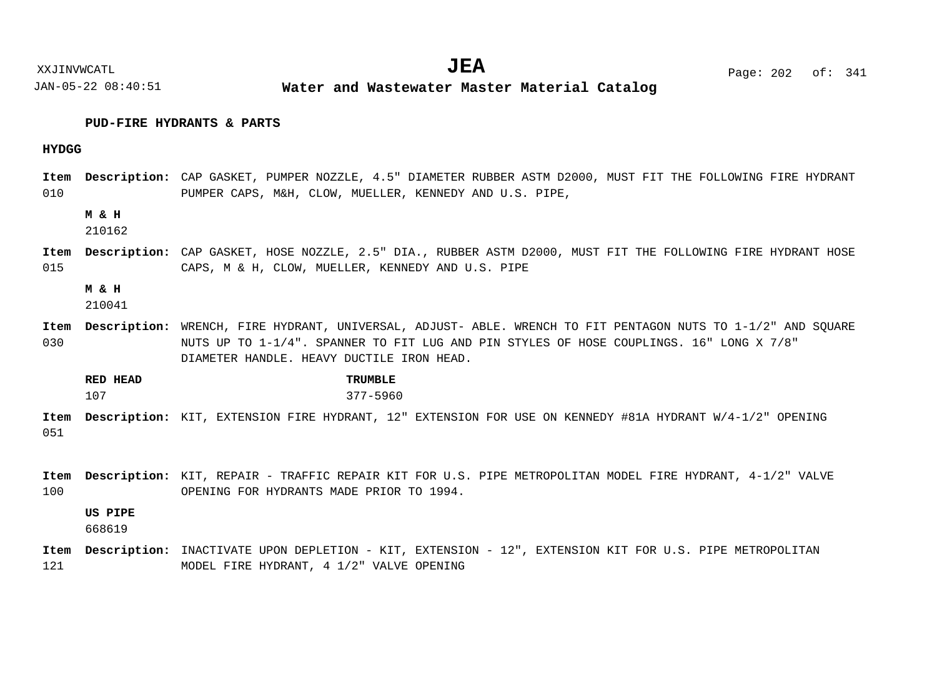XXJINVWCATL **EXALL** Page: 202 of:  $JEA$   $Page: 202 \text{ of}: 341$ 

JAN-05-22 08:40:51 **Water and Wastewater Master Material Catalog** 

#### **PUD-FIRE HYDRANTS & PARTS**

#### **HYDGG**

010 Item Description: CAP GASKET, PUMPER NOZZLE, 4.5" DIAMETER RUBBER ASTM D2000, MUST FIT THE FOLLOWING FIRE HYDRANT PUMPER CAPS, M&H, CLOW, MUELLER, KENNEDY AND U.S. PIPE,

#### **M & H**

210162

015 Item Description: CAP GASKET, HOSE NOZZLE, 2.5" DIA., RUBBER ASTM D2000, MUST FIT THE FOLLOWING FIRE HYDRANT HOSE CAPS, M & H, CLOW, MUELLER, KENNEDY AND U.S. PIPE

**M & H**

210041

030 Item Description: WRENCH, FIRE HYDRANT, UNIVERSAL, ADJUST- ABLE. WRENCH TO FIT PENTAGON NUTS TO 1-1/2" AND SQUARE NUTS UP TO 1-1/4". SPANNER TO FIT LUG AND PIN STYLES OF HOSE COUPLINGS. 16" LONG X 7/8" DIAMETER HANDLE. HEAVY DUCTILE IRON HEAD.

**RED HEAD TRUMBLE** 107 377-5960

051 Item Description: KIT, EXTENSION FIRE HYDRANT, 12" EXTENSION FOR USE ON KENNEDY #81A HYDRANT W/4-1/2" OPENING

100 Item Description: KIT, REPAIR - TRAFFIC REPAIR KIT FOR U.S. PIPE METROPOLITAN MODEL FIRE HYDRANT, 4-1/2" VALVE OPENING FOR HYDRANTS MADE PRIOR TO 1994.

#### **US PIPE**

668619

121 Item Description: INACTIVATE UPON DEPLETION - KIT, EXTENSION - 12", EXTENSION KIT FOR U.S. PIPE METROPOLITAN MODEL FIRE HYDRANT, 4 1/2" VALVE OPENING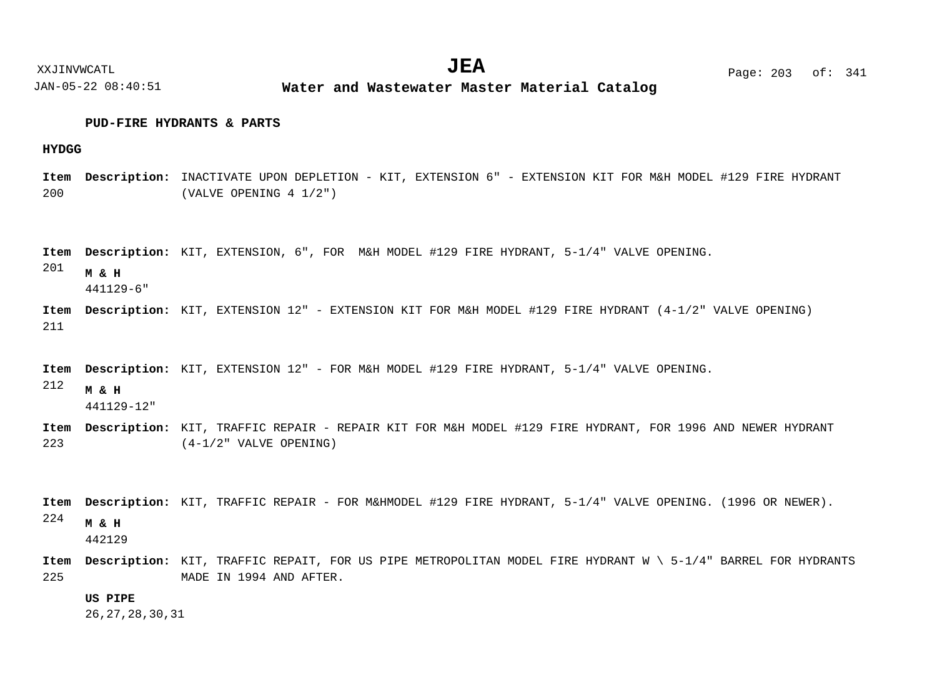#### **PUD-FIRE HYDRANTS & PARTS**

#### **HYDGG**

200 Item Description: INACTIVATE UPON DEPLETION - KIT, EXTENSION 6" - EXTENSION KIT FOR M&H MODEL #129 FIRE HYDRANT (VALVE OPENING 4 1/2")

Item Description: KIT, EXTENSION, 6", FOR M&H MODEL #129 FIRE HYDRANT, 5-1/4" VALVE OPENING.

201 **M & H**

441129-6"

211 Item Description: KIT, EXTENSION 12" - EXTENSION KIT FOR M&H MODEL #129 FIRE HYDRANT (4-1/2" VALVE OPENING)

Item Description: KIT, EXTENSION 12" - FOR M&H MODEL #129 FIRE HYDRANT, 5-1/4" VALVE OPENING.

212 **M & H**

441129-12"

223 Item Description: KIT, TRAFFIC REPAIR - REPAIR KIT FOR M&H MODEL #129 FIRE HYDRANT, FOR 1996 AND NEWER HYDRANT (4-1/2" VALVE OPENING)

```
224
Item Description: KIT, TRAFFIC REPAIR - FOR M&HMODEL #129 FIRE HYDRANT, 5-1/4" VALVE OPENING. (1996 OR NEWER).
<code>Item Description: KIT</code>, TRAFFIC REPAIT, FOR US PIPE METROPOLITAN MODEL FIRE HYDRANT W \ 5-1/4" BARREL FOR HYDRANTS
      M & H
      442129
```
225

#### **US PIPE**

26,27,28,30,31

MADE IN 1994 AND AFTER.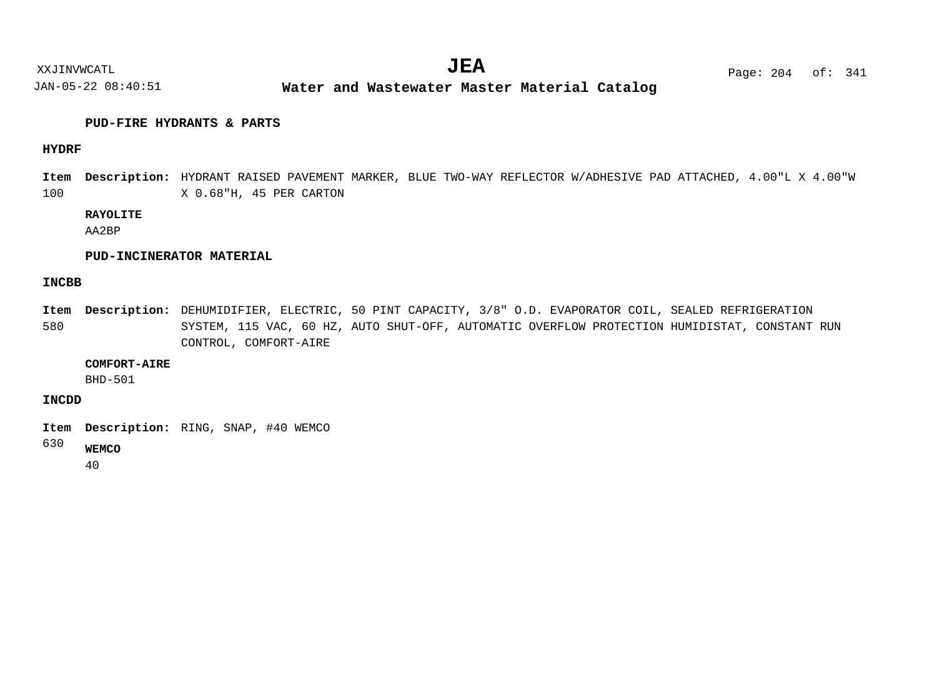**Water and Wastewater Master Material Catalog** 

#### **PUD-FIRE HYDRANTS & PARTS**

#### **HYDRF**

100 HYDRANT RAISED PAVEMENT MARKER, BLUE TWO-WAY REFLECTOR W/ADHESIVE PAD ATTACHED, 4.00"L X 4.00"W **Description: Item** X 0.68"H, 45 PER CARTON

#### **RAYOLITE**

AA2BP

#### **PUD-INCINERATOR MATERIAL**

#### **INCBB**

580 Item Description: DEHUMIDIFIER, ELECTRIC, 50 PINT CAPACITY, 3/8" O.D. EVAPORATOR COIL, SEALED REFRIGERATION SYSTEM, 115 VAC, 60 HZ, AUTO SHUT-OFF, AUTOMATIC OVERFLOW PROTECTION HUMIDISTAT, CONSTANT RUN CONTROL, COMFORT-AIRE

#### **COMFORT-AIRE**

BHD-501

**INCDD**

Item Description: RING, SNAP, #40 WEMCO

630 **WEMCO**

40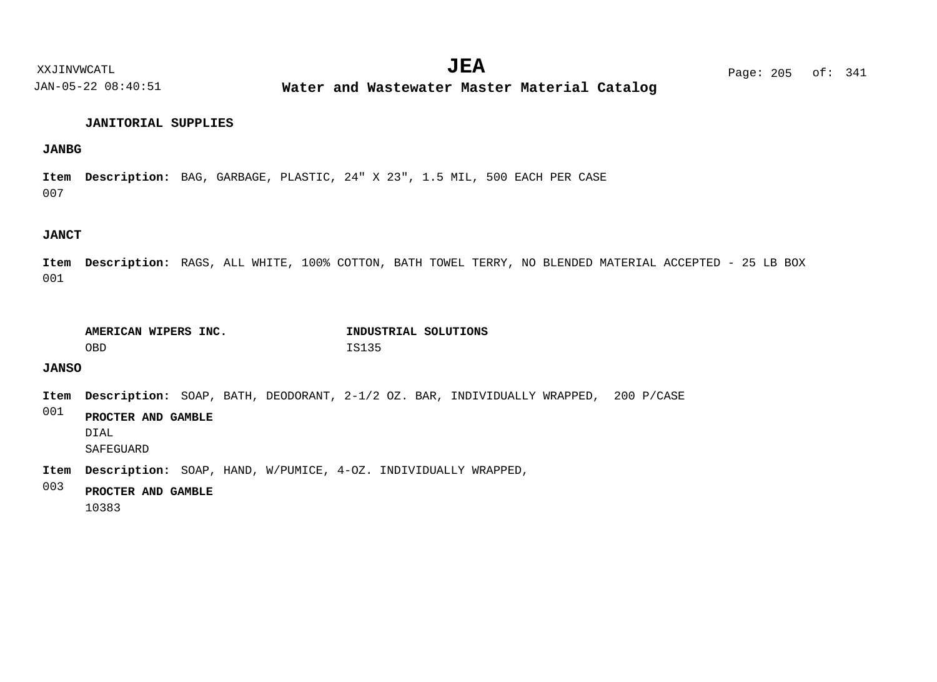**Water and Wastewater Master Material Catalog** 

#### **JANITORIAL SUPPLIES**

#### **JANBG**

007 Item Description: BAG, GARBAGE, PLASTIC, 24" X 23", 1.5 MIL, 500 EACH PER CASE

#### **JANCT**

001 Item Description: RAGS, ALL WHITE, 100% COTTON, BATH TOWEL TERRY, NO BLENDED MATERIAL ACCEPTED - 25 LB BOX

| AMERICAN WIPERS INC. | INDUSTRIAL SOLUTIONS |
|----------------------|----------------------|
| OBD                  | IS135                |

### **JANSO**

Item Description: SOAP, BATH, DEODORANT, 2-1/2 OZ. BAR, INDIVIDUALLY WRAPPED, 200 P/CASE

001 **PROCTER AND GAMBLE**

DIAL

SAFEGUARD

Item Description: SOAP, HAND, W/PUMICE, 4-0Z. INDIVIDUALLY WRAPPED,

#### 003 **PROCTER AND GAMBLE**

10383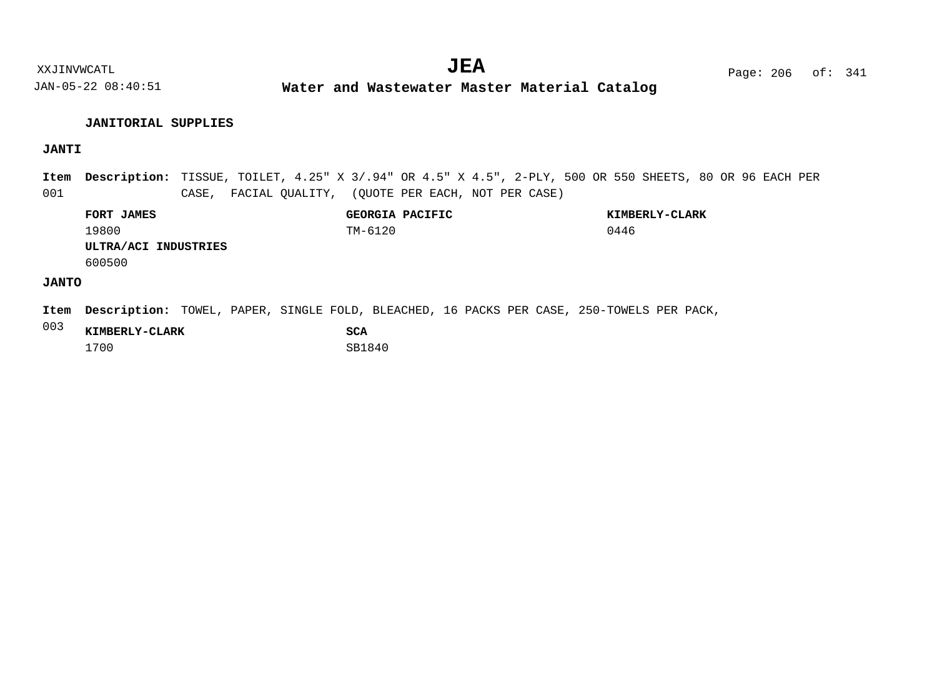**Water and Wastewater Master Material Catalog** 

#### **JANITORIAL SUPPLIES**

# **JANTI**

001 Item Description: TISSUE, TOILET, 4.25" X 3/.94" OR 4.5" X 4.5", 2-PLY, 500 OR 550 SHEETS, 80 OR 96 EACH PER CASE, FACIAL QUALITY, (QUOTE PER EACH, NOT PER CASE)

|              | <b>FORT JAMES</b>    | GEORGIA PACIFIC | KIMBERLY-CLARK |
|--------------|----------------------|-----------------|----------------|
|              | 19800                | TM-6120         | 0446           |
|              | ULTRA/ACI INDUSTRIES |                 |                |
|              | 600500               |                 |                |
| <b>JANTO</b> |                      |                 |                |
|              |                      |                 |                |

Item Description: TOWEL, PAPER, SINGLE FOLD, BLEACHED, 16 PACKS PER CASE, 250-TOWELS PER PACK,

| 003 | KIMBERLY-CLARK | SCA    |
|-----|----------------|--------|
|     | 1700           | SB1840 |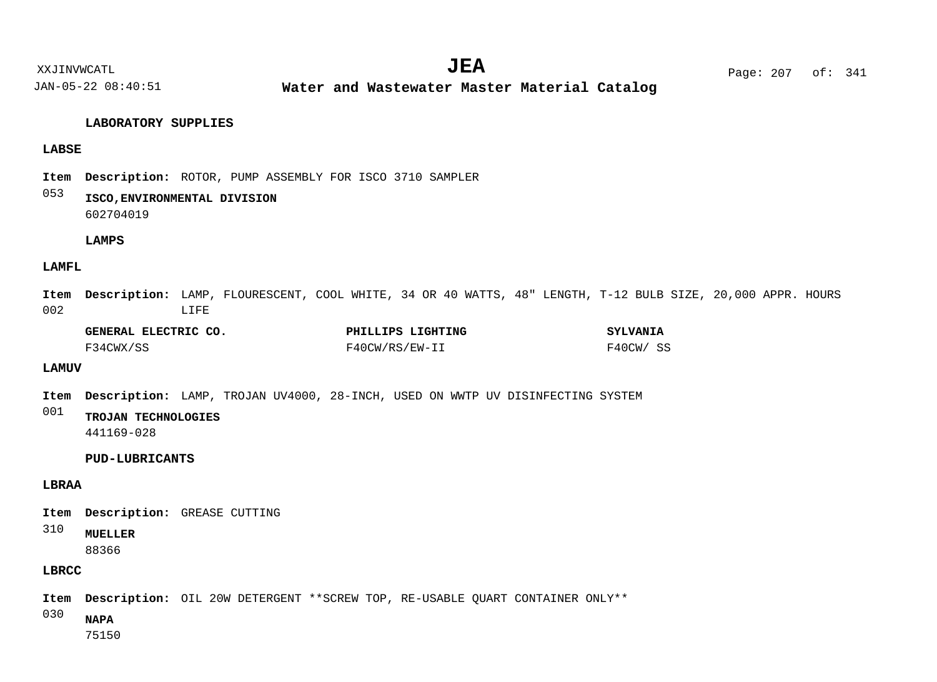**Water and Wastewater Master Material Catalog** 

#### **LABORATORY SUPPLIES**

#### **LABSE**

Item Description: ROTOR, PUMP ASSEMBLY FOR ISCO 3710 SAMPLER

#### 053 **ISCO,ENVIRONMENTAL DIVISION**

602704019

#### **LAMPS**

#### **LAMFL**

002 Item Description: LAMP, FLOURESCENT, COOL WHITE, 34 OR 40 WATTS, 48" LENGTH, T-12 BULB SIZE, 20,000 APPR. HOURS LIFE

| GENERAL ELECTRIC CO. | PHILLIPS LIGHTING | <b>SYLVANIA</b> |
|----------------------|-------------------|-----------------|
| F34CWX/SS            | F40CW/RS/EW-II    | F40CW/ SS       |

#### **LAMUV**

Item Description: LAMP, TROJAN UV4000, 28-INCH, USED ON WWTP UV DISINFECTING SYSTEM

```
001
      TROJAN TECHNOLOGIES
      441169-028
```
**PUD-LUBRICANTS**

#### **LBRAA**

Item Description: GREASE CUTTING

310 **MUELLER**

88366

# **LBRCC**

Item Description: OIL 20W DETERGENT \*\*SCREW TOP, RE-USABLE QUART CONTAINER ONLY\*\*

030 **NAPA**

75150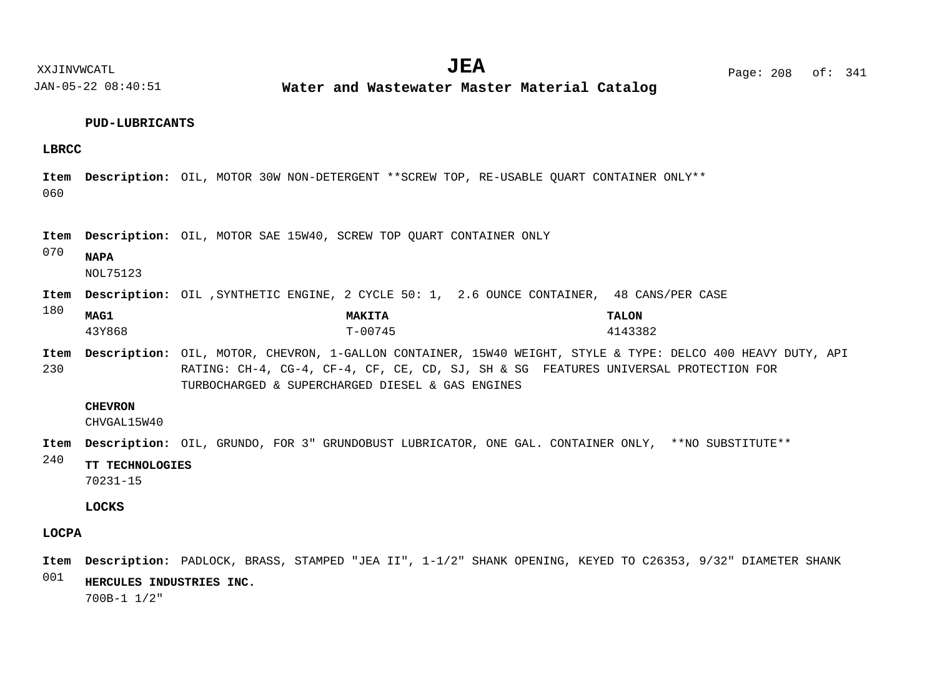**Water and Wastewater Master Material Catalog** 

#### **PUD-LUBRICANTS**

#### **LBRCC**

060 Item Description: OIL, MOTOR 30W NON-DETERGENT \*\*SCREW TOP, RE-USABLE QUART CONTAINER ONLY\*\*

Item Description: OIL, MOTOR SAE 15W40, SCREW TOP QUART CONTAINER ONLY

070 **NAPA**

NOL75123

Item Description: OIL , SYNTHETIC ENGINE, 2 CYCLE 50: 1, 2.6 OUNCE CONTAINER, 48 CANS/PER CASE

| 180 | MAG1   | <b>MAKITA</b> | <b>TALON</b> |
|-----|--------|---------------|--------------|
|     | 43Y868 | $T - 00745$   | 4143382      |

230 Item Description: OIL, MOTOR, CHEVRON, 1-GALLON CONTAINER, 15W40 WEIGHT, STYLE & TYPE: DELCO 400 HEAVY DUTY, API RATING: CH-4, CG-4, CF-4, CF, CE, CD, SJ, SH & SG FEATURES UNIVERSAL PROTECTION FOR TURBOCHARGED & SUPERCHARGED DIESEL & GAS ENGINES

#### **CHEVRON**

CHVGAL15W40

Item Description: OIL, GRUNDO, FOR 3" GRUNDOBUST LUBRICATOR, ONE GAL. CONTAINER ONLY, \*\*NO SUBSTITUTE\*\*

240 **TT TECHNOLOGIES**

70231-15

#### **LOCKS**

#### **LOCPA**

001 Item Description: PADLOCK, BRASS, STAMPED "JEA II", 1-1/2" SHANK OPENING, KEYED TO C26353, 9/32" DIAMETER SHANK **HERCULES INDUSTRIES INC.**

700B-1 1/2"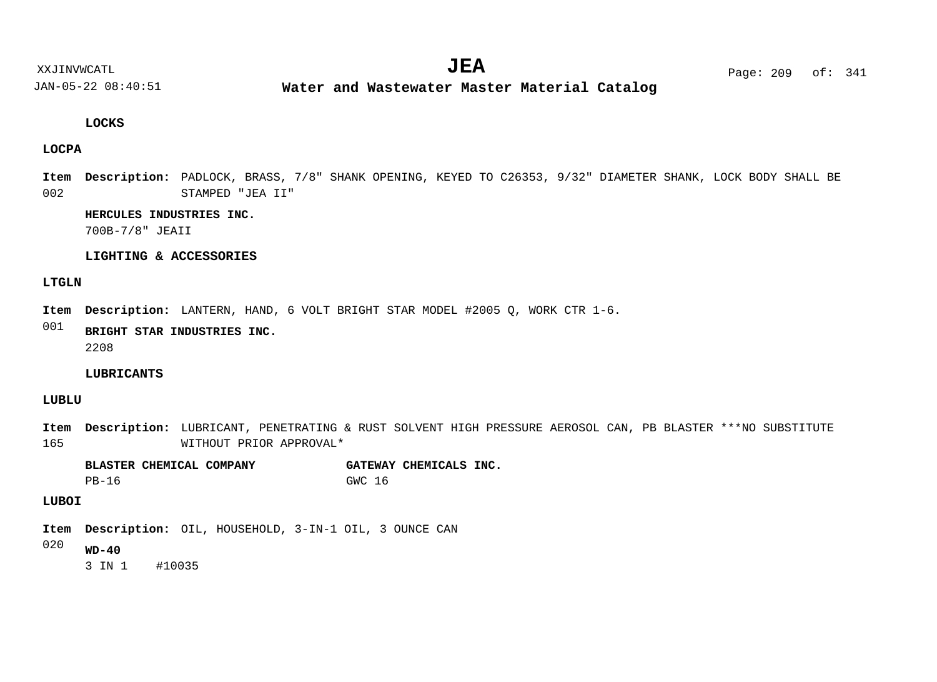**Water and Wastewater Master Material Catalog** 

#### **LOCKS**

#### **LOCPA**

002 Item Description: PADLOCK, BRASS, 7/8" SHANK OPENING, KEYED TO C26353, 9/32" DIAMETER SHANK, LOCK BODY SHALL BE STAMPED "JEA II"

#### **HERCULES INDUSTRIES INC.**

700B-7/8" JEAII

#### **LIGHTING & ACCESSORIES**

#### **LTGLN**

Item Description: LANTERN, HAND, 6 VOLT BRIGHT STAR MODEL #2005 Q, WORK CTR 1-6.

#### 001 **BRIGHT STAR INDUSTRIES INC.**

2208

#### **LUBRICANTS**

#### **LUBLU**

165 Item Description: LUBRICANT, PENETRATING & RUST SOLVENT HIGH PRESSURE AEROSOL CAN, PB BLASTER \*\*\*NO SUBSTITUTE WITHOUT PRIOR APPROVAL\*

**BLASTER CHEMICAL COMPANY GATEWAY CHEMICALS INC.** PB-16 GWC 16

#### **LUBOI**

Item Description: OIL, HOUSEHOLD, 3-IN-1 OIL, 3 OUNCE CAN

#### 020 **WD-40**

3 IN 1 #10035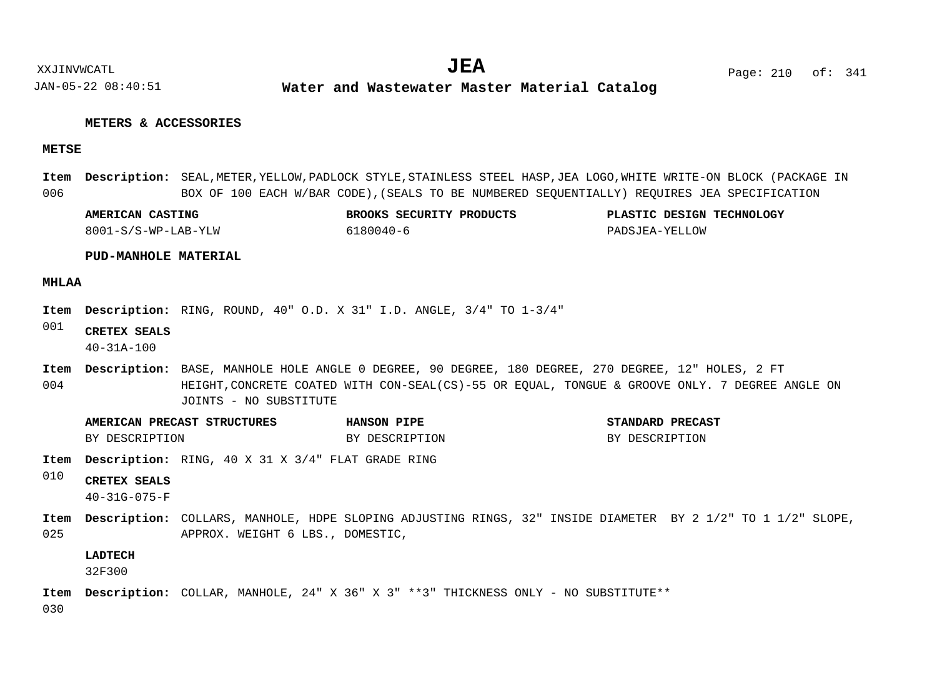#### **METERS & ACCESSORIES**

#### **METSE**

006 Item Description: SEAL,METER,YELLOW,PADLOCK STYLE,STAINLESS STEEL HASP,JEA LOGO,WHITE WRITE-ON BLOCK (PACKAGE IN BOX OF 100 EACH W/BAR CODE),(SEALS TO BE NUMBERED SEQUENTIALLY) REQUIRES JEA SPECIFICATION

| AMERICAN CASTING      | <b>SECURITY</b><br>ROOKS<br>∘ידי∩זזת∩פפ | <b>TECHNOLOGY</b><br><b>DESIGN</b><br>דרד<br>ASTIC. |
|-----------------------|-----------------------------------------|-----------------------------------------------------|
| $S-WD-$<br>⊥W<br>$ -$ | ∼ >≺                                    | "∩M<br>$\cdot$ $\sim$                               |

#### **PUD-MANHOLE MATERIAL**

#### **MHLAA**

Item Description: RING, ROUND, 40" O.D. X 31" I.D. ANGLE, 3/4" TO 1-3/4"

001 **CRETEX SEALS**

40-31A-100

- 004 Item Description: BASE, MANHOLE HOLE ANGLE 0 DEGREE, 90 DEGREE, 180 DEGREE, 270 DEGREE, 12" HOLES, 2 FT HEIGHT,CONCRETE COATED WITH CON-SEAL(CS)-55 OR EQUAL, TONGUE & GROOVE ONLY. 7 DEGREE ANGLE ON JOINTS - NO SUBSTITUTE
	- **AMERICAN PRECAST STRUCTURES HANSON PIPE STANDARD PRECAST** BY DESCRIPTION BY DESCRIPTION BY DESCRIPTION BY DESCRIPTION
- Item Description: RING, 40 X 31 X 3/4" FLAT GRADE RING
- 010 **CRETEX SEALS**
	- 40-31G-075-F
- 025 Item Description: COLLARS, MANHOLE, HDPE SLOPING ADJUSTING RINGS, 32" INSIDE DIAMETER BY 2 1/2" TO 1 1/2" SLOPE, APPROX. WEIGHT 6 LBS., DOMESTIC,

#### **LADTECH**

32F300

COLLAR, MANHOLE, 24" X 36" X 3" \*\*3" THICKNESS ONLY - NO SUBSTITUTE\*\* **Description: Item**

030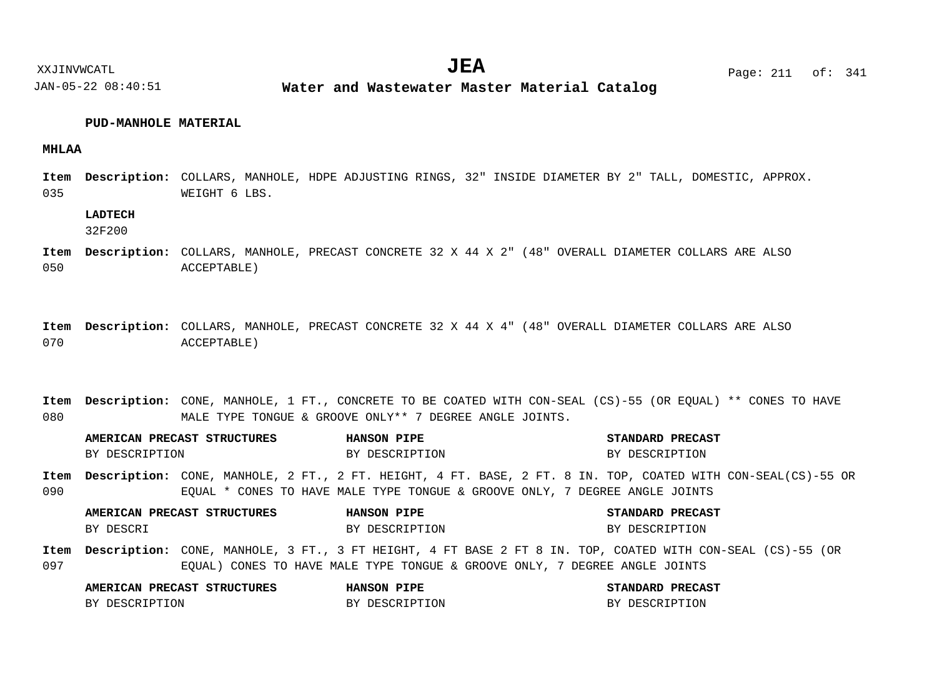#### **PUD-MANHOLE MATERIAL**

#### **MHLAA**

035 Item Description: COLLARS, MANHOLE, HDPE ADJUSTING RINGS, 32" INSIDE DIAMETER BY 2" TALL, DOMESTIC, APPROX. WEIGHT 6 LBS.

#### **LADTECH**

32F200

- 050 COLLARS, MANHOLE, PRECAST CONCRETE 32 X 44 X 2" (48" OVERALL DIAMETER COLLARS ARE ALSO **Description: Item** ACCEPTABLE)
- 070 COLLARS, MANHOLE, PRECAST CONCRETE 32 X 44 X 4" (48" OVERALL DIAMETER COLLARS ARE ALSO **Description: Item** ACCEPTABLE)
- 080 Item Description: CONE, MANHOLE, 1 FT., CONCRETE TO BE COATED WITH CON-SEAL (CS)-55 (OR EQUAL) \*\* CONES TO HAVE MALE TYPE TONGUE & GROOVE ONLY\*\* 7 DEGREE ANGLE JOINTS.

090 097 Item Description: CONE, MANHOLE, 2 FT., 2 FT. HEIGHT, 4 FT. BASE, 2 FT. 8 IN. TOP, COATED WITH CON-SEAL(CS)-55 OR EQUAL \* CONES TO HAVE MALE TYPE TONGUE & GROOVE ONLY, 7 DEGREE ANGLE JOINTS Item Description: CONE, MANHOLE, 3 FT., 3 FT HEIGHT, 4 FT BASE 2 FT 8 IN. TOP, COATED WITH CON-SEAL (CS)-55 (OR EQUAL) CONES TO HAVE MALE TYPE TONGUE & GROOVE ONLY, 7 DEGREE ANGLE JOINTS **AMERICAN PRECAST STRUCTURES HANSON PIPE STANDARD PRECAST AMERICAN PRECAST STRUCTURES HANSON PIPE STANDARD PRECAST AMERICAN PRECAST STRUCTURES HANSON PIPE STANDARD PRECAST** BY DESCRIPTION BY DESCRIPTION BY DESCRIPTION BY DESCRIPTION BY DESCRI BY DESCRIPTION BY DESCRIPTION BY DESCRIPTION

| ______         |                   |                |
|----------------|-------------------|----------------|
| BY DESCRIPTION | DESCRIPTION<br>DV | BY DESCRIPTION |

# XXJINVWCATL Page: 211 of: **JEA**<sup>341</sup>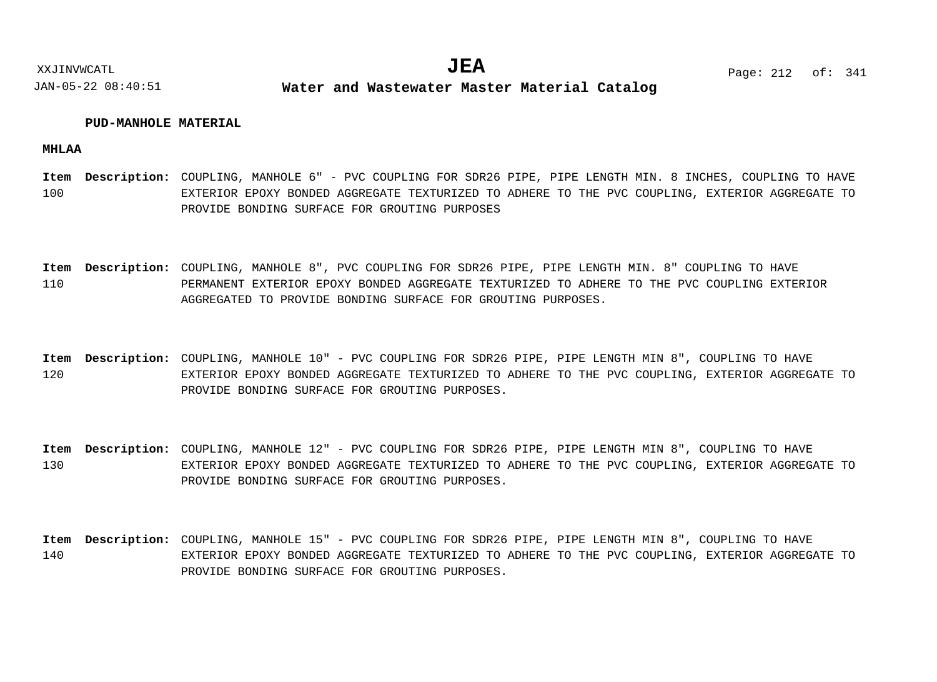#### **PUD-MANHOLE MATERIAL**

**MHLAA**

100 Item Description: COUPLING, MANHOLE 6" - PVC COUPLING FOR SDR26 PIPE, PIPE LENGTH MIN. 8 INCHES, COUPLING TO HAVE EXTERIOR EPOXY BONDED AGGREGATE TEXTURIZED TO ADHERE TO THE PVC COUPLING, EXTERIOR AGGREGATE TO PROVIDE BONDING SURFACE FOR GROUTING PURPOSES

110 Item Description: COUPLING, MANHOLE 8", PVC COUPLING FOR SDR26 PIPE, PIPE LENGTH MIN. 8" COUPLING TO HAVE PERMANENT EXTERIOR EPOXY BONDED AGGREGATE TEXTURIZED TO ADHERE TO THE PVC COUPLING EXTERIOR AGGREGATED TO PROVIDE BONDING SURFACE FOR GROUTING PURPOSES.

120 Item Description: COUPLING, MANHOLE 10" - PVC COUPLING FOR SDR26 PIPE, PIPE LENGTH MIN 8", COUPLING TO HAVE EXTERIOR EPOXY BONDED AGGREGATE TEXTURIZED TO ADHERE TO THE PVC COUPLING, EXTERIOR AGGREGATE TO PROVIDE BONDING SURFACE FOR GROUTING PURPOSES.

130 Item Description: COUPLING, MANHOLE 12" - PVC COUPLING FOR SDR26 PIPE, PIPE LENGTH MIN 8", COUPLING TO HAVE EXTERIOR EPOXY BONDED AGGREGATE TEXTURIZED TO ADHERE TO THE PVC COUPLING, EXTERIOR AGGREGATE TO PROVIDE BONDING SURFACE FOR GROUTING PURPOSES.

140 Item Description: COUPLING, MANHOLE 15" - PVC COUPLING FOR SDR26 PIPE, PIPE LENGTH MIN 8", COUPLING TO HAVE EXTERIOR EPOXY BONDED AGGREGATE TEXTURIZED TO ADHERE TO THE PVC COUPLING, EXTERIOR AGGREGATE TO PROVIDE BONDING SURFACE FOR GROUTING PURPOSES.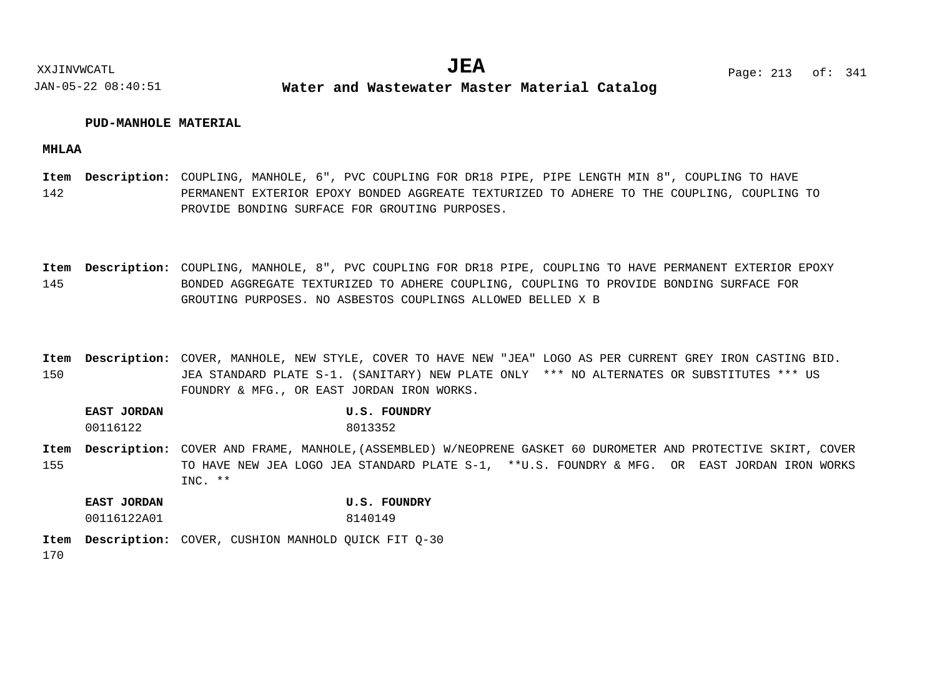#### **PUD-MANHOLE MATERIAL**

**MHLAA**

142 Item Description: COUPLING, MANHOLE, 6", PVC COUPLING FOR DR18 PIPE, PIPE LENGTH MIN 8", COUPLING TO HAVE PERMANENT EXTERIOR EPOXY BONDED AGGREATE TEXTURIZED TO ADHERE TO THE COUPLING, COUPLING TO PROVIDE BONDING SURFACE FOR GROUTING PURPOSES.

145 Item Description: COUPLING, MANHOLE, 8", PVC COUPLING FOR DR18 PIPE, COUPLING TO HAVE PERMANENT EXTERIOR EPOXY BONDED AGGREGATE TEXTURIZED TO ADHERE COUPLING, COUPLING TO PROVIDE BONDING SURFACE FOR GROUTING PURPOSES. NO ASBESTOS COUPLINGS ALLOWED BELLED X B

150 Item Description: COVER, MANHOLE, NEW STYLE, COVER TO HAVE NEW "JEA" LOGO AS PER CURRENT GREY IRON CASTING BID. JEA STANDARD PLATE S-1. (SANITARY) NEW PLATE ONLY \*\*\* NO ALTERNATES OR SUBSTITUTES \*\*\* US FOUNDRY & MFG., OR EAST JORDAN IRON WORKS.

**EAST JORDAN U.S. FOUNDRY** 00116122 8013352

155 Item Description: COVER AND FRAME, MANHOLE, (ASSEMBLED) W/NEOPRENE GASKET 60 DUROMETER AND PROTECTIVE SKIRT, COVER TO HAVE NEW JEA LOGO JEA STANDARD PLATE S-1, \*\*U.S. FOUNDRY & MFG. OR EAST JORDAN IRON WORKS INC. \*\*

**EAST JORDAN U.S. FOUNDRY** 00116122A01 8140149

170 Item Description: COVER, CUSHION MANHOLD QUICK FIT Q-30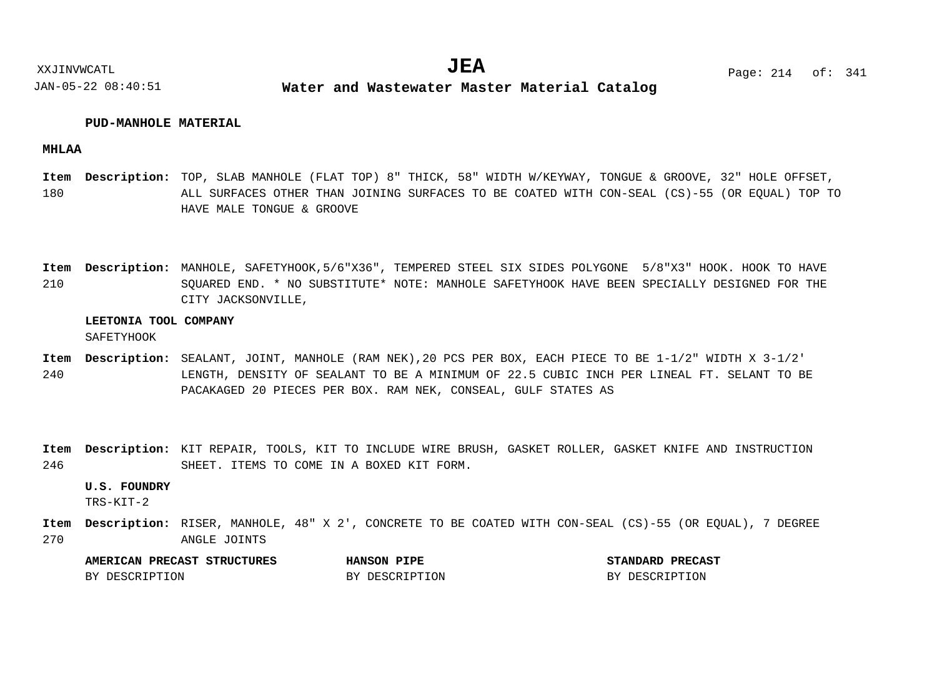#### **PUD-MANHOLE MATERIAL**

#### **MHLAA**

180 Item Description: TOP, SLAB MANHOLE (FLAT TOP) 8" THICK, 58" WIDTH W/KEYWAY, TONGUE & GROOVE, 32" HOLE OFFSET, ALL SURFACES OTHER THAN JOINING SURFACES TO BE COATED WITH CON-SEAL (CS)-55 (OR EQUAL) TOP TO HAVE MALE TONGUE & GROOVE

210 MANHOLE, SAFETYHOOK,5/6"X36", TEMPERED STEEL SIX SIDES POLYGONE 5/8"X3" HOOK. HOOK TO HAVE **Description: Item** SQUARED END. \* NO SUBSTITUTE\* NOTE: MANHOLE SAFETYHOOK HAVE BEEN SPECIALLY DESIGNED FOR THE CITY JACKSONVILLE,

#### **LEETONIA TOOL COMPANY**

SAFETYHOOK

- 240 Item Description: SEALANT, JOINT, MANHOLE (RAM NEK),20 PCS PER BOX, EACH PIECE TO BE 1-1/2" WIDTH X 3-1/2" LENGTH, DENSITY OF SEALANT TO BE A MINIMUM OF 22.5 CUBIC INCH PER LINEAL FT. SELANT TO BE PACAKAGED 20 PIECES PER BOX. RAM NEK, CONSEAL, GULF STATES AS
- 246 Item Description: KIT REPAIR, TOOLS, KIT TO INCLUDE WIRE BRUSH, GASKET ROLLER, GASKET KNIFE AND INSTRUCTION SHEET. ITEMS TO COME IN A BOXED KIT FORM.

#### **U.S. FOUNDRY**

TRS-KIT-2

270 Item Description: RISER, MANHOLE, 48" X 2', CONCRETE TO BE COATED WITH CON-SEAL (CS)-55 (OR EQUAL), 7 DEGREE ANGLE JOINTS

| AMERICAN PRECAST STRUCTURES | <b>HANSON PIPE</b> | <b>STANDARD PRECAST</b> |
|-----------------------------|--------------------|-------------------------|
| BY DESCRIPTION              | BY DESCRIPTION     | BY DESCRIPTION          |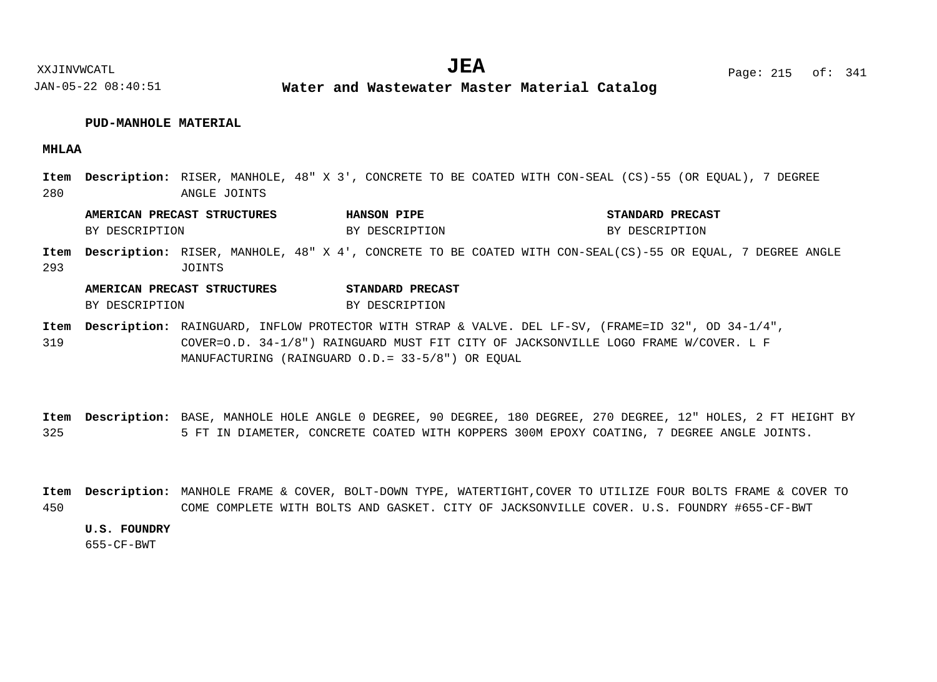#### **PUD-MANHOLE MATERIAL**

**MHLAA**

280 Item Description: RISER, MANHOLE, 48" X 3', CONCRETE TO BE COATED WITH CON-SEAL (CS)-55 (OR EQUAL), 7 DEGREE ANGLE JOINTS

**AMERICAN PRECAST STRUCTURES HANSON PIPE STANDARD PRECAST** BY DESCRIPTION BY DESCRIPTION BY DESCRIPTION BY DESCRIPTION

293 Item Description: RISER, MANHOLE, 48" X 4', CONCRETE TO BE COATED WITH CON-SEAL(CS)-55 OR EQUAL, 7 DEGREE ANGLE JOINTS

### **AMERICAN PRECAST STRUCTURES STANDARD PRECAST** BY DESCRIPTION BY DESCRIPTION

319 Item Description: RAINGUARD, INFLOW PROTECTOR WITH STRAP & VALVE. DEL LF-SV, (FRAME=ID 32", OD 34-1/4", COVER=O.D. 34-1/8") RAINGUARD MUST FIT CITY OF JACKSONVILLE LOGO FRAME W/COVER. L F MANUFACTURING (RAINGUARD O.D.= 33-5/8") OR EQUAL

325 Item Description: BASE, MANHOLE HOLE ANGLE 0 DEGREE, 90 DEGREE, 180 DEGREE, 270 DEGREE, 12" HOLES, 2 FT HEIGHT BY 5 FT IN DIAMETER, CONCRETE COATED WITH KOPPERS 300M EPOXY COATING, 7 DEGREE ANGLE JOINTS.

450 MANHOLE FRAME & COVER, BOLT-DOWN TYPE, WATERTIGHT,COVER TO UTILIZE FOUR BOLTS FRAME & COVER TO **Description: Item**COME COMPLETE WITH BOLTS AND GASKET. CITY OF JACKSONVILLE COVER. U.S. FOUNDRY #655-CF-BWT

#### **U.S. FOUNDRY**

655-CF-BWT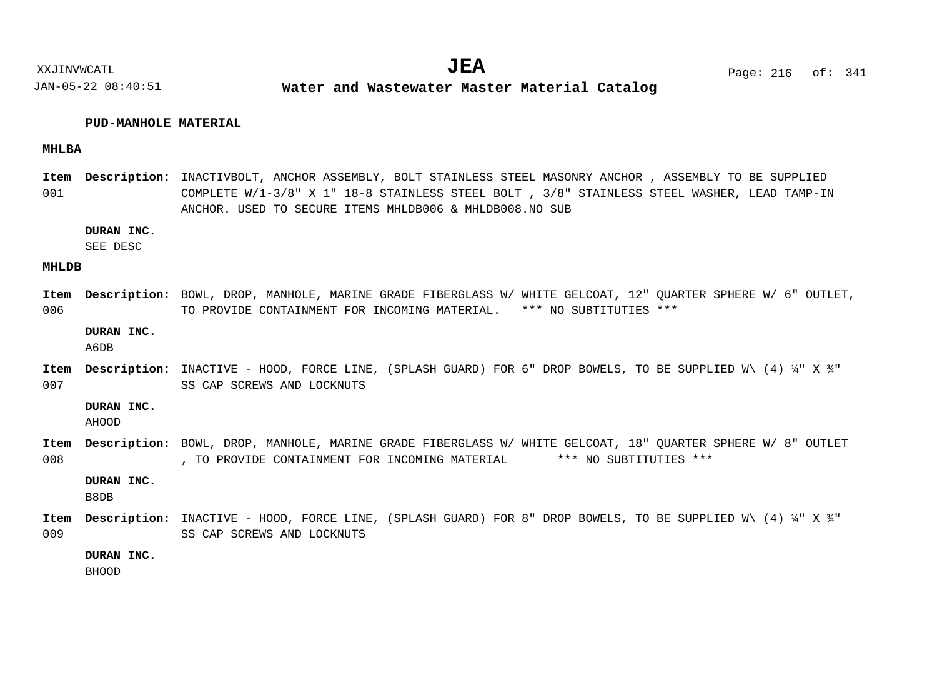#### **PUD-MANHOLE MATERIAL**

#### **MHLBA**

001 Item Description: INACTIVBOLT, ANCHOR ASSEMBLY, BOLT STAINLESS STEEL MASONRY ANCHOR , ASSEMBLY TO BE SUPPLIED COMPLETE W/1-3/8" X 1" 18-8 STAINLESS STEEL BOLT , 3/8" STAINLESS STEEL WASHER, LEAD TAMP-IN ANCHOR. USED TO SECURE ITEMS MHLDB006 & MHLDB008.NO SUB

#### **DURAN INC.**

SEE DESC

#### **MHLDB**

006 Item Description: BOWL, DROP, MANHOLE, MARINE GRADE FIBERGLASS W/WHITE GELCOAT, 12" QUARTER SPHERE W/ 6" OUTLET, TO PROVIDE CONTAINMENT FOR INCOMING MATERIAL. \*\*\* NO SUBTITUTIES \*\*\*

#### **DURAN INC.**

A6DB

007 Item Description: INACTIVE - HOOD, FORCE LINE, (SPLASH GUARD) FOR 6" DROP BOWELS, TO BE SUPPLIED W\ (4) ¼" X ¾" SS CAP SCREWS AND LOCKNUTS

#### **DURAN INC.**

AHOOD

008 Item Description: BOWL, DROP, MANHOLE, MARINE GRADE FIBERGLASS W/ WHITE GELCOAT, 18" QUARTER SPHERE W/ 8" OUTLET , TO PROVIDE CONTAINMENT FOR INCOMING MATERIAL \*\*\* NO SUBTITUTIES \*\*\*

#### **DURAN INC.**

B8DB

009 Item Description: INACTIVE - HOOD, FORCE LINE, (SPLASH GUARD) FOR 8" DROP BOWELS, TO BE SUPPLIED W\ (4) ¼" X ¾" SS CAP SCREWS AND LOCKNUTS

#### **DURAN INC.**

BHOOD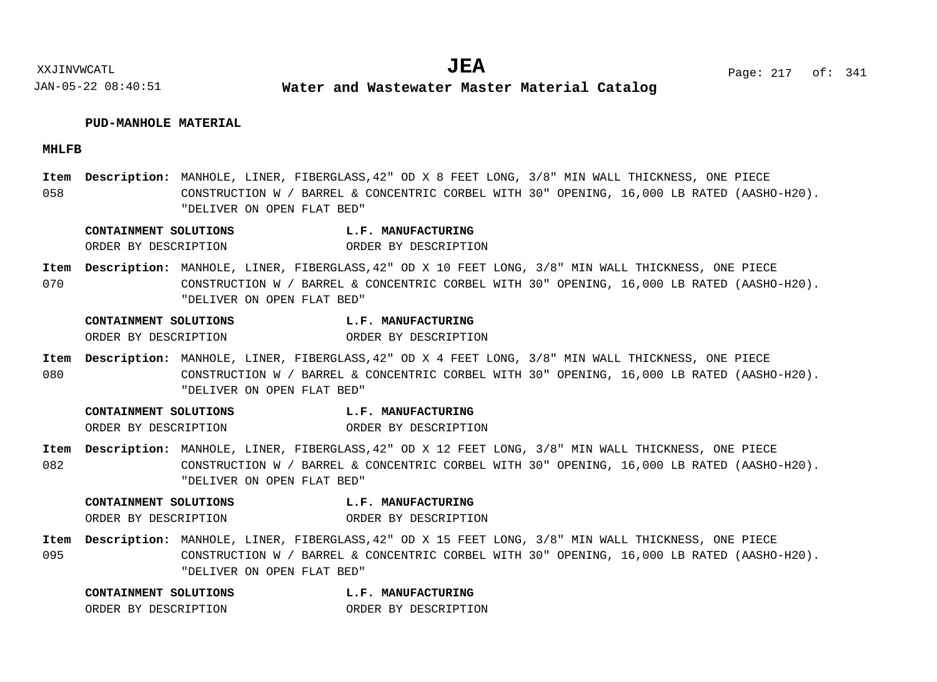### **PUD-MANHOLE MATERIAL**

### **MHLFB**

058 Item Description: MANHOLE, LINER, FIBERGLASS, 42" OD X 8 FEET LONG, 3/8" MIN WALL THICKNESS, ONE PIECE CONSTRUCTION W / BARREL & CONCENTRIC CORBEL WITH 30" OPENING, 16,000 LB RATED (AASHO-H20). "DELIVER ON OPEN FLAT BED"

| CONTAINMENT SOLUTIONS | <b>L.F. MANUFACTURING</b> |
|-----------------------|---------------------------|
| ORDER BY DESCRIPTION  | ORDER BY DESCRIPTION      |

070 Item Description: MANHOLE, LINER, FIBERGLASS, 42" OD X 10 FEET LONG, 3/8" MIN WALL THICKNESS, ONE PIECE CONSTRUCTION W / BARREL & CONCENTRIC CORBEL WITH 30" OPENING, 16,000 LB RATED (AASHO-H20). "DELIVER ON OPEN FLAT BED"

| CONTAINMENT SOLUTIONS | L.F. MANUFACTURING   |
|-----------------------|----------------------|
| ORDER BY DESCRIPTION  | ORDER BY DESCRIPTION |

080 Item Description: MANHOLE, LINER, FIBERGLASS, 42" OD X 4 FEET LONG, 3/8" MIN WALL THICKNESS, ONE PIECE CONSTRUCTION W / BARREL & CONCENTRIC CORBEL WITH 30" OPENING, 16,000 LB RATED (AASHO-H20). "DELIVER ON OPEN FLAT BED"

| CONTAINMENT SOLUTIONS | L.F. MANUFACTURING   |
|-----------------------|----------------------|
| ORDER BY DESCRIPTION  | ORDER BY DESCRIPTION |

082 Item Description: MANHOLE, LINER, FIBERGLASS, 42" OD X 12 FEET LONG, 3/8" MIN WALL THICKNESS, ONE PIECE CONSTRUCTION W / BARREL & CONCENTRIC CORBEL WITH 30" OPENING, 16,000 LB RATED (AASHO-H20). "DELIVER ON OPEN FLAT BED"

| CONTAINMENT SOLUTIONS | L.F. MANUFACTURING   |
|-----------------------|----------------------|
| ORDER BY DESCRIPTION  | ORDER BY DESCRIPTION |

095 Item Description: MANHOLE, LINER, FIBERGLASS, 42" OD X 15 FEET LONG, 3/8" MIN WALL THICKNESS, ONE PIECE CONSTRUCTION W / BARREL & CONCENTRIC CORBEL WITH 30" OPENING, 16,000 LB RATED (AASHO-H20). "DELIVER ON OPEN FLAT BED"

| CONTAINMENT SOLUTIONS |  | L.F. MANUFACTURING   |
|-----------------------|--|----------------------|
| ORDER BY DESCRIPTION  |  | ORDER BY DESCRIPTION |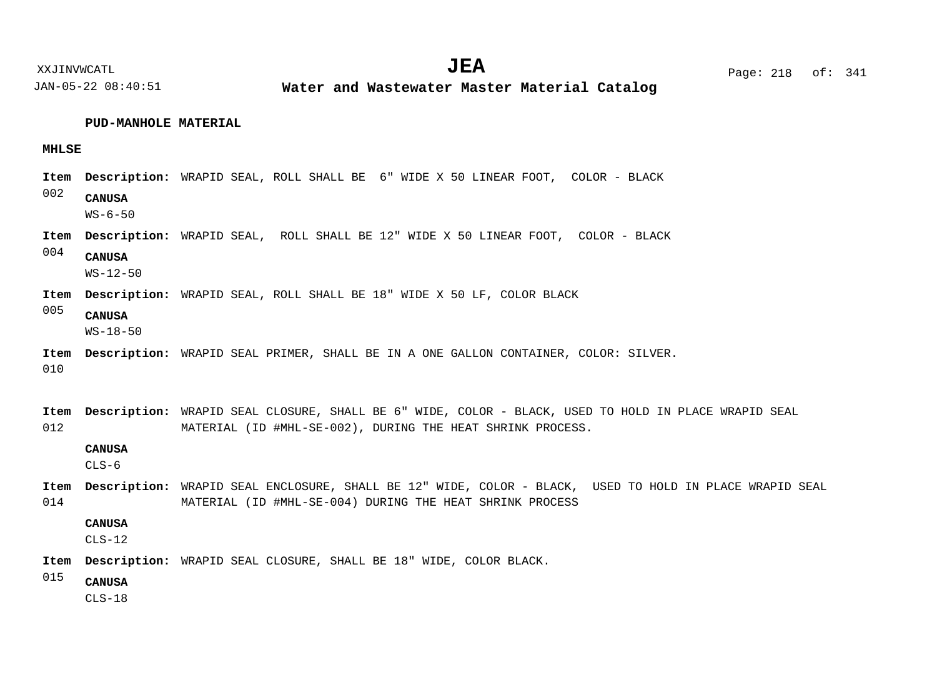XXJINVWCATL Page: 218 of: **JEA**<sup>341</sup>

JAN-05-22 08:40:51

**Water and Wastewater Master Material Catalog** 

# **PUD-MANHOLE MATERIAL**

# **MHLSE**

|             |                                 | Item Description: WRAPID SEAL, ROLL SHALL BE 6" WIDE X 50 LINEAR FOOT, COLOR - BLACK                                                                                |
|-------------|---------------------------------|---------------------------------------------------------------------------------------------------------------------------------------------------------------------|
| 002         | <b>CANUSA</b><br>$WS - 6 - 50$  |                                                                                                                                                                     |
| Item        |                                 | Description: WRAPID SEAL, ROLL SHALL BE 12" WIDE X 50 LINEAR FOOT, COLOR - BLACK                                                                                    |
| 004         | <b>CANUSA</b><br>$WS - 12 - 50$ |                                                                                                                                                                     |
| Item        |                                 | <b>Description:</b> WRAPID SEAL, ROLL SHALL BE 18" WIDE X 50 LF, COLOR BLACK                                                                                        |
| 005         | <b>CANUSA</b><br>$WS - 18 - 50$ |                                                                                                                                                                     |
| Item<br>010 |                                 | Description: WRAPID SEAL PRIMER, SHALL BE IN A ONE GALLON CONTAINER, COLOR: SILVER.                                                                                 |
| Item<br>012 |                                 | Description: WRAPID SEAL CLOSURE, SHALL BE 6" WIDE, COLOR - BLACK, USED TO HOLD IN PLACE WRAPID SEAL<br>MATERIAL (ID #MHL-SE-002), DURING THE HEAT SHRINK PROCESS.  |
|             | <b>CANUSA</b><br>$CLS-6$        |                                                                                                                                                                     |
| Item<br>014 |                                 | Description: WRAPID SEAL ENCLOSURE, SHALL BE 12" WIDE, COLOR - BLACK, USED TO HOLD IN PLACE WRAPID SEAL<br>MATERIAL (ID #MHL-SE-004) DURING THE HEAT SHRINK PROCESS |
|             | <b>CANUSA</b><br>$CLS-12$       |                                                                                                                                                                     |
| Item        |                                 | Description: WRAPID SEAL CLOSURE, SHALL BE 18" WIDE, COLOR BLACK.                                                                                                   |
| 015         | <b>CANUSA</b><br>$CLS-18$       |                                                                                                                                                                     |
|             |                                 |                                                                                                                                                                     |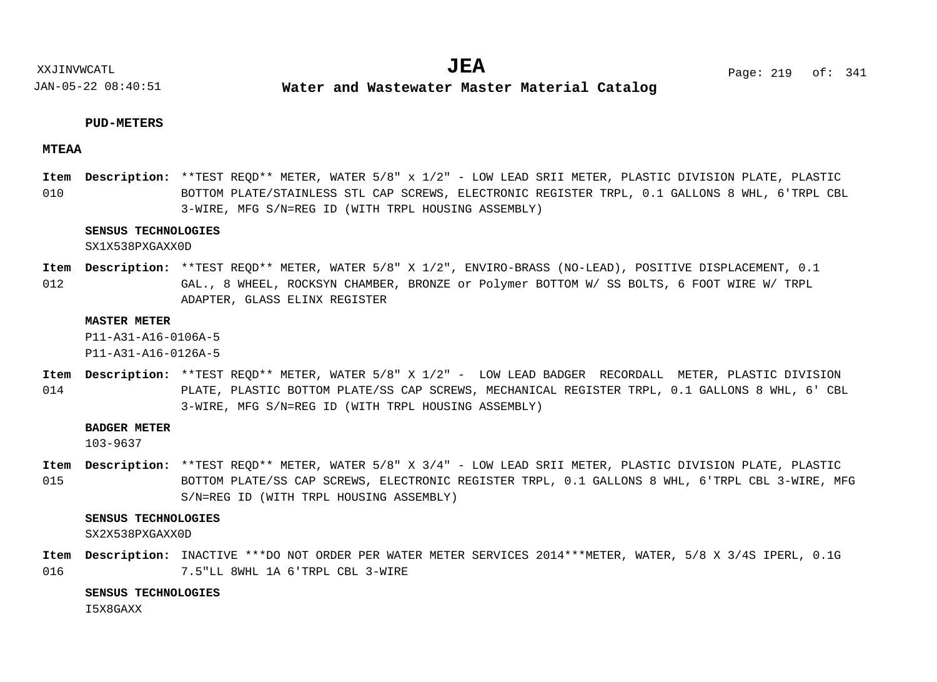**Water and Wastewater Master Material Catalog** 

### **PUD-METERS**

### **MTEAA**

010 Item Description: \*\*TEST REQD\*\* METER, WATER 5/8" x 1/2" - LOW LEAD SRII METER, PLASTIC DIVISION PLATE, PLASTIC BOTTOM PLATE/STAINLESS STL CAP SCREWS, ELECTRONIC REGISTER TRPL, 0.1 GALLONS 8 WHL, 6'TRPL CBL 3-WIRE, MFG S/N=REG ID (WITH TRPL HOUSING ASSEMBLY)

### **SENSUS TECHNOLOGIES**

SX1X538PXGAXX0D

012 Item Description: \*\*TEST REQD\*\* METER, WATER 5/8" X 1/2", ENVIRO-BRASS (NO-LEAD), POSITIVE DISPLACEMENT, 0.1 GAL., 8 WHEEL, ROCKSYN CHAMBER, BRONZE or Polymer BOTTOM W/ SS BOLTS, 6 FOOT WIRE W/ TRPL ADAPTER, GLASS ELINX REGISTER

#### **MASTER METER**

P11-A31-A16-0106A-5

P11-A31-A16-0126A-5

014 Item Description: \*\*TEST REQD\*\* METER, WATER 5/8" X 1/2" - LOW LEAD BADGER RECORDALL METER, PLASTIC DIVISION PLATE, PLASTIC BOTTOM PLATE/SS CAP SCREWS, MECHANICAL REGISTER TRPL, 0.1 GALLONS 8 WHL, 6' CBL 3-WIRE, MFG S/N=REG ID (WITH TRPL HOUSING ASSEMBLY)

### **BADGER METER**

103-9637

015 Item Description: \*\*TEST REQD\*\* METER, WATER 5/8" X 3/4" - LOW LEAD SRII METER, PLASTIC DIVISION PLATE, PLASTIC BOTTOM PLATE/SS CAP SCREWS, ELECTRONIC REGISTER TRPL, 0.1 GALLONS 8 WHL, 6'TRPL CBL 3-WIRE, MFG S/N=REG ID (WITH TRPL HOUSING ASSEMBLY)

### **SENSUS TECHNOLOGIES**

SX2X538PXGAXX0D

016 Item Description: INACTIVE \*\*\*DO NOT ORDER PER WATER METER SERVICES 2014\*\*\*METER, WATER, 5/8 X 3/4S IPERL, 0.1G 7.5"LL 8WHL 1A 6'TRPL CBL 3-WIRE

#### **SENSUS TECHNOLOGIES**

I5X8GAXX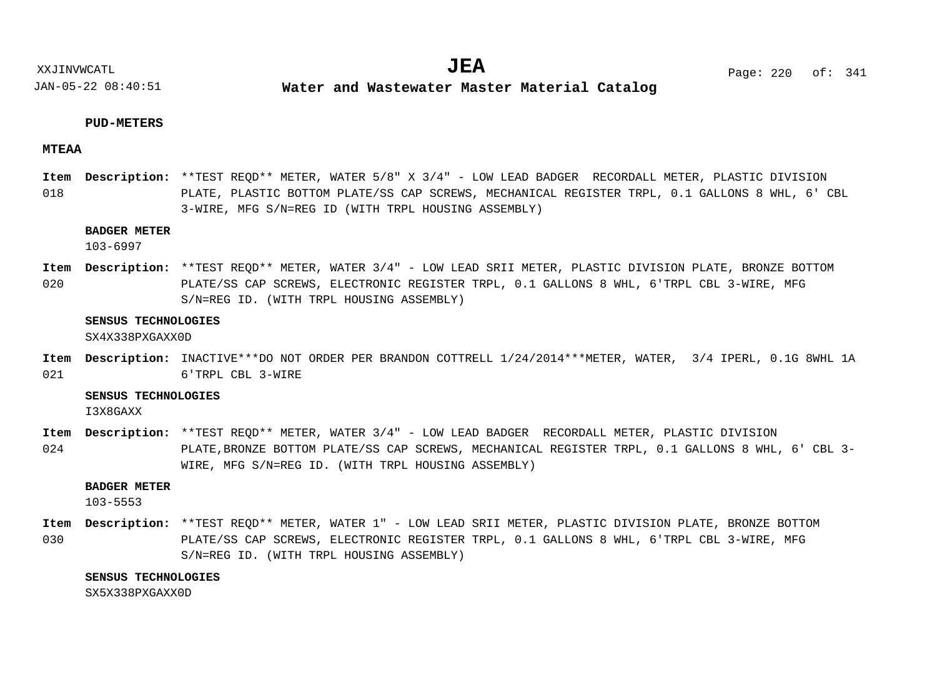**Water and Wastewater Master Material Catalog** 

### **PUD-METERS**

### **MTEAA**

018 Item Description: \*\*TEST REQD\*\* METER, WATER 5/8" X 3/4" - LOW LEAD BADGER RECORDALL METER, PLASTIC DIVISION PLATE, PLASTIC BOTTOM PLATE/SS CAP SCREWS, MECHANICAL REGISTER TRPL, 0.1 GALLONS 8 WHL, 6' CBL 3-WIRE, MFG S/N=REG ID (WITH TRPL HOUSING ASSEMBLY)

### **BADGER METER**

103-6997

020 Item Description: \*\*TEST REQD\*\* METER, WATER 3/4" - LOW LEAD SRII METER, PLASTIC DIVISION PLATE, BRONZE BOTTOM PLATE/SS CAP SCREWS, ELECTRONIC REGISTER TRPL, 0.1 GALLONS 8 WHL, 6'TRPL CBL 3-WIRE, MFG S/N=REG ID. (WITH TRPL HOUSING ASSEMBLY)

#### **SENSUS TECHNOLOGIES**

SX4X338PXGAXX0D

021 Item Description: INACTIVE\*\*\*DO NOT ORDER PER BRANDON COTTRELL 1/24/2014\*\*\*METER, WATER, 3/4 IPERL, 0.1G 8WHL 1A 6'TRPL CBL 3-WIRE

### **SENSUS TECHNOLOGIES**

I3X8GAXX

024 Item Description: \*\*TEST REQD\*\* METER, WATER 3/4" - LOW LEAD BADGER RECORDALL METER, PLASTIC DIVISION PLATE,BRONZE BOTTOM PLATE/SS CAP SCREWS, MECHANICAL REGISTER TRPL, 0.1 GALLONS 8 WHL, 6' CBL 3- WIRE, MFG S/N=REG ID. (WITH TRPL HOUSING ASSEMBLY)

### **BADGER METER**

103-5553

030 Item Description: \*\*TEST REQD\*\* METER, WATER 1" - LOW LEAD SRII METER, PLASTIC DIVISION PLATE, BRONZE BOTTOM PLATE/SS CAP SCREWS, ELECTRONIC REGISTER TRPL, 0.1 GALLONS 8 WHL, 6'TRPL CBL 3-WIRE, MFG S/N=REG ID. (WITH TRPL HOUSING ASSEMBLY)

#### **SENSUS TECHNOLOGIES**

SX5X338PXGAXX0D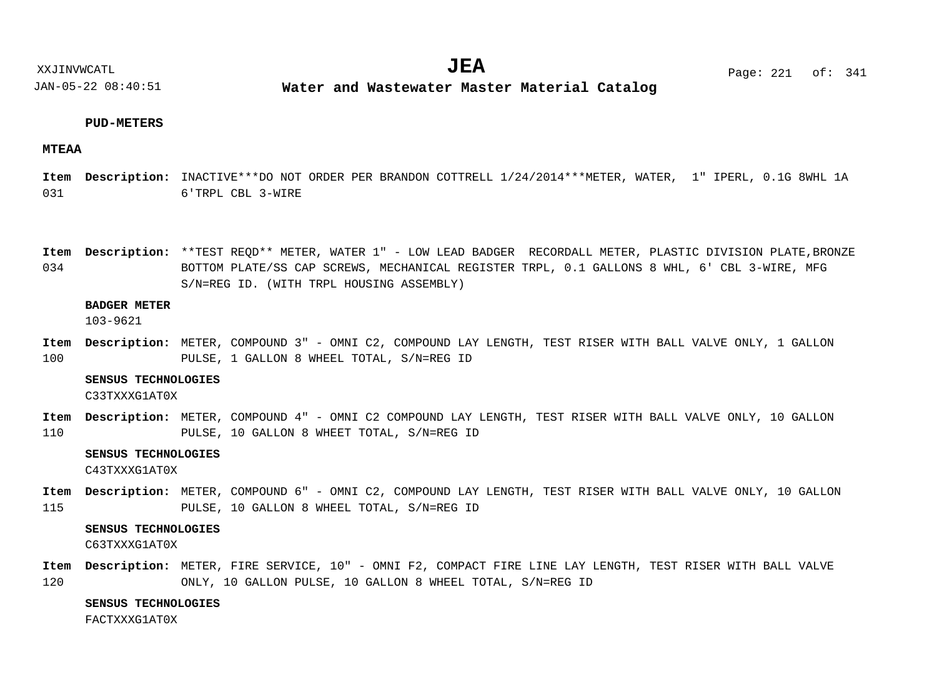XXJINVWCATL **EXALL** Page: 221 of:  $JEA$   $Page: 221 of: 341$ 

JAN-05-22 08:40:51

**Water and Wastewater Master Material Catalog** 

### **PUD-METERS**

### **MTEAA**

031 Item Description: INACTIVE\*\*\*DO NOT ORDER PER BRANDON COTTRELL 1/24/2014\*\*\*METER, WATER, 1" IPERL, 0.1G 8WHL 1A 6'TRPL CBL 3-WIRE

034 Item Description: \*\*TEST REQD\*\* METER, WATER 1" - LOW LEAD BADGER RECORDALL METER, PLASTIC DIVISION PLATE,BRONZE BOTTOM PLATE/SS CAP SCREWS, MECHANICAL REGISTER TRPL, 0.1 GALLONS 8 WHL, 6' CBL 3-WIRE, MFG S/N=REG ID. (WITH TRPL HOUSING ASSEMBLY)

### **BADGER METER**

103-9621

100 METER, COMPOUND 3" - OMNI C2, COMPOUND LAY LENGTH, TEST RISER WITH BALL VALVE ONLY, 1 GALLON **Description: Item** PULSE, 1 GALLON 8 WHEEL TOTAL, S/N=REG ID

#### **SENSUS TECHNOLOGIES**

C33TXXXG1AT0X

110 Item Description: METER, COMPOUND 4" - OMNI C2 COMPOUND LAY LENGTH, TEST RISER WITH BALL VALVE ONLY, 10 GALLON PULSE, 10 GALLON 8 WHEET TOTAL, S/N=REG ID

#### **SENSUS TECHNOLOGIES**

C43TXXXG1AT0X

115 METER, COMPOUND 6" - OMNI C2, COMPOUND LAY LENGTH, TEST RISER WITH BALL VALVE ONLY, 10 GALLON **Description: Item** PULSE, 10 GALLON 8 WHEEL TOTAL, S/N=REG ID

### **SENSUS TECHNOLOGIES**

C63TXXXG1AT0X

120 Item Description: METER, FIRE SERVICE, 10" - OMNI F2, COMPACT FIRE LINE LAY LENGTH, TEST RISER WITH BALL VALVE ONLY, 10 GALLON PULSE, 10 GALLON 8 WHEEL TOTAL, S/N=REG ID

### **SENSUS TECHNOLOGIES**

FACTXXXG1AT0X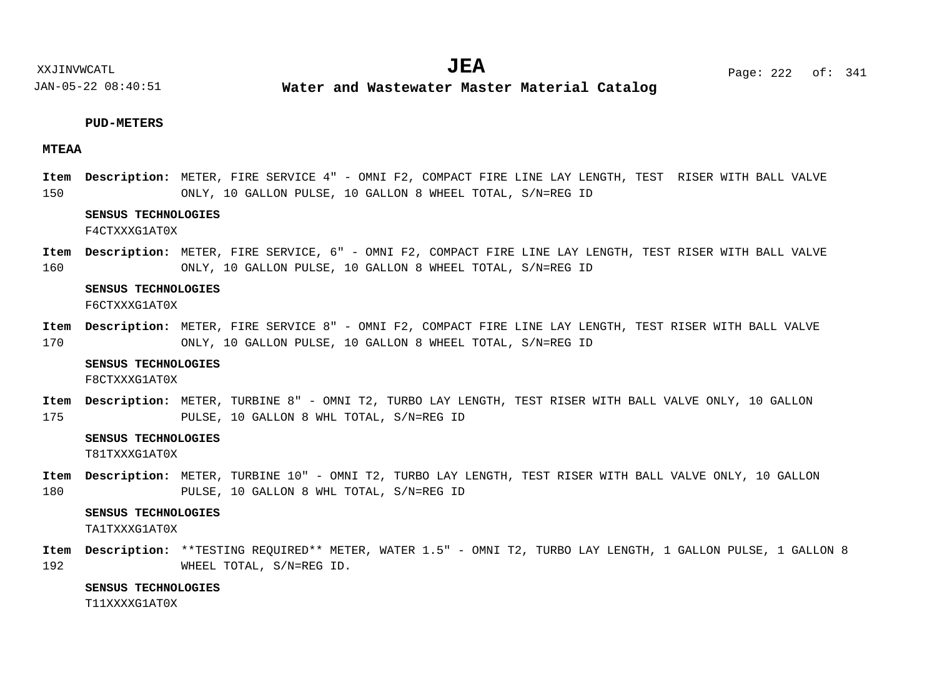**Water and Wastewater Master Material Catalog** 

### **PUD-METERS**

### **MTEAA**

150 METER, FIRE SERVICE 4" - OMNI F2, COMPACT FIRE LINE LAY LENGTH, TEST RISER WITH BALL VALVE **Description: Item** ONLY, 10 GALLON PULSE, 10 GALLON 8 WHEEL TOTAL, S/N=REG ID

### **SENSUS TECHNOLOGIES**

F4CTXXXG1AT0X

160 METER, FIRE SERVICE, 6" - OMNI F2, COMPACT FIRE LINE LAY LENGTH, TEST RISER WITH BALL VALVE **Description: Item** ONLY, 10 GALLON PULSE, 10 GALLON 8 WHEEL TOTAL, S/N=REG ID

#### **SENSUS TECHNOLOGIES**

F6CTXXXG1AT0X

170 Item Description: METER, FIRE SERVICE 8" - OMNI F2, COMPACT FIRE LINE LAY LENGTH, TEST RISER WITH BALL VALVE ONLY, 10 GALLON PULSE, 10 GALLON 8 WHEEL TOTAL, S/N=REG ID

#### **SENSUS TECHNOLOGIES**

F8CTXXXG1AT0X

175 Item Description: METER, TURBINE 8" - OMNI T2, TURBO LAY LENGTH, TEST RISER WITH BALL VALVE ONLY, 10 GALLON PULSE, 10 GALLON 8 WHL TOTAL, S/N=REG ID

### **SENSUS TECHNOLOGIES**

T81TXXXG1AT0X

180 Item Description: METER, TURBINE 10" - OMNI T2, TURBO LAY LENGTH, TEST RISER WITH BALL VALVE ONLY, 10 GALLON PULSE, 10 GALLON 8 WHL TOTAL, S/N=REG ID

### **SENSUS TECHNOLOGIES**

TA1TXXXG1AT0X

192 Item Description: \*\*TESTING REQUIRED\*\* METER, WATER 1.5" - OMNI T2, TURBO LAY LENGTH, 1 GALLON PULSE, 1 GALLON 8 WHEEL TOTAL, S/N=REG ID.

### **SENSUS TECHNOLOGIES**

T11XXXXG1AT0X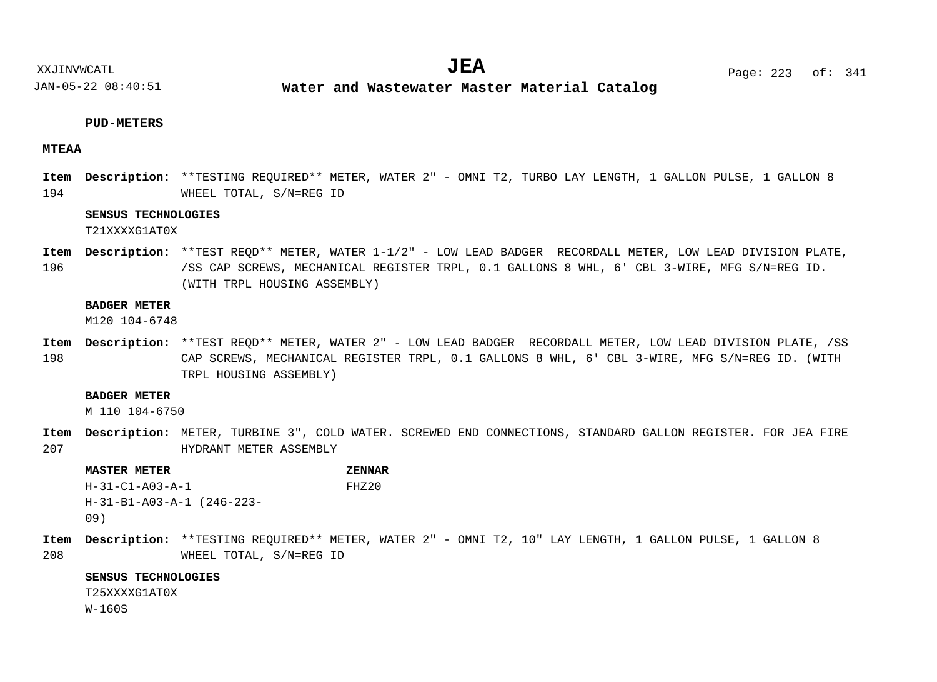**Water and Wastewater Master Material Catalog** 

### **PUD-METERS**

### **MTEAA**

194 Item Description: \*\*TESTING REQUIRED\*\* METER, WATER 2" - OMNI T2, TURBO LAY LENGTH, 1 GALLON PULSE, 1 GALLON 8 WHEEL TOTAL, S/N=REG ID

### **SENSUS TECHNOLOGIES**

T21XXXXG1AT0X

196 Item Description: \*\*TEST REQD\*\* METER, WATER 1-1/2" - LOW LEAD BADGER RECORDALL METER, LOW LEAD DIVISION PLATE, /SS CAP SCREWS, MECHANICAL REGISTER TRPL, 0.1 GALLONS 8 WHL, 6' CBL 3-WIRE, MFG S/N=REG ID. (WITH TRPL HOUSING ASSEMBLY)

### **BADGER METER**

M120 104-6748

198 Item Description: \*\*TEST REQD\*\* METER, WATER 2" - LOW LEAD BADGER RECORDALL METER, LOW LEAD DIVISION PLATE, /SS CAP SCREWS, MECHANICAL REGISTER TRPL, 0.1 GALLONS 8 WHL, 6' CBL 3-WIRE, MFG S/N=REG ID. (WITH TRPL HOUSING ASSEMBLY)

### **BADGER METER**

M 110 104-6750

207 METER, TURBINE 3", COLD WATER. SCREWED END CONNECTIONS, STANDARD GALLON REGISTER. FOR JEA FIRE **Description: Item** HYDRANT METER ASSEMBLY

| <b>MASTER METER</b>         | ZENNAR |
|-----------------------------|--------|
| $H - 31 - C1 - A03 - A - 1$ | FH720  |
| H-31-B1-A03-A-1 (246-223-   |        |
| 09)                         |        |

208 Item Description: \*\*TESTING REQUIRED\*\* METER, WATER 2" - OMNI T2, 10" LAY LENGTH, 1 GALLON PULSE, 1 GALLON 8 WHEEL TOTAL, S/N=REG ID

### **SENSUS TECHNOLOGIES**

T25XXXXG1AT0X

W-160S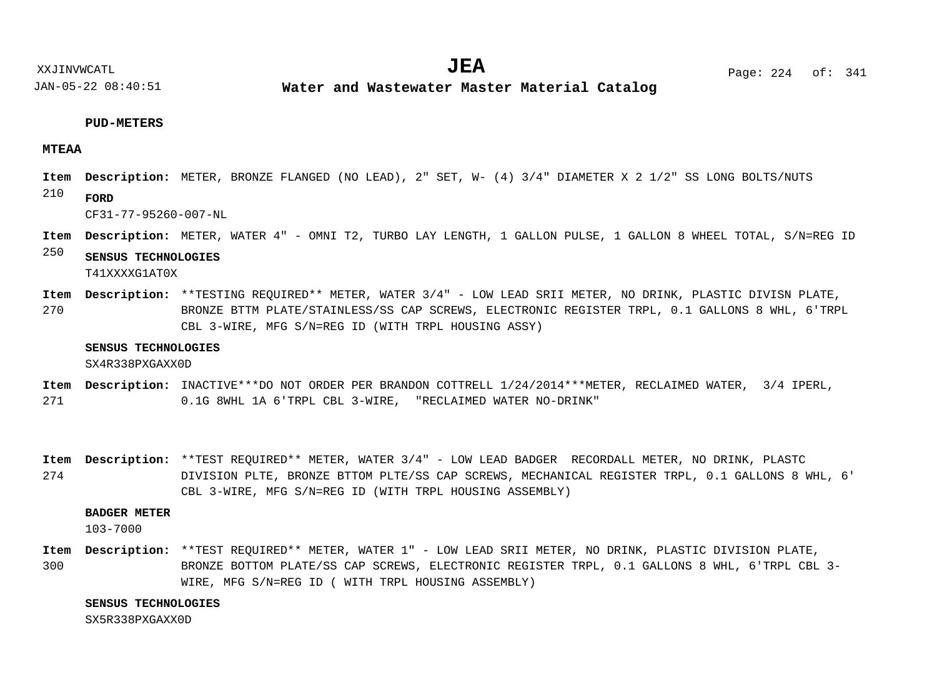**Water and Wastewater Master Material Catalog** 

#### **PUD-METERS**

### **MTEAA**

- METER, BRONZE FLANGED (NO LEAD), 2" SET, W- (4) 3/4" DIAMETER X 2 1/2" SS LONG BOLTS/NUTS **Description: Item**
- 210 **FORD**

CF31-77-95260-007-NL

- METER, WATER 4" OMNI T2, TURBO LAY LENGTH, 1 GALLON PULSE, 1 GALLON 8 WHEEL TOTAL, S/N=REG ID **Description: Item**
- 250 **SENSUS TECHNOLOGIES**

T41XXXXG1AT0X

270 Item Description: \*\*TESTING REQUIRED\*\* METER, WATER 3/4" - LOW LEAD SRII METER, NO DRINK, PLASTIC DIVISN PLATE, BRONZE BTTM PLATE/STAINLESS/SS CAP SCREWS, ELECTRONIC REGISTER TRPL, 0.1 GALLONS 8 WHL, 6'TRPL CBL 3-WIRE, MFG S/N=REG ID (WITH TRPL HOUSING ASSY)

#### **SENSUS TECHNOLOGIES**

SX4R338PXGAXX0D

- 271 Item Description: INACTIVE\*\*\*DO NOT ORDER PER BRANDON COTTRELL 1/24/2014\*\*\*METER, RECLAIMED WATER, 3/4 IPERL, 0.1G 8WHL 1A 6'TRPL CBL 3-WIRE, "RECLAIMED WATER NO-DRINK"
- 274 Item Description: \*\*TEST REQUIRED\*\* METER, WATER 3/4" - LOW LEAD BADGER RECORDALL METER, NO DRINK, PLASTC DIVISION PLTE, BRONZE BTTOM PLTE/SS CAP SCREWS, MECHANICAL REGISTER TRPL, 0.1 GALLONS 8 WHL, 6' CBL 3-WIRE, MFG S/N=REG ID (WITH TRPL HOUSING ASSEMBLY)

### **BADGER METER**

103-7000

300 Item Description: \*\*TEST REQUIRED\*\* METER, WATER 1" - LOW LEAD SRII METER, NO DRINK, PLASTIC DIVISION PLATE, BRONZE BOTTOM PLATE/SS CAP SCREWS, ELECTRONIC REGISTER TRPL, 0.1 GALLONS 8 WHL, 6'TRPL CBL 3- WIRE, MFG S/N=REG ID ( WITH TRPL HOUSING ASSEMBLY)

### **SENSUS TECHNOLOGIES**

SX5R338PXGAXX0D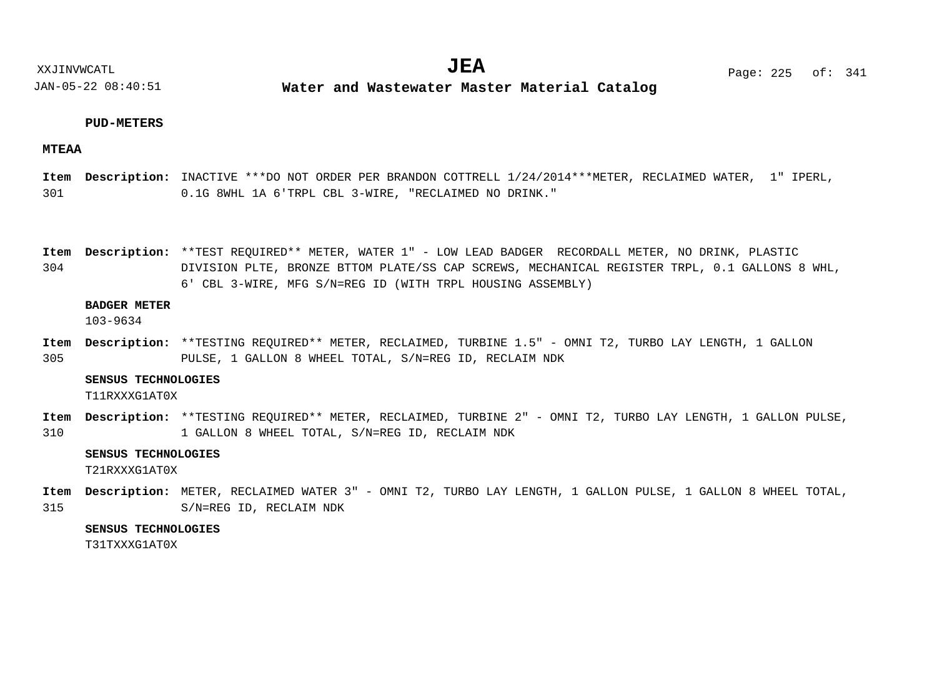**Water and Wastewater Master Material Catalog** 

### **PUD-METERS**

### **MTEAA**

301 Item Description: INACTIVE \*\*\*DO NOT ORDER PER BRANDON COTTRELL 1/24/2014\*\*\*METER, RECLAIMED WATER, 1" IPERL, 0.1G 8WHL 1A 6'TRPL CBL 3-WIRE, "RECLAIMED NO DRINK."

Item Description: \*\*TEST REQUIRED\*\* METER, WATER 1" - LOW LEAD BADGER RECORDALL METER, NO DRINK, PLASTIC

304 DIVISION PLTE, BRONZE BTTOM PLATE/SS CAP SCREWS, MECHANICAL REGISTER TRPL, 0.1 GALLONS 8 WHL, 6' CBL 3-WIRE, MFG S/N=REG ID (WITH TRPL HOUSING ASSEMBLY)

### **BADGER METER**

103-9634

305 Item Description: \*\*TESTING REQUIRED\*\* METER, RECLAIMED, TURBINE 1.5" - OMNI T2, TURBO LAY LENGTH, 1 GALLON PULSE, 1 GALLON 8 WHEEL TOTAL, S/N=REG ID, RECLAIM NDK

#### **SENSUS TECHNOLOGIES**

T11RXXXG1AT0X

310 Item Description: \*\*TESTING REQUIRED\*\* METER, RECLAIMED, TURBINE 2" - OMNI T2, TURBO LAY LENGTH, 1 GALLON PULSE, 1 GALLON 8 WHEEL TOTAL, S/N=REG ID, RECLAIM NDK

### **SENSUS TECHNOLOGIES**

T21RXXXG1AT0X

315 Item Description: METER, RECLAIMED WATER 3" - OMNI T2, TURBO LAY LENGTH, 1 GALLON PULSE, 1 GALLON 8 WHEEL TOTAL, S/N=REG ID, RECLAIM NDK

### **SENSUS TECHNOLOGIES**

T31TXXXG1AT0X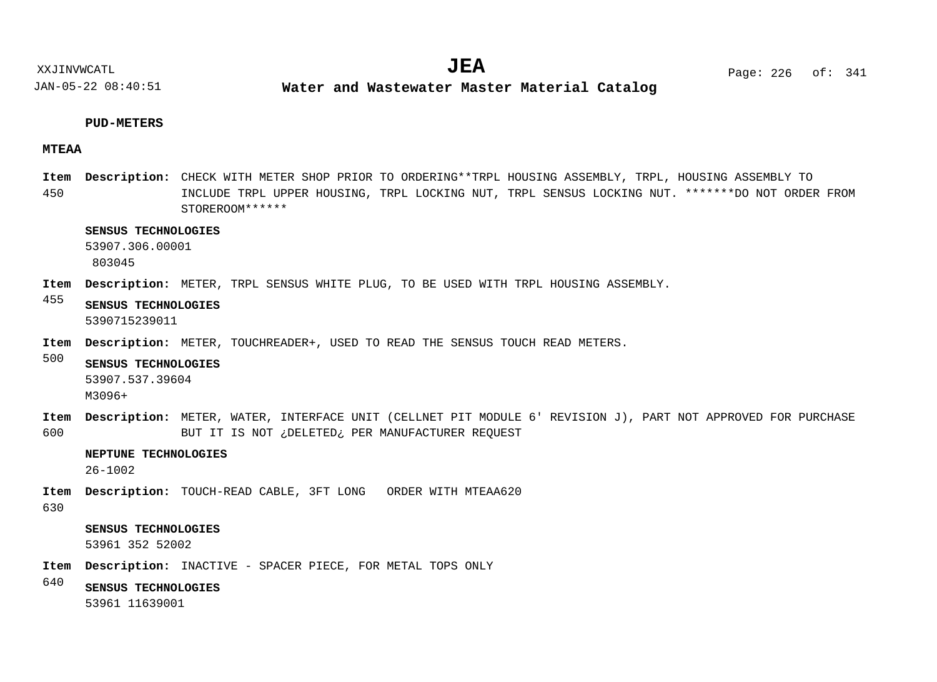**Water and Wastewater Master Material Catalog** 

### **PUD-METERS**

JAN-05-22 08:40:51

### **MTEAA**

450 Item Description: CHECK WITH METER SHOP PRIOR TO ORDERING\*\*TRPL HOUSING ASSEMBLY, TRPL, HOUSING ASSEMBLY TO INCLUDE TRPL UPPER HOUSING, TRPL LOCKING NUT, TRPL SENSUS LOCKING NUT. \*\*\*\*\*\*\*DO NOT ORDER FROM STOREROOM\*\*\*\*\*\*

### **SENSUS TECHNOLOGIES**

53907.306.00001 803045

- Item Description: METER, TRPL SENSUS WHITE PLUG, TO BE USED WITH TRPL HOUSING ASSEMBLY.
- 455 **SENSUS TECHNOLOGIES** 5390715239011
- Item Description: METER, TOUCHREADER+, USED TO READ THE SENSUS TOUCH READ METERS.
- 500 **SENSUS TECHNOLOGIES**
	- 53907.537.39604
	- M3096+
- 600 METER, WATER, INTERFACE UNIT (CELLNET PIT MODULE 6' REVISION J), PART NOT APPROVED FOR PURCHASE **Description: Item** BUT IT IS NOT ¿DELETED¿ PER MANUFACTURER REQUEST

### **NEPTUNE TECHNOLOGIES**

26-1002

- Item Description: TOUCH-READ CABLE, 3FT LONG ORDER WITH MTEAA620
- 630

### **SENSUS TECHNOLOGIES**

53961 352 52002

- Item Description: INACTIVE SPACER PIECE, FOR METAL TOPS ONLY
- 640 **SENSUS TECHNOLOGIES**

53961 11639001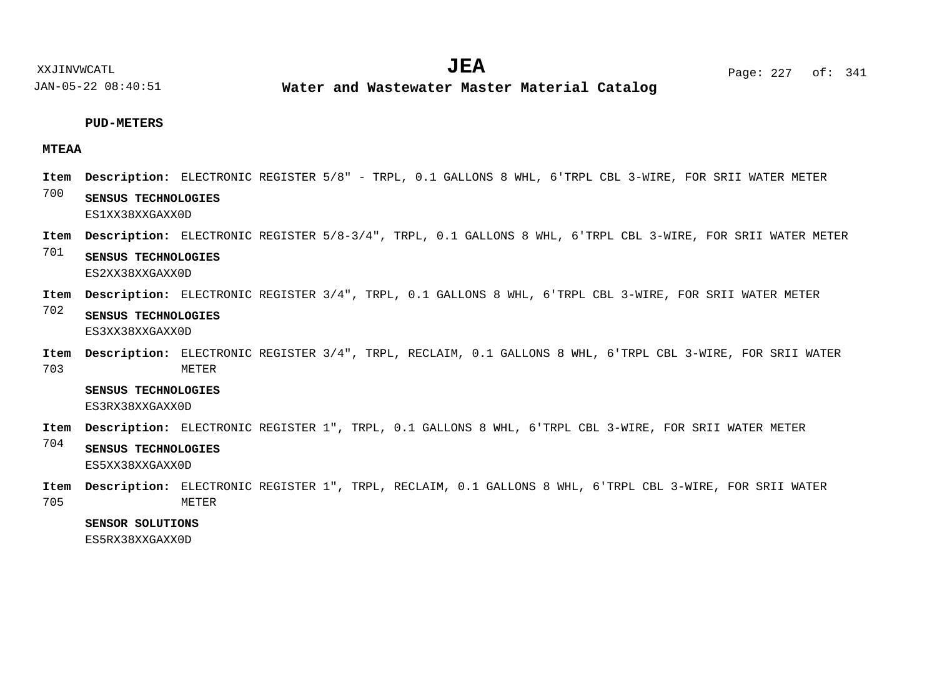**Water and Wastewater Master Material Catalog** 

### **PUD-METERS**

### **MTEAA**

- Item Description: ELECTRONIC REGISTER 5/8" TRPL, 0.1 GALLONS 8 WHL, 6'TRPL CBL 3-WIRE, FOR SRII WATER METER
- 700 **SENSUS TECHNOLOGIES** ES1XX38XXGAXX0D
- Item Description: ELECTRONIC REGISTER 5/8-3/4", TRPL, 0.1 GALLONS 8 WHL, 6'TRPL CBL 3-WIRE, FOR SRII WATER METER
- 701 **SENSUS TECHNOLOGIES** ES2XX38XXGAXX0D
- Item Description: ELECTRONIC REGISTER 3/4", TRPL, 0.1 GALLONS 8 WHL, 6'TRPL CBL 3-WIRE, FOR SRII WATER METER
- 702 **SENSUS TECHNOLOGIES** ES3XX38XXGAXX0D
- 703 Item Description: ELECTRONIC REGISTER 3/4", TRPL, RECLAIM, 0.1 GALLONS 8 WHL, 6'TRPL CBL 3-WIRE, FOR SRII WATER METER

**SENSUS TECHNOLOGIES**

ES3RX38XXGAXX0D

- Item Description: ELECTRONIC REGISTER 1", TRPL, 0.1 GALLONS 8 WHL, 6'TRPL CBL 3-WIRE, FOR SRII WATER METER
- 704 **SENSUS TECHNOLOGIES**
	- ES5XX38XXGAXX0D
- 705 Item Description: ELECTRONIC REGISTER 1", TRPL, RECLAIM, 0.1 GALLONS 8 WHL, 6'TRPL CBL 3-WIRE, FOR SRII WATER METER

### **SENSOR SOLUTIONS**

ES5RX38XXGAXX0D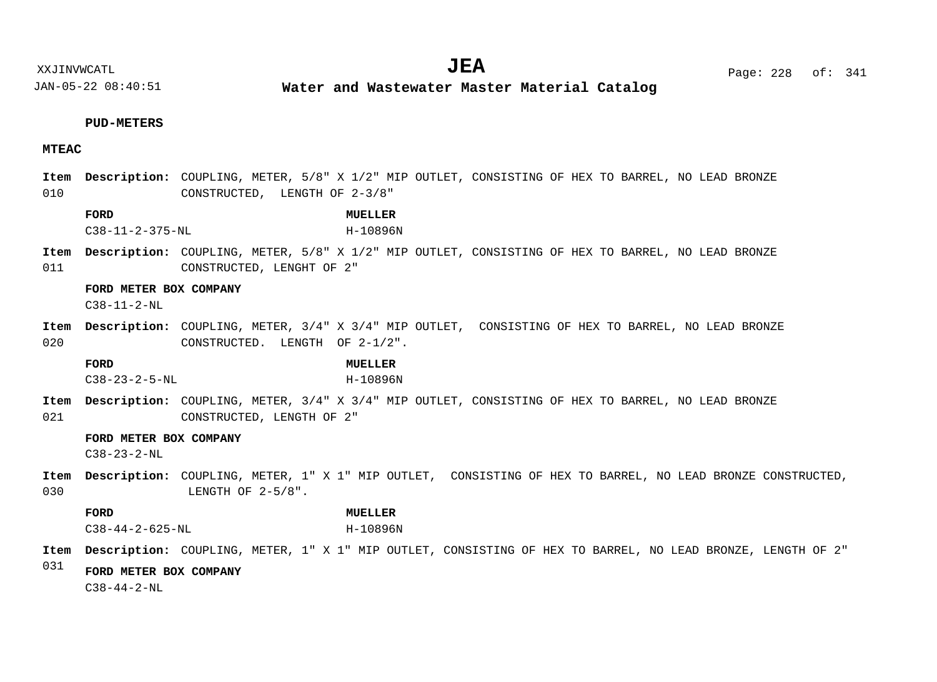### **PUD-METERS**

### **MTEAC**

# 010 011 020 021 030 031 CONSTRUCTED, LENGTH OF 2-3/8" Item Description: COUPLING, METER, 5/8" X 1/2" MIP OUTLET, CONSISTING OF HEX TO BARREL, NO LEAD BRONZE CONSTRUCTED, LENGHT OF 2" Item Description: COUPLING, METER, 3/4" X 3/4" MIP OUTLET, CONSISTING OF HEX TO BARREL, NO LEAD BRONZE CONSTRUCTED. LENGTH OF 2-1/2". Item Description: COUPLING, METER, 3/4" X 3/4" MIP OUTLET, CONSISTING OF HEX TO BARREL, NO LEAD BRONZE CONSTRUCTED, LENGTH OF 2" Item Description: COUPLING, METER, 1" X 1" MIP OUTLET, CONSISTING OF HEX TO BARREL, NO LEAD BRONZE CONSTRUCTED, LENGTH OF 2-5/8". Item Description: COUPLING, METER, 1" X 1" MIP OUTLET, CONSISTING OF HEX TO BARREL, NO LEAD BRONZE, LENGTH OF 2" **FORD MUELLER FORD METER BOX COMPANY FORD MUELLER FORD METER BOX COMPANY FORD MUELLER FORD METER BOX COMPANY** C38-11-2-375-NL H-10896N C38-11-2-NL C38-23-2-5-NL H-10896N  $C38 - 23 - 2 - NI$ C38-44-2-625-NL H-10896N C38-44-2-NL

Item Description: COUPLING, METER, 5/8" X 1/2" MIP OUTLET, CONSISTING OF HEX TO BARREL, NO LEAD BRONZE

XXJINVWCATL **EXALL** Page: 228 of:  $JEA$   $Page: 228 \text{ of}: 341$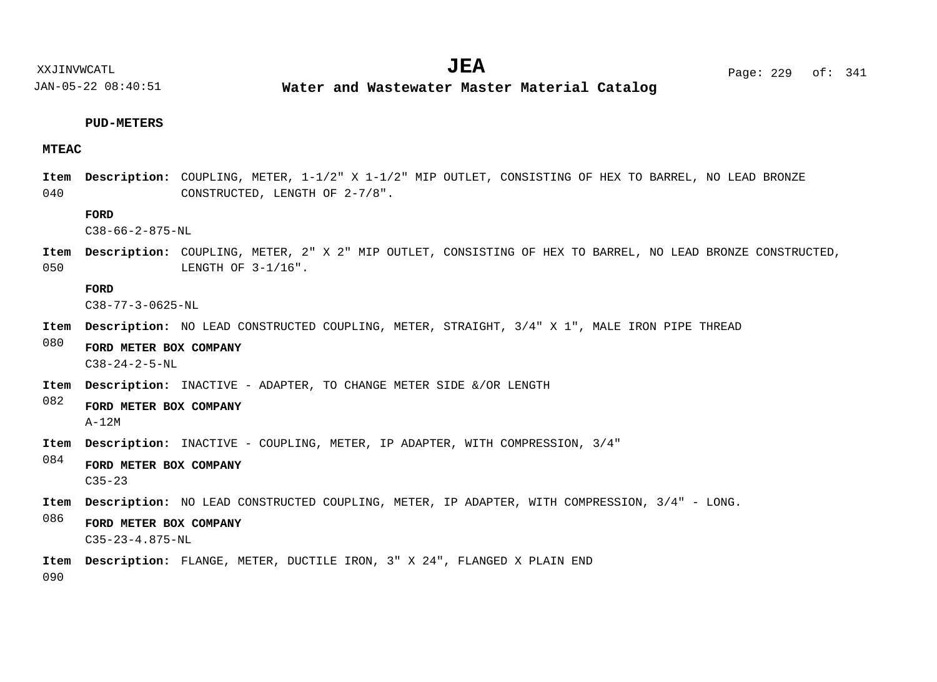**Water and Wastewater Master Material Catalog** 

### **PUD-METERS**

### **MTEAC**

040 Item Description: COUPLING, METER, 1-1/2" X 1-1/2" MIP OUTLET, CONSISTING OF HEX TO BARREL, NO LEAD BRONZE CONSTRUCTED, LENGTH OF 2-7/8".

### **FORD**

C38-66-2-875-NL

050 Item Description: COUPLING, METER, 2" X 2" MIP OUTLET, CONSISTING OF HEX TO BARREL, NO LEAD BRONZE CONSTRUCTED, LENGTH OF 3-1/16".

#### **FORD**

C38-77-3-0625-NL

- Item Description: NO LEAD CONSTRUCTED COUPLING, METER, STRAIGHT,  $3/4$  " X 1", MALE IRON PIPE THREAD
- 080 **FORD METER BOX COMPANY** C38-24-2-5-NL
- Item Description: INACTIVE ADAPTER, TO CHANGE METER SIDE &/OR LENGTH

### 082 **FORD METER BOX COMPANY**

A-12M

- Item Description: INACTIVE COUPLING, METER, IP ADAPTER, WITH COMPRESSION, 3/4"
- 084 **FORD METER BOX COMPANY** C35-23
- Item Description: NO LEAD CONSTRUCTED COUPLING, METER, IP ADAPTER, WITH COMPRESSION, 3/4" LONG.
- 086 **FORD METER BOX COMPANY** C35-23-4.875-NL
- FLANGE, METER, DUCTILE IRON, 3" X 24", FLANGED X PLAIN END **Description: Item**

090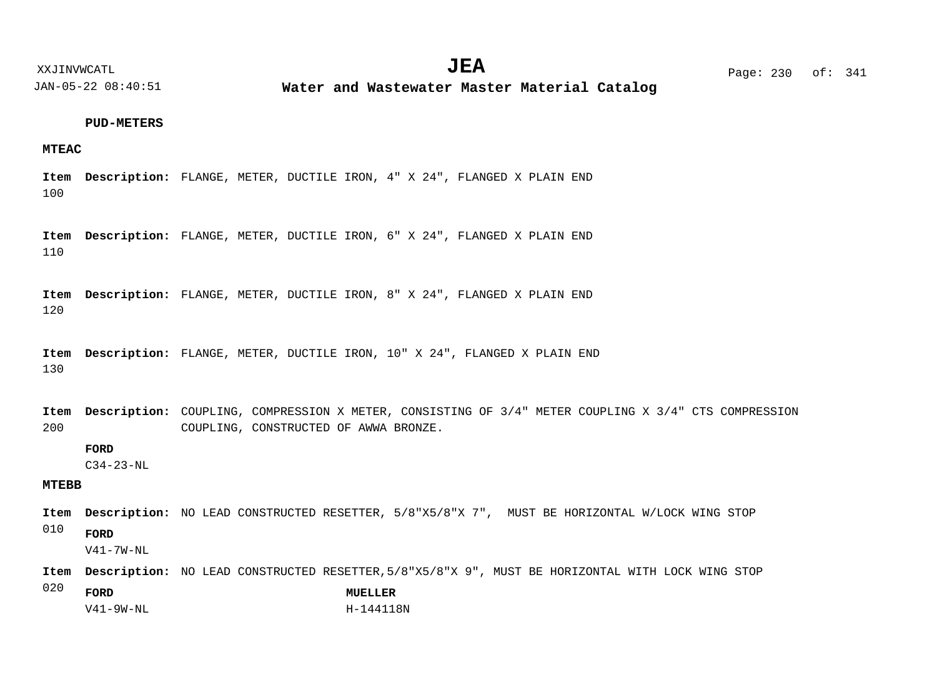XXJINVWCATL **EXALL** Page: 230 of:

JAN-05-22 08:40:51

**Water and Wastewater Master Material Catalog** 

### **PUD-METERS**

### **MTEAC**

100 FLANGE, METER, DUCTILE IRON, 4" X 24", FLANGED X PLAIN END **Description: Item**

110 FLANGE, METER, DUCTILE IRON, 6" X 24", FLANGED X PLAIN END **Description: Item**

120 FLANGE, METER, DUCTILE IRON, 8" X 24", FLANGED X PLAIN END **Description: Item**

130 FLANGE, METER, DUCTILE IRON, 10" X 24", FLANGED X PLAIN END **Description: Item**

200 Item Description: COUPLING, COMPRESSION X METER, CONSISTING OF 3/4" METER COUPLING X 3/4" CTS COMPRESSION COUPLING, CONSTRUCTED OF AWWA BRONZE.

**FORD**

C34-23-NL

### **MTEBB**

- Item Description: NO LEAD CONSTRUCTED RESETTER,  $5/8"X5/8"X 7"$ , MUST BE HORIZONTAL W/LOCK WING STOP
- 010 **FORD**

V41-7W-NL

Item Description: NO LEAD CONSTRUCTED RESETTER, 5/8"X5/8"X 9", MUST BE HORIZONTAL WITH LOCK WING STOP

020 **FORD MUELLER**  $V41 - 9W - NI$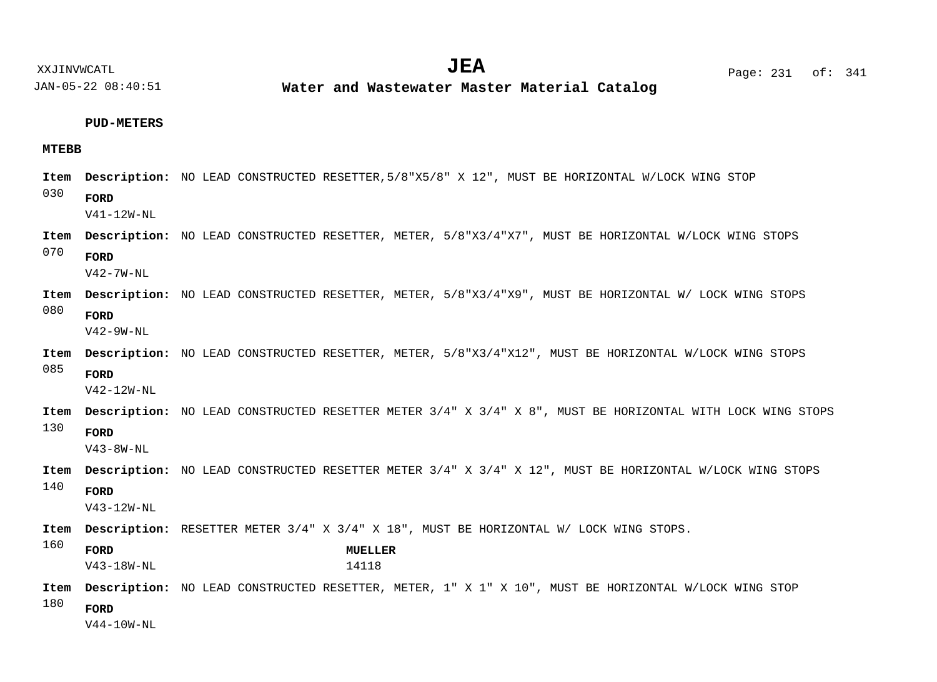**Water and Wastewater Master Material Catalog** 

#### **PUD-METERS**

### **MTEBB**

030 070 080 085 130 140 160 180 Item Description: NO LEAD CONSTRUCTED RESETTER, 5/8"X5/8" X 12", MUST BE HORIZONTAL W/LOCK WING STOP Item Description: NO LEAD CONSTRUCTED RESETTER, METER, 5/8"X3/4"X7", MUST BE HORIZONTAL W/LOCK WING STOPS Item Description: NO LEAD CONSTRUCTED RESETTER, METER, 5/8"X3/4"X9", MUST BE HORIZONTAL W/ LOCK WING STOPS Item Description: NO LEAD CONSTRUCTED RESETTER, METER, 5/8"X3/4"X12", MUST BE HORIZONTAL W/LOCK WING STOPS Item Description: NO LEAD CONSTRUCTED RESETTER METER 3/4" X 3/4" X 8", MUST BE HORIZONTAL WITH LOCK WING STOPS Item Description: NO LEAD CONSTRUCTED RESETTER METER 3/4" X 3/4" X 12", MUST BE HORIZONTAL W/LOCK WING STOPS Item Description: RESETTER METER 3/4" X 3/4" X 18", MUST BE HORIZONTAL W/ LOCK WING STOPS. Item Description: NO LEAD CONSTRUCTED RESETTER, METER, 1" X 1" X 10", MUST BE HORIZONTAL W/LOCK WING STOP **FORD FORD FORD FORD FORD FORD FORD MUELLER FORD** V41-12W-NL V42-7W-NL V42-9W-NL V42-12W-NL V43-8W-NL V43-12W-NL V43-18W-NL 14118 V44-10W-NL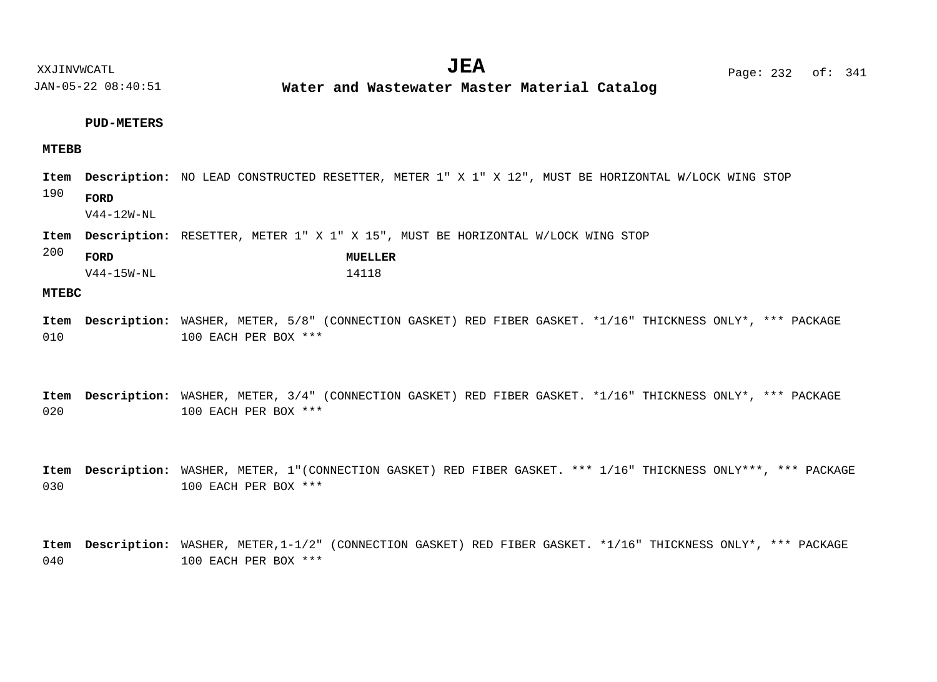### **PUD-METERS**

### **MTEBB**

- Item Description: NO LEAD CONSTRUCTED RESETTER, METER 1" X 1" X 12", MUST BE HORIZONTAL W/LOCK WING STOP
- 190 **FORD**

V44-12W-NL

- Item Description: RESETTER, METER 1" X 1" X 15", MUST BE HORIZONTAL W/LOCK WING STOP
- 200

| FORD         | MUELLER |
|--------------|---------|
| $V44-15W-NL$ | 14118   |

#### **MTEBC**

010 WASHER, METER, 5/8" (CONNECTION GASKET) RED FIBER GASKET. \*1/16" THICKNESS ONLY\*, \*\*\* PACKAGE **Description: Item** 100 EACH PER BOX \*\*\*

020 WASHER, METER, 3/4" (CONNECTION GASKET) RED FIBER GASKET. \*1/16" THICKNESS ONLY\*, \*\*\* PACKAGE **Description: Item** 100 EACH PER BOX \*\*\*

030 WASHER, METER, 1"(CONNECTION GASKET) RED FIBER GASKET. \*\*\* 1/16" THICKNESS ONLY\*\*\*, \*\*\* PACKAGE **Description: Item** 100 EACH PER BOX \*\*\*

040 WASHER, METER,1-1/2" (CONNECTION GASKET) RED FIBER GASKET. \*1/16" THICKNESS ONLY\*, \*\*\* PACKAGE **Description: Item**100 EACH PER BOX \*\*\*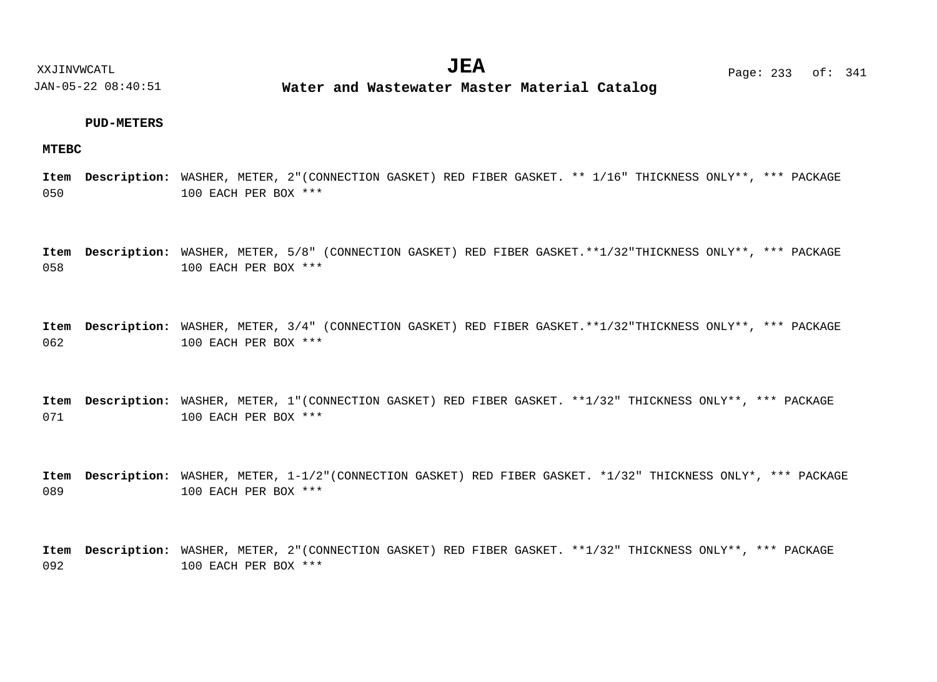### **PUD-METERS**

### **MTEBC**

050 WASHER, METER, 2"(CONNECTION GASKET) RED FIBER GASKET. \*\* 1/16" THICKNESS ONLY\*\*, \*\*\* PACKAGE **Description: Item** 100 EACH PER BOX \*\*\*

058 WASHER, METER, 5/8" (CONNECTION GASKET) RED FIBER GASKET.\*\*1/32"THICKNESS ONLY\*\*, \*\*\* PACKAGE **Description: Item** 100 EACH PER BOX \*\*\*

062 WASHER, METER, 3/4" (CONNECTION GASKET) RED FIBER GASKET.\*\*1/32"THICKNESS ONLY\*\*, \*\*\* PACKAGE **Description: Item** 100 EACH PER BOX \*\*\*

071 WASHER, METER, 1"(CONNECTION GASKET) RED FIBER GASKET. \*\*1/32" THICKNESS ONLY\*\*, \*\*\* PACKAGE **Description: Item** 100 EACH PER BOX \*\*\*

089 WASHER, METER, 1-1/2"(CONNECTION GASKET) RED FIBER GASKET. \*1/32" THICKNESS ONLY\*, \*\*\* PACKAGE **Description: Item** 100 EACH PER BOX \*\*\*

092 WASHER, METER, 2"(CONNECTION GASKET) RED FIBER GASKET. \*\*1/32" THICKNESS ONLY\*\*, \*\*\* PACKAGE **Description: Item**100 EACH PER BOX \*\*\*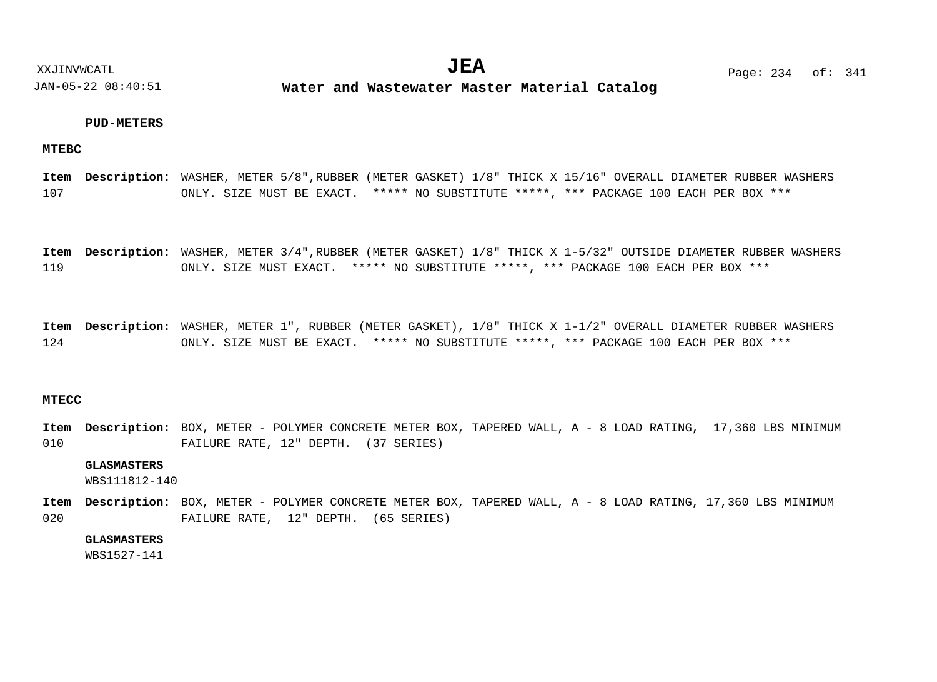### **PUD-METERS**

### **MTEBC**

107 WASHER, METER 5/8",RUBBER (METER GASKET) 1/8" THICK X 15/16" OVERALL DIAMETER RUBBER WASHERS **Description: Item** ONLY. SIZE MUST BE EXACT. \*\*\*\*\* NO SUBSTITUTE \*\*\*\*\*, \*\*\* PACKAGE 100 EACH PER BOX \*\*\*

119 Item Description: WASHER, METER 3/4",RUBBER (METER GASKET) 1/8" THICK X 1-5/32" OUTSIDE DIAMETER RUBBER WASHERS ONLY. SIZE MUST EXACT. \*\*\*\*\* NO SUBSTITUTE \*\*\*\*\*, \*\*\* PACKAGE 100 EACH PER BOX \*\*\*

124 WASHER, METER 1", RUBBER (METER GASKET), 1/8" THICK X 1-1/2" OVERALL DIAMETER RUBBER WASHERS **Description: Item** ONLY. SIZE MUST BE EXACT. \*\*\*\*\* NO SUBSTITUTE \*\*\*\*\*, \*\*\* PACKAGE 100 EACH PER BOX \*\*\*

### **MTECC**

010 Item Description: BOX, METER - POLYMER CONCRETE METER BOX, TAPERED WALL, A - 8 LOAD RATING, 17,360 LBS MINIMUM FAILURE RATE, 12" DEPTH. (37 SERIES)

### **GLASMASTERS**

WBS111812-140

020 Item Description: BOX, METER - POLYMER CONCRETE METER BOX, TAPERED WALL, A - 8 LOAD RATING, 17,360 LBS MINIMUM FAILURE RATE, 12" DEPTH. (65 SERIES)

### **GLASMASTERS**

WBS1527-141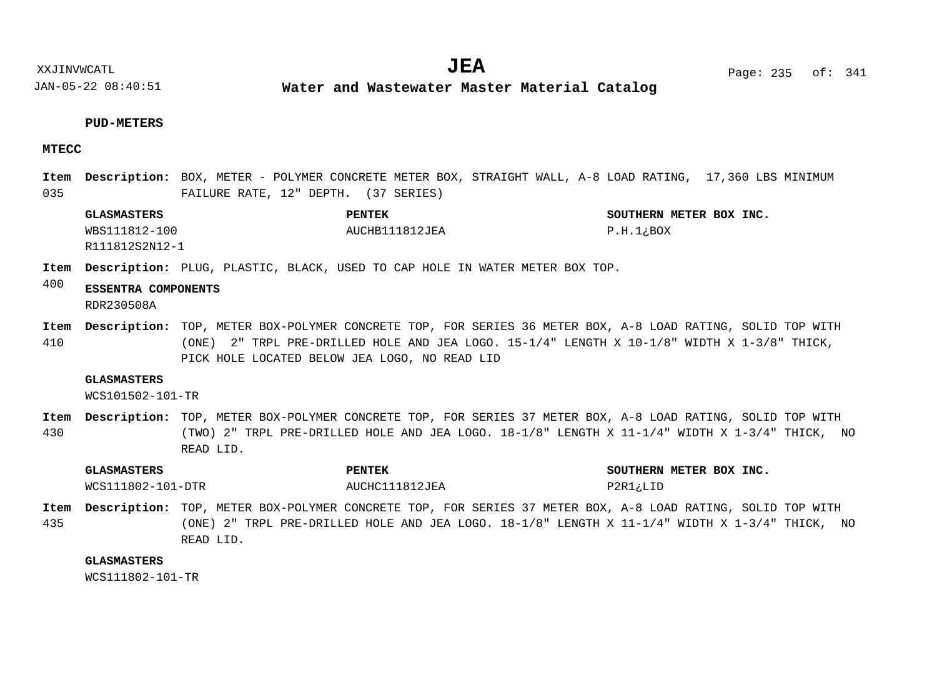XXJINVWCATL **EXALL** Page: 235 of:

JAN-05-22 08:40:51

**Water and Wastewater Master Material Catalog** 

#### **PUD-METERS**

### **MTECC**

035 Item Description: BOX, METER - POLYMER CONCRETE METER BOX, STRAIGHT WALL, A-8 LOAD RATING, 17,360 LBS MINIMUM FAILURE RATE, 12" DEPTH. (37 SERIES)

**GLASMASTERS PENTEK SOUTHERN METER BOX INC.** WBS111812-100 R111812S2N12-1 AUCHB111812JEA P.H.1; BOX

Item Description: PLUG, PLASTIC, BLACK, USED TO CAP HOLE IN WATER METER BOX TOP.

#### 400 **ESSENTRA COMPONENTS** RDR230508A

410 Item Description: TOP, METER BOX-POLYMER CONCRETE TOP, FOR SERIES 36 METER BOX, A-8 LOAD RATING, SOLID TOP WITH (ONE) 2" TRPL PRE-DRILLED HOLE AND JEA LOGO.  $15-1/4$ " LENGTH X  $10-1/8$ " WIDTH X  $1-3/8$ " THICK, PICK HOLE LOCATED BELOW JEA LOGO, NO READ LID

#### **GLASMASTERS**

WCS101502-101-TR

430 Item Description: TOP, METER BOX-POLYMER CONCRETE TOP, FOR SERIES 37 METER BOX, A-8 LOAD RATING, SOLID TOP WITH (TWO) 2" TRPL PRE-DRILLED HOLE AND JEA LOGO. 18-1/8" LENGTH X 11-1/4" WIDTH X 1-3/4" THICK, NO READ LID.

| <b>GLASMASTERS</b> | <b>PENTEK</b>  | SOUTHERN METER BOX INC. |
|--------------------|----------------|-------------------------|
| WCS111802-101-DTR  | AUCHC111812JEA | P2R1;LID                |

435 Item Description: TOP, METER BOX-POLYMER CONCRETE TOP, FOR SERIES 37 METER BOX, A-8 LOAD RATING, SOLID TOP WITH (ONE) 2" TRPL PRE-DRILLED HOLE AND JEA LOGO. 18-1/8" LENGTH X 11-1/4" WIDTH X 1-3/4" THICK, NO READ LID.

#### **GLASMASTERS**

WCS111802-101-TR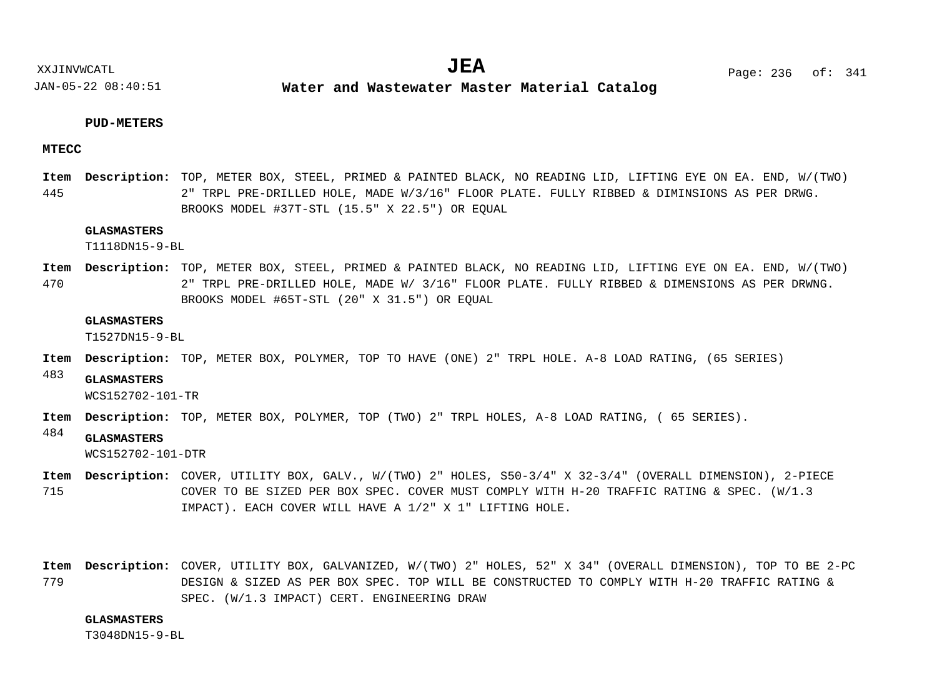**Water and Wastewater Master Material Catalog** 

### **PUD-METERS**

### **MTECC**

445 Item Description: TOP, METER BOX, STEEL, PRIMED & PAINTED BLACK, NO READING LID, LIFTING EYE ON EA. END, W/(TWO) 2" TRPL PRE-DRILLED HOLE, MADE W/3/16" FLOOR PLATE. FULLY RIBBED & DIMINSIONS AS PER DRWG. BROOKS MODEL #37T-STL (15.5" X 22.5") OR EQUAL

### **GLASMASTERS**

T1118DN15-9-BL

470 Item Description: TOP, METER BOX, STEEL, PRIMED & PAINTED BLACK, NO READING LID, LIFTING EYE ON EA. END, W/(TWO) 2" TRPL PRE-DRILLED HOLE, MADE W/ 3/16" FLOOR PLATE. FULLY RIBBED & DIMENSIONS AS PER DRWNG. BROOKS MODEL #65T-STL (20" X 31.5") OR EQUAL

#### **GLASMASTERS**

T1527DN15-9-BL

- Item Description: TOP, METER BOX, POLYMER, TOP TO HAVE (ONE) 2" TRPL HOLE. A-8 LOAD RATING, (65 SERIES)
- 483 **GLASMASTERS**

WCS152702-101-TR

- Item Description: TOP, METER BOX, POLYMER, TOP (TWO) 2" TRPL HOLES, A-8 LOAD RATING, ( 65 SERIES).
- 484 **GLASMASTERS**

WCS152702-101-DTR

- 715 COVER, UTILITY BOX, GALV., W/(TWO) 2" HOLES, S50-3/4" X 32-3/4" (OVERALL DIMENSION), 2-PIECE **Description: Item** COVER TO BE SIZED PER BOX SPEC. COVER MUST COMPLY WITH H-20 TRAFFIC RATING & SPEC. (W/1.3 IMPACT). EACH COVER WILL HAVE A 1/2" X 1" LIFTING HOLE.
- 779 COVER, UTILITY BOX, GALVANIZED, W/(TWO) 2" HOLES, 52" X 34" (OVERALL DIMENSION), TOP TO BE 2-PC **Description: Item**DESIGN & SIZED AS PER BOX SPEC. TOP WILL BE CONSTRUCTED TO COMPLY WITH H-20 TRAFFIC RATING & SPEC. (W/1.3 IMPACT) CERT. ENGINEERING DRAW

#### **GLASMASTERS**

T3048DN15-9-BL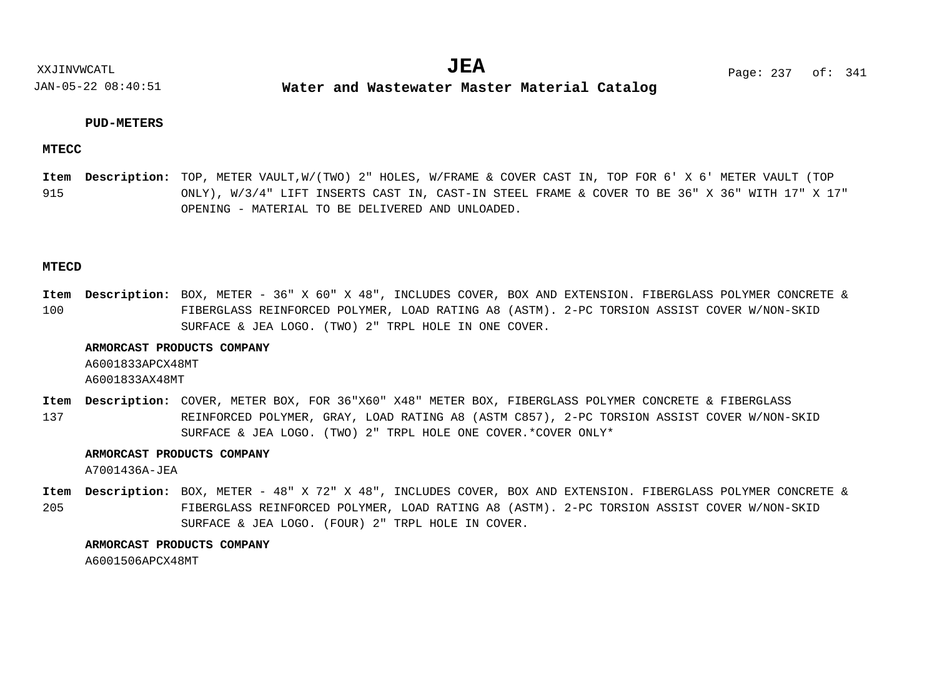**Water and Wastewater Master Material Catalog** 

### **PUD-METERS**

### **MTECC**

915 Item Description: TOP, METER VAULT,W/(TWO) 2" HOLES, W/FRAME & COVER CAST IN, TOP FOR 6' X 6' METER VAULT (TOP ONLY), W/3/4" LIFT INSERTS CAST IN, CAST-IN STEEL FRAME & COVER TO BE 36" X 36" WITH 17" X 17" OPENING - MATERIAL TO BE DELIVERED AND UNLOADED.

### **MTECD**

100 Item Description: BOX, METER - 36" X 60" X 48", INCLUDES COVER, BOX AND EXTENSION. FIBERGLASS POLYMER CONCRETE & FIBERGLASS REINFORCED POLYMER, LOAD RATING A8 (ASTM). 2-PC TORSION ASSIST COVER W/NON-SKID SURFACE & JEA LOGO. (TWO) 2" TRPL HOLE IN ONE COVER.

### **ARMORCAST PRODUCTS COMPANY**

A6001833APCX48MT

A6001833AX48MT

137 Item Description: COVER, METER BOX, FOR 36"X60" X48" METER BOX, FIBERGLASS POLYMER CONCRETE & FIBERGLASS REINFORCED POLYMER, GRAY, LOAD RATING A8 (ASTM C857), 2-PC TORSION ASSIST COVER W/NON-SKID SURFACE & JEA LOGO. (TWO) 2" TRPL HOLE ONE COVER.\*COVER ONLY\*

### **ARMORCAST PRODUCTS COMPANY**

A7001436A-JEA

205 Item Description: BOX, METER - 48" X 72" X 48", INCLUDES COVER, BOX AND EXTENSION. FIBERGLASS POLYMER CONCRETE & FIBERGLASS REINFORCED POLYMER, LOAD RATING A8 (ASTM). 2-PC TORSION ASSIST COVER W/NON-SKID SURFACE & JEA LOGO. (FOUR) 2" TRPL HOLE IN COVER.

### **ARMORCAST PRODUCTS COMPANY**

A6001506APCX48MT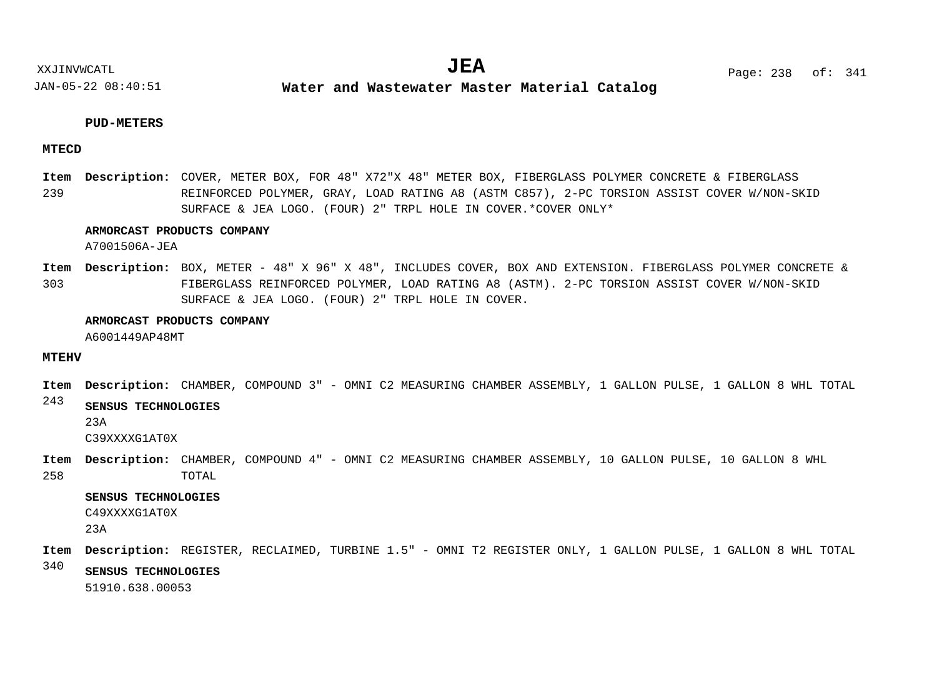**Water and Wastewater Master Material Catalog** 

### **PUD-METERS**

### **MTECD**

239 Item Description: COVER, METER BOX, FOR 48" X72"X 48" METER BOX, FIBERGLASS POLYMER CONCRETE & FIBERGLASS REINFORCED POLYMER, GRAY, LOAD RATING A8 (ASTM C857), 2-PC TORSION ASSIST COVER W/NON-SKID SURFACE & JEA LOGO. (FOUR) 2" TRPL HOLE IN COVER.\*COVER ONLY\*

### **ARMORCAST PRODUCTS COMPANY**

A7001506A-JEA

303 Item Description: BOX, METER - 48" X 96" X 48", INCLUDES COVER, BOX AND EXTENSION. FIBERGLASS POLYMER CONCRETE & FIBERGLASS REINFORCED POLYMER, LOAD RATING A8 (ASTM). 2-PC TORSION ASSIST COVER W/NON-SKID SURFACE & JEA LOGO. (FOUR) 2" TRPL HOLE IN COVER.

#### **ARMORCAST PRODUCTS COMPANY**

A6001449AP48MT

### **MTEHV**

 $\bf{Item}$   $\bf{Description:}$   $\bf{CHAMBER}$ ,  $\bf{COMPOUND}$  3" -  $\bf{OMNIC2}$   $\bf{MEASURING}$   $\bf{CHAMBER}$   $\bf{ASSEMBLY}$ ,  $\bf{1}$   $\bf{GALLON}$   $\bf{PULSE}$ ,  $\bf{1}$   $\bf{GALLON}$   $\bf{8}$   $\bf{WHL}$   $\bf{TOTAL}$ 

#### 243 **SENSUS TECHNOLOGIES**

23A

C39XXXXG1AT0X

258 Item Description: CHAMBER, COMPOUND 4" - OMNI C2 MEASURING CHAMBER ASSEMBLY, 10 GALLON PULSE, 10 GALLON 8 WHL TOTAL

**SENSUS TECHNOLOGIES**

C49XXXXG1AT0X

23A

- REGISTER, RECLAIMED, TURBINE 1.5" OMNI T2 REGISTER ONLY, 1 GALLON PULSE, 1 GALLON 8 WHL TOTAL **Description: Item**
- 340
	- **SENSUS TECHNOLOGIES**

51910.638.00053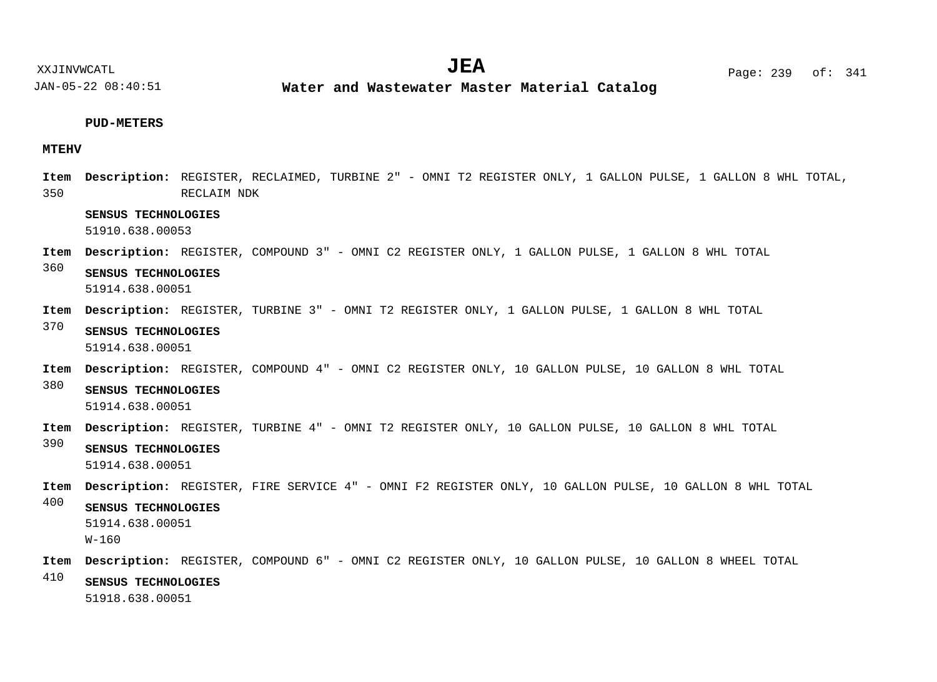**Water and Wastewater Master Material Catalog** 

### **PUD-METERS**

### **MTEHV**

350 REGISTER, RECLAIMED, TURBINE 2" - OMNI T2 REGISTER ONLY, 1 GALLON PULSE, 1 GALLON 8 WHL TOTAL, **Description: Item** RECLAIM NDK

### **SENSUS TECHNOLOGIES**

51910.638.00053

- REGISTER, COMPOUND 3" OMNI C2 REGISTER ONLY, 1 GALLON PULSE, 1 GALLON 8 WHL TOTAL **Description: Item**
- 360 **SENSUS TECHNOLOGIES** 51914.638.00051
- REGISTER, TURBINE 3" OMNI T2 REGISTER ONLY, 1 GALLON PULSE, 1 GALLON 8 WHL TOTAL **Description: Item**
- 370 **SENSUS TECHNOLOGIES** 51914.638.00051
- REGISTER, COMPOUND 4" OMNI C2 REGISTER ONLY, 10 GALLON PULSE, 10 GALLON 8 WHL TOTAL **Description: Item**
- 380 **SENSUS TECHNOLOGIES**
	- 51914.638.00051
- Item Description: REGISTER, TURBINE 4" OMNI T2 REGISTER ONLY, 10 GALLON PULSE, 10 GALLON 8 WHL TOTAL
- 390 **SENSUS TECHNOLOGIES** 51914.638.00051
- REGISTER, FIRE SERVICE 4" OMNI F2 REGISTER ONLY, 10 GALLON PULSE, 10 GALLON 8 WHL TOTAL **Description: Item**
- 400 **SENSUS TECHNOLOGIES**

51914.638.00051 W-160

- REGISTER, COMPOUND 6" OMNI C2 REGISTER ONLY, 10 GALLON PULSE, 10 GALLON 8 WHEEL TOTAL **Description: Item**
- 410 **SENSUS TECHNOLOGIES**

51918.638.00051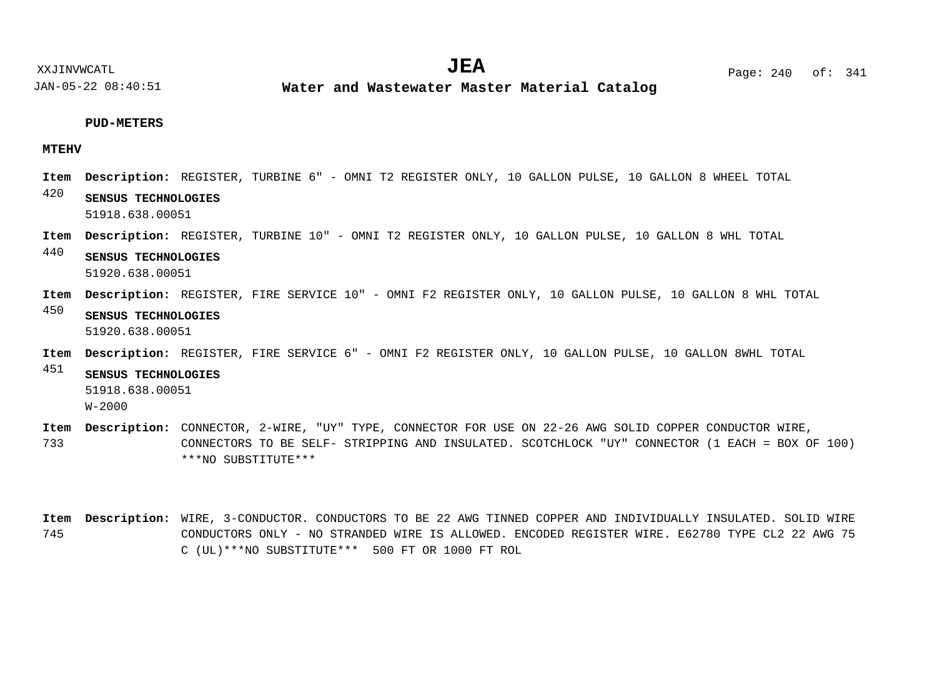### **PUD-METERS**

### **MTEHV**

- Item Description: REGISTER, TURBINE 6" OMNI T2 REGISTER ONLY, 10 GALLON PULSE, 10 GALLON 8 WHEEL TOTAL
- 420 **SENSUS TECHNOLOGIES** 51918.638.00051
- REGISTER, TURBINE 10" OMNI T2 REGISTER ONLY, 10 GALLON PULSE, 10 GALLON 8 WHL TOTAL **Description: Item**
- 440 **SENSUS TECHNOLOGIES** 51920.638.00051
- REGISTER, FIRE SERVICE 10" OMNI F2 REGISTER ONLY, 10 GALLON PULSE, 10 GALLON 8 WHL TOTAL **Description: Item**
- 450 **SENSUS TECHNOLOGIES** 51920.638.00051
- Item Description: REGISTER, FIRE SERVICE 6" OMNI F2 REGISTER ONLY, 10 GALLON PULSE, 10 GALLON 8WHL TOTAL

### 451 **SENSUS TECHNOLOGIES** 51918.638.00051

W-2000

733 Item Description: CONNECTOR, 2-WIRE, "UY" TYPE, CONNECTOR FOR USE ON 22-26 AWG SOLID COPPER CONDUCTOR WIRE, CONNECTORS TO BE SELF- STRIPPING AND INSULATED. SCOTCHLOCK "UY" CONNECTOR (1 EACH = BOX OF 100) \*\*\*NO SUBSTITUTE\*\*\*

745 Item Description: WIRE, 3-CONDUCTOR. CONDUCTORS TO BE 22 AWG TINNED COPPER AND INDIVIDUALLY INSULATED. SOLID WIRE CONDUCTORS ONLY - NO STRANDED WIRE IS ALLOWED. ENCODED REGISTER WIRE. E62780 TYPE CL2 22 AWG 75 C (UL)\*\*\*NO SUBSTITUTE\*\*\* 500 FT OR 1000 FT ROL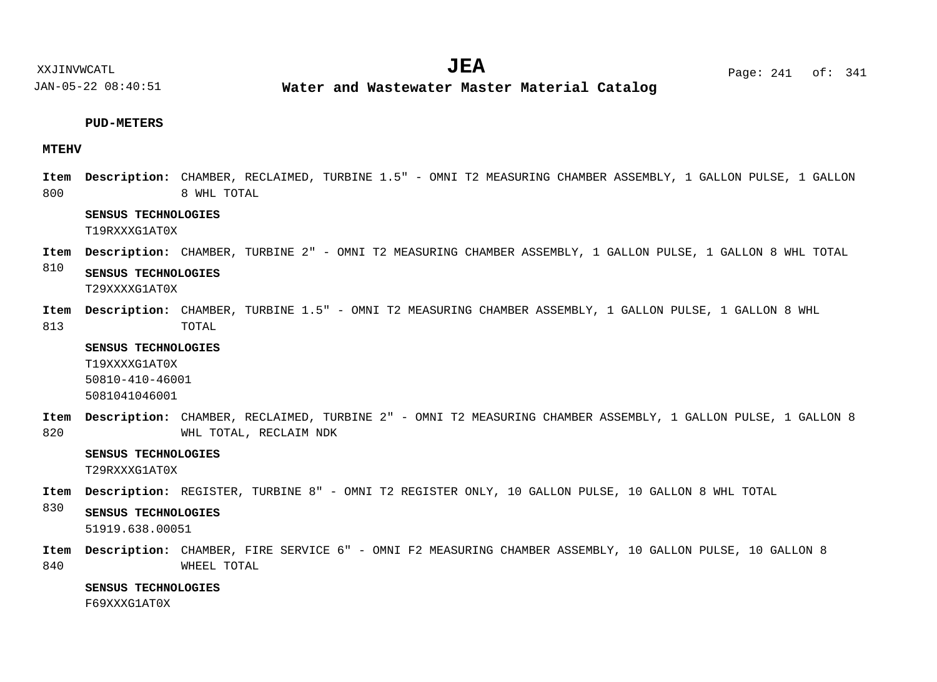**Water and Wastewater Master Material Catalog** 

### **PUD-METERS**

### **MTEHV**

800  $\blacksquare$  **Description:** CHAMBER, RECLAIMED, TURBINE 1.5" - OMNI T2 MEASURING CHAMBER ASSEMBLY, 1 GALLON PULSE, 1 GALLON 8 WHL TOTAL

### **SENSUS TECHNOLOGIES**

T19RXXXG1AT0X

 $\blacksquare$  **Description:** CHAMBER, TURBINE 2" - OMNI T2 MEASURING CHAMBER ASSEMBLY, 1 GALLON PULSE, 1 GALLON 8 WHL TOTAL

810 **SENSUS TECHNOLOGIES** T29XXXXG1AT0X

813 Item Description: CHAMBER, TURBINE 1.5" - OMNI T2 MEASURING CHAMBER ASSEMBLY, 1 GALLON PULSE, 1 GALLON 8 WHL TOTAL

**SENSUS TECHNOLOGIES**

T19XXXXG1AT0X 50810-410-46001 5081041046001

820 Item Description: CHAMBER, RECLAIMED, TURBINE 2" - OMNI T2 MEASURING CHAMBER ASSEMBLY, 1 GALLON PULSE, 1 GALLON 8 WHL TOTAL, RECLAIM NDK

### **SENSUS TECHNOLOGIES**

T29RXXXG1AT0X

Item Description: REGISTER, TURBINE 8" - OMNI T2 REGISTER ONLY, 10 GALLON PULSE, 10 GALLON 8 WHL TOTAL

#### 830 **SENSUS TECHNOLOGIES**

51919.638.00051

840 Item Description: CHAMBER, FIRE SERVICE 6" - OMNI F2 MEASURING CHAMBER ASSEMBLY, 10 GALLON PULSE, 10 GALLON 8 WHEEL TOTAL

### **SENSUS TECHNOLOGIES**

F69XXXG1AT0X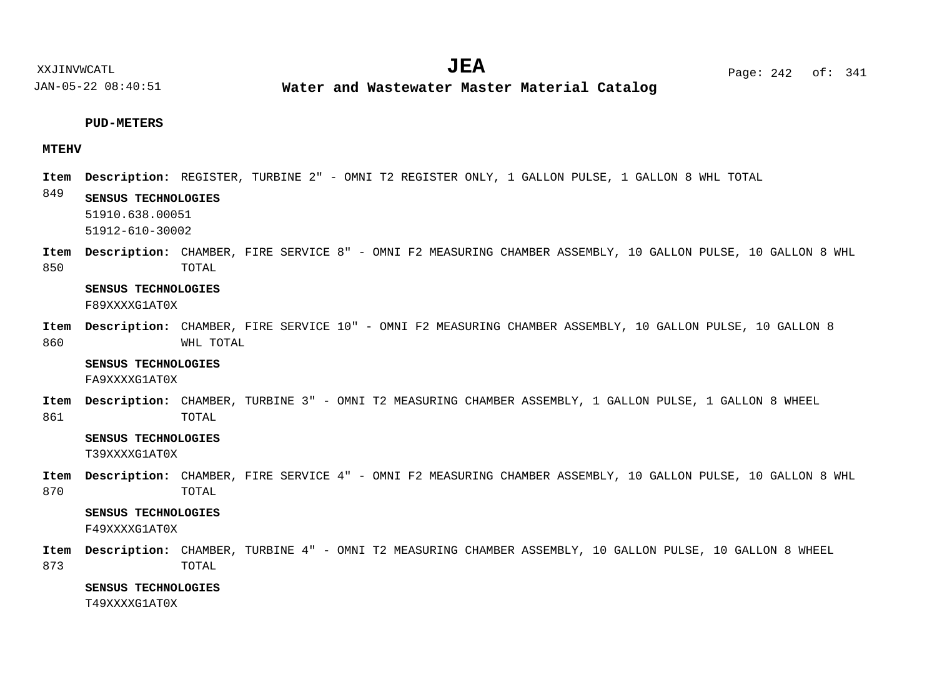**Water and Wastewater Master Material Catalog** 

#### **PUD-METERS**

### **MTEHV**

- REGISTER, TURBINE 2" OMNI T2 REGISTER ONLY, 1 GALLON PULSE, 1 GALLON 8 WHL TOTAL **Description: Item**
- 849 **SENSUS TECHNOLOGIES**
	- 51910.638.00051
	- 51912-610-30002
- 850 Item Description: CHAMBER, FIRE SERVICE 8" - OMNI F2 MEASURING CHAMBER ASSEMBLY, 10 GALLON PULSE, 10 GALLON 8 WHL TOTAL

### **SENSUS TECHNOLOGIES**

F89XXXXG1AT0X

860 Item Description: CHAMBER, FIRE SERVICE 10" - OMNI F2 MEASURING CHAMBER ASSEMBLY, 10 GALLON PULSE, 10 GALLON 8 WHL TOTAL

#### **SENSUS TECHNOLOGIES**

FA9XXXXG1AT0X

861 Item Description: CHAMBER, TURBINE 3" - OMNI T2 MEASURING CHAMBER ASSEMBLY, 1 GALLON PULSE, 1 GALLON 8 WHEEL TOTAL

### **SENSUS TECHNOLOGIES**

T39XXXXG1AT0X

870 Item Description: CHAMBER, FIRE SERVICE 4" - OMNI F2 MEASURING CHAMBER ASSEMBLY, 10 GALLON PULSE, 10 GALLON 8 WHL TOTAL

### **SENSUS TECHNOLOGIES**

F49XXXXG1AT0X

873 Item Description: CHAMBER, TURBINE 4" - OMNI T2 MEASURING CHAMBER ASSEMBLY, 10 GALLON PULSE, 10 GALLON 8 WHEEL TOTAL

### **SENSUS TECHNOLOGIES**

T49XXXXG1AT0X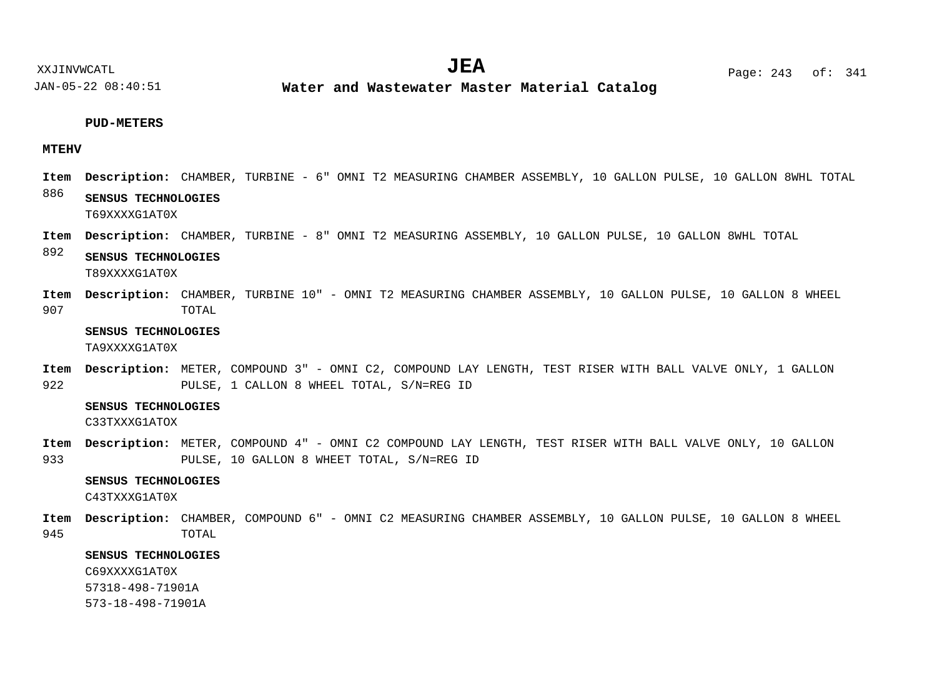**Water and Wastewater Master Material Catalog** 

#### **PUD-METERS**

### **MTEHV**

- 886 Item Description: CHAMBER, TURBINE - 6" OMNI T2 MEASURING CHAMBER ASSEMBLY, 10 GALLON PULSE, 10 GALLON 8WHL TOTAL **SENSUS TECHNOLOGIES** T69XXXXG1AT0X
- Item Description: CHAMBER, TURBINE 8" OMNI T2 MEASURING ASSEMBLY, 10 GALLON PULSE, 10 GALLON 8WHL TOTAL
- 892 **SENSUS TECHNOLOGIES** T89XXXXG1AT0X
- 907 Item Description: CHAMBER, TURBINE 10" - OMNI T2 MEASURING CHAMBER ASSEMBLY, 10 GALLON PULSE, 10 GALLON 8 WHEEL TOTAL

### **SENSUS TECHNOLOGIES**

TA9XXXXG1AT0X

922 METER, COMPOUND 3" - OMNI C2, COMPOUND LAY LENGTH, TEST RISER WITH BALL VALVE ONLY, 1 GALLON **Description: Item** PULSE, 1 CALLON 8 WHEEL TOTAL, S/N=REG ID

### **SENSUS TECHNOLOGIES**

C33TXXXG1ATOX

933 Item Description: METER, COMPOUND 4" - OMNI C2 COMPOUND LAY LENGTH, TEST RISER WITH BALL VALVE ONLY, 10 GALLON PULSE, 10 GALLON 8 WHEET TOTAL, S/N=REG ID

### **SENSUS TECHNOLOGIES**

C43TXXXG1AT0X

945 Item Description: CHAMBER, COMPOUND 6" - OMNI C2 MEASURING CHAMBER ASSEMBLY, 10 GALLON PULSE, 10 GALLON 8 WHEEL TOTAL

### **SENSUS TECHNOLOGIES**

C69XXXXG1AT0X

57318-498-71901A

573-18-498-71901A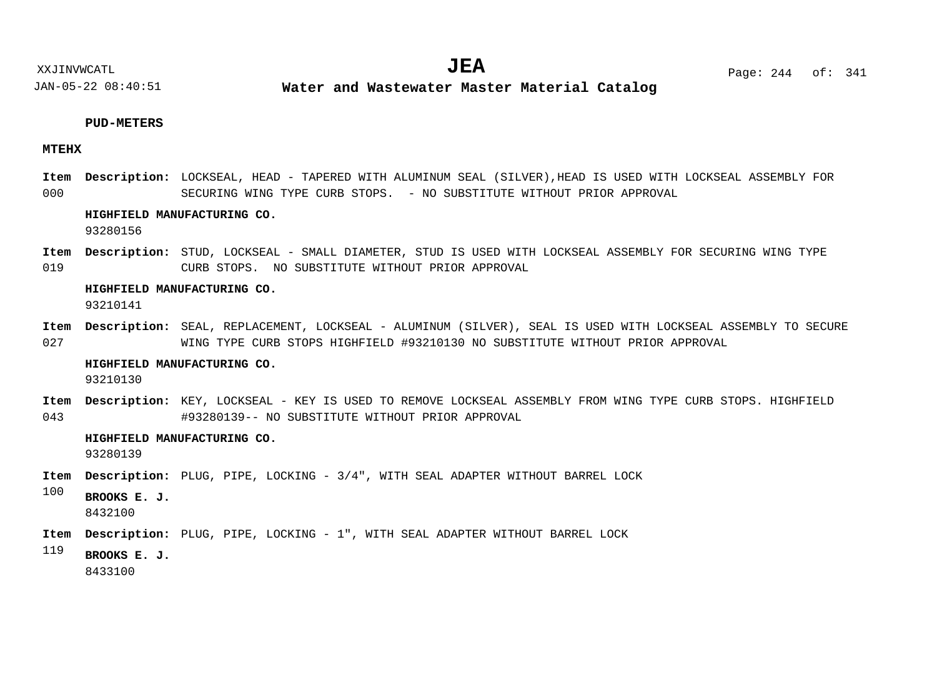### **PUD-METERS**

### **MTEHX**

000 Item Description: LOCKSEAL, HEAD - TAPERED WITH ALUMINUM SEAL (SILVER),HEAD IS USED WITH LOCKSEAL ASSEMBLY FOR SECURING WING TYPE CURB STOPS. - NO SUBSTITUTE WITHOUT PRIOR APPROVAL

### **HIGHFIELD MANUFACTURING CO.**

93280156

019 Item Description: STUD, LOCKSEAL - SMALL DIAMETER, STUD IS USED WITH LOCKSEAL ASSEMBLY FOR SECURING WING TYPE CURB STOPS. NO SUBSTITUTE WITHOUT PRIOR APPROVAL

#### **HIGHFIELD MANUFACTURING CO.**

93210141

027 SEAL, REPLACEMENT, LOCKSEAL - ALUMINUM (SILVER), SEAL IS USED WITH LOCKSEAL ASSEMBLY TO SECURE **Description: Item** WING TYPE CURB STOPS HIGHFIELD #93210130 NO SUBSTITUTE WITHOUT PRIOR APPROVAL

#### **HIGHFIELD MANUFACTURING CO.**

93210130

043 Item Description: KEY, LOCKSEAL - KEY IS USED TO REMOVE LOCKSEAL ASSEMBLY FROM WING TYPE CURB STOPS. HIGHFIELD #93280139-- NO SUBSTITUTE WITHOUT PRIOR APPROVAL

### **HIGHFIELD MANUFACTURING CO.**

93280139

- Item Description: PLUG, PIPE, LOCKING 3/4", WITH SEAL ADAPTER WITHOUT BARREL LOCK
- 100 **BROOKS E. J.**

8432100

Item Description: PLUG, PIPE, LOCKING - 1", WITH SEAL ADAPTER WITHOUT BARREL LOCK

119

8433100

**BROOKS E. J.**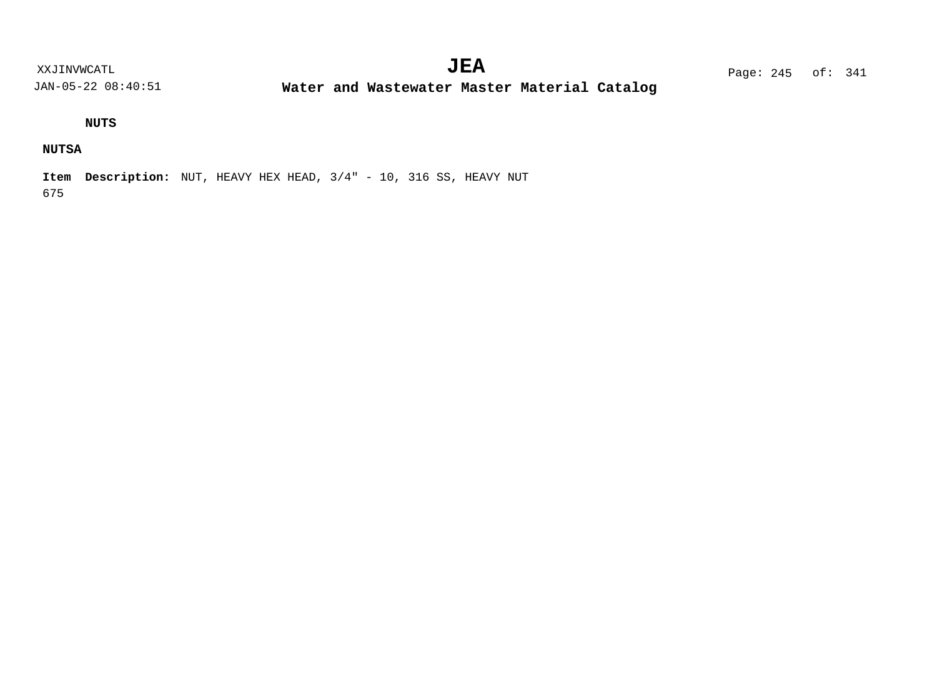**Water and Wastewater Master Material Catalog** 

# **NUTS**

# **NUTSA**

675 **Item Description:** NUT, HEAVY HEX HEAD, 3/4" - 10, 316 SS, HEAVY NUT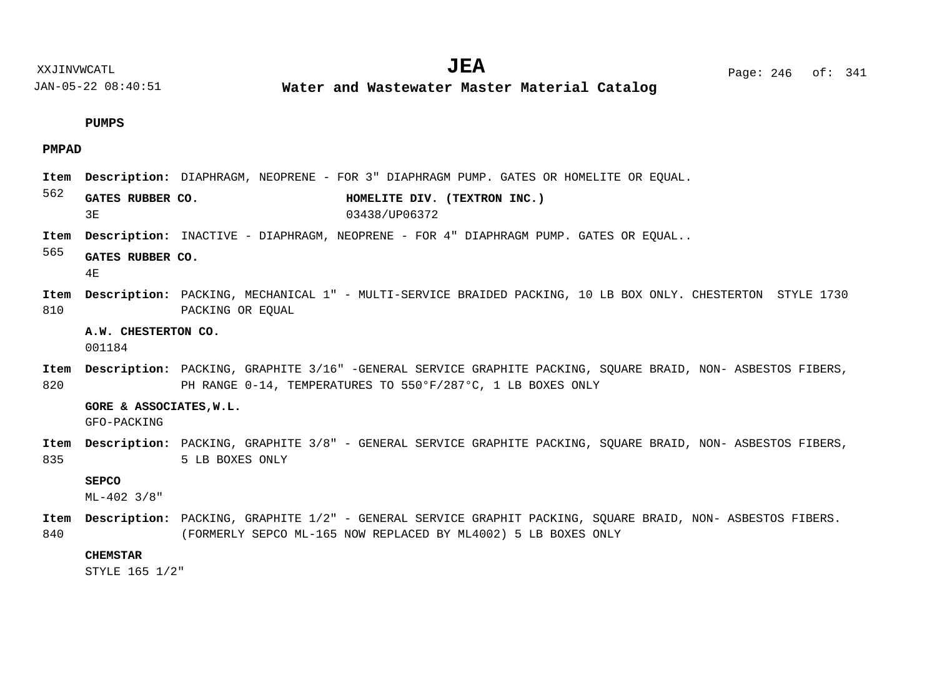**Water and Wastewater Master Material Catalog** 

#### **PUMPS**

### **PMPAD**

- Item Description: DIAPHRAGM, NEOPRENE FOR 3" DIAPHRAGM PUMP. GATES OR HOMELITE OR EQUAL.
- 562 GATES RUBBER CO. **HOMELITE DIV. (TEXTRON INC.)** 3E 03438/UP06372
- Item Description: INACTIVE DIAPHRAGM, NEOPRENE FOR 4" DIAPHRAGM PUMP. GATES OR EQUAL..
- 565 **GATES RUBBER CO.**

4E

- 810 Item Description: PACKING, MECHANICAL 1" - MULTI-SERVICE BRAIDED PACKING, 10 LB BOX ONLY. CHESTERTON STYLE 1730 PACKING OR EQUAL
	- **A.W. CHESTERTON CO.**

001184

820 Item Description: PACKING, GRAPHITE 3/16" -GENERAL SERVICE GRAPHITE PACKING, SQUARE BRAID, NON- ASBESTOS FIBERS, PH RANGE 0-14, TEMPERATURES TO 550°F/287°C, 1 LB BOXES ONLY

#### **GORE & ASSOCIATES,W.L.**

GFO-PACKING

835 Item Description: PACKING, GRAPHITE 3/8" - GENERAL SERVICE GRAPHITE PACKING, SQUARE BRAID, NON- ASBESTOS FIBERS, 5 LB BOXES ONLY

### **SEPCO**

ML-402 3/8"

840 Item Description: PACKING, GRAPHITE 1/2" - GENERAL SERVICE GRAPHIT PACKING, SQUARE BRAID, NON- ASBESTOS FIBERS. (FORMERLY SEPCO ML-165 NOW REPLACED BY ML4002) 5 LB BOXES ONLY

### **CHEMSTAR**

STYLE 165 1/2"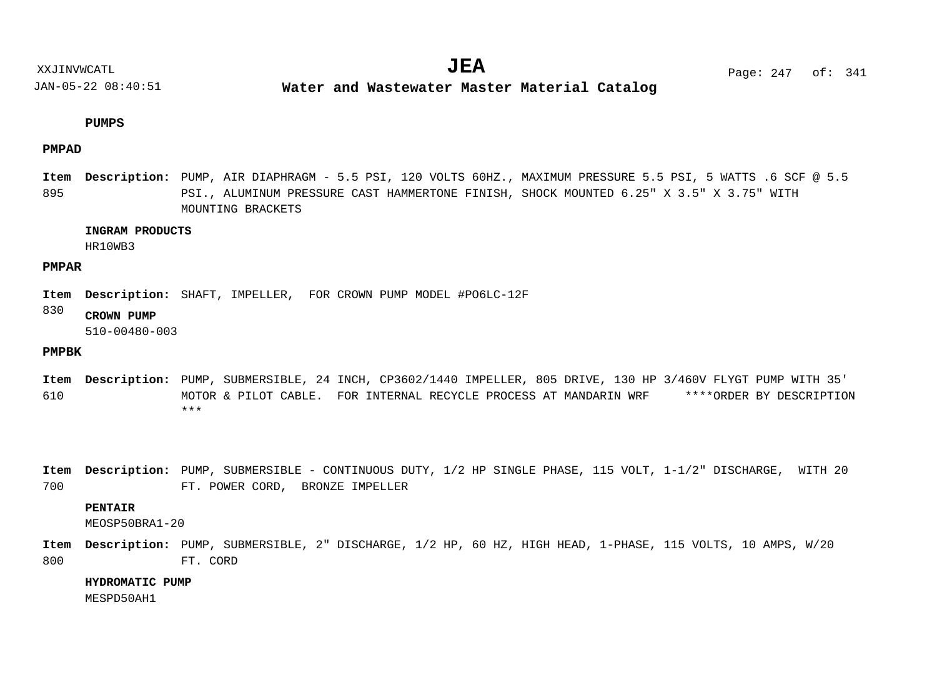**Water and Wastewater Master Material Catalog** 

#### **PUMPS**

### **PMPAD**

895 Item Description: PUMP, AIR DIAPHRAGM - 5.5 PSI, 120 VOLTS 60HZ., MAXIMUM PRESSURE 5.5 PSI, 5 WATTS .6 SCF @ 5.5 PSI., ALUMINUM PRESSURE CAST HAMMERTONE FINISH, SHOCK MOUNTED 6.25" X 3.5" X 3.75" WITH MOUNTING BRACKETS

### **INGRAM PRODUCTS**

HR10WB3

### **PMPAR**

Item Description: SHAFT, IMPELLER, FOR CROWN PUMP MODEL #PO6LC-12F

#### 830 **CROWN PUMP**

510-00480-003

### **PMPBK**

610 Item Description: PUMP, SUBMERSIBLE, 24 INCH, CP3602/1440 IMPELLER, 805 DRIVE, 130 HP 3/460V FLYGT PUMP WITH 35' MOTOR & PILOT CABLE. FOR INTERNAL RECYCLE PROCESS AT MANDARIN WRF \*\*\*\*ORDER BY DESCRIPTION \*\*\*

700 <code>Item Description: PUMP, SUBMERSIBLE - CONTINUOUS DUTY, 1/2 HP SINGLE PHASE, 115 VOLT, 1-1/2" DISCHARGE, WITH 20</code> FT. POWER CORD, BRONZE IMPELLER

### **PENTAIR**

MEOSP50BRA1-20

800 Item Description: PUMP, SUBMERSIBLE, 2" DISCHARGE, 1/2 HP, 60 HZ, HIGH HEAD, 1-PHASE, 115 VOLTS, 10 AMPS, W/20 FT. CORD

**HYDROMATIC PUMP**

MESPD50AH1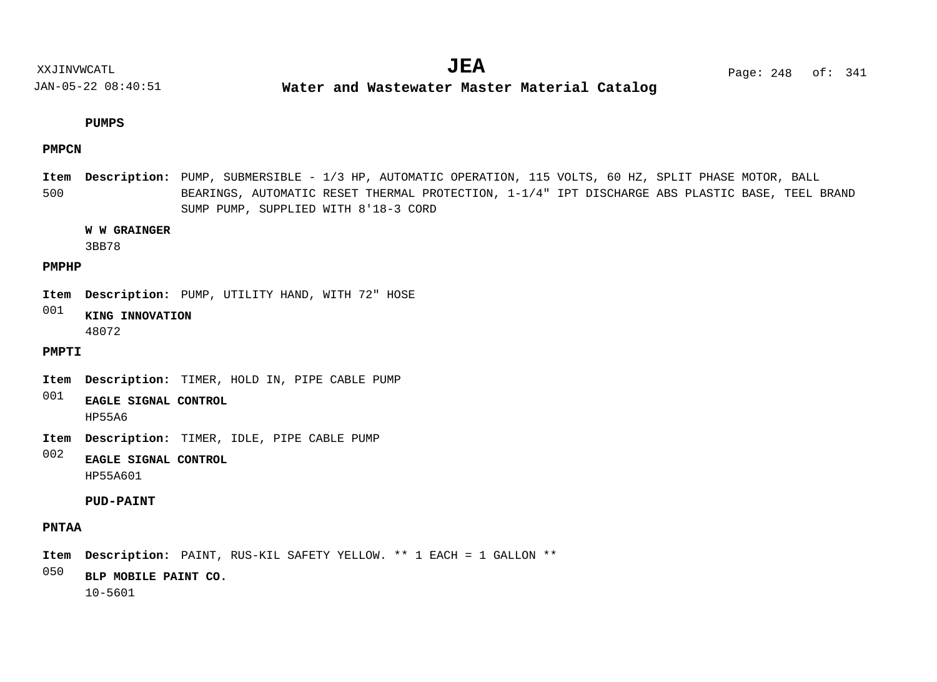**Water and Wastewater Master Material Catalog** 

### **PUMPS**

### **PMPCN**

500 Item Description: PUMP, SUBMERSIBLE - 1/3 HP, AUTOMATIC OPERATION, 115 VOLTS, 60 HZ, SPLIT PHASE MOTOR, BALL BEARINGS, AUTOMATIC RESET THERMAL PROTECTION, 1-1/4" IPT DISCHARGE ABS PLASTIC BASE, TEEL BRAND SUMP PUMP, SUPPLIED WITH 8'18-3 CORD

### **W W GRAINGER**

3BB78

### **PMPHP**

Item Description: PUMP, UTILITY HAND, WITH 72" HOSE

001 **KING INNOVATION** 48072

### **PMPTI**

Item Description: TIMER, HOLD IN, PIPE CABLE PUMP

- 001 **EAGLE SIGNAL CONTROL** HP55A6
- Item Description: TIMER, IDLE, PIPE CABLE PUMP

002 **EAGLE SIGNAL CONTROL** HP55A601

### **PUD-PAINT**

# **PNTAA**

Item Description: PAINT, RUS-KIL SAFETY YELLOW. \*\* 1 EACH = 1 GALLON \*\*

050 **BLP MOBILE PAINT CO.**

10-5601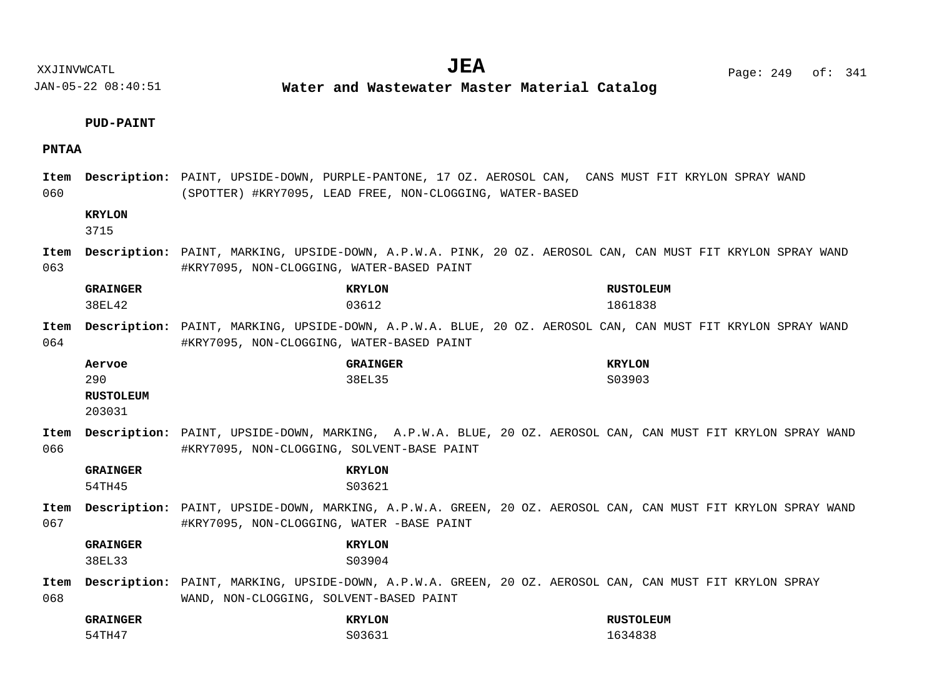XXJINVWCATL **EXALL** Page: 249 of:  $JEA$   $Page: 249 \text{ of}: 341$ 

JAN-05-22 08:40:51

**Water and Wastewater Master Material Catalog** 

### **PUD-PAINT**

### **PNTAA**

060 Item Description: PAINT, UPSIDE-DOWN, PURPLE-PANTONE, 17 OZ. AEROSOL CAN, CANS MUST FIT KRYLON SPRAY WAND (SPOTTER) #KRY7095, LEAD FREE, NON-CLOGGING, WATER-BASED

### **KRYLON**

3715

063 Item Description: PAINT, MARKING, UPSIDE-DOWN, A.P.W.A. PINK, 20 OZ. AEROSOL CAN, CAN MUST FIT KRYLON SPRAY WAND #KRY7095, NON-CLOGGING, WATER-BASED PAINT

| <b>GRAINGER</b> |        | <b>KRYLON</b><br><b>RUSTOLEUM</b>                                                                                                                        |
|-----------------|--------|----------------------------------------------------------------------------------------------------------------------------------------------------------|
|                 | 38EL42 | 1861838<br>03612                                                                                                                                         |
| Item<br>064     |        | Description: PAINT, MARKING, UPSIDE-DOWN, A.P.W.A. BLUE, 20 OZ. AEROSOL CAN, CAN MUST FIT KRYLON SPRAY WAND<br>#KRY7095, NON-CLOGGING, WATER-BASED PAINT |
| Aervoe          |        | <b>GRAINGER</b><br><b>KRYLON</b>                                                                                                                         |

| 290                                                                              |  | 38EL35 |  |  | S03903 |  |
|----------------------------------------------------------------------------------|--|--------|--|--|--------|--|
| <b>RUSTOLEUM</b>                                                                 |  |        |  |  |        |  |
| 203031                                                                           |  |        |  |  |        |  |
| m Description: PAINT, UPSIDE-DOWN, MARKING, A.P.W.A. BLUE, 20 OZ. AEROSOL CAN, C |  |        |  |  |        |  |

066 OSOL CAN, CAN MUST FIT KRYLON SPRAY WAND #KRY7095, NON-CLOGGING, SOLVENT-BASE PAINT **Item**

**GRAINGER KRYLON** 54TH45 S03621

- 
- 067 Item Description: PAINT, UPSIDE-DOWN, MARKING, A.P.W.A. GREEN, 20 OZ. AEROSOL CAN, CAN MUST FIT KRYLON SPRAY WAND #KRY7095, NON-CLOGGING, WATER -BASE PAINT

# **GRAINGER KRYLON**

38EL33 S03904

068 Item Description: PAINT, MARKING, UPSIDE-DOWN, A.P.W.A. GREEN, 20 OZ. AEROSOL CAN, CAN MUST FIT KRYLON SPRAY WAND, NON-CLOGGING, SOLVENT-BASED PAINT

| <b>GRAINGER</b> | <b>KRYLON</b> | <b>RUSTOLEUM</b> |
|-----------------|---------------|------------------|
| 54TH47          | S03631        | 1634838          |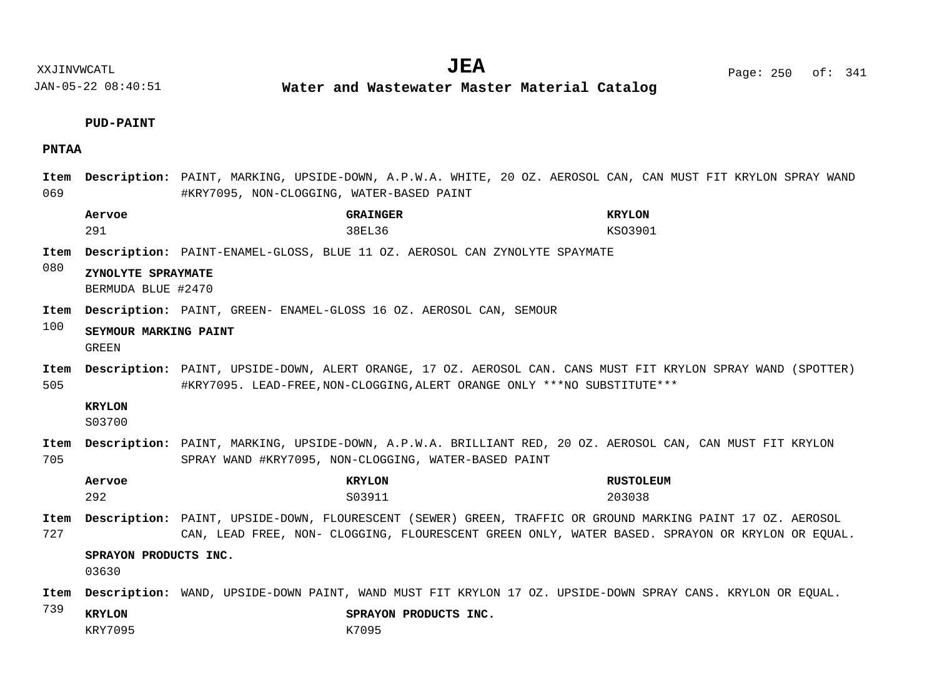**Water and Wastewater Master Material Catalog** 

### **PUD-PAINT**

### **PNTAA**

069  $D = D$  **Description:** PAINT, MARKING, UPSIDE-DOWN, A.P.W.A. WHITE, 20 OZ. AEROSOL CAN, CAN MUST FIT KRYLON SPRAY WAND #KRY7095, NON-CLOGGING, WATER-BASED PAINT

|             | Aervoe                                   | <b>GRAINGER</b>                                                                                                                                                                          | <b>KRYLON</b>    |
|-------------|------------------------------------------|------------------------------------------------------------------------------------------------------------------------------------------------------------------------------------------|------------------|
|             | 291                                      | 38EL36                                                                                                                                                                                   | KS03901          |
| Item<br>080 |                                          | Description: PAINT-ENAMEL-GLOSS, BLUE 11 OZ. AEROSOL CAN ZYNOLYTE SPAYMATE                                                                                                               |                  |
|             | ZYNOLYTE SPRAYMATE<br>BERMUDA BLUE #2470 |                                                                                                                                                                                          |                  |
| Item<br>100 |                                          | Description: PAINT, GREEN- ENAMEL-GLOSS 16 OZ. AEROSOL CAN, SEMOUR                                                                                                                       |                  |
|             | SEYMOUR MARKING PAINT<br>GREEN           |                                                                                                                                                                                          |                  |
| Item<br>505 |                                          | Description: PAINT, UPSIDE-DOWN, ALERT ORANGE, 17 OZ. AEROSOL CAN. CANS MUST FIT KRYLON SPRAY WAND (SPOTTER)<br>#KRY7095. LEAD-FREE, NON-CLOGGING, ALERT ORANGE ONLY ***NO SUBSTITUTE*** |                  |
|             | <b>KRYLON</b><br>S03700                  |                                                                                                                                                                                          |                  |
| Item<br>705 |                                          | Description: PAINT, MARKING, UPSIDE-DOWN, A.P.W.A. BRILLIANT RED, 20 OZ. AEROSOL CAN, CAN MUST FIT KRYLON<br>SPRAY WAND #KRY7095, NON-CLOGGING, WATER-BASED PAINT                        |                  |
|             | Aervoe                                   | <b>KRYLON</b>                                                                                                                                                                            | <b>RUSTOLEUM</b> |

292 S03911 203038

727 Item Description: PAINT, UPSIDE-DOWN, FLOURESCENT (SEWER) GREEN, TRAFFIC OR GROUND MARKING PAINT 17 OZ. AEROSOL CAN, LEAD FREE, NON- CLOGGING, FLOURESCENT GREEN ONLY, WATER BASED. SPRAYON OR KRYLON OR EQUAL.

### **SPRAYON PRODUCTS INC.**

03630

- Item Description: WAND, UPSIDE-DOWN PAINT, WAND MUST FIT KRYLON 17 OZ. UPSIDE-DOWN SPRAY CANS. KRYLON OR EQUAL.
- 739

**KRYLON SPRAYON PRODUCTS INC.**

KRY7095 K7095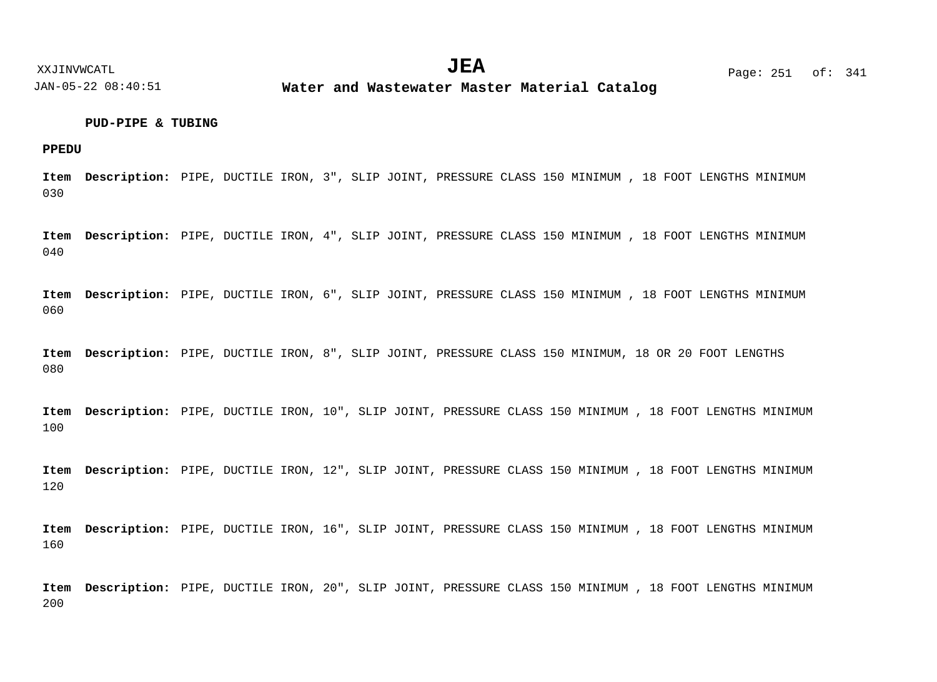**Water and Wastewater Master Material Catalog** 

### **PUD-PIPE & TUBING**

**PPEDU**

030 Item Description: PIPE, DUCTILE IRON, 3", SLIP JOINT, PRESSURE CLASS 150 MINIMUM , 18 FOOT LENGTHS MINIMUM

040 Item Description: PIPE, DUCTILE IRON, 4", SLIP JOINT, PRESSURE CLASS 150 MINIMUM , 18 FOOT LENGTHS MINIMUM

060 Item Description: PIPE, DUCTILE IRON, 6", SLIP JOINT, PRESSURE CLASS 150 MINIMUM , 18 FOOT LENGTHS MINIMUM

080 Item Description: PIPE, DUCTILE IRON, 8", SLIP JOINT, PRESSURE CLASS 150 MINIMUM, 18 OR 20 FOOT LENGTHS

100 Item Description: PIPE, DUCTILE IRON, 10", SLIP JOINT, PRESSURE CLASS 150 MINIMUM , 18 FOOT LENGTHS MINIMUM

120 Item Description: PIPE, DUCTILE IRON, 12", SLIP JOINT, PRESSURE CLASS 150 MINIMUM , 18 FOOT LENGTHS MINIMUM

160 Item Description: PIPE, DUCTILE IRON, 16", SLIP JOINT, PRESSURE CLASS 150 MINIMUM , 18 FOOT LENGTHS MINIMUM

200 Item Description: PIPE, DUCTILE IRON, 20", SLIP JOINT, PRESSURE CLASS 150 MINIMUM , 18 FOOT LENGTHS MINIMUM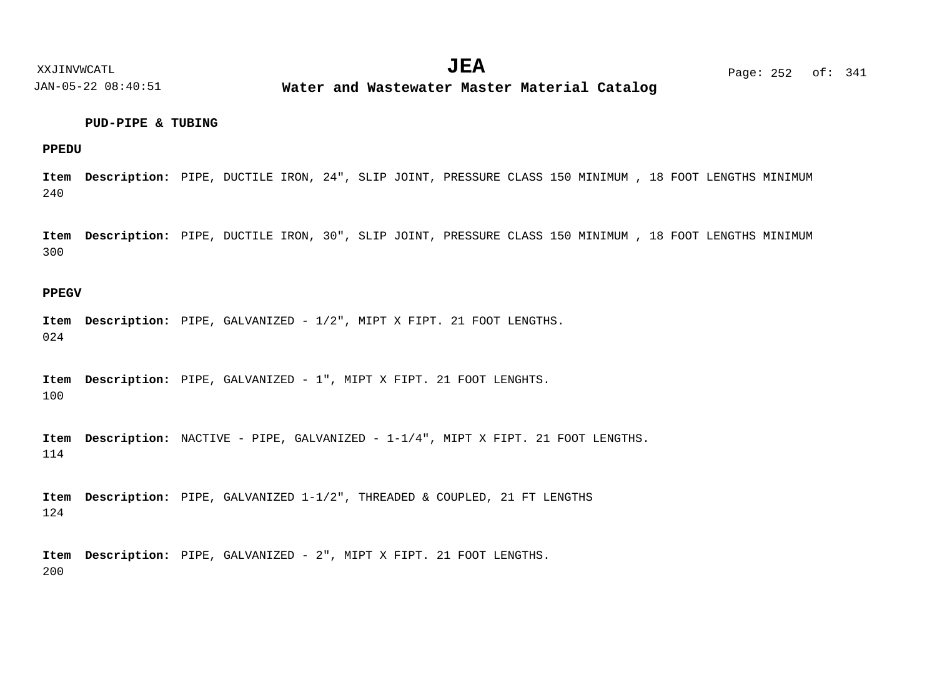**Water and Wastewater Master Material Catalog** 

### **PUD-PIPE & TUBING**

### **PPEDU**

240 Item Description: PIPE, DUCTILE IRON, 24", SLIP JOINT, PRESSURE CLASS 150 MINIMUM , 18 FOOT LENGTHS MINIMUM

300 Item Description: PIPE, DUCTILE IRON, 30", SLIP JOINT, PRESSURE CLASS 150 MINIMUM , 18 FOOT LENGTHS MINIMUM

### **PPEGV**

024 Item Description: PIPE, GALVANIZED - 1/2", MIPT X FIPT. 21 FOOT LENGTHS.

100 Item Description: PIPE, GALVANIZED - 1", MIPT X FIPT. 21 FOOT LENGHTS.

114 Item Description: NACTIVE - PIPE, GALVANIZED - 1-1/4", MIPT X FIPT. 21 FOOT LENGTHS.

124 Item Description: PIPE, GALVANIZED 1-1/2", THREADED & COUPLED, 21 FT LENGTHS

200 Item Description: PIPE, GALVANIZED - 2", MIPT X FIPT. 21 FOOT LENGTHS.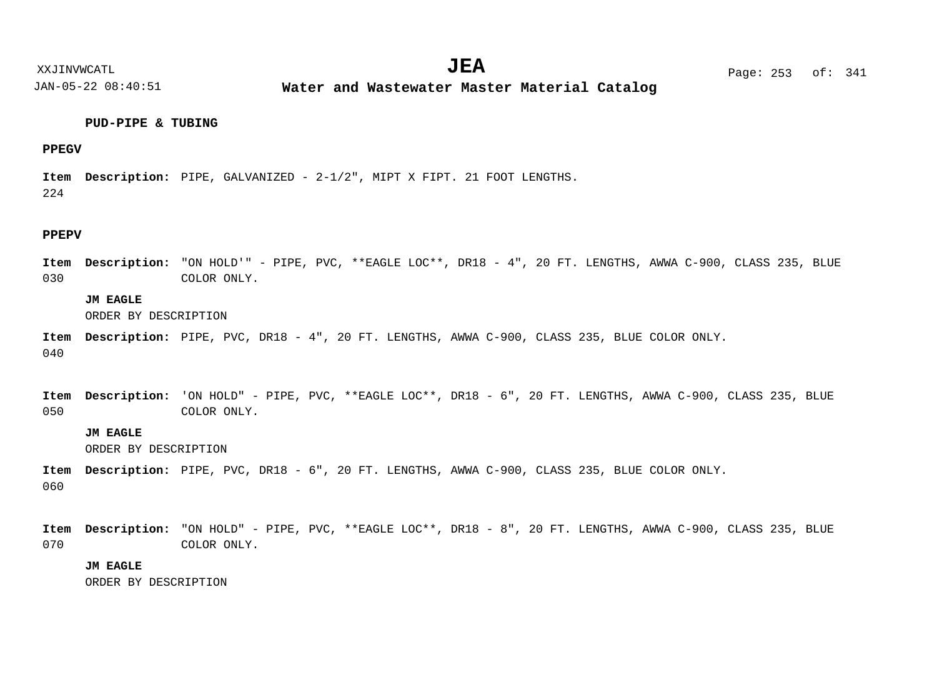**Water and Wastewater Master Material Catalog** 

# **PUD-PIPE & TUBING**

# **PPEGV**

224 Item Description: PIPE, GALVANIZED - 2-1/2", MIPT X FIPT. 21 FOOT LENGTHS.

#### **PPEPV**

030 "ON HOLD'" - PIPE, PVC, \*\*EAGLE LOC\*\*, DR18 - 4", 20 FT. LENGTHS, AWWA C-900, CLASS 235, BLUE **Description: Item** COLOR ONLY.

# **JM EAGLE**

ORDER BY DESCRIPTION

040 Item Description: PIPE, PVC, DR18 - 4", 20 FT. LENGTHS, AWWA C-900, CLASS 235, BLUE COLOR ONLY.

|     | Item Description: 'ON HOLD" - PIPE, PVC, **EAGLE LOC**, DR18 - 6", 20 FT. LENGTHS, AWWA C-900, CLASS 235, BLUE |  |  |  |  |  |
|-----|----------------------------------------------------------------------------------------------------------------|--|--|--|--|--|
| 050 | COLOR ONLY.                                                                                                    |  |  |  |  |  |

# **JM EAGLE**

ORDER BY DESCRIPTION

060 Item Description: PIPE, PVC, DR18 - 6", 20 FT. LENGTHS, AWWA C-900, CLASS 235, BLUE COLOR ONLY.

070 Item Description: "ON HOLD" - PIPE, PVC, \*\*EAGLE LOC\*\*, DR18 - 8", 20 FT. LENGTHS, AWWA C-900, CLASS 235, BLUE COLOR ONLY.

# **JM EAGLE**

ORDER BY DESCRIPTION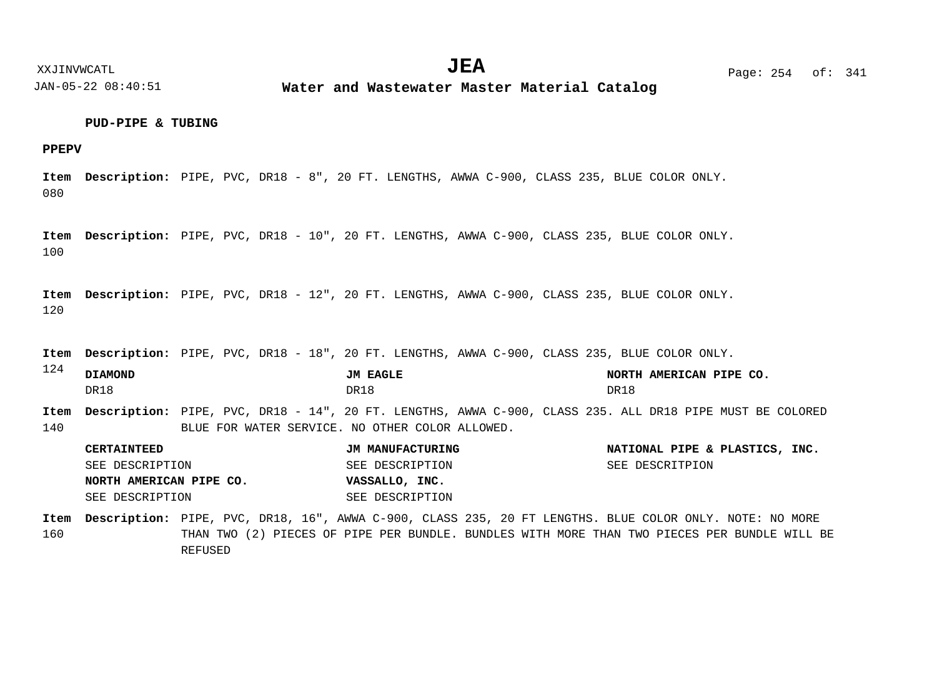# **PUD-PIPE & TUBING**

# **PPEPV**

080 Item Description: PIPE, PVC, DR18 - 8", 20 FT. LENGTHS, AWWA C-900, CLASS 235, BLUE COLOR ONLY.

100 Item Description: PIPE, PVC, DR18 - 10", 20 FT. LENGTHS, AWWA C-900, CLASS 235, BLUE COLOR ONLY.

120 Item Description: PIPE, PVC, DR18 - 12", 20 FT. LENGTHS, AWWA C-900, CLASS 235, BLUE COLOR ONLY.

Item Description: PIPE, PVC, DR18 - 18", 20 FT. LENGTHS, AWWA C-900, CLASS 235, BLUE COLOR ONLY.

124 140 Item Description: PIPE, PVC, DR18 - 14", 20 FT. LENGTHS, AWWA C-900, CLASS 235. ALL DR18 PIPE MUST BE COLORED BLUE FOR WATER SERVICE. NO OTHER COLOR ALLOWED. **DIAMOND JM EAGLE NORTH AMERICAN PIPE CO.** DR18 DR18 DR18

| <b>CERTAINTEED</b>      | JM MANUFACTURING | NATIONAL PIPE & PLASTICS, INC. |
|-------------------------|------------------|--------------------------------|
| SEE DESCRIPTION         | SEE DESCRIPTION  | SEE DESCRITPION                |
| NORTH AMERICAN PIPE CO. | VASSALLO, INC.   |                                |
| SEE DESCRIPTION         | SEE DESCRIPTION  |                                |

160 Item Description: PIPE, PVC, DR18, 16", AWWA C-900, CLASS 235, 20 FT LENGTHS. BLUE COLOR ONLY. NOTE: NO MORE THAN TWO (2) PIECES OF PIPE PER BUNDLE. BUNDLES WITH MORE THAN TWO PIECES PER BUNDLE WILL BE REFUSED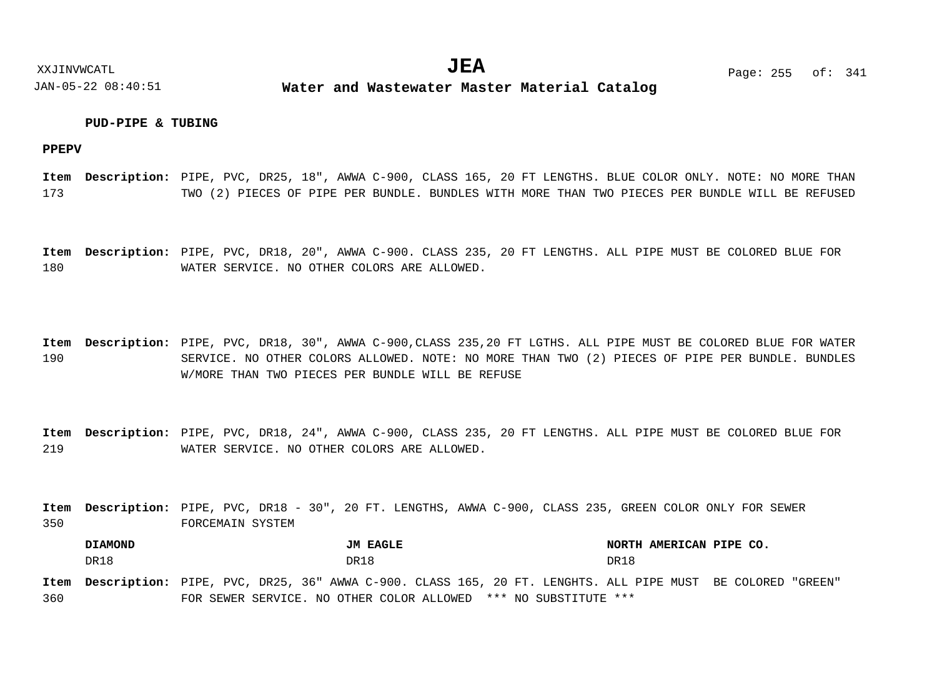# **PUD-PIPE & TUBING**

**PPEPV**

173 Item Description: PIPE, PVC, DR25, 18", AWWA C-900, CLASS 165, 20 FT LENGTHS. BLUE COLOR ONLY. NOTE: NO MORE THAN TWO (2) PIECES OF PIPE PER BUNDLE. BUNDLES WITH MORE THAN TWO PIECES PER BUNDLE WILL BE REFUSED

180 Item Description: PIPE, PVC, DR18, 20", AWWA C-900. CLASS 235, 20 FT LENGTHS. ALL PIPE MUST BE COLORED BLUE FOR WATER SERVICE. NO OTHER COLORS ARE ALLOWED.

190 Item Description: PIPE, PVC, DR18, 30", AWWA C-900,CLASS 235,20 FT LGTHS. ALL PIPE MUST BE COLORED BLUE FOR WATER SERVICE. NO OTHER COLORS ALLOWED. NOTE: NO MORE THAN TWO (2) PIECES OF PIPE PER BUNDLE. BUNDLES W/MORE THAN TWO PIECES PER BUNDLE WILL BE REFUSE

219 Item Description: PIPE, PVC, DR18, 24", AWWA C-900, CLASS 235, 20 FT LENGTHS. ALL PIPE MUST BE COLORED BLUE FOR WATER SERVICE. NO OTHER COLORS ARE ALLOWED.

350 Item Description: PIPE, PVC, DR18 - 30", 20 FT. LENGTHS, AWWA C-900, CLASS 235, GREEN COLOR ONLY FOR SEWER FORCEMAIN SYSTEM

**DIAMOND JM EAGLE NORTH AMERICAN PIPE CO.** DR18 DR18 DR18

360 Item Description: PIPE, PVC, DR25, 36" AWWA C-900. CLASS 165, 20 FT. LENGHTS. ALL PIPE MUST BE COLORED "GREEN" FOR SEWER SERVICE. NO OTHER COLOR ALLOWED \*\*\* NO SUBSTITUTE \*\*\*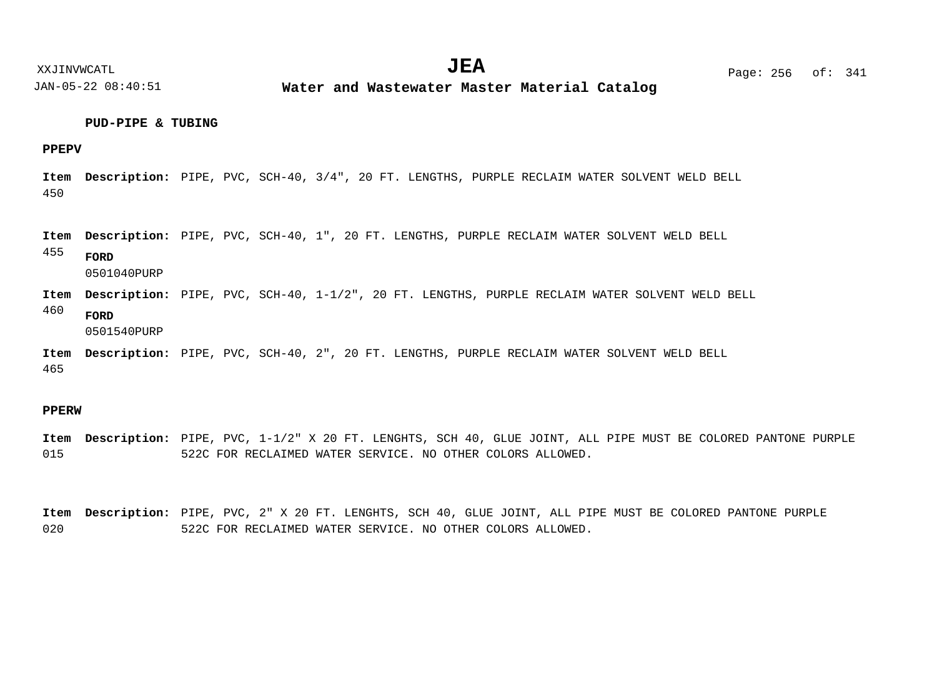**Water and Wastewater Master Material Catalog** 

# **PUD-PIPE & TUBING**

# **PPEPV**

450 Item Description: PIPE, PVC, SCH-40, 3/4", 20 FT. LENGTHS, PURPLE RECLAIM WATER SOLVENT WELD BELL

Item Description: PIPE, PVC, SCH-40, 1", 20 FT. LENGTHS, PURPLE RECLAIM WATER SOLVENT WELD BELL

455 **FORD**

0501040PURP

- Item Description: PIPE, PVC, SCH-40, 1-1/2", 20 FT. LENGTHS, PURPLE RECLAIM WATER SOLVENT WELD BELL
- 460 **FORD**

0501540PURP

465 Item Description: PIPE, PVC, SCH-40, 2", 20 FT. LENGTHS, PURPLE RECLAIM WATER SOLVENT WELD BELL

#### **PPERW**

015 Item Description: PIPE, PVC, 1-1/2" X 20 FT. LENGHTS, SCH 40, GLUE JOINT, ALL PIPE MUST BE COLORED PANTONE PURPLE 522C FOR RECLAIMED WATER SERVICE. NO OTHER COLORS ALLOWED.

020 Item Description: PIPE, PVC, 2" X 20 FT. LENGHTS, SCH 40, GLUE JOINT, ALL PIPE MUST BE COLORED PANTONE PURPLE 522C FOR RECLAIMED WATER SERVICE. NO OTHER COLORS ALLOWED.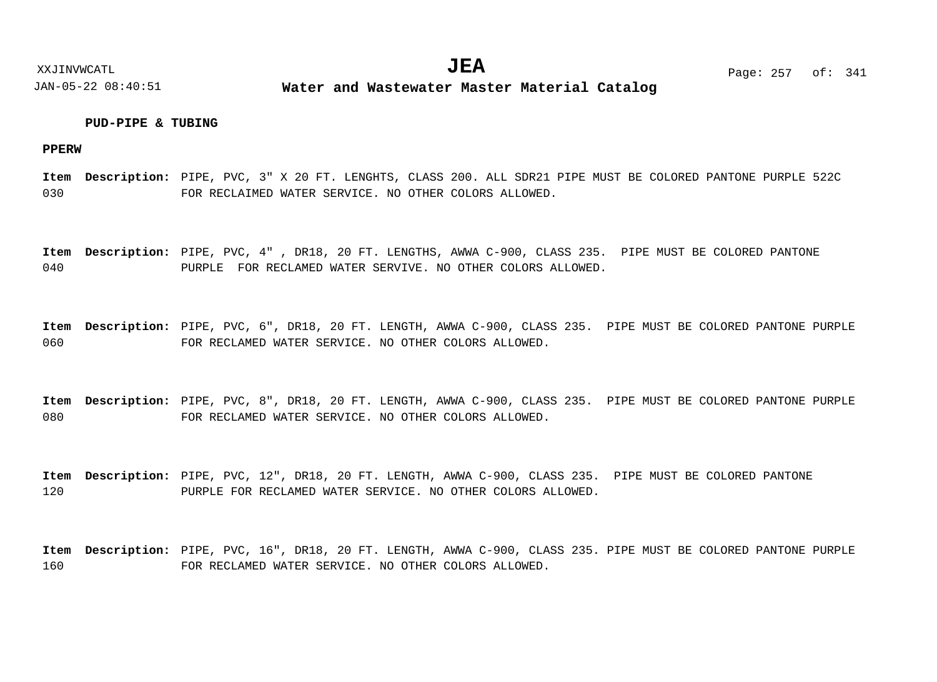# **PUD-PIPE & TUBING**

**PPERW**

030 Item Description: PIPE, PVC, 3" X 20 FT. LENGHTS, CLASS 200. ALL SDR21 PIPE MUST BE COLORED PANTONE PURPLE 522C FOR RECLAIMED WATER SERVICE. NO OTHER COLORS ALLOWED.

040 Item Description: PIPE, PVC, 4", DR18, 20 FT. LENGTHS, AWWA C-900, CLASS 235. PIPE MUST BE COLORED PANTONE PURPLE FOR RECLAMED WATER SERVIVE. NO OTHER COLORS ALLOWED.

060 Item Description: PIPE, PVC, 6", DR18, 20 FT. LENGTH, AWWA C-900, CLASS 235. PIPE MUST BE COLORED PANTONE PURPLE FOR RECLAMED WATER SERVICE. NO OTHER COLORS ALLOWED.

080 Item Description: PIPE, PVC, 8", DR18, 20 FT. LENGTH, AWWA C-900, CLASS 235. PIPE MUST BE COLORED PANTONE PURPLE FOR RECLAMED WATER SERVICE. NO OTHER COLORS ALLOWED.

120 Item Description: PIPE, PVC, 12", DR18, 20 FT. LENGTH, AWWA C-900, CLASS 235. PIPE MUST BE COLORED PANTONE PURPLE FOR RECLAMED WATER SERVICE. NO OTHER COLORS ALLOWED.

160 Item Description: PIPE, PVC, 16", DR18, 20 FT. LENGTH, AWWA C-900, CLASS 235. PIPE MUST BE COLORED PANTONE PURPLE FOR RECLAMED WATER SERVICE. NO OTHER COLORS ALLOWED.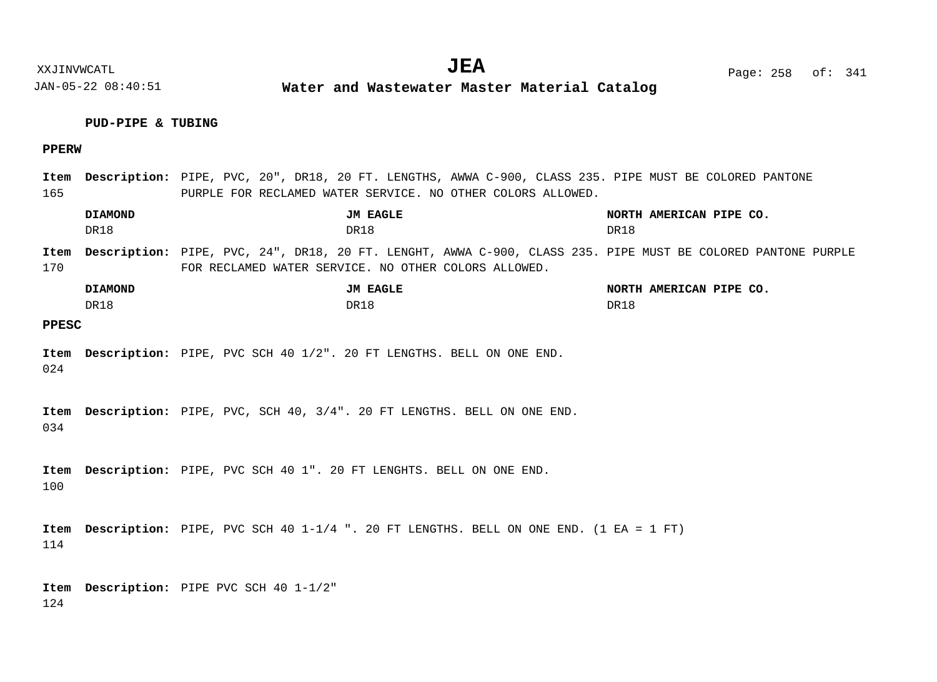**Water and Wastewater Master Material Catalog** 

# **PUD-PIPE & TUBING**

# **PPERW**

165 Item Description: PIPE, PVC, 20", DR18, 20 FT. LENGTHS, AWWA C-900, CLASS 235. PIPE MUST BE COLORED PANTONE PURPLE FOR RECLAMED WATER SERVICE. NO OTHER COLORS ALLOWED.

|              | <b>DIAMOND</b><br>DR18 | JM EAGLE<br>DR18                                                                                                                                                     | NORTH AMERICAN PIPE CO.<br>DR18 |
|--------------|------------------------|----------------------------------------------------------------------------------------------------------------------------------------------------------------------|---------------------------------|
| Item<br>170  |                        | Description: PIPE, PVC, 24", DR18, 20 FT. LENGHT, AWWA C-900, CLASS 235. PIPE MUST BE COLORED PANTONE PURPLE<br>FOR RECLAMED WATER SERVICE. NO OTHER COLORS ALLOWED. |                                 |
|              | <b>DIAMOND</b><br>DR18 | JM EAGLE<br>DR18                                                                                                                                                     | NORTH AMERICAN PIPE CO.<br>DR18 |
| <b>PPESC</b> |                        |                                                                                                                                                                      |                                 |
| Item<br>024  |                        | Description: PIPE, PVC SCH 40 1/2". 20 FT LENGTHS. BELL ON ONE END.                                                                                                  |                                 |
| Item<br>034  |                        | Description: PIPE, PVC, SCH 40, 3/4". 20 FT LENGTHS. BELL ON ONE END.                                                                                                |                                 |
| Item<br>100  |                        | Description: PIPE, PVC SCH 40 1". 20 FT LENGHTS. BELL ON ONE END.                                                                                                    |                                 |
| Item<br>114  |                        | <b>Description:</b> PIPE, PVC SCH 40 1-1/4 ". 20 FT LENGTHS. BELL ON ONE END. (1 EA = 1 FT)                                                                          |                                 |
|              |                        | Item Description: PIPE PVC SCH 40 1-1/2"                                                                                                                             |                                 |

124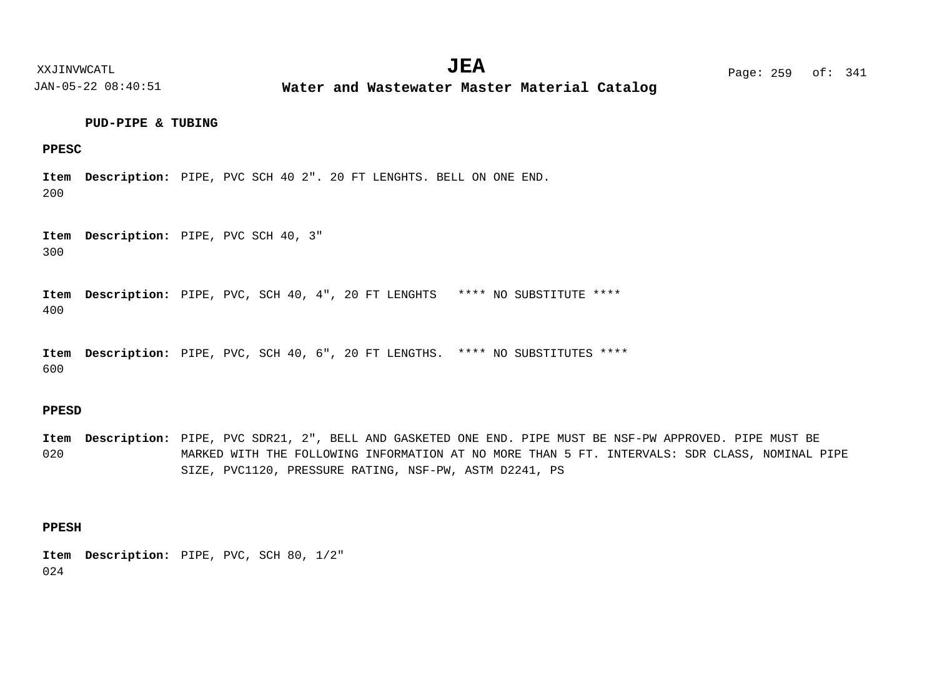XXJINVWCATL Page: 259 of: **JEA**<sup>341</sup>

JAN-05-22 08:40:51

**Water and Wastewater Master Material Catalog** 

## **PUD-PIPE & TUBING**

# **PPESC**

200 Item Description: PIPE, PVC SCH 40 2". 20 FT LENGHTS. BELL ON ONE END.

300 Item Description: PIPE, PVC SCH 40, 3"

400 Item Description: PIPE, PVC, SCH 40, 4", 20 FT LENGHTS \*\*\*\* NO SUBSTITUTE \*\*\*\*

600 Item Description: PIPE, PVC, SCH 40, 6", 20 FT LENGTHS. \*\*\*\* NO SUBSTITUTES \*\*\*\*

# **PPESD**

020 Item Description: PIPE, PVC SDR21, 2", BELL AND GASKETED ONE END. PIPE MUST BE NSF-PW APPROVED. PIPE MUST BE MARKED WITH THE FOLLOWING INFORMATION AT NO MORE THAN 5 FT. INTERVALS: SDR CLASS, NOMINAL PIPE SIZE, PVC1120, PRESSURE RATING, NSF-PW, ASTM D2241, PS

# **PPESH**

024 Item Description: PIPE, PVC, SCH 80, 1/2"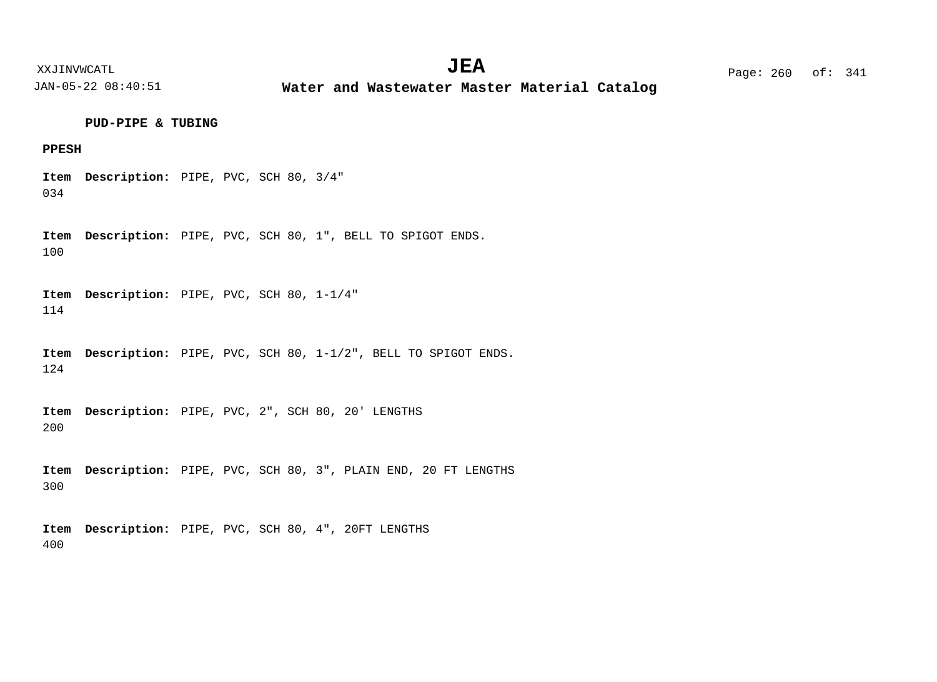**Water and Wastewater Master Material Catalog** 

**PUD-PIPE & TUBING**

# **PPESH**

034 Item Description: PIPE, PVC, SCH 80, 3/4"

100 Item Description: PIPE, PVC, SCH 80, 1", BELL TO SPIGOT ENDS.

114 Item Description: PIPE, PVC, SCH 80, 1-1/4"

124 Item Description: PIPE, PVC, SCH 80, 1-1/2", BELL TO SPIGOT ENDS.

200 Item Description: PIPE, PVC, 2", SCH 80, 20' LENGTHS

300 Item Description: PIPE, PVC, SCH 80, 3", PLAIN END, 20 FT LENGTHS

400 Item Description: PIPE, PVC, SCH 80, 4", 20FT LENGTHS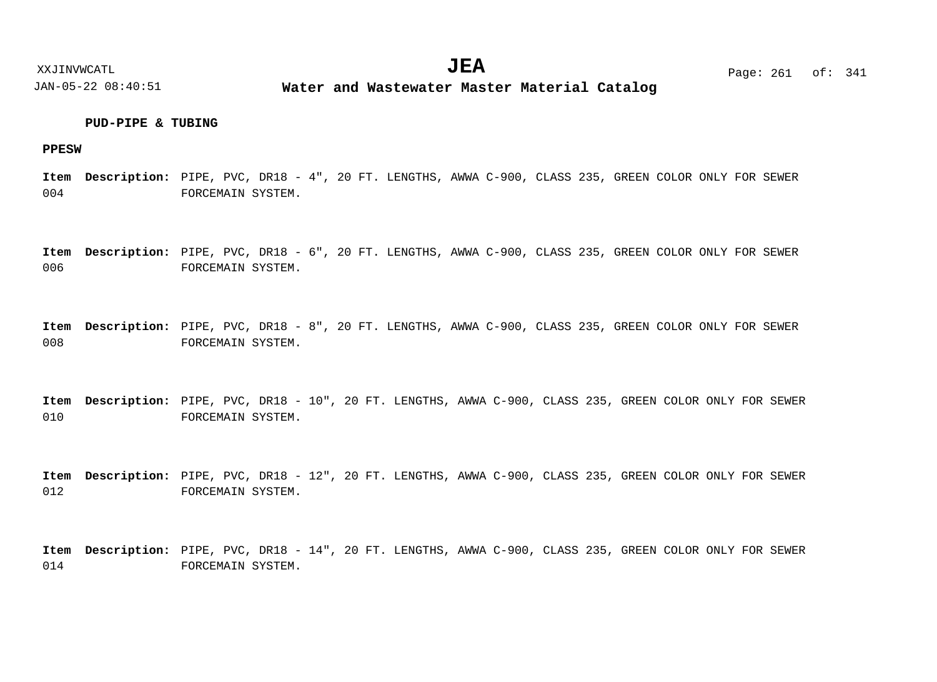# **PUD-PIPE & TUBING**

## **PPESW**

004 Item Description: PIPE, PVC, DR18 - 4", 20 FT. LENGTHS, AWWA C-900, CLASS 235, GREEN COLOR ONLY FOR SEWER FORCEMAIN SYSTEM.

006 Item Description: PIPE, PVC, DR18 - 6", 20 FT. LENGTHS, AWWA C-900, CLASS 235, GREEN COLOR ONLY FOR SEWER FORCEMAIN SYSTEM.

008 Item Description: PIPE, PVC, DR18 - 8", 20 FT. LENGTHS, AWWA C-900, CLASS 235, GREEN COLOR ONLY FOR SEWER FORCEMAIN SYSTEM.

010 Item Description: PIPE, PVC, DR18 - 10", 20 FT. LENGTHS, AWWA C-900, CLASS 235, GREEN COLOR ONLY FOR SEWER FORCEMAIN SYSTEM.

012 Item Description: PIPE, PVC, DR18 - 12", 20 FT. LENGTHS, AWWA C-900, CLASS 235, GREEN COLOR ONLY FOR SEWER FORCEMAIN SYSTEM.

014 Item Description: PIPE, PVC, DR18 - 14", 20 FT. LENGTHS, AWWA C-900, CLASS 235, GREEN COLOR ONLY FOR SEWER FORCEMAIN SYSTEM.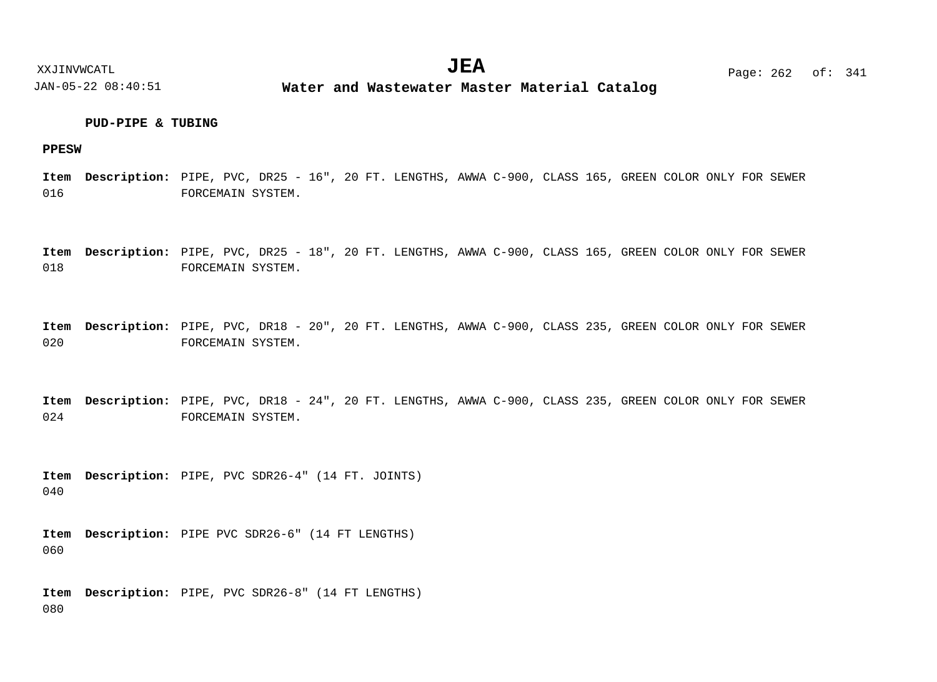# **PUD-PIPE & TUBING**

# **PPESW**

016 Item Description: PIPE, PVC, DR25 - 16", 20 FT. LENGTHS, AWWA C-900, CLASS 165, GREEN COLOR ONLY FOR SEWER FORCEMAIN SYSTEM.

018 Item Description: PIPE, PVC, DR25 - 18", 20 FT. LENGTHS, AWWA C-900, CLASS 165, GREEN COLOR ONLY FOR SEWER FORCEMAIN SYSTEM.

020 Item Description: PIPE, PVC, DR18 - 20", 20 FT. LENGTHS, AWWA C-900, CLASS 235, GREEN COLOR ONLY FOR SEWER FORCEMAIN SYSTEM.

024 Item Description: PIPE, PVC, DR18 - 24", 20 FT. LENGTHS, AWWA C-900, CLASS 235, GREEN COLOR ONLY FOR SEWER FORCEMAIN SYSTEM.

040 Item Description: PIPE, PVC SDR26-4" (14 FT. JOINTS)

060 Item Description: PIPE PVC SDR26-6" (14 FT LENGTHS)

080 Item Description: PIPE, PVC SDR26-8" (14 FT LENGTHS)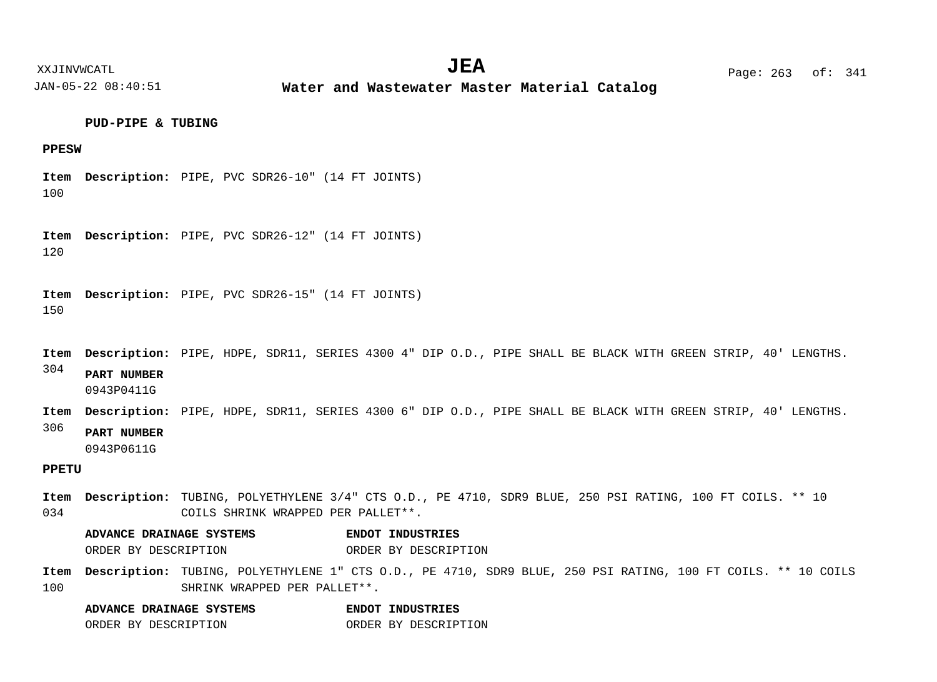#### XXJINVWCATL **EXALL** Page: 263 of:  $JEA$   $Page: 263 of: 341$

JAN-05-22 08:40:51

**Water and Wastewater Master Material Catalog** 

# **PUD-PIPE & TUBING**

# **PPESW**

100 Item Description: PIPE, PVC SDR26-10" (14 FT JOINTS)

120 Item Description: PIPE, PVC SDR26-12" (14 FT JOINTS)

150 Item Description: PIPE, PVC SDR26-15" (14 FT JOINTS)

304 Item Description: PIPE, HDPE, SDR11, SERIES 4300 4" DIP O.D., PIPE SHALL BE BLACK WITH GREEN STRIP, 40' LENGTHS. **PART NUMBER**

0943P0411G

Item Description: PIPE, HDPE, SDR11, SERIES 4300 6" DIP O.D., PIPE SHALL BE BLACK WITH GREEN STRIP, 40' LENGTHS.

#### 306 **PART NUMBER**

0943P0611G

# **PPETU**

034 Item Description: TUBING, POLYETHYLENE 3/4" CTS O.D., PE 4710, SDR9 BLUE, 250 PSI RATING, 100 FT COILS. \*\* 10 COILS SHRINK WRAPPED PER PALLET\*\*.

**ADVANCE DRAINAGE SYSTEMS ENDOT INDUSTRIES** ORDER BY DESCRIPTION ORDER BY DESCRIPTION

100 Item Description: TUBING, POLYETHYLENE 1" CTS O.D., PE 4710, SDR9 BLUE, 250 PSI RATING, 100 FT COILS. \*\* 10 COILS SHRINK WRAPPED PER PALLET\*\*.

| ADVANCE DRAINAGE SYSTEMS |  | ENDOT INDUSTRIES     |
|--------------------------|--|----------------------|
| ORDER BY DESCRIPTION     |  | ORDER BY DESCRIPTION |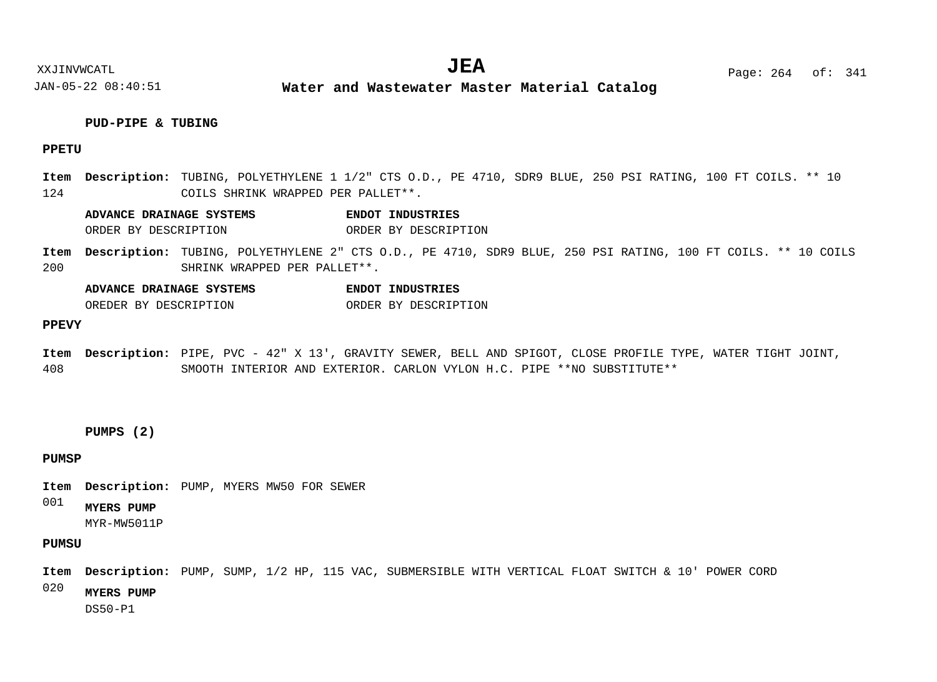XXJINVWCATL **EXALL** Page: 264 of:  $JEA$   $Page: 264 \text{ of}: 341$ 

JAN-05-22 08:40:51 **Water and Wastewater Master Material Catalog** 

# **PUD-PIPE & TUBING**

# **PPETU**

124 Item Description: TUBING, POLYETHYLENE 1 1/2" CTS O.D., PE 4710, SDR9 BLUE, 250 PSI RATING, 100 FT COILS. \*\* 10 COILS SHRINK WRAPPED PER PALLET\*\*.

**ADVANCE DRAINAGE SYSTEMS ENDOT INDUSTRIES** ORDER BY DESCRIPTION ORDER BY DESCRIPTION

200 Item Description: TUBING, POLYETHYLENE 2" CTS O.D., PE 4710, SDR9 BLUE, 250 PSI RATING, 100 FT COILS. \*\* 10 COILS SHRINK WRAPPED PER PALLET\*\*.

**ADVANCE DRAINAGE SYSTEMS ENDOT INDUSTRIES**

OREDER BY DESCRIPTION ORDER BY DESCRIPTION

#### **PPEVY**

408 Item Description: PIPE, PVC - 42" X 13', GRAVITY SEWER, BELL AND SPIGOT, CLOSE PROFILE TYPE, WATER TIGHT JOINT, SMOOTH INTERIOR AND EXTERIOR. CARLON VYLON H.C. PIPE \*\*NO SUBSTITUTE\*\*

# **PUMPS (2)**

# **PUMSP**

Item Description: PUMP, MYERS MW50 FOR SEWER

001 **MYERS PUMP**

MYR-MW5011P

# **PUMSU**

Item Description: PUMP, SUMP, 1/2 HP, 115 VAC, SUBMERSIBLE WITH VERTICAL FLOAT SWITCH & 10' POWER CORD

020 **MYERS PUMP**

DS50-P1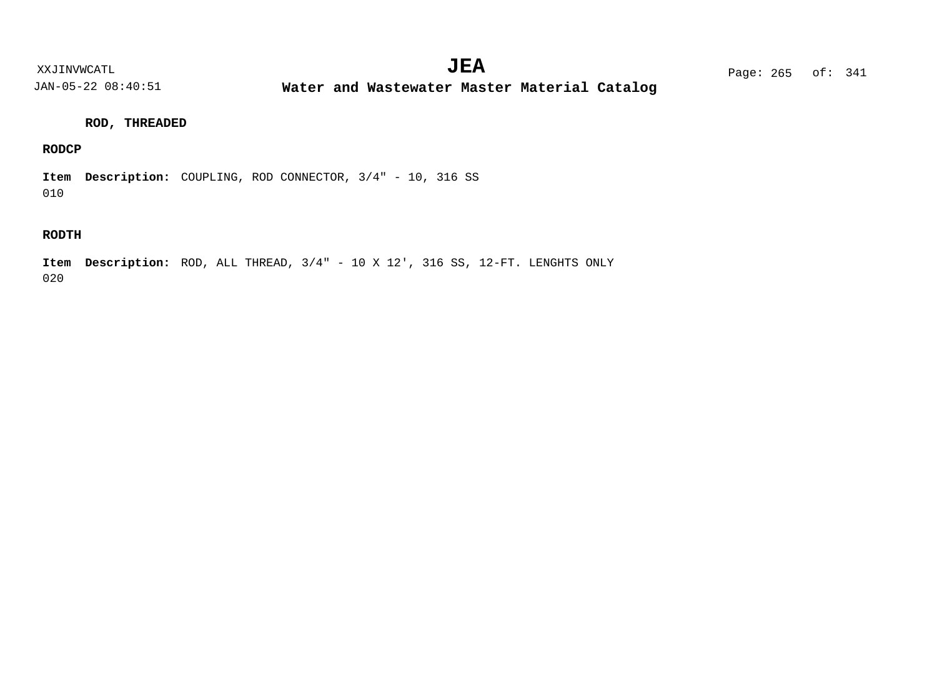**Water and Wastewater Master Material Catalog** 

# **ROD, THREADED**

# **RODCP**

010 Item Description: COUPLING, ROD CONNECTOR,  $3/4" - 10$ , 316 SS

# **RODTH**

020 Item Description: ROD, ALL THREAD,  $3/4" - 10 \times 12'$ , 316 SS, 12-FT. LENGHTS ONLY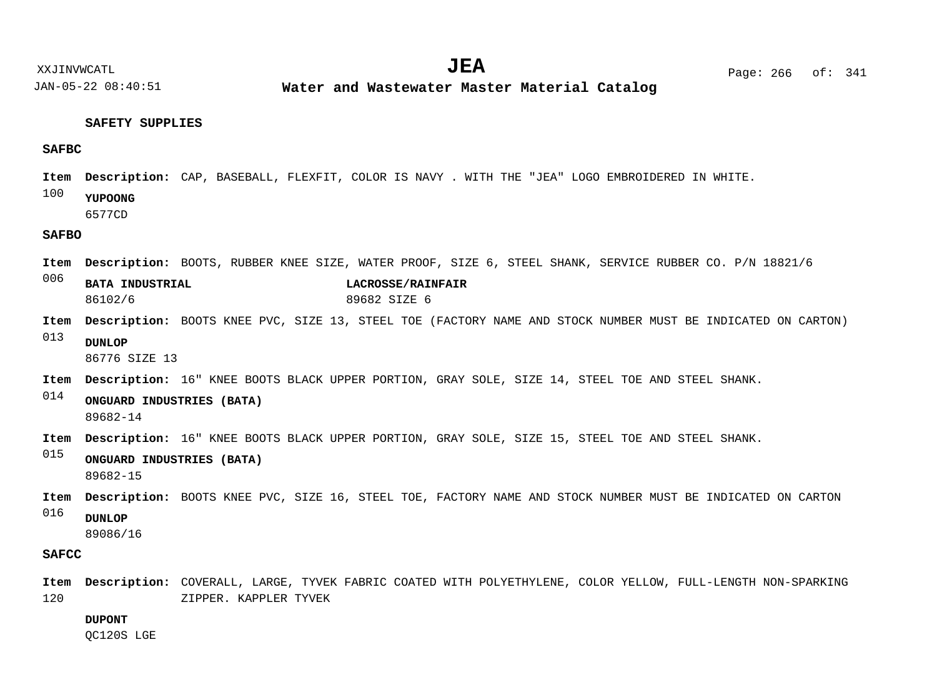**Water and Wastewater Master Material Catalog** 

# **SAFETY SUPPLIES**

# **SAFBC**

- Item Description: CAP, BASEBALL, FLEXFIT, COLOR IS NAVY . WITH THE "JEA" LOGO EMBROIDERED IN WHITE.
- 100 **YUPOONG**
	- 6577CD

# **SAFBO**

- Item Description: BOOTS, RUBBER KNEE SIZE, WATER PROOF, SIZE 6, STEEL SHANK, SERVICE RUBBER CO. P/N 18821/6
- 006 **BATA INDUSTRIAL LACROSSE/RAINFAIR** 86102/6 89682 SIZE 6
- Item Description: BOOTS KNEE PVC, SIZE 13, STEEL TOE (FACTORY NAME AND STOCK NUMBER MUST BE INDICATED ON CARTON)
- 013 **DUNLOP**

86776 SIZE 13

- Item Description: 16" KNEE BOOTS BLACK UPPER PORTION, GRAY SOLE, SIZE 14, STEEL TOE AND STEEL SHANK.
- 014 **ONGUARD INDUSTRIES (BATA)** 89682-14
- Item Description: 16" KNEE BOOTS BLACK UPPER PORTION, GRAY SOLE, SIZE 15, STEEL TOE AND STEEL SHANK.
- 015 **ONGUARD INDUSTRIES (BATA)** 89682-15
- 016 Item Description: BOOTS KNEE PVC, SIZE 16, STEEL TOE, FACTORY NAME AND STOCK NUMBER MUST BE INDICATED ON CARTON **DUNLOP**
	- 89086/16

# **SAFCC**

120 Item Description: COVERALL, LARGE, TYVEK FABRIC COATED WITH POLYETHYLENE, COLOR YELLOW, FULL-LENGTH NON-SPARKING ZIPPER. KAPPLER TYVEK

# **DUPONT**

QC120S LGE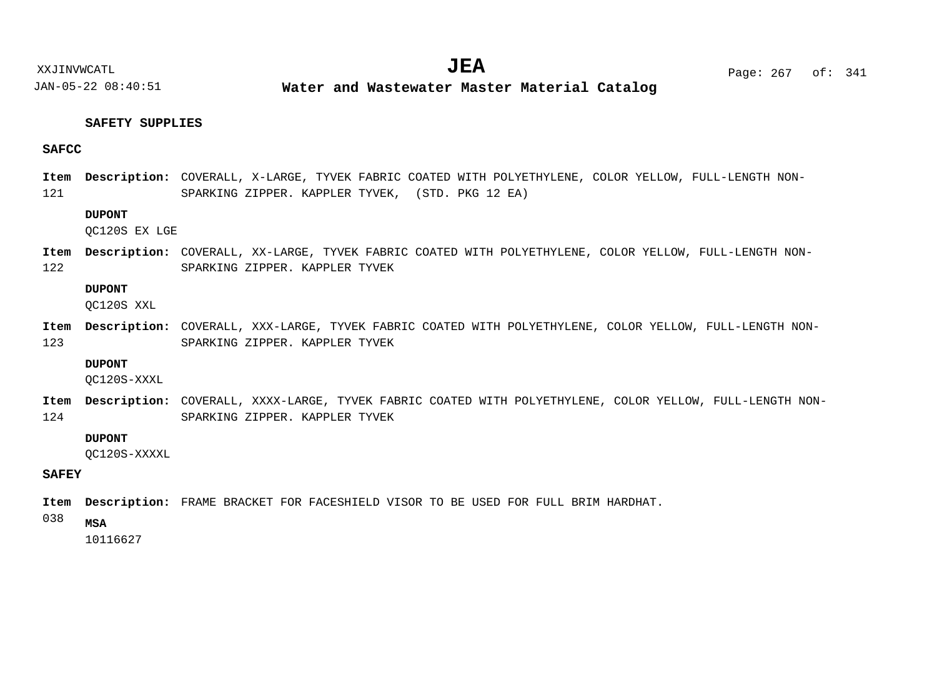**Water and Wastewater Master Material Catalog** 

# **SAFETY SUPPLIES**

# **SAFCC**

121 Item Description: COVERALL, X-LARGE, TYVEK FABRIC COATED WITH POLYETHYLENE, COLOR YELLOW, FULL-LENGTH NON-SPARKING ZIPPER. KAPPLER TYVEK, (STD. PKG 12 EA)

# **DUPONT**

QC120S EX LGE

122 Item Description: COVERALL, XX-LARGE, TYVEK FABRIC COATED WITH POLYETHYLENE, COLOR YELLOW, FULL-LENGTH NON-SPARKING ZIPPER. KAPPLER TYVEK

# **DUPONT**

QC120S XXL

123 Item Description: COVERALL, XXX-LARGE, TYVEK FABRIC COATED WITH POLYETHYLENE, COLOR YELLOW, FULL-LENGTH NON-SPARKING ZIPPER. KAPPLER TYVEK

#### **DUPONT**

QC120S-XXXL

124 Item Description: COVERALL, XXXX-LARGE, TYVEK FABRIC COATED WITH POLYETHYLENE, COLOR YELLOW, FULL-LENGTH NON-SPARKING ZIPPER. KAPPLER TYVEK

# **DUPONT**

QC120S-XXXXL

# **SAFEY**

Item Description: FRAME BRACKET FOR FACESHIELD VISOR TO BE USED FOR FULL BRIM HARDHAT.

038 **MSA**

10116627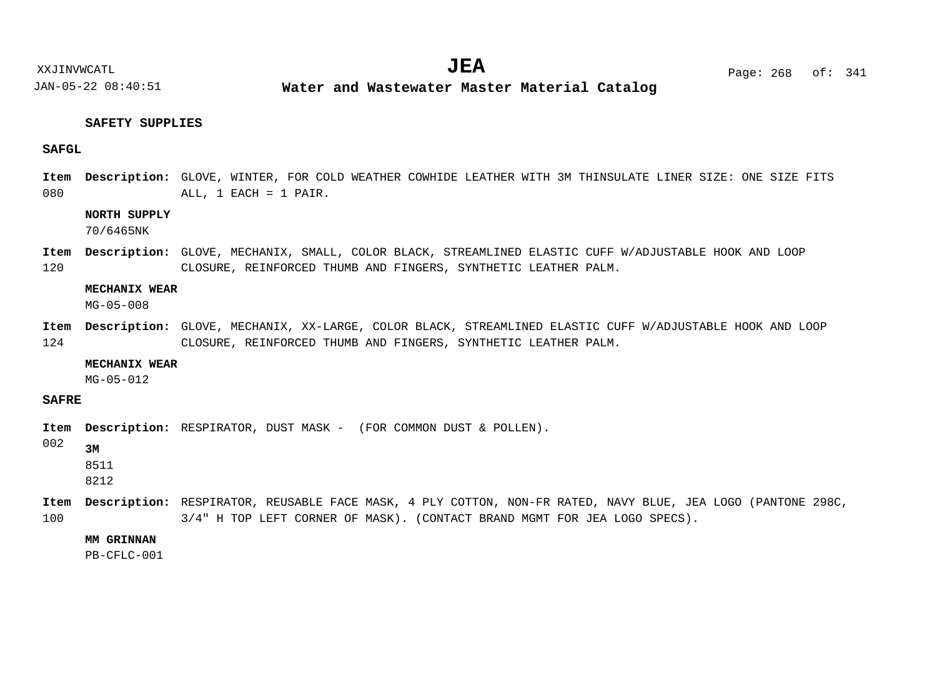**Water and Wastewater Master Material Catalog** 

# **SAFETY SUPPLIES**

# **SAFGL**

080 Item Description: GLOVE, WINTER, FOR COLD WEATHER COWHIDE LEATHER WITH 3M THINSULATE LINER SIZE: ONE SIZE FITS ALL, 1 EACH = 1 PAIR.

# **NORTH SUPPLY**

70/6465NK

120 Item Description: GLOVE, MECHANIX, SMALL, COLOR BLACK, STREAMLINED ELASTIC CUFF W/ADJUSTABLE HOOK AND LOOP CLOSURE, REINFORCED THUMB AND FINGERS, SYNTHETIC LEATHER PALM.

# **MECHANIX WEAR**

MG-05-008

124 Item Description: GLOVE, MECHANIX, XX-LARGE, COLOR BLACK, STREAMLINED ELASTIC CUFF W/ADJUSTABLE HOOK AND LOOP CLOSURE, REINFORCED THUMB AND FINGERS, SYNTHETIC LEATHER PALM.

#### **MECHANIX WEAR**

MG-05-012

# **SAFRE**

Item Description: RESPIRATOR, DUST MASK - (FOR COMMON DUST & POLLEN).

002

**3M** 8511

8212

100 Item Description: RESPIRATOR, REUSABLE FACE MASK, 4 PLY COTTON, NON-FR RATED, NAVY BLUE, JEA LOGO (PANTONE 298C, 3/4" H TOP LEFT CORNER OF MASK). (CONTACT BRAND MGMT FOR JEA LOGO SPECS).

## **MM GRINNAN**

PB-CFLC-001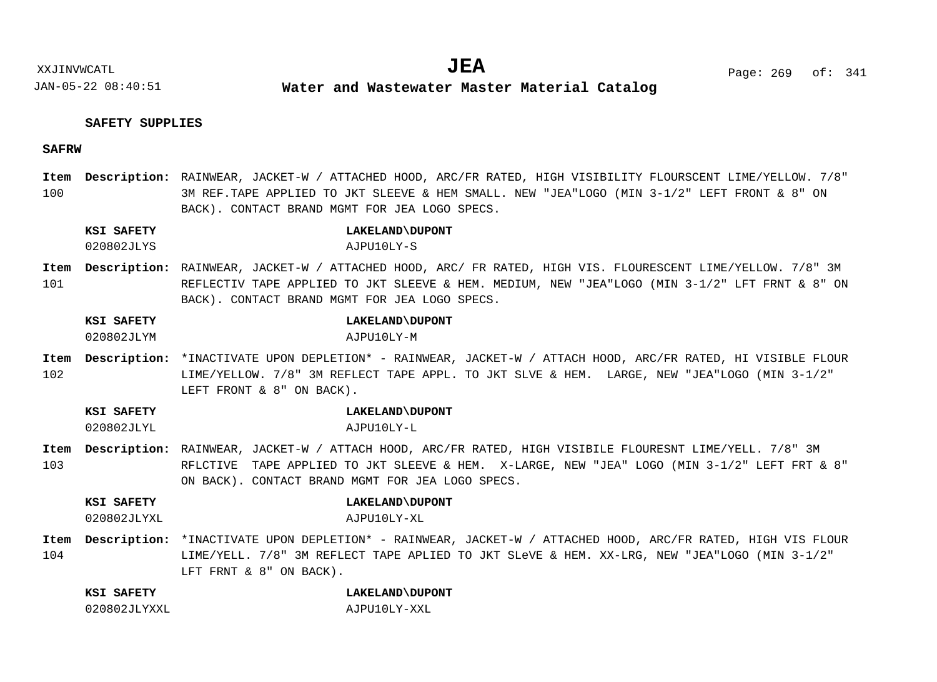# **SAFETY SUPPLIES**

# **SAFRW**

100 RAINWEAR, JACKET-W / ATTACHED HOOD, ARC/FR RATED, HIGH VISIBILITY FLOURSCENT LIME/YELLOW. 7/8" **Description: Item** 3M REF.TAPE APPLIED TO JKT SLEEVE & HEM SMALL. NEW "JEA"LOGO (MIN 3-1/2" LEFT FRONT & 8" ON BACK). CONTACT BRAND MGMT FOR JEA LOGO SPECS.

|  | KSI SAFETY | LAKELAND\DUPONT |
|--|------------|-----------------|
|  |            |                 |

020802JLYS AJPU10LY-S

101 RAINWEAR, JACKET-W / ATTACHED HOOD, ARC/ FR RATED, HIGH VIS. FLOURESCENT LIME/YELLOW. 7/8" 3M **Description: Item** REFLECTIV TAPE APPLIED TO JKT SLEEVE & HEM. MEDIUM, NEW "JEA"LOGO (MIN 3-1/2" LFT FRNT & 8" ON BACK). CONTACT BRAND MGMT FOR JEA LOGO SPECS.

# **KSI SAFETY LAKELAND\DUPONT**

020802JLYM AJPU10LY-M

102 Item Description: \*INACTIVATE UPON DEPLETION\* - RAINWEAR, JACKET-W / ATTACH HOOD, ARC/FR RATED, HI VISIBLE FLOUR LIME/YELLOW. 7/8" 3M REFLECT TAPE APPL. TO JKT SLVE & HEM. LARGE, NEW "JEA"LOGO (MIN 3-1/2" LEFT FRONT & 8" ON BACK).

**KSI SAFETY LAKELAND\DUPONT**

020802JLYL AJPU10LY-L

- 103 RAINWEAR, JACKET-W / ATTACH HOOD, ARC/FR RATED, HIGH VISIBILE FLOURESNT LIME/YELL. 7/8" 3M **Description: Item** RFLCTIVE TAPE APPLIED TO JKT SLEEVE & HEM. X-LARGE, NEW "JEA" LOGO (MIN 3-1/2" LEFT FRT & 8" ON BACK). CONTACT BRAND MGMT FOR JEA LOGO SPECS.
	- **KSI SAFETY LAKELAND\DUPONT**

020802JLYXL AJPU10LY-XL

104 Item Description: \*INACTIVATE UPON DEPLETION\* - RAINWEAR, JACKET-W / ATTACHED HOOD, ARC/FR RATED, HIGH VIS FLOUR LIME/YELL. 7/8" 3M REFLECT TAPE APLIED TO JKT SLeVE & HEM. XX-LRG, NEW "JEA"LOGO (MIN 3-1/2" LFT FRNT & 8" ON BACK).

| KSI SAFETY   | LAKELAND\DUPONT |
|--------------|-----------------|
| 020802JLYXXL | AJPU10LY-XXL    |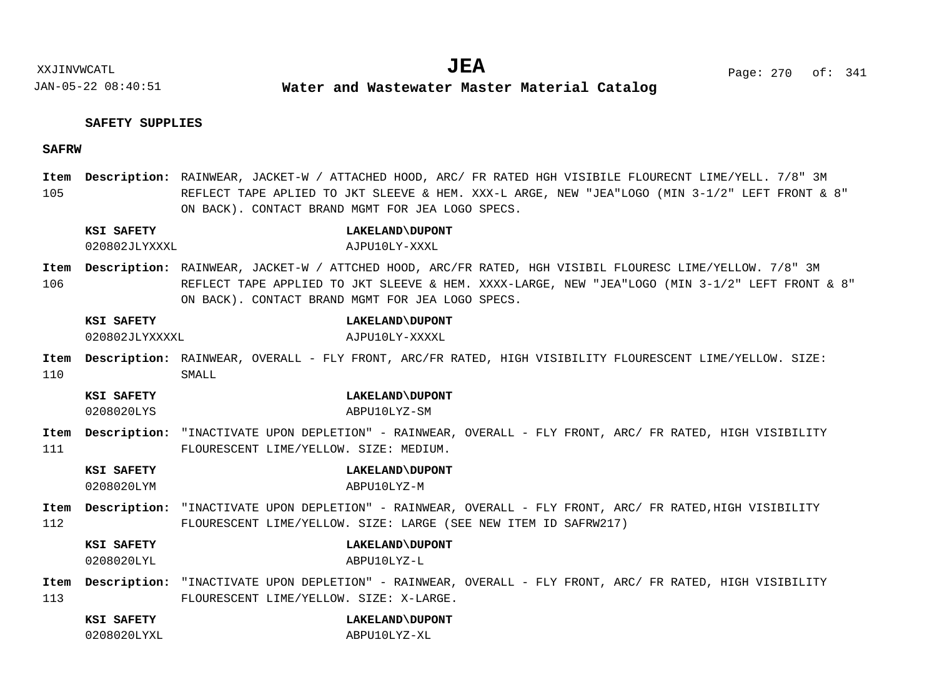# **SAFETY SUPPLIES**

# **SAFRW**

105 RAINWEAR, JACKET-W / ATTACHED HOOD, ARC/ FR RATED HGH VISIBILE FLOURECNT LIME/YELL. 7/8" 3M **Description: Item** REFLECT TAPE APLIED TO JKT SLEEVE & HEM. XXX-L ARGE, NEW "JEA"LOGO (MIN 3-1/2" LEFT FRONT & 8" ON BACK). CONTACT BRAND MGMT FOR JEA LOGO SPECS.

### **KSI SAFETY LAKELAND\DUPONT**

020802JLYXXXL AJPU10LY-XXXL

- 106 RAINWEAR, JACKET-W / ATTCHED HOOD, ARC/FR RATED, HGH VISIBIL FLOURESC LIME/YELLOW. 7/8" 3M **Description: Item** REFLECT TAPE APPLIED TO JKT SLEEVE & HEM. XXXX-LARGE, NEW "JEA"LOGO (MIN 3-1/2" LEFT FRONT & 8" ON BACK). CONTACT BRAND MGMT FOR JEA LOGO SPECS.
	- **KSI SAFETY LAKELAND\DUPONT**
	- 020802JLYXXXXL AJPU10LY-XXXXL
- 110 Item Description: RAINWEAR, OVERALL - FLY FRONT, ARC/FR RATED, HIGH VISIBILITY FLOURESCENT LIME/YELLOW. SIZE: SMALL.
	- **KSI SAFETY LAKELAND\DUPONT** 0208020LYS ABPU10LYZ-SM
	-
- 111 Item Description: "INACTIVATE UPON DEPLETION" - RAINWEAR, OVERALL - FLY FRONT, ARC/ FR RATED, HIGH VISIBILITY FLOURESCENT LIME/YELLOW. SIZE: MEDIUM.
	- **KSI SAFETY LAKELAND\DUPONT**
	- 0208020LYM ABPU10LYZ-M
- 112 Item Description: "INACTIVATE UPON DEPLETION" - RAINWEAR, OVERALL - FLY FRONT, ARC/ FR RATED,HIGH VISIBILITY FLOURESCENT LIME/YELLOW. SIZE: LARGE (SEE NEW ITEM ID SAFRW217)

### **KSI SAFETY LAKELAND\DUPONT**

0208020LYL ABPU10LYZ-L

- 113 Item Description: "INACTIVATE UPON DEPLETION" - RAINWEAR, OVERALL - FLY FRONT, ARC/ FR RATED, HIGH VISIBILITY FLOURESCENT LIME/YELLOW. SIZE: X-LARGE.
	- **KSI SAFETY LAKELAND\DUPONT**
	- 0208020LYXL ABPU10LYZ-XL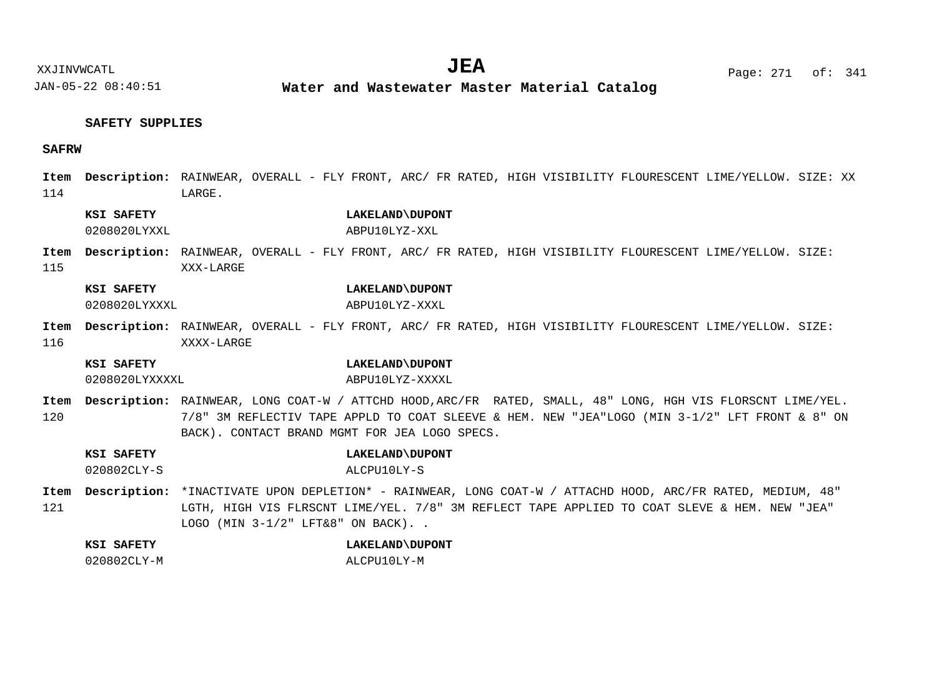XXJINVWCATL Page: 271 of: **JEA**<sup>341</sup>

JAN-05-22 08:40:51

**Water and Wastewater Master Material Catalog** 

# **SAFETY SUPPLIES**

# **SAFRW**

| Item<br>114 |                              | Description: RAINWEAR, OVERALL - FLY FRONT, ARC/ FR RATED, HIGH VISIBILITY FLOURESCENT LIME/YELLOW. SIZE: XX<br>LARGE.                                                                                                                                         |
|-------------|------------------------------|----------------------------------------------------------------------------------------------------------------------------------------------------------------------------------------------------------------------------------------------------------------|
|             | KSI SAFETY<br>0208020LYXXL   | LAKELAND\DUPONT<br>ABPU10LYZ-XXL                                                                                                                                                                                                                               |
| Item<br>115 |                              | Description: RAINWEAR, OVERALL - FLY FRONT, ARC/ FR RATED, HIGH VISIBILITY FLOURESCENT LIME/YELLOW. SIZE:<br>XXX-LARGE                                                                                                                                         |
|             | KSI SAFETY<br>0208020LYXXXL  | LAKELAND\DUPONT<br>ABPU10LYZ-XXXL                                                                                                                                                                                                                              |
| Item<br>116 |                              | Description: RAINWEAR, OVERALL - FLY FRONT, ARC/ FR RATED, HIGH VISIBILITY FLOURESCENT LIME/YELLOW. SIZE:<br>XXXX-LARGE                                                                                                                                        |
|             | KSI SAFETY<br>0208020LYXXXXL | LAKELAND\DUPONT<br>ABPU10LYZ-XXXXL                                                                                                                                                                                                                             |
| Item<br>120 |                              | Description: RAINWEAR, LONG COAT-W / ATTCHD HOOD, ARC/FR RATED, SMALL, 48" LONG, HGH VIS FLORSCNT LIME/YEL.<br>7/8" 3M REFLECTIV TAPE APPLD TO COAT SLEEVE & HEM. NEW "JEA"LOGO (MIN 3-1/2" LFT FRONT & 8" ON<br>BACK). CONTACT BRAND MGMT FOR JEA LOGO SPECS. |
|             | KSI SAFETY<br>020802CLY-S    | LAKELAND\DUPONT<br>ALCPU10LY-S                                                                                                                                                                                                                                 |
| Item<br>121 |                              | Description: *INACTIVATE UPON DEPLETION* - RAINWEAR, LONG COAT-W / ATTACHD HOOD, ARC/FR RATED, MEDIUM, 48"<br>LGTH, HIGH VIS FLRSCNT LIME/YEL. 7/8" 3M REFLECT TAPE APPLIED TO COAT SLEVE & HEM. NEW "JEA"<br>LOGO (MIN 3-1/2" LFT&8" ON BACK). .              |
|             | KSI SAFETY<br>020802CLY-M    | LAKELAND\DUPONT<br>ALCPU10LY-M                                                                                                                                                                                                                                 |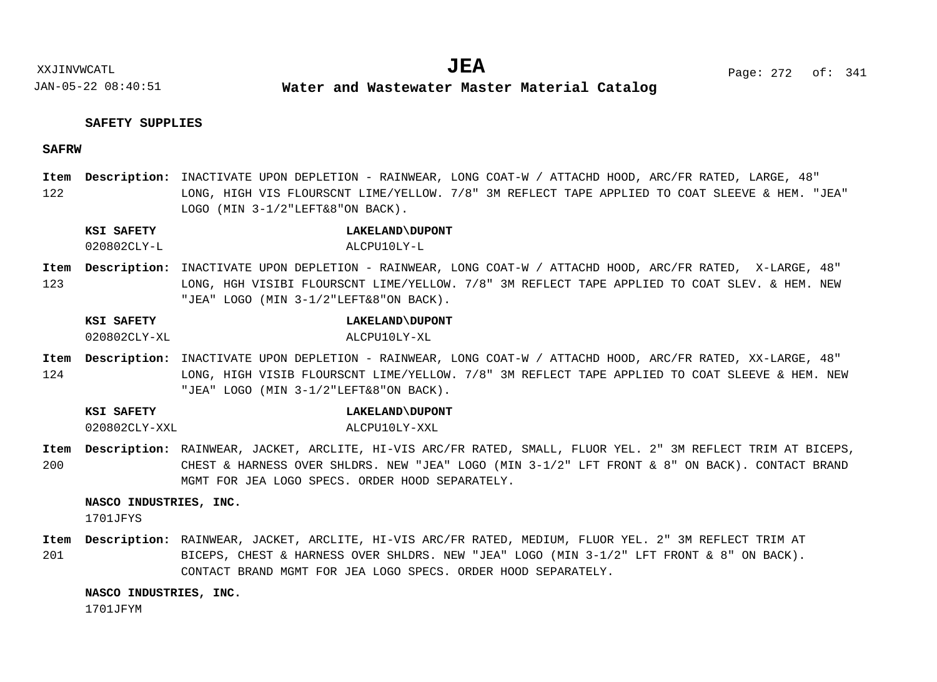# **SAFETY SUPPLIES**

# **SAFRW**

122 Item Description: INACTIVATE UPON DEPLETION - RAINWEAR, LONG COAT-W / ATTACHD HOOD, ARC/FR RATED, LARGE, 48" LONG, HIGH VIS FLOURSCNT LIME/YELLOW. 7/8" 3M REFLECT TAPE APPLIED TO COAT SLEEVE & HEM. "JEA" LOGO (MIN 3-1/2"LEFT&8"ON BACK).

# **KSI SAFETY LAKELAND\DUPONT** 020802CLY-L ALCPU10LY-L

123 Item Description: INACTIVATE UPON DEPLETION - RAINWEAR, LONG COAT-W / ATTACHD HOOD, ARC/FR RATED, X-LARGE, 48" LONG, HGH VISIBI FLOURSCNT LIME/YELLOW. 7/8" 3M REFLECT TAPE APPLIED TO COAT SLEV. & HEM. NEW "JEA" LOGO (MIN 3-1/2"LEFT&8"ON BACK).

# **KSI SAFETY LAKELAND\DUPONT**

- 020802CLY-XL ALCPU10LY-XL
- 124 Item Description: INACTIVATE UPON DEPLETION - RAINWEAR, LONG COAT-W / ATTACHD HOOD, ARC/FR RATED, XX-LARGE, 48" LONG, HIGH VISIB FLOURSCNT LIME/YELLOW. 7/8" 3M REFLECT TAPE APPLIED TO COAT SLEEVE & HEM. NEW "JEA" LOGO (MIN 3-1/2"LEFT&8"ON BACK).

**KSI SAFETY LAKELAND\DUPONT**

020802CLY-XXL ALCPU10LY-XXL

200 Item Description: RAINWEAR, JACKET, ARCLITE, HI-VIS ARC/FR RATED, SMALL, FLUOR YEL. 2" 3M REFLECT TRIM AT BICEPS, CHEST & HARNESS OVER SHLDRS. NEW "JEA" LOGO (MIN 3-1/2" LFT FRONT & 8" ON BACK). CONTACT BRAND MGMT FOR JEA LOGO SPECS. ORDER HOOD SEPARATELY.

# **NASCO INDUSTRIES, INC.**

1701JFYS

201 RAINWEAR, JACKET, ARCLITE, HI-VIS ARC/FR RATED, MEDIUM, FLUOR YEL. 2" 3M REFLECT TRIM AT **Description: Item**BICEPS, CHEST & HARNESS OVER SHLDRS. NEW "JEA" LOGO (MIN 3-1/2" LFT FRONT & 8" ON BACK). CONTACT BRAND MGMT FOR JEA LOGO SPECS. ORDER HOOD SEPARATELY.

**NASCO INDUSTRIES, INC.**

1701JFYM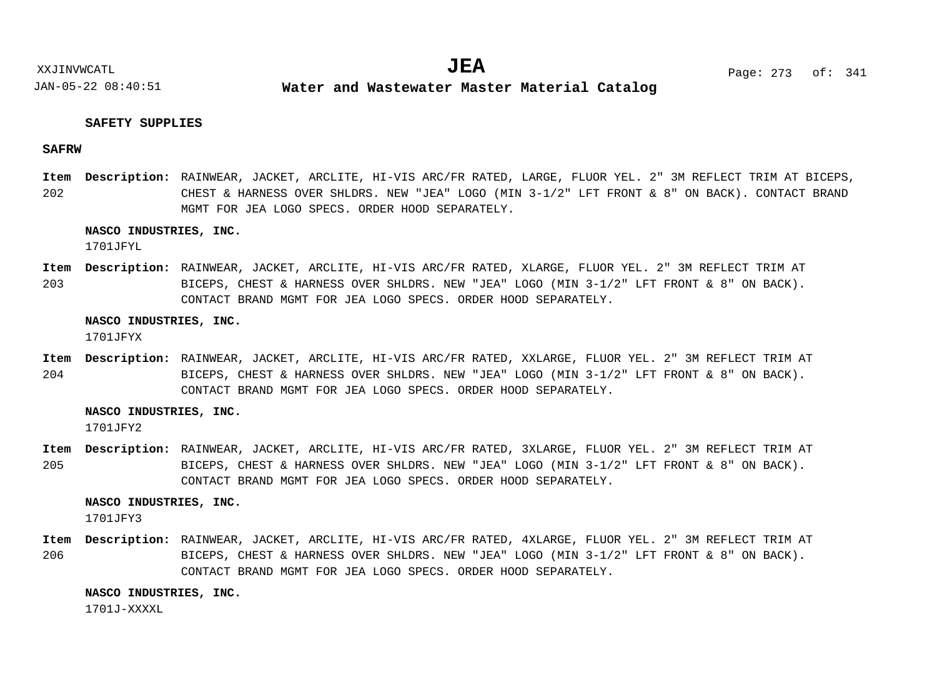# **SAFETY SUPPLIES**

# **SAFRW**

202 Item Description: RAINWEAR, JACKET, ARCLITE, HI-VIS ARC/FR RATED, LARGE, FLUOR YEL. 2" 3M REFLECT TRIM AT BICEPS, CHEST & HARNESS OVER SHLDRS. NEW "JEA" LOGO (MIN 3-1/2" LFT FRONT & 8" ON BACK). CONTACT BRAND MGMT FOR JEA LOGO SPECS. ORDER HOOD SEPARATELY.

### **NASCO INDUSTRIES, INC.**

1701JFYL

203 RAINWEAR, JACKET, ARCLITE, HI-VIS ARC/FR RATED, XLARGE, FLUOR YEL. 2" 3M REFLECT TRIM AT **Description: Item** BICEPS, CHEST & HARNESS OVER SHLDRS. NEW "JEA" LOGO (MIN 3-1/2" LFT FRONT & 8" ON BACK). CONTACT BRAND MGMT FOR JEA LOGO SPECS. ORDER HOOD SEPARATELY.

#### **NASCO INDUSTRIES, INC.**

1701JFYX

204 RAINWEAR, JACKET, ARCLITE, HI-VIS ARC/FR RATED, XXLARGE, FLUOR YEL. 2" 3M REFLECT TRIM AT **Description: Item** BICEPS, CHEST & HARNESS OVER SHLDRS. NEW "JEA" LOGO (MIN 3-1/2" LFT FRONT & 8" ON BACK). CONTACT BRAND MGMT FOR JEA LOGO SPECS. ORDER HOOD SEPARATELY.

### **NASCO INDUSTRIES, INC.**

1701JFY2

205 RAINWEAR, JACKET, ARCLITE, HI-VIS ARC/FR RATED, 3XLARGE, FLUOR YEL. 2" 3M REFLECT TRIM AT **Description: Item** BICEPS, CHEST & HARNESS OVER SHLDRS. NEW "JEA" LOGO (MIN 3-1/2" LFT FRONT & 8" ON BACK). CONTACT BRAND MGMT FOR JEA LOGO SPECS. ORDER HOOD SEPARATELY.

#### **NASCO INDUSTRIES, INC.**

1701JFY3

206 RAINWEAR, JACKET, ARCLITE, HI-VIS ARC/FR RATED, 4XLARGE, FLUOR YEL. 2" 3M REFLECT TRIM AT **Description: Item**BICEPS, CHEST & HARNESS OVER SHLDRS. NEW "JEA" LOGO (MIN 3-1/2" LFT FRONT & 8" ON BACK). CONTACT BRAND MGMT FOR JEA LOGO SPECS. ORDER HOOD SEPARATELY.

**NASCO INDUSTRIES, INC.**

 $1701J-XXXX$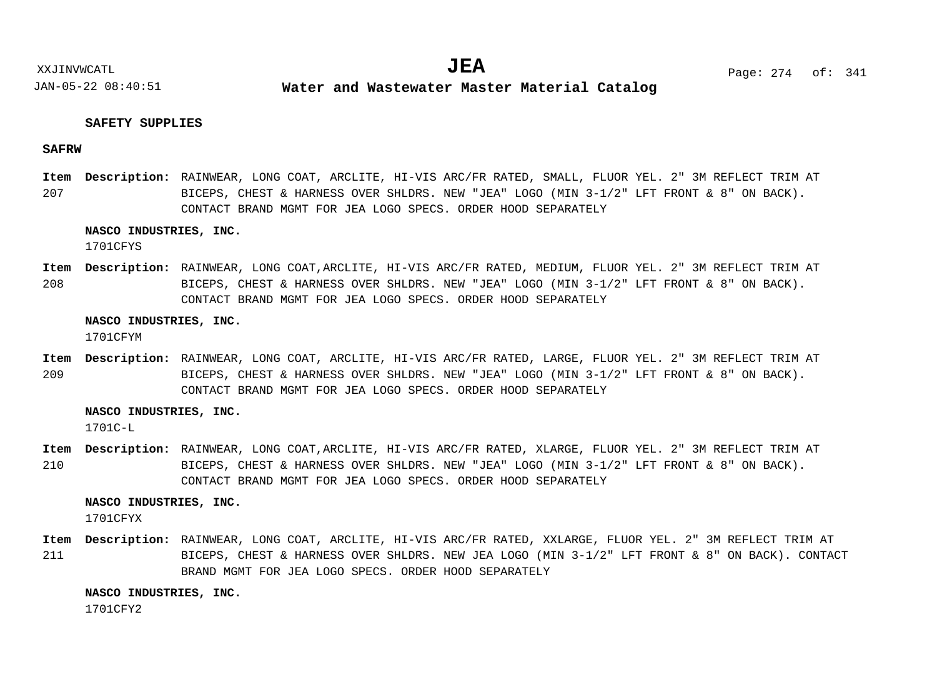# **SAFETY SUPPLIES**

# **SAFRW**

207 Item Description: RAINWEAR, LONG COAT, ARCLITE, HI-VIS ARC/FR RATED, SMALL, FLUOR YEL. 2" 3M REFLECT TRIM AT BICEPS, CHEST & HARNESS OVER SHLDRS. NEW "JEA" LOGO (MIN 3-1/2" LFT FRONT & 8" ON BACK). CONTACT BRAND MGMT FOR JEA LOGO SPECS. ORDER HOOD SEPARATELY

### **NASCO INDUSTRIES, INC.**

1701CFYS

208 Item Description: RAINWEAR, LONG COAT,ARCLITE, HI-VIS ARC/FR RATED, MEDIUM, FLUOR YEL. 2" 3M REFLECT TRIM AT BICEPS, CHEST & HARNESS OVER SHLDRS. NEW "JEA" LOGO (MIN 3-1/2" LFT FRONT & 8" ON BACK). CONTACT BRAND MGMT FOR JEA LOGO SPECS. ORDER HOOD SEPARATELY

#### **NASCO INDUSTRIES, INC.**

1701CFYM

209 Item Description: RAINWEAR, LONG COAT, ARCLITE, HI-VIS ARC/FR RATED, LARGE, FLUOR YEL. 2" 3M REFLECT TRIM AT BICEPS, CHEST & HARNESS OVER SHLDRS. NEW "JEA" LOGO (MIN 3-1/2" LFT FRONT & 8" ON BACK). CONTACT BRAND MGMT FOR JEA LOGO SPECS. ORDER HOOD SEPARATELY

#### **NASCO INDUSTRIES, INC.**

 $1701C - L$ 

210 RAINWEAR, LONG COAT,ARCLITE, HI-VIS ARC/FR RATED, XLARGE, FLUOR YEL. 2" 3M REFLECT TRIM AT **Description: Item** BICEPS, CHEST & HARNESS OVER SHLDRS. NEW "JEA" LOGO (MIN 3-1/2" LFT FRONT & 8" ON BACK). CONTACT BRAND MGMT FOR JEA LOGO SPECS. ORDER HOOD SEPARATELY

#### **NASCO INDUSTRIES, INC.**

1701CFYX

211 RAINWEAR, LONG COAT, ARCLITE, HI-VIS ARC/FR RATED, XXLARGE, FLUOR YEL. 2" 3M REFLECT TRIM AT **Description: Item**BICEPS, CHEST & HARNESS OVER SHLDRS. NEW JEA LOGO (MIN 3-1/2" LFT FRONT & 8" ON BACK). CONTACT BRAND MGMT FOR JEA LOGO SPECS. ORDER HOOD SEPARATELY

#### **NASCO INDUSTRIES, INC.**

1701CFY2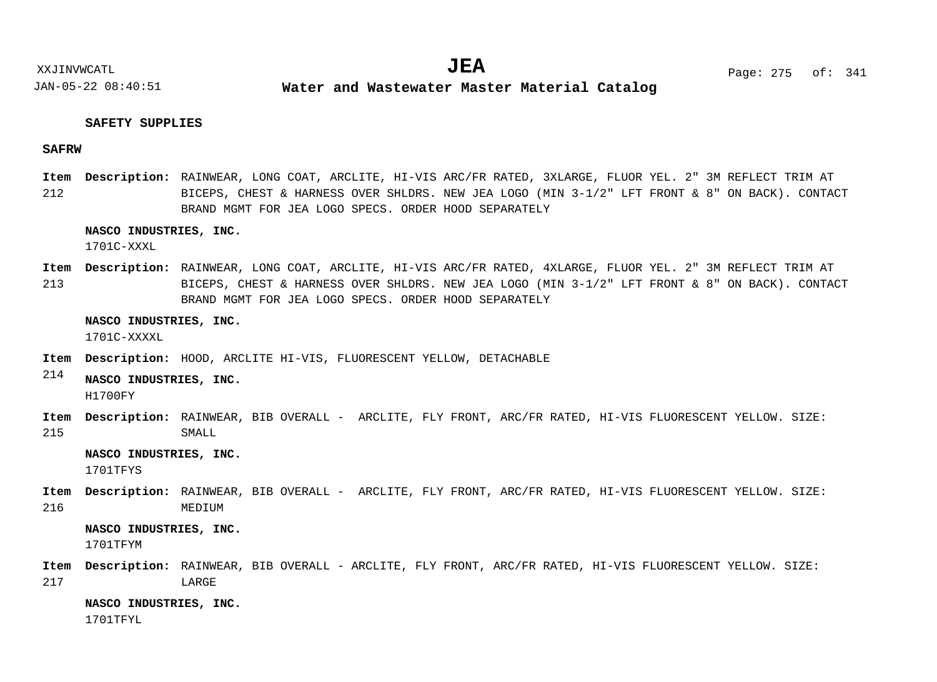**Water and Wastewater Master Material Catalog** 

# **SAFETY SUPPLIES**

# **SAFRW**

212 RAINWEAR, LONG COAT, ARCLITE, HI-VIS ARC/FR RATED, 3XLARGE, FLUOR YEL. 2" 3M REFLECT TRIM AT **Description: Item** BICEPS, CHEST & HARNESS OVER SHLDRS. NEW JEA LOGO (MIN 3-1/2" LFT FRONT & 8" ON BACK). CONTACT BRAND MGMT FOR JEA LOGO SPECS. ORDER HOOD SEPARATELY

### **NASCO INDUSTRIES, INC.**

1701C-XXXL

213 RAINWEAR, LONG COAT, ARCLITE, HI-VIS ARC/FR RATED, 4XLARGE, FLUOR YEL. 2" 3M REFLECT TRIM AT **Description: Item** BICEPS, CHEST & HARNESS OVER SHLDRS. NEW JEA LOGO (MIN 3-1/2" LFT FRONT & 8" ON BACK). CONTACT BRAND MGMT FOR JEA LOGO SPECS. ORDER HOOD SEPARATELY

#### **NASCO INDUSTRIES, INC.**

1701C-XXXXL

- Item Description: HOOD, ARCLITE HI-VIS, FLUORESCENT YELLOW, DETACHABLE
- 214 **NASCO INDUSTRIES, INC.** H1700FY
- 215 Item Description: RAINWEAR, BIB OVERALL - ARCLITE, FLY FRONT, ARC/FR RATED, HI-VIS FLUORESCENT YELLOW. SIZE: SMALL

# **NASCO INDUSTRIES, INC.**

1701TFYS

216 Item Description: RAINWEAR, BIB OVERALL - ARCLITE, FLY FRONT, ARC/FR RATED, HI-VIS FLUORESCENT YELLOW. SIZE: MEDIUM

#### **NASCO INDUSTRIES, INC.**

1701TFYM

217 Item Description: RAINWEAR, BIB OVERALL - ARCLITE, FLY FRONT, ARC/FR RATED, HI-VIS FLUORESCENT YELLOW. SIZE: LARGE

#### **NASCO INDUSTRIES, INC.**

1701TFYL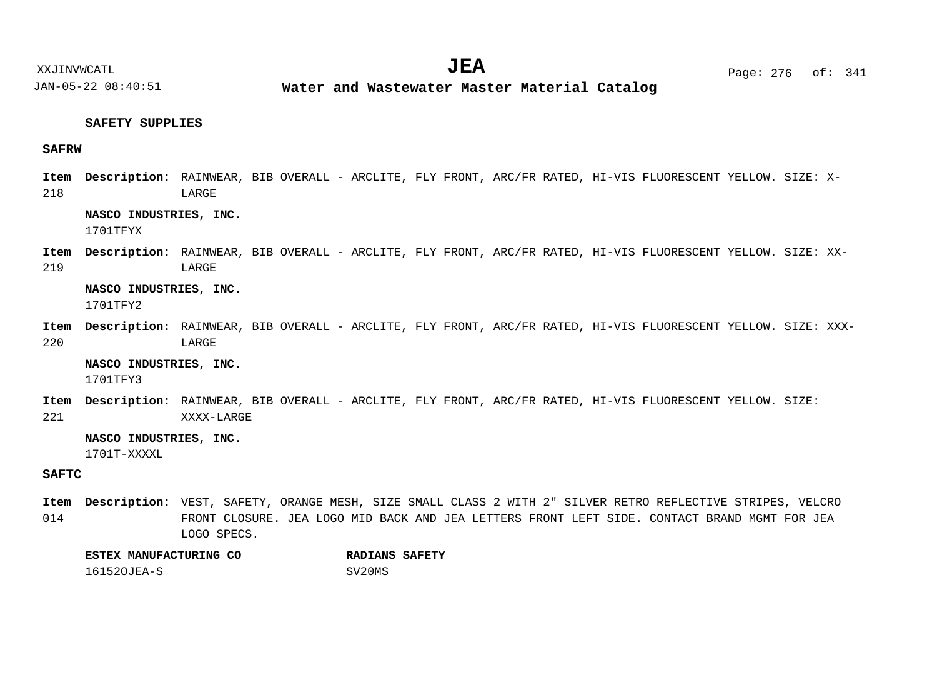**Water and Wastewater Master Material Catalog** 

# **SAFETY SUPPLIES**

# **SAFRW**

218 RAINWEAR, BIB OVERALL - ARCLITE, FLY FRONT, ARC/FR RATED, HI-VIS FLUORESCENT YELLOW. SIZE: X-**Description: Item** LARGE

# **NASCO INDUSTRIES, INC.**

1701TFYX

219 Item Description: RAINWEAR, BIB OVERALL - ARCLITE, FLY FRONT, ARC/FR RATED, HI-VIS FLUORESCENT YELLOW. SIZE: XX-LARGE

**NASCO INDUSTRIES, INC.** 1701TFY2

220 Item Description: RAINWEAR, BIB OVERALL - ARCLITE, FLY FRONT, ARC/FR RATED, HI-VIS FLUORESCENT YELLOW. SIZE: XXX-LARGE

**NASCO INDUSTRIES, INC.**

1701TFY3

221 Item Description: RAINWEAR, BIB OVERALL - ARCLITE, FLY FRONT, ARC/FR RATED, HI-VIS FLUORESCENT YELLOW. SIZE: XXXX-LARGE

# **NASCO INDUSTRIES, INC.**

1701T-XXXXL

# **SAFTC**

014 Item Description: VEST, SAFETY, ORANGE MESH, SIZE SMALL CLASS 2 WITH 2" SILVER RETRO REFLECTIVE STRIPES, VELCRO FRONT CLOSURE. JEA LOGO MID BACK AND JEA LETTERS FRONT LEFT SIDE. CONTACT BRAND MGMT FOR JEA LOGO SPECS.

| ESTEX MANUFACTURING CO | <b>RADIANS SAFETY</b> |  |
|------------------------|-----------------------|--|
| 161520JEA-S            | SV20MS                |  |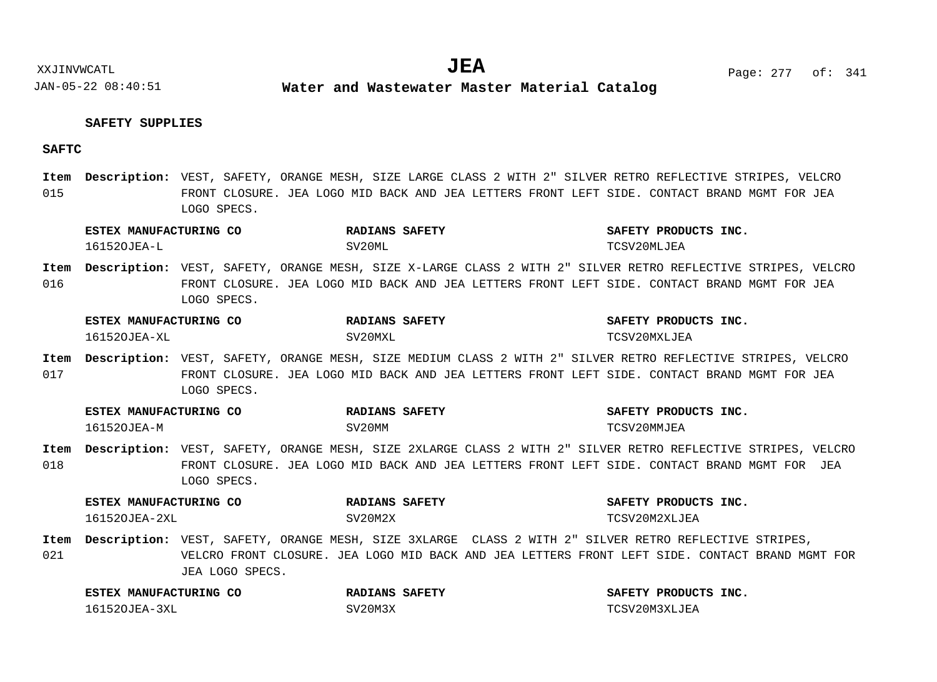**Water and Wastewater Master Material Catalog** 

# **SAFETY SUPPLIES**

# **SAFTC**

015 Item Description: VEST, SAFETY, ORANGE MESH, SIZE LARGE CLASS 2 WITH 2" SILVER RETRO REFLECTIVE STRIPES, VELCRO FRONT CLOSURE. JEA LOGO MID BACK AND JEA LETTERS FRONT LEFT SIDE. CONTACT BRAND MGMT FOR JEA LOGO SPECS.

|             | ESTEX MANUFACTURING CO |                 | RADIANS SAFETY                                                                                                                                                                                               | SAFETY PRODUCTS INC. |
|-------------|------------------------|-----------------|--------------------------------------------------------------------------------------------------------------------------------------------------------------------------------------------------------------|----------------------|
|             | 161520JEA-L            |                 | SV20ML                                                                                                                                                                                                       | TCSV20MLJEA          |
| Item<br>016 |                        | LOGO SPECS.     | Description: VEST, SAFETY, ORANGE MESH, SIZE X-LARGE CLASS 2 WITH 2" SILVER RETRO REFLECTIVE STRIPES, VELCRO<br>FRONT CLOSURE. JEA LOGO MID BACK AND JEA LETTERS FRONT LEFT SIDE. CONTACT BRAND MGMT FOR JEA |                      |
|             | ESTEX MANUFACTURING CO |                 | <b>RADIANS SAFETY</b>                                                                                                                                                                                        | SAFETY PRODUCTS INC. |
|             | 161520JEA-XL           |                 | SV20MXL                                                                                                                                                                                                      | TCSV20MXLJEA         |
| Item<br>017 |                        | LOGO SPECS.     | Description: VEST, SAFETY, ORANGE MESH, SIZE MEDIUM CLASS 2 WITH 2" SILVER RETRO REFLECTIVE STRIPES, VELCRO<br>FRONT CLOSURE. JEA LOGO MID BACK AND JEA LETTERS FRONT LEFT SIDE. CONTACT BRAND MGMT FOR JEA  |                      |
|             | ESTEX MANUFACTURING CO |                 | <b>RADIANS SAFETY</b>                                                                                                                                                                                        | SAFETY PRODUCTS INC. |
|             | 161520JEA-M            |                 | SV20MM                                                                                                                                                                                                       | TCSV20MMJEA          |
| Item<br>018 |                        | LOGO SPECS.     | Description: VEST, SAFETY, ORANGE MESH, SIZE 2XLARGE CLASS 2 WITH 2" SILVER RETRO REFLECTIVE STRIPES, VELCRO<br>FRONT CLOSURE. JEA LOGO MID BACK AND JEA LETTERS FRONT LEFT SIDE. CONTACT BRAND MGMT FOR JEA |                      |
|             | ESTEX MANUFACTURING CO |                 | <b>RADIANS SAFETY</b>                                                                                                                                                                                        | SAFETY PRODUCTS INC. |
|             | 161520JEA-2XL          |                 | SV20M2X                                                                                                                                                                                                      | TCSV20M2XLJEA        |
| Item<br>021 |                        | JEA LOGO SPECS. | Description: VEST, SAFETY, ORANGE MESH, SIZE 3XLARGE CLASS 2 WITH 2" SILVER RETRO REFLECTIVE STRIPES,<br>VELCRO FRONT CLOSURE. JEA LOGO MID BACK AND JEA LETTERS FRONT LEFT SIDE. CONTACT BRAND MGMT FOR     |                      |
|             | ESTEX MANUFACTURING CO |                 | <b>RADIANS SAFETY</b>                                                                                                                                                                                        | SAFETY PRODUCTS INC. |
|             | 161520JEA-3XL          |                 | SV20M3X                                                                                                                                                                                                      | TCSV20M3XLJEA        |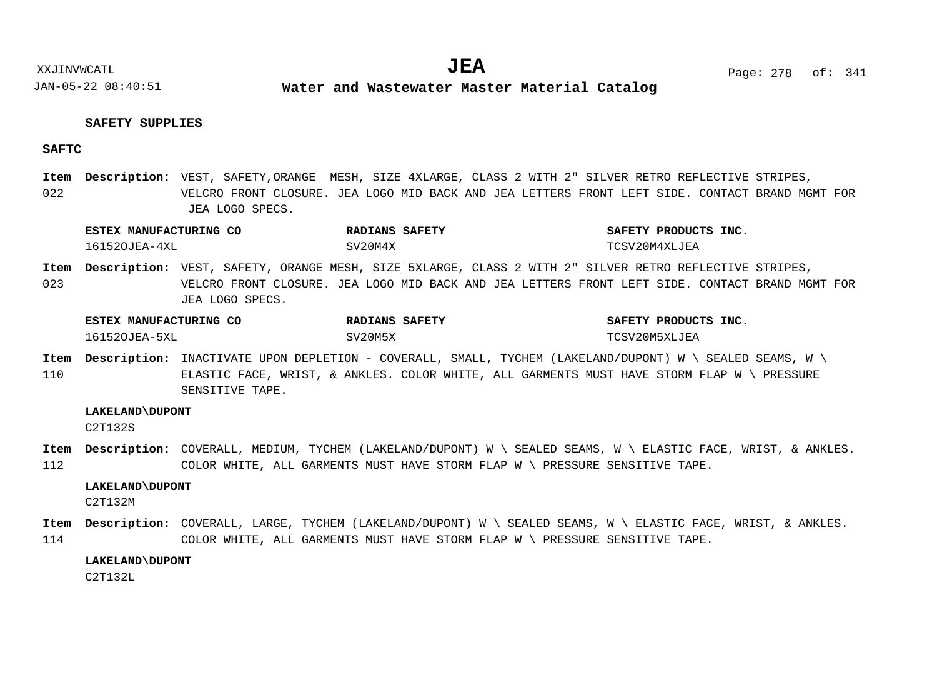# **SAFETY SUPPLIES**

# **SAFTC**

022 Item Description: VEST, SAFETY, ORANGE MESH, SIZE 4XLARGE, CLASS 2 WITH 2" SILVER RETRO REFLECTIVE STRIPES, VELCRO FRONT CLOSURE. JEA LOGO MID BACK AND JEA LETTERS FRONT LEFT SIDE. CONTACT BRAND MGMT FOR JEA LOGO SPECS.

| ESTEX MANUFACTURING CO | RADIANS SAFETY | SAFETY PRODUCTS<br>INC. |
|------------------------|----------------|-------------------------|
| 161520JEA-4XI          | SV20M4X        | TCSV20M4XLJEA           |

023 Item Description: VEST, SAFETY, ORANGE MESH, SIZE 5XLARGE, CLASS 2 WITH 2" SILVER RETRO REFLECTIVE STRIPES, VELCRO FRONT CLOSURE. JEA LOGO MID BACK AND JEA LETTERS FRONT LEFT SIDE. CONTACT BRAND MGMT FOR JEA LOGO SPECS.

| <b>ESTEX MANUFACTURING CO</b> | RADIANS SAFETY | SAFETY PRODUCTS INC. |
|-------------------------------|----------------|----------------------|
| 161520JEA-5XL                 | SV20M5X        | TCSV20M5XLJEA        |

110  $I$ tem Description: INACTIVATE UPON DEPLETION - COVERALL, SMALL, TYCHEM (LAKELAND/DUPONT) W \ SEALED SEAMS, W \ ELASTIC FACE, WRIST, & ANKLES. COLOR WHITE, ALL GARMENTS MUST HAVE STORM FLAP W \ PRESSURE SENSITIVE TAPE.

# **LAKELAND\DUPONT**

C2T132S

112 Item Description: COVERALL, MEDIUM, TYCHEM (LAKELAND/DUPONT) W \ SEALED SEAMS, W \ ELASTIC FACE, WRIST, & ANKLES. COLOR WHITE, ALL GARMENTS MUST HAVE STORM FLAP W \ PRESSURE SENSITIVE TAPE.

#### **LAKELAND\DUPONT**

C2T132M

114 <code>Item Description: COVERALL, LARGE, TYCHEM (LAKELAND/DUPONT) W \ SEALED SEAMS, W \ ELASTIC FACE, WRIST, & ANKLES.</code> COLOR WHITE, ALL GARMENTS MUST HAVE STORM FLAP W \ PRESSURE SENSITIVE TAPE.

#### **LAKELAND\DUPONT**

C2T132L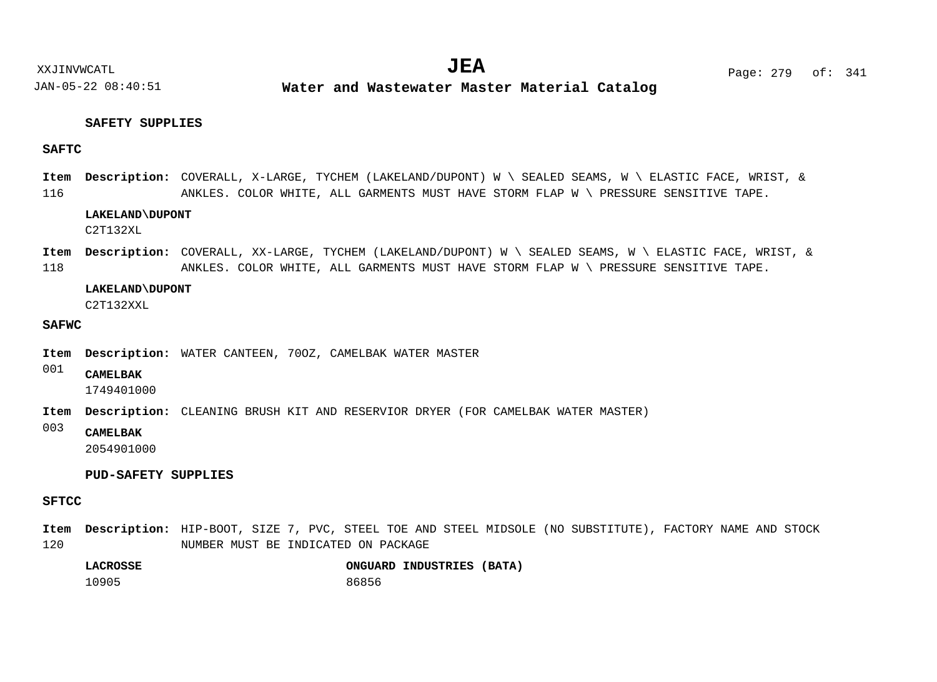**Water and Wastewater Master Material Catalog** 

# **SAFETY SUPPLIES**

# **SAFTC**

116 COVERALL, X-LARGE, TYCHEM (LAKELAND/DUPONT) W \ SEALED SEAMS, W \ ELASTIC FACE, WRIST, & **Description: Item** ANKLES. COLOR WHITE, ALL GARMENTS MUST HAVE STORM FLAP W \ PRESSURE SENSITIVE TAPE.

# **LAKELAND\DUPONT**

C2T132XL

118 COVERALL, XX-LARGE, TYCHEM (LAKELAND/DUPONT) W \ SEALED SEAMS, W \ ELASTIC FACE, WRIST, & **Description: Item** ANKLES. COLOR WHITE, ALL GARMENTS MUST HAVE STORM FLAP W \ PRESSURE SENSITIVE TAPE.

### **LAKELAND\DUPONT**

C2T132XXL

# **SAFWC**

- Item Description: WATER CANTEEN, 700Z, CAMELBAK WATER MASTER
- 001 **CAMELBAK**

1749401000

- Item Description: CLEANING BRUSH KIT AND RESERVIOR DRYER (FOR CAMELBAK WATER MASTER)
- 003 **CAMELBAK**

2054901000

# **PUD-SAFETY SUPPLIES**

# **SFTCC**

120 Item Description: HIP-BOOT, SIZE 7, PVC, STEEL TOE AND STEEL MIDSOLE (NO SUBSTITUTE), FACTORY NAME AND STOCK NUMBER MUST BE INDICATED ON PACKAGE

| LACROSSE |       | ONGUARD INDUSTRIES (BATA) |  |
|----------|-------|---------------------------|--|
| 10905    | 86856 |                           |  |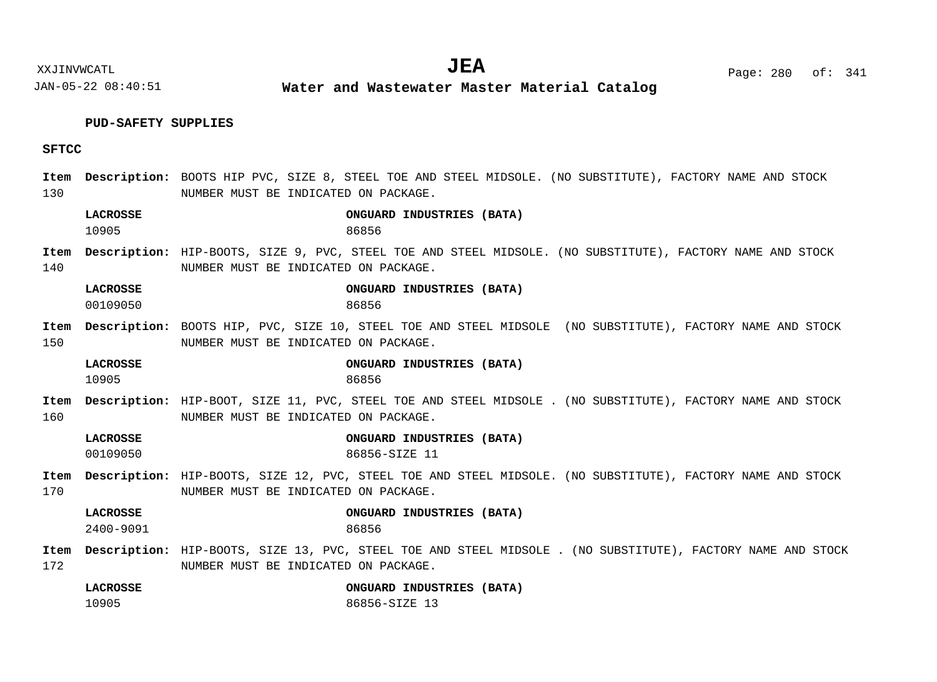**Water and Wastewater Master Material Catalog** 

# **PUD-SAFETY SUPPLIES**

# **SFTCC**

| 130         |                              | Item Description: BOOTS HIP PVC, SIZE 8, STEEL TOE AND STEEL MIDSOLE. (NO SUBSTITUTE), FACTORY NAME AND STOCK<br>NUMBER MUST BE INDICATED ON PACKAGE. |
|-------------|------------------------------|-------------------------------------------------------------------------------------------------------------------------------------------------------|
|             | <b>LACROSSE</b><br>10905     | ONGUARD INDUSTRIES (BATA)<br>86856                                                                                                                    |
| Item<br>140 |                              | Description: HIP-BOOTS, SIZE 9, PVC, STEEL TOE AND STEEL MIDSOLE. (NO SUBSTITUTE), FACTORY NAME AND STOCK<br>NUMBER MUST BE INDICATED ON PACKAGE.     |
|             | LACROSSE<br>00109050         | ONGUARD INDUSTRIES (BATA)<br>86856                                                                                                                    |
| Item<br>150 |                              | Description: BOOTS HIP, PVC, SIZE 10, STEEL TOE AND STEEL MIDSOLE (NO SUBSTITUTE), FACTORY NAME AND STOCK<br>NUMBER MUST BE INDICATED ON PACKAGE.     |
|             | <b>LACROSSE</b><br>10905     | ONGUARD INDUSTRIES (BATA)<br>86856                                                                                                                    |
| Item<br>160 |                              | Description: HIP-BOOT, SIZE 11, PVC, STEEL TOE AND STEEL MIDSOLE . (NO SUBSTITUTE), FACTORY NAME AND STOCK<br>NUMBER MUST BE INDICATED ON PACKAGE.    |
|             | <b>LACROSSE</b><br>00109050  | ONGUARD INDUSTRIES (BATA)<br>86856-SIZE 11                                                                                                            |
| Item<br>170 |                              | Description: HIP-BOOTS, SIZE 12, PVC, STEEL TOE AND STEEL MIDSOLE. (NO SUBSTITUTE), FACTORY NAME AND STOCK<br>NUMBER MUST BE INDICATED ON PACKAGE.    |
|             | <b>LACROSSE</b><br>2400-9091 | ONGUARD INDUSTRIES (BATA)<br>86856                                                                                                                    |
| Item<br>172 |                              | Description: HIP-BOOTS, SIZE 13, PVC, STEEL TOE AND STEEL MIDSOLE . (NO SUBSTITUTE), FACTORY NAME AND STOCK<br>NUMBER MUST BE INDICATED ON PACKAGE.   |
|             | <b>LACROSSE</b><br>10905     | ONGUARD INDUSTRIES (BATA)<br>86856-SIZE 13                                                                                                            |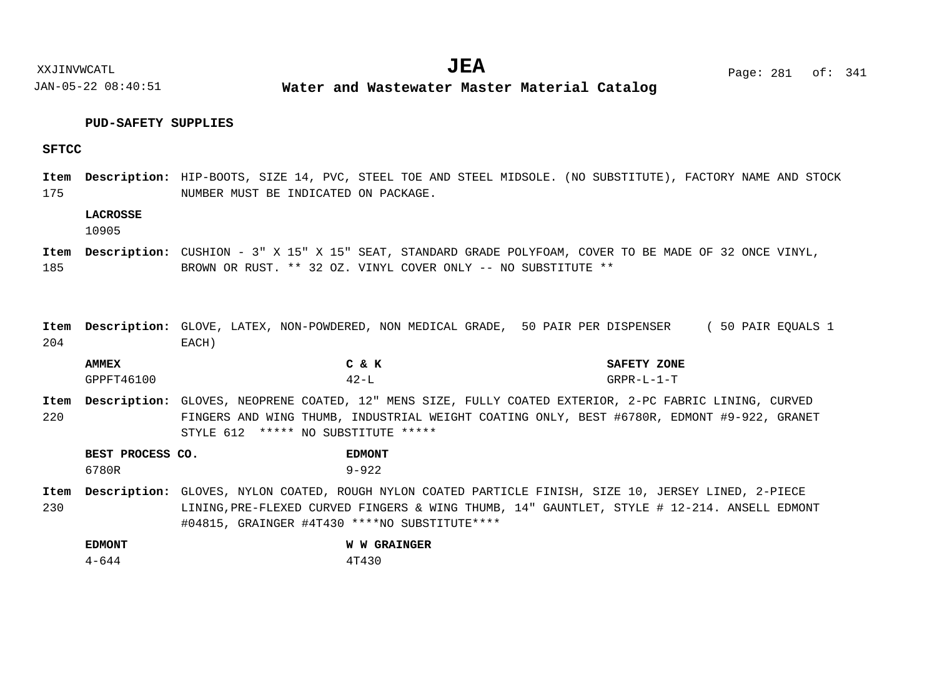# **PUD-SAFETY SUPPLIES**

# **SFTCC**

175 Item Description: HIP-BOOTS, SIZE 14, PVC, STEEL TOE AND STEEL MIDSOLE. (NO SUBSTITUTE), FACTORY NAME AND STOCK NUMBER MUST BE INDICATED ON PACKAGE.

# **LACROSSE**

10905

- 185 Item Description: CUSHION - 3" X 15" X 15" SEAT, STANDARD GRADE POLYFOAM, COVER TO BE MADE OF 32 ONCE VINYL, BROWN OR RUST. \*\* 32 OZ. VINYL COVER ONLY -- NO SUBSTITUTE \*\*
- 204 Item Description: GLOVE, LATEX, NON-POWDERED, NON MEDICAL GRADE, 50 PAIR PER DISPENSER (50 PAIR EQUALS 1 EACH)

| <b>AMMEX</b> | $\mathbf{e}$<br>$\sim$<br>A        | <b>SAFETY</b><br>ZONE |
|--------------|------------------------------------|-----------------------|
| GPPFT46100   | $\Delta$ $\Omega$ $-$<br>__<br>- 2 | $GRPR-L-1-T$          |

220 Item Description: GLOVES, NEOPRENE COATED, 12" MENS SIZE, FULLY COATED EXTERIOR, 2-PC FABRIC LINING, CURVED FINGERS AND WING THUMB, INDUSTRIAL WEIGHT COATING ONLY, BEST #6780R, EDMONT #9-922, GRANET STYLE 612 \*\*\*\*\* NO SUBSTITUTE \*\*\*\*\*

| BEST PROCESS CO. | <b>EDMONT</b> |
|------------------|---------------|
| 6780R            | $9 - 922$     |

230 Item Description: GLOVES, NYLON COATED, ROUGH NYLON COATED PARTICLE FINISH, SIZE 10, JERSEY LINED, 2-PIECE LINING,PRE-FLEXED CURVED FINGERS & WING THUMB, 14" GAUNTLET, STYLE # 12-214. ANSELL EDMONT #04815, GRAINGER #4T430 \*\*\*\*NO SUBSTITUTE\*\*\*\*

| <b>EDMONT</b> | <b>W W GRAINGER</b> |
|---------------|---------------------|
| $4 - 644$     | 4T430               |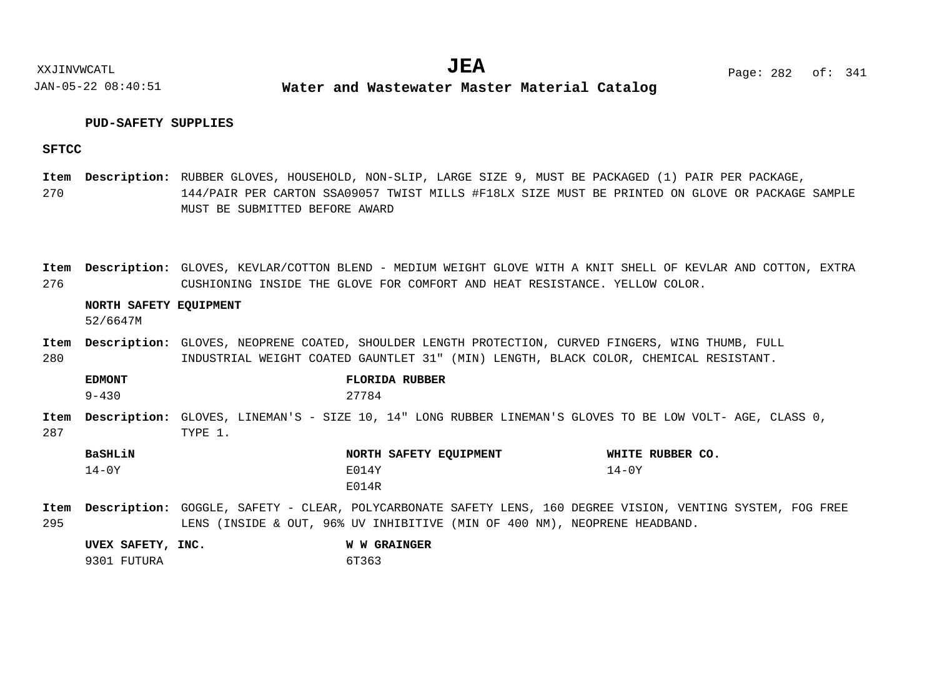XXJINVWCATL **EXALL** Page: 282 of:  $JEA$   $Page: 282 of: 341$ 

JAN-05-22 08:40:51 **Water and Wastewater Master Material Catalog** 

# **PUD-SAFETY SUPPLIES**

# **SFTCC**

270 RUBBER GLOVES, HOUSEHOLD, NON-SLIP, LARGE SIZE 9, MUST BE PACKAGED (1) PAIR PER PACKAGE, **Description: Item** 144/PAIR PER CARTON SSA09057 TWIST MILLS #F18LX SIZE MUST BE PRINTED ON GLOVE OR PACKAGE SAMPLE MUST BE SUBMITTED BEFORE AWARD

276 Item Description: GLOVES, KEVLAR/COTTON BLEND - MEDIUM WEIGHT GLOVE WITH A KNIT SHELL OF KEVLAR AND COTTON, EXTRA CUSHIONING INSIDE THE GLOVE FOR COMFORT AND HEAT RESISTANCE. YELLOW COLOR.

#### **NORTH SAFETY EQUIPMENT**

52/6647M

280 Item Description: GLOVES, NEOPRENE COATED, SHOULDER LENGTH PROTECTION, CURVED FINGERS, WING THUMB, FULL INDUSTRIAL WEIGHT COATED GAUNTLET 31" (MIN) LENGTH, BLACK COLOR, CHEMICAL RESISTANT.

287 Item Description: GLOVES, LINEMAN'S - SIZE 10, 14" LONG RUBBER LINEMAN'S GLOVES TO BE LOW VOLT- AGE, CLASS 0, TYPE 1. 9-430 27784

| BaSHLiN | NORTH SAFETY EQUIPMENT | WHITE RUBBER CO. |
|---------|------------------------|------------------|
| $14-0Y$ | E014Y                  | 14-0Y            |
|         | E014R                  |                  |

295 GOGGLE, SAFETY - CLEAR, POLYCARBONATE SAFETY LENS, 160 DEGREE VISION, VENTING SYSTEM, FOG FREE **Description: Item**LENS (INSIDE & OUT, 96% UV INHIBITIVE (MIN OF 400 NM), NEOPRENE HEADBAND.

| UVEX SAFETY, INC. | <b>W W GRAINGER</b> |
|-------------------|---------------------|
| 9301 FUTURA       | 6T363               |

**EDMONT FLORIDA RUBBER**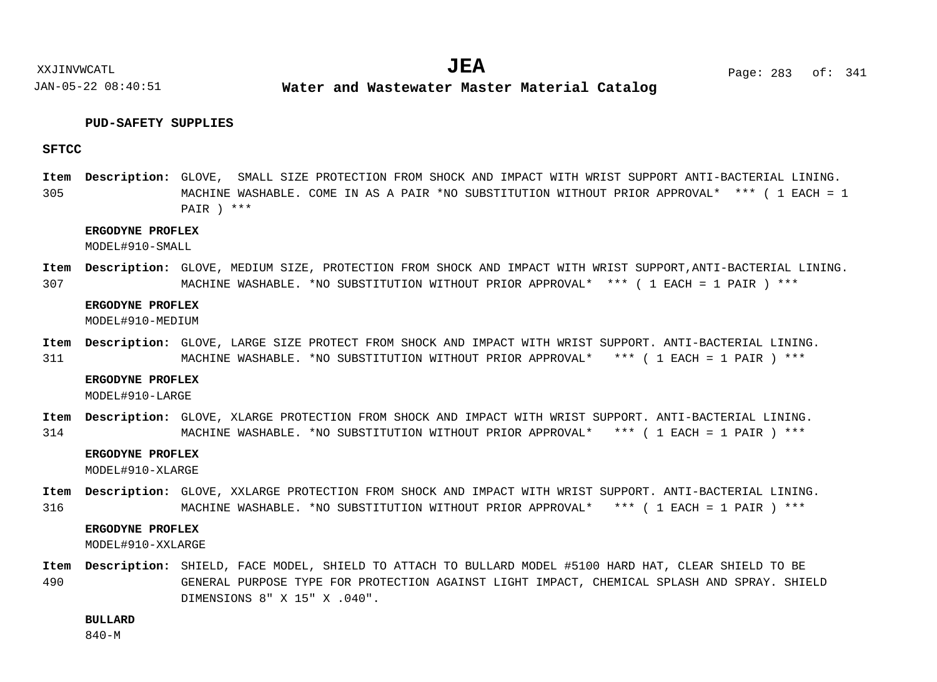# **PUD-SAFETY SUPPLIES**

# **SFTCC**

305 Item Description: GLOVE, SMALL SIZE PROTECTION FROM SHOCK AND IMPACT WITH WRIST SUPPORT ANTI-BACTERIAL LINING. MACHINE WASHABLE. COME IN AS A PAIR \*NO SUBSTITUTION WITHOUT PRIOR APPROVAL\* \*\*\* ( 1 EACH = 1 PAIR ) \*\*\*

## **ERGODYNE PROFLEX**

MODEL#910-SMALL

307 Item Description: GLOVE, MEDIUM SIZE, PROTECTION FROM SHOCK AND IMPACT WITH WRIST SUPPORT, ANTI-BACTERIAL LINING. MACHINE WASHABLE. \*NO SUBSTITUTION WITHOUT PRIOR APPROVAL\* \*\*\* ( 1 EACH = 1 PAIR ) \*\*\*

#### **ERGODYNE PROFLEX**

MODEL#910-MEDIUM

311 Item Description: GLOVE, LARGE SIZE PROTECT FROM SHOCK AND IMPACT WITH WRIST SUPPORT. ANTI-BACTERIAL LINING. MACHINE WASHABLE. \*NO SUBSTITUTION WITHOUT PRIOR APPROVAL\* \*\*\* ( 1 EACH = 1 PAIR ) \*\*\*

#### **ERGODYNE PROFLEX**

MODEL#910-LARGE

314 Item Description: GLOVE, XLARGE PROTECTION FROM SHOCK AND IMPACT WITH WRIST SUPPORT. ANTI-BACTERIAL LINING. MACHINE WASHABLE. \*NO SUBSTITUTION WITHOUT PRIOR APPROVAL\* \*\*\* ( 1 EACH = 1 PAIR ) \*\*\*

#### **ERGODYNE PROFLEX**

MODEL#910-XLARGE

316 Item Description: GLOVE, XXLARGE PROTECTION FROM SHOCK AND IMPACT WITH WRIST SUPPORT. ANTI-BACTERIAL LINING. MACHINE WASHABLE. \*NO SUBSTITUTION WITHOUT PRIOR APPROVAL\* \*\*\* ( 1 EACH = 1 PAIR ) \*\*\*

# **ERGODYNE PROFLEX**

MODEL#910-XXLARGE

490 Item Description: SHIELD, FACE MODEL, SHIELD TO ATTACH TO BULLARD MODEL #5100 HARD HAT, CLEAR SHIELD TO BE GENERAL PURPOSE TYPE FOR PROTECTION AGAINST LIGHT IMPACT, CHEMICAL SPLASH AND SPRAY. SHIELD DIMENSIONS 8" X 15" X .040".

**BULLARD**

840-M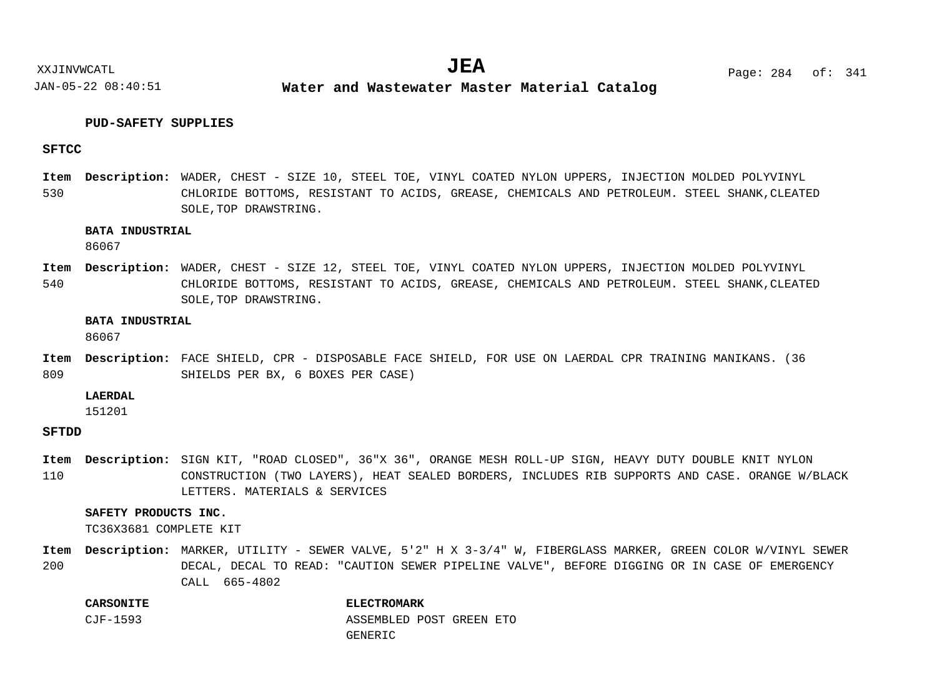# **PUD-SAFETY SUPPLIES**

# **SFTCC**

530 Item Description: WADER, CHEST - SIZE 10, STEEL TOE, VINYL COATED NYLON UPPERS, INJECTION MOLDED POLYVINYL CHLORIDE BOTTOMS, RESISTANT TO ACIDS, GREASE, CHEMICALS AND PETROLEUM. STEEL SHANK,CLEATED SOLE,TOP DRAWSTRING.

# **BATA INDUSTRIAL**

86067

540 Item Description: WADER, CHEST - SIZE 12, STEEL TOE, VINYL COATED NYLON UPPERS, INJECTION MOLDED POLYVINYL CHLORIDE BOTTOMS, RESISTANT TO ACIDS, GREASE, CHEMICALS AND PETROLEUM. STEEL SHANK,CLEATED SOLE,TOP DRAWSTRING.

#### **BATA INDUSTRIAL**

86067

809 Item Description: FACE SHIELD, CPR - DISPOSABLE FACE SHIELD, FOR USE ON LAERDAL CPR TRAINING MANIKANS. (36 SHIELDS PER BX, 6 BOXES PER CASE)

# **LAERDAL**

151201

# **SFTDD**

110 Item Description: SIGN KIT, "ROAD CLOSED", 36"X 36", ORANGE MESH ROLL-UP SIGN, HEAVY DUTY DOUBLE KNIT NYLON CONSTRUCTION (TWO LAYERS), HEAT SEALED BORDERS, INCLUDES RIB SUPPORTS AND CASE. ORANGE W/BLACK LETTERS. MATERIALS & SERVICES

# **SAFETY PRODUCTS INC.**

TC36X3681 COMPLETE KIT

200 Item Description: MARKER, UTILITY - SEWER VALVE, 5'2" H X 3-3/4" W, FIBERGLASS MARKER, GREEN COLOR W/VINYL SEWER DECAL, DECAL TO READ: "CAUTION SEWER PIPELINE VALVE", BEFORE DIGGING OR IN CASE OF EMERGENCY CALL 665-4802

### **CARSONITE ELECTROMARK**

CJF-1593 ASSEMBLED POST GREEN ETO

#### GENERIC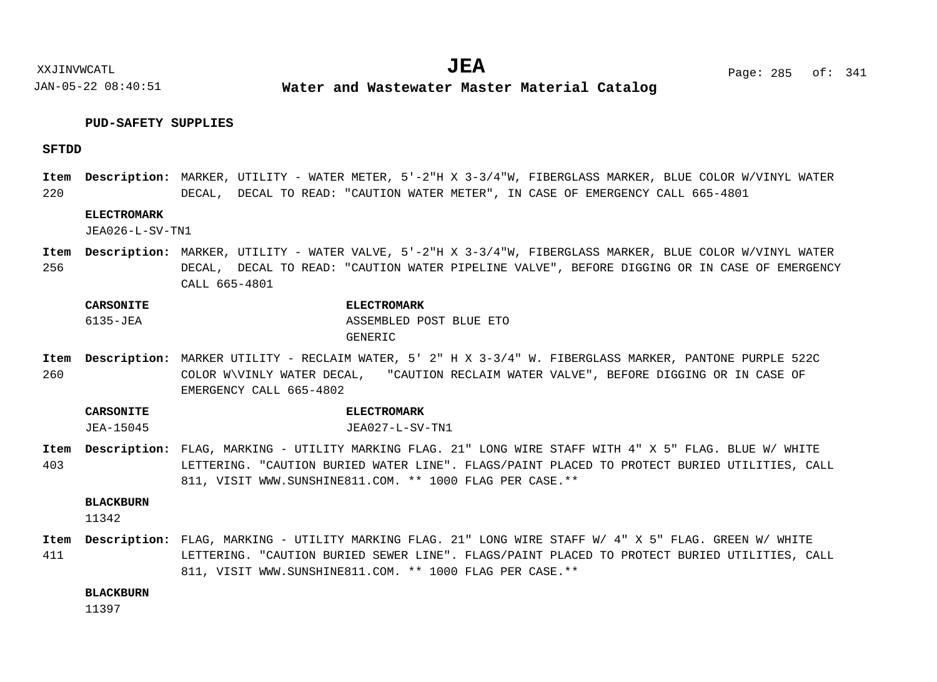# **PUD-SAFETY SUPPLIES**

# **SFTDD**

220 Item Description: MARKER, UTILITY - WATER METER, 5'-2"H X 3-3/4"W, FIBERGLASS MARKER, BLUE COLOR W/VINYL WATER DECAL, DECAL TO READ: "CAUTION WATER METER", IN CASE OF EMERGENCY CALL 665-4801

# **ELECTROMARK**

JEA026-L-SV-TN1

256 Item Description: MARKER, UTILITY - WATER VALVE, 5'-2"H X 3-3/4"W, FIBERGLASS MARKER, BLUE COLOR W/VINYL WATER DECAL, DECAL TO READ: "CAUTION WATER PIPELINE VALVE", BEFORE DIGGING OR IN CASE OF EMERGENCY CALL 665-4801

**CARSONITE ELECTROMARK** 6135-JEA ASSEMBLED POST BLUE ETO GENERIC

260 MARKER UTILITY - RECLAIM WATER, 5' 2" H X 3-3/4" W. FIBERGLASS MARKER, PANTONE PURPLE 522C **Description: Item** COLOR W\VINLY WATER DECAL, "CAUTION RECLAIM WATER VALVE", BEFORE DIGGING OR IN CASE OF EMERGENCY CALL 665-4802

**CARSONITE ELECTROMARK** JEA-15045 JEA027-L-SV-TN1

403 FLAG, MARKING - UTILITY MARKING FLAG. 21" LONG WIRE STAFF WITH 4" X 5" FLAG. BLUE W/ WHITE **Description: Item** LETTERING. "CAUTION BURIED WATER LINE". FLAGS/PAINT PLACED TO PROTECT BURIED UTILITIES, CALL 811, VISIT WWW.SUNSHINE811.COM. \*\* 1000 FLAG PER CASE.\*\*

# **BLACKBURN**

11342

411 FLAG, MARKING - UTILITY MARKING FLAG. 21" LONG WIRE STAFF W/ 4" X 5" FLAG. GREEN W/ WHITE **Description: Item**LETTERING. "CAUTION BURIED SEWER LINE". FLAGS/PAINT PLACED TO PROTECT BURIED UTILITIES, CALL 811, VISIT WWW.SUNSHINE811.COM. \*\* 1000 FLAG PER CASE.\*\*

**BLACKBURN**

11397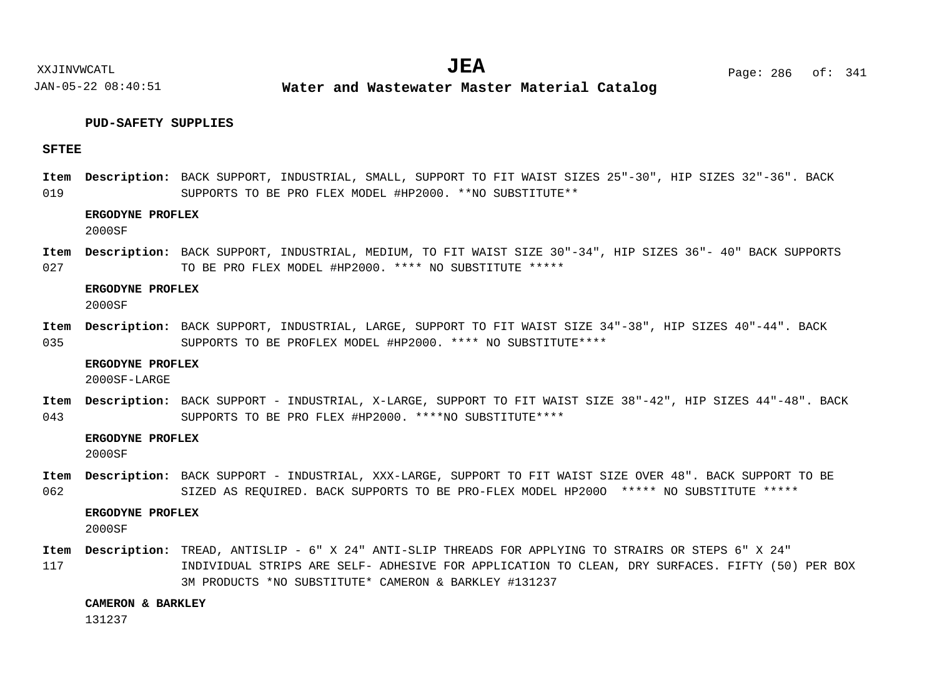# **PUD-SAFETY SUPPLIES**

# **SFTEE**

019 Item Description: BACK SUPPORT, INDUSTRIAL, SMALL, SUPPORT TO FIT WAIST SIZES 25"-30", HIP SIZES 32"-36". BACK SUPPORTS TO BE PRO FLEX MODEL #HP2000. \*\*NO SUBSTITUTE\*\*

# **ERGODYNE PROFLEX**

2000SF

027 Item Description: BACK SUPPORT, INDUSTRIAL, MEDIUM, TO FIT WAIST SIZE 30"-34", HIP SIZES 36"- 40" BACK SUPPORTS TO BE PRO FLEX MODEL #HP2000. \*\*\*\* NO SUBSTITUTE \*\*\*\*\*

#### **ERGODYNE PROFLEX**

2000SF

035 Item Description: BACK SUPPORT, INDUSTRIAL, LARGE, SUPPORT TO FIT WAIST SIZE 34"-38", HIP SIZES 40"-44". BACK SUPPORTS TO BE PROFLEX MODEL #HP2000. \*\*\*\* NO SUBSTITUTE\*\*\*\*

#### **ERGODYNE PROFLEX**

2000SF-LARGE

043 Item Description: BACK SUPPORT - INDUSTRIAL, X-LARGE, SUPPORT TO FIT WAIST SIZE 38"-42", HIP SIZES 44"-48". BACK SUPPORTS TO BE PRO FLEX #HP2000. \*\*\*\*NO SUBSTITUTE\*\*\*\*

## **ERGODYNE PROFLEX**

2000SF

062 Item Description: BACK SUPPORT - INDUSTRIAL, XXX-LARGE, SUPPORT TO FIT WAIST SIZE OVER 48". BACK SUPPORT TO BE SIZED AS REOUIRED. BACK SUPPORTS TO BE PRO-FLEX MODEL HP2000 \*\*\*\*\* NO SUBSTITUTE \*\*\*\*\*

# **ERGODYNE PROFLEX**

2000SF

117 Item Description: TREAD, ANTISLIP - 6" X 24" ANTI-SLIP THREADS FOR APPLYING TO STRAIRS OR STEPS 6" X 24" INDIVIDUAL STRIPS ARE SELF- ADHESIVE FOR APPLICATION TO CLEAN, DRY SURFACES. FIFTY (50) PER BOX 3M PRODUCTS \*NO SUBSTITUTE\* CAMERON & BARKLEY #131237

#### **CAMERON & BARKLEY**

131237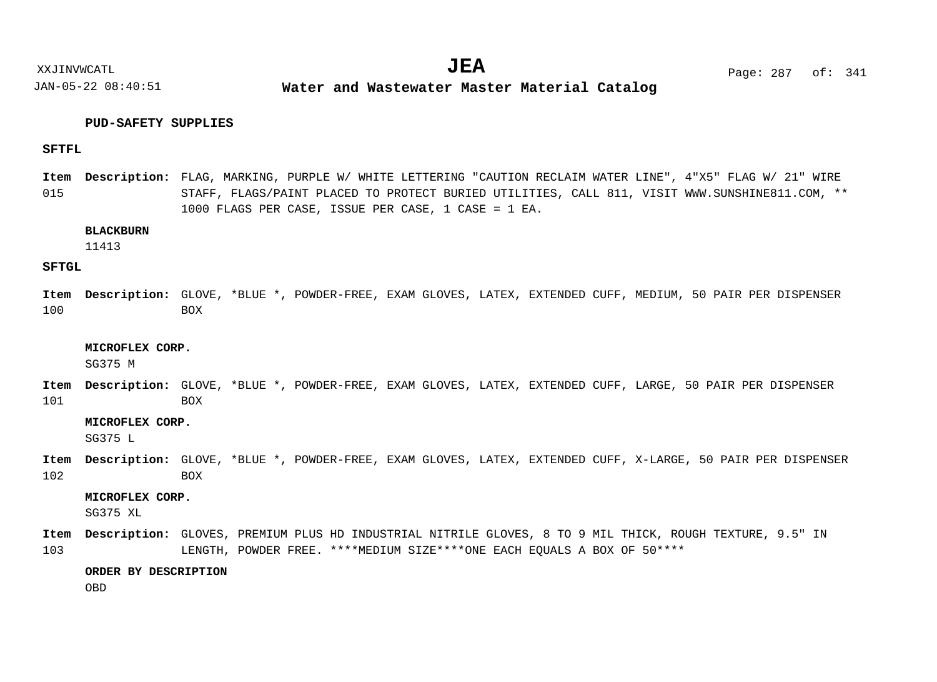XXJINVWCATL **EXALL** Page: 287 of:  $JEA$   $Page: 287 of: 341$ 

JAN-05-22 08:40:51 **Water and Wastewater Master Material Catalog** 

# **PUD-SAFETY SUPPLIES**

# **SFTFL**

015 FLAG, MARKING, PURPLE W/ WHITE LETTERING "CAUTION RECLAIM WATER LINE", 4"X5" FLAG W/ 21" WIRE **Description: Item** STAFF, FLAGS/PAINT PLACED TO PROTECT BURIED UTILITIES, CALL 811, VISIT WWW.SUNSHINE811.COM, \*\* 1000 FLAGS PER CASE, ISSUE PER CASE, 1 CASE = 1 EA.

# **BLACKBURN**

11413

# **SFTGL**

100 Item Description: GLOVE, \*BLUE \*, POWDER-FREE, EXAM GLOVES, LATEX, EXTENDED CUFF, MEDIUM, 50 PAIR PER DISPENSER BOX

#### **MICROFLEX CORP.**

SG375 M

101 Item Description: GLOVE, \*BLUE \*, POWDER-FREE, EXAM GLOVES, LATEX, EXTENDED CUFF, LARGE, 50 PAIR PER DISPENSER BOX

## **MICROFLEX CORP.**

SG375 L

102 Item Description: GLOVE, \*BLUE \*, POWDER-FREE, EXAM GLOVES, LATEX, EXTENDED CUFF, X-LARGE, 50 PAIR PER DISPENSER BOX

# **MICROFLEX CORP.**

SG375 XL

103 GLOVES, PREMIUM PLUS HD INDUSTRIAL NITRILE GLOVES, 8 TO 9 MIL THICK, ROUGH TEXTURE, 9.5" IN **Description: Item**LENGTH, POWDER FREE. \*\*\*\*MEDIUM SIZE\*\*\*\*ONE EACH EQUALS A BOX OF 50\*\*\*\*

# **ORDER BY DESCRIPTION**

OBD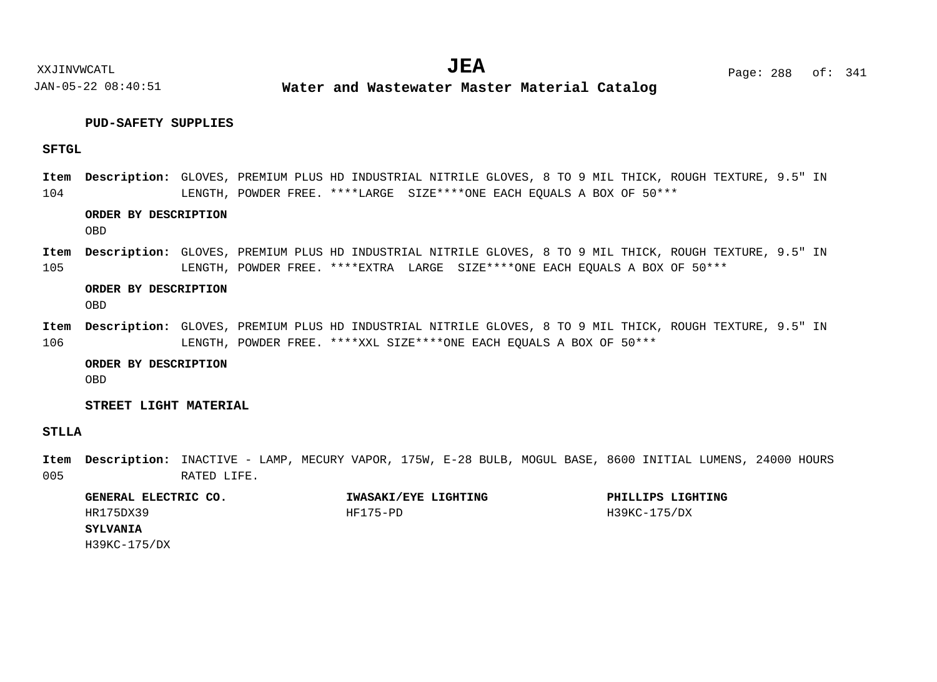# **PUD-SAFETY SUPPLIES**

# **SFTGL**

104 GLOVES, PREMIUM PLUS HD INDUSTRIAL NITRILE GLOVES, 8 TO 9 MIL THICK, ROUGH TEXTURE, 9.5" IN **Description: Item** LENGTH, POWDER FREE. \*\*\*\*LARGE SIZE\*\*\*\*ONE EACH EQUALS A BOX OF 50\*\*\*

# **ORDER BY DESCRIPTION**

OBD

105 GLOVES, PREMIUM PLUS HD INDUSTRIAL NITRILE GLOVES, 8 TO 9 MIL THICK, ROUGH TEXTURE, 9.5" IN **Description: Item** LENGTH, POWDER FREE. \*\*\*\*EXTRA LARGE SIZE\*\*\*\*ONE EACH EQUALS A BOX OF 50\*\*\*

### **ORDER BY DESCRIPTION**

OBD

106 GLOVES, PREMIUM PLUS HD INDUSTRIAL NITRILE GLOVES, 8 TO 9 MIL THICK, ROUGH TEXTURE, 9.5" IN **Description: Item** LENGTH, POWDER FREE. \*\*\*\*XXL SIZE\*\*\*\*ONE EACH EQUALS A BOX OF 50\*\*\*

#### **ORDER BY DESCRIPTION**

OBD

# **STREET LIGHT MATERIAL**

# **STLLA**

005 Item Description: INACTIVE - LAMP, MECURY VAPOR, 175W, E-28 BULB, MOGUL BASE, 8600 INITIAL LUMENS, 24000 HOURS RATED LIFE.

| GENERAL ELECTRIC CO. | IWASAKI/EYE LIGHTING | PHILLIPS LIGHTING |
|----------------------|----------------------|-------------------|
| HR175DX39            | HF175-PD             | H39KC-175/DX      |
| <b>SYLVANIA</b>      |                      |                   |

H39KC-175/DX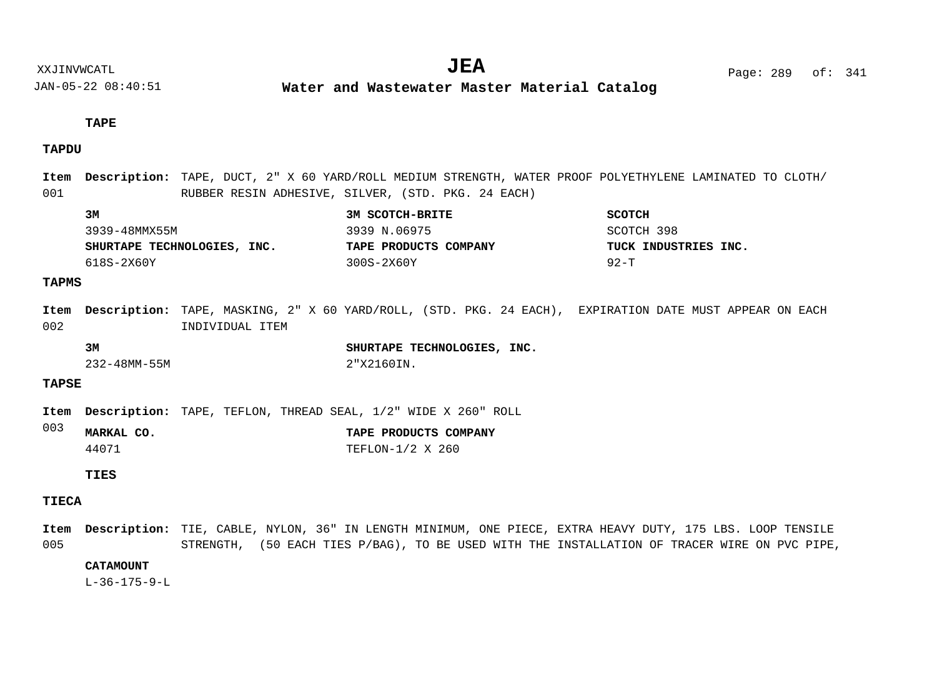**Water and Wastewater Master Material Catalog** 

## **TAPE**

## **TAPDU**

| Item         |               |                 | Description: TAPE, DUCT, 2" X 60 YARD/ROLL MEDIUM STRENGTH, WATER PROOF POLYETHYLENE LAMINATED TO CLOTH/                                                                                                  |                      |
|--------------|---------------|-----------------|-----------------------------------------------------------------------------------------------------------------------------------------------------------------------------------------------------------|----------------------|
| 001          |               |                 | RUBBER RESIN ADHESIVE, SILVER, (STD. PKG. 24 EACH)                                                                                                                                                        |                      |
|              | 3M            |                 | 3M SCOTCH-BRITE                                                                                                                                                                                           | <b>SCOTCH</b>        |
|              | 3939-48MMX55M |                 | 3939 N.06975                                                                                                                                                                                              | SCOTCH 398           |
|              |               |                 | SHURTAPE TECHNOLOGIES, INC. TAPE PRODUCTS COMPANY                                                                                                                                                         | TUCK INDUSTRIES INC. |
|              | 618S-2X60Y    |                 | 300S-2X60Y                                                                                                                                                                                                | $92-T$               |
| <b>TAPMS</b> |               |                 |                                                                                                                                                                                                           |                      |
| Item<br>002  |               | INDIVIDUAL ITEM | Description: TAPE, MASKING, 2" X 60 YARD/ROLL, (STD. PKG. 24 EACH), EXPIRATION DATE MUST APPEAR ON EACH                                                                                                   |                      |
|              | 3M            |                 | SHURTAPE TECHNOLOGIES, INC.                                                                                                                                                                               |                      |
|              | 232-48MM-55M  |                 | 2"X2160IN.                                                                                                                                                                                                |                      |
| <b>TAPSE</b> |               |                 |                                                                                                                                                                                                           |                      |
| Item         |               |                 | <b>Description:</b> TAPE, TEFLON, THREAD SEAL, 1/2" WIDE X 260" ROLL                                                                                                                                      |                      |
| 003          | MARKAL CO.    |                 | TAPE PRODUCTS COMPANY                                                                                                                                                                                     |                      |
|              | 44071         |                 | TEFLON-1/2 X 260                                                                                                                                                                                          |                      |
|              | TIES          |                 |                                                                                                                                                                                                           |                      |
| <b>TIECA</b> |               |                 |                                                                                                                                                                                                           |                      |
| Item<br>005  |               |                 | Description: TIE, CABLE, NYLON, 36" IN LENGTH MINIMUM, ONE PIECE, EXTRA HEAVY DUTY, 175 LBS. LOOP TENSILE<br>STRENGTH, (50 EACH TIES P/BAG), TO BE USED WITH THE INSTALLATION OF TRACER WIRE ON PVC PIPE, |                      |

**CATAMOUNT**

L-36-175-9-L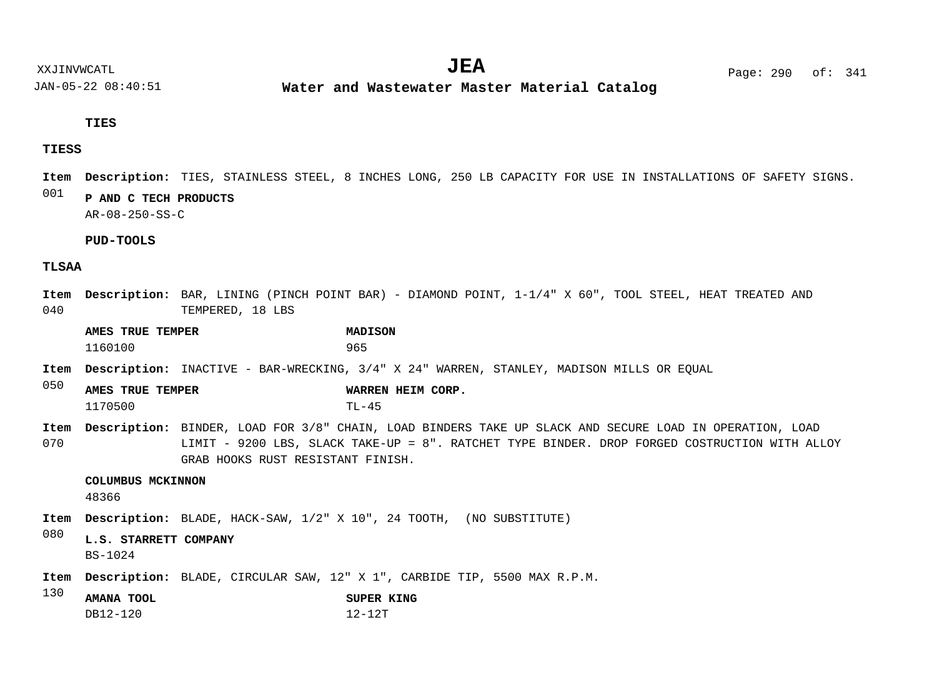JAN-05-22 08:40:51 **Water and Wastewater Master Material Catalog** 

**TIES**

#### **TIESS**

Item Description: TIES, STAINLESS STEEL, 8 INCHES LONG, 250 LB CAPACITY FOR USE IN INSTALLATIONS OF SAFETY SIGNS.

#### 001 **P AND C TECH PRODUCTS**

AR-08-250-SS-C

**PUD-TOOLS**

#### **TLSAA**

040 Item Description: BAR, LINING (PINCH POINT BAR) - DIAMOND POINT, 1-1/4" X 60", TOOL STEEL, HEAT TREATED AND TEMPERED, 18 LBS

**AMES TRUE TEMPER MADISON** 1160100 965

Item Description: INACTIVE - BAR-WRECKING, 3/4" X 24" WARREN, STANLEY, MADISON MILLS OR EQUAL

- 050 **AMES TRUE TEMPER WARREN HEIM CORP.** 1170500 TL-45
- 070 Item Description: BINDER, LOAD FOR 3/8" CHAIN, LOAD BINDERS TAKE UP SLACK AND SECURE LOAD IN OPERATION, LOAD LIMIT - 9200 LBS, SLACK TAKE-UP = 8". RATCHET TYPE BINDER. DROP FORGED COSTRUCTION WITH ALLOY GRAB HOOKS RUST RESISTANT FINISH.

#### **COLUMBUS MCKINNON**

48366

Item Description: BLADE, HACK-SAW,  $1/2$ " X 10", 24 TOOTH, (NO SUBSTITUTE)

#### 080 **L.S. STARRETT COMPANY**

BS-1024

- Item Description: BLADE, CIRCULAR SAW, 12" X 1", CARBIDE TIP, 5500 MAX R.P.M.
- 130 **AMANA TOOL SUPER KING**
	- DB12-120 12-12T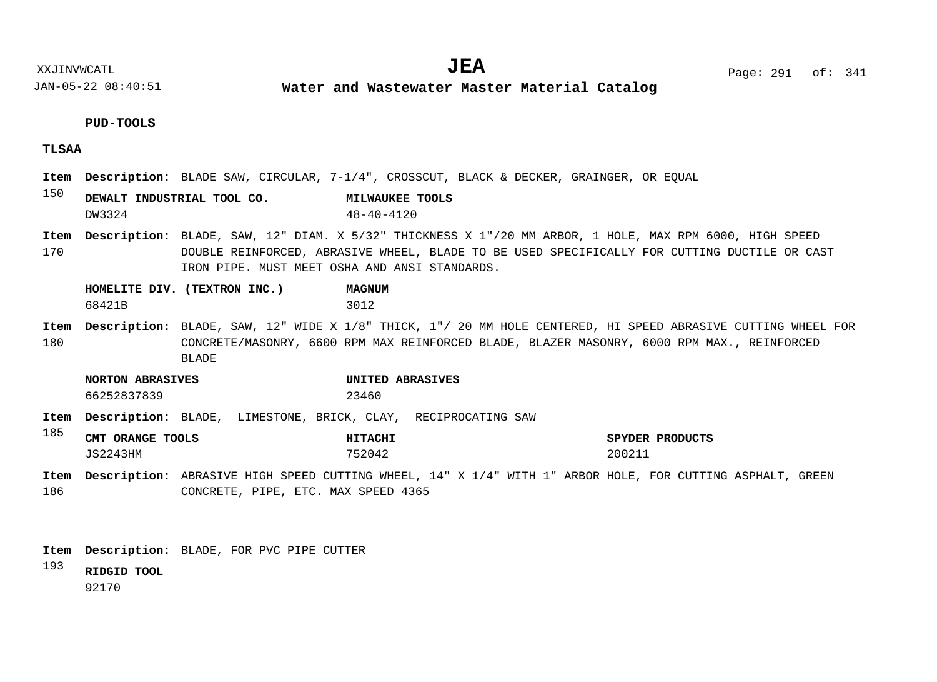**Water and Wastewater Master Material Catalog** 

#### **PUD-TOOLS**

#### **TLSAA**

- Item Description: BLADE SAW, CIRCULAR, 7-1/4", CROSSCUT, BLACK & DECKER, GRAINGER, OR EQUAL
- 150 **DEWALT INDUSTRIAL TOOL CO. MILWAUKEE TOOLS** DW3324 48-40-4120
- 170 Item Description: BLADE, SAW, 12" DIAM. X 5/32" THICKNESS X 1"/20 MM ARBOR, 1 HOLE, MAX RPM 6000, HIGH SPEED DOUBLE REINFORCED, ABRASIVE WHEEL, BLADE TO BE USED SPECIFICALLY FOR CUTTING DUCTILE OR CAST IRON PIPE. MUST MEET OSHA AND ANSI STANDARDS.

|        | HOMELITE DIV. (TEXTRON INC.) | <b>MAGNUM</b> |
|--------|------------------------------|---------------|
| 68421B |                              | 3012          |

- 180 Item Description: BLADE, SAW, 12" WIDE X 1/8" THICK, 1"/ 20 MM HOLE CENTERED, HI SPEED ABRASIVE CUTTING WHEEL FOR CONCRETE/MASONRY, 6600 RPM MAX REINFORCED BLADE, BLAZER MASONRY, 6000 RPM MAX., REINFORCED BLADE
	- **NORTON ABRASIVES UNITED ABRASIVES** 66252837839 23460
- Item Description: BLADE, LIMESTONE, BRICK, CLAY, RECIPROCATING SAW
- 185 **CMT ORANGE TOOLS HITACHI SPYDER PRODUCTS** JS2243HM 752042 200211
- 186 Item Description: ABRASIVE HIGH SPEED CUTTING WHEEL, 14" X 1/4" WITH 1" ARBOR HOLE, FOR CUTTING ASPHALT, GREEN CONCRETE, PIPE, ETC. MAX SPEED 4365
- BLADE, FOR PVC PIPE CUTTER **Description: Item**
- 193 **RIDGID TOOL**

92170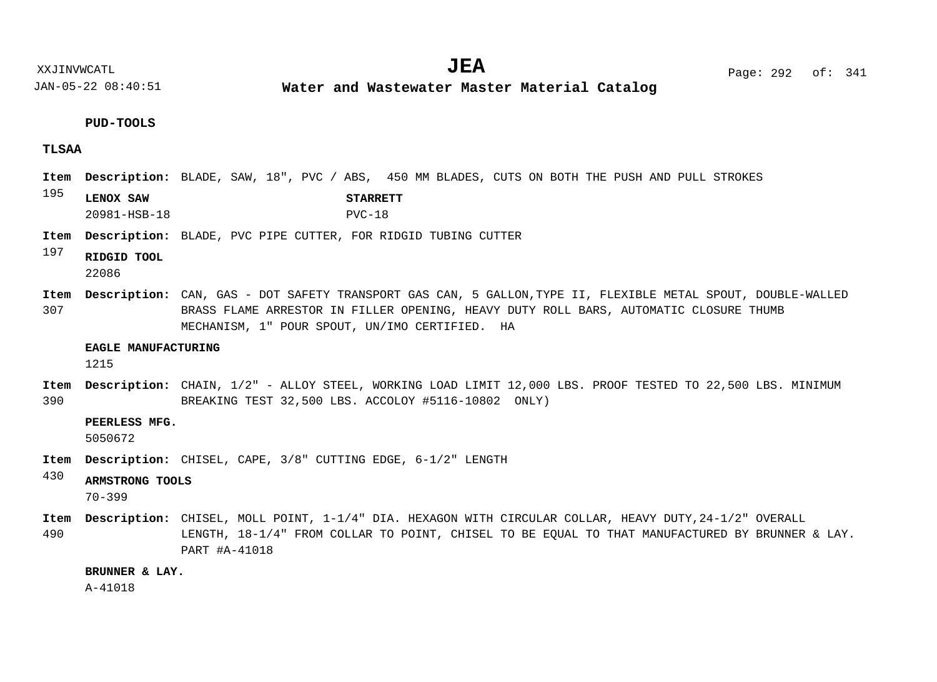**Water and Wastewater Master Material Catalog** 

#### **PUD-TOOLS**

#### **TLSAA**

- Item Description: BLADE, SAW, 18", PVC / ABS, 450 MM BLADES, CUTS ON BOTH THE PUSH AND PULL STROKES
- 195 **LENOX SAW STARRETT** 20981-HSB-18 PVC-18
- Item Description: BLADE, PVC PIPE CUTTER, FOR RIDGID TUBING CUTTER

#### 197 **RIDGID TOOL** 22086

307 CAN, GAS - DOT SAFETY TRANSPORT GAS CAN, 5 GALLON,TYPE II, FLEXIBLE METAL SPOUT, DOUBLE-WALLED **Description: Item** BRASS FLAME ARRESTOR IN FILLER OPENING, HEAVY DUTY ROLL BARS, AUTOMATIC CLOSURE THUMB MECHANISM, 1" POUR SPOUT, UN/IMO CERTIFIED. HA

#### **EAGLE MANUFACTURING**

1215

390 Item Description: CHAIN, 1/2" - ALLOY STEEL, WORKING LOAD LIMIT 12,000 LBS. PROOF TESTED TO 22,500 LBS. MINIMUM BREAKING TEST 32,500 LBS. ACCOLOY #5116-10802 ONLY)

#### **PEERLESS MFG.**

5050672

Item Description: CHISEL, CAPE, 3/8" CUTTING EDGE, 6-1/2" LENGTH

#### 430 **ARMSTRONG TOOLS**

70-399

- Item Description: CHISEL, MOLL POINT, 1-1/4" DIA. HEXAGON WITH CIRCULAR COLLAR, HEAVY DUTY,24-1/2" OVERALL
- 490 LENGTH, 18-1/4" FROM COLLAR TO POINT, CHISEL TO BE EQUAL TO THAT MANUFACTURED BY BRUNNER & LAY. PART #A-41018

#### **BRUNNER & LAY.**

A-41018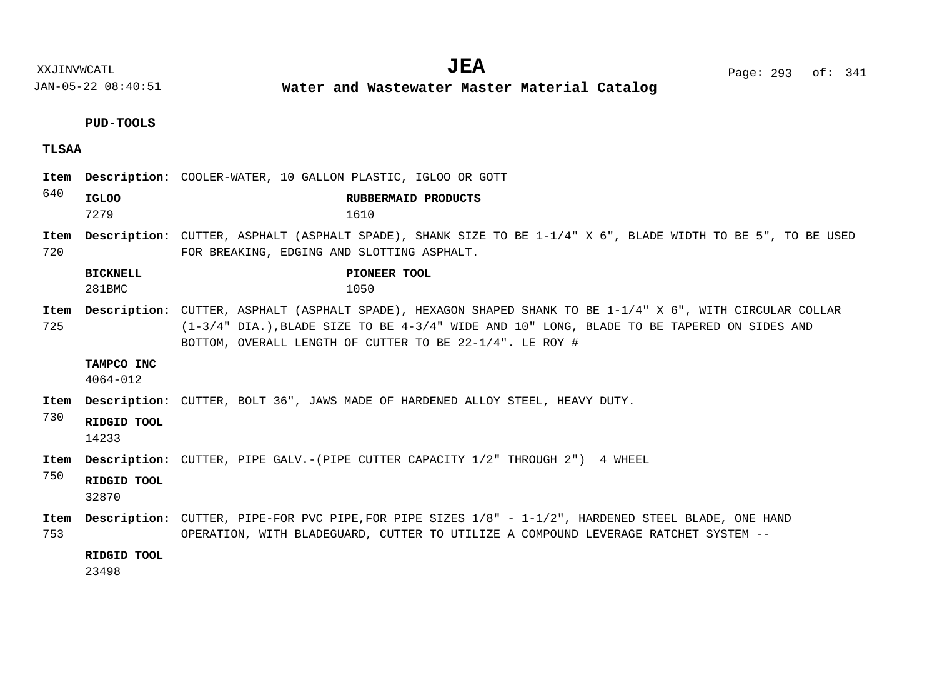**Water and Wastewater Master Material Catalog** 

**PUD-TOOLS**

- **TLSAA**
- 640 720 725 730 750 753 COOLER-WATER, 10 GALLON PLASTIC, IGLOO OR GOTT **Description: Item** Item Description: CUTTER, ASPHALT (ASPHALT SPADE), SHANK SIZE TO BE  $1-1/4$ " X 6", BLADE WIDTH TO BE 5", TO BE USED FOR BREAKING, EDGING AND SLOTTING ASPHALT. Item Description: CUTTER, ASPHALT (ASPHALT SPADE), HEXAGON SHAPED SHANK TO BE 1-1/4" X 6", WITH CIRCULAR COLLAR (1-3/4" DIA.),BLADE SIZE TO BE 4-3/4" WIDE AND 10" LONG, BLADE TO BE TAPERED ON SIDES AND BOTTOM, OVERALL LENGTH OF CUTTER TO BE 22-1/4". LE ROY # Item Description: CUTTER, BOLT 36", JAWS MADE OF HARDENED ALLOY STEEL, HEAVY DUTY. Item Description: CUTTER, PIPE GALV.-(PIPE CUTTER CAPACITY 1/2" THROUGH 2") 4 WHEEL Item Description: CUTTER, PIPE-FOR PVC PIPE, FOR PIPE SIZES 1/8" - 1-1/2", HARDENED STEEL BLADE, ONE HAND OPERATION, WITH BLADEGUARD, CUTTER TO UTILIZE A COMPOUND LEVERAGE RATCHET SYSTEM -- **IGLOO RUBBERMAID PRODUCTS BICKNELL PIONEER TOOL TAMPCO INC RIDGID TOOL RIDGID TOOL RIDGID TOOL** 7279 1610 281BMC 1050 4064-012 14233 32870 23498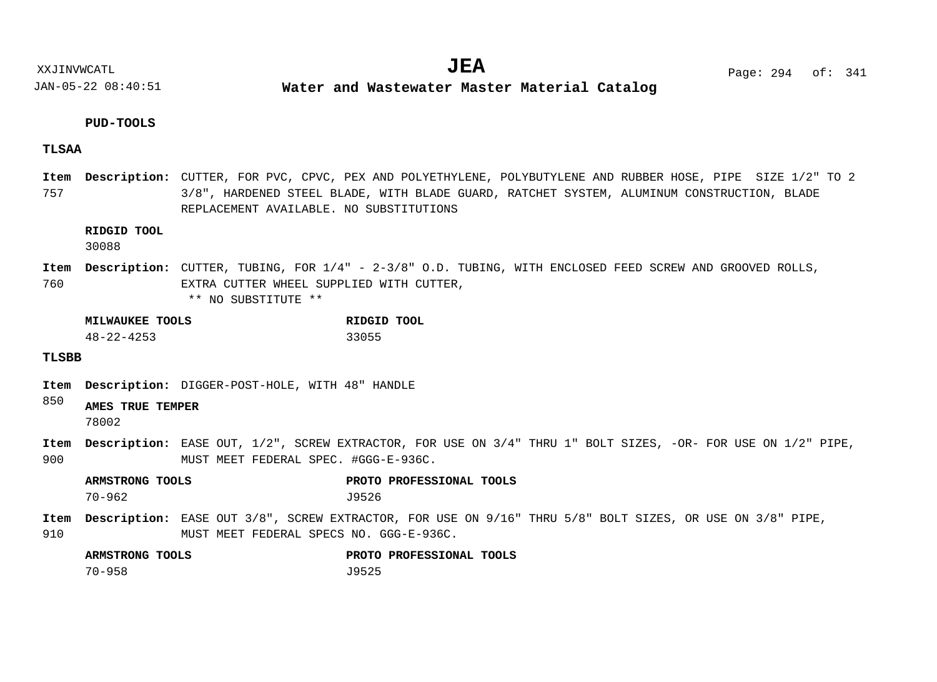**Water and Wastewater Master Material Catalog** 

#### **PUD-TOOLS**

#### **TLSAA**

757 Item Description: CUTTER, FOR PVC, CPVC, PEX AND POLYETHYLENE, POLYBUTYLENE AND RUBBER HOSE, PIPE SIZE 1/2" TO 2 3/8", HARDENED STEEL BLADE, WITH BLADE GUARD, RATCHET SYSTEM, ALUMINUM CONSTRUCTION, BLADE REPLACEMENT AVAILABLE. NO SUBSTITUTIONS

#### **RIDGID TOOL**

30088

760 Item Description: CUTTER, TUBING, FOR 1/4" - 2-3/8" O.D. TUBING, WITH ENCLOSED FEED SCREW AND GROOVED ROLLS, EXTRA CUTTER WHEEL SUPPLIED WITH CUTTER,

\*\* NO SUBSTITUTE \*\*

| MILWAUKEE TOOLS  | RIDGID TOOL |
|------------------|-------------|
| $48 - 22 - 4253$ | 33055       |

#### **TLSBB**

Item Description: DIGGER-POST-HOLE, WITH 48" HANDLE

#### 850 **AMES TRUE TEMPER**

78002

900 Item Description: EASE OUT, 1/2", SCREW EXTRACTOR, FOR USE ON 3/4" THRU 1" BOLT SIZES, -OR- FOR USE ON 1/2" PIPE, MUST MEET FEDERAL SPEC. #GGG-E-936C.

**ARMSTRONG TOOLS PROTO PROFESSIONAL TOOLS** 70-962 J9526

910 Item Description: EASE OUT 3/8", SCREW EXTRACTOR, FOR USE ON 9/16" THRU 5/8" BOLT SIZES, OR USE ON 3/8" PIPE, MUST MEET FEDERAL SPECS NO. GGG-E-936C.

| ARMSTRONG TOOLS | PROTO PROFESSIONAL TOOLS |
|-----------------|--------------------------|
| 70–958          | J9525                    |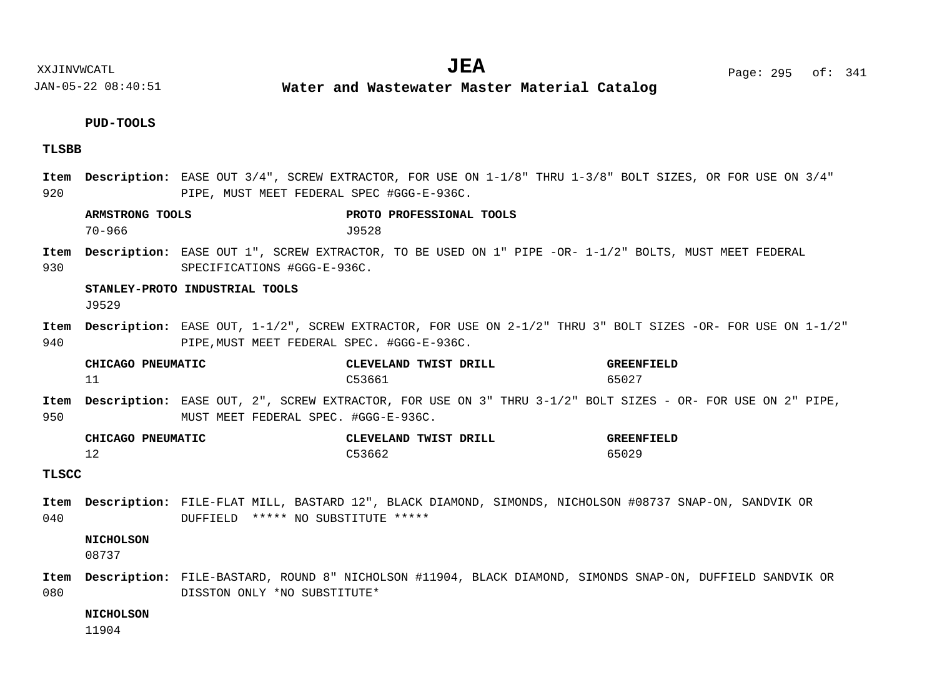**Water and Wastewater Master Material Catalog** 

## **PUD-TOOLS**

## **TLSBB**

| 920          |                               | PIPE, MUST MEET FEDERAL SPEC #GGG-E-936C.  | Item Description: EASE OUT 3/4", SCREW EXTRACTOR, FOR USE ON 1-1/8" THRU 1-3/8" BOLT SIZES, OR FOR USE ON 3/4" |                            |
|--------------|-------------------------------|--------------------------------------------|----------------------------------------------------------------------------------------------------------------|----------------------------|
|              | ARMSTRONG TOOLS<br>$70 - 966$ |                                            | PROTO PROFESSIONAL TOOLS<br>J9528                                                                              |                            |
| Item<br>930  |                               | SPECIFICATIONS #GGG-E-936C.                | Description: EASE OUT 1", SCREW EXTRACTOR, TO BE USED ON 1" PIPE -OR- 1-1/2" BOLTS, MUST MEET FEDERAL          |                            |
|              | J9529                         | STANLEY-PROTO INDUSTRIAL TOOLS             |                                                                                                                |                            |
| Item<br>940  |                               | PIPE, MUST MEET FEDERAL SPEC. #GGG-E-936C. | Description: EASE OUT, 1-1/2", SCREW EXTRACTOR, FOR USE ON 2-1/2" THRU 3" BOLT SIZES -OR- FOR USE ON 1-1/2"    |                            |
|              | CHICAGO PNEUMATIC<br>11       |                                            | CLEVELAND TWIST DRILL<br>C53661                                                                                | <b>GREENFIELD</b><br>65027 |
| Item<br>950  |                               | MUST MEET FEDERAL SPEC. #GGG-E-936C.       | Description: EASE OUT, 2", SCREW EXTRACTOR, FOR USE ON 3" THRU 3-1/2" BOLT SIZES - OR- FOR USE ON 2" PIPE,     |                            |
|              | CHICAGO PNEUMATIC<br>12       |                                            | CLEVELAND TWIST DRILL<br>C53662                                                                                | <b>GREENFIELD</b><br>65029 |
| <b>TLSCC</b> |                               |                                            |                                                                                                                |                            |
| 040          |                               | DUFFIELD ***** NO SUBSTITUTE *****         | Item Description: FILE-FLAT MILL, BASTARD 12", BLACK DIAMOND, SIMONDS, NICHOLSON #08737 SNAP-ON, SANDVIK OR    |                            |
|              | <b>NICHOLSON</b><br>08737     |                                            |                                                                                                                |                            |
| Item<br>080  |                               | DISSTON ONLY *NO SUBSTITUTE*               | Description: FILE-BASTARD, ROUND 8" NICHOLSON #11904, BLACK DIAMOND, SIMONDS SNAP-ON, DUFFIELD SANDVIK OR      |                            |
|              | <b>NICHOLSON</b><br>11904     |                                            |                                                                                                                |                            |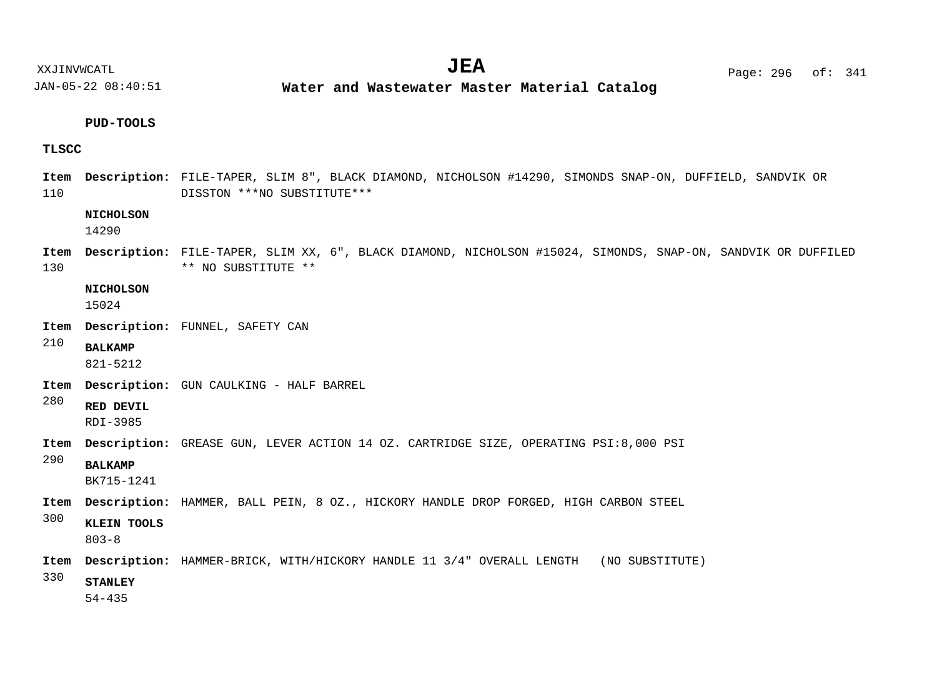**Water and Wastewater Master Material Catalog** 

#### **PUD-TOOLS**

#### **TLSCC**

110 Item Description: FILE-TAPER, SLIM 8", BLACK DIAMOND, NICHOLSON #14290, SIMONDS SNAP-ON, DUFFIELD, SANDVIK OR DISSTON \*\*\*NO SUBSTITUTE\*\*\*

#### **NICHOLSON**

14290

130 Item Description: FILE-TAPER, SLIM XX, 6", BLACK DIAMOND, NICHOLSON #15024, SIMONDS, SNAP-ON, SANDVIK OR DUFFILED \*\* NO SUBSTITUTE \*\*

**NICHOLSON**

15024

- FUNNEL, SAFETY CAN **Description: Item**
- 210 **BALKAMP**

821-5212

- Item Description: GUN CAULKING HALF BARREL
- 280 **RED DEVIL**

RDI-3985

- Item Description: GREASE GUN, LEVER ACTION 14 OZ. CARTRIDGE SIZE, OPERATING PSI:8,000 PSI
- 290 **BALKAMP**

BK715-1241

Item Description: HAMMER, BALL PEIN, 8 OZ., HICKORY HANDLE DROP FORGED, HIGH CARBON STEEL

300 **KLEIN TOOLS**

803-8

Item Description: HAMMER-BRICK, WITH/HICKORY HANDLE 11 3/4" OVERALL LENGTH (NO SUBSTITUTE)

330 **STANLEY**

54-435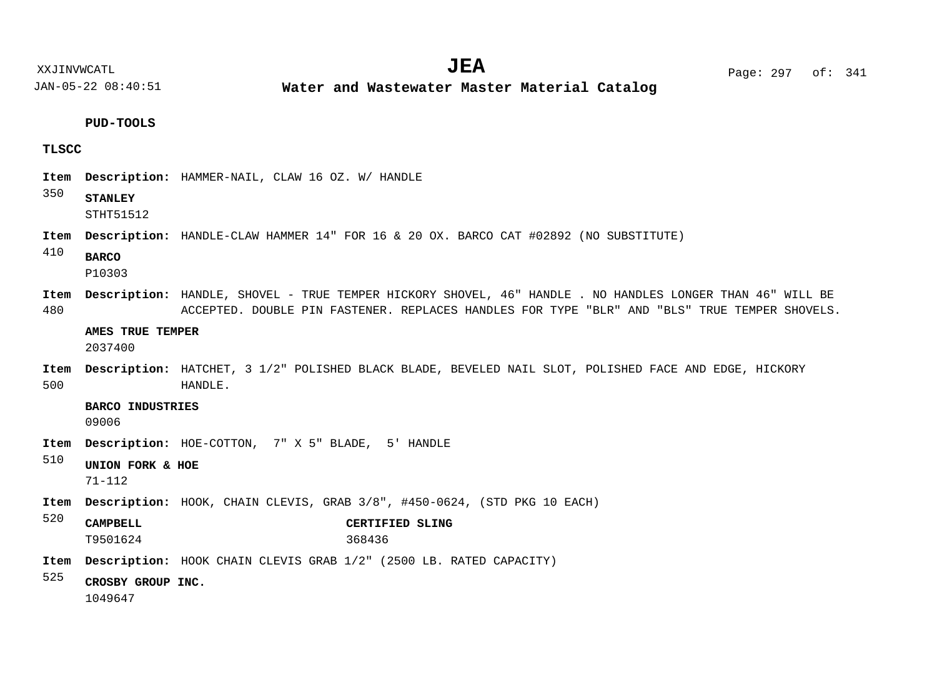**Water and Wastewater Master Material Catalog** 

**PUD-TOOLS**

## **TLSCC**

| Item        |                                  | Description: HAMMER-NAIL, CLAW 16 OZ. W/ HANDLE                                                                                                                                                            |
|-------------|----------------------------------|------------------------------------------------------------------------------------------------------------------------------------------------------------------------------------------------------------|
| 350         | <b>STANLEY</b><br>STHT51512      |                                                                                                                                                                                                            |
| Item        |                                  | <b>Description:</b> HANDLE-CLAW HAMMER 14" FOR 16 & 20 OX. BARCO CAT #02892 (NO SUBSTITUTE)                                                                                                                |
| 410         | <b>BARCO</b><br>P10303           |                                                                                                                                                                                                            |
| Item<br>480 |                                  | Description: HANDLE, SHOVEL - TRUE TEMPER HICKORY SHOVEL, 46" HANDLE . NO HANDLES LONGER THAN 46" WILL BE<br>ACCEPTED. DOUBLE PIN FASTENER. REPLACES HANDLES FOR TYPE "BLR" AND "BLS" TRUE TEMPER SHOVELS. |
|             | AMES TRUE TEMPER<br>2037400      |                                                                                                                                                                                                            |
| Item<br>500 |                                  | Description: HATCHET, 3 1/2" POLISHED BLACK BLADE, BEVELED NAIL SLOT, POLISHED FACE AND EDGE, HICKORY<br>HANDLE.                                                                                           |
|             | <b>BARCO INDUSTRIES</b><br>09006 |                                                                                                                                                                                                            |
| Item        |                                  | <b>Description:</b> HOE-COTTON, 7" X 5" BLADE, 5' HANDLE                                                                                                                                                   |
| 510         | UNION FORK & HOE<br>$71 - 112$   |                                                                                                                                                                                                            |
| Item        |                                  | <b>Description:</b> HOOK, CHAIN CLEVIS, GRAB 3/8", #450-0624, (STD PKG 10 EACH)                                                                                                                            |
| 520         | <b>CAMPBELL</b><br>T9501624      | CERTIFIED SLING<br>368436                                                                                                                                                                                  |
| Item        |                                  | <b>Description:</b> HOOK CHAIN CLEVIS GRAB 1/2" (2500 LB. RATED CAPACITY)                                                                                                                                  |
| 525         | CROSBY GROUP INC.<br>1049647     |                                                                                                                                                                                                            |
|             |                                  |                                                                                                                                                                                                            |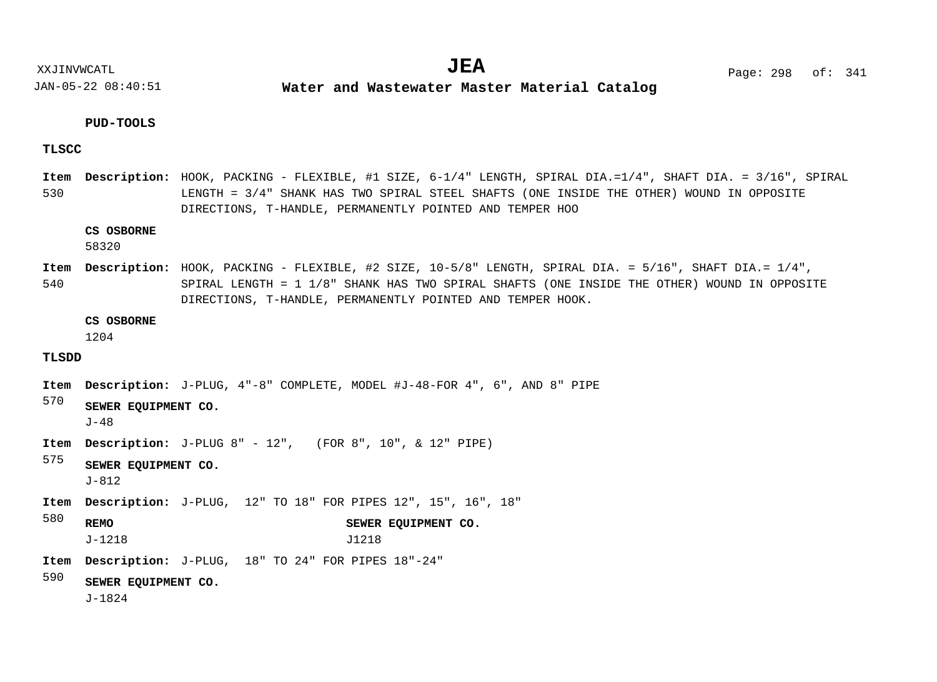**Water and Wastewater Master Material Catalog** 

#### **PUD-TOOLS**

#### **TLSCC**

530 Item Description: HOOK, PACKING - FLEXIBLE, #1 SIZE, 6-1/4" LENGTH, SPIRAL DIA.=1/4", SHAFT DIA. = 3/16", SPIRAL LENGTH = 3/4" SHANK HAS TWO SPIRAL STEEL SHAFTS (ONE INSIDE THE OTHER) WOUND IN OPPOSITE DIRECTIONS, T-HANDLE, PERMANENTLY POINTED AND TEMPER HOO

#### **CS OSBORNE**

58320

540 Item Description: HOOK, PACKING - FLEXIBLE, #2 SIZE, 10-5/8" LENGTH, SPIRAL DIA. = 5/16", SHAFT DIA.= 1/4", SPIRAL LENGTH = 1 1/8" SHANK HAS TWO SPIRAL SHAFTS (ONE INSIDE THE OTHER) WOUND IN OPPOSITE DIRECTIONS, T-HANDLE, PERMANENTLY POINTED AND TEMPER HOOK.

#### **CS OSBORNE**

1204

#### **TLSDD**

- Item Description: J-PLUG, 4"-8" COMPLETE, MODEL #J-48-FOR 4", 6", AND 8" PIPE
- 570 **SEWER EQUIPMENT CO.**

J-48

**Item Description:** J-PLUG 8" - 12", (FOR 8", 10", & 12" PIPE)

575 **SEWER EQUIPMENT CO.**

J-812

- Item Description: J-PLUG, 12" TO 18" FOR PIPES 12", 15", 16", 18"
- 580 **REMO SEWER EQUIPMENT CO.** J-1218 J1218
- J-PLUG, 18" TO 24" FOR PIPES 18"-24" **Description: Item**

590 **SEWER EQUIPMENT CO.**

J-1824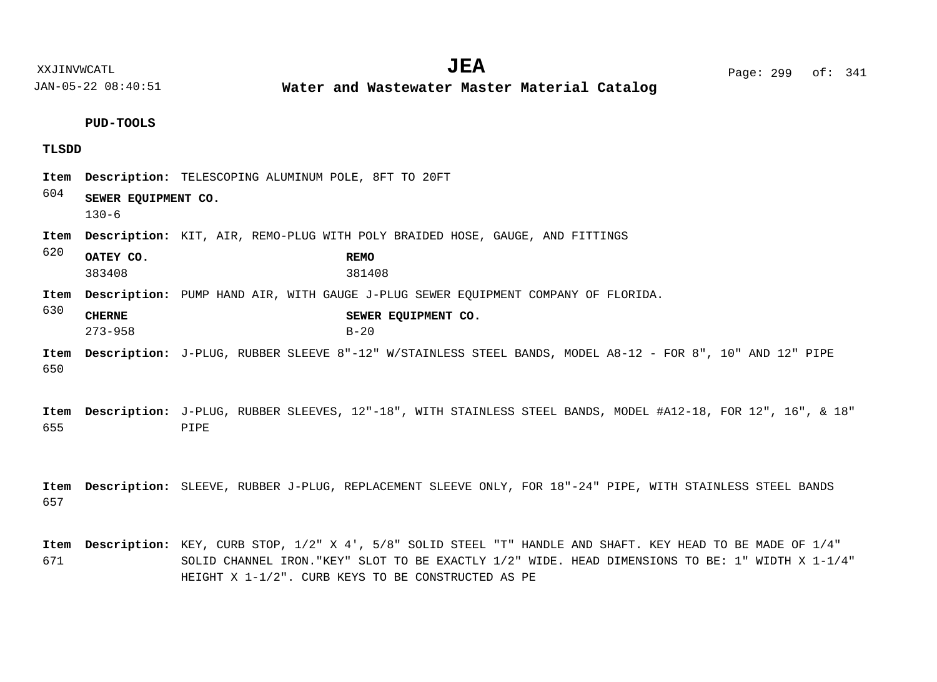**Water and Wastewater Master Material Catalog** 

**PUD-TOOLS**

#### **TLSDD**

| Item<br>604 |                                  | <b>Description:</b> TELESCOPING ALUMINUM POLE, 8FT TO 20FT                                                     |
|-------------|----------------------------------|----------------------------------------------------------------------------------------------------------------|
|             | SEWER EQUIPMENT CO.<br>$130 - 6$ |                                                                                                                |
| Item        |                                  | <b>Description:</b> KIT, AIR, REMO-PLUG WITH POLY BRAIDED HOSE, GAUGE, AND FITTINGS                            |
| 620         | OATEY CO.<br>383408              | <b>REMO</b><br>381408                                                                                          |
| Item<br>630 |                                  | <b>Description:</b> PUMP HAND AIR, WITH GAUGE J-PLUG SEWER EOUIPMENT COMPANY OF FLORIDA.                       |
|             | <b>CHERNE</b><br>$273 - 958$     | SEWER EQUIPMENT CO.<br>$B-20$                                                                                  |
|             |                                  | Item Description: J-PLUG, RUBBER SLEEVE 8"-12" W/STAINLESS STEEL BANDS, MODEL A8-12 - FOR 8", 10" AND 12" PIPE |

650

655 Item Description: J-PLUG, RUBBER SLEEVES, 12"-18", WITH STAINLESS STEEL BANDS, MODEL #A12-18, FOR 12", 16", & 18" PIPE

657 Item Description: SLEEVE, RUBBER J-PLUG, REPLACEMENT SLEEVE ONLY, FOR 18"-24" PIPE, WITH STAINLESS STEEL BANDS

671 Item Description: KEY, CURB STOP, 1/2" X 4', 5/8" SOLID STEEL "T" HANDLE AND SHAFT. KEY HEAD TO BE MADE OF 1/4" SOLID CHANNEL IRON."KEY" SLOT TO BE EXACTLY 1/2" WIDE. HEAD DIMENSIONS TO BE: 1" WIDTH X 1-1/4" HEIGHT X 1-1/2". CURB KEYS TO BE CONSTRUCTED AS PE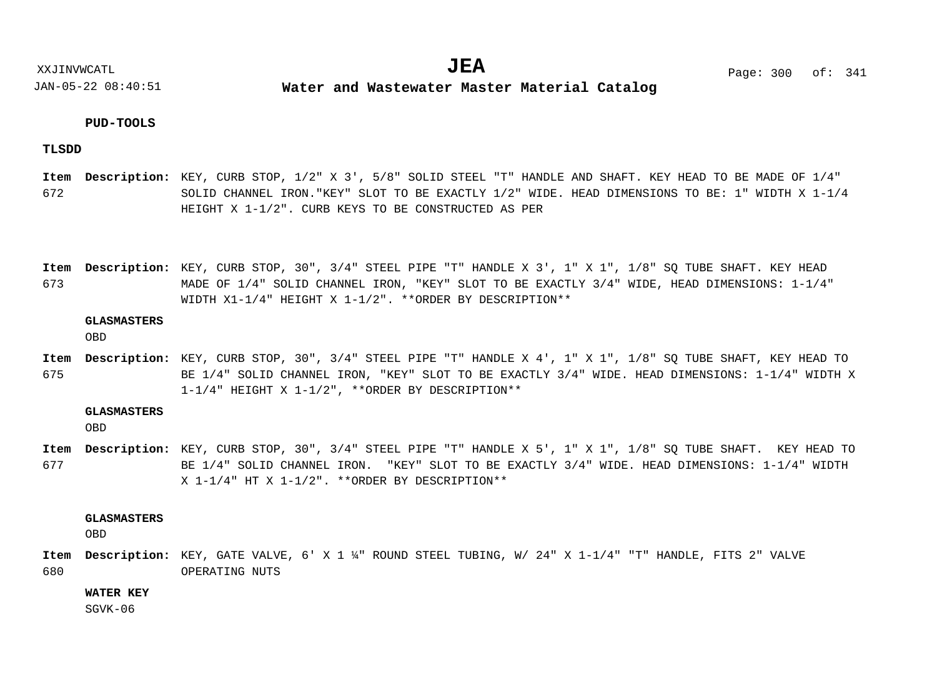**Water and Wastewater Master Material Catalog** 

#### **PUD-TOOLS**

**TLSDD**

672 Item Description: KEY, CURB STOP, 1/2" X 3', 5/8" SOLID STEEL "T" HANDLE AND SHAFT. KEY HEAD TO BE MADE OF 1/4" SOLID CHANNEL IRON."KEY" SLOT TO BE EXACTLY 1/2" WIDE. HEAD DIMENSIONS TO BE: 1" WIDTH X 1-1/4 HEIGHT X 1-1/2". CURB KEYS TO BE CONSTRUCTED AS PER

673 Item Description: KEY, CURB STOP, 30", 3/4" STEEL PIPE "T" HANDLE X 3', 1" X 1", 1/8" SQ TUBE SHAFT. KEY HEAD MADE OF 1/4" SOLID CHANNEL IRON, "KEY" SLOT TO BE EXACTLY 3/4" WIDE, HEAD DIMENSIONS: 1-1/4" WIDTH X1-1/4" HEIGHT X 1-1/2". \*\*ORDER BY DESCRIPTION\*\*

#### **GLASMASTERS**

OBD

675 Item Description: KEY, CURB STOP, 30", 3/4" STEEL PIPE "T" HANDLE X 4', 1" X 1", 1/8" SQ TUBE SHAFT, KEY HEAD TO BE 1/4" SOLID CHANNEL IRON, "KEY" SLOT TO BE EXACTLY 3/4" WIDE. HEAD DIMENSIONS: 1-1/4" WIDTH X 1-1/4" HEIGHT X 1-1/2", \*\*ORDER BY DESCRIPTION\*\*

#### **GLASMASTERS**

OBD

677 Item Description: KEY, CURB STOP, 30", 3/4" STEEL PIPE "T" HANDLE X 5', 1" X 1", 1/8" SQ TUBE SHAFT. KEY HEAD TO BE 1/4" SOLID CHANNEL IRON. "KEY" SLOT TO BE EXACTLY 3/4" WIDE. HEAD DIMENSIONS: 1-1/4" WIDTH X 1-1/4" HT X 1-1/2". \*\*ORDER BY DESCRIPTION\*\*

**GLASMASTERS**

OBD

680 Item Description: KEY, GATE VALVE, 6' X 1 ¼" ROUND STEEL TUBING, W/ 24" X 1-1/4" "T" HANDLE, FITS 2" VALVE OPERATING NUTS

**WATER KEY**

 $SGVK-06$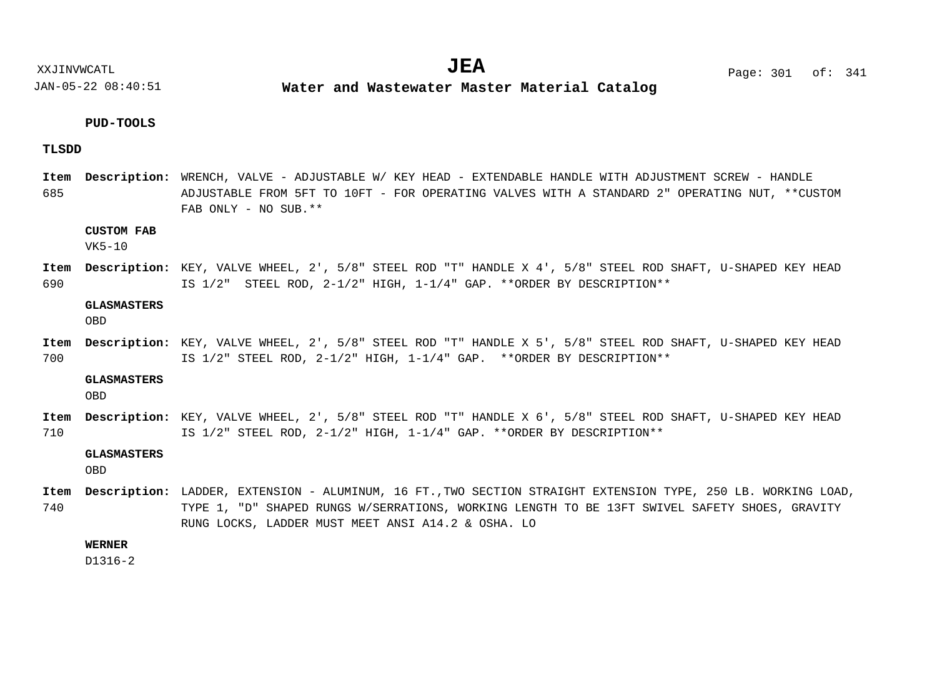XXJINVWCATL **EXALL** Page: 301 of:  $JEA$   $Page: 301 of: 341$ 

JAN-05-22 08:40:51

**Water and Wastewater Master Material Catalog** 

#### **PUD-TOOLS**

#### **TLSDD**

685 WRENCH, VALVE - ADJUSTABLE W/ KEY HEAD - EXTENDABLE HANDLE WITH ADJUSTMENT SCREW - HANDLE **Description: Item** ADJUSTABLE FROM 5FT TO 10FT - FOR OPERATING VALVES WITH A STANDARD 2" OPERATING NUT, \*\*CUSTOM FAB ONLY - NO SUB.\*\*

#### **CUSTOM FAB**

VK5-10

690 Item Description: KEY, VALVE WHEEL, 2', 5/8" STEEL ROD "T" HANDLE X 4', 5/8" STEEL ROD SHAFT, U-SHAPED KEY HEAD IS 1/2" STEEL ROD, 2-1/2" HIGH, 1-1/4" GAP. \*\*ORDER BY DESCRIPTION\*\*

#### **GLASMASTERS**

OBD

700 Item Description: KEY, VALVE WHEEL, 2', 5/8" STEEL ROD "T" HANDLE X 5', 5/8" STEEL ROD SHAFT, U-SHAPED KEY HEAD IS 1/2" STEEL ROD, 2-1/2" HIGH, 1-1/4" GAP. \*\*ORDER BY DESCRIPTION\*\*

#### **GLASMASTERS**

OBD

710 Item Description: KEY, VALVE WHEEL, 2', 5/8" STEEL ROD "T" HANDLE X 6', 5/8" STEEL ROD SHAFT, U-SHAPED KEY HEAD IS 1/2" STEEL ROD, 2-1/2" HIGH, 1-1/4" GAP. \*\*ORDER BY DESCRIPTION\*\*

#### **GLASMASTERS**

OBD

740 Item Description: LADDER, EXTENSION - ALUMINUM, 16 FT., TWO SECTION STRAIGHT EXTENSION TYPE, 250 LB. WORKING LOAD, TYPE 1, "D" SHAPED RUNGS W/SERRATIONS, WORKING LENGTH TO BE 13FT SWIVEL SAFETY SHOES, GRAVITY RUNG LOCKS, LADDER MUST MEET ANSI A14.2 & OSHA. LO

#### **WERNER**

D1316-2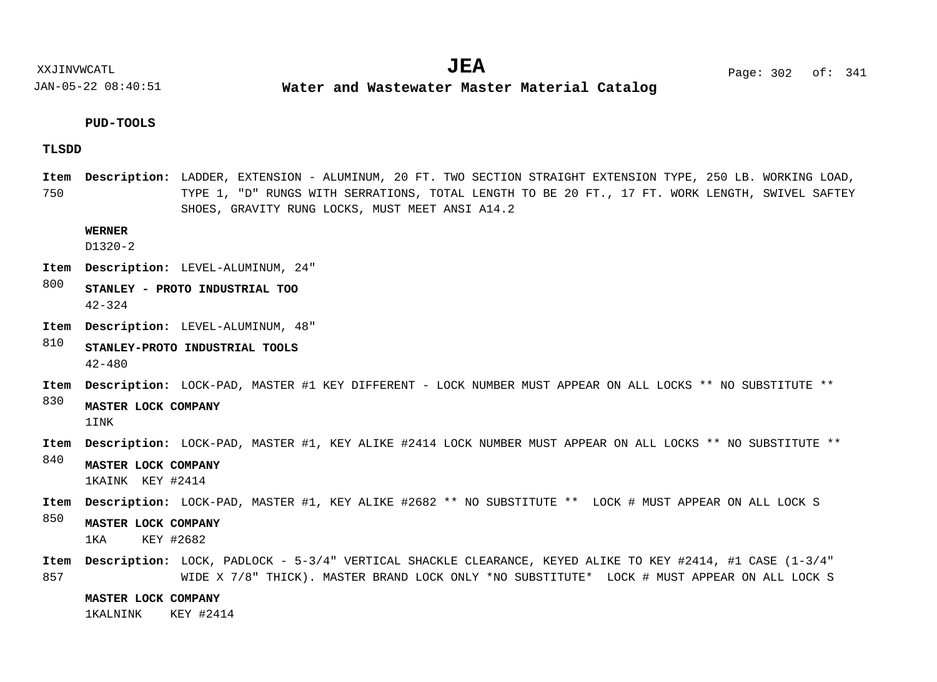**Water and Wastewater Master Material Catalog** 

#### **PUD-TOOLS**

#### **TLSDD**

750 Item Description: LADDER, EXTENSION - ALUMINUM, 20 FT. TWO SECTION STRAIGHT EXTENSION TYPE, 250 LB. WORKING LOAD, TYPE 1, "D" RUNGS WITH SERRATIONS, TOTAL LENGTH TO BE 20 FT., 17 FT. WORK LENGTH, SWIVEL SAFTEY SHOES, GRAVITY RUNG LOCKS, MUST MEET ANSI A14.2

#### **WERNER**

D1320-2

- LEVEL-ALUMINUM, 24" **Description: Item**
- 800 **STANLEY - PROTO INDUSTRIAL TOO** 42-324
- LEVEL-ALUMINUM, 48" **Description: Item**
- 810 **STANLEY-PROTO INDUSTRIAL TOOLS** 42-480
- Item Description: LOCK-PAD, MASTER #1 KEY DIFFERENT LOCK NUMBER MUST APPEAR ON ALL LOCKS \*\* NO SUBSTITUTE \*\*

#### 830 **MASTER LOCK COMPANY** 1INK

- Item Description: LOCK-PAD, MASTER #1, KEY ALIKE #2414 LOCK NUMBER MUST APPEAR ON ALL LOCKS \*\* NO SUBSTITUTE \*\*
- 840 **MASTER LOCK COMPANY** 1KAINK KEY #2414
- Item Description: LOCK-PAD, MASTER #1, KEY ALIKE #2682 \*\* NO SUBSTITUTE \*\* LOCK # MUST APPEAR ON ALL LOCK S
- 850 **MASTER LOCK COMPANY**

1KA KEY #2682

857 Item Description: LOCK, PADLOCK - 5-3/4" VERTICAL SHACKLE CLEARANCE, KEYED ALIKE TO KEY #2414, #1 CASE (1-3/4" WIDE X 7/8" THICK). MASTER BRAND LOCK ONLY \*NO SUBSTITUTE\* LOCK # MUST APPEAR ON ALL LOCK S

**MASTER LOCK COMPANY**

1KALNINK KEY #2414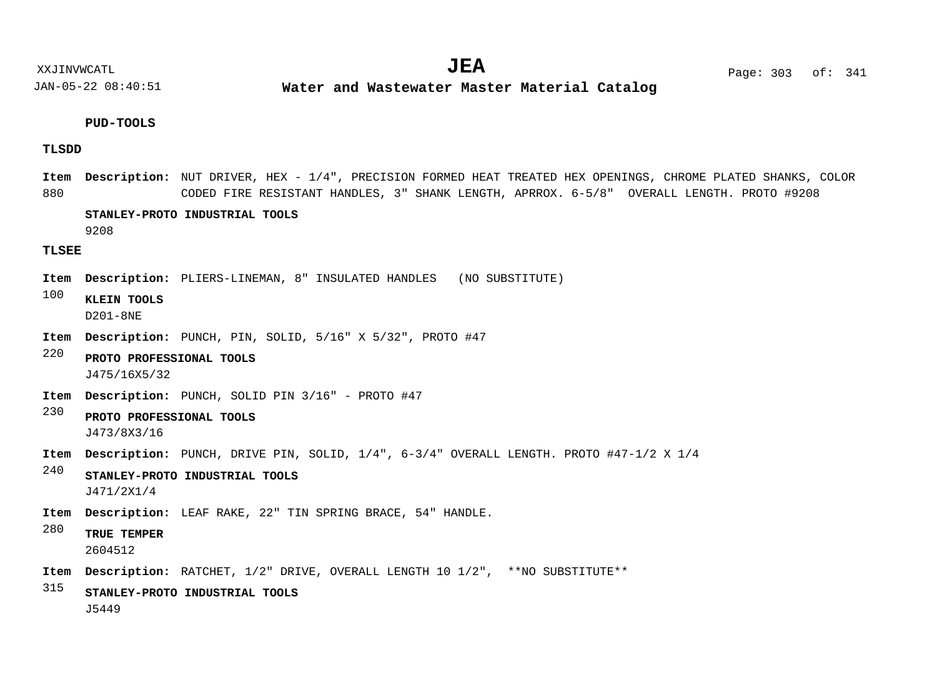**Water and Wastewater Master Material Catalog** 

#### **PUD-TOOLS**

#### **TLSDD**

880 Item Description: NUT DRIVER, HEX - 1/4", PRECISION FORMED HEAT TREATED HEX OPENINGS, CHROME PLATED SHANKS, COLOR CODED FIRE RESISTANT HANDLES, 3" SHANK LENGTH, APRROX. 6-5/8" OVERALL LENGTH. PROTO #9208

#### **STANLEY-PROTO INDUSTRIAL TOOLS**

9208

#### **TLSEE**

- Item Description: PLIERS-LINEMAN, 8" INSULATED HANDLES (NO SUBSTITUTE)
- 100 **KLEIN TOOLS** D201-8NE
- Item Description: PUNCH, PIN, SOLID, 5/16" X 5/32", PROTO #47
- 220 **PROTO PROFESSIONAL TOOLS** J475/16X5/32
- Item Description: PUNCH, SOLID PIN 3/16" PROTO #47
- 230 **PROTO PROFESSIONAL TOOLS** J473/8X3/16
- Item Description: PUNCH, DRIVE PIN, SOLID, 1/4", 6-3/4" OVERALL LENGTH. PROTO #47-1/2 X 1/4
- 240 **STANLEY-PROTO INDUSTRIAL TOOLS** J471/2X1/4
- LEAF RAKE, 22" TIN SPRING BRACE, 54" HANDLE. **Description: Item**
- 280 **TRUE TEMPER**

2604512

- Item Description: RATCHET,  $1/2$ " DRIVE, OVERALL LENGTH 10  $1/2$ ", \*\*NO SUBSTITUTE\*\*
- 315 **STANLEY-PROTO INDUSTRIAL TOOLS** J5449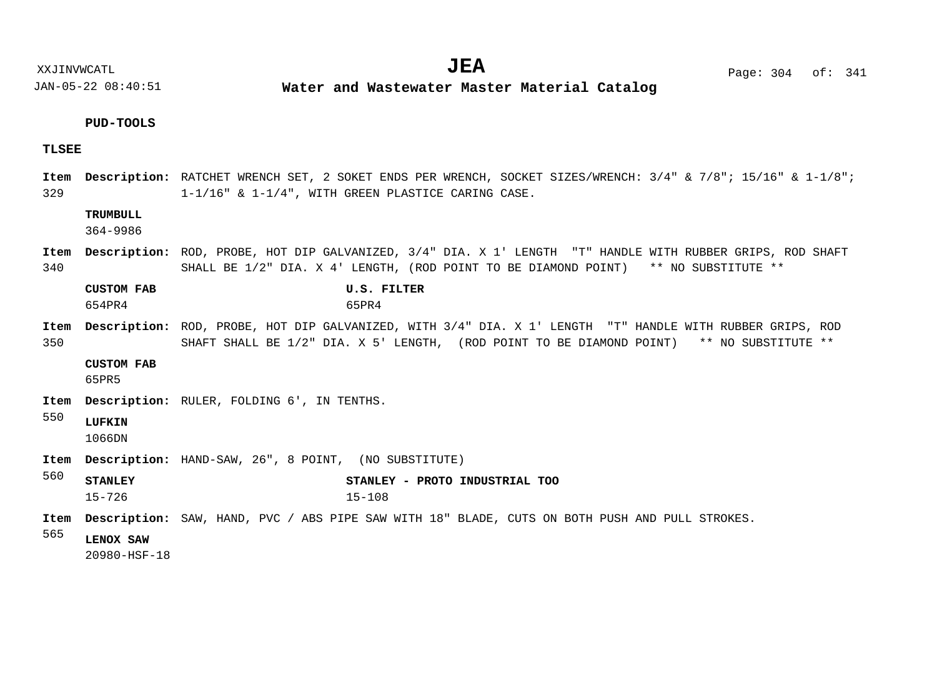XXJINVWCATL **EXALL** Page: 304 of:

JAN-05-22 08:40:51

**Water and Wastewater Master Material Catalog** 

# $JEA$   $Page: 304 \text{ of}: 341$

#### **PUD-TOOLS**

#### **TLSEE**

329 Item Description: RATCHET WRENCH SET, 2 SOKET ENDS PER WRENCH, SOCKET SIZES/WRENCH: 3/4" & 7/8"; 15/16" & 1-1/8"; 1-1/16" & 1-1/4", WITH GREEN PLASTICE CARING CASE.

#### **TRUMBULL**

364-9986

340 Item Description: ROD, PROBE, HOT DIP GALVANIZED, 3/4" DIA. X 1' LENGTH "T" HANDLE WITH RUBBER GRIPS, ROD SHAFT SHALL BE 1/2" DIA. X 4' LENGTH, (ROD POINT TO BE DIAMOND POINT) \*\* NO SUBSTITUTE \*\*

| <b>CUSTOM FAB</b> | U.S. FILTER |  |
|-------------------|-------------|--|
| 654PR4            | 65PR4       |  |

350 Item Description: ROD, PROBE, HOT DIP GALVANIZED, WITH 3/4" DIA. X 1' LENGTH "T" HANDLE WITH RUBBER GRIPS, ROD SHAFT SHALL BE 1/2" DIA. X 5' LENGTH, (ROD POINT TO BE DIAMOND POINT) \*\* NO SUBSTITUTE \*\*

#### **CUSTOM FAB**

65PR5

Item Description: RULER, FOLDING 6', IN TENTHS.

#### 550 **LUFKIN**

1066DN

- Item Description: HAND-SAW, 26", 8 POINT, (NO SUBSTITUTE)
- 560 **STANLEY STANLEY - PROTO INDUSTRIAL TOO** 15-726 15-108
- Item Description: SAW, HAND, PVC / ABS PIPE SAW WITH 18" BLADE, CUTS ON BOTH PUSH AND PULL STROKES.
- 565 **LENOX SAW**

20980-HSF-18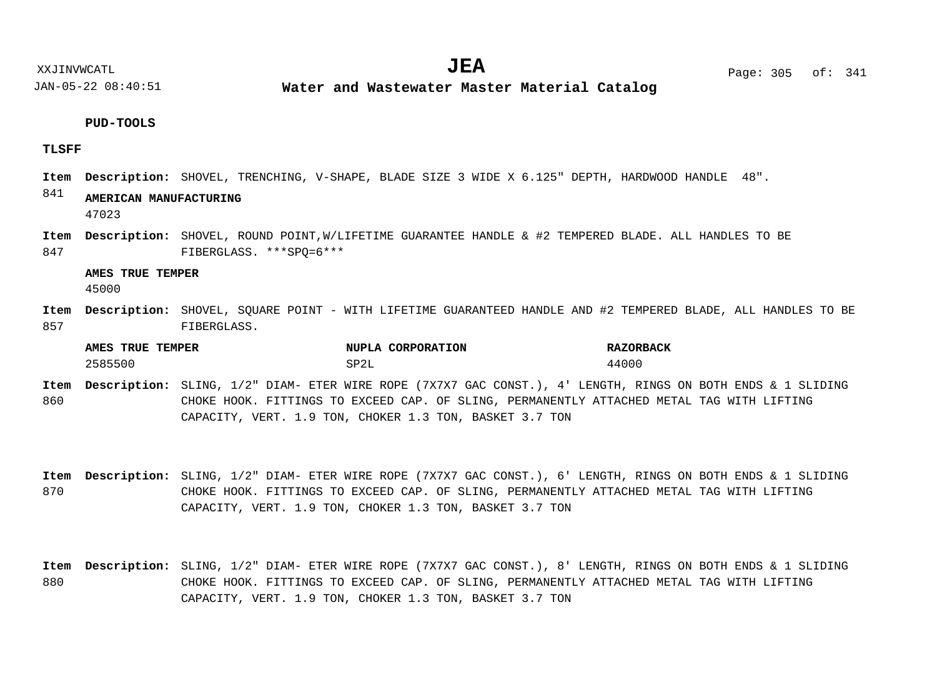**Water and Wastewater Master Material Catalog** 

#### **PUD-TOOLS**

#### **TLSFF**

Item Description: SHOVEL, TRENCHING, V-SHAPE, BLADE SIZE 3 WIDE X 6.125" DEPTH, HARDWOOD HANDLE 48".

#### 841 **AMERICAN MANUFACTURING**

47023

847 Item Description: SHOVEL, ROUND POINT,W/LIFETIME GUARANTEE HANDLE & #2 TEMPERED BLADE. ALL HANDLES TO BE FIBERGLASS. \*\*\*SPQ=6\*\*\*

#### **AMES TRUE TEMPER**

45000

857 Item Description: SHOVEL, SQUARE POINT - WITH LIFETIME GUARANTEED HANDLE AND #2 TEMPERED BLADE, ALL HANDLES TO BE FIBERGLASS.

| AMES<br>TRUE<br><b>TEMPER</b> | NUPLA CORPORATION    | <b>RAZORBACK</b> |
|-------------------------------|----------------------|------------------|
| 2585500                       | י מה<br>∼ –<br>∟ ∠ ب | 44000            |

- 860 Item Description: SLING, 1/2" DIAM- ETER WIRE ROPE (7X7X7 GAC CONST.), 4' LENGTH, RINGS ON BOTH ENDS & 1 SLIDING CHOKE HOOK. FITTINGS TO EXCEED CAP. OF SLING, PERMANENTLY ATTACHED METAL TAG WITH LIFTING CAPACITY, VERT. 1.9 TON, CHOKER 1.3 TON, BASKET 3.7 TON
- 870 Item Description: SLING, 1/2" DIAM- ETER WIRE ROPE (7X7X7 GAC CONST.), 6' LENGTH, RINGS ON BOTH ENDS & 1 SLIDING CHOKE HOOK. FITTINGS TO EXCEED CAP. OF SLING, PERMANENTLY ATTACHED METAL TAG WITH LIFTING CAPACITY, VERT. 1.9 TON, CHOKER 1.3 TON, BASKET 3.7 TON
- 880 Item Description: SLING, 1/2" DIAM- ETER WIRE ROPE (7X7X7 GAC CONST.), 8' LENGTH, RINGS ON BOTH ENDS & 1 SLIDING CHOKE HOOK. FITTINGS TO EXCEED CAP. OF SLING, PERMANENTLY ATTACHED METAL TAG WITH LIFTING CAPACITY, VERT. 1.9 TON, CHOKER 1.3 TON, BASKET 3.7 TON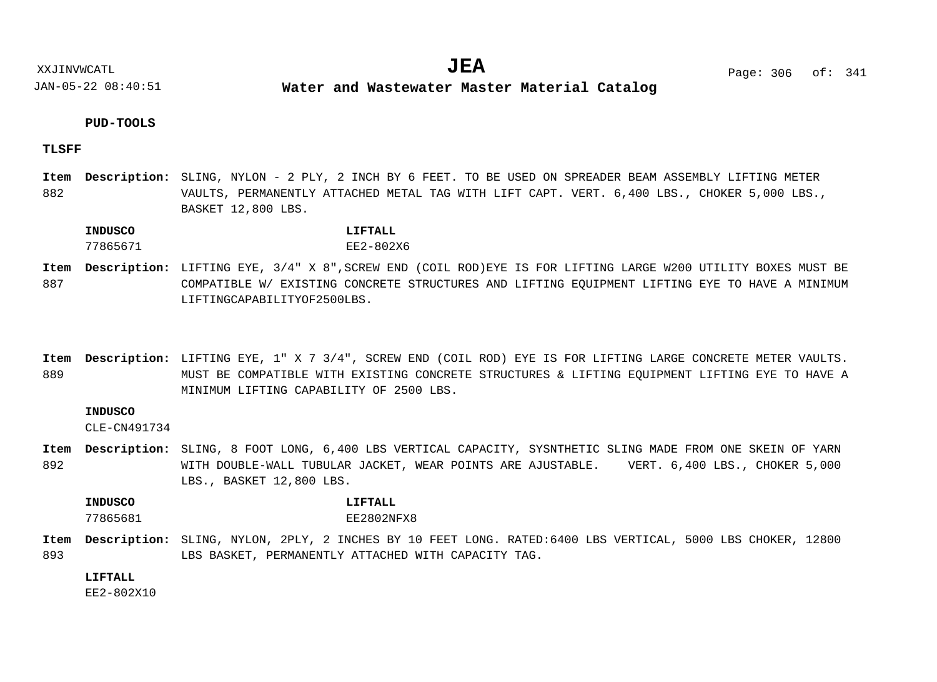**Water and Wastewater Master Material Catalog** 

#### **PUD-TOOLS**

#### **TLSFF**

882 Item Description: SLING, NYLON - 2 PLY, 2 INCH BY 6 FEET. TO BE USED ON SPREADER BEAM ASSEMBLY LIFTING METER VAULTS, PERMANENTLY ATTACHED METAL TAG WITH LIFT CAPT. VERT. 6,400 LBS., CHOKER 5,000 LBS., BASKET 12,800 LBS.

#### **INDUSCO LIFTALL**

## 77865671 EE2-802X6

- 887 LIFTING EYE, 3/4" X 8",SCREW END (COIL ROD)EYE IS FOR LIFTING LARGE W200 UTILITY BOXES MUST BE **Description: Item** COMPATIBLE W/ EXISTING CONCRETE STRUCTURES AND LIFTING EQUIPMENT LIFTING EYE TO HAVE A MINIMUM LIFTINGCAPABILITYOF2500LBS.
- 889 Item Description: LIFTING EYE, 1" X 7 3/4", SCREW END (COIL ROD) EYE IS FOR LIFTING LARGE CONCRETE METER VAULTS. MUST BE COMPATIBLE WITH EXISTING CONCRETE STRUCTURES & LIFTING EQUIPMENT LIFTING EYE TO HAVE A MINIMUM LIFTING CAPABILITY OF 2500 LBS.

#### **INDUSCO**

CLE-CN491734

892 Item Description: SLING, 8 FOOT LONG, 6,400 LBS VERTICAL CAPACITY, SYSNTHETIC SLING MADE FROM ONE SKEIN OF YARN WITH DOUBLE-WALL TUBULAR JACKET, WEAR POINTS ARE AJUSTABLE. VERT. 6,400 LBS., CHOKER 5,000 LBS., BASKET 12,800 LBS.

**INDUSCO LIFTALL**

77865681 EE2802NFX8

893 Item Description: SLING, NYLON, 2PLY, 2 INCHES BY 10 FEET LONG. RATED:6400 LBS VERTICAL, 5000 LBS CHOKER, 12800 LBS BASKET, PERMANENTLY ATTACHED WITH CAPACITY TAG.

#### **LIFTALL**

EE2-802X10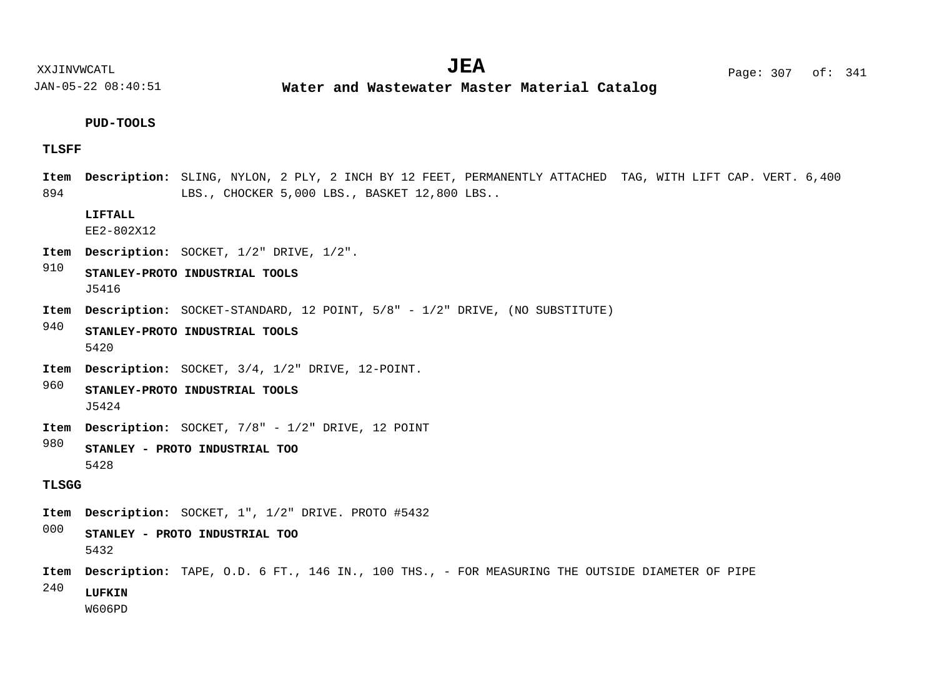XXJINVWCATL **EXALL** Page: 307 of:  $JEA$   $Page: 307 of: 341$ 

JAN-05-22 08:40:51

**Water and Wastewater Master Material Catalog** 

#### **PUD-TOOLS**

#### **TLSFF**

894 Item Description: SLING, NYLON, 2 PLY, 2 INCH BY 12 FEET, PERMANENTLY ATTACHED TAG, WITH LIFT CAP. VERT. 6,400 LBS., CHOCKER 5,000 LBS., BASKET 12,800 LBS..

#### **LIFTALL**

EE2-802X12

- Item Description: SOCKET,  $1/2$ " DRIVE,  $1/2$ ".
- 910 **STANLEY-PROTO INDUSTRIAL TOOLS** J5416
- Item Description: SOCKET-STANDARD, 12 POINT, 5/8" 1/2" DRIVE, (NO SUBSTITUTE)
- 940 **STANLEY-PROTO INDUSTRIAL TOOLS** 5420
- Item Description: SOCKET, 3/4, 1/2" DRIVE, 12-POINT.
- 960 **STANLEY-PROTO INDUSTRIAL TOOLS** J5424
- Item Description: SOCKET, 7/8" 1/2" DRIVE, 12 POINT
- 980 **STANLEY - PROTO INDUSTRIAL TOO** 5428

#### **TLSGG**

- Item Description: SOCKET, 1", 1/2" DRIVE. PROTO #5432
- 000 **STANLEY - PROTO INDUSTRIAL TOO** 5432
- Item Description: TAPE, O.D. 6 FT., 146 IN., 100 THS., FOR MEASURING THE OUTSIDE DIAMETER OF PIPE
- 240 **LUFKIN**

W606PD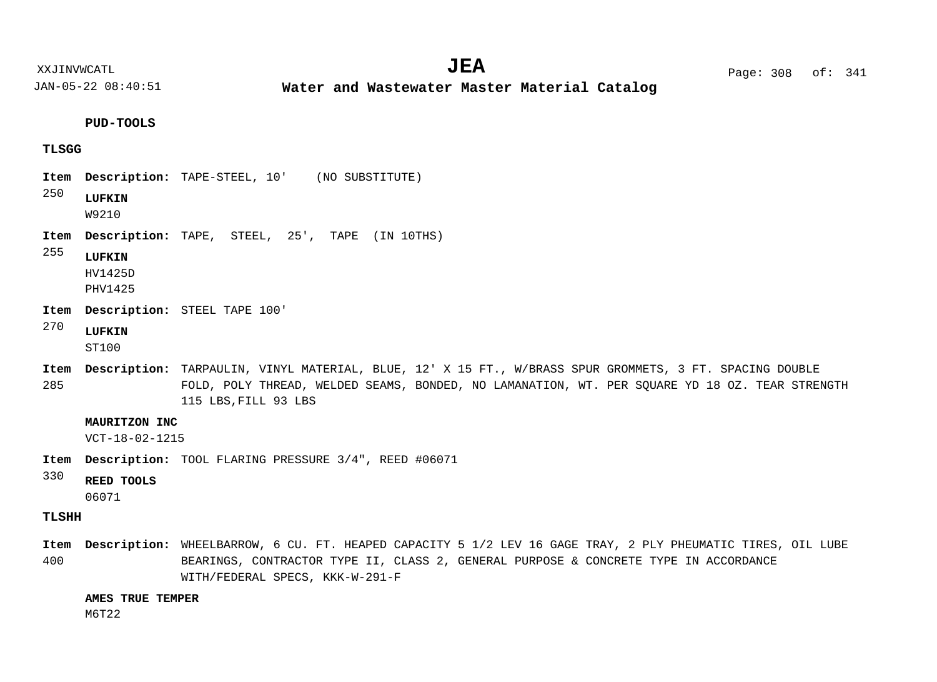XXJINVWCATL Page: 308 of: **JEA**<sup>341</sup>

JAN-05-22 08:40:51

**Water and Wastewater Master Material Catalog** 

**PUD-TOOLS**

#### **TLSGG**

- Item Description: TAPE-STEEL, 10' (NO SUBSTITUTE)
- 250 **LUFKIN**

W9210

- Item Description: TAPE, STEEL, 25', TAPE (IN 10THS)
- 255 **LUFKIN**

HV1425D PHV1425

- Item Description: STEEL TAPE 100'
- 270 **LUFKIN**

ST100

285 Item Description: TARPAULIN, VINYL MATERIAL, BLUE, 12' X 15 FT., W/BRASS SPUR GROMMETS, 3 FT. SPACING DOUBLE FOLD, POLY THREAD, WELDED SEAMS, BONDED, NO LAMANATION, WT. PER SQUARE YD 18 OZ. TEAR STRENGTH 115 LBS,FILL 93 LBS

#### **MAURITZON INC**

VCT-18-02-1215

- Item Description: TOOL FLARING PRESSURE 3/4", REED #06071
- 330 **REED TOOLS**

06071

#### **TLSHH**

400 WHEELBARROW, 6 CU. FT. HEAPED CAPACITY 5 1/2 LEV 16 GAGE TRAY, 2 PLY PHEUMATIC TIRES, OIL LUBE **Description: Item**BEARINGS, CONTRACTOR TYPE II, CLASS 2, GENERAL PURPOSE & CONCRETE TYPE IN ACCORDANCE WITH/FEDERAL SPECS, KKK-W-291-F

#### **AMES TRUE TEMPER**

M6T22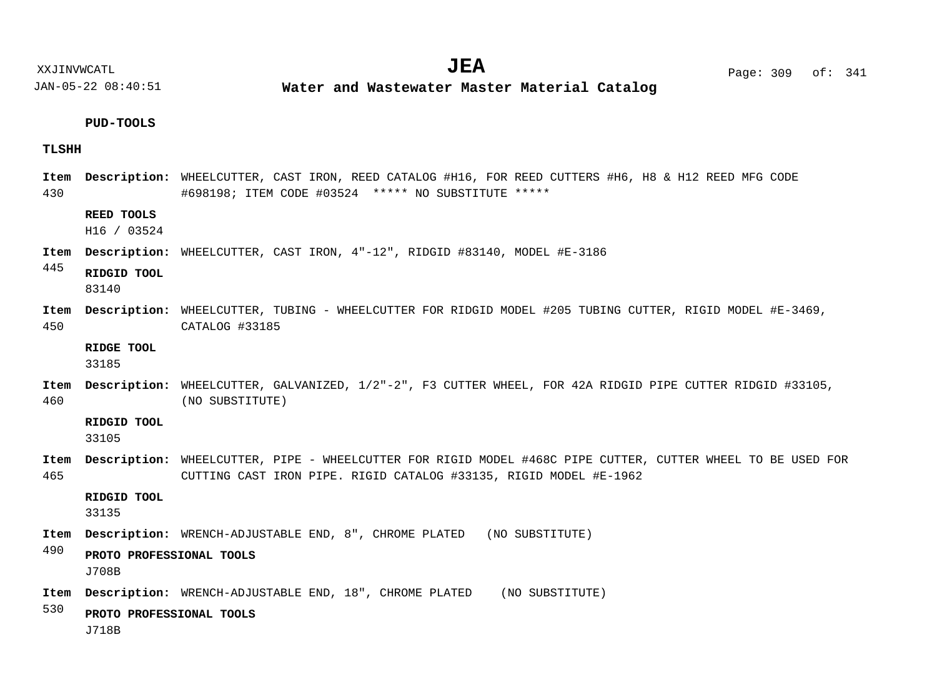JAN-05-22 08:40:51 **Water and Wastewater Master Material Catalog** 

#### **PUD-TOOLS**

#### **TLSHH**

430 WHEELCUTTER, CAST IRON, REED CATALOG #H16, FOR REED CUTTERS #H6, H8 & H12 REED MFG CODE **Description: Item** #698198; ITEM CODE #03524 \*\*\*\*\* NO SUBSTITUTE \*\*\*\*\*

#### **REED TOOLS**

H16 / 03524

Item Description: WHEELCUTTER, CAST IRON, 4"-12", RIDGID #83140, MODEL #E-3186

445 **RIDGID TOOL**

83140

450 WHEELCUTTER, TUBING - WHEELCUTTER FOR RIDGID MODEL #205 TUBING CUTTER, RIGID MODEL #E-3469, **Description: Item** CATALOG #33185

**RIDGE TOOL**

33185

460 WHEELCUTTER, GALVANIZED, 1/2"-2", F3 CUTTER WHEEL, FOR 42A RIDGID PIPE CUTTER RIDGID #33105, **Description: Item** (NO SUBSTITUTE)

**RIDGID TOOL**

33105

465 WHEELCUTTER, PIPE - WHEELCUTTER FOR RIGID MODEL #468C PIPE CUTTER, CUTTER WHEEL TO BE USED FOR **Description: Item** CUTTING CAST IRON PIPE. RIGID CATALOG #33135, RIGID MODEL #E-1962

**RIDGID TOOL**

33135

WRENCH-ADJUSTABLE END, 8", CHROME PLATED (NO SUBSTITUTE) **Description: Item**

490 **PROTO PROFESSIONAL TOOLS** J708B

WRENCH-ADJUSTABLE END, 18", CHROME PLATED (NO SUBSTITUTE) **Description: Item**

530 **PROTO PROFESSIONAL TOOLS**

J718B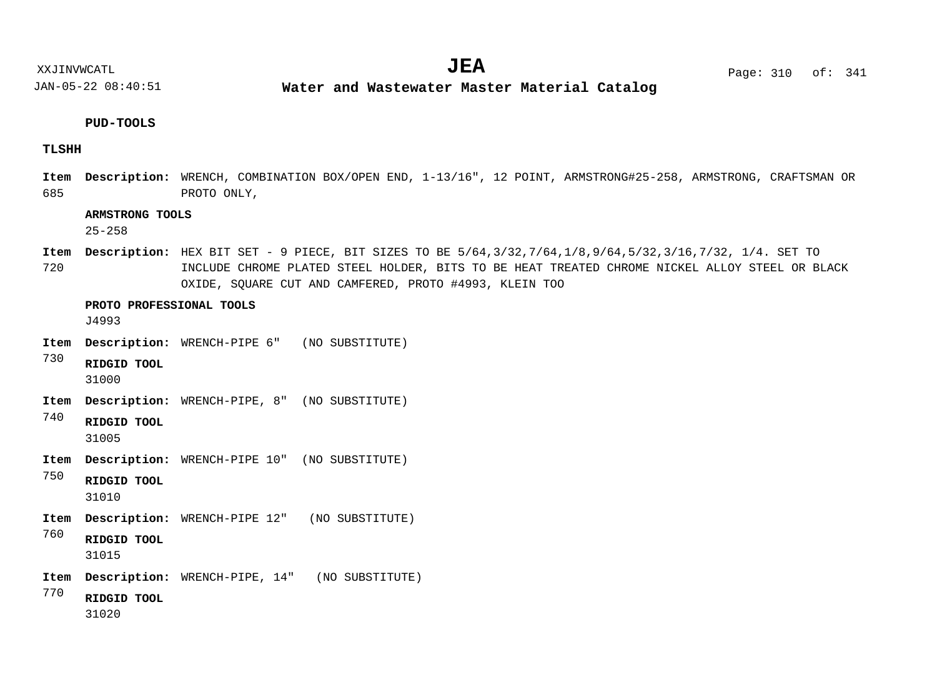**Water and Wastewater Master Material Catalog** 

#### **PUD-TOOLS**

#### **TLSHH**

685 WRENCH, COMBINATION BOX/OPEN END, 1-13/16", 12 POINT, ARMSTRONG#25-258, ARMSTRONG, CRAFTSMAN OR **Description: Item** PROTO ONLY,

#### **ARMSTRONG TOOLS**

25-258

720 HEX BIT SET - 9 PIECE, BIT SIZES TO BE 5/64,3/32,7/64,1/8,9/64,5/32,3/16,7/32, 1/4. SET TO **Description: Item** INCLUDE CHROME PLATED STEEL HOLDER, BITS TO BE HEAT TREATED CHROME NICKEL ALLOY STEEL OR BLACK OXIDE, SQUARE CUT AND CAMFERED, PROTO #4993, KLEIN TOO

**PROTO PROFESSIONAL TOOLS**

J4993

- WRENCH-PIPE 6" (NO SUBSTITUTE) **Description: Item**
- 730 **RIDGID TOOL** 31000
- WRENCH-PIPE, 8" (NO SUBSTITUTE) **Description: Item**
- 740 **RIDGID TOOL**

31005

- WRENCH-PIPE 10" (NO SUBSTITUTE) **Description: Item**
- 750 **RIDGID TOOL**

31010

- WRENCH-PIPE 12" (NO SUBSTITUTE) **Description: Item**
- 760 **RIDGID TOOL**

31015

- WRENCH-PIPE, 14" (NO SUBSTITUTE) **Description: Item**
- 770
- 31020

**RIDGID TOOL**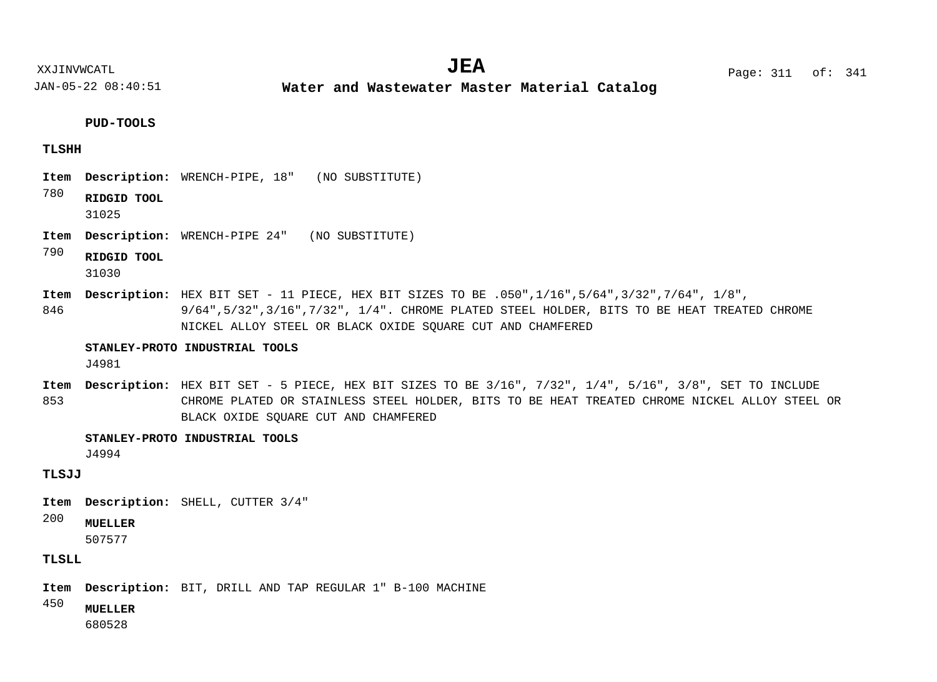XXJINVWCATL **EXALL** Page: 311 of:  $JEA$   $Page: 311 of: 341$ 

JAN-05-22 08:40:51

**Water and Wastewater Master Material Catalog** 

**PUD-TOOLS**

#### **TLSHH**

- WRENCH-PIPE, 18" (NO SUBSTITUTE) **Description: Item**
- 780 **RIDGID TOOL**
	- 31025
- WRENCH-PIPE 24" (NO SUBSTITUTE) **Description: Item**
- 790 **RIDGID TOOL**
	- 31030
- 846 **Item Description:** HEX BIT SET - 11 PIECE, HEX BIT SIZES TO BE .050",1/16",5/64",3/32",7/64", 1/8", 9/64",5/32",3/16",7/32", 1/4". CHROME PLATED STEEL HOLDER, BITS TO BE HEAT TREATED CHROME NICKEL ALLOY STEEL OR BLACK OXIDE SQUARE CUT AND CHAMFERED

#### **STANLEY-PROTO INDUSTRIAL TOOLS**

J4981

853 Item Description: HEX BIT SET - 5 PIECE, HEX BIT SIZES TO BE 3/16", 7/32", 1/4", 5/16", 3/8", SET TO INCLUDE CHROME PLATED OR STAINLESS STEEL HOLDER, BITS TO BE HEAT TREATED CHROME NICKEL ALLOY STEEL OR BLACK OXIDE SQUARE CUT AND CHAMFERED

#### **STANLEY-PROTO INDUSTRIAL TOOLS**

J4994

## **TLSJJ**

- Item Description: SHELL, CUTTER 3/4"
- 200 **MUELLER**

507577

## **TLSLL**

Item Description: BIT, DRILL AND TAP REGULAR 1" B-100 MACHINE

450 **MUELLER**

680528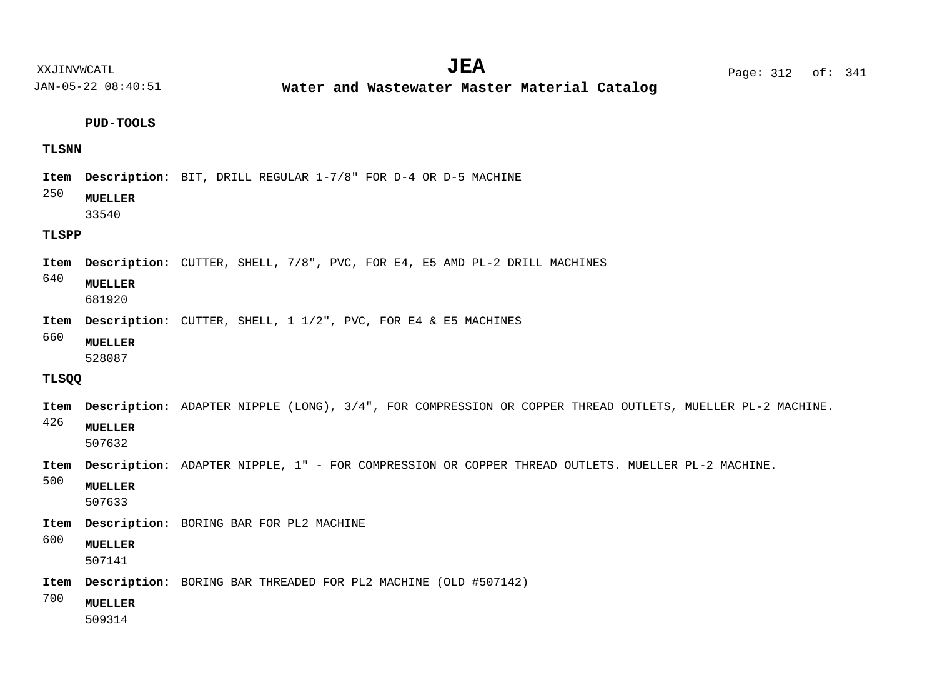**Water and Wastewater Master Material Catalog** 

#### **PUD-TOOLS**

#### **TLSNN**

Item Description: BIT, DRILL REGULAR 1-7/8" FOR D-4 OR D-5 MACHINE

#### 250 **MUELLER**

33540

## **TLSPP**

Description: CUTTER, SHELL, 7/8", PVC, FOR E4, E5 AMD PL-2 DRILL MACHINES **Item**

640 **MUELLER**

681920

- Item Description: CUTTER, SHELL, 1 1/2", PVC, FOR E4 & E5 MACHINES
- 660 **MUELLER**

528087

#### **TLSQQ**

426 500 Item Description: ADAPTER NIPPLE (LONG), 3/4", FOR COMPRESSION OR COPPER THREAD OUTLETS, MUELLER PL-2 MACHINE. Item Description: ADAPTER NIPPLE, 1" - FOR COMPRESSION OR COPPER THREAD OUTLETS. MUELLER PL-2 MACHINE. **MUELLER MUELLER** 507632

507633

- Item Description: BORING BAR FOR PL2 MACHINE
- 600 **MUELLER**

507141

Item Description: BORING BAR THREADED FOR PL2 MACHINE (OLD #507142)

700 **MUELLER**

509314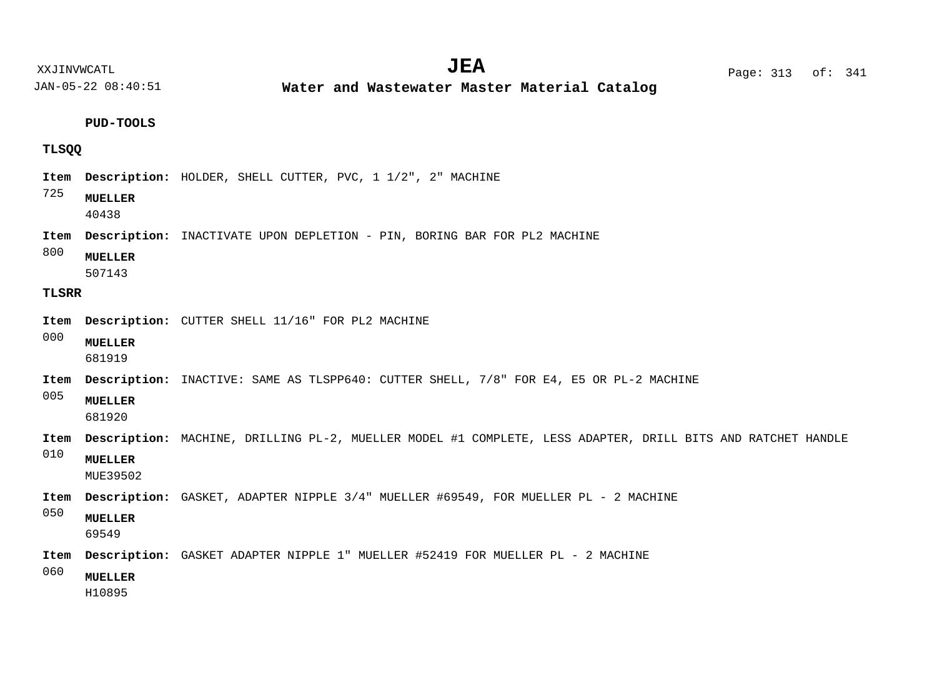**Water and Wastewater Master Material Catalog** 

**PUD-TOOLS**

## **TLSQQ**

Item Description: HOLDER, SHELL CUTTER, PVC, 1 1/2", 2" MACHINE

#### 725 **MUELLER**

40438

- Item Description: INACTIVATE UPON DEPLETION PIN, BORING BAR FOR PL2 MACHINE
- 800 **MUELLER**

507143

#### **TLSRR**

- Item Description: CUTTER SHELL 11/16" FOR PL2 MACHINE
- 000 **MUELLER**

681919

Item Description: INACTIVE: SAME AS TLSPP640: CUTTER SHELL, 7/8" FOR E4, E5 OR PL-2 MACHINE

005

**MUELLER**

681920

- Item Description: MACHINE, DRILLING PL-2, MUELLER MODEL #1 COMPLETE, LESS ADAPTER, DRILL BITS AND RATCHET HANDLE
- 010 **MUELLER**

MUE39502

- Item Description: GASKET, ADAPTER NIPPLE 3/4" MUELLER #69549, FOR MUELLER PL 2 MACHINE
- 050 **MUELLER**

69549

- Item Description: GASKET ADAPTER NIPPLE 1" MUELLER #52419 FOR MUELLER PL 2 MACHINE
- 060 **MUELLER**

H10895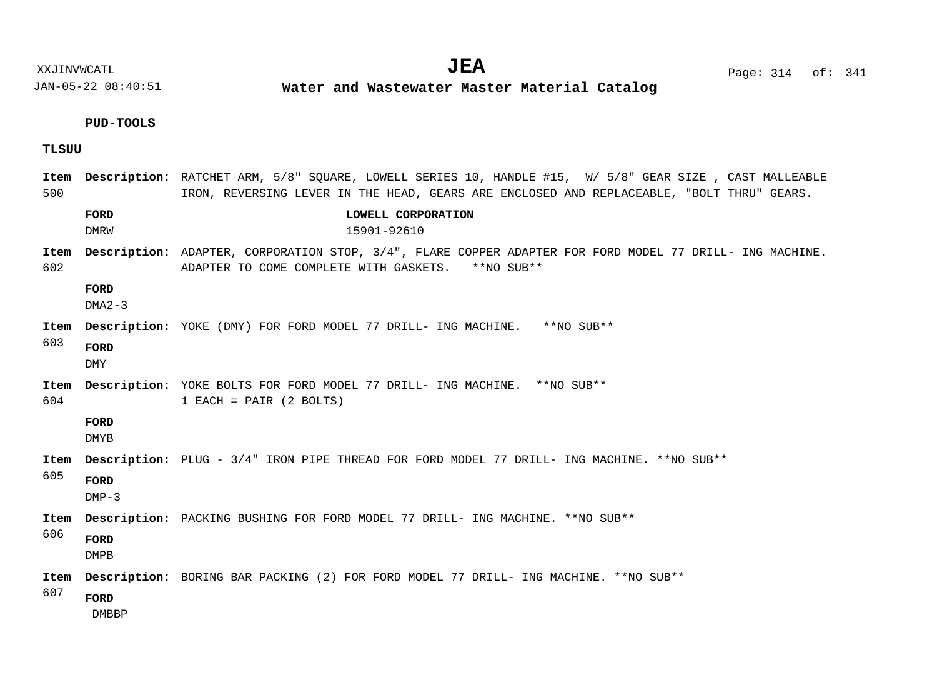**Water and Wastewater Master Material Catalog** 

**PUD-TOOLS**

**TLSUU**

| Item<br>500 |                             | Description: RATCHET ARM, 5/8" SOUARE, LOWELL SERIES 10, HANDLE #15, W/ 5/8" GEAR SIZE, CAST MALLEABLE<br>IRON, REVERSING LEVER IN THE HEAD, GEARS ARE ENCLOSED AND REPLACEABLE, "BOLT THRU" GEARS. |
|-------------|-----------------------------|-----------------------------------------------------------------------------------------------------------------------------------------------------------------------------------------------------|
|             | FORD<br><b>DMRW</b>         | LOWELL CORPORATION<br>15901-92610                                                                                                                                                                   |
| Item<br>602 |                             | Description: ADAPTER, CORPORATION STOP, 3/4", FLARE COPPER ADAPTER FOR FORD MODEL 77 DRILL- ING MACHINE.<br>ADAPTER TO COME COMPLETE WITH GASKETS. ** NO SUB**                                      |
|             | FORD<br>$DMA2-3$            |                                                                                                                                                                                                     |
| Item        |                             | <b>Description:</b> YOKE (DMY) FOR FORD MODEL 77 DRILL- ING MACHINE.<br>**NO SUR**                                                                                                                  |
| 603         | FORD<br><b>DMY</b>          |                                                                                                                                                                                                     |
| Item<br>604 |                             | <b>Description:</b> YOKE BOLTS FOR FORD MODEL 77 DRILL- ING MACHINE. **NO SUB**<br>$1$ EACH = PAIR $(2$ BOLTS)                                                                                      |
|             | FORD<br>DMYB                |                                                                                                                                                                                                     |
| Item        |                             | Description: PLUG - 3/4" IRON PIPE THREAD FOR FORD MODEL 77 DRILL- ING MACHINE. **NO SUB**                                                                                                          |
| 605         | FORD<br>$DMP-3$             |                                                                                                                                                                                                     |
| Item        |                             | <b>Description:</b> PACKING BUSHING FOR FORD MODEL 77 DRILL- ING MACHINE. **NO SUB**                                                                                                                |
| 606         | FORD<br><b>DMPB</b>         |                                                                                                                                                                                                     |
| Item        |                             | <b>Description:</b> BORING BAR PACKING (2) FOR FORD MODEL 77 DRILL- ING MACHINE. **NO SUB**                                                                                                         |
| 607         | <b>FORD</b><br><b>DMBBP</b> |                                                                                                                                                                                                     |

XXJINVWCATL Page: 314 of: **JEA**<sup>341</sup>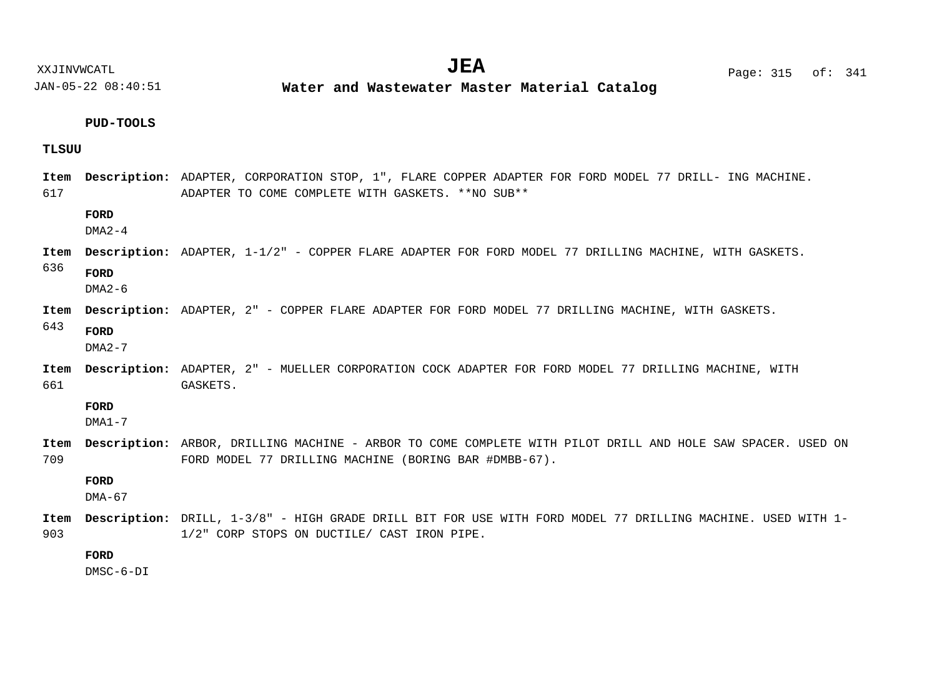JAN-05-22 08:40:51 **Water and Wastewater Master Material Catalog** 

#### **PUD-TOOLS**

#### **TLSUU**

617 636 643 661 Item Description: ADAPTER, CORPORATION STOP, 1", FLARE COPPER ADAPTER FOR FORD MODEL 77 DRILL- ING MACHINE. ADAPTER TO COME COMPLETE WITH GASKETS. \*\*NO SUB\*\* Item Description: ADAPTER, 1-1/2" - COPPER FLARE ADAPTER FOR FORD MODEL 77 DRILLING MACHINE, WITH GASKETS. Item Description: ADAPTER, 2" - COPPER FLARE ADAPTER FOR FORD MODEL 77 DRILLING MACHINE, WITH GASKETS. Item Description: ADAPTER, 2" - MUELLER CORPORATION COCK ADAPTER FOR FORD MODEL 77 DRILLING MACHINE, WITH GASKETS. **FORD FORD FORD FORD**  $DMA2-4$  $DMA2-6$ DMA2-7

DMA1-7

709 Item Description: ARBOR, DRILLING MACHINE - ARBOR TO COME COMPLETE WITH PILOT DRILL AND HOLE SAW SPACER. USED ON FORD MODEL 77 DRILLING MACHINE (BORING BAR #DMBB-67).

#### **FORD**

DMA-67

903 Item Description: DRILL, 1-3/8" - HIGH GRADE DRILL BIT FOR USE WITH FORD MODEL 77 DRILLING MACHINE. USED WITH 1-1/2" CORP STOPS ON DUCTILE/ CAST IRON PIPE.

## **FORD**

DMSC-6-DI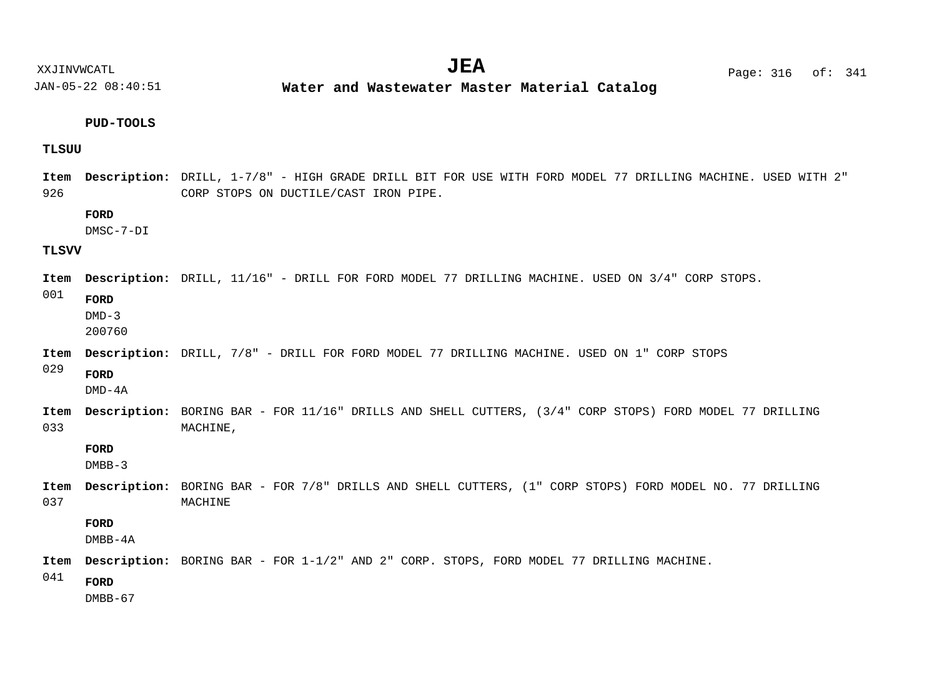**Water and Wastewater Master Material Catalog** 

#### **PUD-TOOLS**

#### **TLSUU**

926 Item Description: DRILL, 1-7/8" - HIGH GRADE DRILL BIT FOR USE WITH FORD MODEL 77 DRILLING MACHINE. USED WITH 2" CORP STOPS ON DUCTILE/CAST IRON PIPE.

#### **FORD**

DMSC-7-DI

#### **TLSVV**

Item Description: DRILL, 11/16" - DRILL FOR FORD MODEL 77 DRILLING MACHINE. USED ON 3/4" CORP STOPS.

001

 $DMD-3$ 

**FORD**

200760

Item Description: DRILL, 7/8" - DRILL FOR FORD MODEL 77 DRILLING MACHINE. USED ON 1" CORP STOPS

029 **FORD**

DMD-4A

033 Item Description: BORING BAR - FOR 11/16" DRILLS AND SHELL CUTTERS, (3/4" CORP STOPS) FORD MODEL 77 DRILLING MACHINE,

#### **FORD**

 $DMBB-3$ 

037 Item Description: BORING BAR - FOR 7/8" DRILLS AND SHELL CUTTERS, (1" CORP STOPS) FORD MODEL NO. 77 DRILLING MACHINE

#### **FORD**

DMBB-4A

Item Description: BORING BAR - FOR 1-1/2" AND 2" CORP. STOPS, FORD MODEL 77 DRILLING MACHINE.

041

DMBB-67

**FORD**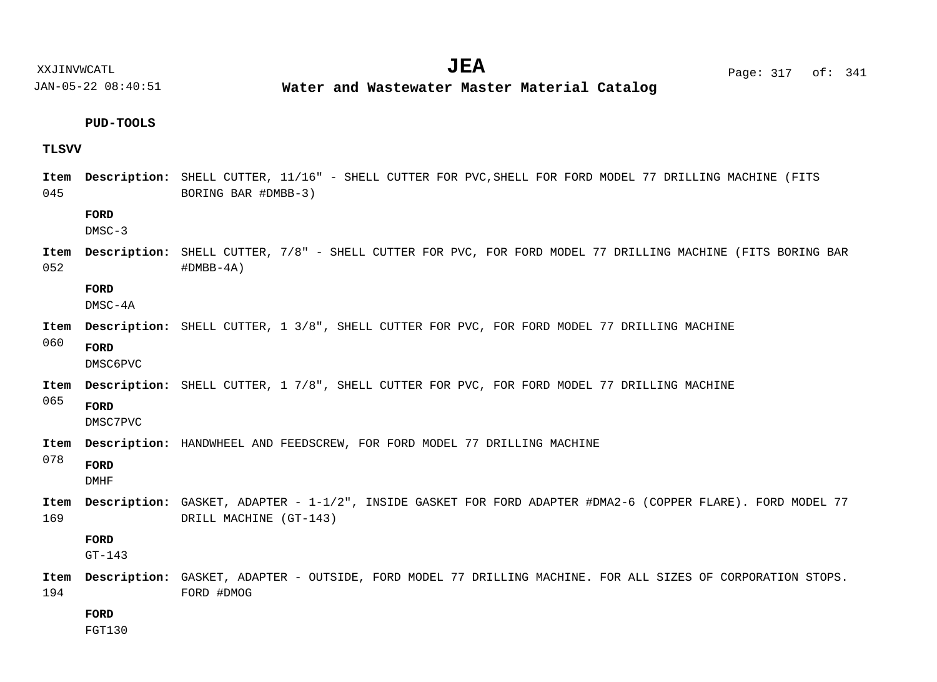XXJINVWCATL Page: 317 of: **JEA**<sup>341</sup>

JAN-05-22 08:40:51

**Water and Wastewater Master Material Catalog** 

## **PUD-TOOLS**

## **TLSVV**

| Item<br>045 | Description: SHELL CUTTER, 11/16" - SHELL CUTTER FOR PVC, SHELL FOR FORD MODEL 77 DRILLING MACHINE (FITS<br>BORING BAR #DMBB-3) |                                                                                                                                       |
|-------------|---------------------------------------------------------------------------------------------------------------------------------|---------------------------------------------------------------------------------------------------------------------------------------|
|             | FORD<br>$DMSC-3$                                                                                                                |                                                                                                                                       |
| Item<br>052 |                                                                                                                                 | <b>Description:</b> SHELL CUTTER, 7/8" - SHELL CUTTER FOR PVC, FOR FORD MODEL 77 DRILLING MACHINE (FITS BORING BAR<br>$#DMBB-4A)$     |
|             | FORD<br>DMSC-4A                                                                                                                 |                                                                                                                                       |
| Item        |                                                                                                                                 | <b>Description:</b> SHELL CUTTER, 1 3/8", SHELL CUTTER FOR PVC, FOR FORD MODEL 77 DRILLING MACHINE                                    |
| 060         | <b>FORD</b><br>DMSC6PVC                                                                                                         |                                                                                                                                       |
| Item        |                                                                                                                                 | Description: SHELL CUTTER, 1 7/8", SHELL CUTTER FOR PVC, FOR FORD MODEL 77 DRILLING MACHINE                                           |
| 065         | FORD<br>DMSC7PVC                                                                                                                |                                                                                                                                       |
| Item        |                                                                                                                                 | <b>Description:</b> HANDWHEEL AND FEEDSCREW, FOR FORD MODEL 77 DRILLING MACHINE                                                       |
| 078         | FORD<br><b>DMHF</b>                                                                                                             |                                                                                                                                       |
| Item<br>169 |                                                                                                                                 | Description: GASKET, ADAPTER - 1-1/2", INSIDE GASKET FOR FORD ADAPTER #DMA2-6 (COPPER FLARE). FORD MODEL 77<br>DRILL MACHINE (GT-143) |
|             | FORD<br>$GT-143$                                                                                                                |                                                                                                                                       |
| Item<br>194 |                                                                                                                                 | Description: GASKET, ADAPTER - OUTSIDE, FORD MODEL 77 DRILLING MACHINE. FOR ALL SIZES OF CORPORATION STOPS.<br>FORD #DMOG             |
|             | FORD                                                                                                                            |                                                                                                                                       |

FGT130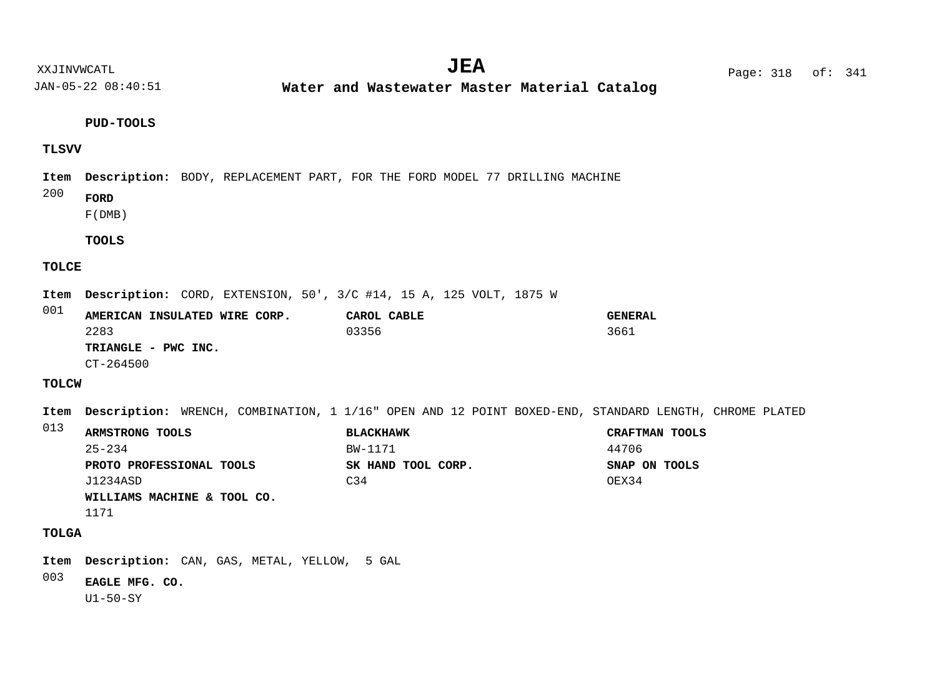**Water and Wastewater Master Material Catalog** 

**PUD-TOOLS**

## **TLSVV**

Item Description: BODY, REPLACEMENT PART, FOR THE FORD MODEL 77 DRILLING MACHINE

- 200 **FORD**
	- F(DMB)

**TOOLS**

#### **TOLCE**

Item Description: CORD, EXTENSION, 50', 3/C #14, 15 A, 125 VOLT, 1875 W

001 **AMERICAN INSULATED WIRE CORP. CAROL CABLE GENERAL TRIANGLE - PWC INC.** 2283 03356 3661 CT-264500

## **TOLCW**

Item Description: WRENCH, COMBINATION, 1 1/16" OPEN AND 12 POINT BOXED-END, STANDARD LENGTH, CHROME PLATED

| 013 | ARMSTRONG TOOLS             | <b>BLACKHAWK</b>   | CRAFTMAN TOOLS |  |  |
|-----|-----------------------------|--------------------|----------------|--|--|
|     | $25 - 234$                  | BW-1171            | 44706          |  |  |
|     | PROTO PROFESSIONAL TOOLS    | SK HAND TOOL CORP. | SNAP ON TOOLS  |  |  |
|     | J1234ASD                    | C <sub>34</sub>    | OEX34          |  |  |
|     | WILLIAMS MACHINE & TOOL CO. |                    |                |  |  |
|     |                             |                    |                |  |  |

1171

## **TOLGA**

Item Description: CAN, GAS, METAL, YELLOW, 5 GAL

003 **EAGLE MFG. CO.**

U1-50-SY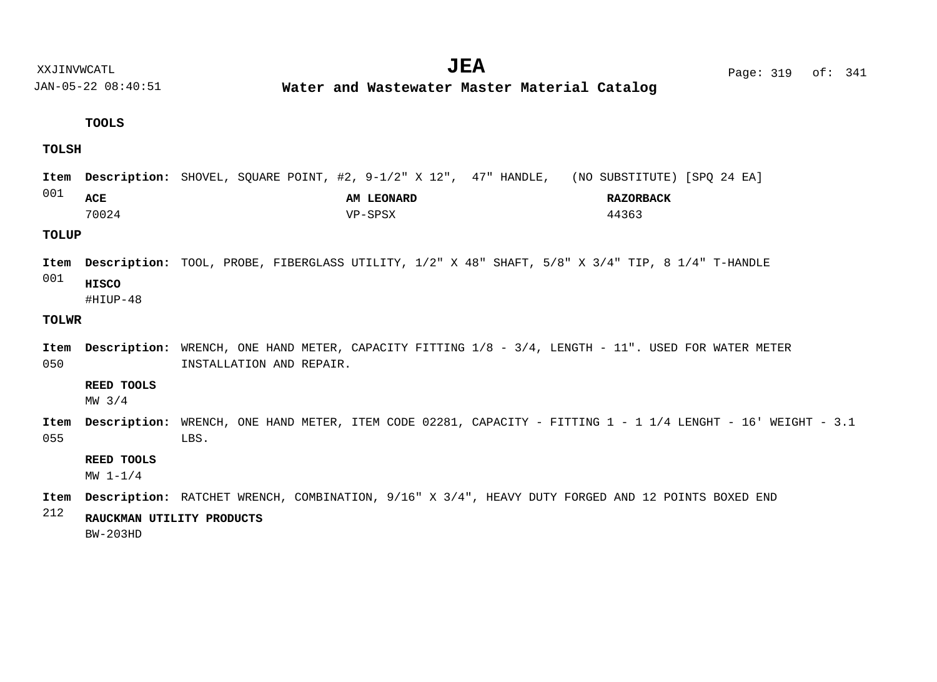**Water and Wastewater Master Material Catalog** 

#### **TOOLS**

#### **TOLSH**

001 Item Description: SHOVEL, SQUARE POINT, #2, 9-1/2" X 12", 47" HANDLE, (NO SUBSTITUTE) [SPQ 24 EA] **ACE AM LEONARD RAZORBACK** 70024 VP-SPSX 44363

#### **TOLUP**

001 Item Description: TOOL, PROBE, FIBERGLASS UTILITY,  $1/2$ " X 48" SHAFT,  $5/8$ " X 3/4" TIP, 8 1/4" T-HANDLE **HISCO**

#HIUP-48

#### **TOLWR**

050 Item Description: WRENCH, ONE HAND METER, CAPACITY FITTING  $1/8$  -  $3/4$ , LENGTH -  $11"$ . USED FOR WATER METER INSTALLATION AND REPAIR.

#### **REED TOOLS**

MW 3/4

055 Item Description: WRENCH, ONE HAND METER, ITEM CODE 02281, CAPACITY - FITTING 1 - 1 1/4 LENGHT - 16' WEIGHT - 3.1 LBS.

#### **REED TOOLS**

MW 1-1/4

Item Description: RATCHET WRENCH, COMBINATION,  $9/16$ " X  $3/4$ ", HEAVY DUTY FORGED AND 12 POINTS BOXED END

#### 212 **RAUCKMAN UTILITY PRODUCTS**

BW-203HD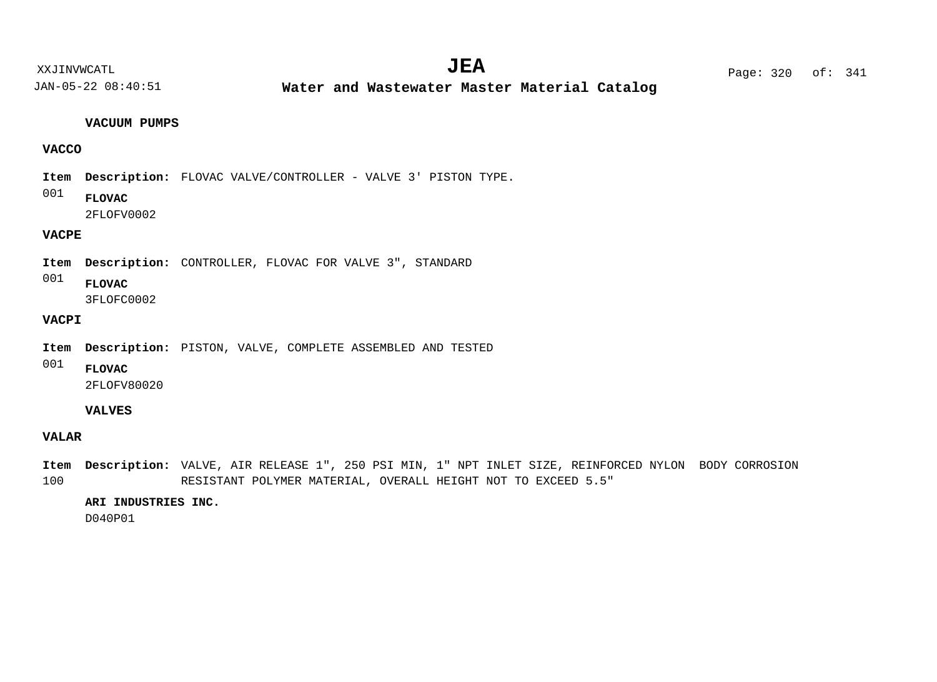**Water and Wastewater Master Material Catalog** 

#### **VACUUM PUMPS**

## **VACCO**

Item Description: FLOVAC VALVE/CONTROLLER - VALVE 3' PISTON TYPE.

001 **FLOVAC**

2FLOFV0002

## **VACPE**

Item Description: CONTROLLER, FLOVAC FOR VALVE 3", STANDARD

001 **FLOVAC**

3FLOFC0002

## **VACPI**

Item Description: PISTON, VALVE, COMPLETE ASSEMBLED AND TESTED

001

2FLOFV80020

## **VALVES**

**FLOVAC**

#### **VALAR**

100 Item Description: VALVE, AIR RELEASE 1", 250 PSI MIN, 1" NPT INLET SIZE, REINFORCED NYLON BODY CORROSION RESISTANT POLYMER MATERIAL, OVERALL HEIGHT NOT TO EXCEED 5.5"

## **ARI INDUSTRIES INC.**

D040P01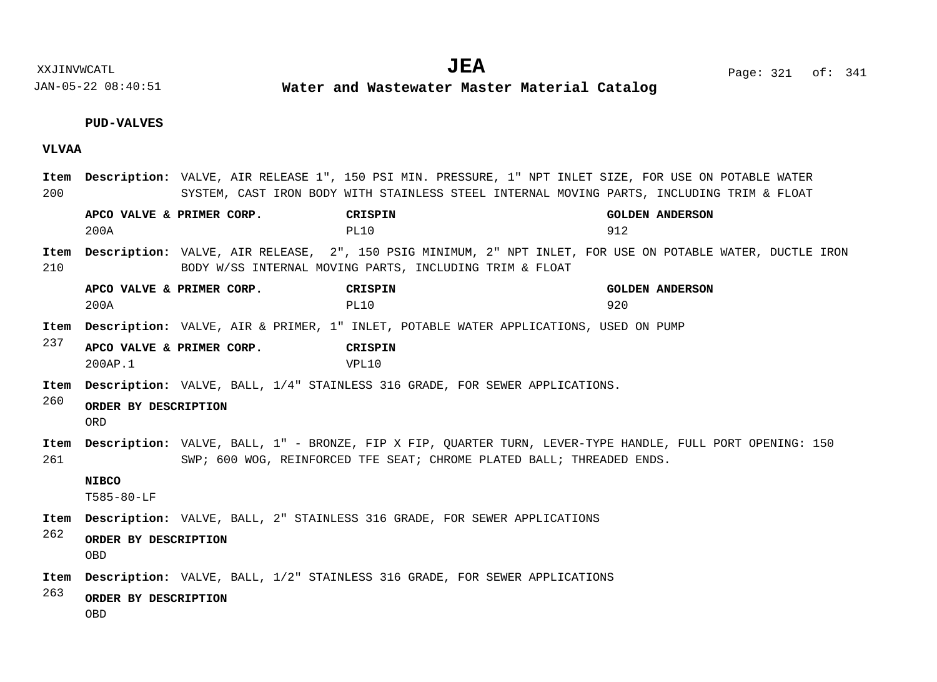**Water and Wastewater Master Material Catalog** 

## **PUD-VALVES**

## **VLVAA**

| 200         |                                                                                    | Item Description: VALVE, AIR RELEASE 1", 150 PSI MIN. PRESSURE, 1" NPT INLET SIZE, FOR USE ON POTABLE WATER<br>SYSTEM, CAST IRON BODY WITH STAINLESS STEEL INTERNAL MOVING PARTS, INCLUDING TRIM & FLOAT |                                                                                                                                                                                    |                               |
|-------------|------------------------------------------------------------------------------------|----------------------------------------------------------------------------------------------------------------------------------------------------------------------------------------------------------|------------------------------------------------------------------------------------------------------------------------------------------------------------------------------------|-------------------------------|
|             | APCO VALVE & PRIMER CORP.<br>200A                                                  |                                                                                                                                                                                                          | CRISPIN<br>PL10                                                                                                                                                                    | <b>GOLDEN ANDERSON</b><br>912 |
| Item<br>210 |                                                                                    |                                                                                                                                                                                                          | <b>Description:</b> VALVE, AIR RELEASE, 2", 150 PSIG MINIMUM, 2" NPT INLET, FOR USE ON POTABLE WATER, DUCTLE IRON<br>BODY W/SS INTERNAL MOVING PARTS, INCLUDING TRIM & FLOAT       |                               |
|             | APCO VALVE & PRIMER CORP.<br>200A                                                  |                                                                                                                                                                                                          | CRISPIN<br>PL10                                                                                                                                                                    | <b>GOLDEN ANDERSON</b><br>920 |
| Item        |                                                                                    |                                                                                                                                                                                                          | <b>Description:</b> VALVE, AIR & PRIMER, 1" INLET, POTABLE WATER APPLICATIONS, USED ON PUMP                                                                                        |                               |
| 237         | APCO VALVE & PRIMER CORP.<br>200AP.1                                               |                                                                                                                                                                                                          | CRISPIN<br>VPL10                                                                                                                                                                   |                               |
| Item        | <b>Description:</b> VALVE, BALL, 1/4" STAINLESS 316 GRADE, FOR SEWER APPLICATIONS. |                                                                                                                                                                                                          |                                                                                                                                                                                    |                               |
| 260         | ORDER BY DESCRIPTION<br>0RD                                                        |                                                                                                                                                                                                          |                                                                                                                                                                                    |                               |
| Item<br>261 |                                                                                    |                                                                                                                                                                                                          | Description: VALVE, BALL, 1" - BRONZE, FIP X FIP, OUARTER TURN, LEVER-TYPE HANDLE, FULL PORT OPENING: 150<br>SWP; 600 WOG, REINFORCED TFE SEAT; CHROME PLATED BALL; THREADED ENDS. |                               |
|             | <b>NIBCO</b><br>T585-80-LF                                                         |                                                                                                                                                                                                          |                                                                                                                                                                                    |                               |
| Item        |                                                                                    |                                                                                                                                                                                                          | <b>Description:</b> VALVE, BALL, 2" STAINLESS 316 GRADE, FOR SEWER APPLICATIONS                                                                                                    |                               |
| 262         | ORDER BY DESCRIPTION<br><b>OBD</b>                                                 |                                                                                                                                                                                                          |                                                                                                                                                                                    |                               |
| Item        |                                                                                    |                                                                                                                                                                                                          | <b>Description:</b> VALVE, BALL, 1/2" STAINLESS 316 GRADE, FOR SEWER APPLICATIONS                                                                                                  |                               |
| 263         | ORDER BY DESCRIPTION<br><b>OBD</b>                                                 |                                                                                                                                                                                                          |                                                                                                                                                                                    |                               |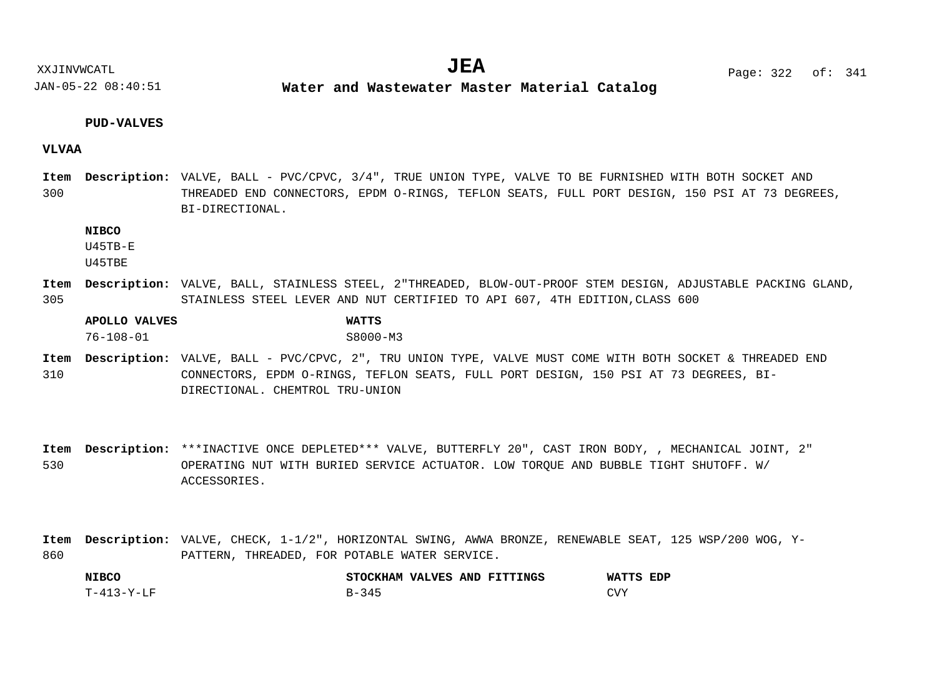**Water and Wastewater Master Material Catalog** 

#### **PUD-VALVES**

#### **VLVAA**

300 Item Description: VALVE, BALL - PVC/CPVC, 3/4", TRUE UNION TYPE, VALVE TO BE FURNISHED WITH BOTH SOCKET AND THREADED END CONNECTORS, EPDM O-RINGS, TEFLON SEATS, FULL PORT DESIGN, 150 PSI AT 73 DEGREES, BI-DIRECTIONAL.

#### **NIBCO**

U45TB-E

U45TBE

305 Item Description: VALVE, BALL, STAINLESS STEEL, 2"THREADED, BLOW-OUT-PROOF STEM DESIGN, ADJUSTABLE PACKING GLAND, STAINLESS STEEL LEVER AND NUT CERTIFIED TO API 607, 4TH EDITION,CLASS 600

## **APOLLO VALVES WATTS** 76-108-01 S8000-M3

310 Item Description: VALVE, BALL - PVC/CPVC, 2", TRU UNION TYPE, VALVE MUST COME WITH BOTH SOCKET & THREADED END CONNECTORS, EPDM O-RINGS, TEFLON SEATS, FULL PORT DESIGN, 150 PSI AT 73 DEGREES, BI-DIRECTIONAL. CHEMTROL TRU-UNION

530 Item Description: \*\*\*INACTIVE ONCE DEPLETED\*\*\* VALVE, BUTTERFLY 20", CAST IRON BODY, , MECHANICAL JOINT, 2" OPERATING NUT WITH BURIED SERVICE ACTUATOR. LOW TORQUE AND BUBBLE TIGHT SHUTOFF. W/ ACCESSORIES.

860 Item Description: VALVE, CHECK, 1-1/2", HORIZONTAL SWING, AWWA BRONZE, RENEWABLE SEAT, 125 WSP/200 WOG, Y-PATTERN, THREADED, FOR POTABLE WATER SERVICE.

| <b>NIBCO</b> | STOCKHAM VALVES AND FITTINGS | WATTS<br>EDP |
|--------------|------------------------------|--------------|
| T-413-Y-LF   | $R - 34F$                    | CVY          |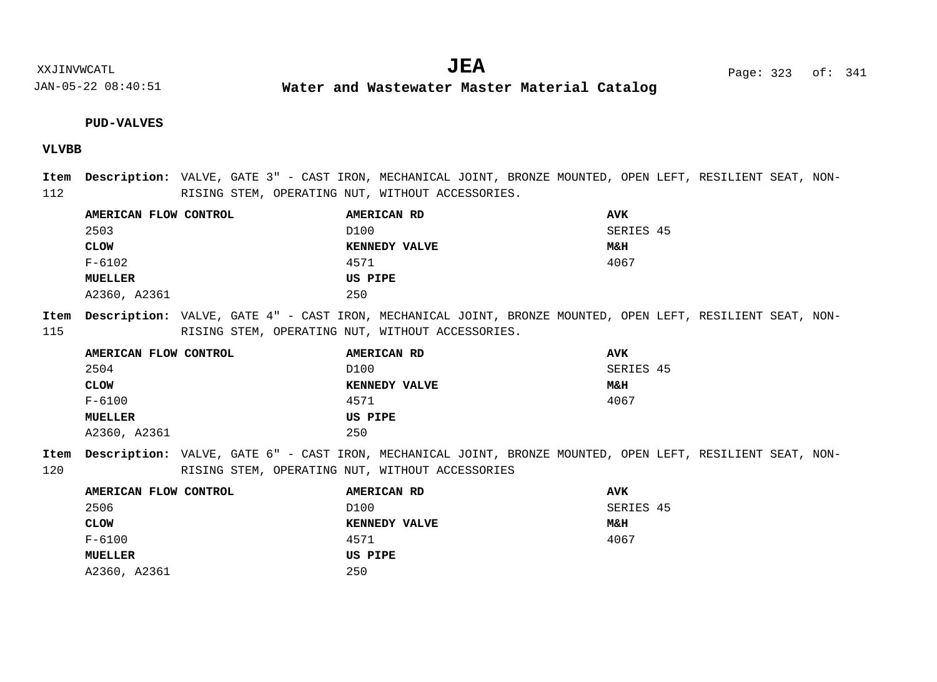**Water and Wastewater Master Material Catalog** 

#### **PUD-VALVES**

## **VLVBB**

112 Item Description: VALVE, GATE 3" - CAST IRON, MECHANICAL JOINT, BRONZE MOUNTED, OPEN LEFT, RESILIENT SEAT, NON-RISING STEM, OPERATING NUT, WITHOUT ACCESSORIES.

| AMERICAN FLOW CONTROL | AMERICAN RD   | <b>AVK</b> |
|-----------------------|---------------|------------|
| 2503                  | D100          | SERIES 45  |
| <b>CLOW</b>           | KENNEDY VALVE | M&H        |
| F-6102                | 4571          | 4067       |
| <b>MUELLER</b>        | US PIPE       |            |
| A2360, A2361          | 250           |            |

115 Item Description: VALVE, GATE 4" - CAST IRON, MECHANICAL JOINT, BRONZE MOUNTED, OPEN LEFT, RESILIENT SEAT, NON-RISING STEM, OPERATING NUT, WITHOUT ACCESSORIES.

| AMERICAN FLOW CONTROL | AMERICAN RD          | <b>AVK</b> |
|-----------------------|----------------------|------------|
| 2504                  | D100                 | SERIES 45  |
| <b>CLOW</b>           | <b>KENNEDY VALVE</b> | M&H        |
| F-6100                | 4571                 | 4067       |
| MUELLER               | US PIPE              |            |
| A2360, A2361          | 250                  |            |

120 Item Description: VALVE, GATE 6" - CAST IRON, MECHANICAL JOINT, BRONZE MOUNTED, OPEN LEFT, RESILIENT SEAT, NON-RISING STEM, OPERATING NUT, WITHOUT ACCESSORIES

| AMERICAN FLOW CONTROL | <b>AMERICAN RD</b> | <b>AVK</b>     |
|-----------------------|--------------------|----------------|
| 2506                  | D100               | SERIES 45      |
| <b>CLOW</b>           | KENNEDY VALVE      | <b>M&amp;H</b> |
| F-6100                | 4571               | 4067           |
| MUELLER               | US PIPE            |                |
| A2360, A2361          | 250                |                |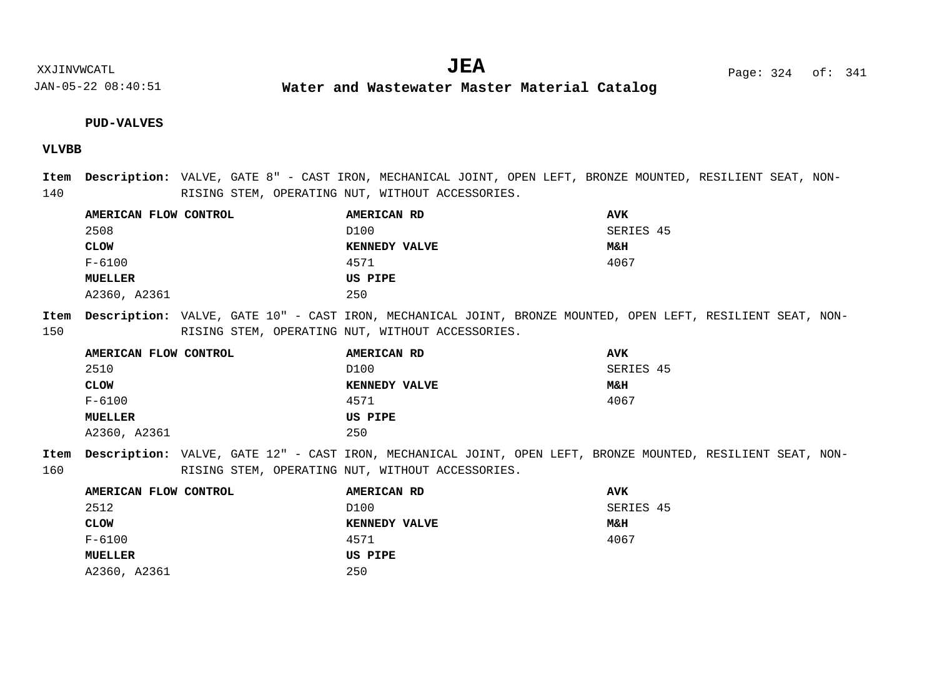**Water and Wastewater Master Material Catalog** 

#### **PUD-VALVES**

## **VLVBB**

140 Item Description: VALVE, GATE 8" - CAST IRON, MECHANICAL JOINT, OPEN LEFT, BRONZE MOUNTED, RESILIENT SEAT, NON-RISING STEM, OPERATING NUT, WITHOUT ACCESSORIES.

| AMERICAN FLOW CONTROL | AMERICAN RD          | <b>AVK</b>     |
|-----------------------|----------------------|----------------|
| 2508                  | D100                 | SERIES 45      |
| <b>CLOW</b>           | <b>KENNEDY VALVE</b> | <b>M&amp;H</b> |
| $F - 6100$            | 4571                 | 4067           |
| <b>MUELLER</b>        | US PIPE              |                |
| A2360, A2361          | 250                  |                |

150 Item Description: VALVE, GATE 10" - CAST IRON, MECHANICAL JOINT, BRONZE MOUNTED, OPEN LEFT, RESILIENT SEAT, NON-RISING STEM, OPERATING NUT, WITHOUT ACCESSORIES.

| AMERICAN FLOW CONTROL | <b>AMERICAN RD</b>   | <b>AVK</b>     |
|-----------------------|----------------------|----------------|
| 2510                  | D100                 | SERIES 45      |
| <b>CLOW</b>           | <b>KENNEDY VALVE</b> | <b>M&amp;H</b> |
| $F - 6100$            | 4571                 | 4067           |
| <b>MUELLER</b>        | US PIPE              |                |
| A2360, A2361          | 250                  |                |

160 Item Description: VALVE, GATE 12" - CAST IRON, MECHANICAL JOINT, OPEN LEFT, BRONZE MOUNTED, RESILIENT SEAT, NON-RISING STEM, OPERATING NUT, WITHOUT ACCESSORIES.

| <b>AMERICAN RD</b>   | <b>AVK</b>     |
|----------------------|----------------|
| D100                 | SERIES 45      |
| <b>KENNEDY VALVE</b> | <b>M&amp;H</b> |
| 4571                 | 4067           |
| US PIPE              |                |
| 250                  |                |
|                      |                |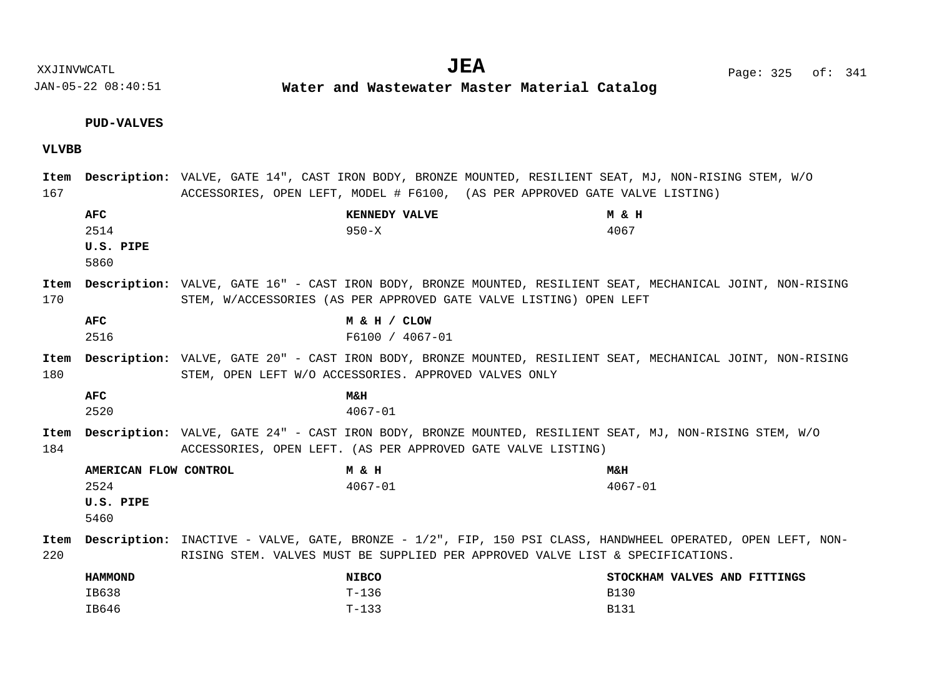**Water and Wastewater Master Material Catalog** 

# **PUD-VALVES**

**VLVBB**

| 167         |                                                    | Item Description: VALVE, GATE 14", CAST IRON BODY, BRONZE MOUNTED, RESILIENT SEAT, MJ, NON-RISING STEM, W/O<br>ACCESSORIES, OPEN LEFT, MODEL # F6100, (AS PER APPROVED GATE VALVE LISTING)           |                                                            |
|-------------|----------------------------------------------------|------------------------------------------------------------------------------------------------------------------------------------------------------------------------------------------------------|------------------------------------------------------------|
|             | <b>AFC</b><br>2514<br>U.S. PIPE<br>5860            | KENNEDY VALVE<br>$950 - X$                                                                                                                                                                           | M & H<br>4067                                              |
| Item<br>170 |                                                    | Description: VALVE, GATE 16" - CAST IRON BODY, BRONZE MOUNTED, RESILIENT SEAT, MECHANICAL JOINT, NON-RISING<br>STEM, W/ACCESSORIES (AS PER APPROVED GATE VALVE LISTING) OPEN LEFT                    |                                                            |
|             | <b>AFC</b><br>2516                                 | M & H / CLOW<br>F6100 / 4067-01                                                                                                                                                                      |                                                            |
| Item<br>180 |                                                    | Description: VALVE, GATE 20" - CAST IRON BODY, BRONZE MOUNTED, RESILIENT SEAT, MECHANICAL JOINT, NON-RISING<br>STEM, OPEN LEFT W/O ACCESSORIES. APPROVED VALVES ONLY                                 |                                                            |
|             | <b>AFC</b><br>2520                                 | <b>M&amp;H</b><br>$4067 - 01$                                                                                                                                                                        |                                                            |
| Item<br>184 |                                                    | Description: VALVE, GATE 24" - CAST IRON BODY, BRONZE MOUNTED, RESILIENT SEAT, MJ, NON-RISING STEM, W/O<br>ACCESSORIES, OPEN LEFT. (AS PER APPROVED GATE VALVE LISTING)                              |                                                            |
|             | AMERICAN FLOW CONTROL<br>2524<br>U.S. PIPE<br>5460 | M & H<br>$4067 - 01$                                                                                                                                                                                 | <b>M&amp;H</b><br>$4067 - 01$                              |
| Item<br>220 |                                                    | <b>Description:</b> INACTIVE - VALVE, GATE, BRONZE - 1/2", FIP, 150 PSI CLASS, HANDWHEEL OPERATED, OPEN LEFT, NON-<br>RISING STEM. VALVES MUST BE SUPPLIED PER APPROVED VALVE LIST & SPECIFICATIONS. |                                                            |
|             | <b>HAMMOND</b><br>IB638<br>IB646                   | <b>NIBCO</b><br>$T-136$<br>$T - 133$                                                                                                                                                                 | STOCKHAM VALVES AND FITTINGS<br><b>B130</b><br><b>B131</b> |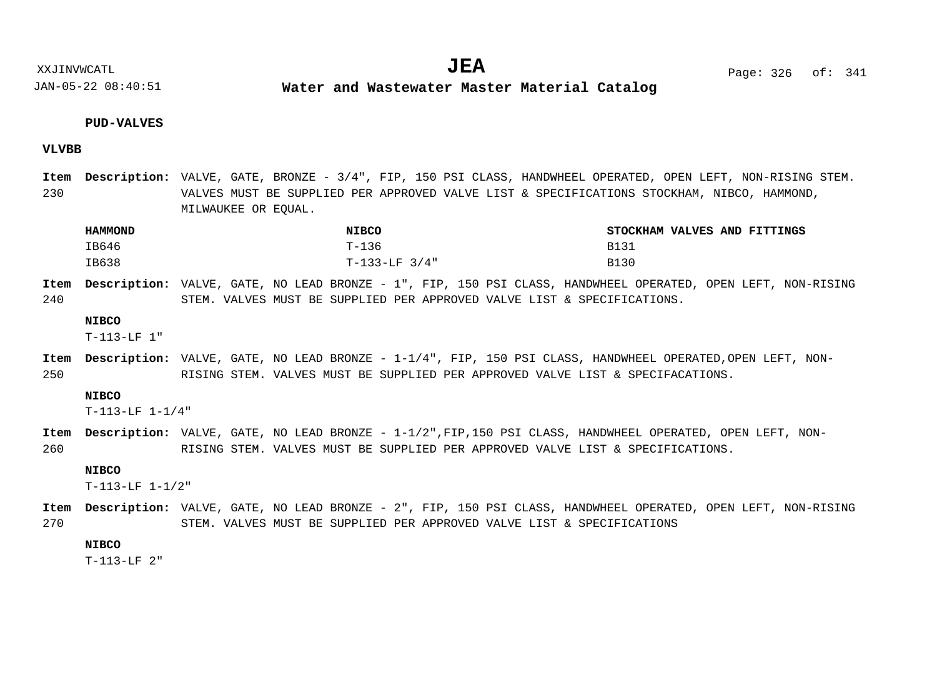XXJINVWCATL **EXALL** Page: 326 of:  $JEA$   $Page: 326 \text{ of}: 341$ 

JAN-05-22 08:40:51

**Water and Wastewater Master Material Catalog** 

#### **PUD-VALVES**

#### **VLVBB**

230 Item Description: VALVE, GATE, BRONZE - 3/4", FIP, 150 PSI CLASS, HANDWHEEL OPERATED, OPEN LEFT, NON-RISING STEM. VALVES MUST BE SUPPLIED PER APPROVED VALVE LIST & SPECIFICATIONS STOCKHAM, NIBCO, HAMMOND, MILWAUKEE OR EQUAL.

| <b>HAMMOND</b> | <b>NIBCO</b>    | STOCKHAM VALVES AND FITTINGS |
|----------------|-----------------|------------------------------|
| IB646          | $T-136$         | <b>B131</b>                  |
| IB638          | $T-133-LF$ 3/4" | <b>B130</b>                  |

240 Item Description: VALVE, GATE, NO LEAD BRONZE - 1", FIP, 150 PSI CLASS, HANDWHEEL OPERATED, OPEN LEFT, NON-RISING STEM. VALVES MUST BE SUPPLIED PER APPROVED VALVE LIST & SPECIFICATIONS.

#### **NIBCO**

T-113-LF 1"

250 Item Description: VALVE, GATE, NO LEAD BRONZE - 1-1/4", FIP, 150 PSI CLASS, HANDWHEEL OPERATED,OPEN LEFT, NON-RISING STEM. VALVES MUST BE SUPPLIED PER APPROVED VALVE LIST & SPECIFACATIONS.

#### **NIBCO**

T-113-LF 1-1/4"

260 Item Description: VALVE, GATE, NO LEAD BRONZE -  $1-1/2$ ", FIP,150 PSI CLASS, HANDWHEEL OPERATED, OPEN LEFT, NON-RISING STEM. VALVES MUST BE SUPPLIED PER APPROVED VALVE LIST & SPECIFICATIONS.

#### **NIBCO**

T-113-LF 1-1/2"

270 Item Description: VALVE, GATE, NO LEAD BRONZE - 2", FIP, 150 PSI CLASS, HANDWHEEL OPERATED, OPEN LEFT, NON-RISING STEM. VALVES MUST BE SUPPLIED PER APPROVED VALVE LIST & SPECIFICATIONS

### **NIBCO**

T-113-LF 2"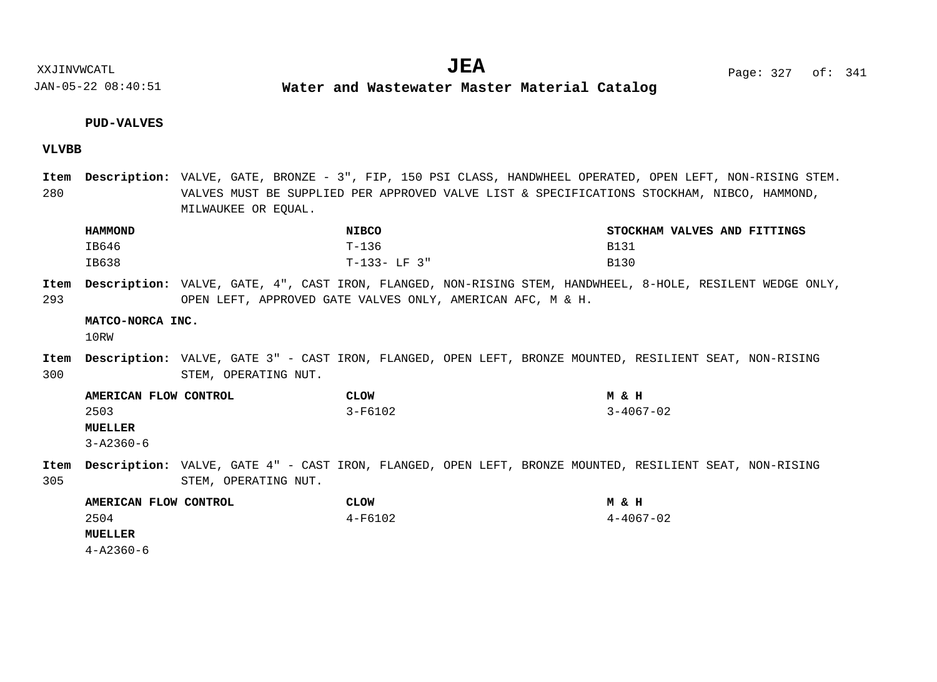**Water and Wastewater Master Material Catalog** 

#### **PUD-VALVES**

#### **VLVBB**

280 Item Description: VALVE, GATE, BRONZE - 3", FIP, 150 PSI CLASS, HANDWHEEL OPERATED, OPEN LEFT, NON-RISING STEM. VALVES MUST BE SUPPLIED PER APPROVED VALVE LIST & SPECIFICATIONS STOCKHAM, NIBCO, HAMMOND, MILWAUKEE OR EQUAL.

| <b>HAMMOND</b> | <b>NIBCO</b> | STOCKHAM VALVES AND FITTINGS |
|----------------|--------------|------------------------------|
| IB646          | T-136        | B131                         |
| IB638          | T-133- LF 3" | B130                         |

293 Item Description: VALVE, GATE, 4", CAST IRON, FLANGED, NON-RISING STEM, HANDWHEEL, 8-HOLE, RESILENT WEDGE ONLY, OPEN LEFT, APPROVED GATE VALVES ONLY, AMERICAN AFC, M & H.

#### **MATCO-NORCA INC.**

10RW

300 Item Description: VALVE, GATE 3" - CAST IRON, FLANGED, OPEN LEFT, BRONZE MOUNTED, RESILIENT SEAT, NON-RISING STEM, OPERATING NUT.

**AMERICAN FLOW CONTROL CLOW M & H MUELLER** 2503 3-F6102 3-4067-02 3-A2360-6

305 Item Description: VALVE, GATE 4" - CAST IRON, FLANGED, OPEN LEFT, BRONZE MOUNTED, RESILIENT SEAT, NON-RISING STEM, OPERATING NUT.

| AMERICAN FLOW CONTROL | <b>CLOW</b> | M & H           |
|-----------------------|-------------|-----------------|
| 2504                  | 4-F6102     | $4 - 4067 - 02$ |
| <b>MUELLER</b>        |             |                 |
| 4-A2360-6             |             |                 |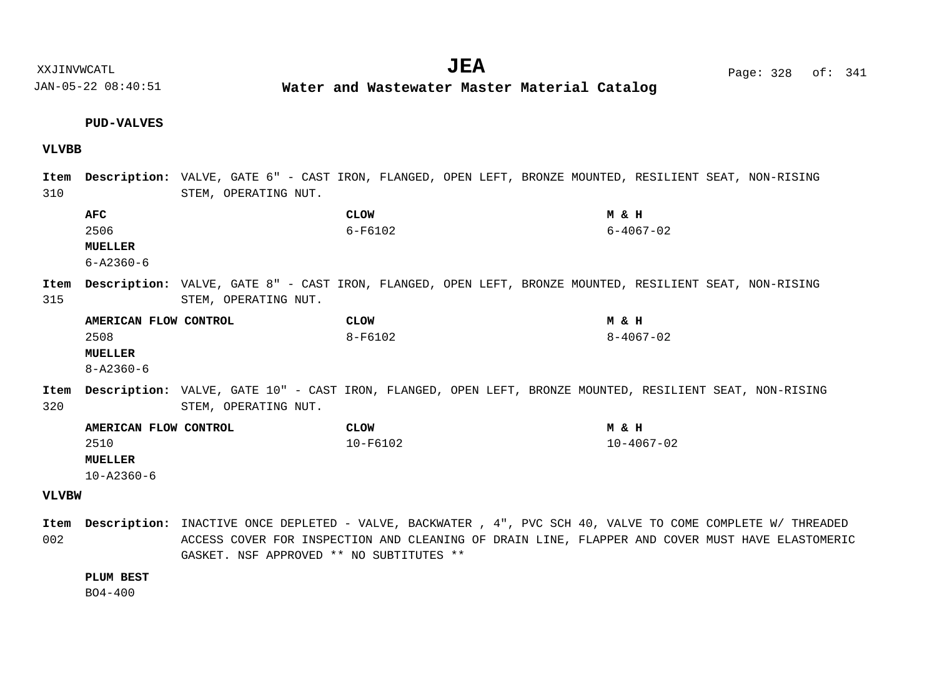JAN-05-22 08:40:51 **Water and Wastewater Master Material Catalog** 

#### **PUD-VALVES**

#### **VLVBB**

**VLVBW** 310 315 320 Item Description: VALVE, GATE 6" - CAST IRON, FLANGED, OPEN LEFT, BRONZE MOUNTED, RESILIENT SEAT, NON-RISING STEM, OPERATING NUT. Item Description: VALVE, GATE 8" - CAST IRON, FLANGED, OPEN LEFT, BRONZE MOUNTED, RESILIENT SEAT, NON-RISING STEM, OPERATING NUT. Item Description: VALVE, GATE 10" - CAST IRON, FLANGED, OPEN LEFT, BRONZE MOUNTED, RESILIENT SEAT, NON-RISING STEM, OPERATING NUT. **AFC CLOW M & H MUELLER AMERICAN FLOW CONTROL CLOW M & H MUELLER AMERICAN FLOW CONTROL CLOW M & H MUELLER** 2506 6-F6102 6-4067-02 6-A2360-6 2508 8-F6102 8-4067-02 8-A2360-6 2510 10-F6102 10-4067-02 10-A2360-6

002 Item Description: INACTIVE ONCE DEPLETED - VALVE, BACKWATER , 4", PVC SCH 40, VALVE TO COME COMPLETE W/ THREADED ACCESS COVER FOR INSPECTION AND CLEANING OF DRAIN LINE, FLAPPER AND COVER MUST HAVE ELASTOMERIC GASKET. NSF APPROVED \*\* NO SUBTITUTES \*\*

#### **PLUM BEST**

BO4-400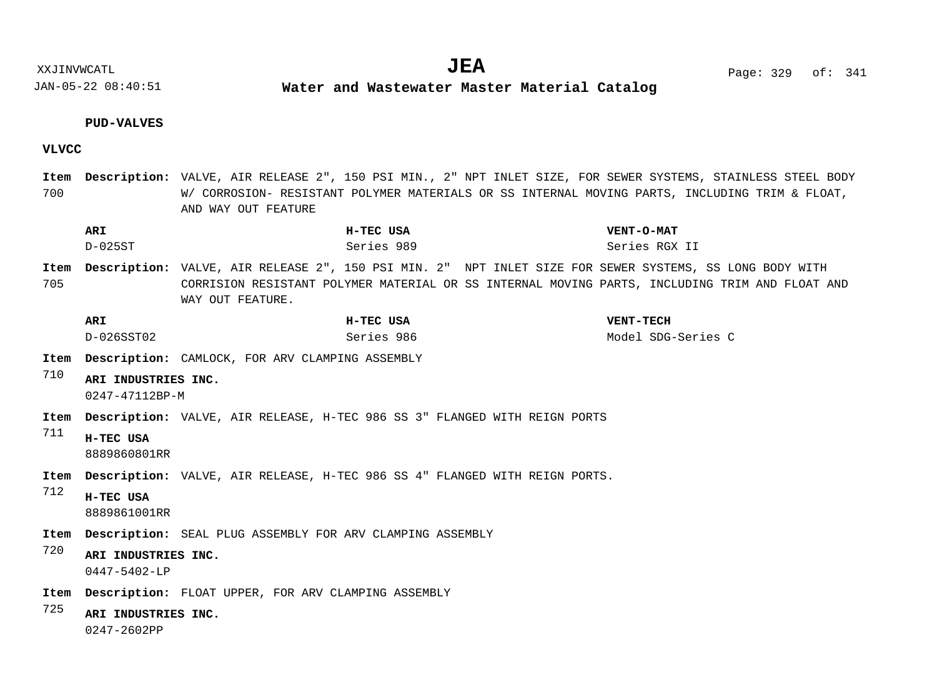XXJINVWCATL **EXALL** Page: 329 of:  $JEA$   $Page: 329 \text{ of}: 341$ 

JAN-05-22 08:40:51

**Water and Wastewater Master Material Catalog** 

#### **PUD-VALVES**

#### **VLVCC**

700 Item Description: VALVE, AIR RELEASE 2", 150 PSI MIN., 2" NPT INLET SIZE, FOR SEWER SYSTEMS, STAINLESS STEEL BODY W/ CORROSION- RESISTANT POLYMER MATERIALS OR SS INTERNAL MOVING PARTS, INCLUDING TRIM & FLOAT, AND WAY OUT FEATURE

| <b>ARI</b> | H-TEC USA  | <b>VENT-O-MAT</b> |
|------------|------------|-------------------|
| D-025ST    | Series 989 | Series RGX II     |

705 Item Description: VALVE, AIR RELEASE 2", 150 PSI MIN. 2" NPT INLET SIZE FOR SEWER SYSTEMS, SS LONG BODY WITH CORRISION RESISTANT POLYMER MATERIAL OR SS INTERNAL MOVING PARTS, INCLUDING TRIM AND FLOAT AND WAY OUT FEATURE.

| <b>ARI</b> | H-TEC USA  | <b>VENT-TECH</b>   |
|------------|------------|--------------------|
| D-026SST02 | Series 986 | Model SDG-Series C |

Item Description: CAMLOCK, FOR ARV CLAMPING ASSEMBLY

710 **ARI INDUSTRIES INC.**

0247-47112BP-M

Item Description: VALVE, AIR RELEASE, H-TEC 986 SS 3" FLANGED WITH REIGN PORTS

711 **H-TEC USA** 8889860801RR

Item Description: VALVE, AIR RELEASE, H-TEC 986 SS 4" FLANGED WITH REIGN PORTS.

- 712 **H-TEC USA**
	- 8889861001RR
- Item Description: SEAL PLUG ASSEMBLY FOR ARV CLAMPING ASSEMBLY
- 720 **ARI INDUSTRIES INC.** 0447-5402-LP
- Item Description: FLOAT UPPER, FOR ARV CLAMPING ASSEMBLY
- 725 **ARI INDUSTRIES INC.**

0247-2602PP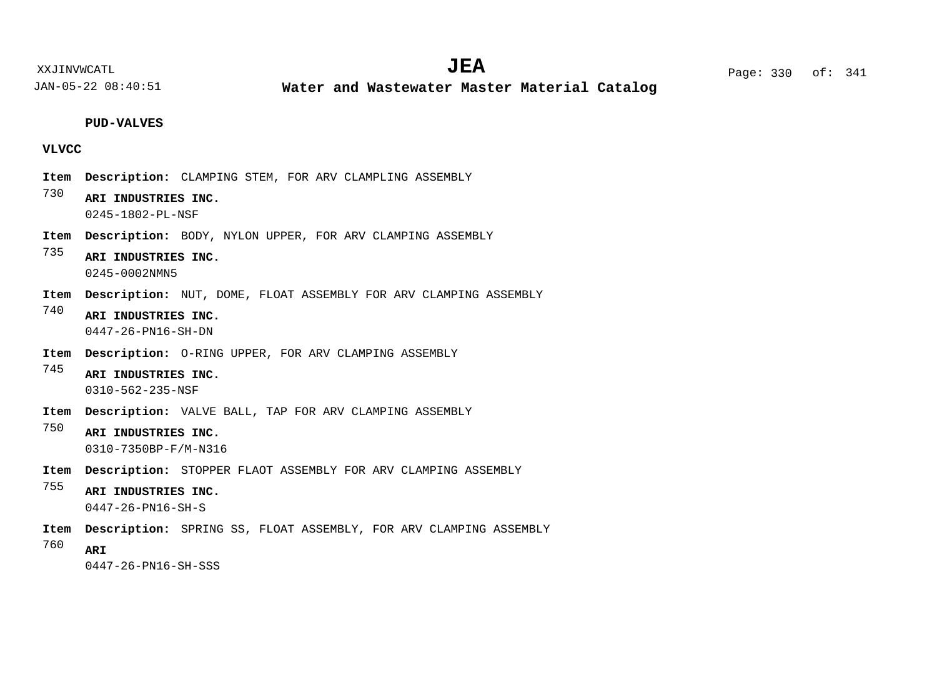**Water and Wastewater Master Material Catalog** 

**PUD-VALVES**

#### **VLVCC**

- Item Description: CLAMPING STEM, FOR ARV CLAMPLING ASSEMBLY
- 730 **ARI INDUSTRIES INC.** 0245-1802-PL-NSF
- Item Description: BODY, NYLON UPPER, FOR ARV CLAMPING ASSEMBLY
- 735 **ARI INDUSTRIES INC.** 0245-0002NMN5
- Item Description: NUT, DOME, FLOAT ASSEMBLY FOR ARV CLAMPING ASSEMBLY
- 740 **ARI INDUSTRIES INC.** 0447-26-PN16-SH-DN
- Item Description: O-RING UPPER, FOR ARV CLAMPING ASSEMBLY
- 745 **ARI INDUSTRIES INC.** 0310-562-235-NSF
- Item Description: VALVE BALL, TAP FOR ARV CLAMPING ASSEMBLY
- 750 **ARI INDUSTRIES INC.** 0310-7350BP-F/M-N316
- Item Description: STOPPER FLAOT ASSEMBLY FOR ARV CLAMPING ASSEMBLY
- 755 **ARI INDUSTRIES INC.**
	- 0447-26-PN16-SH-S
- Item Description: SPRING SS, FLOAT ASSEMBLY, FOR ARV CLAMPING ASSEMBLY
- 760 **ARI**

0447-26-PN16-SH-SSS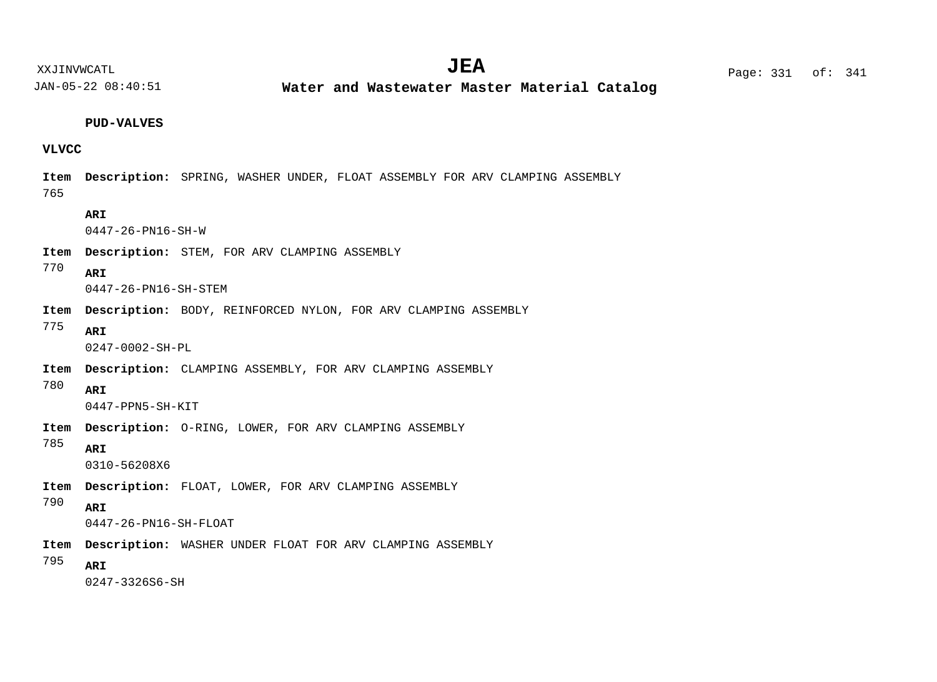**Water and Wastewater Master Material Catalog** 

#### **PUD-VALVES**

#### **VLVCC**

765 Item Description: SPRING, WASHER UNDER, FLOAT ASSEMBLY FOR ARV CLAMPING ASSEMBLY

#### **ARI**

0447-26-PN16-SH-W

Item Description: STEM, FOR ARV CLAMPING ASSEMBLY

#### 770 **ARI**

0447-26-PN16-SH-STEM

- Item Description: BODY, REINFORCED NYLON, FOR ARV CLAMPING ASSEMBLY
- 775 **ARI**

0247-0002-SH-PL

- Item Description: CLAMPING ASSEMBLY, FOR ARV CLAMPING ASSEMBLY
- 780 **ARI**

0447-PPN5-SH-KIT

- Item Description: O-RING, LOWER, FOR ARV CLAMPING ASSEMBLY
- 785 **ARI**

0310-56208X6

Item Description: FLOAT, LOWER, FOR ARV CLAMPING ASSEMBLY

#### 790 **ARI**

0447-26-PN16-SH-FLOAT

- Item Description: WASHER UNDER FLOAT FOR ARV CLAMPING ASSEMBLY
- 795 **ARI**

0247-3326S6-SH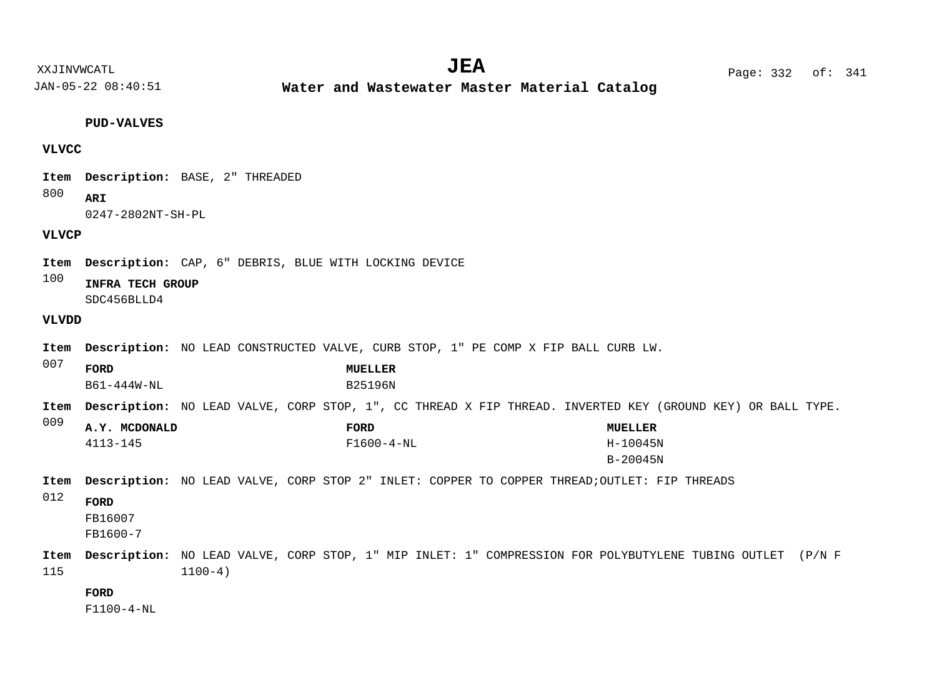XXJINVWCATL Page: 332 of: **JEA**<sup>341</sup>

JAN-05-22 08:40:51

**Water and Wastewater Master Material Catalog** 

### **PUD-VALVES**

# **VLVCC**

Item Description: BASE, 2" THREADED

800 **ARI**

0247-2802NT-SH-PL

# **VLVCP**

Item Description: CAP, 6" DEBRIS, BLUE WITH LOCKING DEVICE

100 **INFRA TECH GROUP** SDC456BLLD4

# **VLVDD**

| Item        | <b>Description:</b> NO LEAD CONSTRUCTED VALVE, CURB STOP, 1" PE COMP X FIP BALL CURB LW.                          |             |                           |                  |  |                          |  |  |
|-------------|-------------------------------------------------------------------------------------------------------------------|-------------|---------------------------|------------------|--|--------------------------|--|--|
| 007         | FORD<br>B61-444W-NL                                                                                               |             | MUELLER<br><b>B25196N</b> |                  |  |                          |  |  |
| Item        | <b>Description:</b> NO LEAD VALVE, CORP STOP, 1", CC THREAD X FIP THREAD. INVERTED KEY (GROUND KEY) OR BALL TYPE. |             |                           |                  |  |                          |  |  |
| 009         | A.Y. MCDONALD                                                                                                     |             | FORD                      |                  |  | MUELLER                  |  |  |
|             | $4113 - 145$                                                                                                      |             |                           | $F1600 - 4 - NL$ |  | H-10045N<br>$B - 20045N$ |  |  |
| Item        | <b>Description:</b> NO LEAD VALVE, CORP STOP 2" INLET: COPPER TO COPPER THREAD; OUTLET: FIP THREADS               |             |                           |                  |  |                          |  |  |
| 012         | FORD<br>FB16007<br>FB1600-7                                                                                       |             |                           |                  |  |                          |  |  |
| Item<br>115 | <b>Description:</b> NO LEAD VALVE, CORP STOP, 1" MIP INLET: 1" COMPRESSION FOR POLYBUTYLENE TUBING OUTLET (P/N F  | $1100 - 4)$ |                           |                  |  |                          |  |  |
|             | <b>FORD</b>                                                                                                       |             |                           |                  |  |                          |  |  |

F1100-4-NL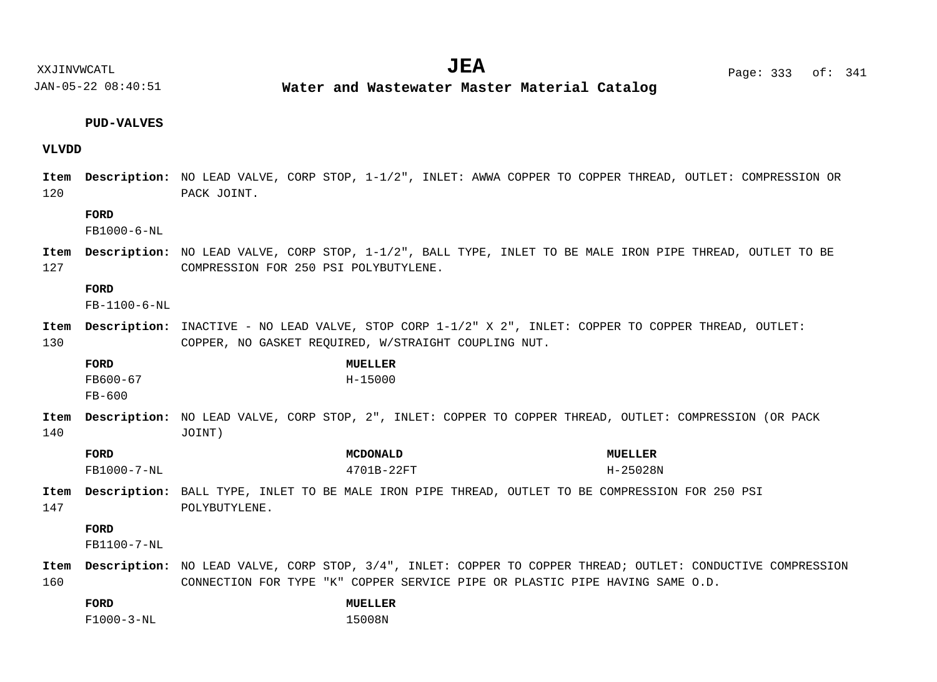**Water and Wastewater Master Material Catalog** 

#### **PUD-VALVES**

#### **VLVDD**

120 Item Description: NO LEAD VALVE, CORP STOP, 1-1/2", INLET: AWWA COPPER TO COPPER THREAD, OUTLET: COMPRESSION OR PACK JOINT.

#### **FORD**

FB1000-6-NL

127 Item Description: NO LEAD VALVE, CORP STOP, 1-1/2", BALL TYPE, INLET TO BE MALE IRON PIPE THREAD, OUTLET TO BE COMPRESSION FOR 250 PSI POLYBUTYLENE.

#### **FORD**

FB-1100-6-NL

130 Item Description: INACTIVE - NO LEAD VALVE, STOP CORP  $1-1/2$ " X  $2$ ", INLET: COPPER TO COPPER THREAD, OUTLET: COPPER, NO GASKET REQUIRED, W/STRAIGHT COUPLING NUT.

| FORD     | <b>MUELLER</b> |
|----------|----------------|
| FB600-67 | H-15000        |
| FB-600   |                |

- 140 Item Description: NO LEAD VALVE, CORP STOP, 2", INLET: COPPER TO COPPER THREAD, OUTLET: COMPRESSION (OR PACK JOINT)
	- **FORD MCDONALD MUELLER** FB1000-7-NL 4701B-22FT H-25028N
- 147 Item Description: BALL TYPE, INLET TO BE MALE IRON PIPE THREAD, OUTLET TO BE COMPRESSION FOR 250 PSI POLYBUTYLENE.

### **FORD**

FB1100-7-NL

160 Item Description: NO LEAD VALVE, CORP STOP, 3/4", INLET: COPPER TO COPPER THREAD; OUTLET: CONDUCTIVE COMPRESSION CONNECTION FOR TYPE "K" COPPER SERVICE PIPE OR PLASTIC PIPE HAVING SAME O.D.

| FORD             | <b>MUELLER</b> |
|------------------|----------------|
| $F1000 - 3 - NL$ | 15008N         |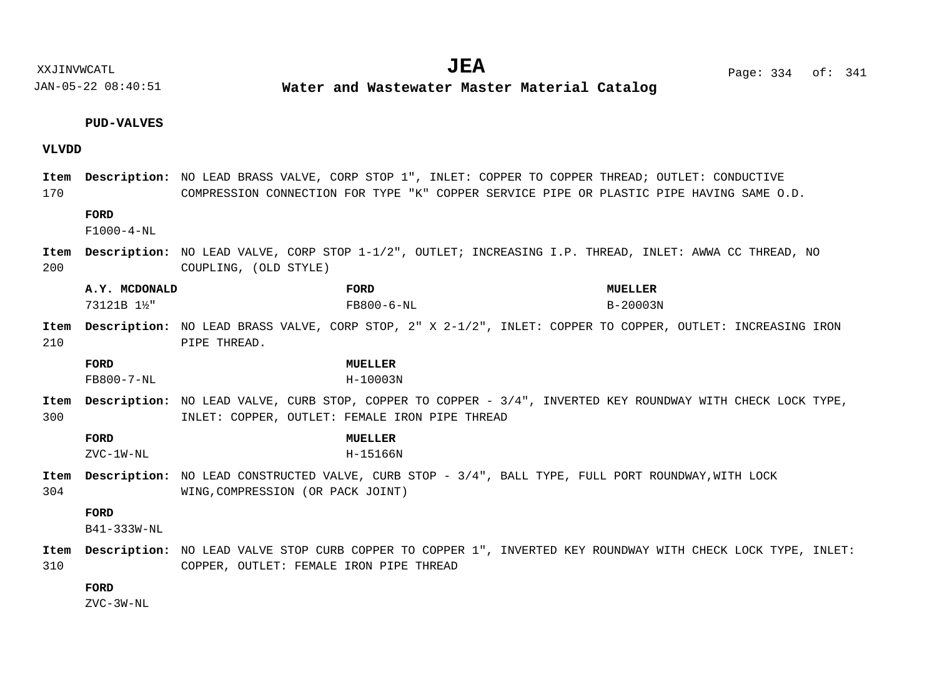**Water and Wastewater Master Material Catalog** 

# **PUD-VALVES**

# **VLVDD**

| 170         |                             | Item Description: NO LEAD BRASS VALVE, CORP STOP 1", INLET: COPPER TO COPPER THREAD; OUTLET: CONDUCTIVE<br>COMPRESSION CONNECTION FOR TYPE "K" COPPER SERVICE PIPE OR PLASTIC PIPE HAVING SAME O.D. |
|-------------|-----------------------------|-----------------------------------------------------------------------------------------------------------------------------------------------------------------------------------------------------|
|             | FORD<br>$F1000 - 4 - NL$    |                                                                                                                                                                                                     |
| Item<br>200 |                             | Description: NO LEAD VALVE, CORP STOP 1-1/2", OUTLET; INCREASING I.P. THREAD, INLET: AWWA CC THREAD, NO<br>COUPLING, (OLD STYLE)                                                                    |
|             | A.Y. MCDONALD<br>73121B 1½" | FORD<br><b>MUELLER</b><br>FB800-6-NL<br>$B - 20003N$                                                                                                                                                |
| Item<br>210 |                             | Description: NO LEAD BRASS VALVE, CORP STOP, 2" X 2-1/2", INLET: COPPER TO COPPER, OUTLET: INCREASING IRON<br>PIPE THREAD.                                                                          |
|             | FORD<br>$FB800 - 7 - NL$    | <b>MUELLER</b><br>$H - 10003N$                                                                                                                                                                      |
| Item<br>300 |                             | <b>Description:</b> NO LEAD VALVE, CURB STOP, COPPER TO COPPER - 3/4", INVERTED KEY ROUNDWAY WITH CHECK LOCK TYPE,<br>INLET: COPPER, OUTLET: FEMALE IRON PIPE THREAD                                |
|             | <b>FORD</b><br>ZVC-1W-NL    | <b>MUELLER</b><br>H-15166N                                                                                                                                                                          |
| Item<br>304 |                             | <b>Description:</b> NO LEAD CONSTRUCTED VALVE, CURB STOP - 3/4", BALL TYPE, FULL PORT ROUNDWAY, WITH LOCK<br>WING, COMPRESSION (OR PACK JOINT)                                                      |
|             | <b>FORD</b><br>B41-333W-NL  |                                                                                                                                                                                                     |
| Item<br>310 |                             | Description: NO LEAD VALVE STOP CURB COPPER TO COPPER 1", INVERTED KEY ROUNDWAY WITH CHECK LOCK TYPE, INLET:<br>COPPER, OUTLET: FEMALE IRON PIPE THREAD                                             |
|             | FORD                        |                                                                                                                                                                                                     |

ZVC-3W-NL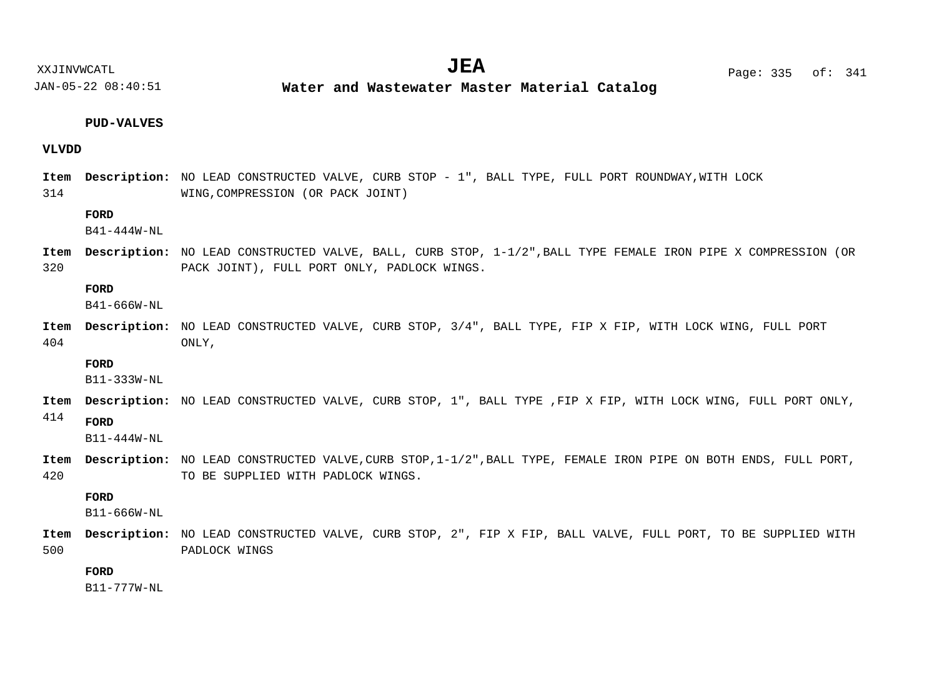$JEA$   $Page: 335 of: 341$ 

XXJINVWCATL **EXECUTE:**  $\mathbf{U} \mathbf{E} \mathbf{A}$  and  $\mathbf{P}$  and  $\mathbf{P}$  are: 335 of:

JAN-05-22 08:40:51

**Water and Wastewater Master Material Catalog** 

#### **PUD-VALVES**

#### **VLVDD**

314 Item Description: NO LEAD CONSTRUCTED VALVE, CURB STOP - 1", BALL TYPE, FULL PORT ROUNDWAY, WITH LOCK WING,COMPRESSION (OR PACK JOINT)

#### **FORD**

B41-444W-NL

320 Item Description: NO LEAD CONSTRUCTED VALVE, BALL, CURB STOP,  $1-1/2$ ", BALL TYPE FEMALE IRON PIPE X COMPRESSION (OR PACK JOINT), FULL PORT ONLY, PADLOCK WINGS.

#### **FORD**

B41-666W-NL

404 Item Description: NO LEAD CONSTRUCTED VALVE, CURB STOP, 3/4", BALL TYPE, FIP X FIP, WITH LOCK WING, FULL PORT ONLY,

#### **FORD**

B11-333W-NL

Item Description: NO LEAD CONSTRUCTED VALVE, CURB STOP, 1", BALL TYPE ,FIP X FIP, WITH LOCK WING, FULL PORT ONLY,

#### 414 **FORD**

 $B11 - 444W - NT$ 

420 Item Description: NO LEAD CONSTRUCTED VALVE, CURB STOP, 1-1/2", BALL TYPE, FEMALE IRON PIPE ON BOTH ENDS, FULL PORT, TO BE SUPPLIED WITH PADLOCK WINGS.

#### **FORD**

B11-666W-NL

500 Item Description: NO LEAD CONSTRUCTED VALVE, CURB STOP, 2", FIP X FIP, BALL VALVE, FULL PORT, TO BE SUPPLIED WITH PADLOCK WINGS

# **FORD**

B11-777W-NL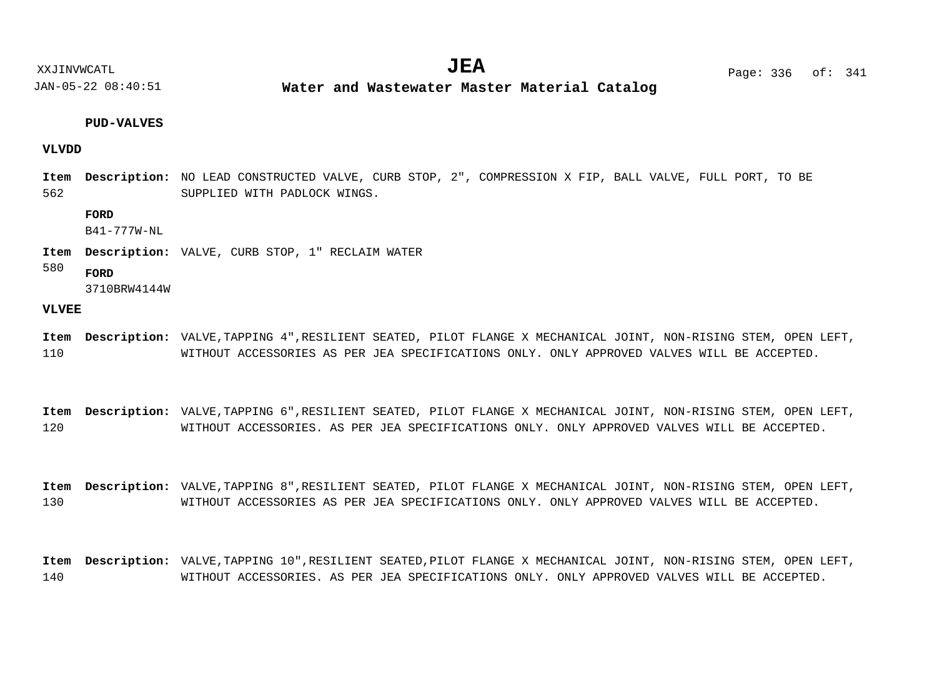**Water and Wastewater Master Material Catalog** 

#### **PUD-VALVES**

#### **VLVDD**

562 Item Description: NO LEAD CONSTRUCTED VALVE, CURB STOP, 2", COMPRESSION X FIP, BALL VALVE, FULL PORT, TO BE SUPPLIED WITH PADLOCK WINGS.

#### **FORD**

B41-777W-NL

Item Description: VALVE, CURB STOP, 1" RECLAIM WATER

#### 580 **FORD**

3710BRW4144W

#### **VLVEE**

- 110 Item Description: VALVE,TAPPING 4",RESILIENT SEATED, PILOT FLANGE X MECHANICAL JOINT, NON-RISING STEM, OPEN LEFT, WITHOUT ACCESSORIES AS PER JEA SPECIFICATIONS ONLY. ONLY APPROVED VALVES WILL BE ACCEPTED.
- 120 Item Description: VALVE,TAPPING 6",RESILIENT SEATED, PILOT FLANGE X MECHANICAL JOINT, NON-RISING STEM, OPEN LEFT, WITHOUT ACCESSORIES. AS PER JEA SPECIFICATIONS ONLY. ONLY APPROVED VALVES WILL BE ACCEPTED.
- 130 Item Description: VALVE,TAPPING 8",RESILIENT SEATED, PILOT FLANGE X MECHANICAL JOINT, NON-RISING STEM, OPEN LEFT, WITHOUT ACCESSORIES AS PER JEA SPECIFICATIONS ONLY. ONLY APPROVED VALVES WILL BE ACCEPTED.

140 Item Description: VALVE, TAPPING 10", RESILIENT SEATED, PILOT FLANGE X MECHANICAL JOINT, NON-RISING STEM, OPEN LEFT, WITHOUT ACCESSORIES. AS PER JEA SPECIFICATIONS ONLY. ONLY APPROVED VALVES WILL BE ACCEPTED.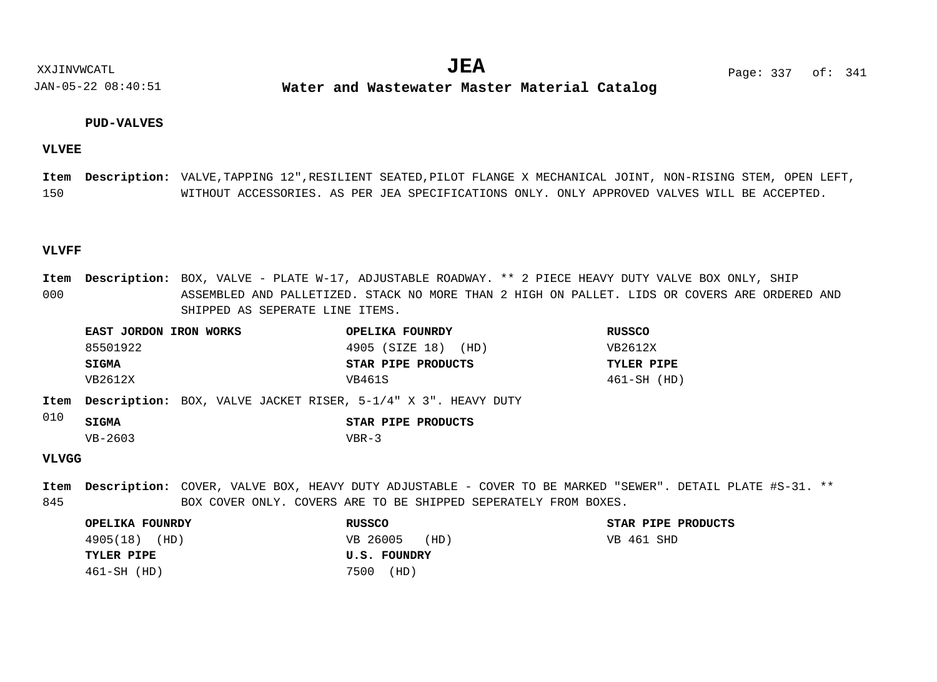**Water and Wastewater Master Material Catalog** 

#### **PUD-VALVES**

#### **VLVEE**

150 Item Description: VALVE, TAPPING 12", RESILIENT SEATED, PILOT FLANGE X MECHANICAL JOINT, NON-RISING STEM, OPEN LEFT, WITHOUT ACCESSORIES. AS PER JEA SPECIFICATIONS ONLY. ONLY APPROVED VALVES WILL BE ACCEPTED.

#### **VLVFF**

000 Item Description: BOX, VALVE - PLATE W-17, ADJUSTABLE ROADWAY. \*\* 2 PIECE HEAVY DUTY VALVE BOX ONLY, SHIP ASSEMBLED AND PALLETIZED. STACK NO MORE THAN 2 HIGH ON PALLET. LIDS OR COVERS ARE ORDERED AND SHIPPED AS SEPERATE LINE ITEMS.

| EAST JORDON IRON WORKS | OPELIKA FOUNRDY     | RUSSCO            |
|------------------------|---------------------|-------------------|
| 85501922               | 4905 (SIZE 18) (HD) | VB2612X           |
| SIGMA                  | STAR PIPE PRODUCTS  | <b>TYLER PIPE</b> |
| VB2612X                | VB461S              | 461-SH (HD)       |
|                        |                     |                   |

Item Description: BOX, VALVE JACKET RISER, 5-1/4" X 3". HEAVY DUTY

| <b>SIGMA</b> |         | STAR PIPE PRODUCTS |
|--------------|---------|--------------------|
| $VB-2603$    | $VBR-3$ |                    |

### **VLVGG**

 $010$ 

845 COVER, VALVE BOX, HEAVY DUTY ADJUSTABLE - COVER TO BE MARKED "SEWER". DETAIL PLATE #S-31. \*\* **Description: Item**BOX COVER ONLY. COVERS ARE TO BE SHIPPED SEPERATELY FROM BOXES.

| OPELIKA FOUNRDY   | <b>RUSSCO</b>    | STAR PIPE PRODUCTS |
|-------------------|------------------|--------------------|
| 4905(18) (HD)     | VB 26005<br>(HD) | VB 461 SHD         |
| <b>TYLER PIPE</b> | U.S. FOUNDRY     |                    |
| $461-SH$ (HD)     | 7500<br>(HD)     |                    |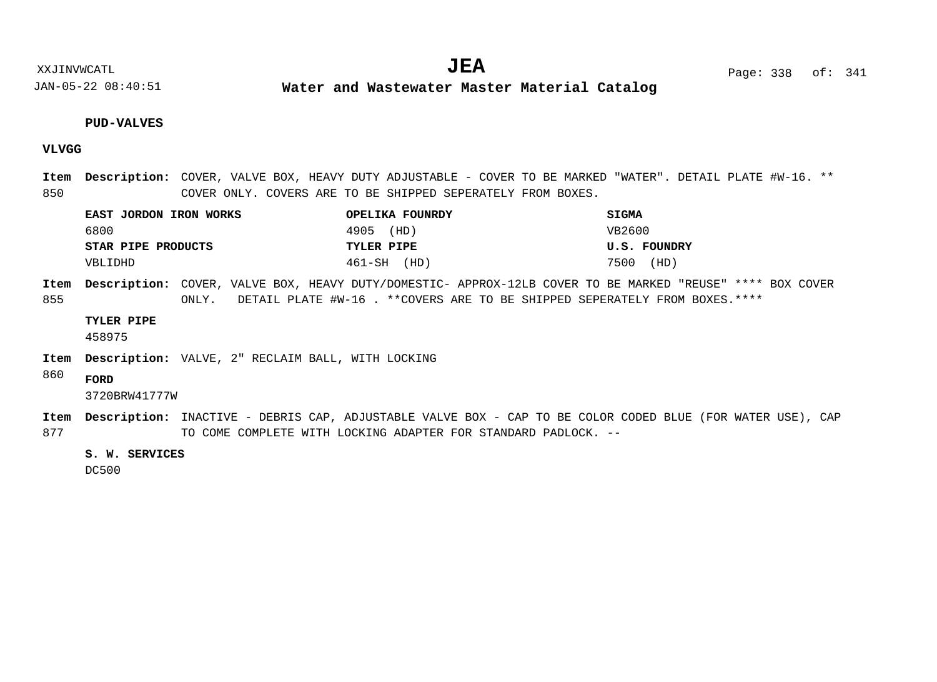**Water and Wastewater Master Material Catalog** 

#### **PUD-VALVES**

# **VLVGG**

850 COVER, VALVE BOX, HEAVY DUTY ADJUSTABLE - COVER TO BE MARKED "WATER". DETAIL PLATE #W-16. \*\* **Description: Item** COVER ONLY. COVERS ARE TO BE SHIPPED SEPERATELY FROM BOXES.

| EAST JORDON IRON WORKS | OPELIKA FOUNRDY | <b>SIGMA</b> |
|------------------------|-----------------|--------------|
| 6800                   | 4905 (HD)       | VB2600       |
| STAR PIPE PRODUCTS     | TYLER PIPE      | U.S. FOUNDRY |
| VBLIDHD                | 461-SH (HD)     | 7500 (HD)    |

855 Item Description: COVER, VALVE BOX, HEAVY DUTY/DOMESTIC- APPROX-12LB COVER TO BE MARKED "REUSE" \*\*\*\* BOX COVER ONLY. DETAIL PLATE #W-16 . \*\*COVERS ARE TO BE SHIPPED SEPERATELY FROM BOXES.\*\*\*\*

#### **TYLER PIPE**

458975

Item Description: VALVE, 2" RECLAIM BALL, WITH LOCKING

860 **FORD**

3720BRW41777W

877 Item Description: INACTIVE - DEBRIS CAP, ADJUSTABLE VALVE BOX - CAP TO BE COLOR CODED BLUE (FOR WATER USE), CAP TO COME COMPLETE WITH LOCKING ADAPTER FOR STANDARD PADLOCK. --

#### **S. W. SERVICES**

DC500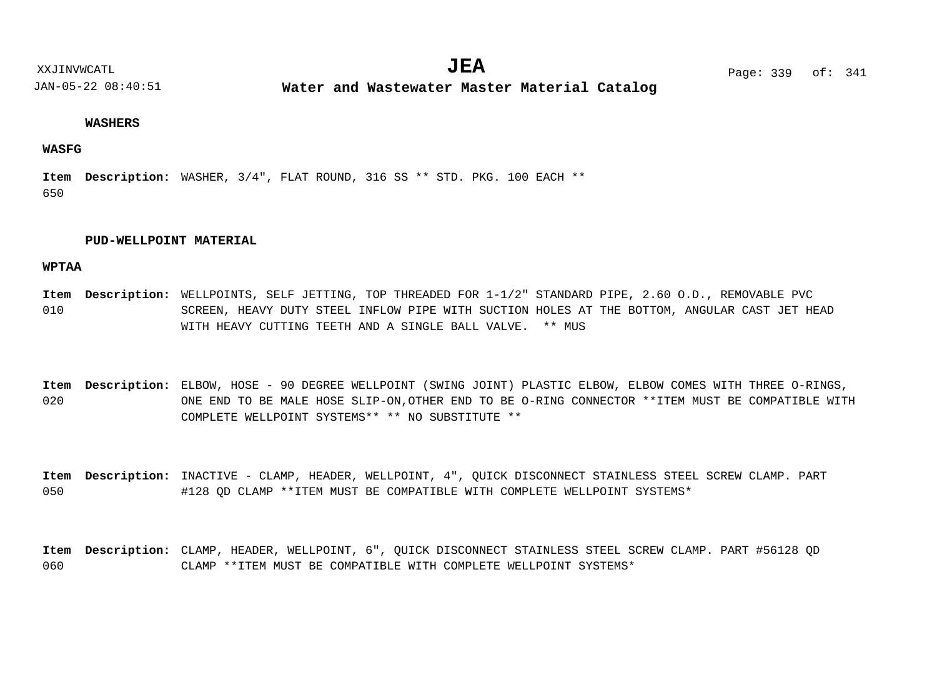**Water and Wastewater Master Material Catalog** 

#### **WASHERS**

#### **WASFG**

650 Item Description: WASHER, 3/4", FLAT ROUND, 316 SS \*\* STD. PKG. 100 EACH \*\*

#### **PUD-WELLPOINT MATERIAL**

#### **WPTAA**

010 Item Description: WELLPOINTS, SELF JETTING, TOP THREADED FOR 1-1/2" STANDARD PIPE, 2.60 O.D., REMOVABLE PVC SCREEN, HEAVY DUTY STEEL INFLOW PIPE WITH SUCTION HOLES AT THE BOTTOM, ANGULAR CAST JET HEAD WITH HEAVY CUTTING TEETH AND A SINGLE BALL VALVE. \*\* MUS

020 Item Description: ELBOW, HOSE - 90 DEGREE WELLPOINT (SWING JOINT) PLASTIC ELBOW, ELBOW COMES WITH THREE O-RINGS, ONE END TO BE MALE HOSE SLIP-ON,OTHER END TO BE O-RING CONNECTOR \*\*ITEM MUST BE COMPATIBLE WITH COMPLETE WELLPOINT SYSTEMS\*\* \*\* NO SUBSTITUTE \*\*

050 Item Description: INACTIVE - CLAMP, HEADER, WELLPOINT, 4", QUICK DISCONNECT STAINLESS STEEL SCREW CLAMP. PART #128 QD CLAMP \*\*ITEM MUST BE COMPATIBLE WITH COMPLETE WELLPOINT SYSTEMS\*

060 CLAMP, HEADER, WELLPOINT, 6", QUICK DISCONNECT STAINLESS STEEL SCREW CLAMP. PART #56128 QD **Description: Item**CLAMP \*\*ITEM MUST BE COMPATIBLE WITH COMPLETE WELLPOINT SYSTEMS\*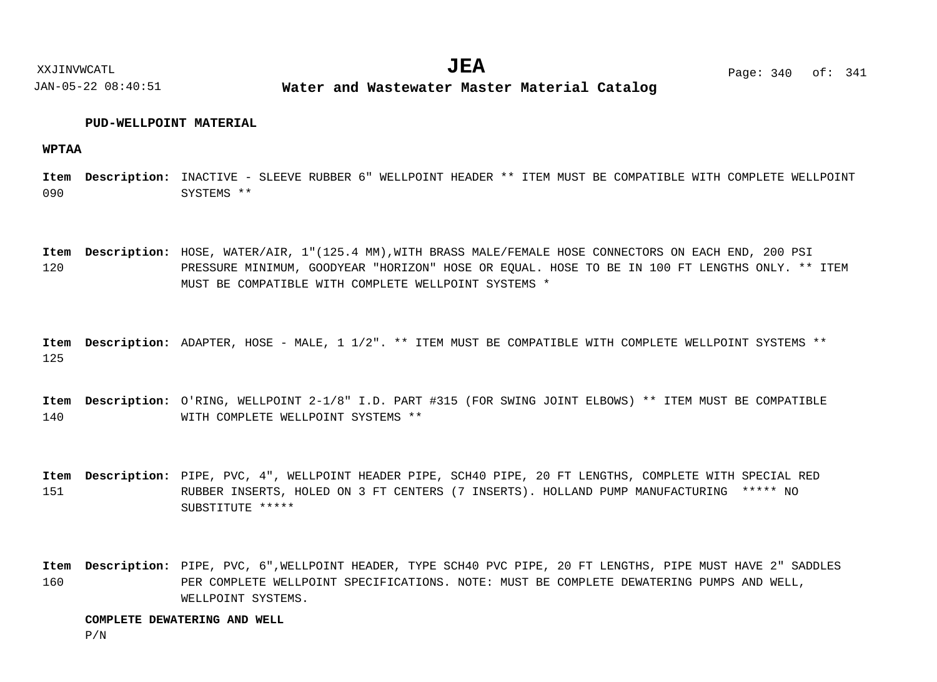XXJINVWCATL **EXALL** Page: 340 of:  $JEA$   $Page: 340 of: 341$ 

JAN-05-22 08:40:51 **Water and Wastewater Master Material Catalog** 

#### **PUD-WELLPOINT MATERIAL**

**WPTAA**

090 Item Description: INACTIVE - SLEEVE RUBBER 6" WELLPOINT HEADER \*\* ITEM MUST BE COMPATIBLE WITH COMPLETE WELLPOINT SYSTEMS \*\*

120 Item Description: HOSE, WATER/AIR, 1"(125.4 MM),WITH BRASS MALE/FEMALE HOSE CONNECTORS ON EACH END, 200 PSI PRESSURE MINIMUM, GOODYEAR "HORIZON" HOSE OR EQUAL. HOSE TO BE IN 100 FT LENGTHS ONLY. \*\* ITEM MUST BE COMPATIBLE WITH COMPLETE WELLPOINT SYSTEMS \*

125 Item Description: ADAPTER, HOSE - MALE, 1 1/2". \*\* ITEM MUST BE COMPATIBLE WITH COMPLETE WELLPOINT SYSTEMS \*\*

140 Item Description: O'RING, WELLPOINT 2-1/8" I.D. PART #315 (FOR SWING JOINT ELBOWS) \*\* ITEM MUST BE COMPATIBLE WITH COMPLETE WELLPOINT SYSTEMS \*\*

151 Item Description: PIPE, PVC, 4", WELLPOINT HEADER PIPE, SCH40 PIPE, 20 FT LENGTHS, COMPLETE WITH SPECIAL RED RUBBER INSERTS, HOLED ON 3 FT CENTERS (7 INSERTS). HOLLAND PUMP MANUFACTURING \*\*\*\*\* NO SUBSTITUTE \*\*\*\*\*

160 Item Description: PIPE, PVC, 6",WELLPOINT HEADER, TYPE SCH40 PVC PIPE, 20 FT LENGTHS, PIPE MUST HAVE 2" SADDLES PER COMPLETE WELLPOINT SPECIFICATIONS. NOTE: MUST BE COMPLETE DEWATERING PUMPS AND WELL, WELLPOINT SYSTEMS.

#### **COMPLETE DEWATERING AND WELL**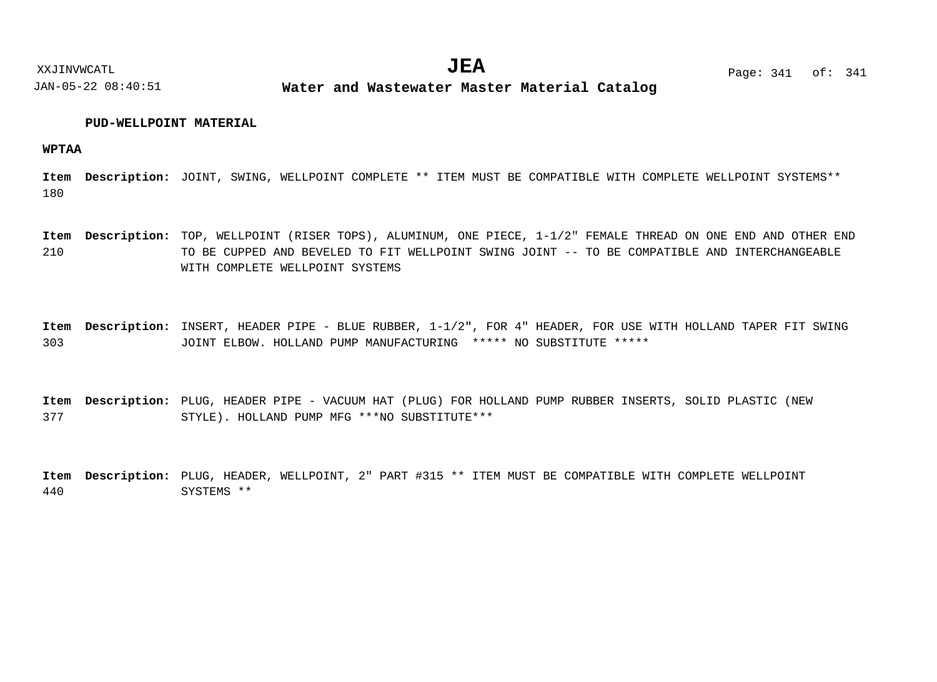JAN-05-22 08:40:51 **Water and Wastewater Master Material Catalog** 

#### **PUD-WELLPOINT MATERIAL**

**WPTAA**

180 Item Description: JOINT, SWING, WELLPOINT COMPLETE \*\* ITEM MUST BE COMPATIBLE WITH COMPLETE WELLPOINT SYSTEMS\*\*

210 Item Description: TOP, WELLPOINT (RISER TOPS), ALUMINUM, ONE PIECE, 1-1/2" FEMALE THREAD ON ONE END AND OTHER END TO BE CUPPED AND BEVELED TO FIT WELLPOINT SWING JOINT -- TO BE COMPATIBLE AND INTERCHANGEABLE WITH COMPLETE WELLPOINT SYSTEMS

303 Item Description: INSERT, HEADER PIPE - BLUE RUBBER, 1-1/2", FOR 4" HEADER, FOR USE WITH HOLLAND TAPER FIT SWING JOINT ELBOW. HOLLAND PUMP MANUFACTURING \*\*\*\*\* NO SUBSTITUTE \*\*\*\*\*

377 Item Description: PLUG, HEADER PIPE - VACUUM HAT (PLUG) FOR HOLLAND PUMP RUBBER INSERTS, SOLID PLASTIC (NEW STYLE). HOLLAND PUMP MFG \*\*\*NO SUBSTITUTE\*\*\*

440 Item Description: PLUG, HEADER, WELLPOINT, 2" PART #315 \*\* ITEM MUST BE COMPATIBLE WITH COMPLETE WELLPOINT SYSTEMS \*\*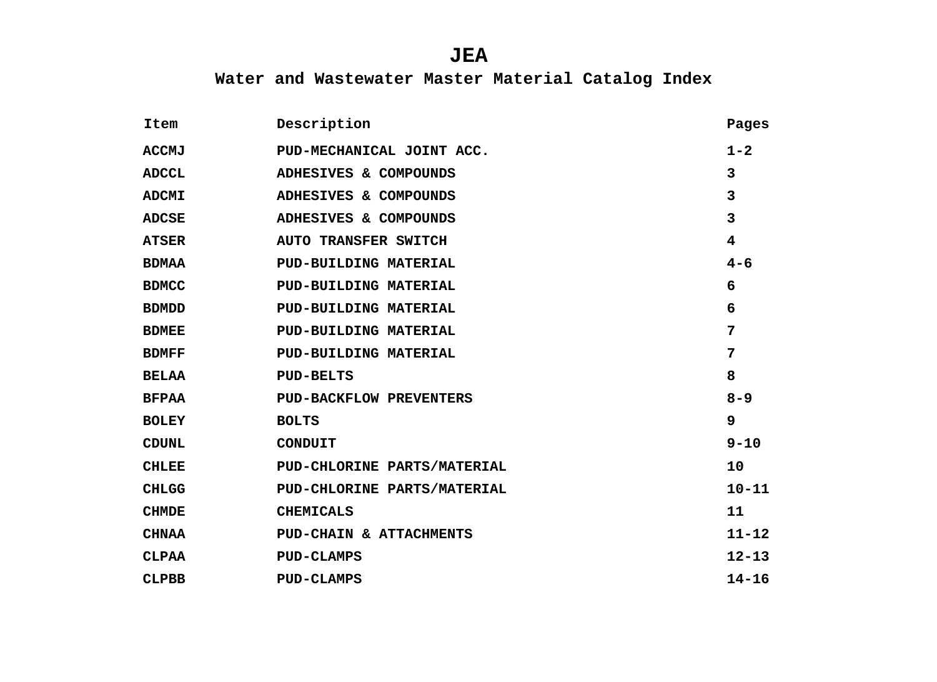| Item         | Description                    | Pages                   |
|--------------|--------------------------------|-------------------------|
| <b>ACCMJ</b> | PUD-MECHANICAL JOINT ACC.      | $1 - 2$                 |
| <b>ADCCL</b> | ADHESIVES & COMPOUNDS          | $\overline{3}$          |
| <b>ADCMI</b> | ADHESIVES & COMPOUNDS          | 3                       |
| <b>ADCSE</b> | ADHESIVES & COMPOUNDS          | $\overline{3}$          |
| <b>ATSER</b> | <b>AUTO TRANSFER SWITCH</b>    | $\overline{\mathbf{4}}$ |
| <b>BDMAA</b> | PUD-BUILDING MATERIAL          | $4 - 6$                 |
| <b>BDMCC</b> | PUD-BUILDING MATERIAL          | 6                       |
| <b>BDMDD</b> | PUD-BUILDING MATERIAL          | 6                       |
| <b>BDMEE</b> | PUD-BUILDING MATERIAL          | 7                       |
| <b>BDMFF</b> | PUD-BUILDING MATERIAL          | $7\phantom{.}$          |
| <b>BELAA</b> | <b>PUD-BELTS</b>               | 8                       |
| <b>BFPAA</b> | <b>PUD-BACKFLOW PREVENTERS</b> | $8 - 9$                 |
| <b>BOLEY</b> | <b>BOLTS</b>                   | 9                       |
| <b>CDUNL</b> | <b>CONDUIT</b>                 | $9 - 10$                |
| <b>CHLEE</b> | PUD-CHLORINE PARTS/MATERIAL    | 10                      |
| <b>CHLGG</b> | PUD-CHLORINE PARTS/MATERIAL    | $10 - 11$               |
| <b>CHMDE</b> | <b>CHEMICALS</b>               | 11                      |
| <b>CHNAA</b> | PUD-CHAIN & ATTACHMENTS        | $11 - 12$               |
| <b>CLPAA</b> | <b>PUD-CLAMPS</b>              | $12 - 13$               |
| <b>CLPBB</b> | <b>PUD-CLAMPS</b>              | $14 - 16$               |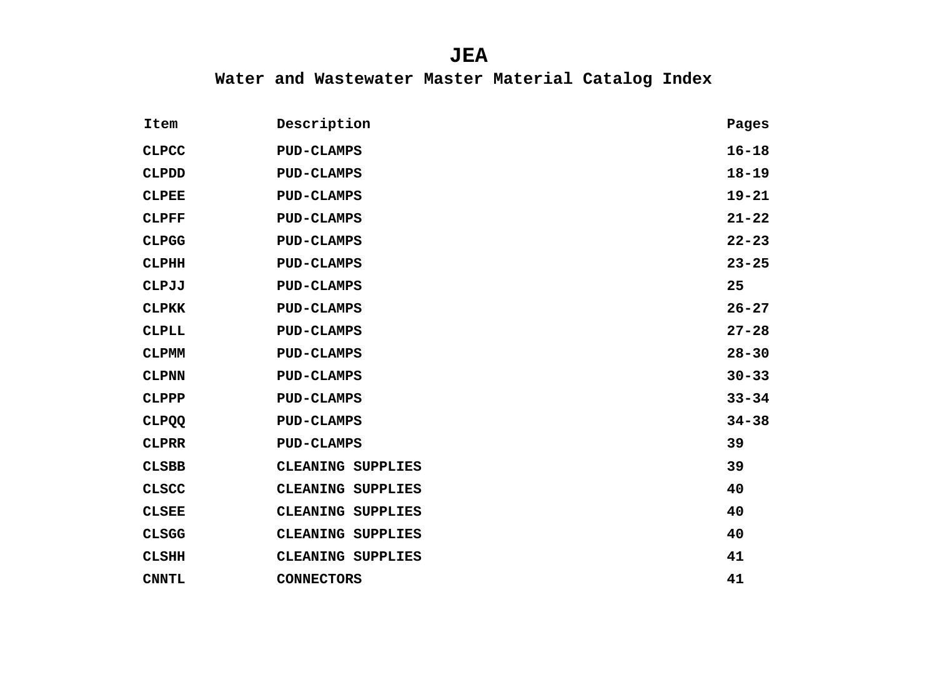| Item         | Description              | Pages     |
|--------------|--------------------------|-----------|
| <b>CLPCC</b> | <b>PUD-CLAMPS</b>        | $16 - 18$ |
| <b>CLPDD</b> | <b>PUD-CLAMPS</b>        | $18 - 19$ |
| <b>CLPEE</b> | <b>PUD-CLAMPS</b>        | $19 - 21$ |
| <b>CLPFF</b> | <b>PUD-CLAMPS</b>        | $21 - 22$ |
| <b>CLPGG</b> | <b>PUD-CLAMPS</b>        | $22 - 23$ |
| <b>CLPHH</b> | <b>PUD-CLAMPS</b>        | $23 - 25$ |
| <b>CLPJJ</b> | <b>PUD-CLAMPS</b>        | 25        |
| <b>CLPKK</b> | <b>PUD-CLAMPS</b>        | $26 - 27$ |
| <b>CLPLL</b> | <b>PUD-CLAMPS</b>        | $27 - 28$ |
| <b>CLPMM</b> | <b>PUD-CLAMPS</b>        | $28 - 30$ |
| <b>CLPNN</b> | <b>PUD-CLAMPS</b>        | $30 - 33$ |
| <b>CLPPP</b> | <b>PUD-CLAMPS</b>        | $33 - 34$ |
| <b>CLPQQ</b> | <b>PUD-CLAMPS</b>        | $34 - 38$ |
| <b>CLPRR</b> | <b>PUD-CLAMPS</b>        | 39        |
| <b>CLSBB</b> | CLEANING SUPPLIES        | 39        |
| <b>CLSCC</b> | <b>CLEANING SUPPLIES</b> | 40        |
| <b>CLSEE</b> | CLEANING SUPPLIES        | 40        |
| <b>CLSGG</b> | CLEANING SUPPLIES        | 40        |
| <b>CLSHH</b> | CLEANING SUPPLIES        | 41        |
| <b>CNNTL</b> | <b>CONNECTORS</b>        | 41        |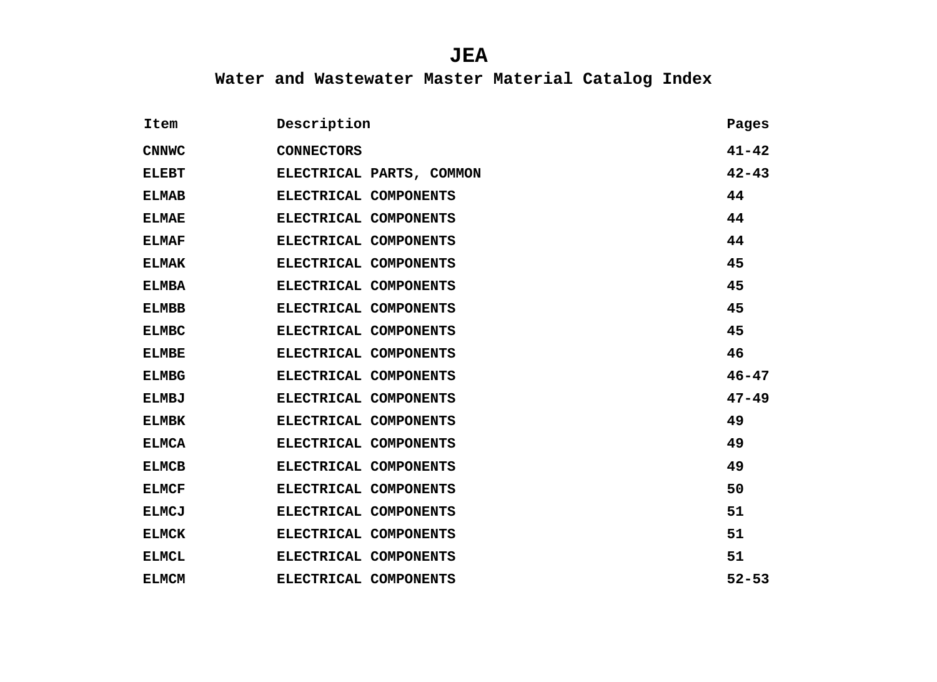| Item         | Description              | Pages     |
|--------------|--------------------------|-----------|
| <b>CNNWC</b> | <b>CONNECTORS</b>        | $41 - 42$ |
| <b>ELEBT</b> | ELECTRICAL PARTS, COMMON | $42 - 43$ |
| <b>ELMAB</b> | ELECTRICAL COMPONENTS    | 44        |
| <b>ELMAE</b> | ELECTRICAL COMPONENTS    | 44        |
| <b>ELMAF</b> | ELECTRICAL COMPONENTS    | 44        |
| <b>ELMAK</b> | ELECTRICAL COMPONENTS    | 45        |
| <b>ELMBA</b> | ELECTRICAL COMPONENTS    | 45        |
| <b>ELMBB</b> | ELECTRICAL COMPONENTS    | 45        |
| <b>ELMBC</b> | ELECTRICAL COMPONENTS    | 45        |
| <b>ELMBE</b> | ELECTRICAL COMPONENTS    | 46        |
| <b>ELMBG</b> | ELECTRICAL COMPONENTS    | $46 - 47$ |
| <b>ELMBJ</b> | ELECTRICAL COMPONENTS    | $47 - 49$ |
| <b>ELMBK</b> | ELECTRICAL COMPONENTS    | 49        |
| <b>ELMCA</b> | ELECTRICAL COMPONENTS    | 49        |
| <b>ELMCB</b> | ELECTRICAL COMPONENTS    | 49        |
| <b>ELMCF</b> | ELECTRICAL COMPONENTS    | 50        |
| <b>ELMCJ</b> | ELECTRICAL COMPONENTS    | 51        |
| <b>ELMCK</b> | ELECTRICAL COMPONENTS    | 51        |
| <b>ELMCL</b> | ELECTRICAL COMPONENTS    | 51        |
| <b>ELMCM</b> | ELECTRICAL COMPONENTS    | $52 - 53$ |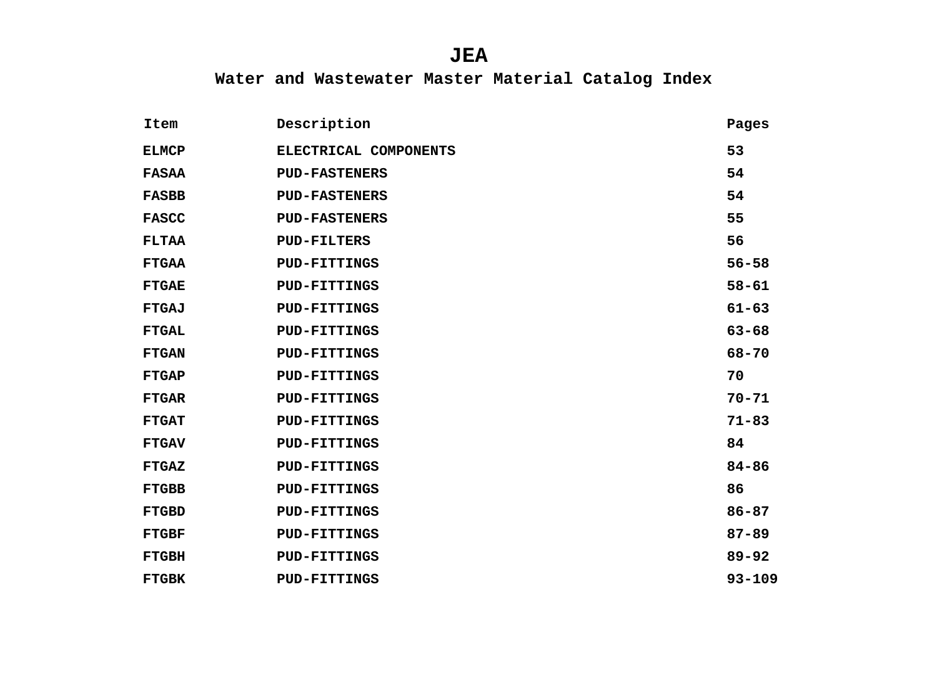| Item         | Description           | Pages      |
|--------------|-----------------------|------------|
| <b>ELMCP</b> | ELECTRICAL COMPONENTS | 53         |
| <b>FASAA</b> | <b>PUD-FASTENERS</b>  | 54         |
| <b>FASBB</b> | <b>PUD-FASTENERS</b>  | 54         |
| <b>FASCC</b> | <b>PUD-FASTENERS</b>  | 55         |
| <b>FLTAA</b> | <b>PUD-FILTERS</b>    | 56         |
| <b>FTGAA</b> | <b>PUD-FITTINGS</b>   | $56 - 58$  |
| <b>FTGAE</b> | <b>PUD-FITTINGS</b>   | $58 - 61$  |
| <b>FTGAJ</b> | <b>PUD-FITTINGS</b>   | $61 - 63$  |
| <b>FTGAL</b> | <b>PUD-FITTINGS</b>   | $63 - 68$  |
| <b>FTGAN</b> | <b>PUD-FITTINGS</b>   | $68 - 70$  |
| <b>FTGAP</b> | <b>PUD-FITTINGS</b>   | 70         |
| <b>FTGAR</b> | <b>PUD-FITTINGS</b>   | $70 - 71$  |
| <b>FTGAT</b> | <b>PUD-FITTINGS</b>   | $71 - 83$  |
| <b>FTGAV</b> | <b>PUD-FITTINGS</b>   | 84         |
| <b>FTGAZ</b> | <b>PUD-FITTINGS</b>   | $84 - 86$  |
| <b>FTGBB</b> | <b>PUD-FITTINGS</b>   | 86         |
| <b>FTGBD</b> | <b>PUD-FITTINGS</b>   | $86 - 87$  |
| <b>FTGBF</b> | <b>PUD-FITTINGS</b>   | $87 - 89$  |
| <b>FTGBH</b> | <b>PUD-FITTINGS</b>   | $89 - 92$  |
| <b>FTGBK</b> | <b>PUD-FITTINGS</b>   | $93 - 109$ |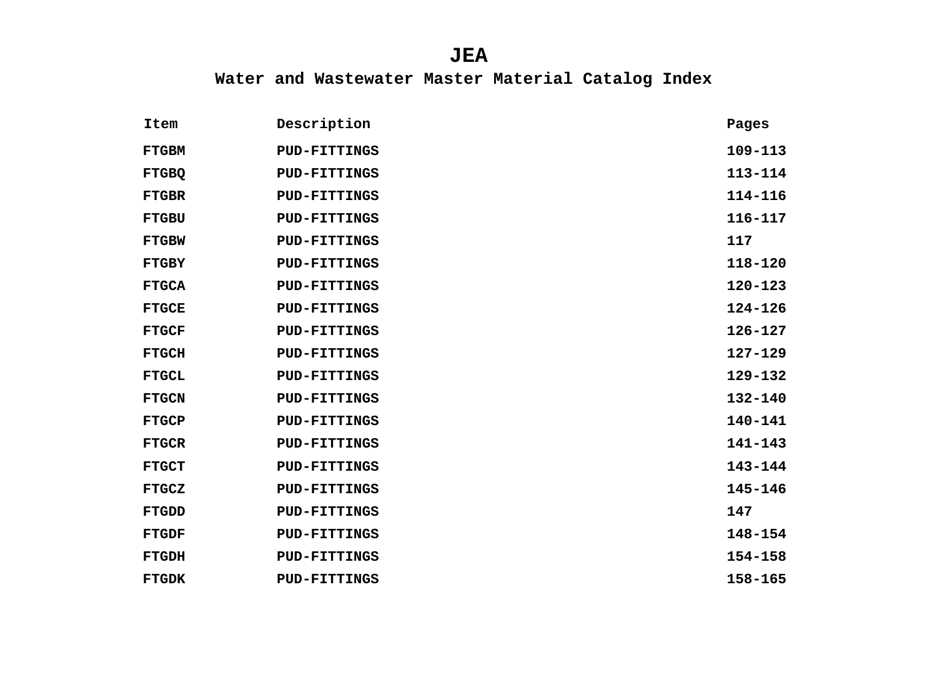| Item         | Description         | Pages       |
|--------------|---------------------|-------------|
| <b>FTGBM</b> | <b>PUD-FITTINGS</b> | $109 - 113$ |
| <b>FTGBQ</b> | <b>PUD-FITTINGS</b> | 113-114     |
| <b>FTGBR</b> | <b>PUD-FITTINGS</b> | 114-116     |
| <b>FTGBU</b> | <b>PUD-FITTINGS</b> | $116 - 117$ |
| <b>FTGBW</b> | <b>PUD-FITTINGS</b> | 117         |
| <b>FTGBY</b> | <b>PUD-FITTINGS</b> | 118-120     |
| <b>FTGCA</b> | <b>PUD-FITTINGS</b> | $120 - 123$ |
| <b>FTGCE</b> | <b>PUD-FITTINGS</b> | $124 - 126$ |
| <b>FTGCF</b> | <b>PUD-FITTINGS</b> | $126 - 127$ |
| <b>FTGCH</b> | <b>PUD-FITTINGS</b> | $127 - 129$ |
| <b>FTGCL</b> | <b>PUD-FITTINGS</b> | $129 - 132$ |
| <b>FTGCN</b> | <b>PUD-FITTINGS</b> | $132 - 140$ |
| <b>FTGCP</b> | <b>PUD-FITTINGS</b> | $140 - 141$ |
| <b>FTGCR</b> | <b>PUD-FITTINGS</b> | $141 - 143$ |
| <b>FTGCT</b> | <b>PUD-FITTINGS</b> | $143 - 144$ |
| <b>FTGCZ</b> | <b>PUD-FITTINGS</b> | $145 - 146$ |
| <b>FTGDD</b> | <b>PUD-FITTINGS</b> | 147         |
| <b>FTGDF</b> | <b>PUD-FITTINGS</b> | 148-154     |
| <b>FTGDH</b> | <b>PUD-FITTINGS</b> | 154-158     |
| <b>FTGDK</b> | <b>PUD-FITTINGS</b> | 158-165     |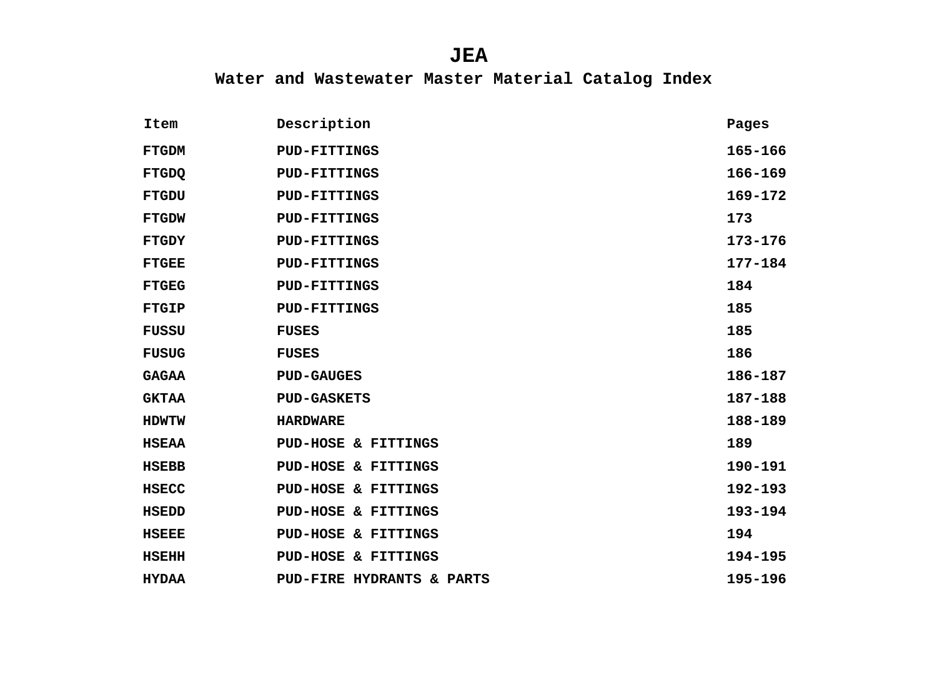| Item         | Description                    | Pages       |
|--------------|--------------------------------|-------------|
| <b>FTGDM</b> | <b>PUD-FITTINGS</b>            | 165-166     |
| <b>FTGDQ</b> | <b>PUD-FITTINGS</b>            | $166 - 169$ |
| <b>FTGDU</b> | <b>PUD-FITTINGS</b>            | $169 - 172$ |
| <b>FTGDW</b> | <b>PUD-FITTINGS</b>            | 173         |
| <b>FTGDY</b> | <b>PUD-FITTINGS</b>            | $173 - 176$ |
| <b>FTGEE</b> | <b>PUD-FITTINGS</b>            | 177-184     |
| <b>FTGEG</b> | <b>PUD-FITTINGS</b>            | 184         |
| <b>FTGIP</b> | <b>PUD-FITTINGS</b>            | 185         |
| <b>FUSSU</b> | <b>FUSES</b>                   | 185         |
| <b>FUSUG</b> | <b>FUSES</b>                   | 186         |
| <b>GAGAA</b> | <b>PUD-GAUGES</b>              | 186-187     |
| <b>GKTAA</b> | <b>PUD-GASKETS</b>             | 187-188     |
| <b>HDWTW</b> | <b>HARDWARE</b>                | 188-189     |
| <b>HSEAA</b> | PUD-HOSE & FITTINGS            | 189         |
| <b>HSEBB</b> | PUD-HOSE & FITTINGS            | 190-191     |
| <b>HSECC</b> | <b>PUD-HOSE &amp; FITTINGS</b> | 192-193     |
| <b>HSEDD</b> | <b>PUD-HOSE &amp; FITTINGS</b> | 193-194     |
| <b>HSEEE</b> | PUD-HOSE & FITTINGS            | 194         |
| <b>HSEHH</b> | PUD-HOSE & FITTINGS            | 194-195     |
| <b>HYDAA</b> | PUD-FIRE HYDRANTS & PARTS      | 195-196     |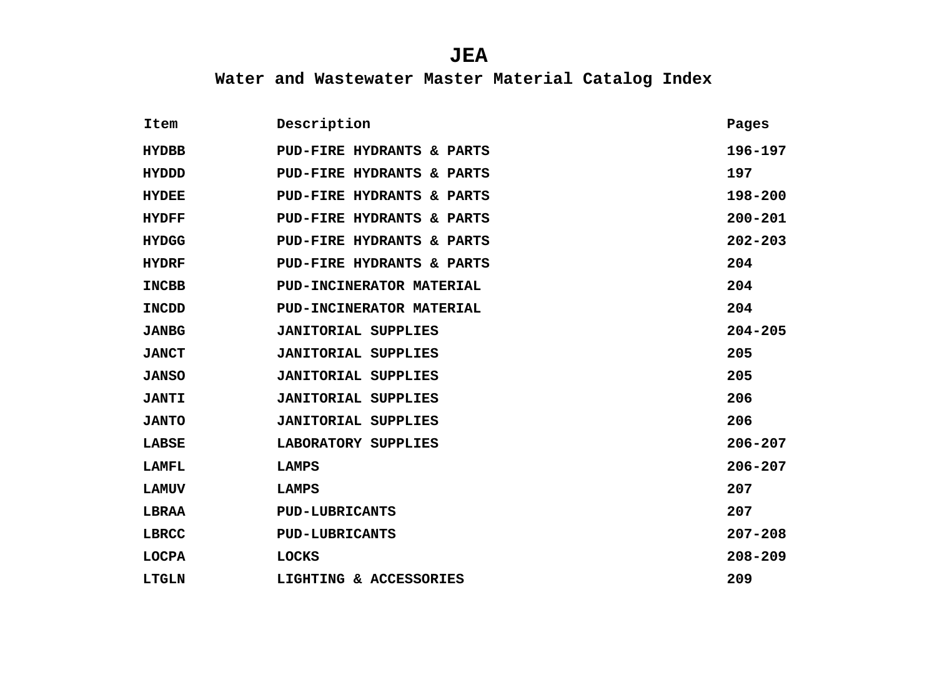| Item         | Description                | Pages       |
|--------------|----------------------------|-------------|
| <b>HYDBB</b> | PUD-FIRE HYDRANTS & PARTS  | 196-197     |
| <b>HYDDD</b> | PUD-FIRE HYDRANTS & PARTS  | 197         |
| <b>HYDEE</b> | PUD-FIRE HYDRANTS & PARTS  | 198-200     |
| <b>HYDFF</b> | PUD-FIRE HYDRANTS & PARTS  | $200 - 201$ |
| <b>HYDGG</b> | PUD-FIRE HYDRANTS & PARTS  | $202 - 203$ |
| <b>HYDRF</b> | PUD-FIRE HYDRANTS & PARTS  | 204         |
| <b>INCBB</b> | PUD-INCINERATOR MATERIAL   | 204         |
| <b>INCDD</b> | PUD-INCINERATOR MATERIAL   | 204         |
| <b>JANBG</b> | <b>JANITORIAL SUPPLIES</b> | $204 - 205$ |
| <b>JANCT</b> | <b>JANITORIAL SUPPLIES</b> | 205         |
| <b>JANSO</b> | <b>JANITORIAL SUPPLIES</b> | 205         |
| <b>JANTI</b> | <b>JANITORIAL SUPPLIES</b> | 206         |
| <b>JANTO</b> | <b>JANITORIAL SUPPLIES</b> | 206         |
| LABSE        | LABORATORY SUPPLIES        | $206 - 207$ |
| LAMFL        | <b>LAMPS</b>               | $206 - 207$ |
| <b>LAMUV</b> | LAMPS                      | 207         |
| <b>LBRAA</b> | <b>PUD-LUBRICANTS</b>      | 207         |
| LBRCC        | <b>PUD-LUBRICANTS</b>      | $207 - 208$ |
| <b>LOCPA</b> | <b>LOCKS</b>               | $208 - 209$ |
| <b>LTGLN</b> | LIGHTING & ACCESSORIES     | 209         |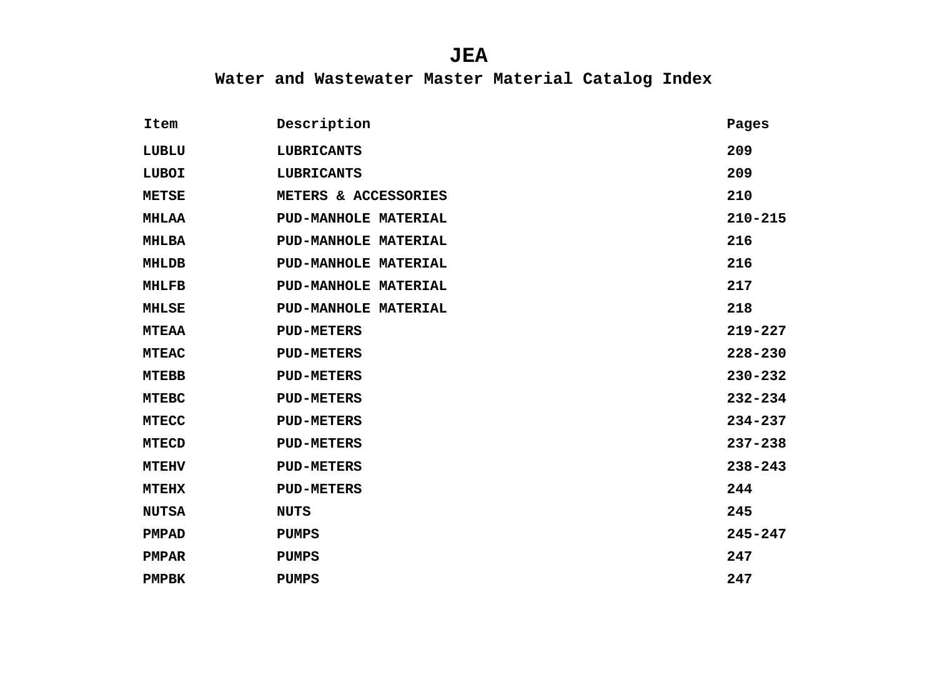| Item         | Description                 | Pages       |
|--------------|-----------------------------|-------------|
| LUBLU        | <b>LUBRICANTS</b>           | 209         |
| LUBOI        | <b>LUBRICANTS</b>           | 209         |
| <b>METSE</b> | METERS & ACCESSORIES        | 210         |
| <b>MHLAA</b> | <b>PUD-MANHOLE MATERIAL</b> | $210 - 215$ |
| <b>MHLBA</b> | <b>PUD-MANHOLE MATERIAL</b> | 216         |
| <b>MHLDB</b> | <b>PUD-MANHOLE MATERIAL</b> | 216         |
| <b>MHLFB</b> | <b>PUD-MANHOLE MATERIAL</b> | 217         |
| <b>MHLSE</b> | <b>PUD-MANHOLE MATERIAL</b> | 218         |
| <b>MTEAA</b> | <b>PUD-METERS</b>           | $219 - 227$ |
| <b>MTEAC</b> | <b>PUD-METERS</b>           | $228 - 230$ |
| <b>MTEBB</b> | <b>PUD-METERS</b>           | $230 - 232$ |
| <b>MTEBC</b> | <b>PUD-METERS</b>           | $232 - 234$ |
| <b>MTECC</b> | <b>PUD-METERS</b>           | $234 - 237$ |
| <b>MTECD</b> | <b>PUD-METERS</b>           | $237 - 238$ |
| <b>MTEHV</b> | <b>PUD-METERS</b>           | $238 - 243$ |
| <b>MTEHX</b> | <b>PUD-METERS</b>           | 244         |
| <b>NUTSA</b> | <b>NUTS</b>                 | 245         |
| <b>PMPAD</b> | <b>PUMPS</b>                | $245 - 247$ |
| <b>PMPAR</b> | <b>PUMPS</b>                | 247         |
| <b>PMPBK</b> | <b>PUMPS</b>                | 247         |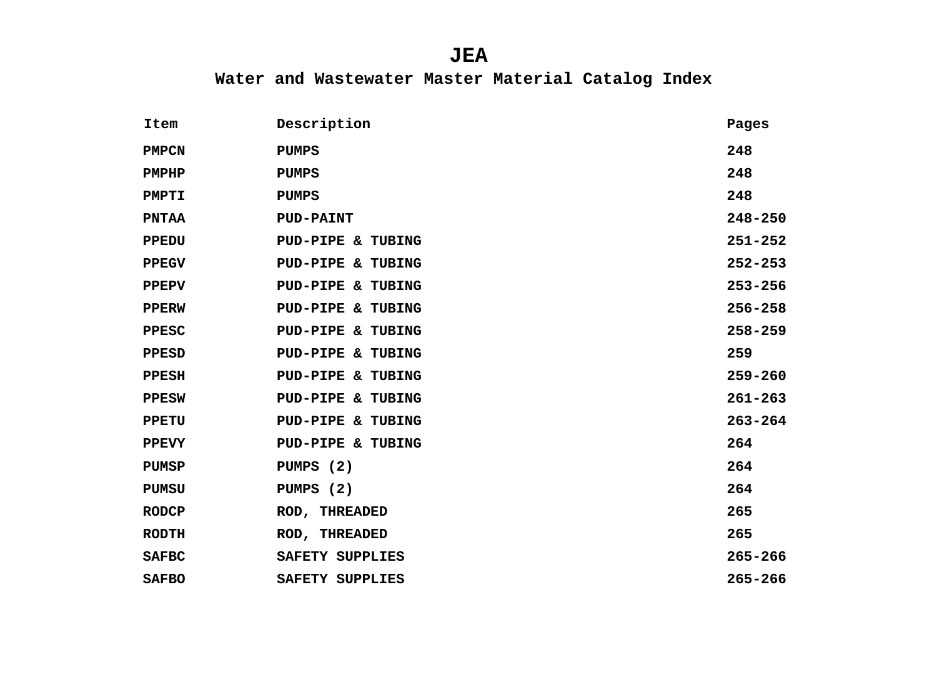| Item         | Description                  | Pages       |
|--------------|------------------------------|-------------|
| <b>PMPCN</b> | <b>PUMPS</b>                 | 248         |
| <b>PMPHP</b> | <b>PUMPS</b>                 | 248         |
| <b>PMPTI</b> | <b>PUMPS</b>                 | 248         |
| <b>PNTAA</b> | <b>PUD-PAINT</b>             | $248 - 250$ |
| <b>PPEDU</b> | PUD-PIPE & TUBING            | $251 - 252$ |
| <b>PPEGV</b> | PUD-PIPE & TUBING            | $252 - 253$ |
| <b>PPEPV</b> | <b>PUD-PIPE &amp; TUBING</b> | $253 - 256$ |
| <b>PPERW</b> | PUD-PIPE & TUBING            | $256 - 258$ |
| PPESC        | <b>PUD-PIPE &amp; TUBING</b> | $258 - 259$ |
| <b>PPESD</b> | <b>PUD-PIPE &amp; TUBING</b> | 259         |
| <b>PPESH</b> | <b>PUD-PIPE &amp; TUBING</b> | $259 - 260$ |
| <b>PPESW</b> | <b>PUD-PIPE &amp; TUBING</b> | $261 - 263$ |
| <b>PPETU</b> | <b>PUD-PIPE &amp; TUBING</b> | $263 - 264$ |
| <b>PPEVY</b> | <b>PUD-PIPE &amp; TUBING</b> | 264         |
| <b>PUMSP</b> | PUMPS (2)                    | 264         |
| <b>PUMSU</b> | PUMPS (2)                    | 264         |
| <b>RODCP</b> | <b>ROD, THREADED</b>         | 265         |
| <b>RODTH</b> | <b>ROD, THREADED</b>         | 265         |
| <b>SAFBC</b> | SAFETY SUPPLIES              | $265 - 266$ |
| <b>SAFBO</b> | SAFETY SUPPLIES              | $265 - 266$ |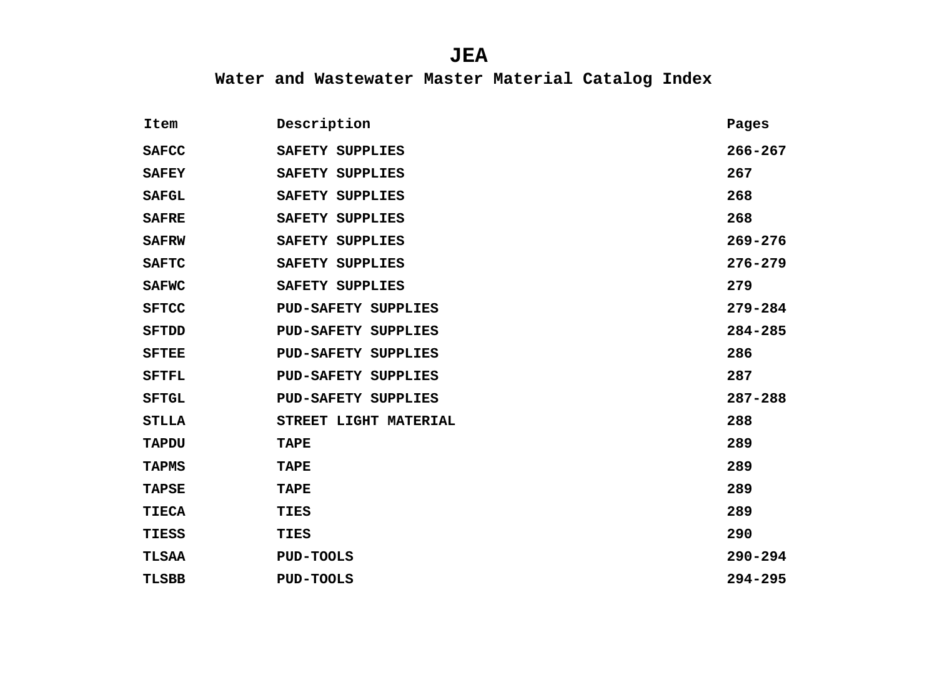| Item         | Description                | Pages       |
|--------------|----------------------------|-------------|
| <b>SAFCC</b> | SAFETY SUPPLIES            | $266 - 267$ |
| <b>SAFEY</b> | SAFETY SUPPLIES            | 267         |
| <b>SAFGL</b> | SAFETY SUPPLIES            | 268         |
| <b>SAFRE</b> | SAFETY SUPPLIES            | 268         |
| <b>SAFRW</b> | SAFETY SUPPLIES            | $269 - 276$ |
| <b>SAFTC</b> | SAFETY SUPPLIES            | $276 - 279$ |
| <b>SAFWC</b> | SAFETY SUPPLIES            | 279         |
| <b>SFTCC</b> | <b>PUD-SAFETY SUPPLIES</b> | $279 - 284$ |
| <b>SFTDD</b> | <b>PUD-SAFETY SUPPLIES</b> | $284 - 285$ |
| <b>SFTEE</b> | <b>PUD-SAFETY SUPPLIES</b> | 286         |
| <b>SFTFL</b> | <b>PUD-SAFETY SUPPLIES</b> | 287         |
| <b>SFTGL</b> | <b>PUD-SAFETY SUPPLIES</b> | $287 - 288$ |
| <b>STLLA</b> | STREET LIGHT MATERIAL      | 288         |
| <b>TAPDU</b> | <b>TAPE</b>                | 289         |
| <b>TAPMS</b> | <b>TAPE</b>                | 289         |
| <b>TAPSE</b> | <b>TAPE</b>                | 289         |
| <b>TIECA</b> | TIES                       | 289         |
| TIESS        | TIES                       | 290         |
| <b>TLSAA</b> | <b>PUD-TOOLS</b>           | $290 - 294$ |
| <b>TLSBB</b> | <b>PUD-TOOLS</b>           | $294 - 295$ |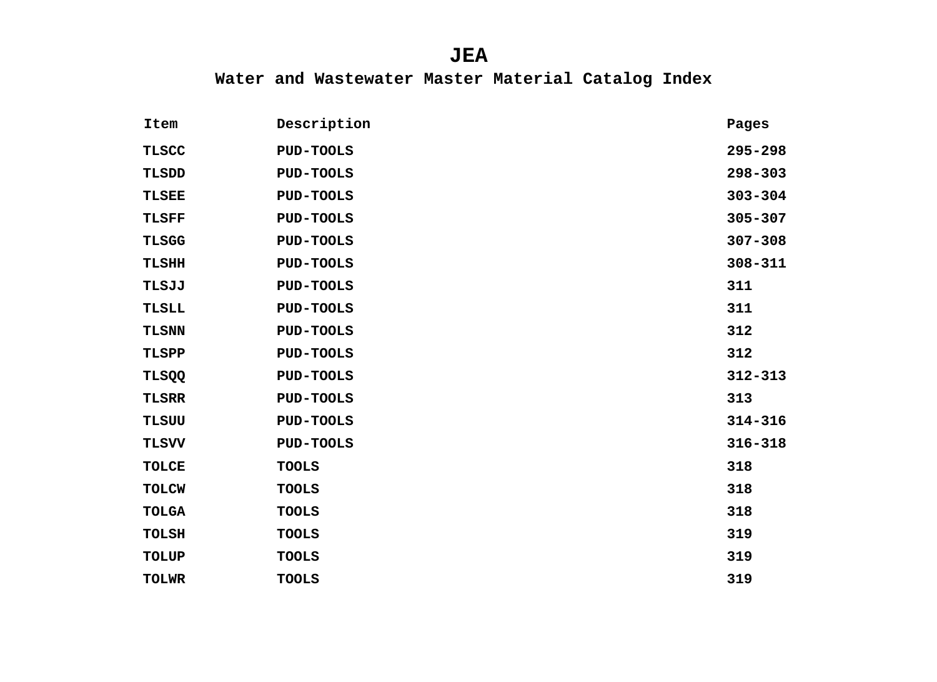| Item         | Description      | Pages       |
|--------------|------------------|-------------|
| <b>TLSCC</b> | PUD-TOOLS        | $295 - 298$ |
| TLSDD        | <b>PUD-TOOLS</b> | $298 - 303$ |
| <b>TLSEE</b> | PUD-TOOLS        | $303 - 304$ |
| <b>TLSFF</b> | <b>PUD-TOOLS</b> | $305 - 307$ |
| <b>TLSGG</b> | PUD-TOOLS        | $307 - 308$ |
| <b>TLSHH</b> | <b>PUD-TOOLS</b> | $308 - 311$ |
| TLSJJ        | PUD-TOOLS        | 311         |
| TLSLL        | <b>PUD-TOOLS</b> | 311         |
| <b>TLSNN</b> | <b>PUD-TOOLS</b> | 312         |
| TLSPP        | <b>PUD-TOOLS</b> | 312         |
| TLSQQ        | PUD-TOOLS        | $312 - 313$ |
| <b>TLSRR</b> | PUD-TOOLS        | 313         |
| <b>TLSUU</b> | PUD-TOOLS        | $314 - 316$ |
| <b>TLSVV</b> | <b>PUD-TOOLS</b> | $316 - 318$ |
| <b>TOLCE</b> | <b>TOOLS</b>     | 318         |
| <b>TOLCW</b> | <b>TOOLS</b>     | 318         |
| <b>TOLGA</b> | <b>TOOLS</b>     | 318         |
| <b>TOLSH</b> | <b>TOOLS</b>     | 319         |
| <b>TOLUP</b> | <b>TOOLS</b>     | 319         |
| <b>TOLWR</b> | <b>TOOLS</b>     | 319         |